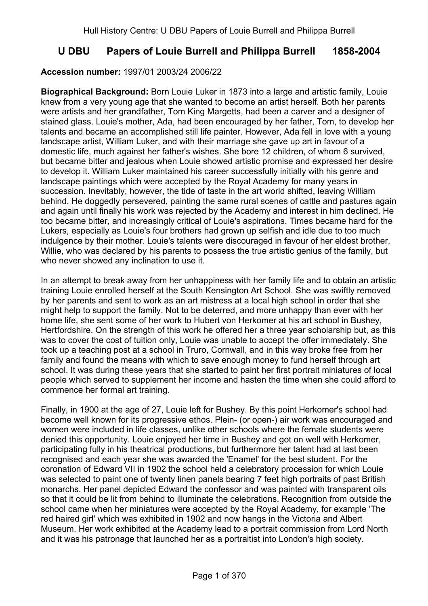# **U DBU Papers of Louie Burrell and Philippa Burrell 1858-2004**

## **Accession number:** 1997/01 2003/24 2006/22

**Biographical Background:** Born Louie Luker in 1873 into a large and artistic family, Louie knew from a very young age that she wanted to become an artist herself. Both her parents were artists and her grandfather, Tom King Margetts, had been a carver and a designer of stained glass. Louie's mother, Ada, had been encouraged by her father, Tom, to develop her talents and became an accomplished still life painter. However, Ada fell in love with a young landscape artist, William Luker, and with their marriage she gave up art in favour of a domestic life, much against her father's wishes. She bore 12 children, of whom 6 survived, but became bitter and jealous when Louie showed artistic promise and expressed her desire to develop it. William Luker maintained his career successfully initially with his genre and landscape paintings which were accepted by the Royal Academy for many years in succession. Inevitably, however, the tide of taste in the art world shifted, leaving William behind. He doggedly persevered, painting the same rural scenes of cattle and pastures again and again until finally his work was rejected by the Academy and interest in him declined. He too became bitter, and increasingly critical of Louie's aspirations. Times became hard for the Lukers, especially as Louie's four brothers had grown up selfish and idle due to too much indulgence by their mother. Louie's talents were discouraged in favour of her eldest brother, Willie, who was declared by his parents to possess the true artistic genius of the family, but who never showed any inclination to use it.

In an attempt to break away from her unhappiness with her family life and to obtain an artistic training Louie enrolled herself at the South Kensington Art School. She was swiftly removed by her parents and sent to work as an art mistress at a local high school in order that she might help to support the family. Not to be deterred, and more unhappy than ever with her home life, she sent some of her work to Hubert von Herkomer at his art school in Bushey, Hertfordshire. On the strength of this work he offered her a three year scholarship but, as this was to cover the cost of tuition only, Louie was unable to accept the offer immediately. She took up a teaching post at a school in Truro, Cornwall, and in this way broke free from her family and found the means with which to save enough money to fund herself through art school. It was during these years that she started to paint her first portrait miniatures of local people which served to supplement her income and hasten the time when she could afford to commence her formal art training.

Finally, in 1900 at the age of 27, Louie left for Bushey. By this point Herkomer's school had become well known for its progressive ethos. Plein- (or open-) air work was encouraged and women were included in life classes, unlike other schools where the female students were denied this opportunity. Louie enjoyed her time in Bushey and got on well with Herkomer, participating fully in his theatrical productions, but furthermore her talent had at last been recognised and each year she was awarded the 'Enamel' for the best student. For the coronation of Edward VII in 1902 the school held a celebratory procession for which Louie was selected to paint one of twenty linen panels bearing 7 feet high portraits of past British monarchs. Her panel depicted Edward the confessor and was painted with transparent oils so that it could be lit from behind to illuminate the celebrations. Recognition from outside the school came when her miniatures were accepted by the Royal Academy, for example 'The red haired girl' which was exhibited in 1902 and now hangs in the Victoria and Albert Museum. Her work exhibited at the Academy lead to a portrait commission from Lord North and it was his patronage that launched her as a portraitist into London's high society.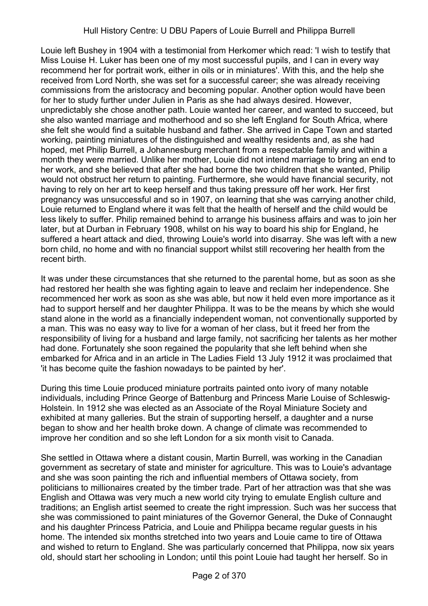## Hull History Centre: U DBU Papers of Louie Burrell and Philippa Burrell

Louie left Bushey in 1904 with a testimonial from Herkomer which read: 'I wish to testify that Miss Louise H. Luker has been one of my most successful pupils, and I can in every way recommend her for portrait work, either in oils or in miniatures'. With this, and the help she received from Lord North, she was set for a successful career; she was already receiving commissions from the aristocracy and becoming popular. Another option would have been for her to study further under Julien in Paris as she had always desired. However, unpredictably she chose another path. Louie wanted her career, and wanted to succeed, but she also wanted marriage and motherhood and so she left England for South Africa, where she felt she would find a suitable husband and father. She arrived in Cape Town and started working, painting miniatures of the distinguished and wealthy residents and, as she had hoped, met Philip Burrell, a Johannesburg merchant from a respectable family and within a month they were married. Unlike her mother, Louie did not intend marriage to bring an end to her work, and she believed that after she had borne the two children that she wanted, Philip would not obstruct her return to painting. Furthermore, she would have financial security, not having to rely on her art to keep herself and thus taking pressure off her work. Her first pregnancy was unsuccessful and so in 1907, on learning that she was carrying another child, Louie returned to England where it was felt that the health of herself and the child would be less likely to suffer. Philip remained behind to arrange his business affairs and was to join her later, but at Durban in February 1908, whilst on his way to board his ship for England, he suffered a heart attack and died, throwing Louie's world into disarray. She was left with a new born child, no home and with no financial support whilst still recovering her health from the recent birth.

It was under these circumstances that she returned to the parental home, but as soon as she had restored her health she was fighting again to leave and reclaim her independence. She recommenced her work as soon as she was able, but now it held even more importance as it had to support herself and her daughter Philippa. It was to be the means by which she would stand alone in the world as a financially independent woman, not conventionally supported by a man. This was no easy way to live for a woman of her class, but it freed her from the responsibility of living for a husband and large family, not sacrificing her talents as her mother had done. Fortunately she soon regained the popularity that she left behind when she embarked for Africa and in an article in The Ladies Field 13 July 1912 it was proclaimed that 'it has become quite the fashion nowadays to be painted by her'.

During this time Louie produced miniature portraits painted onto ivory of many notable individuals, including Prince George of Battenburg and Princess Marie Louise of Schleswig-Holstein. In 1912 she was elected as an Associate of the Royal Miniature Society and exhibited at many galleries. But the strain of supporting herself, a daughter and a nurse began to show and her health broke down. A change of climate was recommended to improve her condition and so she left London for a six month visit to Canada.

She settled in Ottawa where a distant cousin, Martin Burrell, was working in the Canadian government as secretary of state and minister for agriculture. This was to Louie's advantage and she was soon painting the rich and influential members of Ottawa society, from politicians to millionaires created by the timber trade. Part of her attraction was that she was English and Ottawa was very much a new world city trying to emulate English culture and traditions; an English artist seemed to create the right impression. Such was her success that she was commissioned to paint miniatures of the Governor General, the Duke of Connaught and his daughter Princess Patricia, and Louie and Philippa became regular guests in his home. The intended six months stretched into two years and Louie came to tire of Ottawa and wished to return to England. She was particularly concerned that Philippa, now six years old, should start her schooling in London; until this point Louie had taught her herself. So in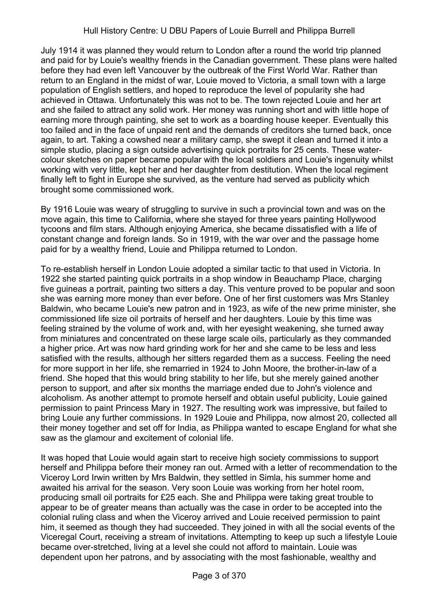## Hull History Centre: U DBU Papers of Louie Burrell and Philippa Burrell

July 1914 it was planned they would return to London after a round the world trip planned and paid for by Louie's wealthy friends in the Canadian government. These plans were halted before they had even left Vancouver by the outbreak of the First World War. Rather than return to an England in the midst of war, Louie moved to Victoria, a small town with a large population of English settlers, and hoped to reproduce the level of popularity she had achieved in Ottawa. Unfortunately this was not to be. The town rejected Louie and her art and she failed to attract any solid work. Her money was running short and with little hope of earning more through painting, she set to work as a boarding house keeper. Eventually this too failed and in the face of unpaid rent and the demands of creditors she turned back, once again, to art. Taking a cowshed near a military camp, she swept it clean and turned it into a simple studio, placing a sign outside advertising quick portraits for 25 cents. These watercolour sketches on paper became popular with the local soldiers and Louie's ingenuity whilst working with very little, kept her and her daughter from destitution. When the local regiment finally left to fight in Europe she survived, as the venture had served as publicity which brought some commissioned work.

By 1916 Louie was weary of struggling to survive in such a provincial town and was on the move again, this time to California, where she stayed for three years painting Hollywood tycoons and film stars. Although enjoying America, she became dissatisfied with a life of constant change and foreign lands. So in 1919, with the war over and the passage home paid for by a wealthy friend, Louie and Philippa returned to London.

To re-establish herself in London Louie adopted a similar tactic to that used in Victoria. In 1922 she started painting quick portraits in a shop window in Beauchamp Place, charging five guineas a portrait, painting two sitters a day. This venture proved to be popular and soon she was earning more money than ever before. One of her first customers was Mrs Stanley Baldwin, who became Louie's new patron and in 1923, as wife of the new prime minister, she commissioned life size oil portraits of herself and her daughters. Louie by this time was feeling strained by the volume of work and, with her eyesight weakening, she turned away from miniatures and concentrated on these large scale oils, particularly as they commanded a higher price. Art was now hard grinding work for her and she came to be less and less satisfied with the results, although her sitters regarded them as a success. Feeling the need for more support in her life, she remarried in 1924 to John Moore, the brother-in-law of a friend. She hoped that this would bring stability to her life, but she merely gained another person to support, and after six months the marriage ended due to John's violence and alcoholism. As another attempt to promote herself and obtain useful publicity, Louie gained permission to paint Princess Mary in 1927. The resulting work was impressive, but failed to bring Louie any further commissions. In 1929 Louie and Philippa, now almost 20, collected all their money together and set off for India, as Philippa wanted to escape England for what she saw as the glamour and excitement of colonial life.

It was hoped that Louie would again start to receive high society commissions to support herself and Philippa before their money ran out. Armed with a letter of recommendation to the Viceroy Lord Irwin written by Mrs Baldwin, they settled in Simla, his summer home and awaited his arrival for the season. Very soon Louie was working from her hotel room, producing small oil portraits for £25 each. She and Philippa were taking great trouble to appear to be of greater means than actually was the case in order to be accepted into the colonial ruling class and when the Viceroy arrived and Louie received permission to paint him, it seemed as though they had succeeded. They joined in with all the social events of the Viceregal Court, receiving a stream of invitations. Attempting to keep up such a lifestyle Louie became over-stretched, living at a level she could not afford to maintain. Louie was dependent upon her patrons, and by associating with the most fashionable, wealthy and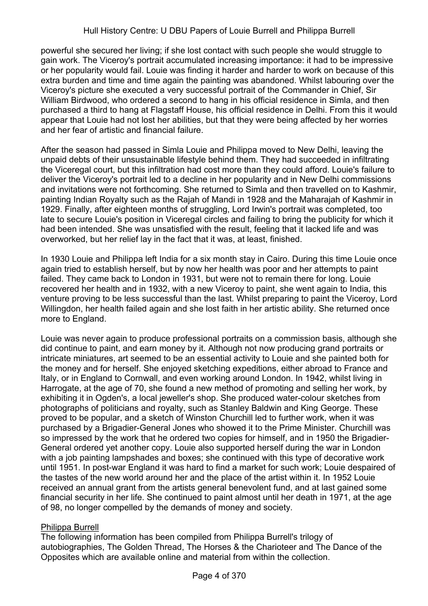powerful she secured her living; if she lost contact with such people she would struggle to gain work. The Viceroy's portrait accumulated increasing importance: it had to be impressive or her popularity would fail. Louie was finding it harder and harder to work on because of this extra burden and time and time again the painting was abandoned. Whilst labouring over the Viceroy's picture she executed a very successful portrait of the Commander in Chief, Sir William Birdwood, who ordered a second to hang in his official residence in Simla, and then purchased a third to hang at Flagstaff House, his official residence in Delhi. From this it would appear that Louie had not lost her abilities, but that they were being affected by her worries and her fear of artistic and financial failure.

After the season had passed in Simla Louie and Philippa moved to New Delhi, leaving the unpaid debts of their unsustainable lifestyle behind them. They had succeeded in infiltrating the Viceregal court, but this infiltration had cost more than they could afford. Louie's failure to deliver the Viceroy's portrait led to a decline in her popularity and in New Delhi commissions and invitations were not forthcoming. She returned to Simla and then travelled on to Kashmir, painting Indian Royalty such as the Rajah of Mandi in 1928 and the Maharajah of Kashmir in 1929. Finally, after eighteen months of struggling, Lord Irwin's portrait was completed, too late to secure Louie's position in Viceregal circles and failing to bring the publicity for which it had been intended. She was unsatisfied with the result, feeling that it lacked life and was overworked, but her relief lay in the fact that it was, at least, finished.

In 1930 Louie and Philippa left India for a six month stay in Cairo. During this time Louie once again tried to establish herself, but by now her health was poor and her attempts to paint failed. They came back to London in 1931, but were not to remain there for long. Louie recovered her health and in 1932, with a new Viceroy to paint, she went again to India, this venture proving to be less successful than the last. Whilst preparing to paint the Viceroy, Lord Willingdon, her health failed again and she lost faith in her artistic ability. She returned once more to England.

Louie was never again to produce professional portraits on a commission basis, although she did continue to paint, and earn money by it. Although not now producing grand portraits or intricate miniatures, art seemed to be an essential activity to Louie and she painted both for the money and for herself. She enjoyed sketching expeditions, either abroad to France and Italy, or in England to Cornwall, and even working around London. In 1942, whilst living in Harrogate, at the age of 70, she found a new method of promoting and selling her work, by exhibiting it in Ogden's, a local jeweller's shop. She produced water-colour sketches from photographs of politicians and royalty, such as Stanley Baldwin and King George. These proved to be popular, and a sketch of Winston Churchill led to further work, when it was purchased by a Brigadier-General Jones who showed it to the Prime Minister. Churchill was so impressed by the work that he ordered two copies for himself, and in 1950 the Brigadier-General ordered yet another copy. Louie also supported herself during the war in London with a job painting lampshades and boxes; she continued with this type of decorative work until 1951. In post-war England it was hard to find a market for such work; Louie despaired of the tastes of the new world around her and the place of the artist within it. In 1952 Louie received an annual grant from the artists general benevolent fund, and at last gained some financial security in her life. She continued to paint almost until her death in 1971, at the age of 98, no longer compelled by the demands of money and society.

# Philippa Burrell

The following information has been compiled from Philippa Burrell's trilogy of autobiographies, The Golden Thread, The Horses & the Charioteer and The Dance of the Opposites which are available online and material from within the collection.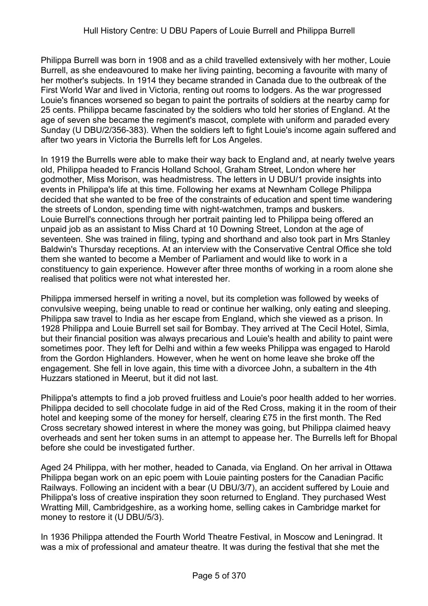Philippa Burrell was born in 1908 and as a child travelled extensively with her mother, Louie Burrell, as she endeavoured to make her living painting, becoming a favourite with many of her mother's subjects. In 1914 they became stranded in Canada due to the outbreak of the First World War and lived in Victoria, renting out rooms to lodgers. As the war progressed Louie's finances worsened so began to paint the portraits of soldiers at the nearby camp for 25 cents. Philippa became fascinated by the soldiers who told her stories of England. At the age of seven she became the regiment's mascot, complete with uniform and paraded every Sunday (U DBU/2/356-383). When the soldiers left to fight Louie's income again suffered and after two years in Victoria the Burrells left for Los Angeles.

In 1919 the Burrells were able to make their way back to England and, at nearly twelve years old, Philippa headed to Francis Holland School, Graham Street, London where her godmother, Miss Morison, was headmistress. The letters in U DBU/1 provide insights into events in Philippa's life at this time. Following her exams at Newnham College Philippa decided that she wanted to be free of the constraints of education and spent time wandering the streets of London, spending time with night-watchmen, tramps and buskers. Louie Burrell's connections through her portrait painting led to Philippa being offered an unpaid job as an assistant to Miss Chard at 10 Downing Street, London at the age of seventeen. She was trained in filing, typing and shorthand and also took part in Mrs Stanley Baldwin's Thursday receptions. At an interview with the Conservative Central Office she told them she wanted to become a Member of Parliament and would like to work in a constituency to gain experience. However after three months of working in a room alone she realised that politics were not what interested her.

Philippa immersed herself in writing a novel, but its completion was followed by weeks of convulsive weeping, being unable to read or continue her walking, only eating and sleeping. Philippa saw travel to India as her escape from England, which she viewed as a prison. In 1928 Philippa and Louie Burrell set sail for Bombay. They arrived at The Cecil Hotel, Simla, but their financial position was always precarious and Louie's health and ability to paint were sometimes poor. They left for Delhi and within a few weeks Philippa was engaged to Harold from the Gordon Highlanders. However, when he went on home leave she broke off the engagement. She fell in love again, this time with a divorcee John, a subaltern in the 4th Huzzars stationed in Meerut, but it did not last.

Philippa's attempts to find a job proved fruitless and Louie's poor health added to her worries. Philippa decided to sell chocolate fudge in aid of the Red Cross, making it in the room of their hotel and keeping some of the money for herself, clearing £75 in the first month. The Red Cross secretary showed interest in where the money was going, but Philippa claimed heavy overheads and sent her token sums in an attempt to appease her. The Burrells left for Bhopal before she could be investigated further.

Aged 24 Philippa, with her mother, headed to Canada, via England. On her arrival in Ottawa Philippa began work on an epic poem with Louie painting posters for the Canadian Pacific Railways. Following an incident with a bear (U DBU/3/7), an accident suffered by Louie and Philippa's loss of creative inspiration they soon returned to England. They purchased West Wratting Mill, Cambridgeshire, as a working home, selling cakes in Cambridge market for money to restore it (U DBU/5/3).

In 1936 Philippa attended the Fourth World Theatre Festival, in Moscow and Leningrad. It was a mix of professional and amateur theatre. It was during the festival that she met the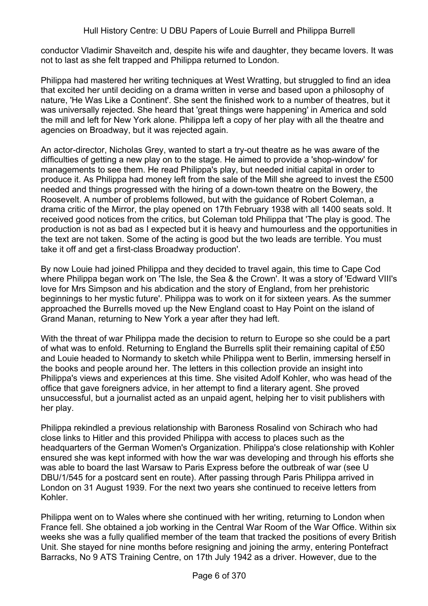conductor Vladimir Shaveitch and, despite his wife and daughter, they became lovers. It was not to last as she felt trapped and Philippa returned to London.

Philippa had mastered her writing techniques at West Wratting, but struggled to find an idea that excited her until deciding on a drama written in verse and based upon a philosophy of nature, 'He Was Like a Continent'. She sent the finished work to a number of theatres, but it was universally rejected. She heard that 'great things were happening' in America and sold the mill and left for New York alone. Philippa left a copy of her play with all the theatre and agencies on Broadway, but it was rejected again.

An actor-director, Nicholas Grey, wanted to start a try-out theatre as he was aware of the difficulties of getting a new play on to the stage. He aimed to provide a 'shop-window' for managements to see them. He read Philippa's play, but needed initial capital in order to produce it. As Philippa had money left from the sale of the Mill she agreed to invest the £500 needed and things progressed with the hiring of a down-town theatre on the Bowery, the Roosevelt. A number of problems followed, but with the guidance of Robert Coleman, a drama critic of the Mirror, the play opened on 17th February 1938 with all 1400 seats sold. It received good notices from the critics, but Coleman told Philippa that 'The play is good. The production is not as bad as I expected but it is heavy and humourless and the opportunities in the text are not taken. Some of the acting is good but the two leads are terrible. You must take it off and get a first-class Broadway production'.

By now Louie had joined Philippa and they decided to travel again, this time to Cape Cod where Philippa began work on 'The Isle, the Sea & the Crown'. It was a story of 'Edward VIII's love for Mrs Simpson and his abdication and the story of England, from her prehistoric beginnings to her mystic future'. Philippa was to work on it for sixteen years. As the summer approached the Burrells moved up the New England coast to Hay Point on the island of Grand Manan, returning to New York a year after they had left.

With the threat of war Philippa made the decision to return to Europe so she could be a part of what was to enfold. Returning to England the Burrells split their remaining capital of £50 and Louie headed to Normandy to sketch while Philippa went to Berlin, immersing herself in the books and people around her. The letters in this collection provide an insight into Philippa's views and experiences at this time. She visited Adolf Kohler, who was head of the office that gave foreigners advice, in her attempt to find a literary agent. She proved unsuccessful, but a journalist acted as an unpaid agent, helping her to visit publishers with her play.

Philippa rekindled a previous relationship with Baroness Rosalind von Schirach who had close links to Hitler and this provided Philippa with access to places such as the headquarters of the German Women's Organization. Philippa's close relationship with Kohler ensured she was kept informed with how the war was developing and through his efforts she was able to board the last Warsaw to Paris Express before the outbreak of war (see U DBU/1/545 for a postcard sent en route). After passing through Paris Philippa arrived in London on 31 August 1939. For the next two years she continued to receive letters from Kohler.

Philippa went on to Wales where she continued with her writing, returning to London when France fell. She obtained a job working in the Central War Room of the War Office. Within six weeks she was a fully qualified member of the team that tracked the positions of every British Unit. She stayed for nine months before resigning and joining the army, entering Pontefract Barracks, No 9 ATS Training Centre, on 17th July 1942 as a driver. However, due to the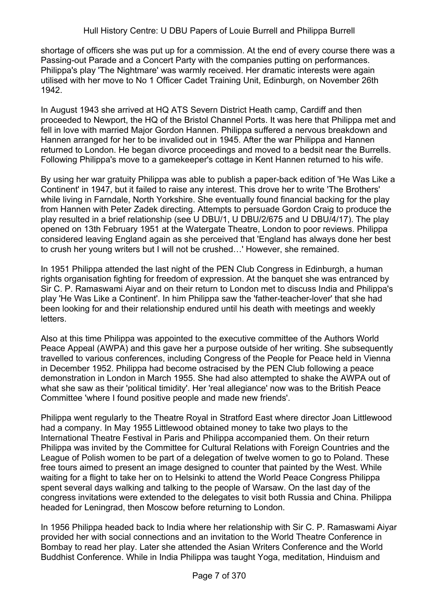shortage of officers she was put up for a commission. At the end of every course there was a Passing-out Parade and a Concert Party with the companies putting on performances. Philippa's play 'The Nightmare' was warmly received. Her dramatic interests were again utilised with her move to No 1 Officer Cadet Training Unit, Edinburgh, on November 26th 1942.

In August 1943 she arrived at HQ ATS Severn District Heath camp, Cardiff and then proceeded to Newport, the HQ of the Bristol Channel Ports. It was here that Philippa met and fell in love with married Major Gordon Hannen. Philippa suffered a nervous breakdown and Hannen arranged for her to be invalided out in 1945. After the war Philippa and Hannen returned to London. He began divorce proceedings and moved to a bedsit near the Burrells. Following Philippa's move to a gamekeeper's cottage in Kent Hannen returned to his wife.

By using her war gratuity Philippa was able to publish a paper-back edition of 'He Was Like a Continent' in 1947, but it failed to raise any interest. This drove her to write 'The Brothers' while living in Farndale, North Yorkshire. She eventually found financial backing for the play from Hannen with Peter Zadek directing. Attempts to persuade Gordon Craig to produce the play resulted in a brief relationship (see U DBU/1, U DBU/2/675 and U DBU/4/17). The play opened on 13th February 1951 at the Watergate Theatre, London to poor reviews. Philippa considered leaving England again as she perceived that 'England has always done her best to crush her young writers but I will not be crushed...' However, she remained.

In 1951 Philippa attended the last night of the PEN Club Congress in Edinburgh, a human rights organisation fighting for freedom of expression. At the banquet she was entranced by Sir C. P. Ramaswami Aiyar and on their return to London met to discuss India and Philippa's play 'He Was Like a Continent'. In him Philippa saw the 'father-teacher-lover' that she had been looking for and their relationship endured until his death with meetings and weekly letters.

Also at this time Philippa was appointed to the executive committee of the Authors World Peace Appeal (AWPA) and this gave her a purpose outside of her writing. She subsequently travelled to various conferences, including Congress of the People for Peace held in Vienna in December 1952. Philippa had become ostracised by the PEN Club following a peace demonstration in London in March 1955. She had also attempted to shake the AWPA out of what she saw as their 'political timidity'. Her 'real allegiance' now was to the British Peace Committee 'where I found positive people and made new friends'.

Philippa went regularly to the Theatre Royal in Stratford East where director Joan Littlewood had a company. In May 1955 Littlewood obtained money to take two plays to the International Theatre Festival in Paris and Philippa accompanied them. On their return Philippa was invited by the Committee for Cultural Relations with Foreign Countries and the League of Polish women to be part of a delegation of twelve women to go to Poland. These free tours aimed to present an image designed to counter that painted by the West. While waiting for a flight to take her on to Helsinki to attend the World Peace Congress Philippa spent several days walking and talking to the people of Warsaw. On the last day of the congress invitations were extended to the delegates to visit both Russia and China. Philippa headed for Leningrad, then Moscow before returning to London.

In 1956 Philippa headed back to India where her relationship with Sir C. P. Ramaswami Aiyar provided her with social connections and an invitation to the World Theatre Conference in Bombay to read her play. Later she attended the Asian Writers Conference and the World Buddhist Conference. While in India Philippa was taught Yoga, meditation, Hinduism and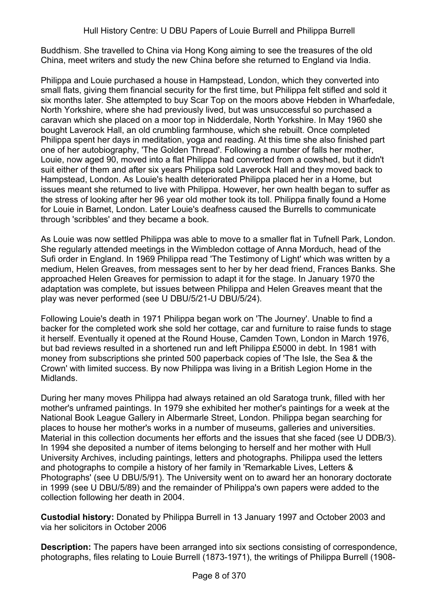Buddhism. She travelled to China via Hong Kong aiming to see the treasures of the old China, meet writers and study the new China before she returned to England via India.

Philippa and Louie purchased a house in Hampstead, London, which they converted into small flats, giving them financial security for the first time, but Philippa felt stifled and sold it six months later. She attempted to buy Scar Top on the moors above Hebden in Wharfedale, North Yorkshire, where she had previously lived, but was unsuccessful so purchased a caravan which she placed on a moor top in Nidderdale, North Yorkshire. In May 1960 she bought Laverock Hall, an old crumbling farmhouse, which she rebuilt. Once completed Philippa spent her days in meditation, yoga and reading. At this time she also finished part one of her autobiography, 'The Golden Thread'. Following a number of falls her mother, Louie, now aged 90, moved into a flat Philippa had converted from a cowshed, but it didn't suit either of them and after six years Philippa sold Laverock Hall and they moved back to Hampstead, London. As Louie's health deteriorated Philippa placed her in a Home, but issues meant she returned to live with Philippa. However, her own health began to suffer as the stress of looking after her 96 year old mother took its toll. Philippa finally found a Home for Louie in Barnet, London. Later Louie's deafness caused the Burrells to communicate through 'scribbles' and they became a book.

As Louie was now settled Philippa was able to move to a smaller flat in Tufnell Park, London. She regularly attended meetings in the Wimbledon cottage of Anna Morduch, head of the Sufi order in England. In 1969 Philippa read 'The Testimony of Light' which was written by a medium, Helen Greaves, from messages sent to her by her dead friend, Frances Banks. She approached Helen Greaves for permission to adapt it for the stage. In January 1970 the adaptation was complete, but issues between Philippa and Helen Greaves meant that the play was never performed (see U DBU/5/21-U DBU/5/24).

Following Louie's death in 1971 Philippa began work on 'The Journey'. Unable to find a backer for the completed work she sold her cottage, car and furniture to raise funds to stage it herself. Eventually it opened at the Round House, Camden Town, London in March 1976, but bad reviews resulted in a shortened run and left Philippa £5000 in debt. In 1981 with money from subscriptions she printed 500 paperback copies of 'The Isle, the Sea & the Crown' with limited success. By now Philippa was living in a British Legion Home in the Midlands.

During her many moves Philippa had always retained an old Saratoga trunk, filled with her mother's unframed paintings. In 1979 she exhibited her mother's paintings for a week at the National Book League Gallery in Albermarle Street, London. Philippa began searching for places to house her mother's works in a number of museums, galleries and universities. Material in this collection documents her efforts and the issues that she faced (see U DDB/3). In 1994 she deposited a number of items belonging to herself and her mother with Hull University Archives, including paintings, letters and photographs. Philippa used the letters and photographs to compile a history of her family in 'Remarkable Lives, Letters & Photographs' (see U DBU/5/91). The University went on to award her an honorary doctorate in 1999 (see U DBU/5/89) and the remainder of Philippa's own papers were added to the collection following her death in 2004.

**Custodial history:** Donated by Philippa Burrell in 13 January 1997 and October 2003 and via her solicitors in October 2006

**Description:** The papers have been arranged into six sections consisting of correspondence, photographs, files relating to Louie Burrell (1873-1971), the writings of Philippa Burrell (1908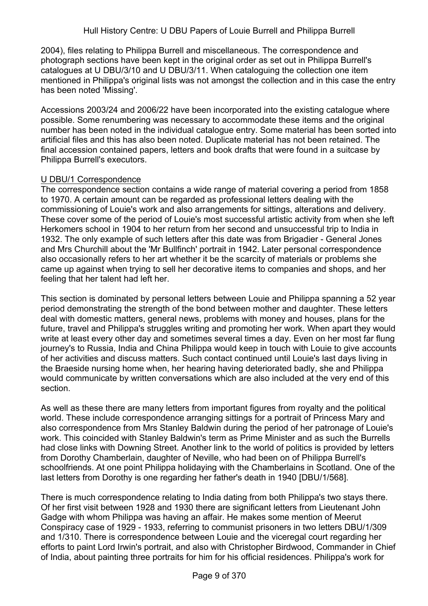2004), files relating to Philippa Burrell and miscellaneous. The correspondence and photograph sections have been kept in the original order as set out in Philippa Burrell's catalogues at U DBU/3/10 and U DBU/3/11. When cataloguing the collection one item mentioned in Philippa's original lists was not amongst the collection and in this case the entry has been noted 'Missing'.

Accessions 2003/24 and 2006/22 have been incorporated into the existing catalogue where possible. Some renumbering was necessary to accommodate these items and the original number has been noted in the individual catalogue entry. Some material has been sorted into artificial files and this has also been noted. Duplicate material has not been retained. The final accession contained papers, letters and book drafts that were found in a suitcase by Philippa Burrell's executors.

## U DBU/1 Correspondence

The correspondence section contains a wide range of material covering a period from 1858 to 1970. A certain amount can be regarded as professional letters dealing with the commissioning of Louie's work and also arrangements for sittings, alterations and delivery. These cover some of the period of Louie's most successful artistic activity from when she left Herkomers school in 1904 to her return from her second and unsuccessful trip to India in 1932. The only example of such letters after this date was from Brigadier - General Jones and Mrs Churchill about the 'Mr Bullfinch' portrait in 1942. Later personal correspondence also occasionally refers to her art whether it be the scarcity of materials or problems she came up against when trying to sell her decorative items to companies and shops, and her feeling that her talent had left her.

This section is dominated by personal letters between Louie and Philippa spanning a 52 year period demonstrating the strength of the bond between mother and daughter. These letters deal with domestic matters, general news, problems with money and houses, plans for the future, travel and Philippa's struggles writing and promoting her work. When apart they would write at least every other day and sometimes several times a day. Even on her most far flung journey's to Russia, India and China Philippa would keep in touch with Louie to give accounts of her activities and discuss matters. Such contact continued until Louie's last days living in the Braeside nursing home when, her hearing having deteriorated badly, she and Philippa would communicate by written conversations which are also included at the very end of this section.

As well as these there are many letters from important figures from royalty and the political world. These include correspondence arranging sittings for a portrait of Princess Mary and also correspondence from Mrs Stanley Baldwin during the period of her patronage of Louie's work. This coincided with Stanley Baldwin's term as Prime Minister and as such the Burrells had close links with Downing Street. Another link to the world of politics is provided by letters from Dorothy Chamberlain, daughter of Neville, who had been on of Philippa Burrell's schoolfriends. At one point Philippa holidaying with the Chamberlains in Scotland. One of the last letters from Dorothy is one regarding her father's death in 1940 [DBU/1/568].

There is much correspondence relating to India dating from both Philippa's two stays there. Of her first visit between 1928 and 1930 there are significant letters from Lieutenant John Gadge with whom Philippa was having an affair. He makes some mention of Meerut Conspiracy case of 1929 - 1933, referring to communist prisoners in two letters DBU/1/309 and 1/310. There is correspondence between Louie and the viceregal court regarding her efforts to paint Lord Irwin's portrait, and also with Christopher Birdwood, Commander in Chief of India, about painting three portraits for him for his official residences. Philippa's work for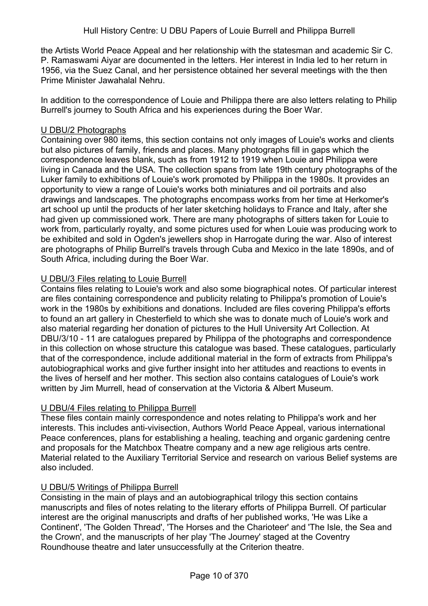the Artists World Peace Appeal and her relationship with the statesman and academic Sir C. P. Ramaswami Aiyar are documented in the letters. Her interest in India led to her return in 1956, via the Suez Canal, and her persistence obtained her several meetings with the then Prime Minister Jawahalal Nehru.

In addition to the correspondence of Louie and Philippa there are also letters relating to Philip Burrell's journey to South Africa and his experiences during the Boer War.

#### U DBU/2 Photographs

Containing over 980 items, this section contains not only images of Louie's works and clients but also pictures of family, friends and places. Many photographs fill in gaps which the correspondence leaves blank, such as from 1912 to 1919 when Louie and Philippa were living in Canada and the USA. The collection spans from late 19th century photographs of the Luker family to exhibitions of Louie's work promoted by Philippa in the 1980s. It provides an opportunity to view a range of Louie's works both miniatures and oil portraits and also drawings and landscapes. The photographs encompass works from her time at Herkomer's art school up until the products of her later sketching holidays to France and Italy, after she had given up commissioned work. There are many photographs of sitters taken for Louie to work from, particularly royalty, and some pictures used for when Louie was producing work to be exhibited and sold in Ogden's jewellers shop in Harrogate during the war. Also of interest are photographs of Philip Burrell's travels through Cuba and Mexico in the late 1890s, and of South Africa, including during the Boer War.

## U DBU/3 Files relating to Louie Burrell

Contains files relating to Louie's work and also some biographical notes. Of particular interest are files containing correspondence and publicity relating to Philippa's promotion of Louie's work in the 1980s by exhibitions and donations. Included are files covering Philippa's efforts to found an art gallery in Chesterfield to which she was to donate much of Louie's work and also material regarding her donation of pictures to the Hull University Art Collection. At DBU/3/10 - 11 are catalogues prepared by Philippa of the photographs and correspondence in this collection on whose structure this catalogue was based. These catalogues, particularly that of the correspondence, include additional material in the form of extracts from Philippa's autobiographical works and give further insight into her attitudes and reactions to events in the lives of herself and her mother. This section also contains catalogues of Louie's work written by Jim Murrell, head of conservation at the Victoria & Albert Museum.

# U DBU/4 Files relating to Philippa Burrell

These files contain mainly correspondence and notes relating to Philippa's work and her interests. This includes anti-vivisection, Authors World Peace Appeal, various international Peace conferences, plans for establishing a healing, teaching and organic gardening centre and proposals for the Matchbox Theatre company and a new age religious arts centre. Material related to the Auxiliary Territorial Service and research on various Belief systems are also included.

# U DBU/5 Writings of Philippa Burrell

Consisting in the main of plays and an autobiographical trilogy this section contains manuscripts and files of notes relating to the literary efforts of Philippa Burrell. Of particular interest are the original manuscripts and drafts of her published works, 'He was Like a Continent', 'The Golden Thread', 'The Horses and the Charioteer' and 'The Isle, the Sea and the Crown', and the manuscripts of her play 'The Journey' staged at the Coventry Roundhouse theatre and later unsuccessfully at the Criterion theatre.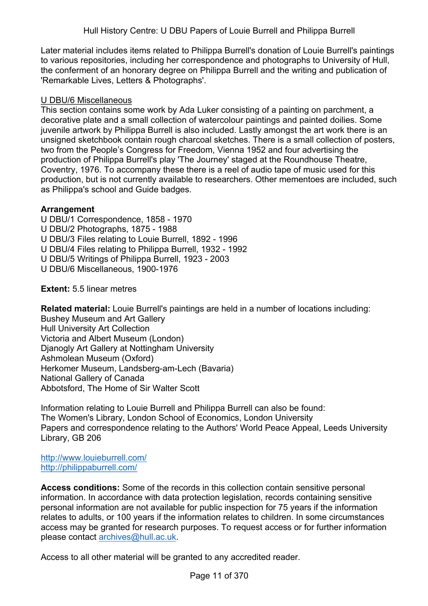Later material includes items related to Philippa Burrell's donation of Louie Burrell's paintings to various repositories, including her correspondence and photographs to University of Hull, the conferment of an honorary degree on Philippa Burrell and the writing and publication of 'Remarkable Lives, Letters & Photographs'.

## U DBU/6 Miscellaneous

This section contains some work by Ada Luker consisting of a painting on parchment, a decorative plate and a small collection of watercolour paintings and painted doilies. Some juvenile artwork by Philippa Burrell is also included. Lastly amongst the art work there is an unsigned sketchbook contain rough charcoal sketches. There is a small collection of posters, two from the People's Congress for Freedom, Vienna 1952 and four advertising the production of Philippa Burrell's play 'The Journey' staged at the Roundhouse Theatre, Coventry, 1976. To accompany these there is a reel of audio tape of music used for this production, but is not currently available to researchers. Other mementoes are included, such as Philippa's school and Guide badges.

## **Arrangement**

- U DBU/1 Correspondence, 1858 1970
- U DBU/2 Photographs, 1875 1988
- U DBU/3 Files relating to Louie Burrell, 1892 1996
- U DBU/4 Files relating to Philippa Burrell, 1932 1992
- U DBU/5 Writings of Philippa Burrell, 1923 2003
- U DBU/6 Miscellaneous, 1900-1976

**Extent:** 5.5 linear metres

**Related material:** Louie Burrell's paintings are held in a number of locations including: Bushey Museum and Art Gallery Hull University Art Collection Victoria and Albert Museum (London) Djanogly Art Gallery at Nottingham University Ashmolean Museum (Oxford) Herkomer Museum, Landsberg-am-Lech (Bavaria) National Gallery of Canada Abbotsford, The Home of Sir Walter Scott

Information relating to Louie Burrell and Philippa Burrell can also be found: The Women's Library, London School of Economics, London University Papers and correspondence relating to the Authors' World Peace Appeal, Leeds University Library, GB 206

<http://www.louieburrell.com/> <http://philippaburrell.com/>

**Access conditions:** Some of the records in this collection contain sensitive personal information. In accordance with data protection legislation, records containing sensitive personal information are not available for public inspection for 75 years if the information relates to adults, or 100 years if the information relates to children. In some circumstances access may be granted for research purposes. To request access or for further information please contact [archives@hull.ac.uk.](mailto:archives@hull.ac.uk)

Access to all other material will be granted to any accredited reader.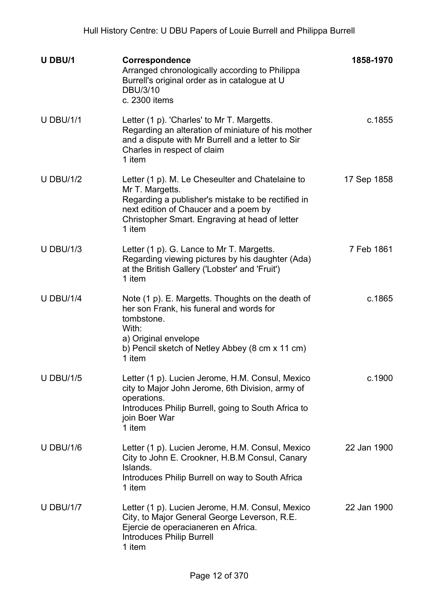| U DBU/1          | <b>Correspondence</b><br>Arranged chronologically according to Philippa<br>Burrell's original order as in catalogue at U<br>DBU/3/10<br>c. 2300 items                                                                          | 1858-1970   |
|------------------|--------------------------------------------------------------------------------------------------------------------------------------------------------------------------------------------------------------------------------|-------------|
| <b>U DBU/1/1</b> | Letter (1 p). 'Charles' to Mr T. Margetts.<br>Regarding an alteration of miniature of his mother<br>and a dispute with Mr Burrell and a letter to Sir<br>Charles in respect of claim<br>1 item                                 | c.1855      |
| <b>U DBU/1/2</b> | Letter (1 p). M. Le Cheseulter and Chatelaine to<br>Mr T. Margetts.<br>Regarding a publisher's mistake to be rectified in<br>next edition of Chaucer and a poem by<br>Christopher Smart. Engraving at head of letter<br>1 item | 17 Sep 1858 |
| <b>U DBU/1/3</b> | Letter (1 p). G. Lance to Mr T. Margetts.<br>Regarding viewing pictures by his daughter (Ada)<br>at the British Gallery ('Lobster' and 'Fruit')<br>1 item                                                                      | 7 Feb 1861  |
| <b>U DBU/1/4</b> | Note (1 p). E. Margetts. Thoughts on the death of<br>her son Frank, his funeral and words for<br>tombstone.<br>With:<br>a) Original envelope<br>b) Pencil sketch of Netley Abbey (8 cm x 11 cm)<br>1 item                      | c.1865      |
| <b>U DBU/1/5</b> | Letter (1 p). Lucien Jerome, H.M. Consul, Mexico<br>city to Major John Jerome, 6th Division, army of<br>operations.<br>Introduces Philip Burrell, going to South Africa to<br>join Boer War<br>1 item                          | c.1900      |
| <b>U DBU/1/6</b> | Letter (1 p). Lucien Jerome, H.M. Consul, Mexico<br>City to John E. Crookner, H.B.M Consul, Canary<br>Islands.<br>Introduces Philip Burrell on way to South Africa<br>1 item                                                   | 22 Jan 1900 |
| <b>U DBU/1/7</b> | Letter (1 p). Lucien Jerome, H.M. Consul, Mexico<br>City, to Major General George Leverson, R.E.<br>Ejercie de operacianeren en Africa.<br><b>Introduces Philip Burrell</b><br>1 item                                          | 22 Jan 1900 |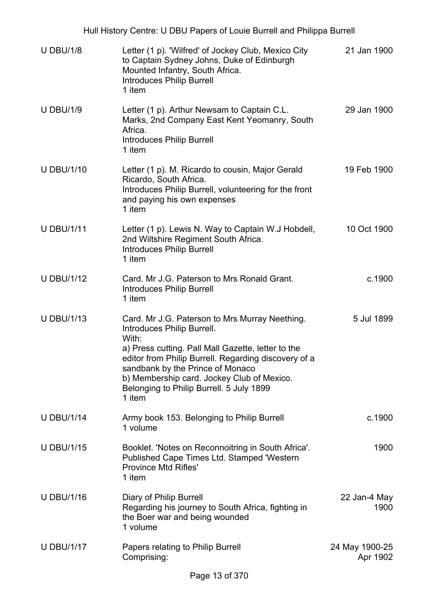| Hull History Centre: U DBU Papers of Louie Burrell and Philippa Burrell |                                                                                                                                                                                                                                                                                                                                             |                            |  |
|-------------------------------------------------------------------------|---------------------------------------------------------------------------------------------------------------------------------------------------------------------------------------------------------------------------------------------------------------------------------------------------------------------------------------------|----------------------------|--|
| <b>U DBU/1/8</b>                                                        | Letter (1 p). 'Wilfred' of Jockey Club, Mexico City<br>to Captain Sydney Johns, Duke of Edinburgh<br>Mounted Infantry, South Africa.<br><b>Introduces Philip Burrell</b><br>1 item                                                                                                                                                          | 21 Jan 1900                |  |
| <b>U DBU/1/9</b>                                                        | Letter (1 p). Arthur Newsam to Captain C.L.<br>Marks, 2nd Company East Kent Yeomanry, South<br>Africa.<br><b>Introduces Philip Burrell</b><br>1 item                                                                                                                                                                                        | 29 Jan 1900                |  |
| <b>U DBU/1/10</b>                                                       | Letter (1 p). M. Ricardo to cousin, Major Gerald<br>Ricardo, South Africa.<br>Introduces Philip Burrell, volunteering for the front<br>and paying his own expenses<br>1 item                                                                                                                                                                | 19 Feb 1900                |  |
| <b>U DBU/1/11</b>                                                       | Letter (1 p). Lewis N. Way to Captain W.J Hobdell,<br>2nd Wiltshire Regiment South Africa.<br><b>Introduces Philip Burrell</b><br>1 item                                                                                                                                                                                                    | 10 Oct 1900                |  |
| <b>U DBU/1/12</b>                                                       | Card, Mr J.G. Paterson to Mrs Ronald Grant.<br><b>Introduces Philip Burrell</b><br>1 item                                                                                                                                                                                                                                                   | c.1900                     |  |
| <b>U DBU/1/13</b>                                                       | Card. Mr J.G. Paterson to Mrs Murray Neething.<br>Introduces Philip Burrell.<br>With:<br>a) Press cutting. Pall Mall Gazette, letter to the<br>editor from Philip Burrell. Regarding discovery of a<br>sandbank by the Prince of Monaco<br>b) Membership card. Jockey Club of Mexico.<br>Belonging to Philip Burrell. 5 July 1899<br>1 item | 5 Jul 1899                 |  |
| <b>U DBU/1/14</b>                                                       | Army book 153. Belonging to Philip Burrell<br>1 volume                                                                                                                                                                                                                                                                                      | c.1900                     |  |
| <b>U DBU/1/15</b>                                                       | Booklet. 'Notes on Reconnoitring in South Africa'.<br>Published Cape Times Ltd. Stamped 'Western<br><b>Province Mtd Rifles'</b><br>1 item                                                                                                                                                                                                   | 1900                       |  |
| <b>U DBU/1/16</b>                                                       | Diary of Philip Burrell<br>Regarding his journey to South Africa, fighting in<br>the Boer war and being wounded<br>1 volume                                                                                                                                                                                                                 | 22 Jan-4 May<br>1900       |  |
| <b>U DBU/1/17</b>                                                       | Papers relating to Philip Burrell<br>Comprising:                                                                                                                                                                                                                                                                                            | 24 May 1900-25<br>Apr 1902 |  |
|                                                                         |                                                                                                                                                                                                                                                                                                                                             |                            |  |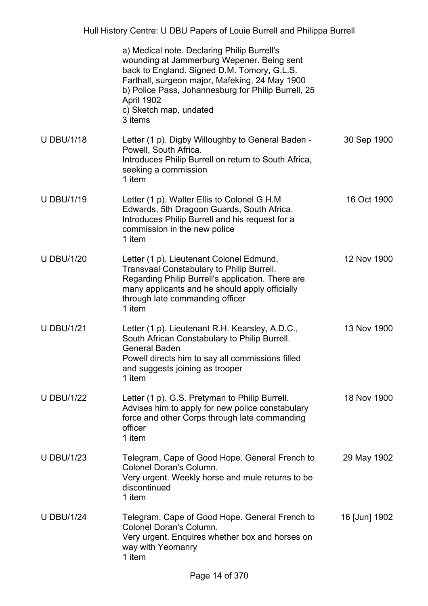|                   | a) Medical note. Declaring Philip Burrell's<br>wounding at Jammerburg Wepener. Being sent<br>back to England. Signed D.M. Tomory, G.L.S.<br>Farthall, surgeon major, Mafeking, 24 May 1900<br>b) Police Pass, Johannesburg for Philip Burrell, 25<br>April 1902<br>c) Sketch map, undated<br>3 items |               |
|-------------------|------------------------------------------------------------------------------------------------------------------------------------------------------------------------------------------------------------------------------------------------------------------------------------------------------|---------------|
| <b>U DBU/1/18</b> | Letter (1 p). Digby Willoughby to General Baden -<br>Powell, South Africa.<br>Introduces Philip Burrell on return to South Africa,<br>seeking a commission<br>1 item                                                                                                                                 | 30 Sep 1900   |
| <b>U DBU/1/19</b> | Letter (1 p). Walter Ellis to Colonel G.H.M<br>Edwards, 5th Dragoon Guards, South Africa.<br>Introduces Philip Burrell and his request for a<br>commission in the new police<br>1 item                                                                                                               | 16 Oct 1900   |
| <b>U DBU/1/20</b> | Letter (1 p). Lieutenant Colonel Edmund,<br><b>Transvaal Constabulary to Philip Burrell.</b><br>Regarding Philip Burrell's application. There are<br>many applicants and he should apply officially<br>through late commanding officer<br>1 item                                                     | 12 Nov 1900   |
| <b>U DBU/1/21</b> | Letter (1 p). Lieutenant R.H. Kearsley, A.D.C.,<br>South African Constabulary to Philip Burrell.<br><b>General Baden</b><br>Powell directs him to say all commissions filled<br>and suggests joining as trooper<br>1 item                                                                            | 13 Nov 1900   |
| <b>U DBU/1/22</b> | Letter (1 p). G.S. Pretyman to Philip Burrell.<br>Advises him to apply for new police constabulary<br>force and other Corps through late commanding<br>officer<br>1 item                                                                                                                             | 18 Nov 1900   |
| <b>U DBU/1/23</b> | Telegram, Cape of Good Hope. General French to<br><b>Colonel Doran's Column.</b><br>Very urgent. Weekly horse and mule returns to be<br>discontinued<br>1 item                                                                                                                                       | 29 May 1902   |
| <b>U DBU/1/24</b> | Telegram, Cape of Good Hope. General French to<br><b>Colonel Doran's Column.</b><br>Very urgent. Enquires whether box and horses on<br>way with Yeomanry<br>1 item                                                                                                                                   | 16 [Jun] 1902 |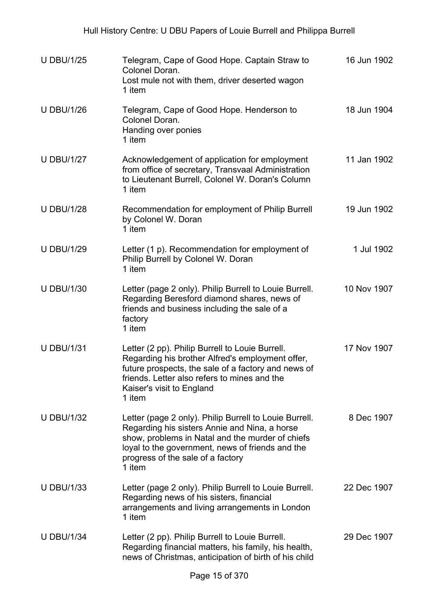| <b>U DBU/1/25</b> | Telegram, Cape of Good Hope. Captain Straw to<br>Colonel Doran.<br>Lost mule not with them, driver deserted wagon<br>1 item                                                                                                                                    | 16 Jun 1902 |
|-------------------|----------------------------------------------------------------------------------------------------------------------------------------------------------------------------------------------------------------------------------------------------------------|-------------|
| <b>U DBU/1/26</b> | Telegram, Cape of Good Hope. Henderson to<br>Colonel Doran.<br>Handing over ponies<br>1 item                                                                                                                                                                   | 18 Jun 1904 |
| <b>U DBU/1/27</b> | Acknowledgement of application for employment<br>from office of secretary, Transvaal Administration<br>to Lieutenant Burrell, Colonel W. Doran's Column<br>1 item                                                                                              | 11 Jan 1902 |
| <b>U DBU/1/28</b> | Recommendation for employment of Philip Burrell<br>by Colonel W. Doran<br>1 item                                                                                                                                                                               | 19 Jun 1902 |
| <b>U DBU/1/29</b> | Letter (1 p). Recommendation for employment of<br>Philip Burrell by Colonel W. Doran<br>1 item                                                                                                                                                                 | 1 Jul 1902  |
| <b>U DBU/1/30</b> | Letter (page 2 only). Philip Burrell to Louie Burrell.<br>Regarding Beresford diamond shares, news of<br>friends and business including the sale of a<br>factory<br>1 item                                                                                     | 10 Nov 1907 |
| <b>U DBU/1/31</b> | Letter (2 pp). Philip Burrell to Louie Burrell.<br>Regarding his brother Alfred's employment offer,<br>future prospects, the sale of a factory and news of<br>friends. Letter also refers to mines and the<br>Kaiser's visit to England<br>1 item              | 17 Nov 1907 |
| <b>U DBU/1/32</b> | Letter (page 2 only). Philip Burrell to Louie Burrell.<br>Regarding his sisters Annie and Nina, a horse<br>show, problems in Natal and the murder of chiefs<br>loyal to the government, news of friends and the<br>progress of the sale of a factory<br>1 item | 8 Dec 1907  |
| <b>U DBU/1/33</b> | Letter (page 2 only). Philip Burrell to Louie Burrell.<br>Regarding news of his sisters, financial<br>arrangements and living arrangements in London<br>1 item                                                                                                 | 22 Dec 1907 |
| <b>U DBU/1/34</b> | Letter (2 pp). Philip Burrell to Louie Burrell.<br>Regarding financial matters, his family, his health,<br>news of Christmas, anticipation of birth of his child                                                                                               | 29 Dec 1907 |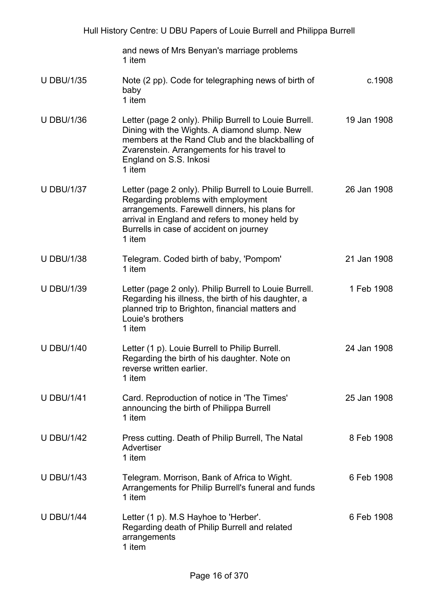| Hull History Centre: U DBU Papers of Louie Burrell and Philippa Burrell |                                                                                                                                                                                                                                                      |             |
|-------------------------------------------------------------------------|------------------------------------------------------------------------------------------------------------------------------------------------------------------------------------------------------------------------------------------------------|-------------|
|                                                                         | and news of Mrs Benyan's marriage problems<br>1 item                                                                                                                                                                                                 |             |
| <b>U DBU/1/35</b>                                                       | Note (2 pp). Code for telegraphing news of birth of<br>baby<br>1 item                                                                                                                                                                                | c.1908      |
| <b>U DBU/1/36</b>                                                       | Letter (page 2 only). Philip Burrell to Louie Burrell.<br>Dining with the Wights. A diamond slump. New<br>members at the Rand Club and the blackballing of<br>Zvarenstein. Arrangements for his travel to<br>England on S.S. Inkosi<br>1 item        | 19 Jan 1908 |
| <b>U DBU/1/37</b>                                                       | Letter (page 2 only). Philip Burrell to Louie Burrell.<br>Regarding problems with employment<br>arrangements. Farewell dinners, his plans for<br>arrival in England and refers to money held by<br>Burrells in case of accident on journey<br>1 item | 26 Jan 1908 |
| <b>U DBU/1/38</b>                                                       | Telegram. Coded birth of baby, 'Pompom'<br>1 item                                                                                                                                                                                                    | 21 Jan 1908 |
| <b>U DBU/1/39</b>                                                       | Letter (page 2 only). Philip Burrell to Louie Burrell.<br>Regarding his illness, the birth of his daughter, a<br>planned trip to Brighton, financial matters and<br>Louie's brothers<br>1 item                                                       | 1 Feb 1908  |
| <b>U DBU/1/40</b>                                                       | Letter (1 p). Louie Burrell to Philip Burrell.<br>Regarding the birth of his daughter. Note on<br>reverse written earlier.<br>1 item                                                                                                                 | 24 Jan 1908 |
| <b>U DBU/1/41</b>                                                       | Card. Reproduction of notice in 'The Times'<br>announcing the birth of Philippa Burrell<br>1 item                                                                                                                                                    | 25 Jan 1908 |
| <b>U DBU/1/42</b>                                                       | Press cutting. Death of Philip Burrell, The Natal<br>Advertiser<br>1 item                                                                                                                                                                            | 8 Feb 1908  |
| <b>U DBU/1/43</b>                                                       | Telegram. Morrison, Bank of Africa to Wight.<br>Arrangements for Philip Burrell's funeral and funds<br>1 item                                                                                                                                        | 6 Feb 1908  |
| <b>U DBU/1/44</b>                                                       | Letter (1 p). M.S Hayhoe to 'Herber'.<br>Regarding death of Philip Burrell and related<br>arrangements<br>1 item                                                                                                                                     | 6 Feb 1908  |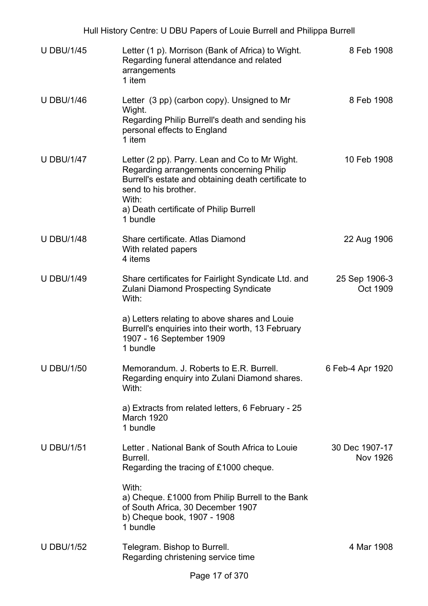| Hull History Centre: U DBU Papers of Louie Burrell and Philippa Burrell |                                                                                                                                                                                                                                          |                            |  |
|-------------------------------------------------------------------------|------------------------------------------------------------------------------------------------------------------------------------------------------------------------------------------------------------------------------------------|----------------------------|--|
| <b>U DBU/1/45</b>                                                       | Letter (1 p). Morrison (Bank of Africa) to Wight.<br>Regarding funeral attendance and related<br>arrangements<br>1 item                                                                                                                  | 8 Feb 1908                 |  |
| <b>U DBU/1/46</b>                                                       | Letter (3 pp) (carbon copy). Unsigned to Mr<br>Wight.<br>Regarding Philip Burrell's death and sending his<br>personal effects to England<br>1 item                                                                                       | 8 Feb 1908                 |  |
| <b>U DBU/1/47</b>                                                       | Letter (2 pp). Parry. Lean and Co to Mr Wight.<br>Regarding arrangements concerning Philip<br>Burrell's estate and obtaining death certificate to<br>send to his brother.<br>With:<br>a) Death certificate of Philip Burrell<br>1 bundle | 10 Feb 1908                |  |
| <b>U DBU/1/48</b>                                                       | Share certificate. Atlas Diamond<br>With related papers<br>4 items                                                                                                                                                                       | 22 Aug 1906                |  |
| <b>U DBU/1/49</b>                                                       | Share certificates for Fairlight Syndicate Ltd. and<br><b>Zulani Diamond Prospecting Syndicate</b><br>With:                                                                                                                              | 25 Sep 1906-3<br>Oct 1909  |  |
|                                                                         | a) Letters relating to above shares and Louie<br>Burrell's enquiries into their worth, 13 February<br>1907 - 16 September 1909<br>1 bundle                                                                                               |                            |  |
| <b>U DBU/1/50</b>                                                       | Memorandum. J. Roberts to E.R. Burrell.<br>Regarding enquiry into Zulani Diamond shares.<br>With:                                                                                                                                        | 6 Feb-4 Apr 1920           |  |
|                                                                         | a) Extracts from related letters, 6 February - 25<br>March 1920<br>1 bundle                                                                                                                                                              |                            |  |
| <b>U DBU/1/51</b>                                                       | Letter . National Bank of South Africa to Louie<br>Burrell.<br>Regarding the tracing of £1000 cheque.                                                                                                                                    | 30 Dec 1907-17<br>Nov 1926 |  |
|                                                                         | With:<br>a) Cheque. £1000 from Philip Burrell to the Bank<br>of South Africa, 30 December 1907<br>b) Cheque book, 1907 - 1908<br>1 bundle                                                                                                |                            |  |
| <b>U DBU/1/52</b>                                                       | Telegram. Bishop to Burrell.<br>Regarding christening service time                                                                                                                                                                       | 4 Mar 1908                 |  |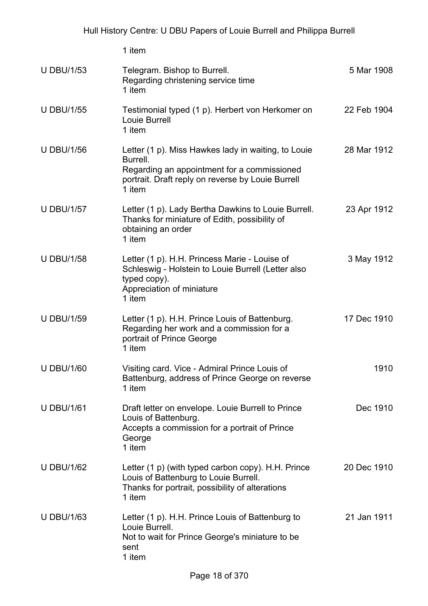|                   | 1 item                                                                                                                                                                        |             |
|-------------------|-------------------------------------------------------------------------------------------------------------------------------------------------------------------------------|-------------|
| <b>U DBU/1/53</b> | Telegram. Bishop to Burrell.<br>Regarding christening service time<br>1 item                                                                                                  | 5 Mar 1908  |
| <b>U DBU/1/55</b> | Testimonial typed (1 p). Herbert von Herkomer on<br>Louie Burrell<br>1 item                                                                                                   | 22 Feb 1904 |
| <b>U DBU/1/56</b> | Letter (1 p). Miss Hawkes lady in waiting, to Louie<br>Burrell.<br>Regarding an appointment for a commissioned<br>portrait. Draft reply on reverse by Louie Burrell<br>1 item | 28 Mar 1912 |
| <b>U DBU/1/57</b> | Letter (1 p). Lady Bertha Dawkins to Louie Burrell.<br>Thanks for miniature of Edith, possibility of<br>obtaining an order<br>1 item                                          | 23 Apr 1912 |
| <b>U DBU/1/58</b> | Letter (1 p). H.H. Princess Marie - Louise of<br>Schleswig - Holstein to Louie Burrell (Letter also<br>typed copy).<br>Appreciation of miniature<br>1 item                    | 3 May 1912  |
| <b>U DBU/1/59</b> | Letter (1 p). H.H. Prince Louis of Battenburg.<br>Regarding her work and a commission for a<br>portrait of Prince George<br>1 item                                            | 17 Dec 1910 |
| <b>U DBU/1/60</b> | Visiting card. Vice - Admiral Prince Louis of<br>Battenburg, address of Prince George on reverse<br>1 item                                                                    | 1910        |
| <b>U DBU/1/61</b> | Draft letter on envelope. Louie Burrell to Prince<br>Louis of Battenburg.<br>Accepts a commission for a portrait of Prince<br>George<br>1 item                                | Dec 1910    |
| <b>U DBU/1/62</b> | Letter $(1 p)$ (with typed carbon copy). H.H. Prince<br>Louis of Battenburg to Louie Burrell.<br>Thanks for portrait, possibility of alterations<br>1 item                    | 20 Dec 1910 |
| <b>U DBU/1/63</b> | Letter (1 p). H.H. Prince Louis of Battenburg to<br>Louie Burrell.<br>Not to wait for Prince George's miniature to be<br>sent<br>1 item                                       | 21 Jan 1911 |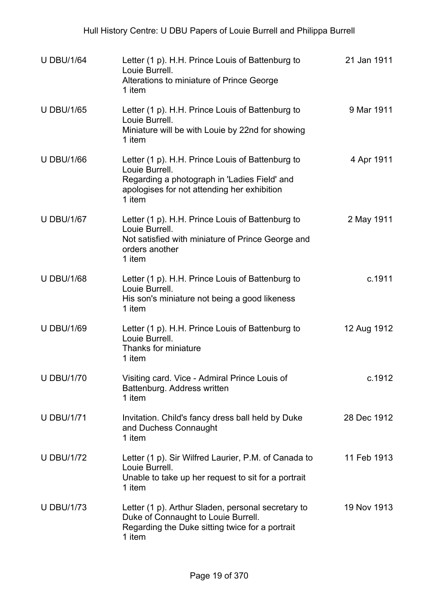| <b>U DBU/1/64</b> | Letter (1 p). H.H. Prince Louis of Battenburg to<br>Louie Burrell.<br>Alterations to miniature of Prince George<br>1 item                                                   | 21 Jan 1911 |
|-------------------|-----------------------------------------------------------------------------------------------------------------------------------------------------------------------------|-------------|
| <b>U DBU/1/65</b> | Letter (1 p). H.H. Prince Louis of Battenburg to<br>Louie Burrell.<br>Miniature will be with Louie by 22nd for showing<br>1 item                                            | 9 Mar 1911  |
| <b>U DBU/1/66</b> | Letter (1 p). H.H. Prince Louis of Battenburg to<br>Louie Burrell.<br>Regarding a photograph in 'Ladies Field' and<br>apologises for not attending her exhibition<br>1 item | 4 Apr 1911  |
| <b>U DBU/1/67</b> | Letter (1 p). H.H. Prince Louis of Battenburg to<br>Louie Burrell.<br>Not satisfied with miniature of Prince George and<br>orders another<br>1 item                         | 2 May 1911  |
| <b>U DBU/1/68</b> | Letter (1 p). H.H. Prince Louis of Battenburg to<br>Louie Burrell.<br>His son's miniature not being a good likeness<br>1 item                                               | c.1911      |
| <b>U DBU/1/69</b> | Letter (1 p). H.H. Prince Louis of Battenburg to<br>Louie Burrell.<br>Thanks for miniature<br>1 item                                                                        | 12 Aug 1912 |
| <b>U DBU/1/70</b> | Visiting card. Vice - Admiral Prince Louis of<br>Battenburg. Address written<br>1 item                                                                                      | c.1912      |
| <b>U DBU/1/71</b> | Invitation. Child's fancy dress ball held by Duke<br>and Duchess Connaught<br>1 item                                                                                        | 28 Dec 1912 |
| <b>U DBU/1/72</b> | Letter (1 p). Sir Wilfred Laurier, P.M. of Canada to<br>Louie Burrell.<br>Unable to take up her request to sit for a portrait<br>1 item                                     | 11 Feb 1913 |
| <b>U DBU/1/73</b> | Letter (1 p). Arthur Sladen, personal secretary to<br>Duke of Connaught to Louie Burrell.<br>Regarding the Duke sitting twice for a portrait<br>1 item                      | 19 Nov 1913 |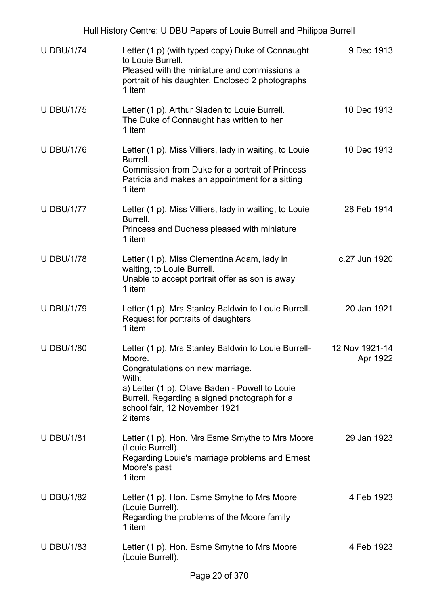| <b>U DBU/1/74</b> | Letter (1 p) (with typed copy) Duke of Connaught<br>to Louie Burrell.<br>Pleased with the miniature and commissions a<br>portrait of his daughter. Enclosed 2 photographs<br>1 item                                                                      | 9 Dec 1913                 |
|-------------------|----------------------------------------------------------------------------------------------------------------------------------------------------------------------------------------------------------------------------------------------------------|----------------------------|
| <b>U DBU/1/75</b> | Letter (1 p). Arthur Sladen to Louie Burrell.<br>The Duke of Connaught has written to her<br>1 item                                                                                                                                                      | 10 Dec 1913                |
| <b>U DBU/1/76</b> | Letter (1 p). Miss Villiers, lady in waiting, to Louie<br>Burrell.<br>Commission from Duke for a portrait of Princess<br>Patricia and makes an appointment for a sitting<br>1 item                                                                       | 10 Dec 1913                |
| <b>U DBU/1/77</b> | Letter (1 p). Miss Villiers, lady in waiting, to Louie<br>Burrell.<br>Princess and Duchess pleased with miniature<br>1 item                                                                                                                              | 28 Feb 1914                |
| <b>U DBU/1/78</b> | Letter (1 p). Miss Clementina Adam, lady in<br>waiting, to Louie Burrell.<br>Unable to accept portrait offer as son is away<br>1 item                                                                                                                    | c.27 Jun 1920              |
| <b>U DBU/1/79</b> | Letter (1 p). Mrs Stanley Baldwin to Louie Burrell.<br>Request for portraits of daughters<br>1 item                                                                                                                                                      | 20 Jan 1921                |
| <b>U DBU/1/80</b> | Letter (1 p). Mrs Stanley Baldwin to Louie Burrell-<br>Moore.<br>Congratulations on new marriage.<br>With:<br>a) Letter (1 p). Olave Baden - Powell to Louie<br>Burrell. Regarding a signed photograph for a<br>school fair, 12 November 1921<br>2 items | 12 Nov 1921-14<br>Apr 1922 |
| <b>U DBU/1/81</b> | Letter (1 p). Hon. Mrs Esme Smythe to Mrs Moore<br>(Louie Burrell).<br>Regarding Louie's marriage problems and Ernest<br>Moore's past<br>1 item                                                                                                          | 29 Jan 1923                |
| <b>U DBU/1/82</b> | Letter (1 p). Hon. Esme Smythe to Mrs Moore<br>(Louie Burrell).<br>Regarding the problems of the Moore family<br>1 item                                                                                                                                  | 4 Feb 1923                 |
| <b>U DBU/1/83</b> | Letter (1 p). Hon. Esme Smythe to Mrs Moore<br>(Louie Burrell).                                                                                                                                                                                          | 4 Feb 1923                 |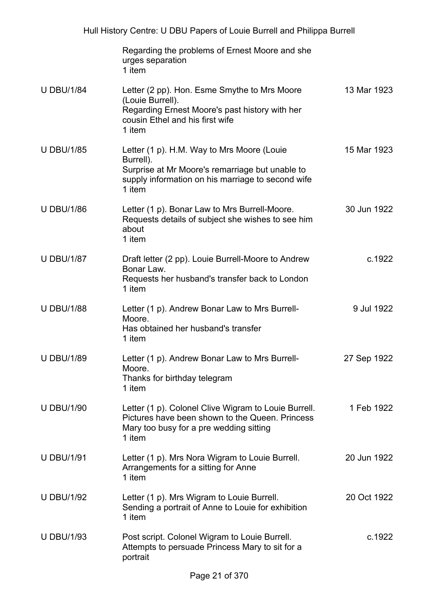|                   | Regarding the problems of Ernest Moore and she<br>urges separation<br>1 item                                                                                              |             |
|-------------------|---------------------------------------------------------------------------------------------------------------------------------------------------------------------------|-------------|
| <b>U DBU/1/84</b> | Letter (2 pp). Hon. Esme Smythe to Mrs Moore<br>(Louie Burrell).<br>Regarding Ernest Moore's past history with her<br>cousin Ethel and his first wife<br>1 item           | 13 Mar 1923 |
| <b>U DBU/1/85</b> | Letter (1 p). H.M. Way to Mrs Moore (Louie<br>Burrell).<br>Surprise at Mr Moore's remarriage but unable to<br>supply information on his marriage to second wife<br>1 item | 15 Mar 1923 |
| <b>U DBU/1/86</b> | Letter (1 p). Bonar Law to Mrs Burrell-Moore.<br>Requests details of subject she wishes to see him<br>about<br>1 item                                                     | 30 Jun 1922 |
| <b>U DBU/1/87</b> | Draft letter (2 pp). Louie Burrell-Moore to Andrew<br>Bonar Law.<br>Requests her husband's transfer back to London<br>1 item                                              | c.1922      |
| <b>U DBU/1/88</b> | Letter (1 p). Andrew Bonar Law to Mrs Burrell-<br>Moore.<br>Has obtained her husband's transfer<br>1 item                                                                 | 9 Jul 1922  |
| <b>U DBU/1/89</b> | Letter (1 p). Andrew Bonar Law to Mrs Burrell-<br>Moore.<br>Thanks for birthday telegram<br>1 item                                                                        | 27 Sep 1922 |
| <b>U DBU/1/90</b> | Letter (1 p). Colonel Clive Wigram to Louie Burrell.<br>Pictures have been shown to the Queen. Princess<br>Mary too busy for a pre wedding sitting<br>1 item              | 1 Feb 1922  |
| <b>U DBU/1/91</b> | Letter (1 p). Mrs Nora Wigram to Louie Burrell.<br>Arrangements for a sitting for Anne<br>1 item                                                                          | 20 Jun 1922 |
| <b>U DBU/1/92</b> | Letter (1 p). Mrs Wigram to Louie Burrell.<br>Sending a portrait of Anne to Louie for exhibition<br>1 item                                                                | 20 Oct 1922 |
| <b>U DBU/1/93</b> | Post script. Colonel Wigram to Louie Burrell.<br>Attempts to persuade Princess Mary to sit for a<br>portrait                                                              | c.1922      |
|                   |                                                                                                                                                                           |             |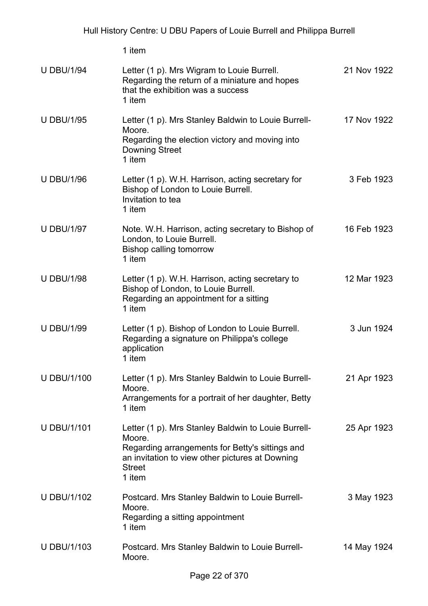|                    | 1 item                                                                                                                                                                                         |             |
|--------------------|------------------------------------------------------------------------------------------------------------------------------------------------------------------------------------------------|-------------|
| <b>U DBU/1/94</b>  | Letter (1 p). Mrs Wigram to Louie Burrell.<br>Regarding the return of a miniature and hopes<br>that the exhibition was a success<br>1 item                                                     | 21 Nov 1922 |
| <b>U DBU/1/95</b>  | Letter (1 p). Mrs Stanley Baldwin to Louie Burrell-<br>Moore.<br>Regarding the election victory and moving into<br><b>Downing Street</b><br>1 item                                             | 17 Nov 1922 |
| <b>U DBU/1/96</b>  | Letter (1 p). W.H. Harrison, acting secretary for<br>Bishop of London to Louie Burrell.<br>Invitation to tea<br>1 item                                                                         | 3 Feb 1923  |
| <b>U DBU/1/97</b>  | Note. W.H. Harrison, acting secretary to Bishop of<br>London, to Louie Burrell.<br><b>Bishop calling tomorrow</b><br>1 item                                                                    | 16 Feb 1923 |
| <b>U DBU/1/98</b>  | Letter (1 p). W.H. Harrison, acting secretary to<br>Bishop of London, to Louie Burrell.<br>Regarding an appointment for a sitting<br>1 item                                                    | 12 Mar 1923 |
| <b>U DBU/1/99</b>  | Letter (1 p). Bishop of London to Louie Burrell.<br>Regarding a signature on Philippa's college<br>application<br>1 item                                                                       | 3 Jun 1924  |
| <b>U DBU/1/100</b> | Letter (1 p). Mrs Stanley Baldwin to Louie Burrell-<br>Moore.<br>Arrangements for a portrait of her daughter, Betty<br>1 item                                                                  | 21 Apr 1923 |
| <b>U DBU/1/101</b> | Letter (1 p). Mrs Stanley Baldwin to Louie Burrell-<br>Moore.<br>Regarding arrangements for Betty's sittings and<br>an invitation to view other pictures at Downing<br><b>Street</b><br>1 item | 25 Apr 1923 |
| <b>U DBU/1/102</b> | Postcard. Mrs Stanley Baldwin to Louie Burrell-<br>Moore.<br>Regarding a sitting appointment<br>1 item                                                                                         | 3 May 1923  |
| <b>U DBU/1/103</b> | Postcard. Mrs Stanley Baldwin to Louie Burrell-<br>Moore.                                                                                                                                      | 14 May 1924 |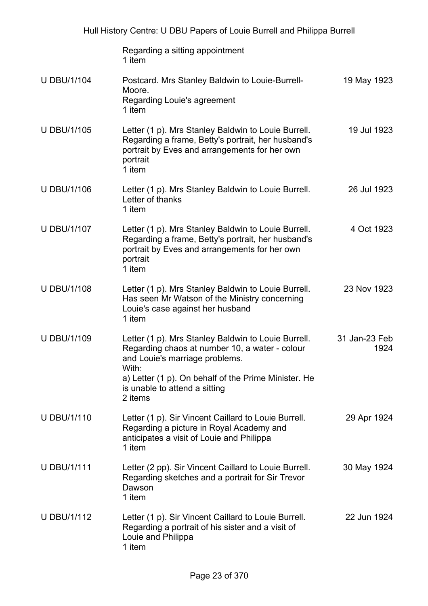|                    | Regarding a sitting appointment<br>1 item                                                                                                                                                                                                            |                       |
|--------------------|------------------------------------------------------------------------------------------------------------------------------------------------------------------------------------------------------------------------------------------------------|-----------------------|
| <b>U DBU/1/104</b> | Postcard. Mrs Stanley Baldwin to Louie-Burrell-<br>Moore.<br>Regarding Louie's agreement<br>1 item                                                                                                                                                   | 19 May 1923           |
| <b>U DBU/1/105</b> | Letter (1 p). Mrs Stanley Baldwin to Louie Burrell.<br>Regarding a frame, Betty's portrait, her husband's<br>portrait by Eves and arrangements for her own<br>portrait<br>1 item                                                                     | 19 Jul 1923           |
| <b>U DBU/1/106</b> | Letter (1 p). Mrs Stanley Baldwin to Louie Burrell.<br>Letter of thanks<br>1 item                                                                                                                                                                    | 26 Jul 1923           |
| <b>U DBU/1/107</b> | Letter (1 p). Mrs Stanley Baldwin to Louie Burrell.<br>Regarding a frame, Betty's portrait, her husband's<br>portrait by Eves and arrangements for her own<br>portrait<br>1 item                                                                     | 4 Oct 1923            |
| <b>U DBU/1/108</b> | Letter (1 p). Mrs Stanley Baldwin to Louie Burrell.<br>Has seen Mr Watson of the Ministry concerning<br>Louie's case against her husband<br>1 item                                                                                                   | 23 Nov 1923           |
| <b>U DBU/1/109</b> | Letter (1 p). Mrs Stanley Baldwin to Louie Burrell.<br>Regarding chaos at number 10, a water - colour<br>and Louie's marriage problems.<br>With:<br>a) Letter (1 p). On behalf of the Prime Minister. He<br>is unable to attend a sitting<br>2 items | 31 Jan-23 Feb<br>1924 |
| <b>U DBU/1/110</b> | Letter (1 p). Sir Vincent Caillard to Louie Burrell.<br>Regarding a picture in Royal Academy and<br>anticipates a visit of Louie and Philippa<br>1 item                                                                                              | 29 Apr 1924           |
| <b>U DBU/1/111</b> | Letter (2 pp). Sir Vincent Caillard to Louie Burrell.<br>Regarding sketches and a portrait for Sir Trevor<br>Dawson<br>1 item                                                                                                                        | 30 May 1924           |
| <b>U DBU/1/112</b> | Letter (1 p). Sir Vincent Caillard to Louie Burrell.<br>Regarding a portrait of his sister and a visit of<br>Louie and Philippa<br>1 item                                                                                                            | 22 Jun 1924           |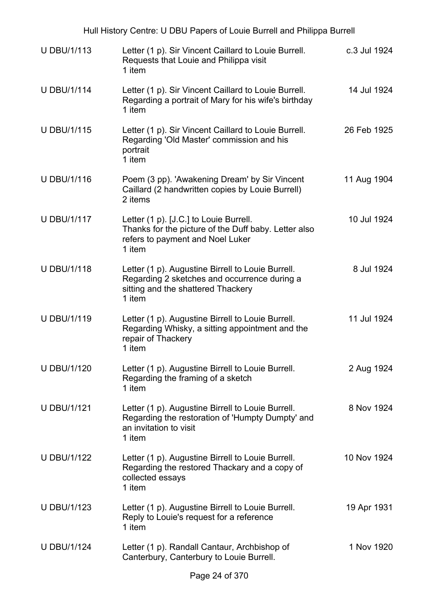| Hull History Centre: U DBU Papers of Louie Burrell and Philippa Burrell |                                                                                                                                                   |              |
|-------------------------------------------------------------------------|---------------------------------------------------------------------------------------------------------------------------------------------------|--------------|
| <b>U DBU/1/113</b>                                                      | Letter (1 p). Sir Vincent Caillard to Louie Burrell.<br>Requests that Louie and Philippa visit<br>1 item                                          | c.3 Jul 1924 |
| <b>U DBU/1/114</b>                                                      | Letter (1 p). Sir Vincent Caillard to Louie Burrell.<br>Regarding a portrait of Mary for his wife's birthday<br>1 item                            | 14 Jul 1924  |
| <b>U DBU/1/115</b>                                                      | Letter (1 p). Sir Vincent Caillard to Louie Burrell.<br>Regarding 'Old Master' commission and his<br>portrait<br>1 item                           | 26 Feb 1925  |
| <b>U DBU/1/116</b>                                                      | Poem (3 pp). 'Awakening Dream' by Sir Vincent<br>Caillard (2 handwritten copies by Louie Burrell)<br>2 items                                      | 11 Aug 1904  |
| <b>U DBU/1/117</b>                                                      | Letter (1 p). [J.C.] to Louie Burrell.<br>Thanks for the picture of the Duff baby. Letter also<br>refers to payment and Noel Luker<br>1 item      | 10 Jul 1924  |
| <b>U DBU/1/118</b>                                                      | Letter (1 p). Augustine Birrell to Louie Burrell.<br>Regarding 2 sketches and occurrence during a<br>sitting and the shattered Thackery<br>1 item | 8 Jul 1924   |
| <b>U DBU/1/119</b>                                                      | Letter (1 p). Augustine Birrell to Louie Burrell.<br>Regarding Whisky, a sitting appointment and the<br>repair of Thackery<br>1 item              | 11 Jul 1924  |
| <b>U DBU/1/120</b>                                                      | Letter (1 p). Augustine Birrell to Louie Burrell.<br>Regarding the framing of a sketch<br>1 item                                                  | 2 Aug 1924   |
| <b>U DBU/1/121</b>                                                      | Letter (1 p). Augustine Birrell to Louie Burrell.<br>Regarding the restoration of 'Humpty Dumpty' and<br>an invitation to visit<br>1 item         | 8 Nov 1924   |
| <b>U DBU/1/122</b>                                                      | Letter (1 p). Augustine Birrell to Louie Burrell.<br>Regarding the restored Thackary and a copy of<br>collected essays<br>1 item                  | 10 Nov 1924  |
| <b>U DBU/1/123</b>                                                      | Letter (1 p). Augustine Birrell to Louie Burrell.<br>Reply to Louie's request for a reference<br>1 item                                           | 19 Apr 1931  |
| <b>U DBU/1/124</b>                                                      | Letter (1 p). Randall Cantaur, Archbishop of<br>Canterbury, Canterbury to Louie Burrell.                                                          | 1 Nov 1920   |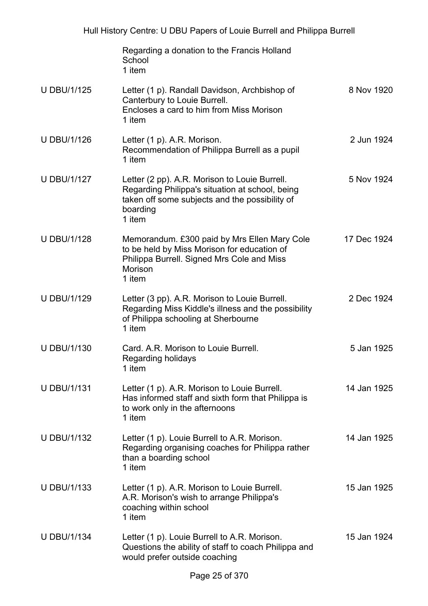|                    | Regarding a donation to the Francis Holland<br>School<br>1 item                                                                                                          |             |
|--------------------|--------------------------------------------------------------------------------------------------------------------------------------------------------------------------|-------------|
| <b>U DBU/1/125</b> | Letter (1 p). Randall Davidson, Archbishop of<br>Canterbury to Louie Burrell.<br>Encloses a card to him from Miss Morison<br>1 item                                      | 8 Nov 1920  |
| <b>U DBU/1/126</b> | Letter (1 p). A.R. Morison.<br>Recommendation of Philippa Burrell as a pupil<br>1 item                                                                                   | 2 Jun 1924  |
| <b>U DBU/1/127</b> | Letter (2 pp). A.R. Morison to Louie Burrell.<br>Regarding Philippa's situation at school, being<br>taken off some subjects and the possibility of<br>boarding<br>1 item | 5 Nov 1924  |
| <b>U DBU/1/128</b> | Memorandum. £300 paid by Mrs Ellen Mary Cole<br>to be held by Miss Morison for education of<br>Philippa Burrell. Signed Mrs Cole and Miss<br>Morison<br>1 item           | 17 Dec 1924 |
| <b>U DBU/1/129</b> | Letter (3 pp). A.R. Morison to Louie Burrell.<br>Regarding Miss Kiddle's illness and the possibility<br>of Philippa schooling at Sherbourne<br>1 item                    | 2 Dec 1924  |
| <b>U DBU/1/130</b> | Card, A.R. Morison to Louie Burrell.<br>Regarding holidays<br>1 item                                                                                                     | 5 Jan 1925  |
| <b>U DBU/1/131</b> | Letter (1 p). A.R. Morison to Louie Burrell.<br>Has informed staff and sixth form that Philippa is<br>to work only in the afternoons<br>1 item                           | 14 Jan 1925 |
| <b>U DBU/1/132</b> | Letter (1 p). Louie Burrell to A.R. Morison.<br>Regarding organising coaches for Philippa rather<br>than a boarding school<br>1 item                                     | 14 Jan 1925 |
| <b>U DBU/1/133</b> | Letter (1 p). A.R. Morison to Louie Burrell.<br>A.R. Morison's wish to arrange Philippa's<br>coaching within school<br>1 item                                            | 15 Jan 1925 |
| <b>U DBU/1/134</b> | Letter (1 p). Louie Burrell to A.R. Morison.<br>Questions the ability of staff to coach Philippa and<br>would prefer outside coaching                                    | 15 Jan 1924 |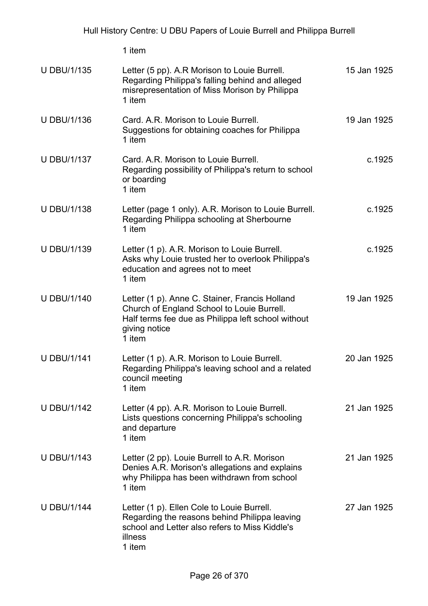|                    | 1 item                                                                                                                                                                        |             |
|--------------------|-------------------------------------------------------------------------------------------------------------------------------------------------------------------------------|-------------|
| <b>U DBU/1/135</b> | Letter (5 pp). A.R Morison to Louie Burrell.<br>Regarding Philippa's falling behind and alleged<br>misrepresentation of Miss Morison by Philippa<br>1 item                    | 15 Jan 1925 |
| <b>U DBU/1/136</b> | Card. A.R. Morison to Louie Burrell.<br>Suggestions for obtaining coaches for Philippa<br>1 item                                                                              | 19 Jan 1925 |
| <b>U DBU/1/137</b> | Card. A.R. Morison to Louie Burrell.<br>Regarding possibility of Philippa's return to school<br>or boarding<br>1 item                                                         | c.1925      |
| <b>U DBU/1/138</b> | Letter (page 1 only). A.R. Morison to Louie Burrell.<br>Regarding Philippa schooling at Sherbourne<br>1 item                                                                  | c.1925      |
| <b>U DBU/1/139</b> | Letter (1 p). A.R. Morison to Louie Burrell.<br>Asks why Louie trusted her to overlook Philippa's<br>education and agrees not to meet<br>1 item                               | c.1925      |
| <b>U DBU/1/140</b> | Letter (1 p). Anne C. Stainer, Francis Holland<br>Church of England School to Louie Burrell.<br>Half terms fee due as Philippa left school without<br>giving notice<br>1 item | 19 Jan 1925 |
| <b>U DBU/1/141</b> | Letter (1 p). A.R. Morison to Louie Burrell.<br>Regarding Philippa's leaving school and a related<br>council meeting<br>1 item                                                | 20 Jan 1925 |
| <b>U DBU/1/142</b> | Letter (4 pp). A.R. Morison to Louie Burrell.<br>Lists questions concerning Philippa's schooling<br>and departure<br>1 item                                                   | 21 Jan 1925 |
| <b>U DBU/1/143</b> | Letter (2 pp). Louie Burrell to A.R. Morison<br>Denies A.R. Morison's allegations and explains<br>why Philippa has been withdrawn from school<br>1 item                       | 21 Jan 1925 |
| <b>U DBU/1/144</b> | Letter (1 p). Ellen Cole to Louie Burrell.<br>Regarding the reasons behind Philippa leaving<br>school and Letter also refers to Miss Kiddle's<br>illness<br>1 item            | 27 Jan 1925 |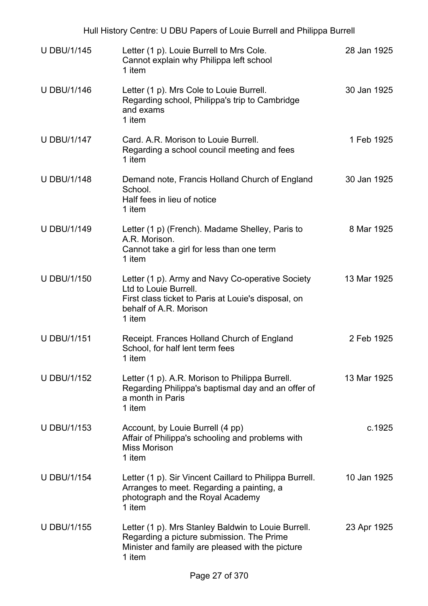| Hull History Centre: U DBU Papers of Louie Burrell and Philippa Burrell |                                                                                                                                                                      |             |
|-------------------------------------------------------------------------|----------------------------------------------------------------------------------------------------------------------------------------------------------------------|-------------|
| <b>U DBU/1/145</b>                                                      | Letter (1 p). Louie Burrell to Mrs Cole.<br>Cannot explain why Philippa left school<br>1 item                                                                        | 28 Jan 1925 |
| <b>U DBU/1/146</b>                                                      | Letter (1 p). Mrs Cole to Louie Burrell.<br>Regarding school, Philippa's trip to Cambridge<br>and exams<br>1 item                                                    | 30 Jan 1925 |
| <b>U DBU/1/147</b>                                                      | Card. A.R. Morison to Louie Burrell.<br>Regarding a school council meeting and fees<br>1 item                                                                        | 1 Feb 1925  |
| <b>U DBU/1/148</b>                                                      | Demand note, Francis Holland Church of England<br>School.<br>Half fees in lieu of notice<br>1 item                                                                   | 30 Jan 1925 |
| <b>U DBU/1/149</b>                                                      | Letter (1 p) (French). Madame Shelley, Paris to<br>A.R. Morison.<br>Cannot take a girl for less than one term<br>1 item                                              | 8 Mar 1925  |
| <b>U DBU/1/150</b>                                                      | Letter (1 p). Army and Navy Co-operative Society<br>Ltd to Louie Burrell.<br>First class ticket to Paris at Louie's disposal, on<br>behalf of A.R. Morison<br>1 item | 13 Mar 1925 |
| <b>U DBU/1/151</b>                                                      | Receipt. Frances Holland Church of England<br>School, for half lent term fees<br>1 item                                                                              | 2 Feb 1925  |
| <b>U DBU/1/152</b>                                                      | Letter (1 p). A.R. Morison to Philippa Burrell.<br>Regarding Philippa's baptismal day and an offer of<br>a month in Paris<br>1 item                                  | 13 Mar 1925 |
| <b>U DBU/1/153</b>                                                      | Account, by Louie Burrell (4 pp)<br>Affair of Philippa's schooling and problems with<br><b>Miss Morison</b><br>1 item                                                | c.1925      |
| <b>U DBU/1/154</b>                                                      | Letter (1 p). Sir Vincent Caillard to Philippa Burrell.<br>Arranges to meet. Regarding a painting, a<br>photograph and the Royal Academy<br>1 item                   | 10 Jan 1925 |
| <b>U DBU/1/155</b>                                                      | Letter (1 p). Mrs Stanley Baldwin to Louie Burrell.<br>Regarding a picture submission. The Prime<br>Minister and family are pleased with the picture<br>1 item       | 23 Apr 1925 |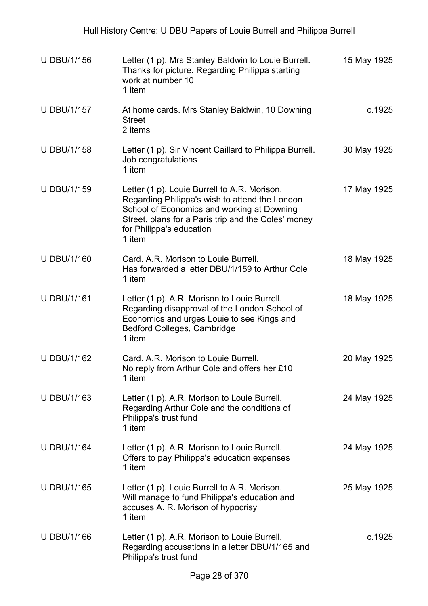| <b>U DBU/1/156</b> | Letter (1 p). Mrs Stanley Baldwin to Louie Burrell.<br>Thanks for picture. Regarding Philippa starting<br>work at number 10<br>1 item                                                                                                     | 15 May 1925 |
|--------------------|-------------------------------------------------------------------------------------------------------------------------------------------------------------------------------------------------------------------------------------------|-------------|
| <b>U DBU/1/157</b> | At home cards. Mrs Stanley Baldwin, 10 Downing<br><b>Street</b><br>2 items                                                                                                                                                                | c.1925      |
| <b>U DBU/1/158</b> | Letter (1 p). Sir Vincent Caillard to Philippa Burrell.<br>Job congratulations<br>1 item                                                                                                                                                  | 30 May 1925 |
| <b>U DBU/1/159</b> | Letter (1 p). Louie Burrell to A.R. Morison.<br>Regarding Philippa's wish to attend the London<br>School of Economics and working at Downing<br>Street, plans for a Paris trip and the Coles' money<br>for Philippa's education<br>1 item | 17 May 1925 |
| <b>U DBU/1/160</b> | Card. A.R. Morison to Louie Burrell.<br>Has forwarded a letter DBU/1/159 to Arthur Cole<br>1 item                                                                                                                                         | 18 May 1925 |
| <b>U DBU/1/161</b> | Letter (1 p). A.R. Morison to Louie Burrell.<br>Regarding disapproval of the London School of<br>Economics and urges Louie to see Kings and<br>Bedford Colleges, Cambridge<br>1 item                                                      | 18 May 1925 |
| <b>U DBU/1/162</b> | Card, A.R. Morison to Louie Burrell.<br>No reply from Arthur Cole and offers her £10<br>1 item                                                                                                                                            | 20 May 1925 |
| <b>U DBU/1/163</b> | Letter (1 p). A.R. Morison to Louie Burrell.<br>Regarding Arthur Cole and the conditions of<br>Philippa's trust fund<br>1 item                                                                                                            | 24 May 1925 |
| <b>U DBU/1/164</b> | Letter (1 p). A.R. Morison to Louie Burrell.<br>Offers to pay Philippa's education expenses<br>1 item                                                                                                                                     | 24 May 1925 |
| <b>U DBU/1/165</b> | Letter (1 p). Louie Burrell to A.R. Morison.<br>Will manage to fund Philippa's education and<br>accuses A. R. Morison of hypocrisy<br>1 item                                                                                              | 25 May 1925 |
| <b>U DBU/1/166</b> | Letter (1 p). A.R. Morison to Louie Burrell.<br>Regarding accusations in a letter DBU/1/165 and<br>Philippa's trust fund                                                                                                                  | c.1925      |
|                    | Dogo 20 of 270                                                                                                                                                                                                                            |             |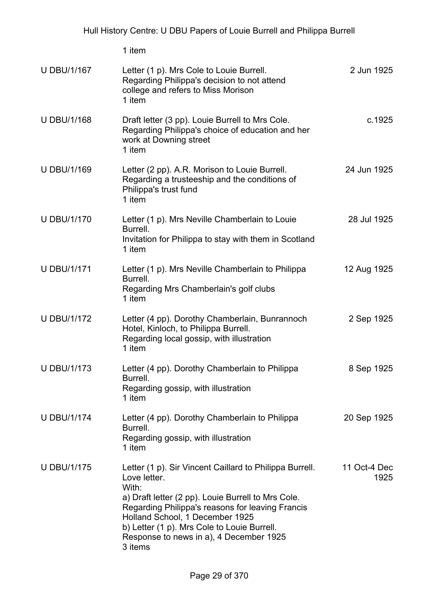|                    | 1 item                                                                                                                                                                                                                                                                                                                             |                      |
|--------------------|------------------------------------------------------------------------------------------------------------------------------------------------------------------------------------------------------------------------------------------------------------------------------------------------------------------------------------|----------------------|
| <b>U DBU/1/167</b> | Letter (1 p). Mrs Cole to Louie Burrell.<br>Regarding Philippa's decision to not attend<br>college and refers to Miss Morison<br>1 item                                                                                                                                                                                            | 2 Jun 1925           |
| <b>U DBU/1/168</b> | Draft letter (3 pp). Louie Burrell to Mrs Cole.<br>Regarding Philippa's choice of education and her<br>work at Downing street<br>1 item                                                                                                                                                                                            | c.1925               |
| <b>U DBU/1/169</b> | Letter (2 pp). A.R. Morison to Louie Burrell.<br>Regarding a trusteeship and the conditions of<br>Philippa's trust fund<br>1 item                                                                                                                                                                                                  | 24 Jun 1925          |
| <b>U DBU/1/170</b> | Letter (1 p). Mrs Neville Chamberlain to Louie<br>Burrell.<br>Invitation for Philippa to stay with them in Scotland<br>1 item                                                                                                                                                                                                      | 28 Jul 1925          |
| <b>U DBU/1/171</b> | Letter (1 p). Mrs Neville Chamberlain to Philippa<br>Burrell.<br>Regarding Mrs Chamberlain's golf clubs<br>1 item                                                                                                                                                                                                                  | 12 Aug 1925          |
| <b>U DBU/1/172</b> | Letter (4 pp). Dorothy Chamberlain, Bunrannoch<br>Hotel, Kinloch, to Philippa Burrell.<br>Regarding local gossip, with illustration<br>1 item                                                                                                                                                                                      | 2 Sep 1925           |
| <b>U DBU/1/173</b> | Letter (4 pp). Dorothy Chamberlain to Philippa<br>Burrell.<br>Regarding gossip, with illustration<br>1 item                                                                                                                                                                                                                        | 8 Sep 1925           |
| <b>U DBU/1/174</b> | Letter (4 pp). Dorothy Chamberlain to Philippa<br>Burrell.<br>Regarding gossip, with illustration<br>1 item                                                                                                                                                                                                                        | 20 Sep 1925          |
| <b>U DBU/1/175</b> | Letter (1 p). Sir Vincent Caillard to Philippa Burrell.<br>Love letter.<br>With:<br>a) Draft letter (2 pp). Louie Burrell to Mrs Cole.<br>Regarding Philippa's reasons for leaving Francis<br>Holland School, 1 December 1925<br>b) Letter (1 p). Mrs Cole to Louie Burrell.<br>Response to news in a), 4 December 1925<br>3 items | 11 Oct-4 Dec<br>1925 |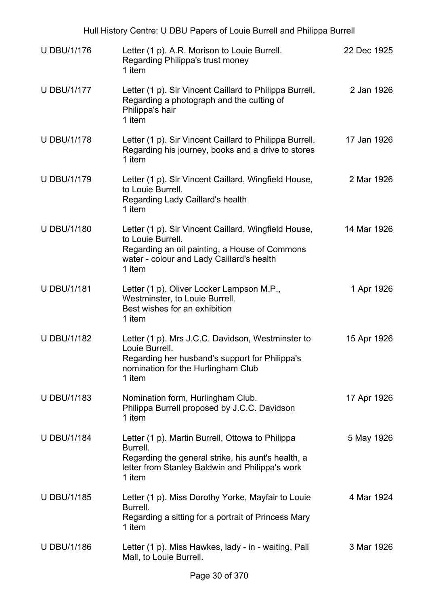| Hull History Centre: U DBU Papers of Louie Burrell and Philippa Burrell |                                                                                                                                                                                   |             |
|-------------------------------------------------------------------------|-----------------------------------------------------------------------------------------------------------------------------------------------------------------------------------|-------------|
| <b>U DBU/1/176</b>                                                      | Letter (1 p). A.R. Morison to Louie Burrell.<br>Regarding Philippa's trust money<br>1 item                                                                                        | 22 Dec 1925 |
| <b>U DBU/1/177</b>                                                      | Letter (1 p). Sir Vincent Caillard to Philippa Burrell.<br>Regarding a photograph and the cutting of<br>Philippa's hair<br>1 item                                                 | 2 Jan 1926  |
| <b>U DBU/1/178</b>                                                      | Letter (1 p). Sir Vincent Caillard to Philippa Burrell.<br>Regarding his journey, books and a drive to stores<br>1 item                                                           | 17 Jan 1926 |
| <b>U DBU/1/179</b>                                                      | Letter (1 p). Sir Vincent Caillard, Wingfield House,<br>to Louie Burrell.<br>Regarding Lady Caillard's health<br>1 item                                                           | 2 Mar 1926  |
| <b>U DBU/1/180</b>                                                      | Letter (1 p). Sir Vincent Caillard, Wingfield House,<br>to Louie Burrell.<br>Regarding an oil painting, a House of Commons<br>water - colour and Lady Caillard's health<br>1 item | 14 Mar 1926 |
| <b>U DBU/1/181</b>                                                      | Letter (1 p). Oliver Locker Lampson M.P.,<br>Westminster, to Louie Burrell.<br>Best wishes for an exhibition<br>1 item                                                            | 1 Apr 1926  |
| <b>U DBU/1/182</b>                                                      | Letter (1 p). Mrs J.C.C. Davidson, Westminster to<br>Louie Burrell.<br>Regarding her husband's support for Philippa's<br>nomination for the Hurlingham Club<br>1 item             | 15 Apr 1926 |
| <b>U DBU/1/183</b>                                                      | Nomination form, Hurlingham Club.<br>Philippa Burrell proposed by J.C.C. Davidson<br>1 item                                                                                       | 17 Apr 1926 |
| <b>U DBU/1/184</b>                                                      | Letter (1 p). Martin Burrell, Ottowa to Philippa<br>Burrell.<br>Regarding the general strike, his aunt's health, a<br>letter from Stanley Baldwin and Philippa's work<br>1 item   | 5 May 1926  |
| <b>U DBU/1/185</b>                                                      | Letter (1 p). Miss Dorothy Yorke, Mayfair to Louie<br>Burrell.<br>Regarding a sitting for a portrait of Princess Mary<br>1 item                                                   | 4 Mar 1924  |
| <b>U DBU/1/186</b>                                                      | Letter (1 p). Miss Hawkes, lady - in - waiting, Pall<br>Mall, to Louie Burrell.                                                                                                   | 3 Mar 1926  |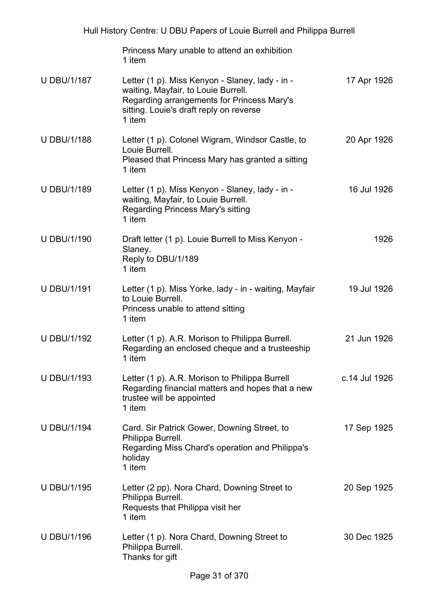|                    | Hull History Centre: U DBU Papers of Louie Burrell and Philippa Burrell                                                                                                                   |               |
|--------------------|-------------------------------------------------------------------------------------------------------------------------------------------------------------------------------------------|---------------|
|                    | Princess Mary unable to attend an exhibition<br>1 item                                                                                                                                    |               |
| <b>U DBU/1/187</b> | Letter (1 p). Miss Kenyon - Slaney, lady - in -<br>waiting, Mayfair, to Louie Burrell.<br>Regarding arrangements for Princess Mary's<br>sitting. Louie's draft reply on reverse<br>1 item | 17 Apr 1926   |
| <b>U DBU/1/188</b> | Letter (1 p). Colonel Wigram, Windsor Castle, to<br>Louie Burrell.<br>Pleased that Princess Mary has granted a sitting<br>1 item                                                          | 20 Apr 1926   |
| <b>U DBU/1/189</b> | Letter (1 p). Miss Kenyon - Slaney, lady - in -<br>waiting, Mayfair, to Louie Burrell.<br>Regarding Princess Mary's sitting<br>1 item                                                     | 16 Jul 1926   |
| <b>U DBU/1/190</b> | Draft letter (1 p). Louie Burrell to Miss Kenyon -<br>Slaney.<br>Reply to DBU/1/189<br>1 item                                                                                             | 1926          |
| <b>U DBU/1/191</b> | Letter (1 p). Miss Yorke, lady - in - waiting, Mayfair<br>to Louie Burrell.<br>Princess unable to attend sitting<br>1 item                                                                | 19 Jul 1926   |
| <b>U DBU/1/192</b> | Letter (1 p). A.R. Morison to Philippa Burrell.<br>Regarding an enclosed cheque and a trusteeship<br>1 item                                                                               | 21 Jun 1926   |
| <b>U DBU/1/193</b> | Letter (1 p). A.R. Morison to Philippa Burrell<br>Regarding financial matters and hopes that a new<br>trustee will be appointed<br>1 item                                                 | c.14 Jul 1926 |
| <b>U DBU/1/194</b> | Card. Sir Patrick Gower, Downing Street, to<br>Philippa Burrell.<br>Regarding Miss Chard's operation and Philippa's<br>holiday<br>1 item                                                  | 17 Sep 1925   |
| <b>U DBU/1/195</b> | Letter (2 pp). Nora Chard, Downing Street to<br>Philippa Burrell.<br>Requests that Philippa visit her<br>1 item                                                                           | 20 Sep 1925   |
| <b>U DBU/1/196</b> | Letter (1 p). Nora Chard, Downing Street to<br>Philippa Burrell.<br>Thanks for gift                                                                                                       | 30 Dec 1925   |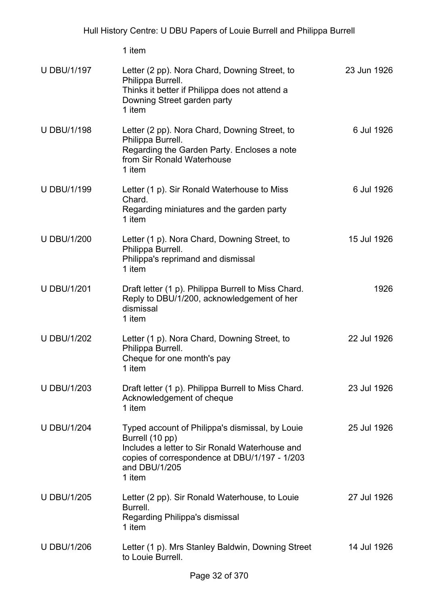1 item

| <b>U DBU/1/197</b> | Letter (2 pp). Nora Chard, Downing Street, to<br>Philippa Burrell.<br>Thinks it better if Philippa does not attend a<br>Downing Street garden party<br>1 item                                    | 23 Jun 1926 |
|--------------------|--------------------------------------------------------------------------------------------------------------------------------------------------------------------------------------------------|-------------|
| <b>U DBU/1/198</b> | Letter (2 pp). Nora Chard, Downing Street, to<br>Philippa Burrell.<br>Regarding the Garden Party. Encloses a note<br>from Sir Ronald Waterhouse<br>1 item                                        | 6 Jul 1926  |
| <b>U DBU/1/199</b> | Letter (1 p). Sir Ronald Waterhouse to Miss<br>Chard.<br>Regarding miniatures and the garden party<br>1 item                                                                                     | 6 Jul 1926  |
| <b>U DBU/1/200</b> | Letter (1 p). Nora Chard, Downing Street, to<br>Philippa Burrell.<br>Philippa's reprimand and dismissal<br>1 item                                                                                | 15 Jul 1926 |
| <b>U DBU/1/201</b> | Draft letter (1 p). Philippa Burrell to Miss Chard.<br>Reply to DBU/1/200, acknowledgement of her<br>dismissal<br>1 item                                                                         | 1926        |
| <b>U DBU/1/202</b> | Letter (1 p). Nora Chard, Downing Street, to<br>Philippa Burrell.<br>Cheque for one month's pay<br>1 item                                                                                        | 22 Jul 1926 |
| <b>U DBU/1/203</b> | Draft letter (1 p). Philippa Burrell to Miss Chard.<br>Acknowledgement of cheque<br>1 item                                                                                                       | 23 Jul 1926 |
| <b>U DBU/1/204</b> | Typed account of Philippa's dismissal, by Louie<br>Burrell (10 pp)<br>Includes a letter to Sir Ronald Waterhouse and<br>copies of correspondence at DBU/1/197 - 1/203<br>and DBU/1/205<br>1 item | 25 Jul 1926 |
| <b>U DBU/1/205</b> | Letter (2 pp). Sir Ronald Waterhouse, to Louie<br>Burrell.<br>Regarding Philippa's dismissal<br>1 item                                                                                           | 27 Jul 1926 |
| <b>U DBU/1/206</b> | Letter (1 p). Mrs Stanley Baldwin, Downing Street<br>to Louie Burrell.                                                                                                                           | 14 Jul 1926 |
|                    | 22.50                                                                                                                                                                                            |             |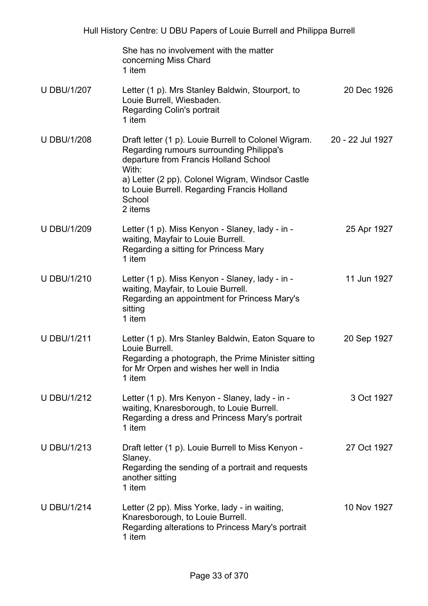|                    | She has no involvement with the matter<br>concerning Miss Chard<br>1 item                                                                                                                                                                                                  |                  |
|--------------------|----------------------------------------------------------------------------------------------------------------------------------------------------------------------------------------------------------------------------------------------------------------------------|------------------|
| <b>U DBU/1/207</b> | Letter (1 p). Mrs Stanley Baldwin, Stourport, to<br>Louie Burrell, Wiesbaden.<br><b>Regarding Colin's portrait</b><br>1 item                                                                                                                                               | 20 Dec 1926      |
| <b>U DBU/1/208</b> | Draft letter (1 p). Louie Burrell to Colonel Wigram.<br>Regarding rumours surrounding Philippa's<br>departure from Francis Holland School<br>With:<br>a) Letter (2 pp). Colonel Wigram, Windsor Castle<br>to Louie Burrell. Regarding Francis Holland<br>School<br>2 items | 20 - 22 Jul 1927 |
| <b>U DBU/1/209</b> | Letter (1 p). Miss Kenyon - Slaney, lady - in -<br>waiting, Mayfair to Louie Burrell.<br>Regarding a sitting for Princess Mary<br>1 item                                                                                                                                   | 25 Apr 1927      |
| <b>U DBU/1/210</b> | Letter (1 p). Miss Kenyon - Slaney, lady - in -<br>waiting, Mayfair, to Louie Burrell.<br>Regarding an appointment for Princess Mary's<br>sitting<br>1 item                                                                                                                | 11 Jun 1927      |
| <b>U DBU/1/211</b> | Letter (1 p). Mrs Stanley Baldwin, Eaton Square to<br>Louie Burrell.<br>Regarding a photograph, the Prime Minister sitting<br>for Mr Orpen and wishes her well in India<br>1 item                                                                                          | 20 Sep 1927      |
| <b>U DBU/1/212</b> | Letter (1 p). Mrs Kenyon - Slaney, lady - in -<br>waiting, Knaresborough, to Louie Burrell.<br>Regarding a dress and Princess Mary's portrait<br>1 item                                                                                                                    | 3 Oct 1927       |
| <b>U DBU/1/213</b> | Draft letter (1 p). Louie Burrell to Miss Kenyon -<br>Slaney.<br>Regarding the sending of a portrait and requests<br>another sitting<br>1 item                                                                                                                             | 27 Oct 1927      |
| <b>U DBU/1/214</b> | Letter (2 pp). Miss Yorke, lady - in waiting,<br>Knaresborough, to Louie Burrell.<br>Regarding alterations to Princess Mary's portrait<br>1 item                                                                                                                           | 10 Nov 1927      |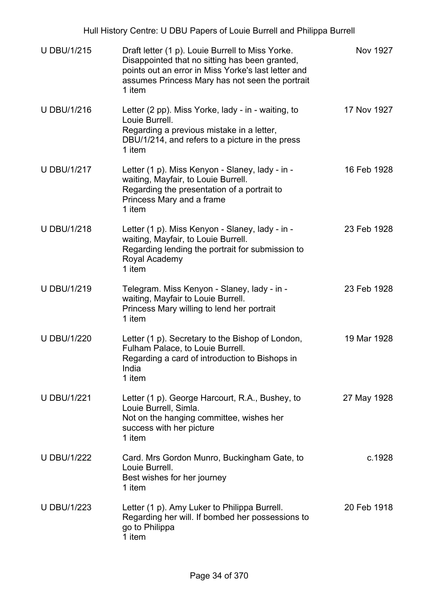| <b>U DBU/1/215</b> | Draft letter (1 p). Louie Burrell to Miss Yorke.<br>Disappointed that no sitting has been granted,<br>points out an error in Miss Yorke's last letter and<br>assumes Princess Mary has not seen the portrait<br>1 item | Nov 1927    |
|--------------------|------------------------------------------------------------------------------------------------------------------------------------------------------------------------------------------------------------------------|-------------|
| <b>U DBU/1/216</b> | Letter (2 pp). Miss Yorke, lady - in - waiting, to<br>Louie Burrell.<br>Regarding a previous mistake in a letter,<br>DBU/1/214, and refers to a picture in the press<br>1 item                                         | 17 Nov 1927 |
| <b>U DBU/1/217</b> | Letter (1 p). Miss Kenyon - Slaney, lady - in -<br>waiting, Mayfair, to Louie Burrell.<br>Regarding the presentation of a portrait to<br>Princess Mary and a frame<br>1 item                                           | 16 Feb 1928 |
| <b>U DBU/1/218</b> | Letter (1 p). Miss Kenyon - Slaney, lady - in -<br>waiting, Mayfair, to Louie Burrell.<br>Regarding lending the portrait for submission to<br>Royal Academy<br>1 item                                                  | 23 Feb 1928 |
| <b>U DBU/1/219</b> | Telegram. Miss Kenyon - Slaney, lady - in -<br>waiting, Mayfair to Louie Burrell.<br>Princess Mary willing to lend her portrait<br>1 item                                                                              | 23 Feb 1928 |
| <b>U DBU/1/220</b> | Letter (1 p). Secretary to the Bishop of London,<br>Fulham Palace, to Louie Burrell.<br>Regarding a card of introduction to Bishops in<br>India<br>1 item                                                              | 19 Mar 1928 |
| <b>U DBU/1/221</b> | Letter (1 p). George Harcourt, R.A., Bushey, to<br>Louie Burrell, Simla.<br>Not on the hanging committee, wishes her<br>success with her picture<br>1 item                                                             | 27 May 1928 |
| <b>U DBU/1/222</b> | Card. Mrs Gordon Munro, Buckingham Gate, to<br>Louie Burrell.<br>Best wishes for her journey<br>1 item                                                                                                                 | c.1928      |
| <b>U DBU/1/223</b> | Letter (1 p). Amy Luker to Philippa Burrell.<br>Regarding her will. If bombed her possessions to<br>go to Philippa<br>1 item                                                                                           | 20 Feb 1918 |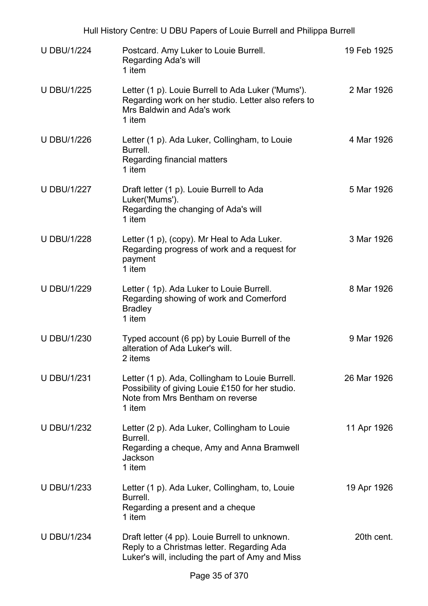| Hull History Centre: U DBU Papers of Louie Burrell and Philippa Burrell |                                                                                                                                                   |             |
|-------------------------------------------------------------------------|---------------------------------------------------------------------------------------------------------------------------------------------------|-------------|
| <b>U DBU/1/224</b>                                                      | Postcard. Amy Luker to Louie Burrell.<br>Regarding Ada's will<br>1 item                                                                           | 19 Feb 1925 |
| <b>U DBU/1/225</b>                                                      | Letter (1 p). Louie Burrell to Ada Luker ('Mums').<br>Regarding work on her studio. Letter also refers to<br>Mrs Baldwin and Ada's work<br>1 item | 2 Mar 1926  |
| <b>U DBU/1/226</b>                                                      | Letter (1 p). Ada Luker, Collingham, to Louie<br>Burrell.<br>Regarding financial matters<br>1 item                                                | 4 Mar 1926  |
| <b>U DBU/1/227</b>                                                      | Draft letter (1 p). Louie Burrell to Ada<br>Luker('Mums').<br>Regarding the changing of Ada's will<br>1 item                                      | 5 Mar 1926  |
| <b>U DBU/1/228</b>                                                      | Letter (1 p), (copy). Mr Heal to Ada Luker.<br>Regarding progress of work and a request for<br>payment<br>1 item                                  | 3 Mar 1926  |
| <b>U DBU/1/229</b>                                                      | Letter (1p). Ada Luker to Louie Burrell.<br>Regarding showing of work and Comerford<br><b>Bradley</b><br>1 item                                   | 8 Mar 1926  |
| <b>U DBU/1/230</b>                                                      | Typed account (6 pp) by Louie Burrell of the<br>alteration of Ada Luker's will<br>2 items                                                         | 9 Mar 1926  |
| <b>U DBU/1/231</b>                                                      | Letter (1 p). Ada, Collingham to Louie Burrell.<br>Possibility of giving Louie £150 for her studio.<br>Note from Mrs Bentham on reverse<br>1 item | 26 Mar 1926 |
| <b>U DBU/1/232</b>                                                      | Letter (2 p). Ada Luker, Collingham to Louie<br>Burrell.<br>Regarding a cheque, Amy and Anna Bramwell<br>Jackson<br>1 item                        | 11 Apr 1926 |
| U DBU/1/233                                                             | Letter (1 p). Ada Luker, Collingham, to, Louie<br>Burrell.<br>Regarding a present and a cheque<br>1 item                                          | 19 Apr 1926 |
| <b>U DBU/1/234</b>                                                      | Draft letter (4 pp). Louie Burrell to unknown.<br>Reply to a Christmas letter. Regarding Ada<br>Luker's will, including the part of Amy and Miss  | 20th cent.  |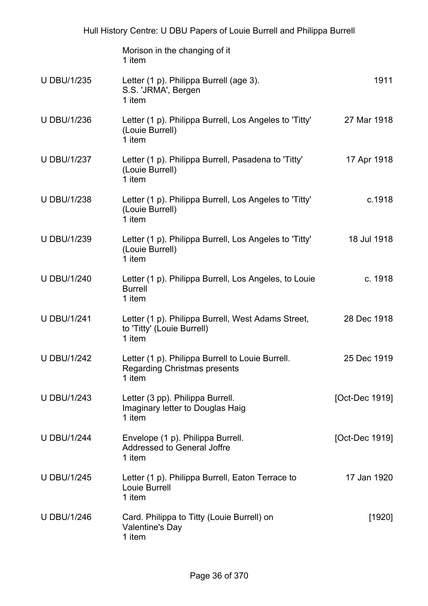|                    | Hull History Centre: U DBU Papers of Louie Burrell and Philippa Burrell                           |                |
|--------------------|---------------------------------------------------------------------------------------------------|----------------|
|                    | Morison in the changing of it<br>1 item                                                           |                |
| <b>U DBU/1/235</b> | Letter (1 p). Philippa Burrell (age 3).<br>S.S. 'JRMA', Bergen<br>1 item                          | 1911           |
| <b>U DBU/1/236</b> | Letter (1 p). Philippa Burrell, Los Angeles to 'Titty'<br>(Louie Burrell)<br>1 item               | 27 Mar 1918    |
| <b>U DBU/1/237</b> | Letter (1 p). Philippa Burrell, Pasadena to 'Titty'<br>(Louie Burrell)<br>1 item                  | 17 Apr 1918    |
| <b>U DBU/1/238</b> | Letter (1 p). Philippa Burrell, Los Angeles to 'Titty'<br>(Louie Burrell)<br>1 item               | c.1918         |
| <b>U DBU/1/239</b> | Letter (1 p). Philippa Burrell, Los Angeles to 'Titty'<br>(Louie Burrell)<br>1 item               | 18 Jul 1918    |
| <b>U DBU/1/240</b> | Letter (1 p). Philippa Burrell, Los Angeles, to Louie<br><b>Burrell</b><br>1 item                 | c. 1918        |
| <b>U DBU/1/241</b> | Letter (1 p). Philippa Burrell, West Adams Street,<br>to 'Titty' (Louie Burrell)<br>1 item        | 28 Dec 1918    |
| <b>U DBU/1/242</b> | Letter (1 p). Philippa Burrell to Louie Burrell.<br><b>Regarding Christmas presents</b><br>1 item | 25 Dec 1919    |
| <b>U DBU/1/243</b> | Letter (3 pp). Philippa Burrell.<br>Imaginary letter to Douglas Haig<br>1 item                    | [Oct-Dec 1919] |
| <b>U DBU/1/244</b> | Envelope (1 p). Philippa Burrell.<br>Addressed to General Joffre<br>1 item                        | [Oct-Dec 1919] |
| <b>U DBU/1/245</b> | Letter (1 p). Philippa Burrell, Eaton Terrace to<br>Louie Burrell<br>1 item                       | 17 Jan 1920    |
| <b>U DBU/1/246</b> | Card. Philippa to Titty (Louie Burrell) on<br>Valentine's Day<br>1 item                           | [1920]         |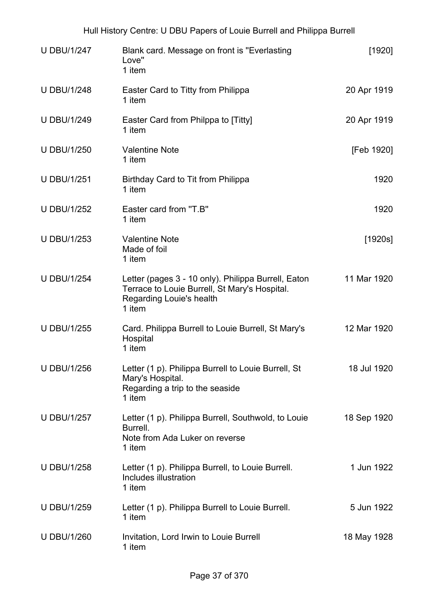|                    | Hull History Centre: U DBU Papers of Louie Burrell and Philippa Burrell                                                                    |             |
|--------------------|--------------------------------------------------------------------------------------------------------------------------------------------|-------------|
| <b>U DBU/1/247</b> | Blank card. Message on front is "Everlasting"<br>Love"<br>1 item                                                                           | $[1920]$    |
| <b>U DBU/1/248</b> | Easter Card to Titty from Philippa<br>1 item                                                                                               | 20 Apr 1919 |
| <b>U DBU/1/249</b> | Easter Card from Philppa to [Titty]<br>1 item                                                                                              | 20 Apr 1919 |
| <b>U DBU/1/250</b> | <b>Valentine Note</b><br>1 item                                                                                                            | [Feb 1920]  |
| <b>U DBU/1/251</b> | Birthday Card to Tit from Philippa<br>1 item                                                                                               | 1920        |
| <b>U DBU/1/252</b> | Easter card from "T.B"<br>1 item                                                                                                           | 1920        |
| <b>U DBU/1/253</b> | <b>Valentine Note</b><br>Made of foil<br>1 item                                                                                            | [1920s]     |
| <b>U DBU/1/254</b> | Letter (pages 3 - 10 only). Philippa Burrell, Eaton<br>Terrace to Louie Burrell, St Mary's Hospital.<br>Regarding Louie's health<br>1 item | 11 Mar 1920 |
| <b>U DBU/1/255</b> | Card. Philippa Burrell to Louie Burrell, St Mary's<br>Hospital<br>1 item                                                                   | 12 Mar 1920 |
| <b>U DBU/1/256</b> | Letter (1 p). Philippa Burrell to Louie Burrell, St<br>Mary's Hospital.<br>Regarding a trip to the seaside<br>1 item                       | 18 Jul 1920 |
| <b>U DBU/1/257</b> | Letter (1 p). Philippa Burrell, Southwold, to Louie<br>Burrell.<br>Note from Ada Luker on reverse<br>1 item                                | 18 Sep 1920 |
| <b>U DBU/1/258</b> | Letter (1 p). Philippa Burrell, to Louie Burrell.<br>Includes illustration<br>1 item                                                       | 1 Jun 1922  |
| <b>U DBU/1/259</b> | Letter (1 p). Philippa Burrell to Louie Burrell.<br>1 item                                                                                 | 5 Jun 1922  |
| <b>U DBU/1/260</b> | Invitation, Lord Irwin to Louie Burrell<br>1 item                                                                                          | 18 May 1928 |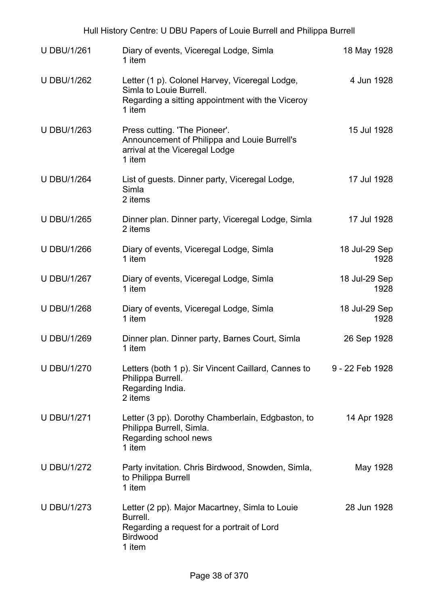| Hull History Centre: U DBU Papers of Louie Burrell and Philippa Burrell |                                                                                                                                         |                       |  |
|-------------------------------------------------------------------------|-----------------------------------------------------------------------------------------------------------------------------------------|-----------------------|--|
| <b>U DBU/1/261</b>                                                      | Diary of events, Viceregal Lodge, Simla<br>1 item                                                                                       | 18 May 1928           |  |
| <b>U DBU/1/262</b>                                                      | Letter (1 p). Colonel Harvey, Viceregal Lodge,<br>Simla to Louie Burrell.<br>Regarding a sitting appointment with the Viceroy<br>1 item | 4 Jun 1928            |  |
| <b>U DBU/1/263</b>                                                      | Press cutting. 'The Pioneer'.<br>Announcement of Philippa and Louie Burrell's<br>arrival at the Viceregal Lodge<br>1 item               | 15 Jul 1928           |  |
| <b>U DBU/1/264</b>                                                      | List of guests. Dinner party, Viceregal Lodge,<br>Simla<br>2 items                                                                      | 17 Jul 1928           |  |
| <b>U DBU/1/265</b>                                                      | Dinner plan. Dinner party, Viceregal Lodge, Simla<br>2 items                                                                            | 17 Jul 1928           |  |
| <b>U DBU/1/266</b>                                                      | Diary of events, Viceregal Lodge, Simla<br>1 item                                                                                       | 18 Jul-29 Sep<br>1928 |  |
| <b>U DBU/1/267</b>                                                      | Diary of events, Viceregal Lodge, Simla<br>1 item                                                                                       | 18 Jul-29 Sep<br>1928 |  |
| <b>U DBU/1/268</b>                                                      | Diary of events, Viceregal Lodge, Simla<br>1 item                                                                                       | 18 Jul-29 Sep<br>1928 |  |
| <b>U DBU/1/269</b>                                                      | Dinner plan. Dinner party, Barnes Court, Simla<br>1 item                                                                                | 26 Sep 1928           |  |
| <b>U DBU/1/270</b>                                                      | Letters (both 1 p). Sir Vincent Caillard, Cannes to<br>Philippa Burrell.<br>Regarding India.<br>2 items                                 | 9 - 22 Feb 1928       |  |
| <b>U DBU/1/271</b>                                                      | Letter (3 pp). Dorothy Chamberlain, Edgbaston, to<br>Philippa Burrell, Simla.<br>Regarding school news<br>1 item                        | 14 Apr 1928           |  |
| <b>U DBU/1/272</b>                                                      | Party invitation. Chris Birdwood, Snowden, Simla,<br>to Philippa Burrell<br>1 item                                                      | May 1928              |  |
| <b>U DBU/1/273</b>                                                      | Letter (2 pp). Major Macartney, Simla to Louie<br>Burrell.<br>Regarding a request for a portrait of Lord<br><b>Birdwood</b><br>1 item   | 28 Jun 1928           |  |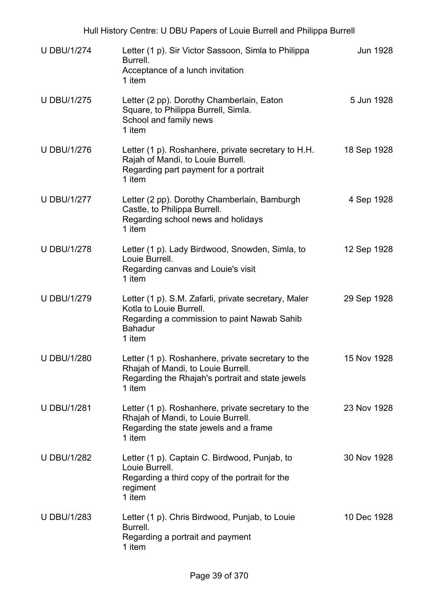| <b>U DBU/1/274</b> | Letter (1 p). Sir Victor Sassoon, Simla to Philippa<br>Burrell.<br>Acceptance of a lunch invitation<br>1 item                                              | Jun 1928    |
|--------------------|------------------------------------------------------------------------------------------------------------------------------------------------------------|-------------|
| <b>U DBU/1/275</b> | Letter (2 pp). Dorothy Chamberlain, Eaton<br>Square, to Philippa Burrell, Simla.<br>School and family news<br>1 item                                       | 5 Jun 1928  |
| <b>U DBU/1/276</b> | Letter (1 p). Roshanhere, private secretary to H.H.<br>Rajah of Mandi, to Louie Burrell.<br>Regarding part payment for a portrait<br>1 item                | 18 Sep 1928 |
| <b>U DBU/1/277</b> | Letter (2 pp). Dorothy Chamberlain, Bamburgh<br>Castle, to Philippa Burrell.<br>Regarding school news and holidays<br>1 item                               | 4 Sep 1928  |
| <b>U DBU/1/278</b> | Letter (1 p). Lady Birdwood, Snowden, Simla, to<br>Louie Burrell.<br>Regarding canvas and Louie's visit<br>1 item                                          | 12 Sep 1928 |
| <b>U DBU/1/279</b> | Letter (1 p). S.M. Zafarli, private secretary, Maler<br>Kotla to Louie Burrell.<br>Regarding a commission to paint Nawab Sahib<br><b>Bahadur</b><br>1 item | 29 Sep 1928 |
| <b>U DBU/1/280</b> | Letter (1 p). Roshanhere, private secretary to the<br>Rhajah of Mandi, to Louie Burrell.<br>Regarding the Rhajah's portrait and state jewels<br>1 item     | 15 Nov 1928 |
| <b>U DBU/1/281</b> | Letter (1 p). Roshanhere, private secretary to the<br>Rhajah of Mandi, to Louie Burrell.<br>Regarding the state jewels and a frame<br>1 item               | 23 Nov 1928 |
| <b>U DBU/1/282</b> | Letter (1 p). Captain C. Birdwood, Punjab, to<br>Louie Burrell.<br>Regarding a third copy of the portrait for the<br>regiment<br>1 item                    | 30 Nov 1928 |
| <b>U DBU/1/283</b> | Letter (1 p). Chris Birdwood, Punjab, to Louie<br>Burrell.<br>Regarding a portrait and payment<br>1 item                                                   | 10 Dec 1928 |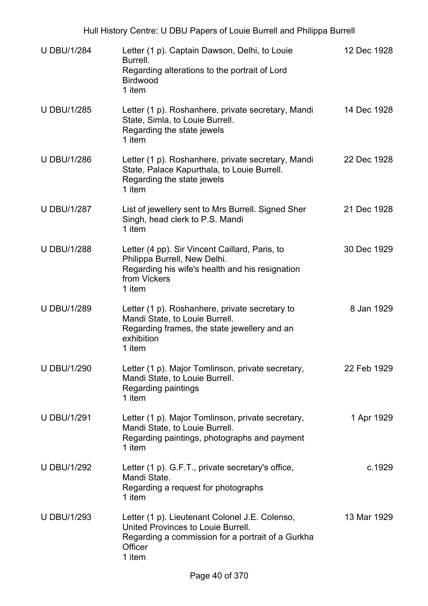| <b>U DBU/1/284</b> | Letter (1 p). Captain Dawson, Delhi, to Louie<br>Burrell.<br>Regarding alterations to the portrait of Lord<br><b>Birdwood</b><br>1 item                        | 12 Dec 1928 |
|--------------------|----------------------------------------------------------------------------------------------------------------------------------------------------------------|-------------|
| <b>U DBU/1/285</b> | Letter (1 p). Roshanhere, private secretary, Mandi<br>State, Simla, to Louie Burrell.<br>Regarding the state jewels<br>1 item                                  | 14 Dec 1928 |
| <b>U DBU/1/286</b> | Letter (1 p). Roshanhere, private secretary, Mandi<br>State, Palace Kapurthala, to Louie Burrell.<br>Regarding the state jewels<br>1 item                      | 22 Dec 1928 |
| <b>U DBU/1/287</b> | List of jewellery sent to Mrs Burrell. Signed Sher<br>Singh, head clerk to P.S. Mandi<br>1 item                                                                | 21 Dec 1928 |
| <b>U DBU/1/288</b> | Letter (4 pp). Sir Vincent Caillard, Paris, to<br>Philippa Burrell, New Delhi.<br>Regarding his wife's health and his resignation<br>from Vickers<br>1 item    | 30 Dec 1929 |
| <b>U DBU/1/289</b> | Letter (1 p). Roshanhere, private secretary to<br>Mandi State, to Louie Burrell.<br>Regarding frames, the state jewellery and an<br>exhibition<br>1 item       | 8 Jan 1929  |
| <b>U DBU/1/290</b> | Letter (1 p). Major Tomlinson, private secretary,<br>Mandi State, to Louie Burrell.<br>Regarding paintings<br>1 item                                           | 22 Feb 1929 |
| <b>U DBU/1/291</b> | Letter (1 p). Major Tomlinson, private secretary,<br>Mandi State, to Louie Burrell.<br>Regarding paintings, photographs and payment<br>1 item                  | 1 Apr 1929  |
| <b>U DBU/1/292</b> | Letter (1 p). G.F.T., private secretary's office,<br>Mandi State.<br>Regarding a request for photographs<br>1 item                                             | c.1929      |
| <b>U DBU/1/293</b> | Letter (1 p). Lieutenant Colonel J.E. Colenso,<br>United Provinces to Louie Burrell.<br>Regarding a commission for a portrait of a Gurkha<br>Officer<br>1 item | 13 Mar 1929 |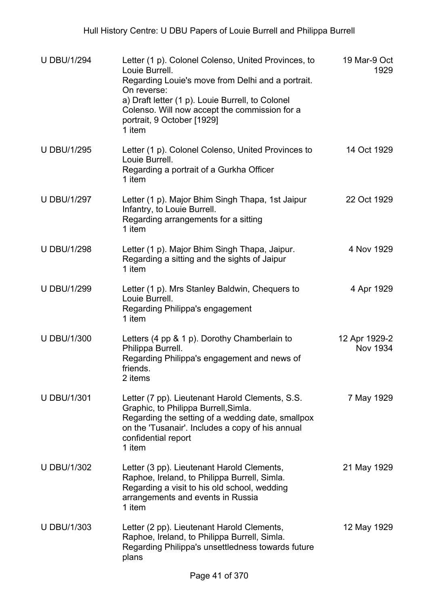| <b>U DBU/1/294</b> | Letter (1 p). Colonel Colenso, United Provinces, to<br>Louie Burrell.<br>Regarding Louie's move from Delhi and a portrait.<br>On reverse:<br>a) Draft letter (1 p). Louie Burrell, to Colonel<br>Colenso. Will now accept the commission for a<br>portrait, 9 October [1929]<br>1 item | 19 Mar-9 Oct<br>1929      |
|--------------------|----------------------------------------------------------------------------------------------------------------------------------------------------------------------------------------------------------------------------------------------------------------------------------------|---------------------------|
| <b>U DBU/1/295</b> | Letter (1 p). Colonel Colenso, United Provinces to<br>Louie Burrell.<br>Regarding a portrait of a Gurkha Officer<br>1 item                                                                                                                                                             | 14 Oct 1929               |
| <b>U DBU/1/297</b> | Letter (1 p). Major Bhim Singh Thapa, 1st Jaipur<br>Infantry, to Louie Burrell.<br>Regarding arrangements for a sitting<br>1 item                                                                                                                                                      | 22 Oct 1929               |
| <b>U DBU/1/298</b> | Letter (1 p). Major Bhim Singh Thapa, Jaipur.<br>Regarding a sitting and the sights of Jaipur<br>1 item                                                                                                                                                                                | 4 Nov 1929                |
| <b>U DBU/1/299</b> | Letter (1 p). Mrs Stanley Baldwin, Chequers to<br>Louie Burrell.<br>Regarding Philippa's engagement<br>1 item                                                                                                                                                                          | 4 Apr 1929                |
| <b>U DBU/1/300</b> | Letters $(4 pp & 1 p)$ . Dorothy Chamberlain to<br>Philippa Burrell.<br>Regarding Philippa's engagement and news of<br>friends.<br>2 items                                                                                                                                             | 12 Apr 1929-2<br>Nov 1934 |
| <b>U DBU/1/301</b> | Letter (7 pp). Lieutenant Harold Clements, S.S.<br>Graphic, to Philippa Burrell, Simla.<br>Regarding the setting of a wedding date, smallpox<br>on the 'Tusanair'. Includes a copy of his annual<br>confidential report<br>1 item                                                      | 7 May 1929                |
| <b>U DBU/1/302</b> | Letter (3 pp). Lieutenant Harold Clements,<br>Raphoe, Ireland, to Philippa Burrell, Simla.<br>Regarding a visit to his old school, wedding<br>arrangements and events in Russia<br>1 item                                                                                              | 21 May 1929               |
| <b>U DBU/1/303</b> | Letter (2 pp). Lieutenant Harold Clements,<br>Raphoe, Ireland, to Philippa Burrell, Simla.<br>Regarding Philippa's unsettledness towards future<br>plans                                                                                                                               | 12 May 1929               |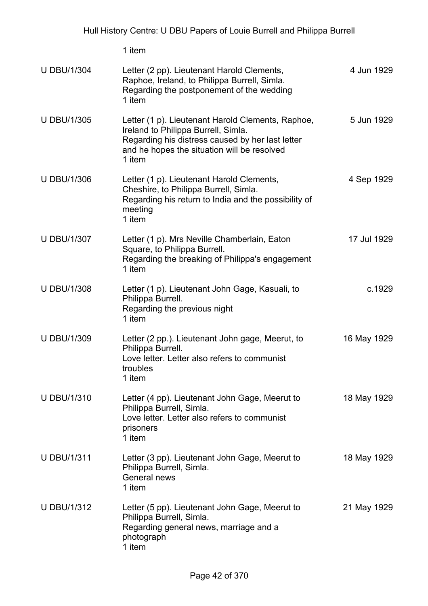1 item U DBU/1/304 Letter (2 pp). Lieutenant Harold Clements, Raphoe, Ireland, to Philippa Burrell, Simla. Regarding the postponement of the wedding 1 item 4 Jun 1929 U DBU/1/305 Letter (1 p). Lieutenant Harold Clements, Raphoe, Ireland to Philippa Burrell, Simla. Regarding his distress caused by her last letter and he hopes the situation will be resolved 1 item 5 Jun 1929 U DBU/1/306 Letter (1 p). Lieutenant Harold Clements, Cheshire, to Philippa Burrell, Simla. Regarding his return to India and the possibility of meeting 1 item 4 Sep 1929 U DBU/1/307 Letter (1 p). Mrs Neville Chamberlain, Eaton Square, to Philippa Burrell. Regarding the breaking of Philippa's engagement 1 item 17 Jul 1929 U DBU/1/308 Letter (1 p). Lieutenant John Gage, Kasuali, to Philippa Burrell. Regarding the previous night 1 item c.1929 U DBU/1/309 Letter (2 pp.). Lieutenant John gage, Meerut, to Philippa Burrell. Love letter. Letter also refers to communist troubles 1 item 16 May 1929 U DBU/1/310 Letter (4 pp). Lieutenant John Gage, Meerut to Philippa Burrell, Simla. Love letter. Letter also refers to communist prisoners 1 item 18 May 1929 U DBU/1/311 Letter (3 pp). Lieutenant John Gage, Meerut to Philippa Burrell, Simla. General news 1 item 18 May 1929 U DBU/1/312 Letter (5 pp). Lieutenant John Gage, Meerut to Philippa Burrell, Simla. Regarding general news, marriage and a photograph 1 item 21 May 1929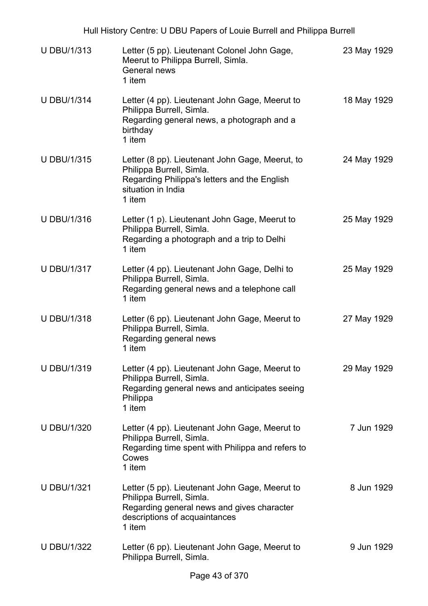| <b>U DBU/1/313</b> | Letter (5 pp). Lieutenant Colonel John Gage,<br>Meerut to Philippa Burrell, Simla.<br>General news<br>1 item                                                        | 23 May 1929 |
|--------------------|---------------------------------------------------------------------------------------------------------------------------------------------------------------------|-------------|
| <b>U DBU/1/314</b> | Letter (4 pp). Lieutenant John Gage, Meerut to<br>Philippa Burrell, Simla.<br>Regarding general news, a photograph and a<br>birthday<br>1 item                      | 18 May 1929 |
| <b>U DBU/1/315</b> | Letter (8 pp). Lieutenant John Gage, Meerut, to<br>Philippa Burrell, Simla.<br>Regarding Philippa's letters and the English<br>situation in India<br>1 item         | 24 May 1929 |
| <b>U DBU/1/316</b> | Letter (1 p). Lieutenant John Gage, Meerut to<br>Philippa Burrell, Simla.<br>Regarding a photograph and a trip to Delhi<br>1 item                                   | 25 May 1929 |
| <b>U DBU/1/317</b> | Letter (4 pp). Lieutenant John Gage, Delhi to<br>Philippa Burrell, Simla.<br>Regarding general news and a telephone call<br>1 item                                  | 25 May 1929 |
| <b>U DBU/1/318</b> | Letter (6 pp). Lieutenant John Gage, Meerut to<br>Philippa Burrell, Simla.<br>Regarding general news<br>1 item                                                      | 27 May 1929 |
| <b>U DBU/1/319</b> | Letter (4 pp). Lieutenant John Gage, Meerut to<br>Philippa Burrell, Simla.<br>Regarding general news and anticipates seeing<br>Philippa<br>1 item                   | 29 May 1929 |
| <b>U DBU/1/320</b> | Letter (4 pp). Lieutenant John Gage, Meerut to<br>Philippa Burrell, Simla.<br>Regarding time spent with Philippa and refers to<br>Cowes<br>1 item                   | 7 Jun 1929  |
| <b>U DBU/1/321</b> | Letter (5 pp). Lieutenant John Gage, Meerut to<br>Philippa Burrell, Simla.<br>Regarding general news and gives character<br>descriptions of acquaintances<br>1 item | 8 Jun 1929  |
| <b>U DBU/1/322</b> | Letter (6 pp). Lieutenant John Gage, Meerut to<br>Philippa Burrell, Simla.                                                                                          | 9 Jun 1929  |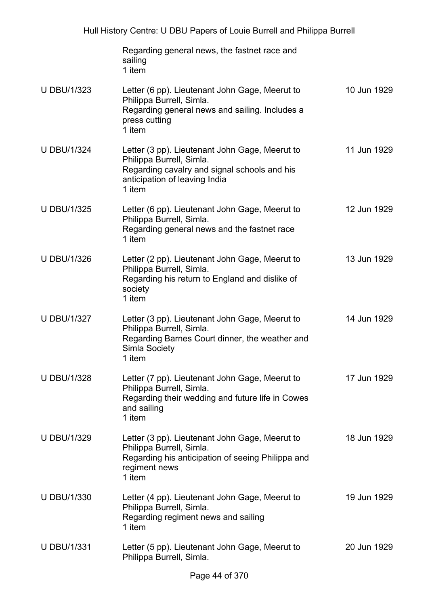|                    | Regarding general news, the fastnet race and<br>sailing<br>1 item                                                                                                     |             |
|--------------------|-----------------------------------------------------------------------------------------------------------------------------------------------------------------------|-------------|
| <b>U DBU/1/323</b> | Letter (6 pp). Lieutenant John Gage, Meerut to<br>Philippa Burrell, Simla.<br>Regarding general news and sailing. Includes a<br>press cutting<br>1 item               | 10 Jun 1929 |
| <b>U DBU/1/324</b> | Letter (3 pp). Lieutenant John Gage, Meerut to<br>Philippa Burrell, Simla.<br>Regarding cavalry and signal schools and his<br>anticipation of leaving India<br>1 item | 11 Jun 1929 |
| <b>U DBU/1/325</b> | Letter (6 pp). Lieutenant John Gage, Meerut to<br>Philippa Burrell, Simla.<br>Regarding general news and the fastnet race<br>1 item                                   | 12 Jun 1929 |
| <b>U DBU/1/326</b> | Letter (2 pp). Lieutenant John Gage, Meerut to<br>Philippa Burrell, Simla.<br>Regarding his return to England and dislike of<br>society<br>1 item                     | 13 Jun 1929 |
| <b>U DBU/1/327</b> | Letter (3 pp). Lieutenant John Gage, Meerut to<br>Philippa Burrell, Simla.<br>Regarding Barnes Court dinner, the weather and<br>Simla Society<br>1 item               | 14 Jun 1929 |
| <b>U DBU/1/328</b> | Letter (7 pp). Lieutenant John Gage, Meerut to<br>Philippa Burrell, Simla.<br>Regarding their wedding and future life in Cowes<br>and sailing<br>1 item               | 17 Jun 1929 |
| <b>U DBU/1/329</b> | Letter (3 pp). Lieutenant John Gage, Meerut to<br>Philippa Burrell, Simla.<br>Regarding his anticipation of seeing Philippa and<br>regiment news<br>1 item            | 18 Jun 1929 |
| <b>U DBU/1/330</b> | Letter (4 pp). Lieutenant John Gage, Meerut to<br>Philippa Burrell, Simla.<br>Regarding regiment news and sailing<br>1 item                                           | 19 Jun 1929 |
| <b>U DBU/1/331</b> | Letter (5 pp). Lieutenant John Gage, Meerut to<br>Philippa Burrell, Simla.                                                                                            | 20 Jun 1929 |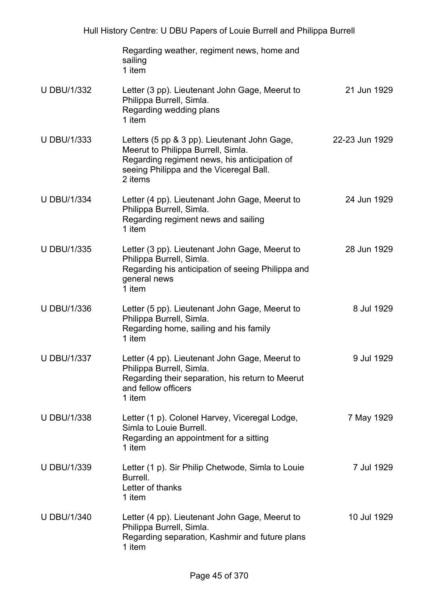|                    | Regarding weather, regiment news, home and<br>sailing<br>1 item                                                                                                                          |                |
|--------------------|------------------------------------------------------------------------------------------------------------------------------------------------------------------------------------------|----------------|
| <b>U DBU/1/332</b> | Letter (3 pp). Lieutenant John Gage, Meerut to<br>Philippa Burrell, Simla.<br>Regarding wedding plans<br>1 item                                                                          | 21 Jun 1929    |
| <b>U DBU/1/333</b> | Letters (5 pp & 3 pp). Lieutenant John Gage,<br>Meerut to Philippa Burrell, Simla.<br>Regarding regiment news, his anticipation of<br>seeing Philippa and the Viceregal Ball.<br>2 items | 22-23 Jun 1929 |
| <b>U DBU/1/334</b> | Letter (4 pp). Lieutenant John Gage, Meerut to<br>Philippa Burrell, Simla.<br>Regarding regiment news and sailing<br>1 item                                                              | 24 Jun 1929    |
| <b>U DBU/1/335</b> | Letter (3 pp). Lieutenant John Gage, Meerut to<br>Philippa Burrell, Simla.<br>Regarding his anticipation of seeing Philippa and<br>general news<br>1 item                                | 28 Jun 1929    |
| <b>U DBU/1/336</b> | Letter (5 pp). Lieutenant John Gage, Meerut to<br>Philippa Burrell, Simla.<br>Regarding home, sailing and his family<br>1 item                                                           | 8 Jul 1929     |
| <b>U DBU/1/337</b> | Letter (4 pp). Lieutenant John Gage, Meerut to<br>Philippa Burrell, Simla.<br>Regarding their separation, his return to Meerut<br>and fellow officers<br>1 item                          | 9 Jul 1929     |
| <b>U DBU/1/338</b> | Letter (1 p). Colonel Harvey, Viceregal Lodge,<br>Simla to Louie Burrell.<br>Regarding an appointment for a sitting<br>1 item                                                            | 7 May 1929     |
| <b>U DBU/1/339</b> | Letter (1 p). Sir Philip Chetwode, Simla to Louie<br>Burrell.<br>Letter of thanks<br>1 item                                                                                              | 7 Jul 1929     |
| <b>U DBU/1/340</b> | Letter (4 pp). Lieutenant John Gage, Meerut to<br>Philippa Burrell, Simla.<br>Regarding separation, Kashmir and future plans<br>1 item                                                   | 10 Jul 1929    |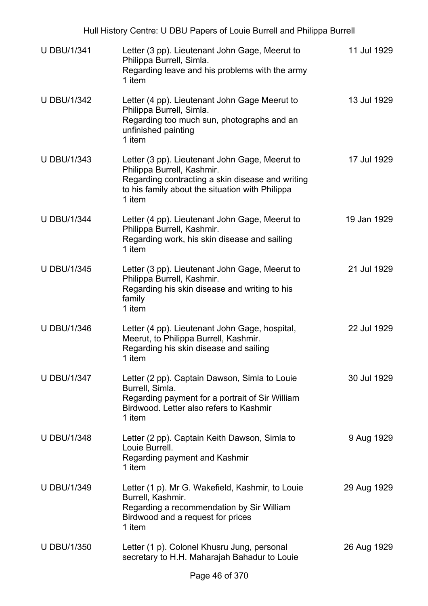|                    | Hull History Centre: U DBU Papers of Louie Burrell and Philippa Burrell                                                                                                                       |             |
|--------------------|-----------------------------------------------------------------------------------------------------------------------------------------------------------------------------------------------|-------------|
| <b>U DBU/1/341</b> | Letter (3 pp). Lieutenant John Gage, Meerut to<br>Philippa Burrell, Simla.<br>Regarding leave and his problems with the army<br>1 item                                                        | 11 Jul 1929 |
| <b>U DBU/1/342</b> | Letter (4 pp). Lieutenant John Gage Meerut to<br>Philippa Burrell, Simla.<br>Regarding too much sun, photographs and an<br>unfinished painting<br>1 item                                      | 13 Jul 1929 |
| <b>U DBU/1/343</b> | Letter (3 pp). Lieutenant John Gage, Meerut to<br>Philippa Burrell, Kashmir.<br>Regarding contracting a skin disease and writing<br>to his family about the situation with Philippa<br>1 item | 17 Jul 1929 |
| <b>U DBU/1/344</b> | Letter (4 pp). Lieutenant John Gage, Meerut to<br>Philippa Burrell, Kashmir.<br>Regarding work, his skin disease and sailing<br>1 item                                                        | 19 Jan 1929 |
| <b>U DBU/1/345</b> | Letter (3 pp). Lieutenant John Gage, Meerut to<br>Philippa Burrell, Kashmir.<br>Regarding his skin disease and writing to his<br>family<br>1 item                                             | 21 Jul 1929 |
| <b>U DBU/1/346</b> | Letter (4 pp). Lieutenant John Gage, hospital,<br>Meerut, to Philippa Burrell, Kashmir.<br>Regarding his skin disease and sailing<br>1 item                                                   | 22 Jul 1929 |
| <b>U DBU/1/347</b> | Letter (2 pp). Captain Dawson, Simla to Louie<br>Burrell, Simla.<br>Regarding payment for a portrait of Sir William<br>Birdwood. Letter also refers to Kashmir<br>1 item                      | 30 Jul 1929 |
| <b>U DBU/1/348</b> | Letter (2 pp). Captain Keith Dawson, Simla to<br>Louie Burrell.<br>Regarding payment and Kashmir<br>1 item                                                                                    | 9 Aug 1929  |
| <b>U DBU/1/349</b> | Letter (1 p). Mr G. Wakefield, Kashmir, to Louie<br>Burrell, Kashmir.<br>Regarding a recommendation by Sir William<br>Birdwood and a request for prices<br>1 item                             | 29 Aug 1929 |
| <b>U DBU/1/350</b> | Letter (1 p). Colonel Khusru Jung, personal<br>secretary to H.H. Maharajah Bahadur to Louie                                                                                                   | 26 Aug 1929 |
|                    |                                                                                                                                                                                               |             |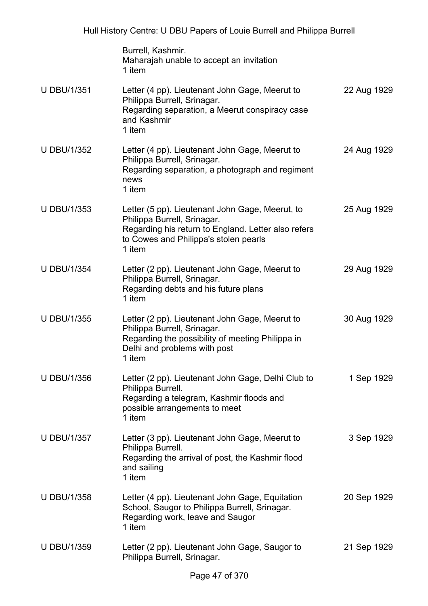|                    | Burrell, Kashmir.<br>Maharajah unable to accept an invitation<br>1 item                                                                                                                  |             |
|--------------------|------------------------------------------------------------------------------------------------------------------------------------------------------------------------------------------|-------------|
| <b>U DBU/1/351</b> | Letter (4 pp). Lieutenant John Gage, Meerut to<br>Philippa Burrell, Srinagar.<br>Regarding separation, a Meerut conspiracy case<br>and Kashmir<br>1 item                                 | 22 Aug 1929 |
| <b>U DBU/1/352</b> | Letter (4 pp). Lieutenant John Gage, Meerut to<br>Philippa Burrell, Srinagar.<br>Regarding separation, a photograph and regiment<br>news<br>1 item                                       | 24 Aug 1929 |
| <b>U DBU/1/353</b> | Letter (5 pp). Lieutenant John Gage, Meerut, to<br>Philippa Burrell, Srinagar.<br>Regarding his return to England. Letter also refers<br>to Cowes and Philippa's stolen pearls<br>1 item | 25 Aug 1929 |
| <b>U DBU/1/354</b> | Letter (2 pp). Lieutenant John Gage, Meerut to<br>Philippa Burrell, Srinagar.<br>Regarding debts and his future plans<br>1 item                                                          | 29 Aug 1929 |
| <b>U DBU/1/355</b> | Letter (2 pp). Lieutenant John Gage, Meerut to<br>Philippa Burrell, Srinagar.<br>Regarding the possibility of meeting Philippa in<br>Delhi and problems with post<br>1 item              | 30 Aug 1929 |
| <b>U DBU/1/356</b> | Letter (2 pp). Lieutenant John Gage, Delhi Club to<br>Philippa Burrell.<br>Regarding a telegram, Kashmir floods and<br>possible arrangements to meet<br>1 item                           | 1 Sep 1929  |
| <b>U DBU/1/357</b> | Letter (3 pp). Lieutenant John Gage, Meerut to<br>Philippa Burrell.<br>Regarding the arrival of post, the Kashmir flood<br>and sailing<br>1 item                                         | 3 Sep 1929  |
| <b>U DBU/1/358</b> | Letter (4 pp). Lieutenant John Gage, Equitation<br>School, Saugor to Philippa Burrell, Srinagar.<br>Regarding work, leave and Saugor<br>1 item                                           | 20 Sep 1929 |
| <b>U DBU/1/359</b> | Letter (2 pp). Lieutenant John Gage, Saugor to<br>Philippa Burrell, Srinagar.                                                                                                            | 21 Sep 1929 |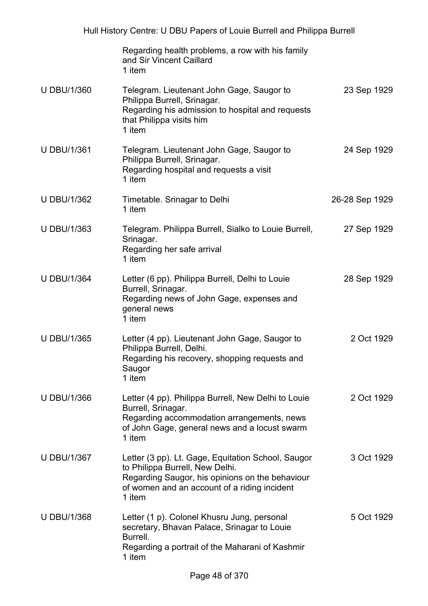|                    | Regarding health problems, a row with his family<br>and Sir Vincent Caillard<br>1 item                                                                                                             |                |
|--------------------|----------------------------------------------------------------------------------------------------------------------------------------------------------------------------------------------------|----------------|
| <b>U DBU/1/360</b> | Telegram. Lieutenant John Gage, Saugor to<br>Philippa Burrell, Srinagar.<br>Regarding his admission to hospital and requests<br>that Philippa visits him<br>1 item                                 | 23 Sep 1929    |
| <b>U DBU/1/361</b> | Telegram. Lieutenant John Gage, Saugor to<br>Philippa Burrell, Srinagar.<br>Regarding hospital and requests a visit<br>1 item                                                                      | 24 Sep 1929    |
| <b>U DBU/1/362</b> | Timetable. Srinagar to Delhi<br>1 item                                                                                                                                                             | 26-28 Sep 1929 |
| <b>U DBU/1/363</b> | Telegram. Philippa Burrell, Sialko to Louie Burrell,<br>Srinagar.<br>Regarding her safe arrival<br>1 item                                                                                          | 27 Sep 1929    |
| <b>U DBU/1/364</b> | Letter (6 pp). Philippa Burrell, Delhi to Louie<br>Burrell, Srinagar.<br>Regarding news of John Gage, expenses and<br>general news<br>1 item                                                       | 28 Sep 1929    |
| <b>U DBU/1/365</b> | Letter (4 pp). Lieutenant John Gage, Saugor to<br>Philippa Burrell, Delhi.<br>Regarding his recovery, shopping requests and<br>Saugor<br>1 item                                                    | 2 Oct 1929     |
| <b>U DBU/1/366</b> | Letter (4 pp). Philippa Burrell, New Delhi to Louie<br>Burrell, Srinagar.<br>Regarding accommodation arrangements, news<br>of John Gage, general news and a locust swarm<br>1 item                 | 2 Oct 1929     |
| <b>U DBU/1/367</b> | Letter (3 pp). Lt. Gage, Equitation School, Saugor<br>to Philippa Burrell, New Delhi.<br>Regarding Saugor, his opinions on the behaviour<br>of women and an account of a riding incident<br>1 item | 3 Oct 1929     |
| <b>U DBU/1/368</b> | Letter (1 p). Colonel Khusru Jung, personal<br>secretary, Bhavan Palace, Srinagar to Louie<br>Burrell.<br>Regarding a portrait of the Maharani of Kashmir<br>1 item                                | 5 Oct 1929     |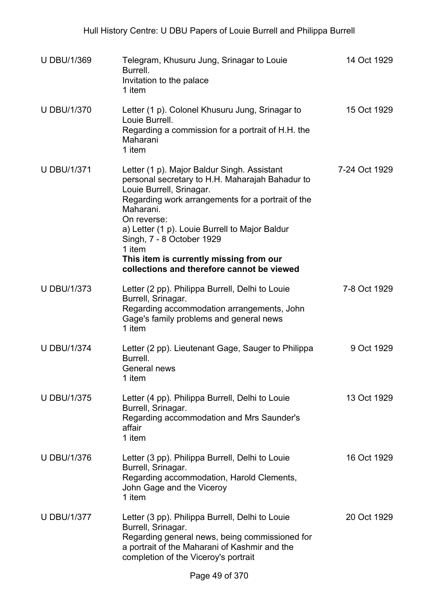| <b>U DBU/1/369</b> | Telegram, Khusuru Jung, Srinagar to Louie<br>Burrell.<br>Invitation to the palace<br>1 item                                                                                                                                                                                                                                                                                                   | 14 Oct 1929   |
|--------------------|-----------------------------------------------------------------------------------------------------------------------------------------------------------------------------------------------------------------------------------------------------------------------------------------------------------------------------------------------------------------------------------------------|---------------|
| <b>U DBU/1/370</b> | Letter (1 p). Colonel Khusuru Jung, Srinagar to<br>Louie Burrell.<br>Regarding a commission for a portrait of H.H. the<br>Maharani<br>1 item                                                                                                                                                                                                                                                  | 15 Oct 1929   |
| <b>U DBU/1/371</b> | Letter (1 p). Major Baldur Singh. Assistant<br>personal secretary to H.H. Maharajah Bahadur to<br>Louie Burrell, Srinagar.<br>Regarding work arrangements for a portrait of the<br>Maharani.<br>On reverse:<br>a) Letter (1 p). Louie Burrell to Major Baldur<br>Singh, 7 - 8 October 1929<br>1 item<br>This item is currently missing from our<br>collections and therefore cannot be viewed | 7-24 Oct 1929 |
| <b>U DBU/1/373</b> | Letter (2 pp). Philippa Burrell, Delhi to Louie<br>Burrell, Srinagar.<br>Regarding accommodation arrangements, John<br>Gage's family problems and general news<br>1 item                                                                                                                                                                                                                      | 7-8 Oct 1929  |
| <b>U DBU/1/374</b> | Letter (2 pp). Lieutenant Gage, Sauger to Philippa<br>Burrell.<br>General news<br>1 item                                                                                                                                                                                                                                                                                                      | 9 Oct 1929    |
| <b>U DBU/1/375</b> | Letter (4 pp). Philippa Burrell, Delhi to Louie<br>Burrell, Srinagar.<br>Regarding accommodation and Mrs Saunder's<br>affair<br>1 item                                                                                                                                                                                                                                                        | 13 Oct 1929   |
| <b>U DBU/1/376</b> | Letter (3 pp). Philippa Burrell, Delhi to Louie<br>Burrell, Srinagar.<br>Regarding accommodation, Harold Clements,<br>John Gage and the Viceroy<br>1 item                                                                                                                                                                                                                                     | 16 Oct 1929   |
| <b>U DBU/1/377</b> | Letter (3 pp). Philippa Burrell, Delhi to Louie<br>Burrell, Srinagar.<br>Regarding general news, being commissioned for<br>a portrait of the Maharani of Kashmir and the<br>completion of the Viceroy's portrait                                                                                                                                                                              | 20 Oct 1929   |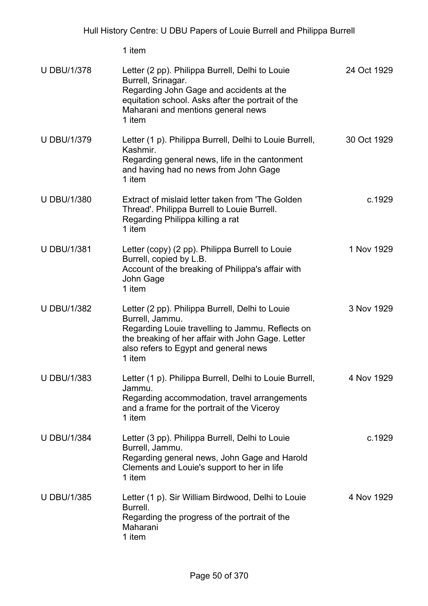| <b>U DBU/1/378</b> | Letter (2 pp). Philippa Burrell, Delhi to Louie<br>Burrell, Srinagar.<br>Regarding John Gage and accidents at the<br>equitation school. Asks after the portrait of the<br>Maharani and mentions general news<br>1 item         | 24 Oct 1929 |
|--------------------|--------------------------------------------------------------------------------------------------------------------------------------------------------------------------------------------------------------------------------|-------------|
| <b>U DBU/1/379</b> | Letter (1 p). Philippa Burrell, Delhi to Louie Burrell,<br>Kashmir.<br>Regarding general news, life in the cantonment<br>and having had no news from John Gage<br>1 item                                                       | 30 Oct 1929 |
| <b>U DBU/1/380</b> | Extract of mislaid letter taken from 'The Golden<br>Thread'. Philippa Burrell to Louie Burrell.<br>Regarding Philippa killing a rat<br>1 item                                                                                  | c.1929      |
| <b>U DBU/1/381</b> | Letter (copy) (2 pp). Philippa Burrell to Louie<br>Burrell, copied by L.B.<br>Account of the breaking of Philippa's affair with<br>John Gage<br>1 item                                                                         | 1 Nov 1929  |
| <b>U DBU/1/382</b> | Letter (2 pp). Philippa Burrell, Delhi to Louie<br>Burrell, Jammu.<br>Regarding Louie travelling to Jammu. Reflects on<br>the breaking of her affair with John Gage. Letter<br>also refers to Egypt and general news<br>1 item | 3 Nov 1929  |
| <b>U DBU/1/383</b> | Letter (1 p). Philippa Burrell, Delhi to Louie Burrell,<br>Jammu.<br>Regarding accommodation, travel arrangements<br>and a frame for the portrait of the Viceroy<br>1 item                                                     | 4 Nov 1929  |
| <b>U DBU/1/384</b> | Letter (3 pp). Philippa Burrell, Delhi to Louie<br>Burrell, Jammu.<br>Regarding general news, John Gage and Harold<br>Clements and Louie's support to her in life<br>1 item                                                    | c.1929      |
| <b>U DBU/1/385</b> | Letter (1 p). Sir William Birdwood, Delhi to Louie<br>Burrell.<br>Regarding the progress of the portrait of the<br>Maharani<br>1 item                                                                                          | 4 Nov 1929  |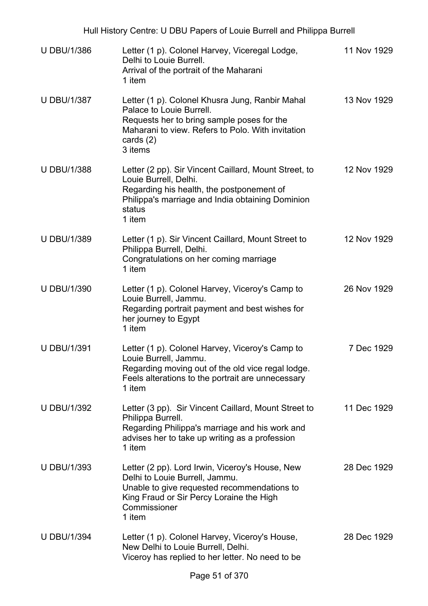| <b>U DBU/1/386</b> | Letter (1 p). Colonel Harvey, Viceregal Lodge,<br>Delhi to Louie Burrell.<br>Arrival of the portrait of the Maharani<br>1 item                                                                           | 11 Nov 1929 |
|--------------------|----------------------------------------------------------------------------------------------------------------------------------------------------------------------------------------------------------|-------------|
| <b>U DBU/1/387</b> | Letter (1 p). Colonel Khusra Jung, Ranbir Mahal<br>Palace to Louie Burrell.<br>Requests her to bring sample poses for the<br>Maharani to view. Refers to Polo. With invitation<br>cards $(2)$<br>3 items | 13 Nov 1929 |
| <b>U DBU/1/388</b> | Letter (2 pp). Sir Vincent Caillard, Mount Street, to<br>Louie Burrell, Delhi.<br>Regarding his health, the postponement of<br>Philippa's marriage and India obtaining Dominion<br>status<br>1 item      | 12 Nov 1929 |
| <b>U DBU/1/389</b> | Letter (1 p). Sir Vincent Caillard, Mount Street to<br>Philippa Burrell, Delhi.<br>Congratulations on her coming marriage<br>1 item                                                                      | 12 Nov 1929 |
| <b>U DBU/1/390</b> | Letter (1 p). Colonel Harvey, Viceroy's Camp to<br>Louie Burrell, Jammu.<br>Regarding portrait payment and best wishes for<br>her journey to Egypt<br>1 item                                             | 26 Nov 1929 |
| <b>U DBU/1/391</b> | Letter (1 p). Colonel Harvey, Viceroy's Camp to<br>Louie Burrell, Jammu.<br>Regarding moving out of the old vice regal lodge.<br>Feels alterations to the portrait are unnecessary<br>1 item             | 7 Dec 1929  |
| <b>U DBU/1/392</b> | Letter (3 pp). Sir Vincent Caillard, Mount Street to<br>Philippa Burrell.<br>Regarding Philippa's marriage and his work and<br>advises her to take up writing as a profession<br>1 item                  | 11 Dec 1929 |
| <b>U DBU/1/393</b> | Letter (2 pp). Lord Irwin, Viceroy's House, New<br>Delhi to Louie Burrell, Jammu.<br>Unable to give requested recommendations to<br>King Fraud or Sir Percy Loraine the High<br>Commissioner<br>1 item   | 28 Dec 1929 |
| <b>U DBU/1/394</b> | Letter (1 p). Colonel Harvey, Viceroy's House,<br>New Delhi to Louie Burrell, Delhi.<br>Viceroy has replied to her letter. No need to be                                                                 | 28 Dec 1929 |
|                    |                                                                                                                                                                                                          |             |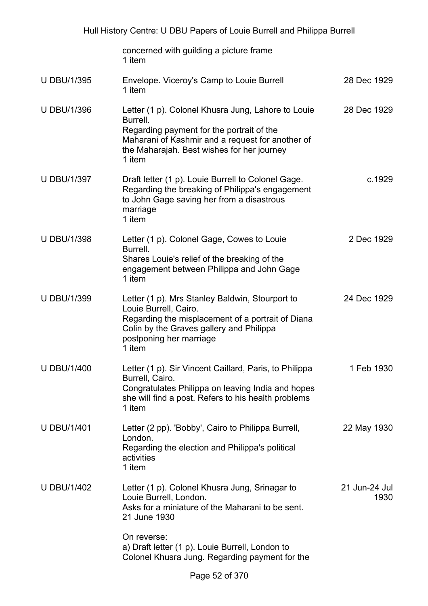|                    | concerned with guilding a picture frame<br>1 item                                                                                                                                                                       |                       |
|--------------------|-------------------------------------------------------------------------------------------------------------------------------------------------------------------------------------------------------------------------|-----------------------|
| <b>U DBU/1/395</b> | Envelope. Viceroy's Camp to Louie Burrell<br>1 item                                                                                                                                                                     | 28 Dec 1929           |
| <b>U DBU/1/396</b> | Letter (1 p). Colonel Khusra Jung, Lahore to Louie<br>Burrell.<br>Regarding payment for the portrait of the<br>Maharani of Kashmir and a request for another of<br>the Maharajah. Best wishes for her journey<br>1 item | 28 Dec 1929           |
| <b>U DBU/1/397</b> | Draft letter (1 p). Louie Burrell to Colonel Gage.<br>Regarding the breaking of Philippa's engagement<br>to John Gage saving her from a disastrous<br>marriage<br>1 item                                                | c.1929                |
| <b>U DBU/1/398</b> | Letter (1 p). Colonel Gage, Cowes to Louie<br>Burrell.<br>Shares Louie's relief of the breaking of the<br>engagement between Philippa and John Gage<br>1 item                                                           | 2 Dec 1929            |
| <b>U DBU/1/399</b> | Letter (1 p). Mrs Stanley Baldwin, Stourport to<br>Louie Burrell, Cairo.<br>Regarding the misplacement of a portrait of Diana<br>Colin by the Graves gallery and Philippa<br>postponing her marriage<br>1 item          | 24 Dec 1929           |
| <b>U DBU/1/400</b> | Letter (1 p). Sir Vincent Caillard, Paris, to Philippa<br>Burrell, Cairo.<br>Congratulates Philippa on leaving India and hopes<br>she will find a post. Refers to his health problems<br>1 item                         | 1 Feb 1930            |
| <b>U DBU/1/401</b> | Letter (2 pp). 'Bobby', Cairo to Philippa Burrell,<br>London.<br>Regarding the election and Philippa's political<br>activities<br>1 item                                                                                | 22 May 1930           |
| <b>U DBU/1/402</b> | Letter (1 p). Colonel Khusra Jung, Srinagar to<br>Louie Burrell, London.<br>Asks for a miniature of the Maharani to be sent.<br>21 June 1930                                                                            | 21 Jun-24 Jul<br>1930 |
|                    | On reverse:<br>a) Draft letter (1 p). Louie Burrell, London to<br>Colonel Khusra Jung. Regarding payment for the                                                                                                        |                       |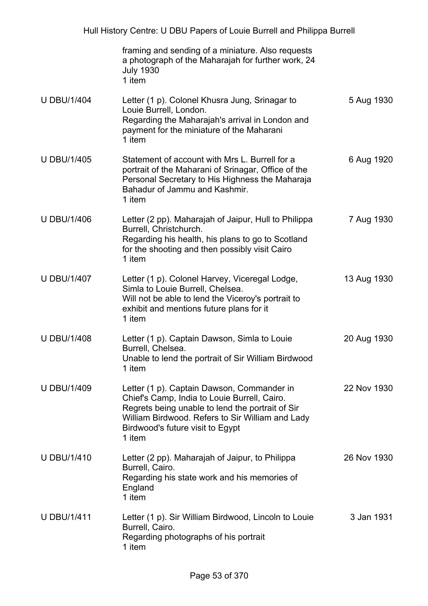|                    | framing and sending of a miniature. Also requests<br>a photograph of the Maharajah for further work, 24<br><b>July 1930</b><br>1 item                                                                                                            |             |
|--------------------|--------------------------------------------------------------------------------------------------------------------------------------------------------------------------------------------------------------------------------------------------|-------------|
| <b>U DBU/1/404</b> | Letter (1 p). Colonel Khusra Jung, Srinagar to<br>Louie Burrell, London.<br>Regarding the Maharajah's arrival in London and<br>payment for the miniature of the Maharani<br>1 item                                                               | 5 Aug 1930  |
| <b>U DBU/1/405</b> | Statement of account with Mrs L. Burrell for a<br>portrait of the Maharani of Srinagar, Office of the<br>Personal Secretary to His Highness the Maharaja<br>Bahadur of Jammu and Kashmir.<br>1 item                                              | 6 Aug 1920  |
| <b>U DBU/1/406</b> | Letter (2 pp). Maharajah of Jaipur, Hull to Philippa<br>Burrell, Christchurch.<br>Regarding his health, his plans to go to Scotland<br>for the shooting and then possibly visit Cairo<br>1 item                                                  | 7 Aug 1930  |
| <b>U DBU/1/407</b> | Letter (1 p). Colonel Harvey, Viceregal Lodge,<br>Simla to Louie Burrell, Chelsea.<br>Will not be able to lend the Viceroy's portrait to<br>exhibit and mentions future plans for it<br>1 item                                                   | 13 Aug 1930 |
| <b>U DBU/1/408</b> | Letter (1 p). Captain Dawson, Simla to Louie<br>Burrell, Chelsea.<br>Unable to lend the portrait of Sir William Birdwood<br>1 item                                                                                                               | 20 Aug 1930 |
| <b>U DBU/1/409</b> | Letter (1 p). Captain Dawson, Commander in<br>Chief's Camp, India to Louie Burrell, Cairo.<br>Regrets being unable to lend the portrait of Sir<br>William Birdwood. Refers to Sir William and Lady<br>Birdwood's future visit to Egypt<br>1 item | 22 Nov 1930 |
| <b>U DBU/1/410</b> | Letter (2 pp). Maharajah of Jaipur, to Philippa<br>Burrell, Cairo.<br>Regarding his state work and his memories of<br>England<br>1 item                                                                                                          | 26 Nov 1930 |
| <b>U DBU/1/411</b> | Letter (1 p). Sir William Birdwood, Lincoln to Louie<br>Burrell, Cairo.<br>Regarding photographs of his portrait<br>1 item                                                                                                                       | 3 Jan 1931  |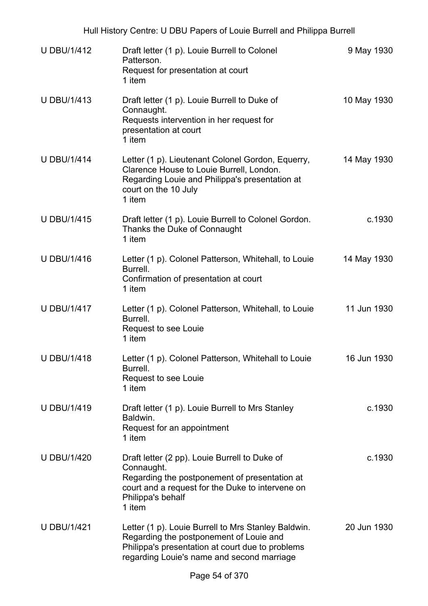| <b>U DBU/1/412</b> | Draft letter (1 p). Louie Burrell to Colonel<br>Patterson.<br>Request for presentation at court<br>1 item                                                                                        | 9 May 1930  |
|--------------------|--------------------------------------------------------------------------------------------------------------------------------------------------------------------------------------------------|-------------|
| <b>U DBU/1/413</b> | Draft letter (1 p). Louie Burrell to Duke of<br>Connaught.<br>Requests intervention in her request for<br>presentation at court<br>1 item                                                        | 10 May 1930 |
| <b>U DBU/1/414</b> | Letter (1 p). Lieutenant Colonel Gordon, Equerry,<br>Clarence House to Louie Burrell, London.<br>Regarding Louie and Philippa's presentation at<br>court on the 10 July<br>1 item                | 14 May 1930 |
| <b>U DBU/1/415</b> | Draft letter (1 p). Louie Burrell to Colonel Gordon.<br>Thanks the Duke of Connaught<br>1 item                                                                                                   | c.1930      |
| <b>U DBU/1/416</b> | Letter (1 p). Colonel Patterson, Whitehall, to Louie<br>Burrell.<br>Confirmation of presentation at court<br>1 item                                                                              | 14 May 1930 |
| <b>U DBU/1/417</b> | Letter (1 p). Colonel Patterson, Whitehall, to Louie<br>Burrell.<br>Request to see Louie<br>1 item                                                                                               | 11 Jun 1930 |
| <b>U DBU/1/418</b> | Letter (1 p). Colonel Patterson, Whitehall to Louie<br>Burrell.<br>Request to see Louie<br>1 item                                                                                                | 16 Jun 1930 |
| <b>U DBU/1/419</b> | Draft letter (1 p). Louie Burrell to Mrs Stanley<br>Baldwin.<br>Request for an appointment<br>1 item                                                                                             | c.1930      |
| <b>U DBU/1/420</b> | Draft letter (2 pp). Louie Burrell to Duke of<br>Connaught.<br>Regarding the postponement of presentation at<br>court and a request for the Duke to intervene on<br>Philippa's behalf<br>1 item  | c.1930      |
| <b>U DBU/1/421</b> | Letter (1 p). Louie Burrell to Mrs Stanley Baldwin.<br>Regarding the postponement of Louie and<br>Philippa's presentation at court due to problems<br>regarding Louie's name and second marriage | 20 Jun 1930 |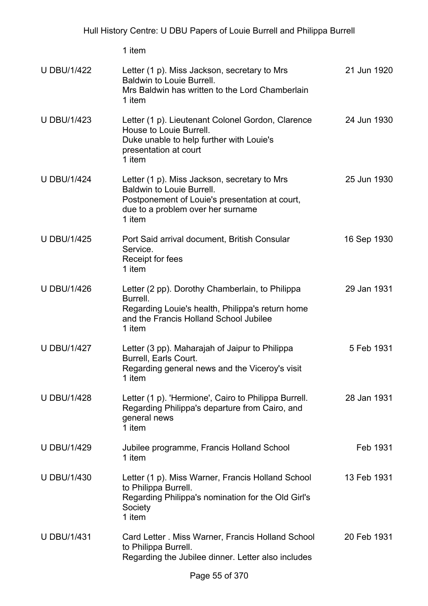| <b>U DBU/1/422</b> | Letter (1 p). Miss Jackson, secretary to Mrs<br><b>Baldwin to Louie Burrell.</b><br>Mrs Baldwin has written to the Lord Chamberlain<br>1 item                                     | 21 Jun 1920 |
|--------------------|-----------------------------------------------------------------------------------------------------------------------------------------------------------------------------------|-------------|
| <b>U DBU/1/423</b> | Letter (1 p). Lieutenant Colonel Gordon, Clarence<br>House to Louie Burrell.<br>Duke unable to help further with Louie's<br>presentation at court<br>1 item                       | 24 Jun 1930 |
| <b>U DBU/1/424</b> | Letter (1 p). Miss Jackson, secretary to Mrs<br><b>Baldwin to Louie Burrell.</b><br>Postponement of Louie's presentation at court,<br>due to a problem over her surname<br>1 item | 25 Jun 1930 |
| <b>U DBU/1/425</b> | Port Said arrival document, British Consular<br>Service.<br>Receipt for fees<br>1 item                                                                                            | 16 Sep 1930 |
| <b>U DBU/1/426</b> | Letter (2 pp). Dorothy Chamberlain, to Philippa<br>Burrell.<br>Regarding Louie's health, Philippa's return home<br>and the Francis Holland School Jubilee<br>1 item               | 29 Jan 1931 |
| <b>U DBU/1/427</b> | Letter (3 pp). Maharajah of Jaipur to Philippa<br>Burrell, Earls Court.<br>Regarding general news and the Viceroy's visit<br>1 item                                               | 5 Feb 1931  |
| <b>U DBU/1/428</b> | Letter (1 p). 'Hermione', Cairo to Philippa Burrell.<br>Regarding Philippa's departure from Cairo, and<br>general news<br>1 item                                                  | 28 Jan 1931 |
| <b>U DBU/1/429</b> | Jubilee programme, Francis Holland School<br>1 item                                                                                                                               | Feb 1931    |
| <b>U DBU/1/430</b> | Letter (1 p). Miss Warner, Francis Holland School<br>to Philippa Burrell.<br>Regarding Philippa's nomination for the Old Girl's<br>Society<br>1 item                              | 13 Feb 1931 |
| <b>U DBU/1/431</b> | Card Letter . Miss Warner, Francis Holland School<br>to Philippa Burrell.<br>Regarding the Jubilee dinner. Letter also includes                                                   | 20 Feb 1931 |
|                    | $D_{200}$ EE of 270                                                                                                                                                               |             |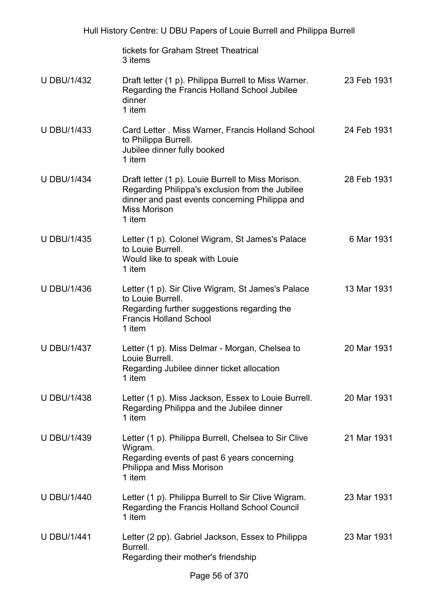| Hull History Centre: U DBU Papers of Louie Burrell and Philippa Burrell |                                                                                                                                                                                          |             |
|-------------------------------------------------------------------------|------------------------------------------------------------------------------------------------------------------------------------------------------------------------------------------|-------------|
|                                                                         | tickets for Graham Street Theatrical<br>3 items                                                                                                                                          |             |
| <b>U DBU/1/432</b>                                                      | Draft letter (1 p). Philippa Burrell to Miss Warner.<br>Regarding the Francis Holland School Jubilee<br>dinner<br>1 item                                                                 | 23 Feb 1931 |
| <b>U DBU/1/433</b>                                                      | Card Letter . Miss Warner, Francis Holland School<br>to Philippa Burrell.<br>Jubilee dinner fully booked<br>1 item                                                                       | 24 Feb 1931 |
| <b>U DBU/1/434</b>                                                      | Draft letter (1 p). Louie Burrell to Miss Morison.<br>Regarding Philippa's exclusion from the Jubilee<br>dinner and past events concerning Philippa and<br><b>Miss Morison</b><br>1 item | 28 Feb 1931 |
| <b>U DBU/1/435</b>                                                      | Letter (1 p). Colonel Wigram, St James's Palace<br>to Louie Burrell.<br>Would like to speak with Louie<br>1 item                                                                         | 6 Mar 1931  |
| <b>U DBU/1/436</b>                                                      | Letter (1 p). Sir Clive Wigram, St James's Palace<br>to Louie Burrell.<br>Regarding further suggestions regarding the<br><b>Francis Holland School</b><br>1 item                         | 13 Mar 1931 |
| <b>U DBU/1/437</b>                                                      | Letter (1 p). Miss Delmar - Morgan, Chelsea to<br>Louie Burrell.<br>Regarding Jubilee dinner ticket allocation<br>1 item                                                                 | 20 Mar 1931 |
| <b>U DBU/1/438</b>                                                      | Letter (1 p). Miss Jackson, Essex to Louie Burrell.<br>Regarding Philippa and the Jubilee dinner<br>1 item                                                                               | 20 Mar 1931 |
| <b>U DBU/1/439</b>                                                      | Letter (1 p). Philippa Burrell, Chelsea to Sir Clive<br>Wigram.<br>Regarding events of past 6 years concerning<br>Philippa and Miss Morison<br>1 item                                    | 21 Mar 1931 |
| <b>U DBU/1/440</b>                                                      | Letter (1 p). Philippa Burrell to Sir Clive Wigram.<br>Regarding the Francis Holland School Council<br>1 item                                                                            | 23 Mar 1931 |
| <b>U DBU/1/441</b>                                                      | Letter (2 pp). Gabriel Jackson, Essex to Philippa<br>Burrell.<br>Regarding their mother's friendship                                                                                     | 23 Mar 1931 |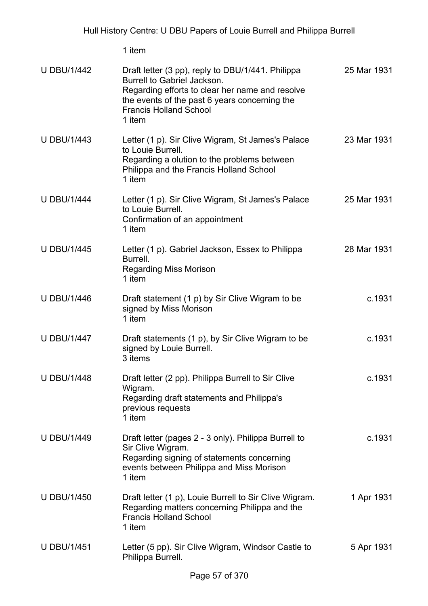| <b>U DBU/1/442</b> | Draft letter (3 pp), reply to DBU/1/441. Philippa<br>Burrell to Gabriel Jackson.<br>Regarding efforts to clear her name and resolve<br>the events of the past 6 years concerning the<br><b>Francis Holland School</b><br>1 item | 25 Mar 1931 |
|--------------------|---------------------------------------------------------------------------------------------------------------------------------------------------------------------------------------------------------------------------------|-------------|
| <b>U DBU/1/443</b> | Letter (1 p). Sir Clive Wigram, St James's Palace<br>to Louie Burrell.<br>Regarding a olution to the problems between<br>Philippa and the Francis Holland School<br>1 item                                                      | 23 Mar 1931 |
| <b>U DBU/1/444</b> | Letter (1 p). Sir Clive Wigram, St James's Palace<br>to Louie Burrell.<br>Confirmation of an appointment<br>1 item                                                                                                              | 25 Mar 1931 |
| <b>U DBU/1/445</b> | Letter (1 p). Gabriel Jackson, Essex to Philippa<br>Burrell.<br><b>Regarding Miss Morison</b><br>1 item                                                                                                                         | 28 Mar 1931 |
| <b>U DBU/1/446</b> | Draft statement (1 p) by Sir Clive Wigram to be<br>signed by Miss Morison<br>1 item                                                                                                                                             | c.1931      |
| <b>U DBU/1/447</b> | Draft statements (1 p), by Sir Clive Wigram to be<br>signed by Louie Burrell.<br>3 items                                                                                                                                        | c.1931      |
| <b>U DBU/1/448</b> | Draft letter (2 pp). Philippa Burrell to Sir Clive<br>Wigram.<br>Regarding draft statements and Philippa's<br>previous requests<br>1 item                                                                                       | c.1931      |
| <b>U DBU/1/449</b> | Draft letter (pages 2 - 3 only). Philippa Burrell to<br>Sir Clive Wigram.<br>Regarding signing of statements concerning<br>events between Philippa and Miss Morison<br>1 item                                                   | c.1931      |
| <b>U DBU/1/450</b> | Draft letter (1 p), Louie Burrell to Sir Clive Wigram.<br>Regarding matters concerning Philippa and the<br><b>Francis Holland School</b><br>1 item                                                                              | 1 Apr 1931  |
| <b>U DBU/1/451</b> | Letter (5 pp). Sir Clive Wigram, Windsor Castle to<br>Philippa Burrell.                                                                                                                                                         | 5 Apr 1931  |
|                    | E7 - CO7C                                                                                                                                                                                                                       |             |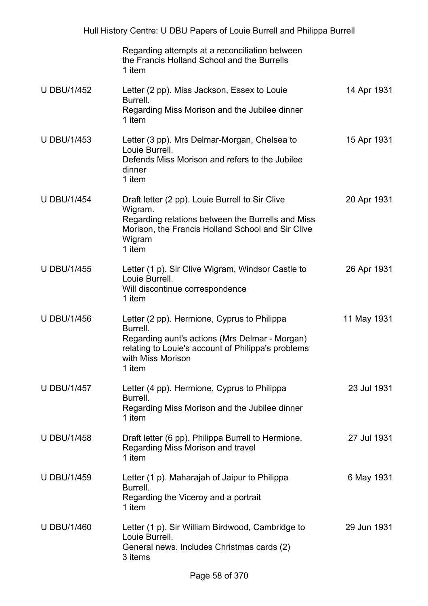|                    | Regarding attempts at a reconciliation between<br>the Francis Holland School and the Burrells<br>1 item                                                                                        |             |
|--------------------|------------------------------------------------------------------------------------------------------------------------------------------------------------------------------------------------|-------------|
| <b>U DBU/1/452</b> | Letter (2 pp). Miss Jackson, Essex to Louie<br>Burrell.<br>Regarding Miss Morison and the Jubilee dinner<br>1 item                                                                             | 14 Apr 1931 |
| <b>U DBU/1/453</b> | Letter (3 pp). Mrs Delmar-Morgan, Chelsea to<br>Louie Burrell.<br>Defends Miss Morison and refers to the Jubilee<br>dinner<br>1 item                                                           | 15 Apr 1931 |
| <b>U DBU/1/454</b> | Draft letter (2 pp). Louie Burrell to Sir Clive<br>Wigram.<br>Regarding relations between the Burrells and Miss<br>Morison, the Francis Holland School and Sir Clive<br>Wigram<br>1 item       | 20 Apr 1931 |
| <b>U DBU/1/455</b> | Letter (1 p). Sir Clive Wigram, Windsor Castle to<br>Louie Burrell.<br>Will discontinue correspondence<br>1 item                                                                               | 26 Apr 1931 |
| <b>U DBU/1/456</b> | Letter (2 pp). Hermione, Cyprus to Philippa<br>Burrell.<br>Regarding aunt's actions (Mrs Delmar - Morgan)<br>relating to Louie's account of Philippa's problems<br>with Miss Morison<br>1 item | 11 May 1931 |
| <b>U DBU/1/457</b> | Letter (4 pp). Hermione, Cyprus to Philippa<br>Burrell.<br>Regarding Miss Morison and the Jubilee dinner<br>1 item                                                                             | 23 Jul 1931 |
| <b>U DBU/1/458</b> | Draft letter (6 pp). Philippa Burrell to Hermione.<br>Regarding Miss Morison and travel<br>1 item                                                                                              | 27 Jul 1931 |
| <b>U DBU/1/459</b> | Letter (1 p). Maharajah of Jaipur to Philippa<br>Burrell.<br>Regarding the Viceroy and a portrait<br>1 item                                                                                    | 6 May 1931  |
| <b>U DBU/1/460</b> | Letter (1 p). Sir William Birdwood, Cambridge to<br>Louie Burrell.<br>General news. Includes Christmas cards (2)<br>3 items                                                                    | 29 Jun 1931 |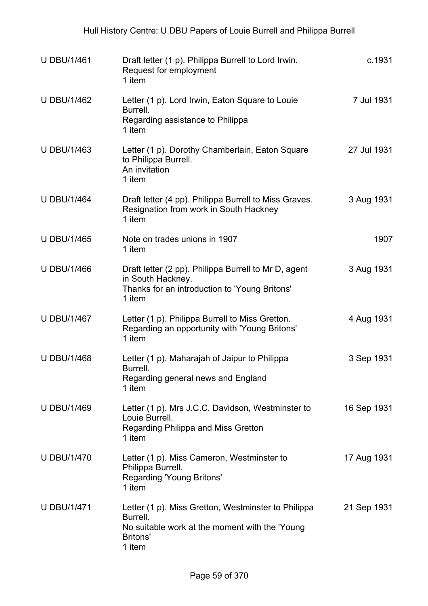| <b>U DBU/1/461</b> | Draft letter (1 p). Philippa Burrell to Lord Irwin.<br>Request for employment<br>1 item                                                        | c.1931      |
|--------------------|------------------------------------------------------------------------------------------------------------------------------------------------|-------------|
| <b>U DBU/1/462</b> | Letter (1 p). Lord Irwin, Eaton Square to Louie<br>Burrell.<br>Regarding assistance to Philippa<br>1 item                                      | 7 Jul 1931  |
| <b>U DBU/1/463</b> | Letter (1 p). Dorothy Chamberlain, Eaton Square<br>to Philippa Burrell.<br>An invitation<br>1 item                                             | 27 Jul 1931 |
| <b>U DBU/1/464</b> | Draft letter (4 pp). Philippa Burrell to Miss Graves.<br>Resignation from work in South Hackney<br>1 item                                      | 3 Aug 1931  |
| <b>U DBU/1/465</b> | Note on trades unions in 1907<br>1 item                                                                                                        | 1907        |
| <b>U DBU/1/466</b> | Draft letter (2 pp). Philippa Burrell to Mr D, agent<br>in South Hackney.<br>Thanks for an introduction to 'Young Britons'<br>1 item           | 3 Aug 1931  |
| <b>U DBU/1/467</b> | Letter (1 p). Philippa Burrell to Miss Gretton.<br>Regarding an opportunity with 'Young Britons'<br>1 item                                     | 4 Aug 1931  |
| <b>U DBU/1/468</b> | Letter (1 p). Maharajah of Jaipur to Philippa<br>Burrell.<br>Regarding general news and England<br>1 item                                      | 3 Sep 1931  |
| <b>U DBU/1/469</b> | Letter (1 p). Mrs J.C.C. Davidson, Westminster to<br>Louie Burrell.<br>Regarding Philippa and Miss Gretton<br>1 item                           | 16 Sep 1931 |
| <b>U DBU/1/470</b> | Letter (1 p). Miss Cameron, Westminster to<br>Philippa Burrell.<br><b>Regarding 'Young Britons'</b><br>1 item                                  | 17 Aug 1931 |
| <b>U DBU/1/471</b> | Letter (1 p). Miss Gretton, Westminster to Philippa<br>Burrell.<br>No suitable work at the moment with the 'Young<br><b>Britons'</b><br>1 item | 21 Sep 1931 |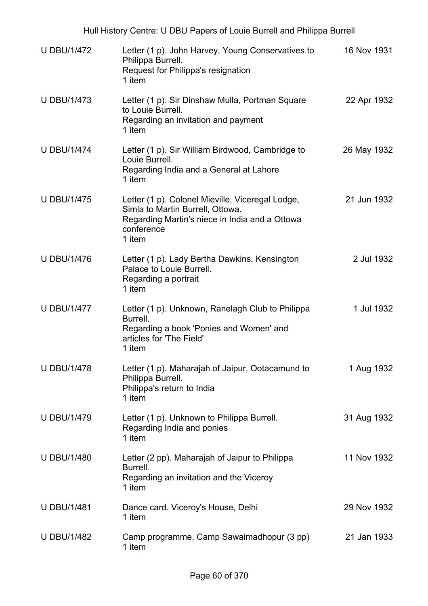| <b>U DBU/1/472</b> | Letter (1 p). John Harvey, Young Conservatives to<br>Philippa Burrell.<br>Request for Philippa's resignation<br>1 item                                         | 16 Nov 1931 |
|--------------------|----------------------------------------------------------------------------------------------------------------------------------------------------------------|-------------|
| <b>U DBU/1/473</b> | Letter (1 p). Sir Dinshaw Mulla, Portman Square<br>to Louie Burrell.<br>Regarding an invitation and payment<br>1 item                                          | 22 Apr 1932 |
| <b>U DBU/1/474</b> | Letter (1 p). Sir William Birdwood, Cambridge to<br>Louie Burrell.<br>Regarding India and a General at Lahore<br>1 item                                        | 26 May 1932 |
| <b>U DBU/1/475</b> | Letter (1 p). Colonel Mieville, Viceregal Lodge,<br>Simla to Martin Burrell, Ottowa.<br>Regarding Martin's niece in India and a Ottowa<br>conference<br>1 item | 21 Jun 1932 |
| <b>U DBU/1/476</b> | Letter (1 p). Lady Bertha Dawkins, Kensington<br>Palace to Louie Burrell.<br>Regarding a portrait<br>1 item                                                    | 2 Jul 1932  |
| <b>U DBU/1/477</b> | Letter (1 p). Unknown, Ranelagh Club to Philippa<br>Burrell.<br>Regarding a book 'Ponies and Women' and<br>articles for 'The Field'<br>1 item                  | 1 Jul 1932  |
| <b>U DBU/1/478</b> | Letter (1 p). Maharajah of Jaipur, Ootacamund to<br>Philippa Burrell.<br>Philippa's return to India<br>1 item                                                  | 1 Aug 1932  |
| <b>U DBU/1/479</b> | Letter (1 p). Unknown to Philippa Burrell.<br>Regarding India and ponies<br>1 item                                                                             | 31 Aug 1932 |
| <b>U DBU/1/480</b> | Letter (2 pp). Maharajah of Jaipur to Philippa<br>Burrell.<br>Regarding an invitation and the Viceroy<br>1 item                                                | 11 Nov 1932 |
| <b>U DBU/1/481</b> | Dance card. Viceroy's House, Delhi<br>1 item                                                                                                                   | 29 Nov 1932 |
| <b>U DBU/1/482</b> | Camp programme, Camp Sawaimadhopur (3 pp)<br>1 item                                                                                                            | 21 Jan 1933 |

Hull History Centre: U DBU Papers of Louie Burrell and Philippa Burrell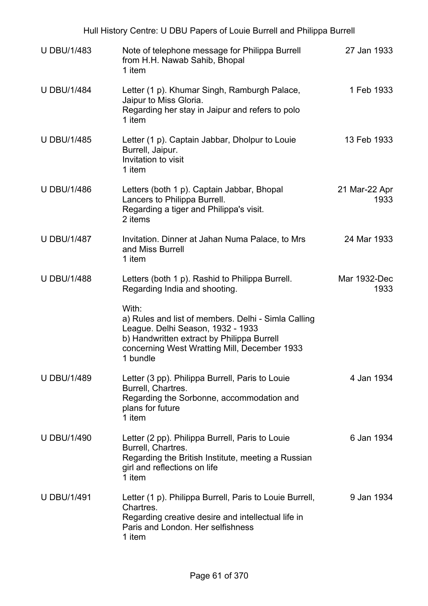| Hull History Centre: U DBU Papers of Louie Burrell and Philippa Burrell |                                                                                                                                                                                                             |                       |  |
|-------------------------------------------------------------------------|-------------------------------------------------------------------------------------------------------------------------------------------------------------------------------------------------------------|-----------------------|--|
| <b>U DBU/1/483</b>                                                      | Note of telephone message for Philippa Burrell<br>from H.H. Nawab Sahib, Bhopal<br>1 item                                                                                                                   | 27 Jan 1933           |  |
| <b>U DBU/1/484</b>                                                      | Letter (1 p). Khumar Singh, Ramburgh Palace,<br>Jaipur to Miss Gloria.<br>Regarding her stay in Jaipur and refers to polo<br>1 item                                                                         | 1 Feb 1933            |  |
| <b>U DBU/1/485</b>                                                      | Letter (1 p). Captain Jabbar, Dholpur to Louie<br>Burrell, Jaipur.<br>Invitation to visit<br>1 item                                                                                                         | 13 Feb 1933           |  |
| <b>U DBU/1/486</b>                                                      | Letters (both 1 p). Captain Jabbar, Bhopal<br>Lancers to Philippa Burrell.<br>Regarding a tiger and Philippa's visit.<br>2 items                                                                            | 21 Mar-22 Apr<br>1933 |  |
| <b>U DBU/1/487</b>                                                      | Invitation. Dinner at Jahan Numa Palace, to Mrs<br>and Miss Burrell<br>1 item                                                                                                                               | 24 Mar 1933           |  |
| <b>U DBU/1/488</b>                                                      | Letters (both 1 p). Rashid to Philippa Burrell.<br>Regarding India and shooting.                                                                                                                            | Mar 1932-Dec<br>1933  |  |
|                                                                         | With:<br>a) Rules and list of members. Delhi - Simla Calling<br>League. Delhi Season, 1932 - 1933<br>b) Handwritten extract by Philippa Burrell<br>concerning West Wratting Mill, December 1933<br>1 bundle |                       |  |
| <b>U DBU/1/489</b>                                                      | Letter (3 pp). Philippa Burrell, Paris to Louie<br>Burrell, Chartres.<br>Regarding the Sorbonne, accommodation and<br>plans for future<br>1 item                                                            | 4 Jan 1934            |  |
| <b>U DBU/1/490</b>                                                      | Letter (2 pp). Philippa Burrell, Paris to Louie<br>Burrell, Chartres.<br>Regarding the British Institute, meeting a Russian<br>girl and reflections on life<br>1 item                                       | 6 Jan 1934            |  |
| <b>U DBU/1/491</b>                                                      | Letter (1 p). Philippa Burrell, Paris to Louie Burrell,<br>Chartres.<br>Regarding creative desire and intellectual life in<br>Paris and London. Her selfishness<br>1 item                                   | 9 Jan 1934            |  |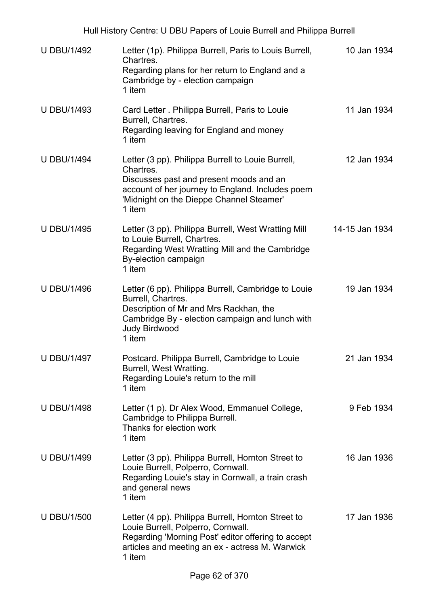| <b>U DBU/1/492</b> | Letter (1p). Philippa Burrell, Paris to Louis Burrell,<br>Chartres.<br>Regarding plans for her return to England and a<br>Cambridge by - election campaign<br>1 item                                                | 10 Jan 1934    |
|--------------------|---------------------------------------------------------------------------------------------------------------------------------------------------------------------------------------------------------------------|----------------|
| <b>U DBU/1/493</b> | Card Letter . Philippa Burrell, Paris to Louie<br>Burrell, Chartres.<br>Regarding leaving for England and money<br>1 item                                                                                           | 11 Jan 1934    |
| <b>U DBU/1/494</b> | Letter (3 pp). Philippa Burrell to Louie Burrell,<br>Chartres.<br>Discusses past and present moods and an<br>account of her journey to England. Includes poem<br>'Midnight on the Dieppe Channel Steamer'<br>1 item | 12 Jan 1934    |
| <b>U DBU/1/495</b> | Letter (3 pp). Philippa Burrell, West Wratting Mill<br>to Louie Burrell, Chartres.<br>Regarding West Wratting Mill and the Cambridge<br>By-election campaign<br>1 item                                              | 14-15 Jan 1934 |
| <b>U DBU/1/496</b> | Letter (6 pp). Philippa Burrell, Cambridge to Louie<br>Burrell, Chartres.<br>Description of Mr and Mrs Rackhan, the<br>Cambridge By - election campaign and lunch with<br><b>Judy Birdwood</b><br>1 item            | 19 Jan 1934    |
| <b>U DBU/1/497</b> | Postcard. Philippa Burrell, Cambridge to Louie<br>Burrell, West Wratting.<br>Regarding Louie's return to the mill<br>1 item                                                                                         | 21 Jan 1934    |
| <b>U DBU/1/498</b> | Letter (1 p). Dr Alex Wood, Emmanuel College,<br>Cambridge to Philippa Burrell.<br>Thanks for election work<br>1 item                                                                                               | 9 Feb 1934     |
| <b>U DBU/1/499</b> | Letter (3 pp). Philippa Burrell, Hornton Street to<br>Louie Burrell, Polperro, Cornwall.<br>Regarding Louie's stay in Cornwall, a train crash<br>and general news<br>1 item                                         | 16 Jan 1936    |
| <b>U DBU/1/500</b> | Letter (4 pp). Philippa Burrell, Hornton Street to<br>Louie Burrell, Polperro, Cornwall.<br>Regarding 'Morning Post' editor offering to accept<br>articles and meeting an ex - actress M. Warwick<br>1 item         | 17 Jan 1936    |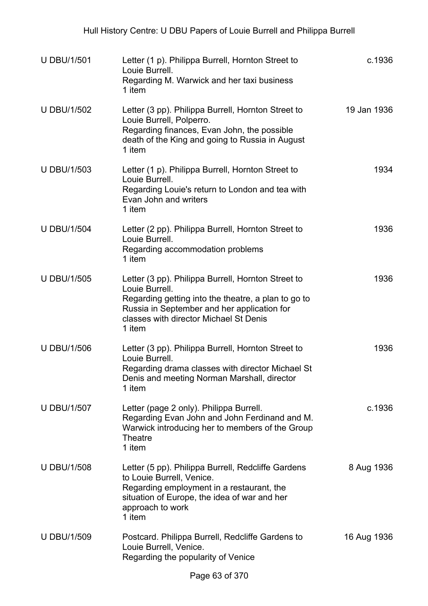| <b>U DBU/1/501</b> | Letter (1 p). Philippa Burrell, Hornton Street to<br>Louie Burrell.<br>Regarding M. Warwick and her taxi business<br>1 item                                                                                                    | c.1936      |
|--------------------|--------------------------------------------------------------------------------------------------------------------------------------------------------------------------------------------------------------------------------|-------------|
| <b>U DBU/1/502</b> | Letter (3 pp). Philippa Burrell, Hornton Street to<br>Louie Burrell, Polperro.<br>Regarding finances, Evan John, the possible<br>death of the King and going to Russia in August<br>1 item                                     | 19 Jan 1936 |
| <b>U DBU/1/503</b> | Letter (1 p). Philippa Burrell, Hornton Street to<br>Louie Burrell.<br>Regarding Louie's return to London and tea with<br>Evan John and writers<br>1 item                                                                      | 1934        |
| <b>U DBU/1/504</b> | Letter (2 pp). Philippa Burrell, Hornton Street to<br>Louie Burrell.<br>Regarding accommodation problems<br>1 item                                                                                                             | 1936        |
| <b>U DBU/1/505</b> | Letter (3 pp). Philippa Burrell, Hornton Street to<br>Louie Burrell.<br>Regarding getting into the theatre, a plan to go to<br>Russia in September and her application for<br>classes with director Michael St Denis<br>1 item | 1936        |
| <b>U DBU/1/506</b> | Letter (3 pp). Philippa Burrell, Hornton Street to<br>Louie Burrell.<br>Regarding drama classes with director Michael St<br>Denis and meeting Norman Marshall, director<br>1 item                                              | 1936        |
| <b>U DBU/1/507</b> | Letter (page 2 only). Philippa Burrell.<br>Regarding Evan John and John Ferdinand and M.<br>Warwick introducing her to members of the Group<br><b>Theatre</b><br>1 item                                                        | c.1936      |
| <b>U DBU/1/508</b> | Letter (5 pp). Philippa Burrell, Redcliffe Gardens<br>to Louie Burrell, Venice.<br>Regarding employment in a restaurant, the<br>situation of Europe, the idea of war and her<br>approach to work<br>1 item                     | 8 Aug 1936  |
| <b>U DBU/1/509</b> | Postcard. Philippa Burrell, Redcliffe Gardens to<br>Louie Burrell, Venice.<br>Regarding the popularity of Venice                                                                                                               | 16 Aug 1936 |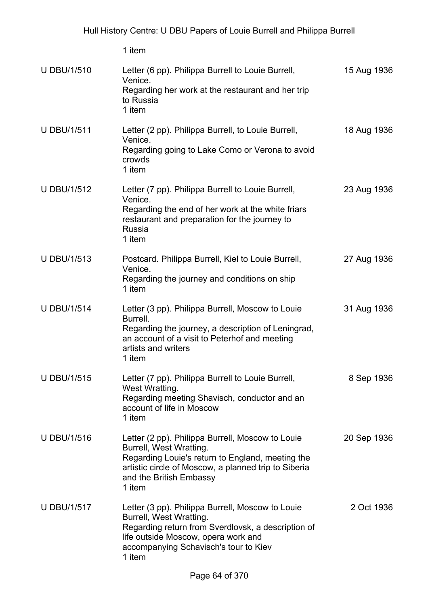| <b>U DBU/1/510</b> | Letter (6 pp). Philippa Burrell to Louie Burrell,<br>Venice.<br>Regarding her work at the restaurant and her trip<br>to Russia<br>1 item                                                                                     | 15 Aug 1936 |
|--------------------|------------------------------------------------------------------------------------------------------------------------------------------------------------------------------------------------------------------------------|-------------|
| <b>U DBU/1/511</b> | Letter (2 pp). Philippa Burrell, to Louie Burrell,<br>Venice.<br>Regarding going to Lake Como or Verona to avoid<br>crowds<br>1 item                                                                                         | 18 Aug 1936 |
| <b>U DBU/1/512</b> | Letter (7 pp). Philippa Burrell to Louie Burrell,<br>Venice.<br>Regarding the end of her work at the white friars<br>restaurant and preparation for the journey to<br>Russia<br>1 item                                       | 23 Aug 1936 |
| <b>U DBU/1/513</b> | Postcard. Philippa Burrell, Kiel to Louie Burrell,<br>Venice.<br>Regarding the journey and conditions on ship<br>1 item                                                                                                      | 27 Aug 1936 |
| <b>U DBU/1/514</b> | Letter (3 pp). Philippa Burrell, Moscow to Louie<br>Burrell.<br>Regarding the journey, a description of Leningrad,<br>an account of a visit to Peterhof and meeting<br>artists and writers<br>1 item                         | 31 Aug 1936 |
| <b>U DBU/1/515</b> | Letter (7 pp). Philippa Burrell to Louie Burrell,<br>West Wratting.<br>Regarding meeting Shavisch, conductor and an<br>account of life in Moscow<br>1 item                                                                   | 8 Sep 1936  |
| <b>U DBU/1/516</b> | Letter (2 pp). Philippa Burrell, Moscow to Louie<br>Burrell, West Wratting.<br>Regarding Louie's return to England, meeting the<br>artistic circle of Moscow, a planned trip to Siberia<br>and the British Embassy<br>1 item | 20 Sep 1936 |
| <b>U DBU/1/517</b> | Letter (3 pp). Philippa Burrell, Moscow to Louie<br>Burrell, West Wratting.<br>Regarding return from Sverdlovsk, a description of<br>life outside Moscow, opera work and<br>accompanying Schavisch's tour to Kiev<br>1 item  | 2 Oct 1936  |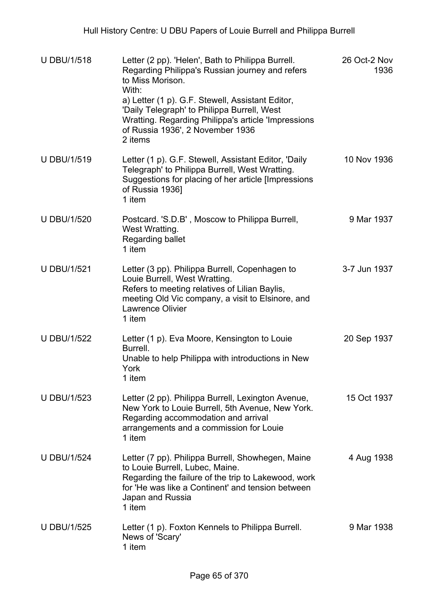| <b>U DBU/1/518</b> | Letter (2 pp). 'Helen', Bath to Philippa Burrell.<br>Regarding Philippa's Russian journey and refers<br>to Miss Morison.<br>With:<br>a) Letter (1 p). G.F. Stewell, Assistant Editor,<br>'Daily Telegraph' to Philippa Burrell, West<br>Wratting. Regarding Philippa's article 'Impressions<br>of Russia 1936', 2 November 1936<br>2 items | 26 Oct-2 Nov<br>1936 |
|--------------------|--------------------------------------------------------------------------------------------------------------------------------------------------------------------------------------------------------------------------------------------------------------------------------------------------------------------------------------------|----------------------|
| <b>U DBU/1/519</b> | Letter (1 p). G.F. Stewell, Assistant Editor, 'Daily<br>Telegraph' to Philippa Burrell, West Wratting.<br>Suggestions for placing of her article [Impressions<br>of Russia 1936]<br>1 item                                                                                                                                                 | 10 Nov 1936          |
| <b>U DBU/1/520</b> | Postcard. 'S.D.B', Moscow to Philippa Burrell,<br>West Wratting.<br>Regarding ballet<br>1 item                                                                                                                                                                                                                                             | 9 Mar 1937           |
| <b>U DBU/1/521</b> | Letter (3 pp). Philippa Burrell, Copenhagen to<br>Louie Burrell, West Wratting.<br>Refers to meeting relatives of Lilian Baylis,<br>meeting Old Vic company, a visit to Elsinore, and<br><b>Lawrence Olivier</b><br>1 item                                                                                                                 | 3-7 Jun 1937         |
| <b>U DBU/1/522</b> | Letter (1 p). Eva Moore, Kensington to Louie<br>Burrell.<br>Unable to help Philippa with introductions in New<br>York<br>1 item                                                                                                                                                                                                            | 20 Sep 1937          |
| <b>U DBU/1/523</b> | Letter (2 pp). Philippa Burrell, Lexington Avenue,<br>New York to Louie Burrell, 5th Avenue, New York.<br>Regarding accommodation and arrival<br>arrangements and a commission for Louie<br>1 item                                                                                                                                         | 15 Oct 1937          |
| <b>U DBU/1/524</b> | Letter (7 pp). Philippa Burrell, Showhegen, Maine<br>to Louie Burrell, Lubec, Maine.<br>Regarding the failure of the trip to Lakewood, work<br>for 'He was like a Continent' and tension between<br>Japan and Russia<br>1 item                                                                                                             | 4 Aug 1938           |
| <b>U DBU/1/525</b> | Letter (1 p). Foxton Kennels to Philippa Burrell.<br>News of 'Scary'<br>1 item                                                                                                                                                                                                                                                             | 9 Mar 1938           |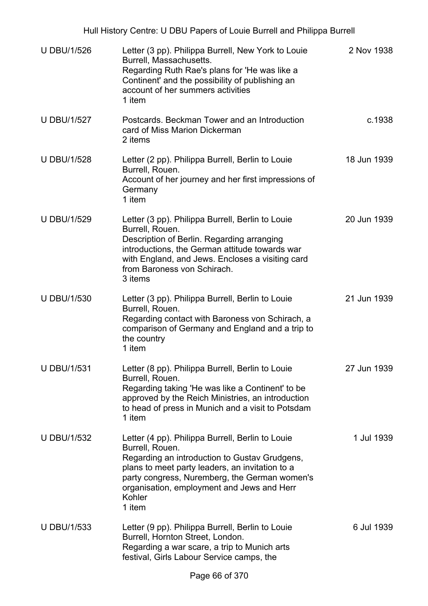| <b>U DBU/1/526</b> | Letter (3 pp). Philippa Burrell, New York to Louie<br>Burrell, Massachusetts.<br>Regarding Ruth Rae's plans for 'He was like a<br>Continent' and the possibility of publishing an<br>account of her summers activities<br>1 item                                                           | 2 Nov 1938  |
|--------------------|--------------------------------------------------------------------------------------------------------------------------------------------------------------------------------------------------------------------------------------------------------------------------------------------|-------------|
| <b>U DBU/1/527</b> | Postcards. Beckman Tower and an Introduction<br>card of Miss Marion Dickerman<br>2 items                                                                                                                                                                                                   | c.1938      |
| <b>U DBU/1/528</b> | Letter (2 pp). Philippa Burrell, Berlin to Louie<br>Burrell, Rouen.<br>Account of her journey and her first impressions of<br>Germany<br>1 item                                                                                                                                            | 18 Jun 1939 |
| <b>U DBU/1/529</b> | Letter (3 pp). Philippa Burrell, Berlin to Louie<br>Burrell, Rouen.<br>Description of Berlin. Regarding arranging<br>introductions, the German attitude towards war<br>with England, and Jews. Encloses a visiting card<br>from Baroness von Schirach.<br>3 items                          | 20 Jun 1939 |
| <b>U DBU/1/530</b> | Letter (3 pp). Philippa Burrell, Berlin to Louie<br>Burrell, Rouen.<br>Regarding contact with Baroness von Schirach, a<br>comparison of Germany and England and a trip to<br>the country<br>1 item                                                                                         | 21 Jun 1939 |
| <b>U DBU/1/531</b> | Letter (8 pp). Philippa Burrell, Berlin to Louie<br>Burrell, Rouen.<br>Regarding taking 'He was like a Continent' to be<br>approved by the Reich Ministries, an introduction<br>to head of press in Munich and a visit to Potsdam<br>1 item                                                | 27 Jun 1939 |
| <b>U DBU/1/532</b> | Letter (4 pp). Philippa Burrell, Berlin to Louie<br>Burrell, Rouen.<br>Regarding an introduction to Gustav Grudgens,<br>plans to meet party leaders, an invitation to a<br>party congress, Nuremberg, the German women's<br>organisation, employment and Jews and Herr<br>Kohler<br>1 item | 1 Jul 1939  |
| <b>U DBU/1/533</b> | Letter (9 pp). Philippa Burrell, Berlin to Louie<br>Burrell, Hornton Street, London.<br>Regarding a war scare, a trip to Munich arts<br>festival, Girls Labour Service camps, the                                                                                                          | 6 Jul 1939  |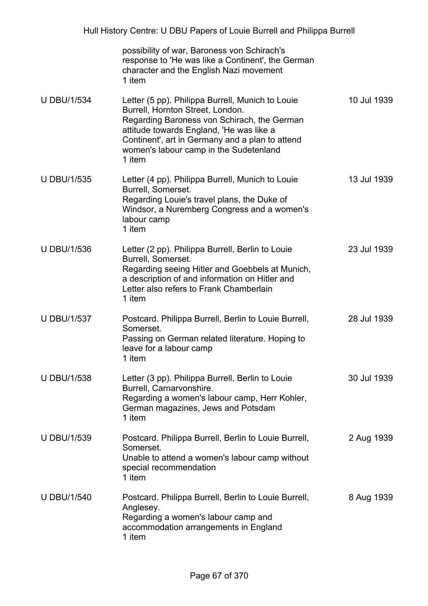|                    | possibility of war, Baroness von Schirach's<br>response to 'He was like a Continent', the German<br>character and the English Nazi movement<br>1 item                                                                                                                                  |             |
|--------------------|----------------------------------------------------------------------------------------------------------------------------------------------------------------------------------------------------------------------------------------------------------------------------------------|-------------|
| <b>U DBU/1/534</b> | Letter (5 pp). Philippa Burrell, Munich to Louie<br>Burrell, Hornton Street, London.<br>Regarding Baroness von Schirach, the German<br>attitude towards England, 'He was like a<br>Continent', art in Germany and a plan to attend<br>women's labour camp in the Sudetenland<br>1 item | 10 Jul 1939 |
| <b>U DBU/1/535</b> | Letter (4 pp). Philippa Burrell, Munich to Louie<br>Burrell, Somerset.<br>Regarding Louie's travel plans, the Duke of<br>Windsor, a Nuremberg Congress and a women's<br>labour camp<br>1 item                                                                                          | 13 Jul 1939 |
| <b>U DBU/1/536</b> | Letter (2 pp). Philippa Burrell, Berlin to Louie<br>Burrell, Somerset.<br>Regarding seeing Hitler and Goebbels at Munich,<br>a description of and information on Hitler and<br>Letter also refers to Frank Chamberlain<br>1 item                                                       | 23 Jul 1939 |
| <b>U DBU/1/537</b> | Postcard. Philippa Burrell, Berlin to Louie Burrell,<br>Somerset.<br>Passing on German related literature. Hoping to<br>leave for a labour camp<br>1 item                                                                                                                              | 28 Jul 1939 |
| <b>U DBU/1/538</b> | Letter (3 pp). Philippa Burrell, Berlin to Louie<br>Burrell, Carnarvonshire.<br>Regarding a women's labour camp, Herr Kohler,<br>German magazines, Jews and Potsdam<br>1 item                                                                                                          | 30 Jul 1939 |
| <b>U DBU/1/539</b> | Postcard. Philippa Burrell, Berlin to Louie Burrell,<br>Somerset.<br>Unable to attend a women's labour camp without<br>special recommendation<br>1 item                                                                                                                                | 2 Aug 1939  |
| <b>U DBU/1/540</b> | Postcard. Philippa Burrell, Berlin to Louie Burrell,<br>Anglesey.<br>Regarding a women's labour camp and<br>accommodation arrangements in England<br>1 item                                                                                                                            | 8 Aug 1939  |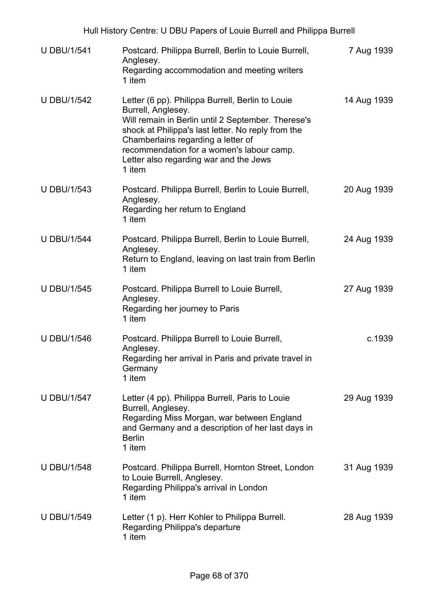| <b>U DBU/1/541</b> | Postcard. Philippa Burrell, Berlin to Louie Burrell,<br>Anglesey.<br>Regarding accommodation and meeting writers<br>1 item                                                                                                                                                                                                | 7 Aug 1939  |
|--------------------|---------------------------------------------------------------------------------------------------------------------------------------------------------------------------------------------------------------------------------------------------------------------------------------------------------------------------|-------------|
| <b>U DBU/1/542</b> | Letter (6 pp). Philippa Burrell, Berlin to Louie<br>Burrell, Anglesey.<br>Will remain in Berlin until 2 September. Therese's<br>shock at Philippa's last letter. No reply from the<br>Chamberlains regarding a letter of<br>recommendation for a women's labour camp.<br>Letter also regarding war and the Jews<br>1 item | 14 Aug 1939 |
| <b>U DBU/1/543</b> | Postcard. Philippa Burrell, Berlin to Louie Burrell,<br>Anglesey.<br>Regarding her return to England<br>1 item                                                                                                                                                                                                            | 20 Aug 1939 |
| <b>U DBU/1/544</b> | Postcard. Philippa Burrell, Berlin to Louie Burrell,<br>Anglesey.<br>Return to England, leaving on last train from Berlin<br>1 item                                                                                                                                                                                       | 24 Aug 1939 |
| <b>U DBU/1/545</b> | Postcard. Philippa Burrell to Louie Burrell,<br>Anglesey.<br>Regarding her journey to Paris<br>1 item                                                                                                                                                                                                                     | 27 Aug 1939 |
| <b>U DBU/1/546</b> | Postcard. Philippa Burrell to Louie Burrell,<br>Anglesey.<br>Regarding her arrival in Paris and private travel in<br>Germany<br>1 item                                                                                                                                                                                    | c.1939      |
| <b>U DBU/1/547</b> | Letter (4 pp). Philippa Burrell, Paris to Louie<br>Burrell, Anglesey.<br>Regarding Miss Morgan, war between England<br>and Germany and a description of her last days in<br><b>Berlin</b><br>1 item                                                                                                                       | 29 Aug 1939 |
| <b>U DBU/1/548</b> | Postcard. Philippa Burrell, Hornton Street, London<br>to Louie Burrell, Anglesey.<br>Regarding Philippa's arrival in London<br>1 item                                                                                                                                                                                     | 31 Aug 1939 |
| <b>U DBU/1/549</b> | Letter (1 p). Herr Kohler to Philippa Burrell.<br>Regarding Philippa's departure<br>1 item                                                                                                                                                                                                                                | 28 Aug 1939 |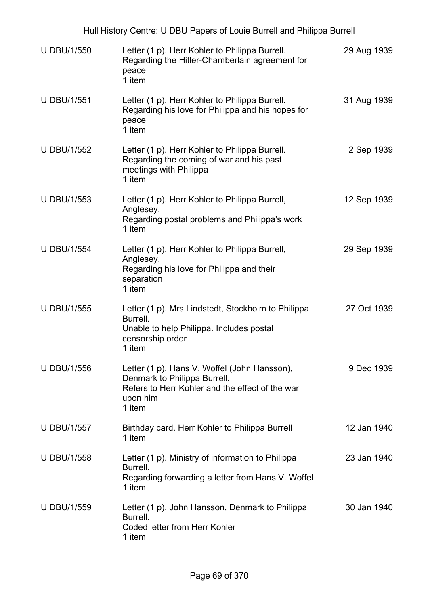| Hull History Centre: U DBU Papers of Louie Burrell and Philippa Burrell |                                                                                                                                                       |             |  |
|-------------------------------------------------------------------------|-------------------------------------------------------------------------------------------------------------------------------------------------------|-------------|--|
| <b>U DBU/1/550</b>                                                      | Letter (1 p). Herr Kohler to Philippa Burrell.<br>Regarding the Hitler-Chamberlain agreement for<br>peace<br>1 item                                   | 29 Aug 1939 |  |
| <b>U DBU/1/551</b>                                                      | Letter (1 p). Herr Kohler to Philippa Burrell.<br>Regarding his love for Philippa and his hopes for<br>peace<br>1 item                                | 31 Aug 1939 |  |
| <b>U DBU/1/552</b>                                                      | Letter (1 p). Herr Kohler to Philippa Burrell.<br>Regarding the coming of war and his past<br>meetings with Philippa<br>1 item                        | 2 Sep 1939  |  |
| <b>U DBU/1/553</b>                                                      | Letter (1 p). Herr Kohler to Philippa Burrell,<br>Anglesey.<br>Regarding postal problems and Philippa's work<br>1 item                                | 12 Sep 1939 |  |
| <b>U DBU/1/554</b>                                                      | Letter (1 p). Herr Kohler to Philippa Burrell,<br>Anglesey.<br>Regarding his love for Philippa and their<br>separation<br>1 item                      | 29 Sep 1939 |  |
| <b>U DBU/1/555</b>                                                      | Letter (1 p). Mrs Lindstedt, Stockholm to Philippa<br>Burrell.<br>Unable to help Philippa. Includes postal<br>censorship order<br>1 item              | 27 Oct 1939 |  |
| <b>U DBU/1/556</b>                                                      | Letter (1 p). Hans V. Woffel (John Hansson),<br>Denmark to Philippa Burrell.<br>Refers to Herr Kohler and the effect of the war<br>upon him<br>1 item | 9 Dec 1939  |  |
| <b>U DBU/1/557</b>                                                      | Birthday card. Herr Kohler to Philippa Burrell<br>1 item                                                                                              | 12 Jan 1940 |  |
| <b>U DBU/1/558</b>                                                      | Letter (1 p). Ministry of information to Philippa<br>Burrell.<br>Regarding forwarding a letter from Hans V. Woffel<br>1 item                          | 23 Jan 1940 |  |
| <b>U DBU/1/559</b>                                                      | Letter (1 p). John Hansson, Denmark to Philippa<br>Burrell.<br><b>Coded letter from Herr Kohler</b><br>1 item                                         | 30 Jan 1940 |  |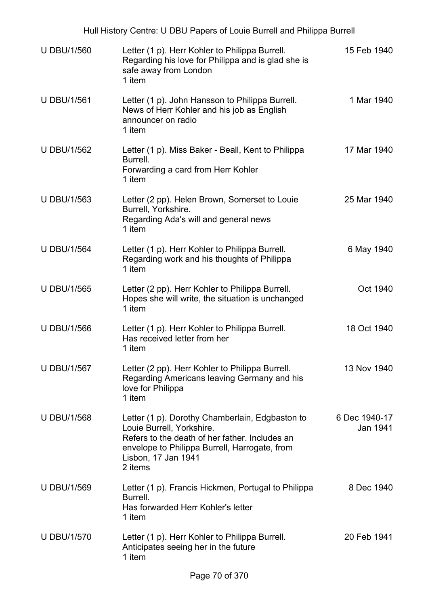| Hull History Centre: U DBU Papers of Louie Burrell and Philippa Burrell |                                                                                                                                                                                                                   |                           |  |
|-------------------------------------------------------------------------|-------------------------------------------------------------------------------------------------------------------------------------------------------------------------------------------------------------------|---------------------------|--|
| <b>U DBU/1/560</b>                                                      | Letter (1 p). Herr Kohler to Philippa Burrell.<br>Regarding his love for Philippa and is glad she is<br>safe away from London<br>1 item                                                                           | 15 Feb 1940               |  |
| <b>U DBU/1/561</b>                                                      | Letter (1 p). John Hansson to Philippa Burrell.<br>News of Herr Kohler and his job as English<br>announcer on radio<br>1 item                                                                                     | 1 Mar 1940                |  |
| <b>U DBU/1/562</b>                                                      | Letter (1 p). Miss Baker - Beall, Kent to Philippa<br>Burrell.<br>Forwarding a card from Herr Kohler<br>1 item                                                                                                    | 17 Mar 1940               |  |
| <b>U DBU/1/563</b>                                                      | Letter (2 pp). Helen Brown, Somerset to Louie<br>Burrell, Yorkshire.<br>Regarding Ada's will and general news<br>1 item                                                                                           | 25 Mar 1940               |  |
| <b>U DBU/1/564</b>                                                      | Letter (1 p). Herr Kohler to Philippa Burrell.<br>Regarding work and his thoughts of Philippa<br>1 item                                                                                                           | 6 May 1940                |  |
| <b>U DBU/1/565</b>                                                      | Letter (2 pp). Herr Kohler to Philippa Burrell.<br>Hopes she will write, the situation is unchanged<br>1 item                                                                                                     | Oct 1940                  |  |
| <b>U DBU/1/566</b>                                                      | Letter (1 p). Herr Kohler to Philippa Burrell.<br>Has received letter from her<br>1 item                                                                                                                          | 18 Oct 1940               |  |
| <b>U DBU/1/567</b>                                                      | Letter (2 pp). Herr Kohler to Philippa Burrell.<br>Regarding Americans leaving Germany and his<br>love for Philippa<br>1 item                                                                                     | 13 Nov 1940               |  |
| <b>U DBU/1/568</b>                                                      | Letter (1 p). Dorothy Chamberlain, Edgbaston to<br>Louie Burrell, Yorkshire.<br>Refers to the death of her father. Includes an<br>envelope to Philippa Burrell, Harrogate, from<br>Lisbon, 17 Jan 1941<br>2 items | 6 Dec 1940-17<br>Jan 1941 |  |
| <b>U DBU/1/569</b>                                                      | Letter (1 p). Francis Hickmen, Portugal to Philippa<br>Burrell.<br>Has forwarded Herr Kohler's letter<br>1 item                                                                                                   | 8 Dec 1940                |  |
| <b>U DBU/1/570</b>                                                      | Letter (1 p). Herr Kohler to Philippa Burrell.<br>Anticipates seeing her in the future<br>1 item                                                                                                                  | 20 Feb 1941               |  |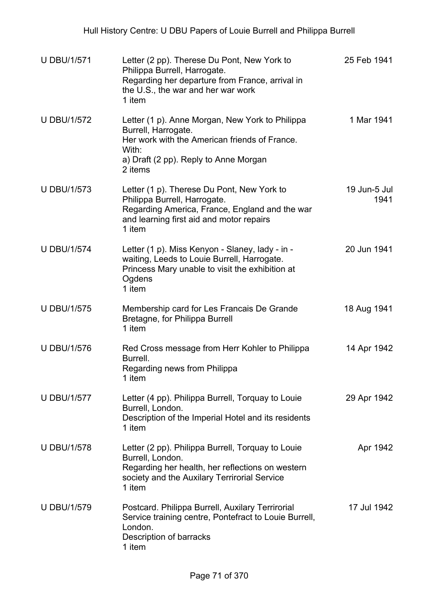| <b>U DBU/1/571</b> | Letter (2 pp). Therese Du Pont, New York to<br>Philippa Burrell, Harrogate.<br>Regarding her departure from France, arrival in<br>the U.S., the war and her war work<br>1 item       | 25 Feb 1941          |
|--------------------|--------------------------------------------------------------------------------------------------------------------------------------------------------------------------------------|----------------------|
| <b>U DBU/1/572</b> | Letter (1 p). Anne Morgan, New York to Philippa<br>Burrell, Harrogate.<br>Her work with the American friends of France.<br>With:<br>a) Draft (2 pp). Reply to Anne Morgan<br>2 items | 1 Mar 1941           |
| <b>U DBU/1/573</b> | Letter (1 p). Therese Du Pont, New York to<br>Philippa Burrell, Harrogate.<br>Regarding America, France, England and the war<br>and learning first aid and motor repairs<br>1 item   | 19 Jun-5 Jul<br>1941 |
| <b>U DBU/1/574</b> | Letter (1 p). Miss Kenyon - Slaney, lady - in -<br>waiting, Leeds to Louie Burrell, Harrogate.<br>Princess Mary unable to visit the exhibition at<br>Ogdens<br>1 item                | 20 Jun 1941          |
| <b>U DBU/1/575</b> | Membership card for Les Francais De Grande<br>Bretagne, for Philippa Burrell<br>1 item                                                                                               | 18 Aug 1941          |
| <b>U DBU/1/576</b> | Red Cross message from Herr Kohler to Philippa<br>Burrell.<br>Regarding news from Philippa<br>1 item                                                                                 | 14 Apr 1942          |
| <b>U DBU/1/577</b> | Letter (4 pp). Philippa Burrell, Torquay to Louie<br>Burrell, London.<br>Description of the Imperial Hotel and its residents<br>1 item                                               | 29 Apr 1942          |
| <b>U DBU/1/578</b> | Letter (2 pp). Philippa Burrell, Torquay to Louie<br>Burrell, London.<br>Regarding her health, her reflections on western<br>society and the Auxilary Terrirorial Service<br>1 item  | Apr 1942             |
| <b>U DBU/1/579</b> | Postcard. Philippa Burrell, Auxilary Terrirorial<br>Service training centre, Pontefract to Louie Burrell,<br>London.<br>Description of barracks<br>1 item                            | 17 Jul 1942          |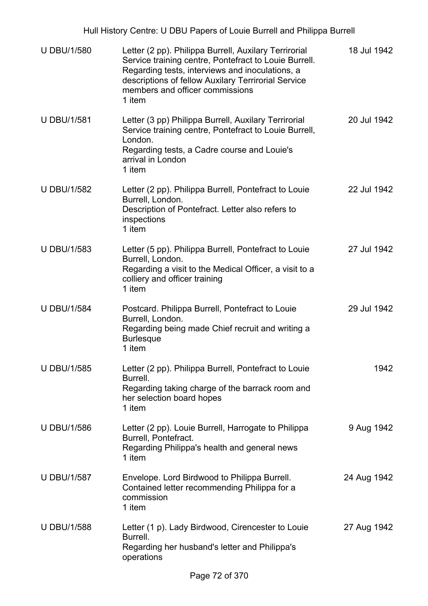Hull History Centre: U DBU Papers of Louie Burrell and Philippa Burrell

| <b>U DBU/1/580</b> | Letter (2 pp). Philippa Burrell, Auxilary Terrirorial<br>Service training centre, Pontefract to Louie Burrell.<br>Regarding tests, interviews and inoculations, a<br>descriptions of fellow Auxilary Terrirorial Service<br>members and officer commissions<br>1 item | 18 Jul 1942 |
|--------------------|-----------------------------------------------------------------------------------------------------------------------------------------------------------------------------------------------------------------------------------------------------------------------|-------------|
| <b>U DBU/1/581</b> | Letter (3 pp) Philippa Burrell, Auxilary Terrirorial<br>Service training centre, Pontefract to Louie Burrell,<br>London.<br>Regarding tests, a Cadre course and Louie's<br>arrival in London<br>1 item                                                                | 20 Jul 1942 |
| <b>U DBU/1/582</b> | Letter (2 pp). Philippa Burrell, Pontefract to Louie<br>Burrell, London.<br>Description of Pontefract. Letter also refers to<br>inspections<br>1 item                                                                                                                 | 22 Jul 1942 |
| <b>U DBU/1/583</b> | Letter (5 pp). Philippa Burrell, Pontefract to Louie<br>Burrell, London.<br>Regarding a visit to the Medical Officer, a visit to a<br>colliery and officer training<br>1 item                                                                                         | 27 Jul 1942 |
| <b>U DBU/1/584</b> | Postcard. Philippa Burrell, Pontefract to Louie<br>Burrell, London.<br>Regarding being made Chief recruit and writing a<br><b>Burlesque</b><br>1 item                                                                                                                 | 29 Jul 1942 |
| <b>U DBU/1/585</b> | Letter (2 pp). Philippa Burrell, Pontefract to Louie<br>Burrell.<br>Regarding taking charge of the barrack room and<br>her selection board hopes<br>1 item                                                                                                            | 1942        |
| <b>U DBU/1/586</b> | Letter (2 pp). Louie Burrell, Harrogate to Philippa<br>Burrell, Pontefract.<br>Regarding Philippa's health and general news<br>1 item                                                                                                                                 | 9 Aug 1942  |
| <b>U DBU/1/587</b> | Envelope. Lord Birdwood to Philippa Burrell.<br>Contained letter recommending Philippa for a<br>commission<br>1 item                                                                                                                                                  | 24 Aug 1942 |
| <b>U DBU/1/588</b> | Letter (1 p). Lady Birdwood, Cirencester to Louie<br>Burrell.<br>Regarding her husband's letter and Philippa's<br>operations                                                                                                                                          | 27 Aug 1942 |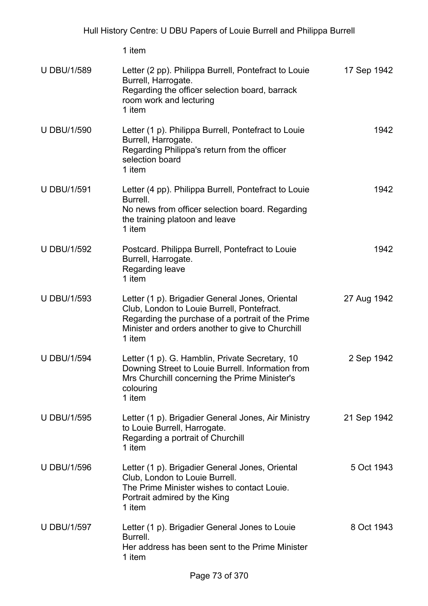| <b>U DBU/1/589</b> | Letter (2 pp). Philippa Burrell, Pontefract to Louie<br>Burrell, Harrogate.<br>Regarding the officer selection board, barrack<br>room work and lecturing<br>1 item                                               | 17 Sep 1942 |
|--------------------|------------------------------------------------------------------------------------------------------------------------------------------------------------------------------------------------------------------|-------------|
| <b>U DBU/1/590</b> | Letter (1 p). Philippa Burrell, Pontefract to Louie<br>Burrell, Harrogate.<br>Regarding Philippa's return from the officer<br>selection board<br>1 item                                                          | 1942        |
| <b>U DBU/1/591</b> | Letter (4 pp). Philippa Burrell, Pontefract to Louie<br>Burrell.<br>No news from officer selection board. Regarding<br>the training platoon and leave<br>1 item                                                  | 1942        |
| <b>U DBU/1/592</b> | Postcard. Philippa Burrell, Pontefract to Louie<br>Burrell, Harrogate.<br>Regarding leave<br>1 item                                                                                                              | 1942        |
| <b>U DBU/1/593</b> | Letter (1 p). Brigadier General Jones, Oriental<br>Club, London to Louie Burrell, Pontefract.<br>Regarding the purchase of a portrait of the Prime<br>Minister and orders another to give to Churchill<br>1 item | 27 Aug 1942 |
| <b>U DBU/1/594</b> | Letter (1 p). G. Hamblin, Private Secretary, 10<br>Downing Street to Louie Burrell. Information from<br>Mrs Churchill concerning the Prime Minister's<br>colouring<br>1 item                                     | 2 Sep 1942  |
| <b>U DBU/1/595</b> | Letter (1 p). Brigadier General Jones, Air Ministry<br>to Louie Burrell, Harrogate.<br>Regarding a portrait of Churchill<br>1 item                                                                               | 21 Sep 1942 |
| <b>U DBU/1/596</b> | Letter (1 p). Brigadier General Jones, Oriental<br>Club, London to Louie Burrell.<br>The Prime Minister wishes to contact Louie.<br>Portrait admired by the King<br>1 item                                       | 5 Oct 1943  |
| <b>U DBU/1/597</b> | Letter (1 p). Brigadier General Jones to Louie<br>Burrell.<br>Her address has been sent to the Prime Minister<br>1 item                                                                                          | 8 Oct 1943  |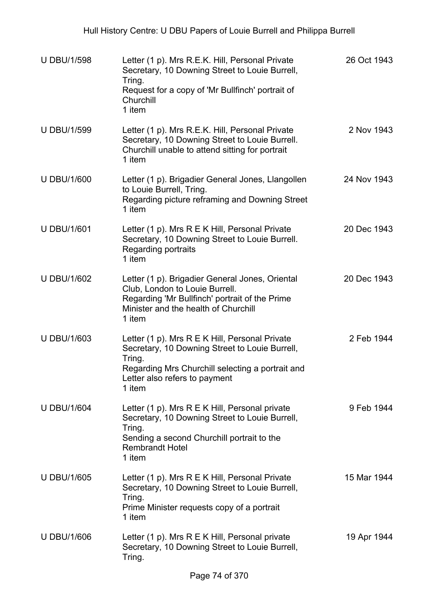| <b>U DBU/1/598</b> | Letter (1 p). Mrs R.E.K. Hill, Personal Private<br>Secretary, 10 Downing Street to Louie Burrell,<br>Tring.<br>Request for a copy of 'Mr Bullfinch' portrait of<br>Churchill<br>1 item                    | 26 Oct 1943 |
|--------------------|-----------------------------------------------------------------------------------------------------------------------------------------------------------------------------------------------------------|-------------|
| <b>U DBU/1/599</b> | Letter (1 p). Mrs R.E.K. Hill, Personal Private<br>Secretary, 10 Downing Street to Louie Burrell.<br>Churchill unable to attend sitting for portrait<br>1 item                                            | 2 Nov 1943  |
| <b>U DBU/1/600</b> | Letter (1 p). Brigadier General Jones, Llangollen<br>to Louie Burrell, Tring.<br>Regarding picture reframing and Downing Street<br>1 item                                                                 | 24 Nov 1943 |
| <b>U DBU/1/601</b> | Letter (1 p). Mrs R E K Hill, Personal Private<br>Secretary, 10 Downing Street to Louie Burrell.<br>Regarding portraits<br>1 item                                                                         | 20 Dec 1943 |
| <b>U DBU/1/602</b> | Letter (1 p). Brigadier General Jones, Oriental<br>Club, London to Louie Burrell.<br>Regarding 'Mr Bullfinch' portrait of the Prime<br>Minister and the health of Churchill<br>1 item                     | 20 Dec 1943 |
| <b>U DBU/1/603</b> | Letter (1 p). Mrs R E K Hill, Personal Private<br>Secretary, 10 Downing Street to Louie Burrell,<br>Tring.<br>Regarding Mrs Churchill selecting a portrait and<br>Letter also refers to payment<br>1 item | 2 Feb 1944  |
| <b>U DBU/1/604</b> | Letter (1 p). Mrs R E K Hill, Personal private<br>Secretary, 10 Downing Street to Louie Burrell,<br>Tring.<br>Sending a second Churchill portrait to the<br><b>Rembrandt Hotel</b><br>1 item              | 9 Feb 1944  |
| <b>U DBU/1/605</b> | Letter (1 p). Mrs R E K Hill, Personal Private<br>Secretary, 10 Downing Street to Louie Burrell,<br>Tring.<br>Prime Minister requests copy of a portrait<br>1 item                                        | 15 Mar 1944 |
| <b>U DBU/1/606</b> | Letter $(1 p)$ . Mrs R E K Hill, Personal private<br>Secretary, 10 Downing Street to Louie Burrell,<br>Tring.                                                                                             | 19 Apr 1944 |
|                    |                                                                                                                                                                                                           |             |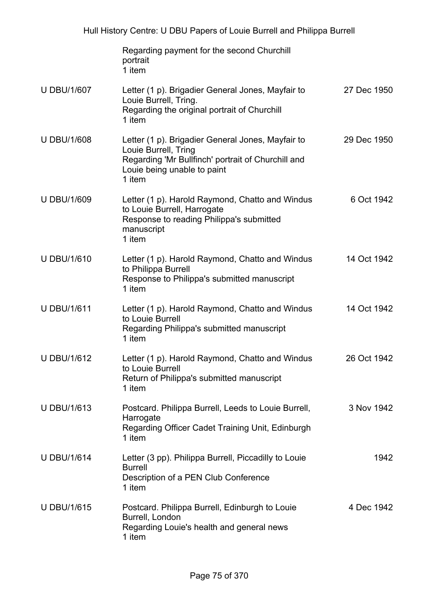|                    | Regarding payment for the second Churchill<br>portrait<br>1 item                                                                                                         |             |
|--------------------|--------------------------------------------------------------------------------------------------------------------------------------------------------------------------|-------------|
| <b>U DBU/1/607</b> | Letter (1 p). Brigadier General Jones, Mayfair to<br>Louie Burrell, Tring.<br>Regarding the original portrait of Churchill<br>1 item                                     | 27 Dec 1950 |
| <b>U DBU/1/608</b> | Letter (1 p). Brigadier General Jones, Mayfair to<br>Louie Burrell, Tring<br>Regarding 'Mr Bullfinch' portrait of Churchill and<br>Louie being unable to paint<br>1 item | 29 Dec 1950 |
| <b>U DBU/1/609</b> | Letter (1 p). Harold Raymond, Chatto and Windus<br>to Louie Burrell, Harrogate<br>Response to reading Philippa's submitted<br>manuscript<br>1 item                       | 6 Oct 1942  |
| <b>U DBU/1/610</b> | Letter (1 p). Harold Raymond, Chatto and Windus<br>to Philippa Burrell<br>Response to Philippa's submitted manuscript<br>1 item                                          | 14 Oct 1942 |
| <b>U DBU/1/611</b> | Letter (1 p). Harold Raymond, Chatto and Windus<br>to Louie Burrell<br>Regarding Philippa's submitted manuscript<br>1 item                                               | 14 Oct 1942 |
| <b>U DBU/1/612</b> | Letter (1 p). Harold Raymond, Chatto and Windus<br>to Louie Burrell<br>Return of Philippa's submitted manuscript<br>1 item                                               | 26 Oct 1942 |
| <b>U DBU/1/613</b> | Postcard. Philippa Burrell, Leeds to Louie Burrell,<br>Harrogate<br>Regarding Officer Cadet Training Unit, Edinburgh<br>1 item                                           | 3 Nov 1942  |
| <b>U DBU/1/614</b> | Letter (3 pp). Philippa Burrell, Piccadilly to Louie<br><b>Burrell</b><br>Description of a PEN Club Conference<br>1 item                                                 | 1942        |
| <b>U DBU/1/615</b> | Postcard. Philippa Burrell, Edinburgh to Louie<br>Burrell, London<br>Regarding Louie's health and general news<br>1 item                                                 | 4 Dec 1942  |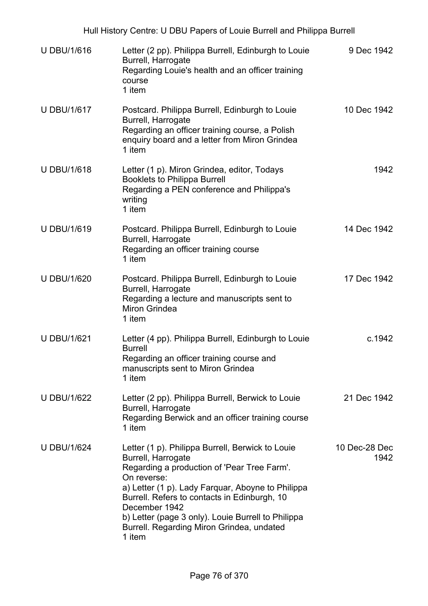| <b>U DBU/1/616</b> | Letter (2 pp). Philippa Burrell, Edinburgh to Louie<br>Burrell, Harrogate<br>Regarding Louie's health and an officer training<br>course<br>1 item                                                                                                                                                                                                                       | 9 Dec 1942            |
|--------------------|-------------------------------------------------------------------------------------------------------------------------------------------------------------------------------------------------------------------------------------------------------------------------------------------------------------------------------------------------------------------------|-----------------------|
| <b>U DBU/1/617</b> | Postcard. Philippa Burrell, Edinburgh to Louie<br>Burrell, Harrogate<br>Regarding an officer training course, a Polish<br>enquiry board and a letter from Miron Grindea<br>1 item                                                                                                                                                                                       | 10 Dec 1942           |
| <b>U DBU/1/618</b> | Letter (1 p). Miron Grindea, editor, Todays<br><b>Booklets to Philippa Burrell</b><br>Regarding a PEN conference and Philippa's<br>writing<br>1 item                                                                                                                                                                                                                    | 1942                  |
| <b>U DBU/1/619</b> | Postcard. Philippa Burrell, Edinburgh to Louie<br>Burrell, Harrogate<br>Regarding an officer training course<br>1 item                                                                                                                                                                                                                                                  | 14 Dec 1942           |
| <b>U DBU/1/620</b> | Postcard. Philippa Burrell, Edinburgh to Louie<br>Burrell, Harrogate<br>Regarding a lecture and manuscripts sent to<br><b>Miron Grindea</b><br>1 item                                                                                                                                                                                                                   | 17 Dec 1942           |
| <b>U DBU/1/621</b> | Letter (4 pp). Philippa Burrell, Edinburgh to Louie<br><b>Burrell</b><br>Regarding an officer training course and<br>manuscripts sent to Miron Grindea<br>1 item                                                                                                                                                                                                        | c.1942                |
| <b>U DBU/1/622</b> | Letter (2 pp). Philippa Burrell, Berwick to Louie<br>Burrell, Harrogate<br>Regarding Berwick and an officer training course<br>1 item                                                                                                                                                                                                                                   | 21 Dec 1942           |
| <b>U DBU/1/624</b> | Letter (1 p). Philippa Burrell, Berwick to Louie<br>Burrell, Harrogate<br>Regarding a production of 'Pear Tree Farm'.<br>On reverse:<br>a) Letter (1 p). Lady Farquar, Aboyne to Philippa<br>Burrell. Refers to contacts in Edinburgh, 10<br>December 1942<br>b) Letter (page 3 only). Louie Burrell to Philippa<br>Burrell. Regarding Miron Grindea, undated<br>1 item | 10 Dec-28 Dec<br>1942 |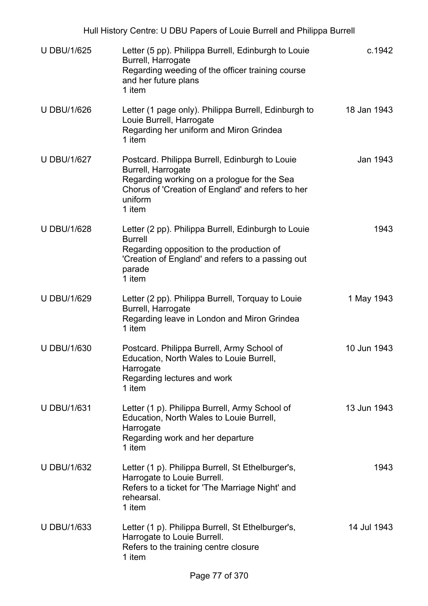| <b>U DBU/1/625</b> | Letter (5 pp). Philippa Burrell, Edinburgh to Louie<br>Burrell, Harrogate<br>Regarding weeding of the officer training course<br>and her future plans<br>1 item                               | c.1942      |
|--------------------|-----------------------------------------------------------------------------------------------------------------------------------------------------------------------------------------------|-------------|
| <b>U DBU/1/626</b> | Letter (1 page only). Philippa Burrell, Edinburgh to<br>Louie Burrell, Harrogate<br>Regarding her uniform and Miron Grindea<br>1 item                                                         | 18 Jan 1943 |
| <b>U DBU/1/627</b> | Postcard. Philippa Burrell, Edinburgh to Louie<br>Burrell, Harrogate<br>Regarding working on a prologue for the Sea<br>Chorus of 'Creation of England' and refers to her<br>uniform<br>1 item | Jan 1943    |
| <b>U DBU/1/628</b> | Letter (2 pp). Philippa Burrell, Edinburgh to Louie<br><b>Burrell</b><br>Regarding opposition to the production of<br>'Creation of England' and refers to a passing out<br>parade<br>1 item   | 1943        |
| <b>U DBU/1/629</b> | Letter (2 pp). Philippa Burrell, Torquay to Louie<br>Burrell, Harrogate<br>Regarding leave in London and Miron Grindea<br>1 item                                                              | 1 May 1943  |
| <b>U DBU/1/630</b> | Postcard. Philippa Burrell, Army School of<br>Education, North Wales to Louie Burrell,<br>Harrogate<br>Regarding lectures and work<br>1 item                                                  | 10 Jun 1943 |
| <b>U DBU/1/631</b> | Letter (1 p). Philippa Burrell, Army School of<br>Education, North Wales to Louie Burrell,<br>Harrogate<br>Regarding work and her departure<br>1 item                                         | 13 Jun 1943 |
| <b>U DBU/1/632</b> | Letter (1 p). Philippa Burrell, St Ethelburger's,<br>Harrogate to Louie Burrell.<br>Refers to a ticket for 'The Marriage Night' and<br>rehearsal.<br>1 item                                   | 1943        |
| <b>U DBU/1/633</b> | Letter (1 p). Philippa Burrell, St Ethelburger's,<br>Harrogate to Louie Burrell.<br>Refers to the training centre closure<br>1 item                                                           | 14 Jul 1943 |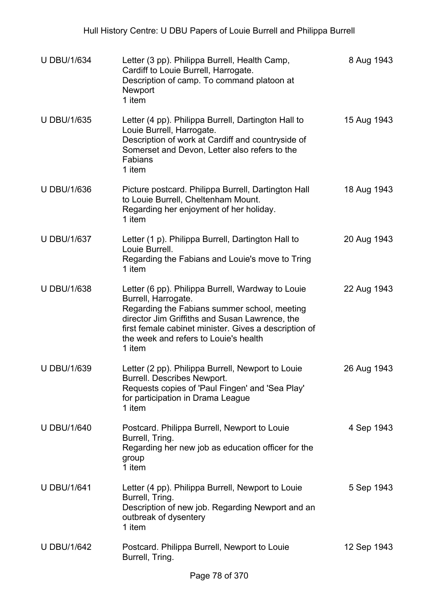| <b>U DBU/1/634</b> | Letter (3 pp). Philippa Burrell, Health Camp,<br>Cardiff to Louie Burrell, Harrogate.<br>Description of camp. To command platoon at<br>Newport<br>1 item                                                                                                                               | 8 Aug 1943  |
|--------------------|----------------------------------------------------------------------------------------------------------------------------------------------------------------------------------------------------------------------------------------------------------------------------------------|-------------|
| <b>U DBU/1/635</b> | Letter (4 pp). Philippa Burrell, Dartington Hall to<br>Louie Burrell, Harrogate.<br>Description of work at Cardiff and countryside of<br>Somerset and Devon, Letter also refers to the<br>Fabians<br>1 item                                                                            | 15 Aug 1943 |
| <b>U DBU/1/636</b> | Picture postcard. Philippa Burrell, Dartington Hall<br>to Louie Burrell, Cheltenham Mount.<br>Regarding her enjoyment of her holiday.<br>1 item                                                                                                                                        | 18 Aug 1943 |
| <b>U DBU/1/637</b> | Letter (1 p). Philippa Burrell, Dartington Hall to<br>Louie Burrell.<br>Regarding the Fabians and Louie's move to Tring<br>1 item                                                                                                                                                      | 20 Aug 1943 |
| <b>U DBU/1/638</b> | Letter (6 pp). Philippa Burrell, Wardway to Louie<br>Burrell, Harrogate.<br>Regarding the Fabians summer school, meeting<br>director Jim Griffiths and Susan Lawrence, the<br>first female cabinet minister. Gives a description of<br>the week and refers to Louie's health<br>1 item | 22 Aug 1943 |
| <b>U DBU/1/639</b> | Letter (2 pp). Philippa Burrell, Newport to Louie<br><b>Burrell. Describes Newport.</b><br>Requests copies of 'Paul Fingen' and 'Sea Play'<br>for participation in Drama League<br>1 item                                                                                              | 26 Aug 1943 |
| <b>U DBU/1/640</b> | Postcard. Philippa Burrell, Newport to Louie<br>Burrell, Tring.<br>Regarding her new job as education officer for the<br>group<br>1 item                                                                                                                                               | 4 Sep 1943  |
| <b>U DBU/1/641</b> | Letter (4 pp). Philippa Burrell, Newport to Louie<br>Burrell, Tring.<br>Description of new job. Regarding Newport and an<br>outbreak of dysentery<br>1 item                                                                                                                            | 5 Sep 1943  |
| <b>U DBU/1/642</b> | Postcard. Philippa Burrell, Newport to Louie<br>Burrell, Tring.                                                                                                                                                                                                                        | 12 Sep 1943 |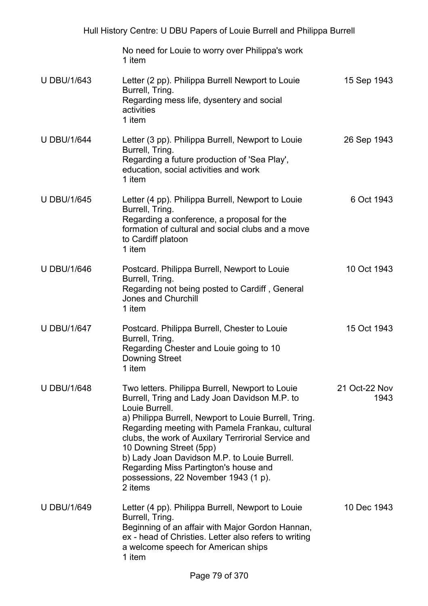No need for Louie to worry over Philippa's work 1 item U DBU/1/643 Letter (2 pp). Philippa Burrell Newport to Louie Burrell, Tring. Regarding mess life, dysentery and social activities 1 item 15 Sep 1943 U DBU/1/644 Letter (3 pp). Philippa Burrell, Newport to Louie Burrell, Tring. Regarding a future production of 'Sea Play', education, social activities and work 1 item 26 Sep 1943 U DBU/1/645 Letter (4 pp). Philippa Burrell, Newport to Louie Burrell, Tring. Regarding a conference, a proposal for the formation of cultural and social clubs and a move to Cardiff platoon 1 item 6 Oct 1943 U DBU/1/646 Postcard. Philippa Burrell, Newport to Louie Burrell, Tring. Regarding not being posted to Cardiff , General Jones and Churchill 1 item 10 Oct 1943 U DBU/1/647 Postcard. Philippa Burrell, Chester to Louie Burrell, Tring. Regarding Chester and Louie going to 10 Downing Street 1 item 15 Oct 1943 U DBU/1/648 Two letters. Philippa Burrell, Newport to Louie Burrell, Tring and Lady Joan Davidson M.P. to Louie Burrell. a) Philippa Burrell, Newport to Louie Burrell, Tring. Regarding meeting with Pamela Frankau, cultural clubs, the work of Auxilary Terrirorial Service and 10 Downing Street (5pp) b) Lady Joan Davidson M.P. to Louie Burrell. Regarding Miss Partington's house and possessions, 22 November 1943 (1 p). 2 items 21 Oct-22 Nov 1943 U DBU/1/649 Letter (4 pp). Philippa Burrell, Newport to Louie Burrell, Tring. Beginning of an affair with Major Gordon Hannan, ex - head of Christies. Letter also refers to writing a welcome speech for American ships 1 item 10 Dec 1943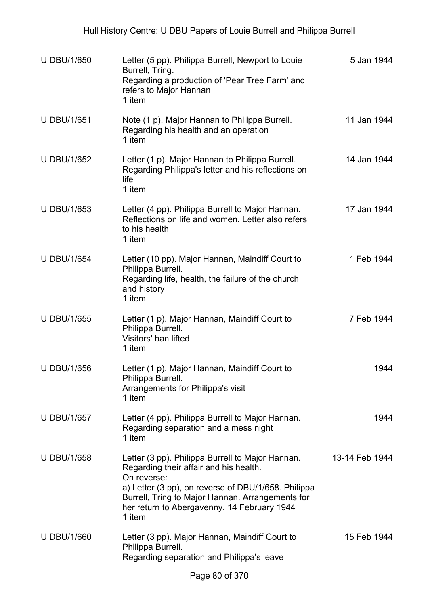| <b>U DBU/1/650</b> | Letter (5 pp). Philippa Burrell, Newport to Louie<br>Burrell, Tring.<br>Regarding a production of 'Pear Tree Farm' and<br>refers to Major Hannan<br>1 item                                                                                                                    | 5 Jan 1944     |
|--------------------|-------------------------------------------------------------------------------------------------------------------------------------------------------------------------------------------------------------------------------------------------------------------------------|----------------|
| <b>U DBU/1/651</b> | Note (1 p). Major Hannan to Philippa Burrell.<br>Regarding his health and an operation<br>1 item                                                                                                                                                                              | 11 Jan 1944    |
| <b>U DBU/1/652</b> | Letter (1 p). Major Hannan to Philippa Burrell.<br>Regarding Philippa's letter and his reflections on<br>life<br>1 item                                                                                                                                                       | 14 Jan 1944    |
| <b>U DBU/1/653</b> | Letter (4 pp). Philippa Burrell to Major Hannan.<br>Reflections on life and women. Letter also refers<br>to his health<br>1 item                                                                                                                                              | 17 Jan 1944    |
| <b>U DBU/1/654</b> | Letter (10 pp). Major Hannan, Maindiff Court to<br>Philippa Burrell.<br>Regarding life, health, the failure of the church<br>and history<br>1 item                                                                                                                            | 1 Feb 1944     |
| <b>U DBU/1/655</b> | Letter (1 p). Major Hannan, Maindiff Court to<br>Philippa Burrell.<br>Visitors' ban lifted<br>1 item                                                                                                                                                                          | 7 Feb 1944     |
| <b>U DBU/1/656</b> | Letter (1 p). Major Hannan, Maindiff Court to<br>Philippa Burrell.<br>Arrangements for Philippa's visit<br>1 item                                                                                                                                                             | 1944           |
| <b>U DBU/1/657</b> | Letter (4 pp). Philippa Burrell to Major Hannan.<br>Regarding separation and a mess night<br>1 item                                                                                                                                                                           | 1944           |
| <b>U DBU/1/658</b> | Letter (3 pp). Philippa Burrell to Major Hannan.<br>Regarding their affair and his health.<br>On reverse:<br>a) Letter (3 pp), on reverse of DBU/1/658. Philippa<br>Burrell, Tring to Major Hannan. Arrangements for<br>her return to Abergavenny, 14 February 1944<br>1 item | 13-14 Feb 1944 |
| <b>U DBU/1/660</b> | Letter (3 pp). Major Hannan, Maindiff Court to<br>Philippa Burrell.<br>Regarding separation and Philippa's leave                                                                                                                                                              | 15 Feb 1944    |
|                    | Page 80 of 370                                                                                                                                                                                                                                                                |                |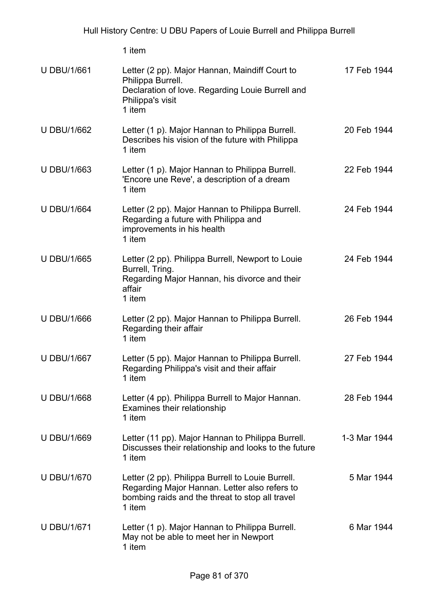|                    | 1 item                                                                                                                                                          |              |
|--------------------|-----------------------------------------------------------------------------------------------------------------------------------------------------------------|--------------|
| <b>U DBU/1/661</b> | Letter (2 pp). Major Hannan, Maindiff Court to<br>Philippa Burrell.<br>Declaration of love. Regarding Louie Burrell and<br>Philippa's visit<br>1 item           | 17 Feb 1944  |
| <b>U DBU/1/662</b> | Letter (1 p). Major Hannan to Philippa Burrell.<br>Describes his vision of the future with Philippa<br>1 item                                                   | 20 Feb 1944  |
| <b>U DBU/1/663</b> | Letter (1 p). Major Hannan to Philippa Burrell.<br>'Encore une Reve', a description of a dream<br>1 item                                                        | 22 Feb 1944  |
| <b>U DBU/1/664</b> | Letter (2 pp). Major Hannan to Philippa Burrell.<br>Regarding a future with Philippa and<br>improvements in his health<br>1 item                                | 24 Feb 1944  |
| <b>U DBU/1/665</b> | Letter (2 pp). Philippa Burrell, Newport to Louie<br>Burrell, Tring.<br>Regarding Major Hannan, his divorce and their<br>affair<br>1 item                       | 24 Feb 1944  |
| <b>U DBU/1/666</b> | Letter (2 pp). Major Hannan to Philippa Burrell.<br>Regarding their affair<br>1 item                                                                            | 26 Feb 1944  |
| <b>U DBU/1/667</b> | Letter (5 pp). Major Hannan to Philippa Burrell.<br>Regarding Philippa's visit and their affair<br>1 item                                                       | 27 Feb 1944  |
| <b>U DBU/1/668</b> | Letter (4 pp). Philippa Burrell to Major Hannan.<br>Examines their relationship<br>1 item                                                                       | 28 Feb 1944  |
| <b>U DBU/1/669</b> | Letter (11 pp). Major Hannan to Philippa Burrell.<br>Discusses their relationship and looks to the future<br>1 item                                             | 1-3 Mar 1944 |
| <b>U DBU/1/670</b> | Letter (2 pp). Philippa Burrell to Louie Burrell.<br>Regarding Major Hannan. Letter also refers to<br>bombing raids and the threat to stop all travel<br>1 item | 5 Mar 1944   |
| <b>U DBU/1/671</b> | Letter (1 p). Major Hannan to Philippa Burrell.<br>May not be able to meet her in Newport<br>1 item                                                             | 6 Mar 1944   |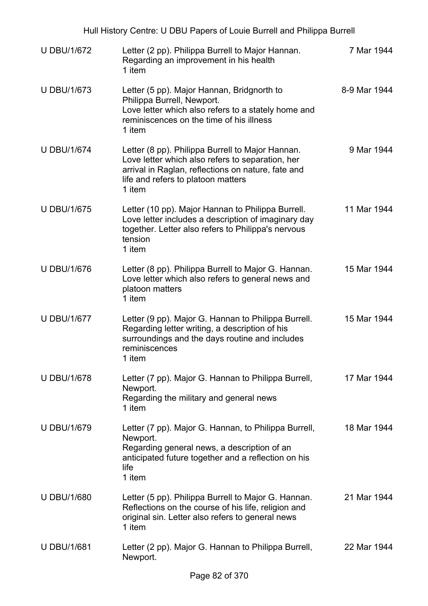| Hull History Centre: U DBU Papers of Louie Burrell and Philippa Burrell |                                                                                                                                                                                                            |              |  |
|-------------------------------------------------------------------------|------------------------------------------------------------------------------------------------------------------------------------------------------------------------------------------------------------|--------------|--|
| <b>U DBU/1/672</b>                                                      | Letter (2 pp). Philippa Burrell to Major Hannan.<br>Regarding an improvement in his health<br>1 item                                                                                                       | 7 Mar 1944   |  |
| <b>U DBU/1/673</b>                                                      | Letter (5 pp). Major Hannan, Bridgnorth to<br>Philippa Burrell, Newport.<br>Love letter which also refers to a stately home and<br>reminiscences on the time of his illness<br>1 item                      | 8-9 Mar 1944 |  |
| <b>U DBU/1/674</b>                                                      | Letter (8 pp). Philippa Burrell to Major Hannan.<br>Love letter which also refers to separation, her<br>arrival in Raglan, reflections on nature, fate and<br>life and refers to platoon matters<br>1 item | 9 Mar 1944   |  |
| <b>U DBU/1/675</b>                                                      | Letter (10 pp). Major Hannan to Philippa Burrell.<br>Love letter includes a description of imaginary day<br>together. Letter also refers to Philippa's nervous<br>tension<br>1 item                        | 11 Mar 1944  |  |
| <b>U DBU/1/676</b>                                                      | Letter (8 pp). Philippa Burrell to Major G. Hannan.<br>Love letter which also refers to general news and<br>platoon matters<br>1 item                                                                      | 15 Mar 1944  |  |
| <b>U DBU/1/677</b>                                                      | Letter (9 pp). Major G. Hannan to Philippa Burrell.<br>Regarding letter writing, a description of his<br>surroundings and the days routine and includes<br>reminiscences<br>1 item                         | 15 Mar 1944  |  |
| <b>U DBU/1/678</b>                                                      | Letter (7 pp). Major G. Hannan to Philippa Burrell,<br>Newport.<br>Regarding the military and general news<br>1 item                                                                                       | 17 Mar 1944  |  |
| <b>U DBU/1/679</b>                                                      | Letter (7 pp). Major G. Hannan, to Philippa Burrell,<br>Newport.<br>Regarding general news, a description of an<br>anticipated future together and a reflection on his<br>life<br>1 item                   | 18 Mar 1944  |  |
| <b>U DBU/1/680</b>                                                      | Letter (5 pp). Philippa Burrell to Major G. Hannan.<br>Reflections on the course of his life, religion and<br>original sin. Letter also refers to general news<br>1 item                                   | 21 Mar 1944  |  |
| <b>U DBU/1/681</b>                                                      | Letter (2 pp). Major G. Hannan to Philippa Burrell,<br>Newport.                                                                                                                                            | 22 Mar 1944  |  |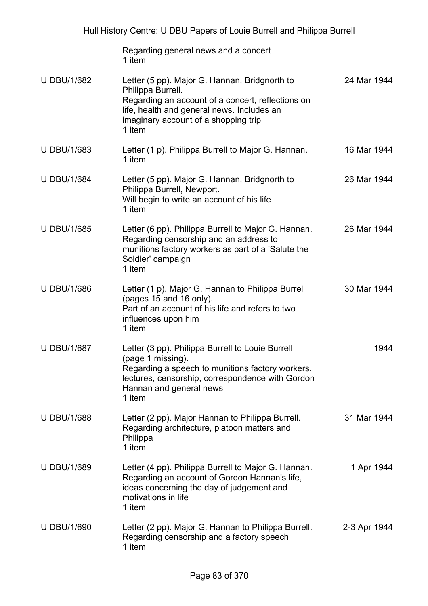|                    | Regarding general news and a concert<br>1 item                                                                                                                                                                          |              |
|--------------------|-------------------------------------------------------------------------------------------------------------------------------------------------------------------------------------------------------------------------|--------------|
| <b>U DBU/1/682</b> | Letter (5 pp). Major G. Hannan, Bridgnorth to<br>Philippa Burrell.<br>Regarding an account of a concert, reflections on<br>life, health and general news. Includes an<br>imaginary account of a shopping trip<br>1 item | 24 Mar 1944  |
| <b>U DBU/1/683</b> | Letter (1 p). Philippa Burrell to Major G. Hannan.<br>1 item                                                                                                                                                            | 16 Mar 1944  |
| <b>U DBU/1/684</b> | Letter (5 pp). Major G. Hannan, Bridgnorth to<br>Philippa Burrell, Newport.<br>Will begin to write an account of his life<br>1 item                                                                                     | 26 Mar 1944  |
| <b>U DBU/1/685</b> | Letter (6 pp). Philippa Burrell to Major G. Hannan.<br>Regarding censorship and an address to<br>munitions factory workers as part of a 'Salute the<br>Soldier' campaign<br>1 item                                      | 26 Mar 1944  |
| <b>U DBU/1/686</b> | Letter (1 p). Major G. Hannan to Philippa Burrell<br>(pages 15 and 16 only).<br>Part of an account of his life and refers to two<br>influences upon him<br>1 item                                                       | 30 Mar 1944  |
| <b>U DBU/1/687</b> | Letter (3 pp). Philippa Burrell to Louie Burrell<br>(page 1 missing).<br>Regarding a speech to munitions factory workers,<br>lectures, censorship, correspondence with Gordon<br>Hannan and general news<br>1 item      | 1944         |
| <b>U DBU/1/688</b> | Letter (2 pp). Major Hannan to Philippa Burrell.<br>Regarding architecture, platoon matters and<br>Philippa<br>1 item                                                                                                   | 31 Mar 1944  |
| <b>U DBU/1/689</b> | Letter (4 pp). Philippa Burrell to Major G. Hannan.<br>Regarding an account of Gordon Hannan's life,<br>ideas concerning the day of judgement and<br>motivations in life<br>1 item                                      | 1 Apr 1944   |
| <b>U DBU/1/690</b> | Letter (2 pp). Major G. Hannan to Philippa Burrell.<br>Regarding censorship and a factory speech<br>1 item                                                                                                              | 2-3 Apr 1944 |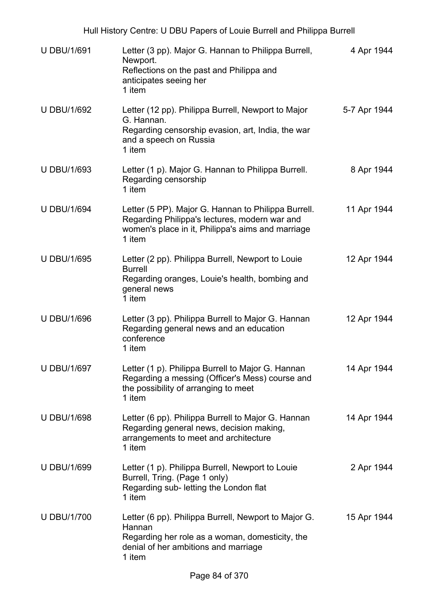| <b>U DBU/1/691</b> | Letter (3 pp). Major G. Hannan to Philippa Burrell,<br>Newport.<br>Reflections on the past and Philippa and<br>anticipates seeing her<br>1 item                     | 4 Apr 1944   |
|--------------------|---------------------------------------------------------------------------------------------------------------------------------------------------------------------|--------------|
| <b>U DBU/1/692</b> | Letter (12 pp). Philippa Burrell, Newport to Major<br>G. Hannan.<br>Regarding censorship evasion, art, India, the war<br>and a speech on Russia<br>1 item           | 5-7 Apr 1944 |
| <b>U DBU/1/693</b> | Letter (1 p). Major G. Hannan to Philippa Burrell.<br>Regarding censorship<br>1 item                                                                                | 8 Apr 1944   |
| <b>U DBU/1/694</b> | Letter (5 PP). Major G. Hannan to Philippa Burrell.<br>Regarding Philippa's lectures, modern war and<br>women's place in it, Philippa's aims and marriage<br>1 item | 11 Apr 1944  |
| <b>U DBU/1/695</b> | Letter (2 pp). Philippa Burrell, Newport to Louie<br><b>Burrell</b><br>Regarding oranges, Louie's health, bombing and<br>general news<br>1 item                     | 12 Apr 1944  |
| <b>U DBU/1/696</b> | Letter (3 pp). Philippa Burrell to Major G. Hannan<br>Regarding general news and an education<br>conference<br>1 item                                               | 12 Apr 1944  |
| <b>U DBU/1/697</b> | Letter (1 p). Philippa Burrell to Major G. Hannan<br>Regarding a messing (Officer's Mess) course and<br>the possibility of arranging to meet<br>1 item              | 14 Apr 1944  |
| <b>U DBU/1/698</b> | Letter (6 pp). Philippa Burrell to Major G. Hannan<br>Regarding general news, decision making,<br>arrangements to meet and architecture<br>1 item                   | 14 Apr 1944  |
| <b>U DBU/1/699</b> | Letter (1 p). Philippa Burrell, Newport to Louie<br>Burrell, Tring. (Page 1 only)<br>Regarding sub- letting the London flat<br>1 item                               | 2 Apr 1944   |
| <b>U DBU/1/700</b> | Letter (6 pp). Philippa Burrell, Newport to Major G.<br>Hannan<br>Regarding her role as a woman, domesticity, the<br>denial of her ambitions and marriage<br>1 item | 15 Apr 1944  |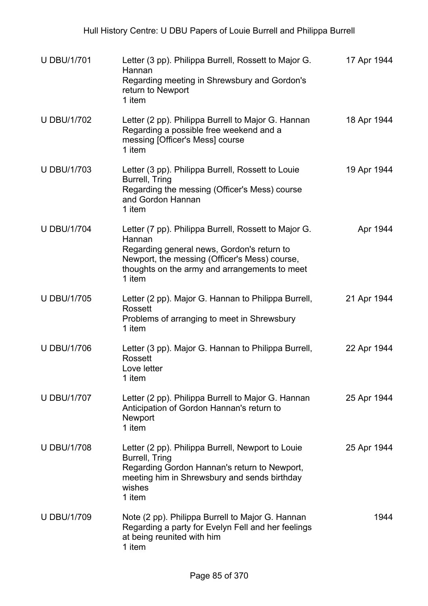| <b>U DBU/1/701</b> | Letter (3 pp). Philippa Burrell, Rossett to Major G.<br>Hannan<br>Regarding meeting in Shrewsbury and Gordon's<br>return to Newport<br>1 item                                                                            | 17 Apr 1944 |
|--------------------|--------------------------------------------------------------------------------------------------------------------------------------------------------------------------------------------------------------------------|-------------|
| <b>U DBU/1/702</b> | Letter (2 pp). Philippa Burrell to Major G. Hannan<br>Regarding a possible free weekend and a<br>messing [Officer's Mess] course<br>1 item                                                                               | 18 Apr 1944 |
| <b>U DBU/1/703</b> | Letter (3 pp). Philippa Burrell, Rossett to Louie<br>Burrell, Tring<br>Regarding the messing (Officer's Mess) course<br>and Gordon Hannan<br>1 item                                                                      | 19 Apr 1944 |
| <b>U DBU/1/704</b> | Letter (7 pp). Philippa Burrell, Rossett to Major G.<br>Hannan<br>Regarding general news, Gordon's return to<br>Newport, the messing (Officer's Mess) course,<br>thoughts on the army and arrangements to meet<br>1 item | Apr 1944    |
| <b>U DBU/1/705</b> | Letter (2 pp). Major G. Hannan to Philippa Burrell,<br>Rossett<br>Problems of arranging to meet in Shrewsbury<br>1 item                                                                                                  | 21 Apr 1944 |
| <b>U DBU/1/706</b> | Letter (3 pp). Major G. Hannan to Philippa Burrell,<br>Rossett<br>Love letter<br>1 item                                                                                                                                  | 22 Apr 1944 |
| <b>U DBU/1/707</b> | Letter (2 pp). Philippa Burrell to Major G. Hannan<br>Anticipation of Gordon Hannan's return to<br>Newport<br>1 item                                                                                                     | 25 Apr 1944 |
| <b>U DBU/1/708</b> | Letter (2 pp). Philippa Burrell, Newport to Louie<br>Burrell, Tring<br>Regarding Gordon Hannan's return to Newport,<br>meeting him in Shrewsbury and sends birthday<br>wishes<br>1 item                                  | 25 Apr 1944 |
| <b>U DBU/1/709</b> | Note (2 pp). Philippa Burrell to Major G. Hannan<br>Regarding a party for Evelyn Fell and her feelings<br>at being reunited with him<br>1 item                                                                           | 1944        |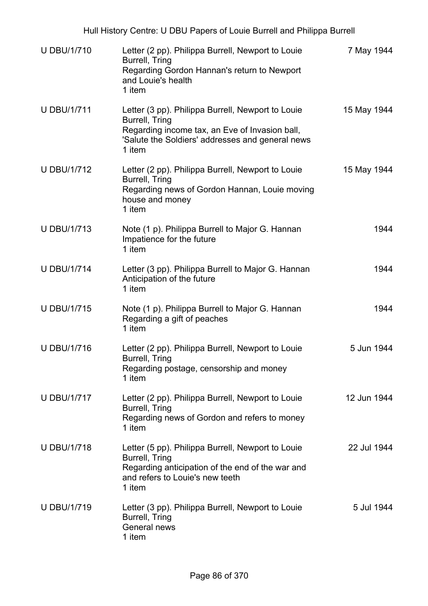| <b>U DBU/1/710</b> | Letter (2 pp). Philippa Burrell, Newport to Louie<br>Burrell, Tring<br>Regarding Gordon Hannan's return to Newport<br>and Louie's health<br>1 item                                  | 7 May 1944  |
|--------------------|-------------------------------------------------------------------------------------------------------------------------------------------------------------------------------------|-------------|
| <b>U DBU/1/711</b> | Letter (3 pp). Philippa Burrell, Newport to Louie<br>Burrell, Tring<br>Regarding income tax, an Eve of Invasion ball,<br>'Salute the Soldiers' addresses and general news<br>1 item | 15 May 1944 |
| <b>U DBU/1/712</b> | Letter (2 pp). Philippa Burrell, Newport to Louie<br>Burrell, Tring<br>Regarding news of Gordon Hannan, Louie moving<br>house and money<br>1 item                                   | 15 May 1944 |
| <b>U DBU/1/713</b> | Note (1 p). Philippa Burrell to Major G. Hannan<br>Impatience for the future<br>1 item                                                                                              | 1944        |
| <b>U DBU/1/714</b> | Letter (3 pp). Philippa Burrell to Major G. Hannan<br>Anticipation of the future<br>1 item                                                                                          | 1944        |
| <b>U DBU/1/715</b> | Note (1 p). Philippa Burrell to Major G. Hannan<br>Regarding a gift of peaches<br>1 item                                                                                            | 1944        |
| <b>U DBU/1/716</b> | Letter (2 pp). Philippa Burrell, Newport to Louie<br>Burrell, Tring<br>Regarding postage, censorship and money<br>1 item                                                            | 5 Jun 1944  |
| <b>U DBU/1/717</b> | Letter (2 pp). Philippa Burrell, Newport to Louie<br>Burrell, Tring<br>Regarding news of Gordon and refers to money<br>1 item                                                       | 12 Jun 1944 |
| <b>U DBU/1/718</b> | Letter (5 pp). Philippa Burrell, Newport to Louie<br>Burrell, Tring<br>Regarding anticipation of the end of the war and<br>and refers to Louie's new teeth<br>1 item                | 22 Jul 1944 |
| <b>U DBU/1/719</b> | Letter (3 pp). Philippa Burrell, Newport to Louie<br>Burrell, Tring<br>General news<br>1 item                                                                                       | 5 Jul 1944  |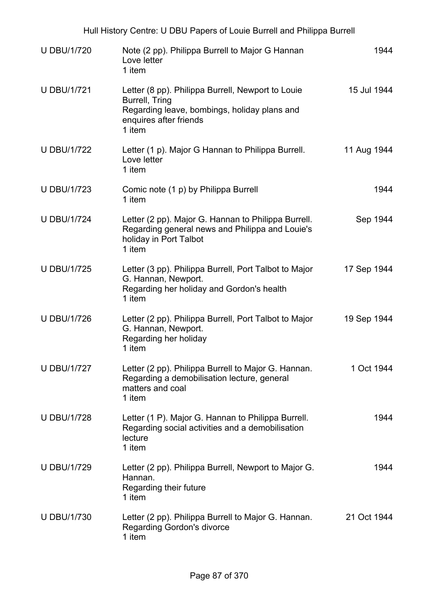|                    | Hull History Centre: U DBU Papers of Louie Burrell and Philippa Burrell                                                                                 |             |
|--------------------|---------------------------------------------------------------------------------------------------------------------------------------------------------|-------------|
| <b>U DBU/1/720</b> | Note (2 pp). Philippa Burrell to Major G Hannan<br>Love letter<br>1 item                                                                                | 1944        |
| <b>U DBU/1/721</b> | Letter (8 pp). Philippa Burrell, Newport to Louie<br>Burrell, Tring<br>Regarding leave, bombings, holiday plans and<br>enquires after friends<br>1 item | 15 Jul 1944 |
| <b>U DBU/1/722</b> | Letter (1 p). Major G Hannan to Philippa Burrell.<br>Love letter<br>1 item                                                                              | 11 Aug 1944 |
| <b>U DBU/1/723</b> | Comic note (1 p) by Philippa Burrell<br>1 item                                                                                                          | 1944        |
| <b>U DBU/1/724</b> | Letter (2 pp). Major G. Hannan to Philippa Burrell.<br>Regarding general news and Philippa and Louie's<br>holiday in Port Talbot<br>1 item              | Sep 1944    |
| <b>U DBU/1/725</b> | Letter (3 pp). Philippa Burrell, Port Talbot to Major<br>G. Hannan, Newport.<br>Regarding her holiday and Gordon's health<br>1 item                     | 17 Sep 1944 |
| <b>U DBU/1/726</b> | Letter (2 pp). Philippa Burrell, Port Talbot to Major<br>G. Hannan, Newport.<br>Regarding her holiday<br>1 item                                         | 19 Sep 1944 |
| <b>U DBU/1/727</b> | Letter (2 pp). Philippa Burrell to Major G. Hannan.<br>Regarding a demobilisation lecture, general<br>matters and coal<br>1 item                        | 1 Oct 1944  |
| <b>U DBU/1/728</b> | Letter (1 P). Major G. Hannan to Philippa Burrell.<br>Regarding social activities and a demobilisation<br>lecture<br>1 item                             | 1944        |
| <b>U DBU/1/729</b> | Letter (2 pp). Philippa Burrell, Newport to Major G.<br>Hannan.<br>Regarding their future<br>1 item                                                     | 1944        |
| <b>U DBU/1/730</b> | Letter (2 pp). Philippa Burrell to Major G. Hannan.<br><b>Regarding Gordon's divorce</b><br>1 item                                                      | 21 Oct 1944 |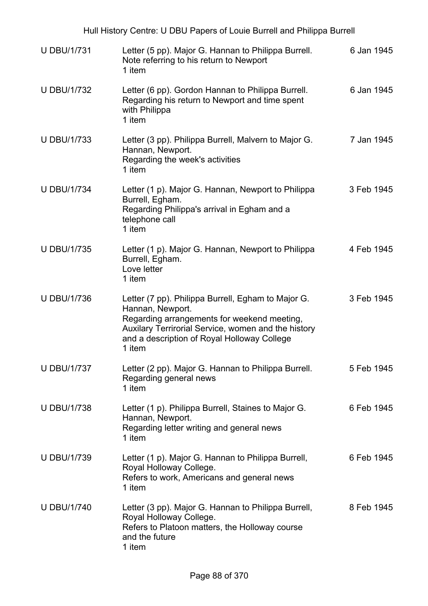|                    | Hull History Centre: U DBU Papers of Louie Burrell and Philippa Burrell                                                                                                                                                               |            |
|--------------------|---------------------------------------------------------------------------------------------------------------------------------------------------------------------------------------------------------------------------------------|------------|
| <b>U DBU/1/731</b> | Letter (5 pp). Major G. Hannan to Philippa Burrell.<br>Note referring to his return to Newport<br>1 item                                                                                                                              | 6 Jan 1945 |
| <b>U DBU/1/732</b> | Letter (6 pp). Gordon Hannan to Philippa Burrell.<br>Regarding his return to Newport and time spent<br>with Philippa<br>1 item                                                                                                        | 6 Jan 1945 |
| <b>U DBU/1/733</b> | Letter (3 pp). Philippa Burrell, Malvern to Major G.<br>Hannan, Newport.<br>Regarding the week's activities<br>1 item                                                                                                                 | 7 Jan 1945 |
| <b>U DBU/1/734</b> | Letter (1 p). Major G. Hannan, Newport to Philippa<br>Burrell, Egham.<br>Regarding Philippa's arrival in Egham and a<br>telephone call<br>1 item                                                                                      | 3 Feb 1945 |
| <b>U DBU/1/735</b> | Letter (1 p). Major G. Hannan, Newport to Philippa<br>Burrell, Egham.<br>Love letter<br>1 item                                                                                                                                        | 4 Feb 1945 |
| <b>U DBU/1/736</b> | Letter (7 pp). Philippa Burrell, Egham to Major G.<br>Hannan, Newport.<br>Regarding arrangements for weekend meeting,<br>Auxilary Terrirorial Service, women and the history<br>and a description of Royal Holloway College<br>1 item | 3 Feb 1945 |
| <b>U DBU/1/737</b> | Letter (2 pp). Major G. Hannan to Philippa Burrell.<br>Regarding general news<br>1 item                                                                                                                                               | 5 Feb 1945 |
| <b>U DBU/1/738</b> | Letter (1 p). Philippa Burrell, Staines to Major G.<br>Hannan, Newport.<br>Regarding letter writing and general news<br>1 item                                                                                                        | 6 Feb 1945 |
| <b>U DBU/1/739</b> | Letter (1 p). Major G. Hannan to Philippa Burrell,<br>Royal Holloway College.<br>Refers to work, Americans and general news<br>1 item                                                                                                 | 6 Feb 1945 |
| <b>U DBU/1/740</b> | Letter (3 pp). Major G. Hannan to Philippa Burrell,<br>Royal Holloway College.<br>Refers to Platoon matters, the Holloway course<br>and the future<br>1 item                                                                          | 8 Feb 1945 |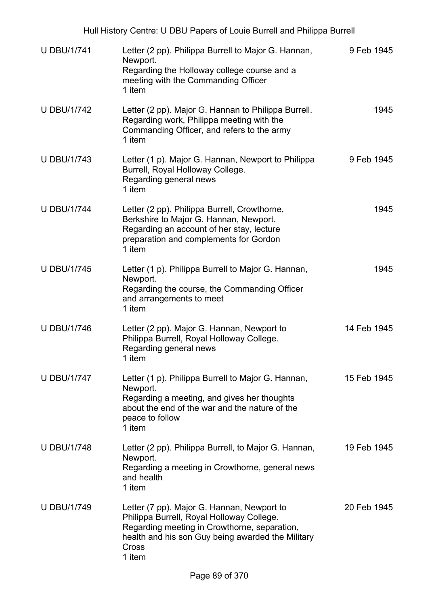| <b>U DBU/1/741</b> | Letter (2 pp). Philippa Burrell to Major G. Hannan,<br>Newport.<br>Regarding the Holloway college course and a<br>meeting with the Commanding Officer<br>1 item                                                        | 9 Feb 1945  |
|--------------------|------------------------------------------------------------------------------------------------------------------------------------------------------------------------------------------------------------------------|-------------|
| <b>U DBU/1/742</b> | Letter (2 pp). Major G. Hannan to Philippa Burrell.<br>Regarding work, Philippa meeting with the<br>Commanding Officer, and refers to the army<br>1 item                                                               | 1945        |
| <b>U DBU/1/743</b> | Letter (1 p). Major G. Hannan, Newport to Philippa<br>Burrell, Royal Holloway College.<br>Regarding general news<br>1 item                                                                                             | 9 Feb 1945  |
| <b>U DBU/1/744</b> | Letter (2 pp). Philippa Burrell, Crowthorne,<br>Berkshire to Major G. Hannan, Newport.<br>Regarding an account of her stay, lecture<br>preparation and complements for Gordon<br>1 item                                | 1945        |
| <b>U DBU/1/745</b> | Letter (1 p). Philippa Burrell to Major G. Hannan,<br>Newport.<br>Regarding the course, the Commanding Officer<br>and arrangements to meet<br>1 item                                                                   | 1945        |
| <b>U DBU/1/746</b> | Letter (2 pp). Major G. Hannan, Newport to<br>Philippa Burrell, Royal Holloway College.<br>Regarding general news<br>1 item                                                                                            | 14 Feb 1945 |
| <b>U DBU/1/747</b> | Letter (1 p). Philippa Burrell to Major G. Hannan,<br>Newport.<br>Regarding a meeting, and gives her thoughts<br>about the end of the war and the nature of the<br>peace to follow<br>1 item                           | 15 Feb 1945 |
| <b>U DBU/1/748</b> | Letter (2 pp). Philippa Burrell, to Major G. Hannan,<br>Newport.<br>Regarding a meeting in Crowthorne, general news<br>and health<br>1 item                                                                            | 19 Feb 1945 |
| <b>U DBU/1/749</b> | Letter (7 pp). Major G. Hannan, Newport to<br>Philippa Burrell, Royal Holloway College.<br>Regarding meeting in Crowthorne, separation,<br>health and his son Guy being awarded the Military<br><b>Cross</b><br>1 item | 20 Feb 1945 |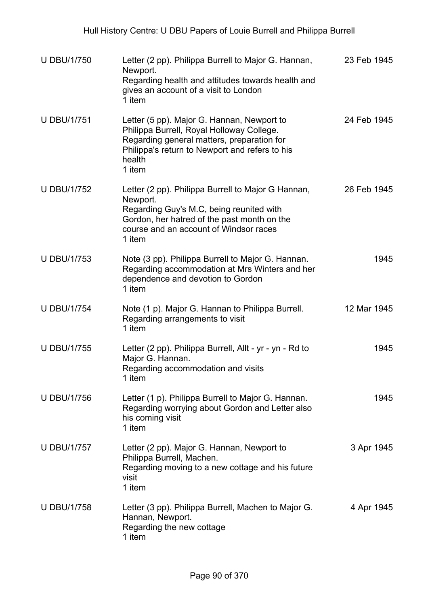| <b>U DBU/1/750</b> | Letter (2 pp). Philippa Burrell to Major G. Hannan,<br>Newport.<br>Regarding health and attitudes towards health and<br>gives an account of a visit to London<br>1 item                                       | 23 Feb 1945 |
|--------------------|---------------------------------------------------------------------------------------------------------------------------------------------------------------------------------------------------------------|-------------|
| <b>U DBU/1/751</b> | Letter (5 pp). Major G. Hannan, Newport to<br>Philippa Burrell, Royal Holloway College.<br>Regarding general matters, preparation for<br>Philippa's return to Newport and refers to his<br>health<br>1 item   | 24 Feb 1945 |
| <b>U DBU/1/752</b> | Letter (2 pp). Philippa Burrell to Major G Hannan,<br>Newport.<br>Regarding Guy's M.C, being reunited with<br>Gordon, her hatred of the past month on the<br>course and an account of Windsor races<br>1 item | 26 Feb 1945 |
| <b>U DBU/1/753</b> | Note (3 pp). Philippa Burrell to Major G. Hannan.<br>Regarding accommodation at Mrs Winters and her<br>dependence and devotion to Gordon<br>1 item                                                            | 1945        |
| <b>U DBU/1/754</b> | Note (1 p). Major G. Hannan to Philippa Burrell.<br>Regarding arrangements to visit<br>1 item                                                                                                                 | 12 Mar 1945 |
| <b>U DBU/1/755</b> | Letter (2 pp). Philippa Burrell, Allt - yr - yn - Rd to<br>Major G. Hannan.<br>Regarding accommodation and visits<br>1 item                                                                                   | 1945        |
| <b>U DBU/1/756</b> | Letter (1 p). Philippa Burrell to Major G. Hannan.<br>Regarding worrying about Gordon and Letter also<br>his coming visit<br>1 item                                                                           | 1945        |
| <b>U DBU/1/757</b> | Letter (2 pp). Major G. Hannan, Newport to<br>Philippa Burrell, Machen.<br>Regarding moving to a new cottage and his future<br>visit<br>1 item                                                                | 3 Apr 1945  |
| <b>U DBU/1/758</b> | Letter (3 pp). Philippa Burrell, Machen to Major G.<br>Hannan, Newport.<br>Regarding the new cottage<br>1 item                                                                                                | 4 Apr 1945  |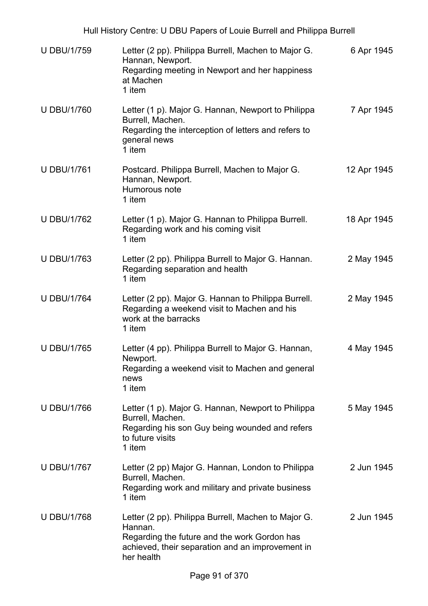| <b>U DBU/1/759</b> | Letter (2 pp). Philippa Burrell, Machen to Major G.<br>Hannan, Newport.<br>Regarding meeting in Newport and her happiness<br>at Machen<br>1 item                                 | 6 Apr 1945  |
|--------------------|----------------------------------------------------------------------------------------------------------------------------------------------------------------------------------|-------------|
| <b>U DBU/1/760</b> | Letter (1 p). Major G. Hannan, Newport to Philippa<br>Burrell, Machen.<br>Regarding the interception of letters and refers to<br>general news<br>1 item                          | 7 Apr 1945  |
| <b>U DBU/1/761</b> | Postcard. Philippa Burrell, Machen to Major G.<br>Hannan, Newport.<br>Humorous note<br>1 item                                                                                    | 12 Apr 1945 |
| <b>U DBU/1/762</b> | Letter (1 p). Major G. Hannan to Philippa Burrell.<br>Regarding work and his coming visit<br>1 item                                                                              | 18 Apr 1945 |
| <b>U DBU/1/763</b> | Letter (2 pp). Philippa Burrell to Major G. Hannan.<br>Regarding separation and health<br>1 item                                                                                 | 2 May 1945  |
| <b>U DBU/1/764</b> | Letter (2 pp). Major G. Hannan to Philippa Burrell.<br>Regarding a weekend visit to Machen and his<br>work at the barracks<br>1 item                                             | 2 May 1945  |
| <b>U DBU/1/765</b> | Letter (4 pp). Philippa Burrell to Major G. Hannan,<br>Newport.<br>Regarding a weekend visit to Machen and general<br>news<br>1 item                                             | 4 May 1945  |
| <b>U DBU/1/766</b> | Letter (1 p). Major G. Hannan, Newport to Philippa<br>Burrell, Machen.<br>Regarding his son Guy being wounded and refers<br>to future visits<br>1 item                           | 5 May 1945  |
| <b>U DBU/1/767</b> | Letter (2 pp) Major G. Hannan, London to Philippa<br>Burrell, Machen.<br>Regarding work and military and private business<br>1 item                                              | 2 Jun 1945  |
| <b>U DBU/1/768</b> | Letter (2 pp). Philippa Burrell, Machen to Major G.<br>Hannan.<br>Regarding the future and the work Gordon has<br>achieved, their separation and an improvement in<br>her health | 2 Jun 1945  |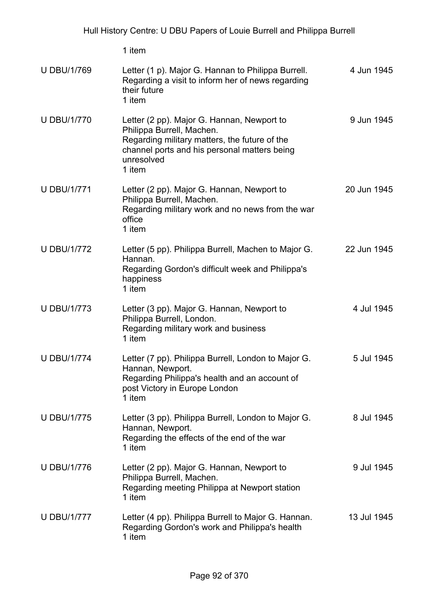U DBU/1/769 Letter (1 p). Major G. Hannan to Philippa Burrell. Regarding a visit to inform her of news regarding their future 1 item 4 Jun 1945 U DBU/1/770 Letter (2 pp). Major G. Hannan, Newport to Philippa Burrell, Machen. Regarding military matters, the future of the channel ports and his personal matters being unresolved 1 item 9 Jun 1945 U DBU/1/771 Letter (2 pp). Major G. Hannan, Newport to Philippa Burrell, Machen. Regarding military work and no news from the war office 1 item 20 Jun 1945 U DBU/1/772 Letter (5 pp). Philippa Burrell, Machen to Major G. Hannan. Regarding Gordon's difficult week and Philippa's happiness 1 item 22 Jun 1945 U DBU/1/773 Letter (3 pp). Major G. Hannan, Newport to Philippa Burrell, London. Regarding military work and business 1 item 4 Jul 1945 U DBU/1/774 Letter (7 pp). Philippa Burrell, London to Major G. Hannan, Newport. Regarding Philippa's health and an account of post Victory in Europe London 1 item 5 Jul 1945 U DBU/1/775 Letter (3 pp). Philippa Burrell, London to Major G. Hannan, Newport. Regarding the effects of the end of the war 1 item 8 Jul 1945 U DBU/1/776 Letter (2 pp). Major G. Hannan, Newport to Philippa Burrell, Machen. Regarding meeting Philippa at Newport station 1 item 9 Jul 1945 U DBU/1/777 Letter (4 pp). Philippa Burrell to Major G. Hannan. Regarding Gordon's work and Philippa's health 1 item 13 Jul 1945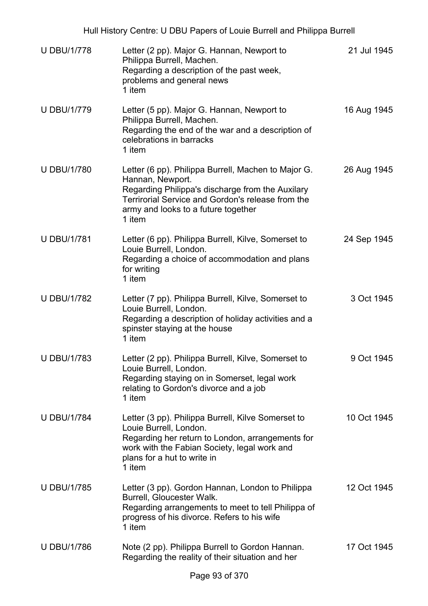| <b>U DBU/1/778</b> | Letter (2 pp). Major G. Hannan, Newport to<br>Philippa Burrell, Machen.<br>Regarding a description of the past week,<br>problems and general news<br>1 item                                                                       | 21 Jul 1945 |
|--------------------|-----------------------------------------------------------------------------------------------------------------------------------------------------------------------------------------------------------------------------------|-------------|
| <b>U DBU/1/779</b> | Letter (5 pp). Major G. Hannan, Newport to<br>Philippa Burrell, Machen.<br>Regarding the end of the war and a description of<br>celebrations in barracks<br>1 item                                                                | 16 Aug 1945 |
| <b>U DBU/1/780</b> | Letter (6 pp). Philippa Burrell, Machen to Major G.<br>Hannan, Newport.<br>Regarding Philippa's discharge from the Auxilary<br>Terrirorial Service and Gordon's release from the<br>army and looks to a future together<br>1 item | 26 Aug 1945 |
| <b>U DBU/1/781</b> | Letter (6 pp). Philippa Burrell, Kilve, Somerset to<br>Louie Burrell, London.<br>Regarding a choice of accommodation and plans<br>for writing<br>1 item                                                                           | 24 Sep 1945 |
| <b>U DBU/1/782</b> | Letter (7 pp). Philippa Burrell, Kilve, Somerset to<br>Louie Burrell, London.<br>Regarding a description of holiday activities and a<br>spinster staying at the house<br>1 item                                                   | 3 Oct 1945  |
| <b>U DBU/1/783</b> | Letter (2 pp). Philippa Burrell, Kilve, Somerset to<br>Louie Burrell, London.<br>Regarding staying on in Somerset, legal work<br>relating to Gordon's divorce and a job<br>1 item                                                 | 9 Oct 1945  |
| <b>U DBU/1/784</b> | Letter (3 pp). Philippa Burrell, Kilve Somerset to<br>Louie Burrell, London.<br>Regarding her return to London, arrangements for<br>work with the Fabian Society, legal work and<br>plans for a hut to write in<br>1 item         | 10 Oct 1945 |
| <b>U DBU/1/785</b> | Letter (3 pp). Gordon Hannan, London to Philippa<br>Burrell, Gloucester Walk.<br>Regarding arrangements to meet to tell Philippa of<br>progress of his divorce. Refers to his wife<br>1 item                                      | 12 Oct 1945 |
| <b>U DBU/1/786</b> | Note (2 pp). Philippa Burrell to Gordon Hannan.<br>Regarding the reality of their situation and her                                                                                                                               | 17 Oct 1945 |
|                    |                                                                                                                                                                                                                                   |             |

Hull History Centre: U DBU Papers of Louie Burrell and Philippa Burrell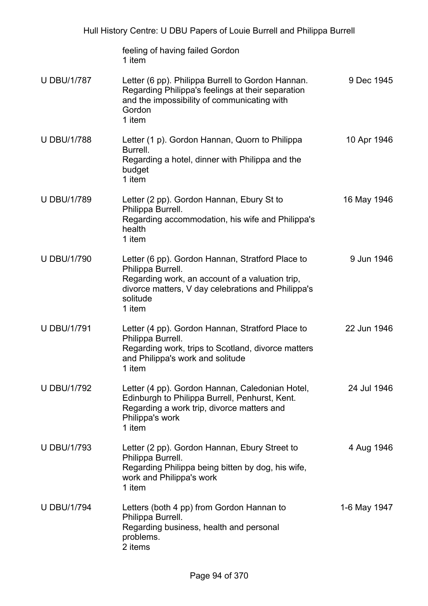| Hull History Centre: U DBU Papers of Louie Burrell and Philippa Burrell |                                                                                                                                                                                                      |              |
|-------------------------------------------------------------------------|------------------------------------------------------------------------------------------------------------------------------------------------------------------------------------------------------|--------------|
|                                                                         | feeling of having failed Gordon<br>1 item                                                                                                                                                            |              |
| <b>U DBU/1/787</b>                                                      | Letter (6 pp). Philippa Burrell to Gordon Hannan.<br>Regarding Philippa's feelings at their separation<br>and the impossibility of communicating with<br>Gordon<br>1 item                            | 9 Dec 1945   |
| <b>U DBU/1/788</b>                                                      | Letter (1 p). Gordon Hannan, Quorn to Philippa<br>Burrell.<br>Regarding a hotel, dinner with Philippa and the<br>budget<br>1 item                                                                    | 10 Apr 1946  |
| <b>U DBU/1/789</b>                                                      | Letter (2 pp). Gordon Hannan, Ebury St to<br>Philippa Burrell.<br>Regarding accommodation, his wife and Philippa's<br>health<br>1 item                                                               | 16 May 1946  |
| <b>U DBU/1/790</b>                                                      | Letter (6 pp). Gordon Hannan, Stratford Place to<br>Philippa Burrell.<br>Regarding work, an account of a valuation trip,<br>divorce matters, V day celebrations and Philippa's<br>solitude<br>1 item | 9 Jun 1946   |
| <b>U DBU/1/791</b>                                                      | Letter (4 pp). Gordon Hannan, Stratford Place to<br>Philippa Burrell.<br>Regarding work, trips to Scotland, divorce matters<br>and Philippa's work and solitude<br>1 item                            | 22 Jun 1946  |
| <b>U DBU/1/792</b>                                                      | Letter (4 pp). Gordon Hannan, Caledonian Hotel,<br>Edinburgh to Philippa Burrell, Penhurst, Kent.<br>Regarding a work trip, divorce matters and<br>Philippa's work<br>1 item                         | 24 Jul 1946  |
| <b>U DBU/1/793</b>                                                      | Letter (2 pp). Gordon Hannan, Ebury Street to<br>Philippa Burrell.<br>Regarding Philippa being bitten by dog, his wife,<br>work and Philippa's work<br>1 item                                        | 4 Aug 1946   |
| <b>U DBU/1/794</b>                                                      | Letters (both 4 pp) from Gordon Hannan to<br>Philippa Burrell.<br>Regarding business, health and personal<br>problems.<br>2 items                                                                    | 1-6 May 1947 |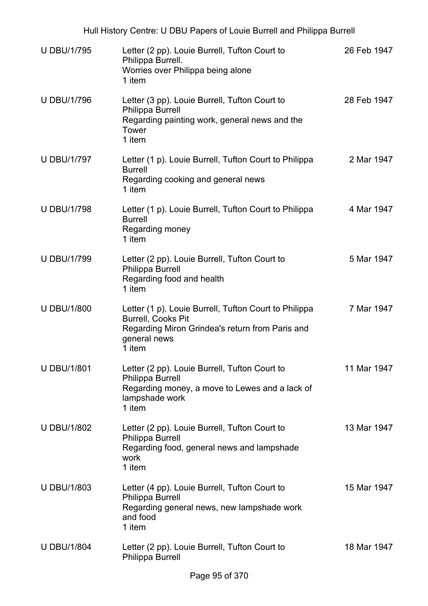| <b>U DBU/1/795</b> | Letter (2 pp). Louie Burrell, Tufton Court to<br>Philippa Burrell.<br>Worries over Philippa being alone<br>1 item                                               | 26 Feb 1947 |
|--------------------|-----------------------------------------------------------------------------------------------------------------------------------------------------------------|-------------|
| <b>U DBU/1/796</b> | Letter (3 pp). Louie Burrell, Tufton Court to<br>Philippa Burrell<br>Regarding painting work, general news and the<br>Tower<br>1 item                           | 28 Feb 1947 |
| <b>U DBU/1/797</b> | Letter (1 p). Louie Burrell, Tufton Court to Philippa<br><b>Burrell</b><br>Regarding cooking and general news<br>1 item                                         | 2 Mar 1947  |
| <b>U DBU/1/798</b> | Letter (1 p). Louie Burrell, Tufton Court to Philippa<br><b>Burrell</b><br>Regarding money<br>1 item                                                            | 4 Mar 1947  |
| <b>U DBU/1/799</b> | Letter (2 pp). Louie Burrell, Tufton Court to<br>Philippa Burrell<br>Regarding food and health<br>1 item                                                        | 5 Mar 1947  |
| <b>U DBU/1/800</b> | Letter (1 p). Louie Burrell, Tufton Court to Philippa<br><b>Burrell, Cooks Pit</b><br>Regarding Miron Grindea's return from Paris and<br>general news<br>1 item | 7 Mar 1947  |
| <b>U DBU/1/801</b> | Letter (2 pp). Louie Burrell, Tufton Court to<br><b>Philippa Burrell</b><br>Regarding money, a move to Lewes and a lack of<br>lampshade work<br>1 item          | 11 Mar 1947 |
| <b>U DBU/1/802</b> | Letter (2 pp). Louie Burrell, Tufton Court to<br><b>Philippa Burrell</b><br>Regarding food, general news and lampshade<br>work<br>1 item                        | 13 Mar 1947 |
| <b>U DBU/1/803</b> | Letter (4 pp). Louie Burrell, Tufton Court to<br><b>Philippa Burrell</b><br>Regarding general news, new lampshade work<br>and food<br>1 item                    | 15 Mar 1947 |
| <b>U DBU/1/804</b> | Letter (2 pp). Louie Burrell, Tufton Court to<br>Philippa Burrell                                                                                               | 18 Mar 1947 |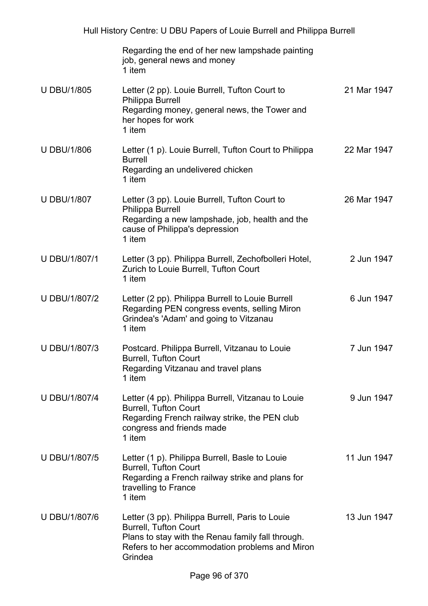|                      | Regarding the end of her new lampshade painting<br>job, general news and money<br>1 item                                                                                                          |             |
|----------------------|---------------------------------------------------------------------------------------------------------------------------------------------------------------------------------------------------|-------------|
| <b>U DBU/1/805</b>   | Letter (2 pp). Louie Burrell, Tufton Court to<br>Philippa Burrell<br>Regarding money, general news, the Tower and<br>her hopes for work<br>1 item                                                 | 21 Mar 1947 |
| <b>U DBU/1/806</b>   | Letter (1 p). Louie Burrell, Tufton Court to Philippa<br><b>Burrell</b><br>Regarding an undelivered chicken<br>1 item                                                                             | 22 Mar 1947 |
| <b>U DBU/1/807</b>   | Letter (3 pp). Louie Burrell, Tufton Court to<br>Philippa Burrell<br>Regarding a new lampshade, job, health and the<br>cause of Philippa's depression<br>1 item                                   | 26 Mar 1947 |
| U DBU/1/807/1        | Letter (3 pp). Philippa Burrell, Zechofbolleri Hotel,<br>Zurich to Louie Burrell, Tufton Court<br>1 item                                                                                          | 2 Jun 1947  |
| U DBU/1/807/2        | Letter (2 pp). Philippa Burrell to Louie Burrell<br>Regarding PEN congress events, selling Miron<br>Grindea's 'Adam' and going to Vitzanau<br>1 item                                              | 6 Jun 1947  |
| <b>U DBU/1/807/3</b> | Postcard. Philippa Burrell, Vitzanau to Louie<br><b>Burrell, Tufton Court</b><br>Regarding Vitzanau and travel plans<br>1 item                                                                    | 7 Jun 1947  |
| U DBU/1/807/4        | Letter (4 pp). Philippa Burrell, Vitzanau to Louie<br><b>Burrell, Tufton Court</b><br>Regarding French railway strike, the PEN club<br>congress and friends made<br>1 item                        | 9 Jun 1947  |
| U DBU/1/807/5        | Letter (1 p). Philippa Burrell, Basle to Louie<br><b>Burrell, Tufton Court</b><br>Regarding a French railway strike and plans for<br>travelling to France<br>1 item                               | 11 Jun 1947 |
| U DBU/1/807/6        | Letter (3 pp). Philippa Burrell, Paris to Louie<br><b>Burrell, Tufton Court</b><br>Plans to stay with the Renau family fall through.<br>Refers to her accommodation problems and Miron<br>Grindea | 13 Jun 1947 |
|                      |                                                                                                                                                                                                   |             |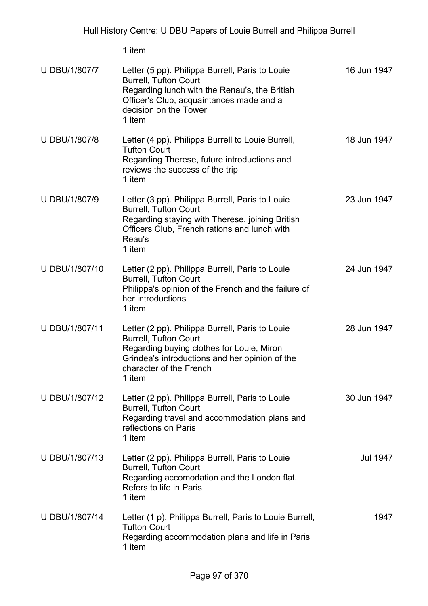| <b>U DBU/1/807/7</b> | Letter (5 pp). Philippa Burrell, Paris to Louie<br><b>Burrell, Tufton Court</b><br>Regarding lunch with the Renau's, the British<br>Officer's Club, acquaintances made and a<br>decision on the Tower<br>1 item     | 16 Jun 1947 |
|----------------------|---------------------------------------------------------------------------------------------------------------------------------------------------------------------------------------------------------------------|-------------|
| <b>U DBU/1/807/8</b> | Letter (4 pp). Philippa Burrell to Louie Burrell,<br><b>Tufton Court</b><br>Regarding Therese, future introductions and<br>reviews the success of the trip<br>1 item                                                | 18 Jun 1947 |
| U DBU/1/807/9        | Letter (3 pp). Philippa Burrell, Paris to Louie<br><b>Burrell, Tufton Court</b><br>Regarding staying with Therese, joining British<br>Officers Club, French rations and lunch with<br>Reau's<br>1 item              | 23 Jun 1947 |
| U DBU/1/807/10       | Letter (2 pp). Philippa Burrell, Paris to Louie<br><b>Burrell, Tufton Court</b><br>Philippa's opinion of the French and the failure of<br>her introductions<br>1 item                                               | 24 Jun 1947 |
| U DBU/1/807/11       | Letter (2 pp). Philippa Burrell, Paris to Louie<br><b>Burrell, Tufton Court</b><br>Regarding buying clothes for Louie, Miron<br>Grindea's introductions and her opinion of the<br>character of the French<br>1 item | 28 Jun 1947 |
| U DBU/1/807/12       | Letter (2 pp). Philippa Burrell, Paris to Louie<br><b>Burrell, Tufton Court</b><br>Regarding travel and accommodation plans and<br>reflections on Paris<br>1 item                                                   | 30 Jun 1947 |
| U DBU/1/807/13       | Letter (2 pp). Philippa Burrell, Paris to Louie<br><b>Burrell, Tufton Court</b><br>Regarding accomodation and the London flat.<br>Refers to life in Paris<br>1 item                                                 | Jul 1947    |
| U DBU/1/807/14       | Letter (1 p). Philippa Burrell, Paris to Louie Burrell,<br><b>Tufton Court</b><br>Regarding accommodation plans and life in Paris<br>1 item                                                                         | 1947        |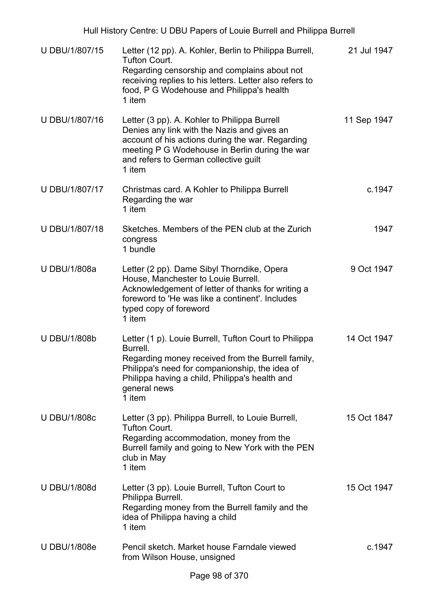| U DBU/1/807/15      | Letter (12 pp). A. Kohler, Berlin to Philippa Burrell,<br><b>Tufton Court.</b><br>Regarding censorship and complains about not<br>receiving replies to his letters. Letter also refers to<br>food, P G Wodehouse and Philippa's health<br>1 item     | 21 Jul 1947 |
|---------------------|------------------------------------------------------------------------------------------------------------------------------------------------------------------------------------------------------------------------------------------------------|-------------|
| U DBU/1/807/16      | Letter (3 pp). A. Kohler to Philippa Burrell<br>Denies any link with the Nazis and gives an<br>account of his actions during the war. Regarding<br>meeting P G Wodehouse in Berlin during the war<br>and refers to German collective guilt<br>1 item | 11 Sep 1947 |
| U DBU/1/807/17      | Christmas card. A Kohler to Philippa Burrell<br>Regarding the war<br>1 item                                                                                                                                                                          | c.1947      |
| U DBU/1/807/18      | Sketches. Members of the PEN club at the Zurich<br>congress<br>1 bundle                                                                                                                                                                              | 1947        |
| <b>U DBU/1/808a</b> | Letter (2 pp). Dame Sibyl Thorndike, Opera<br>House, Manchester to Louie Burrell.<br>Acknowledgement of letter of thanks for writing a<br>foreword to 'He was like a continent'. Includes<br>typed copy of foreword<br>1 item                        | 9 Oct 1947  |
| <b>U DBU/1/808b</b> | Letter (1 p). Louie Burrell, Tufton Court to Philippa<br>Burrell.<br>Regarding money received from the Burrell family,<br>Philippa's need for companionship, the idea of<br>Philippa having a child, Philippa's health and<br>general news<br>1 item | 14 Oct 1947 |
| <b>U DBU/1/808c</b> | Letter (3 pp). Philippa Burrell, to Louie Burrell,<br><b>Tufton Court.</b><br>Regarding accommodation, money from the<br>Burrell family and going to New York with the PEN<br>club in May<br>1 item                                                  | 15 Oct 1847 |
| <b>U DBU/1/808d</b> | Letter (3 pp). Louie Burrell, Tufton Court to<br>Philippa Burrell.<br>Regarding money from the Burrell family and the<br>idea of Philippa having a child<br>1 item                                                                                   | 15 Oct 1947 |
| <b>U DBU/1/808e</b> | Pencil sketch. Market house Farndale viewed<br>from Wilson House, unsigned                                                                                                                                                                           | c.1947      |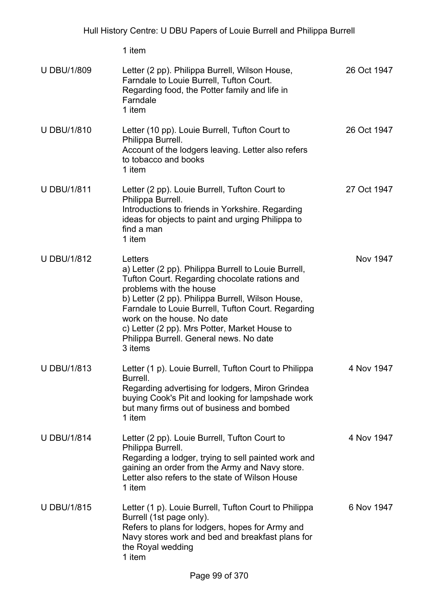| <b>U DBU/1/809</b> | Letter (2 pp). Philippa Burrell, Wilson House,<br>Farndale to Louie Burrell, Tufton Court.<br>Regarding food, the Potter family and life in<br>Farndale<br>1 item                                                                                                                                                                                                                           | 26 Oct 1947 |
|--------------------|---------------------------------------------------------------------------------------------------------------------------------------------------------------------------------------------------------------------------------------------------------------------------------------------------------------------------------------------------------------------------------------------|-------------|
| <b>U DBU/1/810</b> | Letter (10 pp). Louie Burrell, Tufton Court to<br>Philippa Burrell.<br>Account of the lodgers leaving. Letter also refers<br>to tobacco and books<br>1 item                                                                                                                                                                                                                                 | 26 Oct 1947 |
| <b>U DBU/1/811</b> | Letter (2 pp). Louie Burrell, Tufton Court to<br>Philippa Burrell.<br>Introductions to friends in Yorkshire. Regarding<br>ideas for objects to paint and urging Philippa to<br>find a man<br>1 item                                                                                                                                                                                         | 27 Oct 1947 |
| <b>U DBU/1/812</b> | Letters<br>a) Letter (2 pp). Philippa Burrell to Louie Burrell,<br>Tufton Court. Regarding chocolate rations and<br>problems with the house<br>b) Letter (2 pp). Philippa Burrell, Wilson House,<br>Farndale to Louie Burrell, Tufton Court. Regarding<br>work on the house. No date<br>c) Letter (2 pp). Mrs Potter, Market House to<br>Philippa Burrell. General news. No date<br>3 items | Nov 1947    |
| <b>U DBU/1/813</b> | Letter (1 p). Louie Burrell, Tufton Court to Philippa<br><b>Burrell</b><br>Regarding advertising for lodgers, Miron Grindea<br>buying Cook's Pit and looking for lampshade work<br>but many firms out of business and bombed<br>1 item                                                                                                                                                      | 4 Nov 1947  |
| <b>U DBU/1/814</b> | Letter (2 pp). Louie Burrell, Tufton Court to<br>Philippa Burrell.<br>Regarding a lodger, trying to sell painted work and<br>gaining an order from the Army and Navy store.<br>Letter also refers to the state of Wilson House<br>1 item                                                                                                                                                    | 4 Nov 1947  |
| <b>U DBU/1/815</b> | Letter (1 p). Louie Burrell, Tufton Court to Philippa<br>Burrell (1st page only).<br>Refers to plans for lodgers, hopes for Army and<br>Navy stores work and bed and breakfast plans for<br>the Royal wedding<br>1 item                                                                                                                                                                     | 6 Nov 1947  |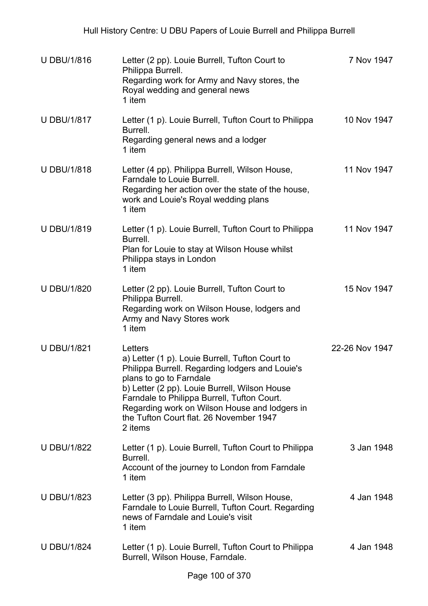| <b>U DBU/1/816</b> | Letter (2 pp). Louie Burrell, Tufton Court to<br>Philippa Burrell.<br>Regarding work for Army and Navy stores, the<br>Royal wedding and general news<br>1 item                                                                                                                                                                                  | 7 Nov 1947     |
|--------------------|-------------------------------------------------------------------------------------------------------------------------------------------------------------------------------------------------------------------------------------------------------------------------------------------------------------------------------------------------|----------------|
| <b>U DBU/1/817</b> | Letter (1 p). Louie Burrell, Tufton Court to Philippa<br>Burrell.<br>Regarding general news and a lodger<br>1 item                                                                                                                                                                                                                              | 10 Nov 1947    |
| <b>U DBU/1/818</b> | Letter (4 pp). Philippa Burrell, Wilson House,<br>Farndale to Louie Burrell.<br>Regarding her action over the state of the house,<br>work and Louie's Royal wedding plans<br>1 item                                                                                                                                                             | 11 Nov 1947    |
| <b>U DBU/1/819</b> | Letter (1 p). Louie Burrell, Tufton Court to Philippa<br>Burrell.<br>Plan for Louie to stay at Wilson House whilst<br>Philippa stays in London<br>1 item                                                                                                                                                                                        | 11 Nov 1947    |
| <b>U DBU/1/820</b> | Letter (2 pp). Louie Burrell, Tufton Court to<br>Philippa Burrell.<br>Regarding work on Wilson House, lodgers and<br>Army and Navy Stores work<br>1 item                                                                                                                                                                                        | 15 Nov 1947    |
| <b>U DBU/1/821</b> | Letters<br>a) Letter (1 p). Louie Burrell, Tufton Court to<br>Philippa Burrell. Regarding lodgers and Louie's<br>plans to go to Farndale<br>b) Letter (2 pp). Louie Burrell, Wilson House<br>Farndale to Philippa Burrell, Tufton Court.<br>Regarding work on Wilson House and lodgers in<br>the Tufton Court flat. 26 November 1947<br>2 items | 22-26 Nov 1947 |
| <b>U DBU/1/822</b> | Letter (1 p). Louie Burrell, Tufton Court to Philippa<br>Burrell.<br>Account of the journey to London from Farndale<br>1 item                                                                                                                                                                                                                   | 3 Jan 1948     |
| <b>U DBU/1/823</b> | Letter (3 pp). Philippa Burrell, Wilson House,<br>Farndale to Louie Burrell, Tufton Court. Regarding<br>news of Farndale and Louie's visit<br>1 item                                                                                                                                                                                            | 4 Jan 1948     |
| <b>U DBU/1/824</b> | Letter (1 p). Louie Burrell, Tufton Court to Philippa<br>Burrell, Wilson House, Farndale.                                                                                                                                                                                                                                                       | 4 Jan 1948     |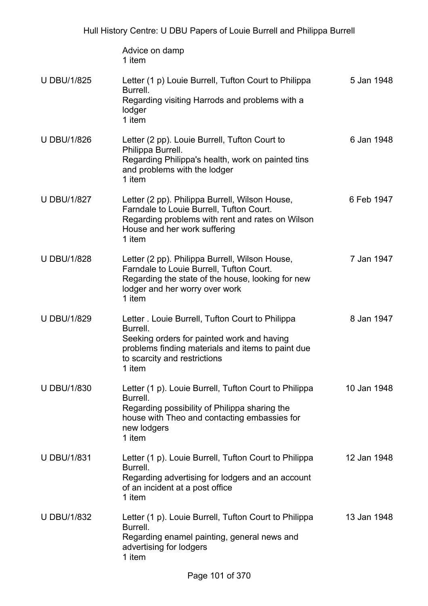|                    | Advice on damp<br>1 item                                                                                                                                                                                  |             |
|--------------------|-----------------------------------------------------------------------------------------------------------------------------------------------------------------------------------------------------------|-------------|
| <b>U DBU/1/825</b> | Letter (1 p) Louie Burrell, Tufton Court to Philippa<br>Burrell.<br>Regarding visiting Harrods and problems with a<br>lodger<br>1 item                                                                    | 5 Jan 1948  |
| <b>U DBU/1/826</b> | Letter (2 pp). Louie Burrell, Tufton Court to<br>Philippa Burrell.<br>Regarding Philippa's health, work on painted tins<br>and problems with the lodger<br>1 item                                         | 6 Jan 1948  |
| <b>U DBU/1/827</b> | Letter (2 pp). Philippa Burrell, Wilson House,<br>Farndale to Louie Burrell, Tufton Court.<br>Regarding problems with rent and rates on Wilson<br>House and her work suffering<br>1 item                  | 6 Feb 1947  |
| <b>U DBU/1/828</b> | Letter (2 pp). Philippa Burrell, Wilson House,<br>Farndale to Louie Burrell, Tufton Court.<br>Regarding the state of the house, looking for new<br>lodger and her worry over work<br>1 item               | 7 Jan 1947  |
| <b>U DBU/1/829</b> | Letter . Louie Burrell, Tufton Court to Philippa<br>Burrell.<br>Seeking orders for painted work and having<br>problems finding materials and items to paint due<br>to scarcity and restrictions<br>1 item | 8 Jan 1947  |
| <b>U DBU/1/830</b> | Letter (1 p). Louie Burrell, Tufton Court to Philippa<br>Burrell.<br>Regarding possibility of Philippa sharing the<br>house with Theo and contacting embassies for<br>new lodgers<br>1 item               | 10 Jan 1948 |
| <b>U DBU/1/831</b> | Letter (1 p). Louie Burrell, Tufton Court to Philippa<br>Burrell.<br>Regarding advertising for lodgers and an account<br>of an incident at a post office<br>1 item                                        | 12 Jan 1948 |
| <b>U DBU/1/832</b> | Letter (1 p). Louie Burrell, Tufton Court to Philippa<br>Burrell.<br>Regarding enamel painting, general news and<br>advertising for lodgers<br>1 item                                                     | 13 Jan 1948 |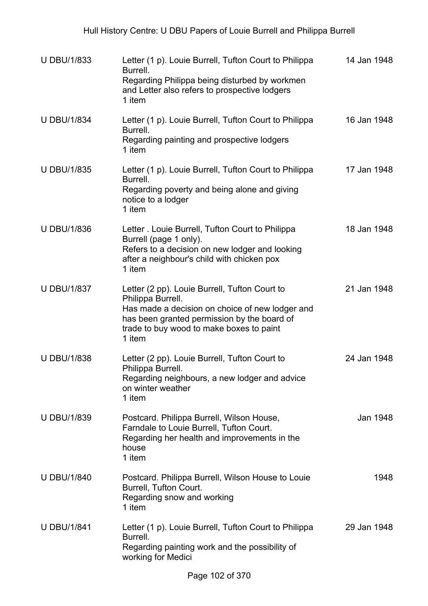| <b>U DBU/1/833</b> | Letter (1 p). Louie Burrell, Tufton Court to Philippa<br>Burrell.<br>Regarding Philippa being disturbed by workmen<br>and Letter also refers to prospective lodgers<br>1 item                                              | 14 Jan 1948 |
|--------------------|----------------------------------------------------------------------------------------------------------------------------------------------------------------------------------------------------------------------------|-------------|
| <b>U DBU/1/834</b> | Letter (1 p). Louie Burrell, Tufton Court to Philippa<br>Burrell.<br>Regarding painting and prospective lodgers<br>1 item                                                                                                  | 16 Jan 1948 |
| <b>U DBU/1/835</b> | Letter (1 p). Louie Burrell, Tufton Court to Philippa<br>Burrell.<br>Regarding poverty and being alone and giving<br>notice to a lodger<br>1 item                                                                          | 17 Jan 1948 |
| <b>U DBU/1/836</b> | Letter . Louie Burrell, Tufton Court to Philippa<br>Burrell (page 1 only).<br>Refers to a decision on new lodger and looking<br>after a neighbour's child with chicken pox<br>1 item                                       | 18 Jan 1948 |
| <b>U DBU/1/837</b> | Letter (2 pp). Louie Burrell, Tufton Court to<br>Philippa Burrell.<br>Has made a decision on choice of new lodger and<br>has been granted permission by the board of<br>trade to buy wood to make boxes to paint<br>1 item | 21 Jan 1948 |
| <b>U DBU/1/838</b> | Letter (2 pp). Louie Burrell, Tufton Court to<br>Philippa Burrell.<br>Regarding neighbours, a new lodger and advice<br>on winter weather<br>1 item                                                                         | 24 Jan 1948 |
| <b>U DBU/1/839</b> | Postcard. Philippa Burrell, Wilson House,<br>Farndale to Louie Burrell, Tufton Court.<br>Regarding her health and improvements in the<br>house<br>1 item                                                                   | Jan 1948    |
| <b>U DBU/1/840</b> | Postcard. Philippa Burrell, Wilson House to Louie<br>Burrell, Tufton Court.<br>Regarding snow and working<br>1 item                                                                                                        | 1948        |
| <b>U DBU/1/841</b> | Letter (1 p). Louie Burrell, Tufton Court to Philippa<br>Burrell.<br>Regarding painting work and the possibility of<br>working for Medici                                                                                  | 29 Jan 1948 |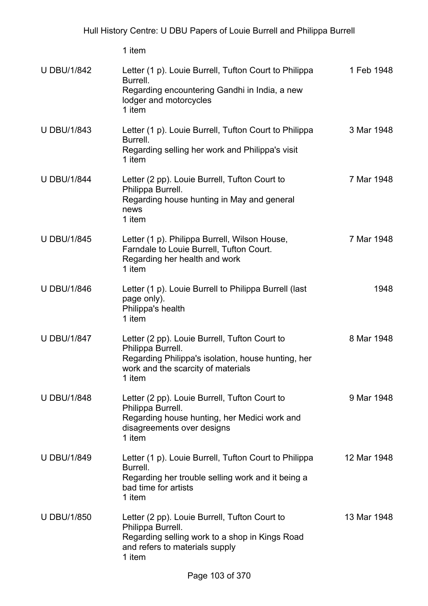| <b>U DBU/1/842</b> | Letter (1 p). Louie Burrell, Tufton Court to Philippa<br>Burrell.<br>Regarding encountering Gandhi in India, a new<br>lodger and motorcycles<br>1 item                   | 1 Feb 1948  |
|--------------------|--------------------------------------------------------------------------------------------------------------------------------------------------------------------------|-------------|
| <b>U DBU/1/843</b> | Letter (1 p). Louie Burrell, Tufton Court to Philippa<br>Burrell.<br>Regarding selling her work and Philippa's visit<br>1 item                                           | 3 Mar 1948  |
| <b>U DBU/1/844</b> | Letter (2 pp). Louie Burrell, Tufton Court to<br>Philippa Burrell.<br>Regarding house hunting in May and general<br>news<br>1 item                                       | 7 Mar 1948  |
| <b>U DBU/1/845</b> | Letter (1 p). Philippa Burrell, Wilson House,<br>Farndale to Louie Burrell, Tufton Court.<br>Regarding her health and work<br>1 item                                     | 7 Mar 1948  |
| <b>U DBU/1/846</b> | Letter (1 p). Louie Burrell to Philippa Burrell (last<br>page only).<br>Philippa's health<br>1 item                                                                      | 1948        |
| <b>U DBU/1/847</b> | Letter (2 pp). Louie Burrell, Tufton Court to<br>Philippa Burrell.<br>Regarding Philippa's isolation, house hunting, her<br>work and the scarcity of materials<br>1 item | 8 Mar 1948  |
| <b>U DBU/1/848</b> | Letter (2 pp). Louie Burrell, Tufton Court to<br>Philippa Burrell.<br>Regarding house hunting, her Medici work and<br>disagreements over designs<br>1 item               | 9 Mar 1948  |
| <b>U DBU/1/849</b> | Letter (1 p). Louie Burrell, Tufton Court to Philippa<br>Burrell.<br>Regarding her trouble selling work and it being a<br>bad time for artists<br>1 item                 | 12 Mar 1948 |
| <b>U DBU/1/850</b> | Letter (2 pp). Louie Burrell, Tufton Court to<br>Philippa Burrell.<br>Regarding selling work to a shop in Kings Road<br>and refers to materials supply<br>1 item         | 13 Mar 1948 |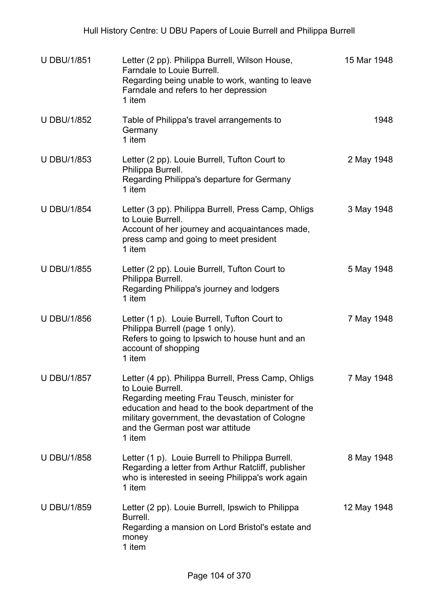| <b>U DBU/1/851</b> | Letter (2 pp). Philippa Burrell, Wilson House,<br>Farndale to Louie Burrell.<br>Regarding being unable to work, wanting to leave<br>Farndale and refers to her depression<br>1 item                                                                                          | 15 Mar 1948 |
|--------------------|------------------------------------------------------------------------------------------------------------------------------------------------------------------------------------------------------------------------------------------------------------------------------|-------------|
| <b>U DBU/1/852</b> | Table of Philippa's travel arrangements to<br>Germany<br>1 item                                                                                                                                                                                                              | 1948        |
| <b>U DBU/1/853</b> | Letter (2 pp). Louie Burrell, Tufton Court to<br>Philippa Burrell.<br>Regarding Philippa's departure for Germany<br>1 item                                                                                                                                                   | 2 May 1948  |
| <b>U DBU/1/854</b> | Letter (3 pp). Philippa Burrell, Press Camp, Ohligs<br>to Louie Burrell.<br>Account of her journey and acquaintances made,<br>press camp and going to meet president<br>1 item                                                                                               | 3 May 1948  |
| <b>U DBU/1/855</b> | Letter (2 pp). Louie Burrell, Tufton Court to<br>Philippa Burrell.<br>Regarding Philippa's journey and lodgers<br>1 item                                                                                                                                                     | 5 May 1948  |
| <b>U DBU/1/856</b> | Letter (1 p). Louie Burrell, Tufton Court to<br>Philippa Burrell (page 1 only).<br>Refers to going to Ipswich to house hunt and an<br>account of shopping<br>1 item                                                                                                          | 7 May 1948  |
| <b>U DBU/1/857</b> | Letter (4 pp). Philippa Burrell, Press Camp, Ohligs<br>to Louie Burrell.<br>Regarding meeting Frau Teusch, minister for<br>education and head to the book department of the<br>military government, the devastation of Cologne<br>and the German post war attitude<br>1 item | 7 May 1948  |
| <b>U DBU/1/858</b> | Letter (1 p). Louie Burrell to Philippa Burrell.<br>Regarding a letter from Arthur Ratcliff, publisher<br>who is interested in seeing Philippa's work again<br>1 item                                                                                                        | 8 May 1948  |
| <b>U DBU/1/859</b> | Letter (2 pp). Louie Burrell, Ipswich to Philippa<br>Burrell.<br>Regarding a mansion on Lord Bristol's estate and<br>money<br>1 item                                                                                                                                         | 12 May 1948 |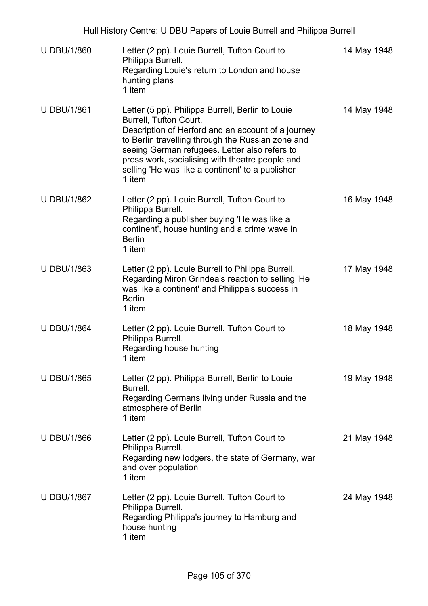| <b>U DBU/1/860</b> | Letter (2 pp). Louie Burrell, Tufton Court to<br>Philippa Burrell.<br>Regarding Louie's return to London and house<br>hunting plans<br>1 item                                                                                                                                                                                                           | 14 May 1948 |
|--------------------|---------------------------------------------------------------------------------------------------------------------------------------------------------------------------------------------------------------------------------------------------------------------------------------------------------------------------------------------------------|-------------|
| <b>U DBU/1/861</b> | Letter (5 pp). Philippa Burrell, Berlin to Louie<br>Burrell, Tufton Court.<br>Description of Herford and an account of a journey<br>to Berlin travelling through the Russian zone and<br>seeing German refugees. Letter also refers to<br>press work, socialising with theatre people and<br>selling 'He was like a continent' to a publisher<br>1 item | 14 May 1948 |
| <b>U DBU/1/862</b> | Letter (2 pp). Louie Burrell, Tufton Court to<br>Philippa Burrell.<br>Regarding a publisher buying 'He was like a<br>continent', house hunting and a crime wave in<br><b>Berlin</b><br>1 item                                                                                                                                                           | 16 May 1948 |
| <b>U DBU/1/863</b> | Letter (2 pp). Louie Burrell to Philippa Burrell.<br>Regarding Miron Grindea's reaction to selling 'He<br>was like a continent' and Philippa's success in<br><b>Berlin</b><br>1 item                                                                                                                                                                    | 17 May 1948 |
| <b>U DBU/1/864</b> | Letter (2 pp). Louie Burrell, Tufton Court to<br>Philippa Burrell.<br>Regarding house hunting<br>1 item                                                                                                                                                                                                                                                 | 18 May 1948 |
| <b>U DBU/1/865</b> | Letter (2 pp). Philippa Burrell, Berlin to Louie<br>Burrell.<br>Regarding Germans living under Russia and the<br>atmosphere of Berlin<br>1 item                                                                                                                                                                                                         | 19 May 1948 |
| <b>U DBU/1/866</b> | Letter (2 pp). Louie Burrell, Tufton Court to<br>Philippa Burrell.<br>Regarding new lodgers, the state of Germany, war<br>and over population<br>1 item                                                                                                                                                                                                 | 21 May 1948 |
| <b>U DBU/1/867</b> | Letter (2 pp). Louie Burrell, Tufton Court to<br>Philippa Burrell.<br>Regarding Philippa's journey to Hamburg and<br>house hunting<br>1 item                                                                                                                                                                                                            | 24 May 1948 |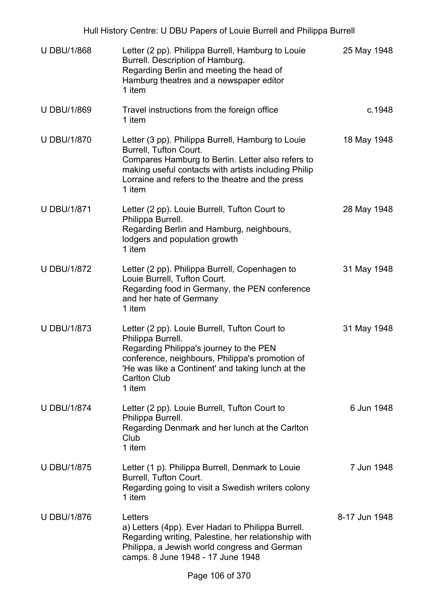| <b>U DBU/1/868</b> | Letter (2 pp). Philippa Burrell, Hamburg to Louie<br>Burrell. Description of Hamburg.<br>Regarding Berlin and meeting the head of<br>Hamburg theatres and a newspaper editor<br>1 item                                                                 | 25 May 1948   |
|--------------------|--------------------------------------------------------------------------------------------------------------------------------------------------------------------------------------------------------------------------------------------------------|---------------|
| <b>U DBU/1/869</b> | Travel instructions from the foreign office<br>1 item                                                                                                                                                                                                  | c.1948        |
| <b>U DBU/1/870</b> | Letter (3 pp). Philippa Burrell, Hamburg to Louie<br>Burrell, Tufton Court.<br>Compares Hamburg to Berlin. Letter also refers to<br>making useful contacts with artists including Philip<br>Lorraine and refers to the theatre and the press<br>1 item | 18 May 1948   |
| <b>U DBU/1/871</b> | Letter (2 pp). Louie Burrell, Tufton Court to<br>Philippa Burrell.<br>Regarding Berlin and Hamburg, neighbours,<br>lodgers and population growth<br>1 item                                                                                             | 28 May 1948   |
| <b>U DBU/1/872</b> | Letter (2 pp). Philippa Burrell, Copenhagen to<br>Louie Burrell, Tufton Court.<br>Regarding food in Germany, the PEN conference<br>and her hate of Germany<br>1 item                                                                                   | 31 May 1948   |
| <b>U DBU/1/873</b> | Letter (2 pp). Louie Burrell, Tufton Court to<br>Philippa Burrell.<br>Regarding Philippa's journey to the PEN<br>conference, neighbours, Philippa's promotion of<br>'He was like a Continent' and taking lunch at the<br><b>Carlton Club</b><br>1 item | 31 May 1948   |
| <b>U DBU/1/874</b> | Letter (2 pp). Louie Burrell, Tufton Court to<br>Philippa Burrell.<br>Regarding Denmark and her lunch at the Carlton<br>Club<br>1 item                                                                                                                 | 6 Jun 1948    |
| <b>U DBU/1/875</b> | Letter (1 p). Philippa Burrell, Denmark to Louie<br>Burrell, Tufton Court.<br>Regarding going to visit a Swedish writers colony<br>1 item                                                                                                              | 7 Jun 1948    |
| <b>U DBU/1/876</b> | Letters<br>a) Letters (4pp). Ever Hadari to Philippa Burrell.<br>Regarding writing, Palestine, her relationship with<br>Philippa, a Jewish world congress and German<br>camps. 8 June 1948 - 17 June 1948                                              | 8-17 Jun 1948 |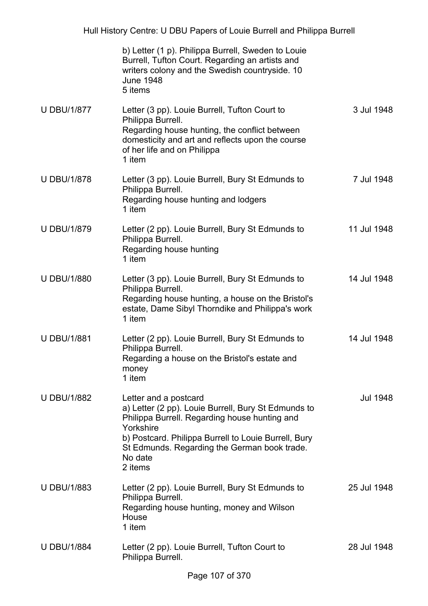|                    | b) Letter (1 p). Philippa Burrell, Sweden to Louie<br>Burrell, Tufton Court. Regarding an artists and<br>writers colony and the Swedish countryside. 10<br><b>June 1948</b><br>5 items                                                                                   |                 |
|--------------------|--------------------------------------------------------------------------------------------------------------------------------------------------------------------------------------------------------------------------------------------------------------------------|-----------------|
| <b>U DBU/1/877</b> | Letter (3 pp). Louie Burrell, Tufton Court to<br>Philippa Burrell.<br>Regarding house hunting, the conflict between<br>domesticity and art and reflects upon the course<br>of her life and on Philippa<br>1 item                                                         | 3 Jul 1948      |
| <b>U DBU/1/878</b> | Letter (3 pp). Louie Burrell, Bury St Edmunds to<br>Philippa Burrell.<br>Regarding house hunting and lodgers<br>1 item                                                                                                                                                   | 7 Jul 1948      |
| <b>U DBU/1/879</b> | Letter (2 pp). Louie Burrell, Bury St Edmunds to<br>Philippa Burrell.<br>Regarding house hunting<br>1 item                                                                                                                                                               | 11 Jul 1948     |
| <b>U DBU/1/880</b> | Letter (3 pp). Louie Burrell, Bury St Edmunds to<br>Philippa Burrell.<br>Regarding house hunting, a house on the Bristol's<br>estate, Dame Sibyl Thorndike and Philippa's work<br>1 item                                                                                 | 14 Jul 1948     |
| <b>U DBU/1/881</b> | Letter (2 pp). Louie Burrell, Bury St Edmunds to<br>Philippa Burrell.<br>Regarding a house on the Bristol's estate and<br>money<br>1 item                                                                                                                                | 14 Jul 1948     |
| <b>U DBU/1/882</b> | Letter and a postcard<br>a) Letter (2 pp). Louie Burrell, Bury St Edmunds to<br>Philippa Burrell. Regarding house hunting and<br>Yorkshire<br>b) Postcard. Philippa Burrell to Louie Burrell, Bury<br>St Edmunds. Regarding the German book trade.<br>No date<br>2 items | <b>Jul 1948</b> |
| <b>U DBU/1/883</b> | Letter (2 pp). Louie Burrell, Bury St Edmunds to<br>Philippa Burrell.<br>Regarding house hunting, money and Wilson<br>House<br>1 item                                                                                                                                    | 25 Jul 1948     |
| <b>U DBU/1/884</b> | Letter (2 pp). Louie Burrell, Tufton Court to<br>Philippa Burrell.                                                                                                                                                                                                       | 28 Jul 1948     |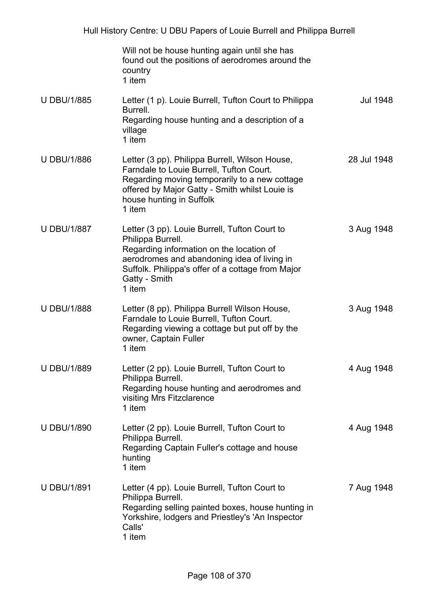|                    | Will not be house hunting again until she has<br>found out the positions of aerodromes around the<br>country<br>1 item                                                                                                                        |             |
|--------------------|-----------------------------------------------------------------------------------------------------------------------------------------------------------------------------------------------------------------------------------------------|-------------|
| <b>U DBU/1/885</b> | Letter (1 p). Louie Burrell, Tufton Court to Philippa<br>Burrell.<br>Regarding house hunting and a description of a<br>village<br>1 item                                                                                                      | Jul 1948    |
| <b>U DBU/1/886</b> | Letter (3 pp). Philippa Burrell, Wilson House,<br>Farndale to Louie Burrell, Tufton Court.<br>Regarding moving temporarily to a new cottage<br>offered by Major Gatty - Smith whilst Louie is<br>house hunting in Suffolk<br>1 item           | 28 Jul 1948 |
| <b>U DBU/1/887</b> | Letter (3 pp). Louie Burrell, Tufton Court to<br>Philippa Burrell.<br>Regarding information on the location of<br>aerodromes and abandoning idea of living in<br>Suffolk. Philippa's offer of a cottage from Major<br>Gatty - Smith<br>1 item | 3 Aug 1948  |
| <b>U DBU/1/888</b> | Letter (8 pp). Philippa Burrell Wilson House,<br>Farndale to Louie Burrell, Tufton Court.<br>Regarding viewing a cottage but put off by the<br>owner, Captain Fuller<br>1 item                                                                | 3 Aug 1948  |
| <b>U DBU/1/889</b> | Letter (2 pp). Louie Burrell, Tufton Court to<br>Philippa Burrell.<br>Regarding house hunting and aerodromes and<br>visiting Mrs Fitzclarence<br>1 item                                                                                       | 4 Aug 1948  |
| <b>U DBU/1/890</b> | Letter (2 pp). Louie Burrell, Tufton Court to<br>Philippa Burrell.<br>Regarding Captain Fuller's cottage and house<br>hunting<br>1 item                                                                                                       | 4 Aug 1948  |
| <b>U DBU/1/891</b> | Letter (4 pp). Louie Burrell, Tufton Court to<br>Philippa Burrell.<br>Regarding selling painted boxes, house hunting in<br>Yorkshire, lodgers and Priestley's 'An Inspector<br>Calls'<br>1 item                                               | 7 Aug 1948  |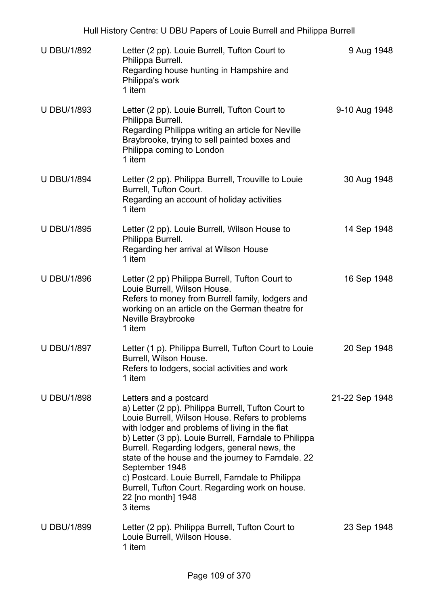| <b>U DBU/1/892</b> | Letter (2 pp). Louie Burrell, Tufton Court to<br>Philippa Burrell.<br>Regarding house hunting in Hampshire and<br>Philippa's work<br>1 item                                                                                                                                                                                                                                                                                                                                                                  | 9 Aug 1948     |
|--------------------|--------------------------------------------------------------------------------------------------------------------------------------------------------------------------------------------------------------------------------------------------------------------------------------------------------------------------------------------------------------------------------------------------------------------------------------------------------------------------------------------------------------|----------------|
| <b>U DBU/1/893</b> | Letter (2 pp). Louie Burrell, Tufton Court to<br>Philippa Burrell.<br>Regarding Philippa writing an article for Neville<br>Braybrooke, trying to sell painted boxes and<br>Philippa coming to London<br>1 item                                                                                                                                                                                                                                                                                               | 9-10 Aug 1948  |
| <b>U DBU/1/894</b> | Letter (2 pp). Philippa Burrell, Trouville to Louie<br>Burrell, Tufton Court.<br>Regarding an account of holiday activities<br>1 item                                                                                                                                                                                                                                                                                                                                                                        | 30 Aug 1948    |
| <b>U DBU/1/895</b> | Letter (2 pp). Louie Burrell, Wilson House to<br>Philippa Burrell.<br>Regarding her arrival at Wilson House<br>1 item                                                                                                                                                                                                                                                                                                                                                                                        | 14 Sep 1948    |
| <b>U DBU/1/896</b> | Letter (2 pp) Philippa Burrell, Tufton Court to<br>Louie Burrell, Wilson House.<br>Refers to money from Burrell family, lodgers and<br>working on an article on the German theatre for<br>Neville Braybrooke<br>1 item                                                                                                                                                                                                                                                                                       | 16 Sep 1948    |
| <b>U DBU/1/897</b> | Letter (1 p). Philippa Burrell, Tufton Court to Louie<br>Burrell, Wilson House.<br>Refers to lodgers, social activities and work<br>1 item                                                                                                                                                                                                                                                                                                                                                                   | 20 Sep 1948    |
| <b>U DBU/1/898</b> | Letters and a postcard<br>a) Letter (2 pp). Philippa Burrell, Tufton Court to<br>Louie Burrell, Wilson House. Refers to problems<br>with lodger and problems of living in the flat<br>b) Letter (3 pp). Louie Burrell, Farndale to Philippa<br>Burrell. Regarding lodgers, general news, the<br>state of the house and the journey to Farndale. 22<br>September 1948<br>c) Postcard. Louie Burrell, Farndale to Philippa<br>Burrell, Tufton Court. Regarding work on house.<br>22 [no month] 1948<br>3 items | 21-22 Sep 1948 |
| <b>U DBU/1/899</b> | Letter (2 pp). Philippa Burrell, Tufton Court to<br>Louie Burrell, Wilson House.<br>1 item                                                                                                                                                                                                                                                                                                                                                                                                                   | 23 Sep 1948    |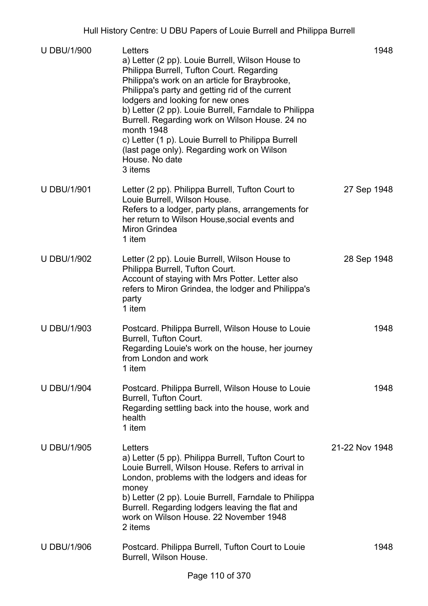| <b>U DBU/1/900</b> | Letters<br>a) Letter (2 pp). Louie Burrell, Wilson House to<br>Philippa Burrell, Tufton Court. Regarding<br>Philippa's work on an article for Braybrooke,<br>Philippa's party and getting rid of the current<br>lodgers and looking for new ones<br>b) Letter (2 pp). Louie Burrell, Farndale to Philippa<br>Burrell. Regarding work on Wilson House. 24 no<br>month 1948<br>c) Letter (1 p). Louie Burrell to Philippa Burrell<br>(last page only). Regarding work on Wilson<br>House. No date<br>3 items | 1948           |
|--------------------|------------------------------------------------------------------------------------------------------------------------------------------------------------------------------------------------------------------------------------------------------------------------------------------------------------------------------------------------------------------------------------------------------------------------------------------------------------------------------------------------------------|----------------|
| <b>U DBU/1/901</b> | Letter (2 pp). Philippa Burrell, Tufton Court to<br>Louie Burrell, Wilson House.<br>Refers to a lodger, party plans, arrangements for<br>her return to Wilson House, social events and<br><b>Miron Grindea</b><br>1 item                                                                                                                                                                                                                                                                                   | 27 Sep 1948    |
| <b>U DBU/1/902</b> | Letter (2 pp). Louie Burrell, Wilson House to<br>Philippa Burrell, Tufton Court.<br>Account of staying with Mrs Potter. Letter also<br>refers to Miron Grindea, the lodger and Philippa's<br>party<br>1 item                                                                                                                                                                                                                                                                                               | 28 Sep 1948    |
| <b>U DBU/1/903</b> | Postcard. Philippa Burrell, Wilson House to Louie<br>Burrell, Tufton Court.<br>Regarding Louie's work on the house, her journey<br>from London and work<br>1 item                                                                                                                                                                                                                                                                                                                                          | 1948           |
| <b>U DBU/1/904</b> | Postcard. Philippa Burrell, Wilson House to Louie<br>Burrell, Tufton Court.<br>Regarding settling back into the house, work and<br>health<br>1 item                                                                                                                                                                                                                                                                                                                                                        | 1948           |
| <b>U DBU/1/905</b> | Letters<br>a) Letter (5 pp). Philippa Burrell, Tufton Court to<br>Louie Burrell, Wilson House. Refers to arrival in<br>London, problems with the lodgers and ideas for<br>money<br>b) Letter (2 pp). Louie Burrell, Farndale to Philippa<br>Burrell. Regarding lodgers leaving the flat and<br>work on Wilson House, 22 November 1948<br>2 items                                                                                                                                                           | 21-22 Nov 1948 |
| <b>U DBU/1/906</b> | Postcard. Philippa Burrell, Tufton Court to Louie<br>Burrell, Wilson House.                                                                                                                                                                                                                                                                                                                                                                                                                                | 1948           |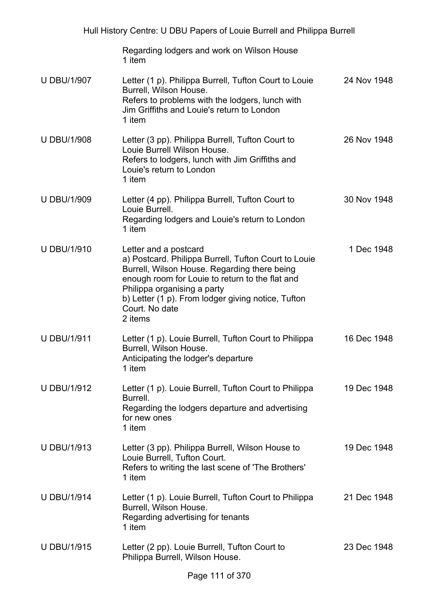|                    | Regarding lodgers and work on Wilson House<br>1 item                                                                                                                                                                                                                                               |             |
|--------------------|----------------------------------------------------------------------------------------------------------------------------------------------------------------------------------------------------------------------------------------------------------------------------------------------------|-------------|
| <b>U DBU/1/907</b> | Letter (1 p). Philippa Burrell, Tufton Court to Louie<br>Burrell, Wilson House.<br>Refers to problems with the lodgers, lunch with<br>Jim Griffiths and Louie's return to London<br>1 item                                                                                                         | 24 Nov 1948 |
| <b>U DBU/1/908</b> | Letter (3 pp). Philippa Burrell, Tufton Court to<br>Louie Burrell Wilson House.<br>Refers to lodgers, lunch with Jim Griffiths and<br>Louie's return to London<br>1 item                                                                                                                           | 26 Nov 1948 |
| <b>U DBU/1/909</b> | Letter (4 pp). Philippa Burrell, Tufton Court to<br>Louie Burrell.<br>Regarding lodgers and Louie's return to London<br>1 item                                                                                                                                                                     | 30 Nov 1948 |
| <b>U DBU/1/910</b> | Letter and a postcard<br>a) Postcard. Philippa Burrell, Tufton Court to Louie<br>Burrell, Wilson House. Regarding there being<br>enough room for Louie to return to the flat and<br>Philippa organising a party<br>b) Letter (1 p). From lodger giving notice, Tufton<br>Court. No date<br>2 items | 1 Dec 1948  |
| <b>U DBU/1/911</b> | Letter (1 p). Louie Burrell, Tufton Court to Philippa<br>Burrell, Wilson House.<br>Anticipating the lodger's departure<br>1 item                                                                                                                                                                   | 16 Dec 1948 |
| <b>U DBU/1/912</b> | Letter (1 p). Louie Burrell, Tufton Court to Philippa<br>Burrell.<br>Regarding the lodgers departure and advertising<br>for new ones<br>1 item                                                                                                                                                     | 19 Dec 1948 |
| <b>U DBU/1/913</b> | Letter (3 pp). Philippa Burrell, Wilson House to<br>Louie Burrell, Tufton Court.<br>Refers to writing the last scene of 'The Brothers'<br>1 item                                                                                                                                                   | 19 Dec 1948 |
| <b>U DBU/1/914</b> | Letter (1 p). Louie Burrell, Tufton Court to Philippa<br>Burrell, Wilson House.<br>Regarding advertising for tenants<br>1 item                                                                                                                                                                     | 21 Dec 1948 |
| <b>U DBU/1/915</b> | Letter (2 pp). Louie Burrell, Tufton Court to<br>Philippa Burrell, Wilson House.                                                                                                                                                                                                                   | 23 Dec 1948 |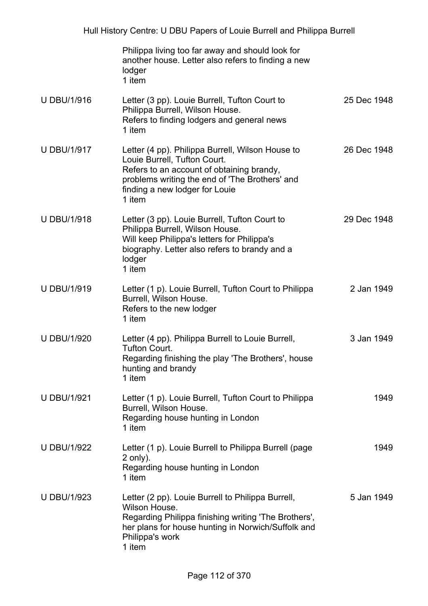|                    | Philippa living too far away and should look for<br>another house. Letter also refers to finding a new<br>lodger<br>1 item                                                                                                  |             |
|--------------------|-----------------------------------------------------------------------------------------------------------------------------------------------------------------------------------------------------------------------------|-------------|
| <b>U DBU/1/916</b> | Letter (3 pp). Louie Burrell, Tufton Court to<br>Philippa Burrell, Wilson House.<br>Refers to finding lodgers and general news<br>1 item                                                                                    | 25 Dec 1948 |
| <b>U DBU/1/917</b> | Letter (4 pp). Philippa Burrell, Wilson House to<br>Louie Burrell, Tufton Court.<br>Refers to an account of obtaining brandy,<br>problems writing the end of 'The Brothers' and<br>finding a new lodger for Louie<br>1 item | 26 Dec 1948 |
| <b>U DBU/1/918</b> | Letter (3 pp). Louie Burrell, Tufton Court to<br>Philippa Burrell, Wilson House.<br>Will keep Philippa's letters for Philippa's<br>biography. Letter also refers to brandy and a<br>lodger<br>1 item                        | 29 Dec 1948 |
| <b>U DBU/1/919</b> | Letter (1 p). Louie Burrell, Tufton Court to Philippa<br>Burrell, Wilson House.<br>Refers to the new lodger<br>1 item                                                                                                       | 2 Jan 1949  |
| <b>U DBU/1/920</b> | Letter (4 pp). Philippa Burrell to Louie Burrell,<br><b>Tufton Court.</b><br>Regarding finishing the play 'The Brothers', house<br>hunting and brandy<br>1 item                                                             | 3 Jan 1949  |
| <b>U DBU/1/921</b> | Letter (1 p). Louie Burrell, Tufton Court to Philippa<br>Burrell, Wilson House.<br>Regarding house hunting in London<br>1 item                                                                                              | 1949        |
| <b>U DBU/1/922</b> | Letter (1 p). Louie Burrell to Philippa Burrell (page<br>$2$ only).<br>Regarding house hunting in London<br>1 item                                                                                                          | 1949        |
| <b>U DBU/1/923</b> | Letter (2 pp). Louie Burrell to Philippa Burrell,<br>Wilson House.<br>Regarding Philippa finishing writing 'The Brothers',<br>her plans for house hunting in Norwich/Suffolk and<br>Philippa's work<br>1 item               | 5 Jan 1949  |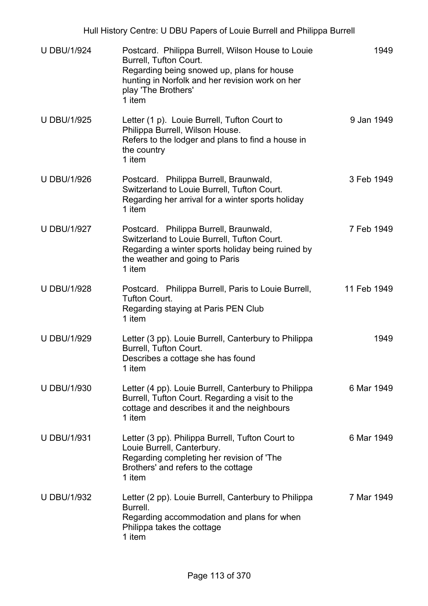|                    | Hull History Centre: U DBU Papers of Louie Burrell and Philippa Burrell                                                                                                                                       |             |
|--------------------|---------------------------------------------------------------------------------------------------------------------------------------------------------------------------------------------------------------|-------------|
| <b>U DBU/1/924</b> | Postcard. Philippa Burrell, Wilson House to Louie<br>Burrell, Tufton Court.<br>Regarding being snowed up, plans for house<br>hunting in Norfolk and her revision work on her<br>play 'The Brothers'<br>1 item | 1949        |
| <b>U DBU/1/925</b> | Letter (1 p). Louie Burrell, Tufton Court to<br>Philippa Burrell, Wilson House.<br>Refers to the lodger and plans to find a house in<br>the country<br>1 item                                                 | 9 Jan 1949  |
| <b>U DBU/1/926</b> | Postcard. Philippa Burrell, Braunwald,<br>Switzerland to Louie Burrell, Tufton Court.<br>Regarding her arrival for a winter sports holiday<br>1 item                                                          | 3 Feb 1949  |
| <b>U DBU/1/927</b> | Postcard. Philippa Burrell, Braunwald,<br>Switzerland to Louie Burrell, Tufton Court.<br>Regarding a winter sports holiday being ruined by<br>the weather and going to Paris<br>1 item                        | 7 Feb 1949  |
| <b>U DBU/1/928</b> | Postcard. Philippa Burrell, Paris to Louie Burrell,<br><b>Tufton Court.</b><br>Regarding staying at Paris PEN Club<br>1 item                                                                                  | 11 Feb 1949 |
| <b>U DBU/1/929</b> | Letter (3 pp). Louie Burrell, Canterbury to Philippa<br>Burrell, Tufton Court.<br>Describes a cottage she has found<br>1 item                                                                                 | 1949        |
| <b>U DBU/1/930</b> | Letter (4 pp). Louie Burrell, Canterbury to Philippa<br>Burrell, Tufton Court. Regarding a visit to the<br>cottage and describes it and the neighbours<br>1 item                                              | 6 Mar 1949  |
| <b>U DBU/1/931</b> | Letter (3 pp). Philippa Burrell, Tufton Court to<br>Louie Burrell, Canterbury.<br>Regarding completing her revision of 'The<br>Brothers' and refers to the cottage<br>1 item                                  | 6 Mar 1949  |
| <b>U DBU/1/932</b> | Letter (2 pp). Louie Burrell, Canterbury to Philippa<br>Burrell.<br>Regarding accommodation and plans for when                                                                                                | 7 Mar 1949  |

Philippa takes the cottage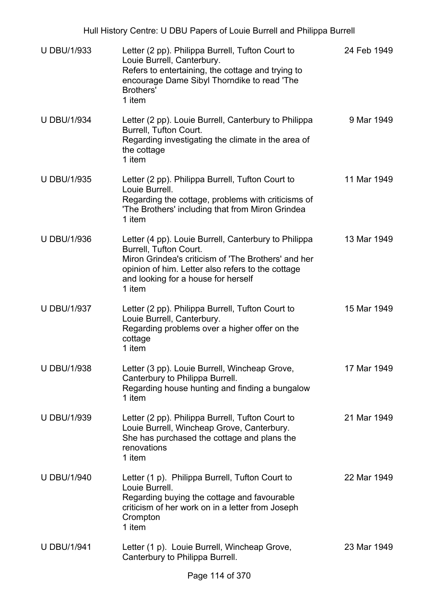| <b>U DBU/1/933</b> | Letter (2 pp). Philippa Burrell, Tufton Court to<br>Louie Burrell, Canterbury.<br>Refers to entertaining, the cottage and trying to<br>encourage Dame Sibyl Thorndike to read 'The<br>Brothers'<br>1 item                                          | 24 Feb 1949 |
|--------------------|----------------------------------------------------------------------------------------------------------------------------------------------------------------------------------------------------------------------------------------------------|-------------|
| <b>U DBU/1/934</b> | Letter (2 pp). Louie Burrell, Canterbury to Philippa<br>Burrell, Tufton Court.<br>Regarding investigating the climate in the area of<br>the cottage<br>1 item                                                                                      | 9 Mar 1949  |
| <b>U DBU/1/935</b> | Letter (2 pp). Philippa Burrell, Tufton Court to<br>Louie Burrell.<br>Regarding the cottage, problems with criticisms of<br>'The Brothers' including that from Miron Grindea<br>1 item                                                             | 11 Mar 1949 |
| <b>U DBU/1/936</b> | Letter (4 pp). Louie Burrell, Canterbury to Philippa<br><b>Burrell, Tufton Court.</b><br>Miron Grindea's criticism of 'The Brothers' and her<br>opinion of him. Letter also refers to the cottage<br>and looking for a house for herself<br>1 item | 13 Mar 1949 |
| <b>U DBU/1/937</b> | Letter (2 pp). Philippa Burrell, Tufton Court to<br>Louie Burrell, Canterbury.<br>Regarding problems over a higher offer on the<br>cottage<br>1 item                                                                                               | 15 Mar 1949 |
| <b>U DBU/1/938</b> | Letter (3 pp). Louie Burrell, Wincheap Grove,<br>Canterbury to Philippa Burrell.<br>Regarding house hunting and finding a bungalow<br>1 item                                                                                                       | 17 Mar 1949 |
| <b>U DBU/1/939</b> | Letter (2 pp). Philippa Burrell, Tufton Court to<br>Louie Burrell, Wincheap Grove, Canterbury.<br>She has purchased the cottage and plans the<br>renovations<br>1 item                                                                             | 21 Mar 1949 |
| <b>U DBU/1/940</b> | Letter (1 p). Philippa Burrell, Tufton Court to<br>Louie Burrell.<br>Regarding buying the cottage and favourable<br>criticism of her work on in a letter from Joseph<br>Crompton<br>1 item                                                         | 22 Mar 1949 |
| <b>U DBU/1/941</b> | Letter (1 p). Louie Burrell, Wincheap Grove,<br>Canterbury to Philippa Burrell.                                                                                                                                                                    | 23 Mar 1949 |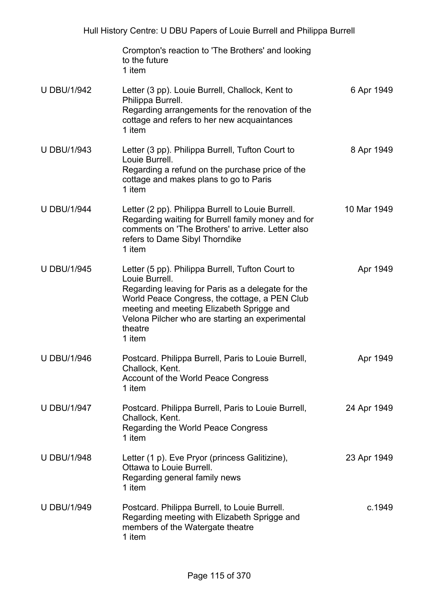|                    | Crompton's reaction to 'The Brothers' and looking<br>to the future<br>1 item                                                                                                                                                                                                                  |             |
|--------------------|-----------------------------------------------------------------------------------------------------------------------------------------------------------------------------------------------------------------------------------------------------------------------------------------------|-------------|
| <b>U DBU/1/942</b> | Letter (3 pp). Louie Burrell, Challock, Kent to<br>Philippa Burrell.<br>Regarding arrangements for the renovation of the<br>cottage and refers to her new acquaintances<br>1 item                                                                                                             | 6 Apr 1949  |
| <b>U DBU/1/943</b> | Letter (3 pp). Philippa Burrell, Tufton Court to<br>Louie Burrell.<br>Regarding a refund on the purchase price of the<br>cottage and makes plans to go to Paris<br>1 item                                                                                                                     | 8 Apr 1949  |
| <b>U DBU/1/944</b> | Letter (2 pp). Philippa Burrell to Louie Burrell.<br>Regarding waiting for Burrell family money and for<br>comments on 'The Brothers' to arrive. Letter also<br>refers to Dame Sibyl Thorndike<br>1 item                                                                                      | 10 Mar 1949 |
| <b>U DBU/1/945</b> | Letter (5 pp). Philippa Burrell, Tufton Court to<br>Louie Burrell.<br>Regarding leaving for Paris as a delegate for the<br>World Peace Congress, the cottage, a PEN Club<br>meeting and meeting Elizabeth Sprigge and<br>Velona Pilcher who are starting an experimental<br>theatre<br>1 item | Apr 1949    |
| <b>U DBU/1/946</b> | Postcard. Philippa Burrell, Paris to Louie Burrell,<br>Challock, Kent.<br>Account of the World Peace Congress<br>1 item                                                                                                                                                                       | Apr 1949    |
| <b>U DBU/1/947</b> | Postcard. Philippa Burrell, Paris to Louie Burrell,<br>Challock, Kent.<br>Regarding the World Peace Congress<br>1 item                                                                                                                                                                        | 24 Apr 1949 |
| <b>U DBU/1/948</b> | Letter (1 p). Eve Pryor (princess Galitizine),<br>Ottawa to Louie Burrell.<br>Regarding general family news<br>1 item                                                                                                                                                                         | 23 Apr 1949 |
| <b>U DBU/1/949</b> | Postcard. Philippa Burrell, to Louie Burrell.<br>Regarding meeting with Elizabeth Sprigge and<br>members of the Watergate theatre<br>1 item                                                                                                                                                   | c.1949      |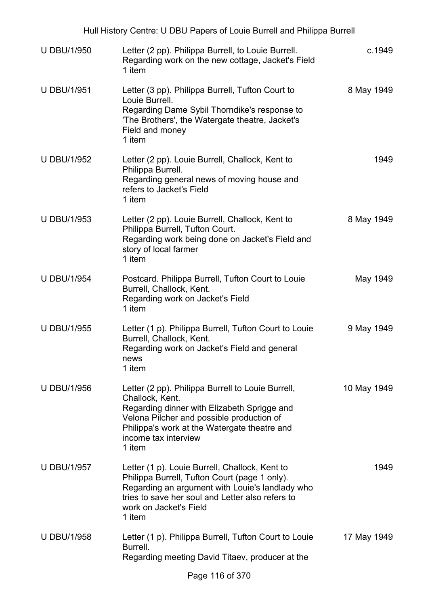| Hull History Centre: U DBU Papers of Louie Burrell and Philippa Burrell |                                                                                                                                                                                                                                                    |             |  |
|-------------------------------------------------------------------------|----------------------------------------------------------------------------------------------------------------------------------------------------------------------------------------------------------------------------------------------------|-------------|--|
| <b>U DBU/1/950</b>                                                      | Letter (2 pp). Philippa Burrell, to Louie Burrell.<br>Regarding work on the new cottage, Jacket's Field<br>1 item                                                                                                                                  | c.1949      |  |
| <b>U DBU/1/951</b>                                                      | Letter (3 pp). Philippa Burrell, Tufton Court to<br>Louie Burrell.<br>Regarding Dame Sybil Thorndike's response to<br>'The Brothers', the Watergate theatre, Jacket's<br>Field and money<br>1 item                                                 | 8 May 1949  |  |
| <b>U DBU/1/952</b>                                                      | Letter (2 pp). Louie Burrell, Challock, Kent to<br>Philippa Burrell.<br>Regarding general news of moving house and<br>refers to Jacket's Field<br>1 item                                                                                           | 1949        |  |
| <b>U DBU/1/953</b>                                                      | Letter (2 pp). Louie Burrell, Challock, Kent to<br>Philippa Burrell, Tufton Court.<br>Regarding work being done on Jacket's Field and<br>story of local farmer<br>1 item                                                                           | 8 May 1949  |  |
| <b>U DBU/1/954</b>                                                      | Postcard. Philippa Burrell, Tufton Court to Louie<br>Burrell, Challock, Kent.<br>Regarding work on Jacket's Field<br>1 item                                                                                                                        | May 1949    |  |
| <b>U DBU/1/955</b>                                                      | Letter (1 p). Philippa Burrell, Tufton Court to Louie<br>Burrell, Challock, Kent.<br>Regarding work on Jacket's Field and general<br>news<br>1 item                                                                                                | 9 May 1949  |  |
| <b>U DBU/1/956</b>                                                      | Letter (2 pp). Philippa Burrell to Louie Burrell,<br>Challock, Kent.<br>Regarding dinner with Elizabeth Sprigge and<br>Velona Pilcher and possible production of<br>Philippa's work at the Watergate theatre and<br>income tax interview<br>1 item | 10 May 1949 |  |
| <b>U DBU/1/957</b>                                                      | Letter (1 p). Louie Burrell, Challock, Kent to<br>Philippa Burrell, Tufton Court (page 1 only).<br>Regarding an argument with Louie's landlady who<br>tries to save her soul and Letter also refers to<br>work on Jacket's Field<br>1 item         | 1949        |  |
| <b>U DBU/1/958</b>                                                      | Letter (1 p). Philippa Burrell, Tufton Court to Louie<br>Burrell.<br>Regarding meeting David Titaev, producer at the                                                                                                                               | 17 May 1949 |  |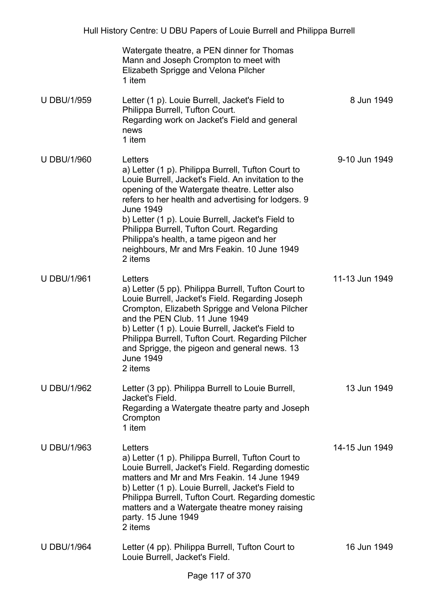|                    | Watergate theatre, a PEN dinner for Thomas<br>Mann and Joseph Crompton to meet with<br>Elizabeth Sprigge and Velona Pilcher<br>1 item                                                                                                                                                                                                                                                                                                                    |                |
|--------------------|----------------------------------------------------------------------------------------------------------------------------------------------------------------------------------------------------------------------------------------------------------------------------------------------------------------------------------------------------------------------------------------------------------------------------------------------------------|----------------|
| <b>U DBU/1/959</b> | Letter (1 p). Louie Burrell, Jacket's Field to<br>Philippa Burrell, Tufton Court.<br>Regarding work on Jacket's Field and general<br>news<br>1 item                                                                                                                                                                                                                                                                                                      | 8 Jun 1949     |
| <b>U DBU/1/960</b> | Letters<br>a) Letter (1 p). Philippa Burrell, Tufton Court to<br>Louie Burrell, Jacket's Field. An invitation to the<br>opening of the Watergate theatre. Letter also<br>refers to her health and advertising for lodgers. 9<br><b>June 1949</b><br>b) Letter (1 p). Louie Burrell, Jacket's Field to<br>Philippa Burrell, Tufton Court. Regarding<br>Philippa's health, a tame pigeon and her<br>neighbours, Mr and Mrs Feakin. 10 June 1949<br>2 items | 9-10 Jun 1949  |
| <b>U DBU/1/961</b> | Letters<br>a) Letter (5 pp). Philippa Burrell, Tufton Court to<br>Louie Burrell, Jacket's Field. Regarding Joseph<br>Crompton, Elizabeth Sprigge and Velona Pilcher<br>and the PEN Club. 11 June 1949<br>b) Letter (1 p). Louie Burrell, Jacket's Field to<br>Philippa Burrell, Tufton Court. Regarding Pilcher<br>and Sprigge, the pigeon and general news. 13<br><b>June 1949</b><br>2 items                                                           | 11-13 Jun 1949 |
| <b>U DBU/1/962</b> | Letter (3 pp). Philippa Burrell to Louie Burrell,<br>Jacket's Field.<br>Regarding a Watergate theatre party and Joseph<br>Crompton<br>1 item                                                                                                                                                                                                                                                                                                             | 13 Jun 1949    |
| <b>U DBU/1/963</b> | Letters<br>a) Letter (1 p). Philippa Burrell, Tufton Court to<br>Louie Burrell, Jacket's Field. Regarding domestic<br>matters and Mr and Mrs Feakin, 14 June 1949<br>b) Letter (1 p). Louie Burrell, Jacket's Field to<br>Philippa Burrell, Tufton Court. Regarding domestic<br>matters and a Watergate theatre money raising<br>party. 15 June 1949<br>2 items                                                                                          | 14-15 Jun 1949 |
| <b>U DBU/1/964</b> | Letter (4 pp). Philippa Burrell, Tufton Court to<br>Louie Burrell, Jacket's Field.                                                                                                                                                                                                                                                                                                                                                                       | 16 Jun 1949    |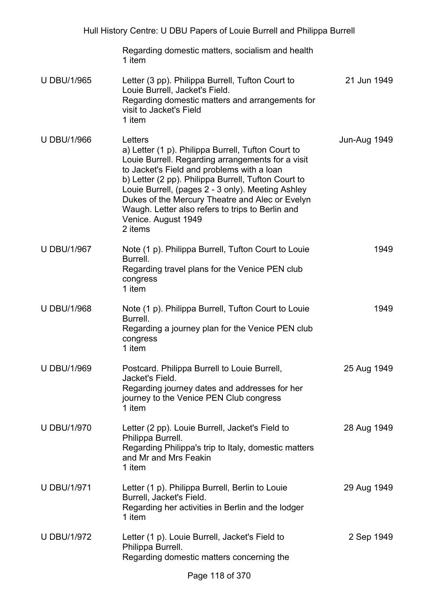| Hull History Centre: U DBU Papers of Louie Burrell and Philippa Burrell |                                                                                                                                                                                                                                                                                                                                                                                                                       |              |
|-------------------------------------------------------------------------|-----------------------------------------------------------------------------------------------------------------------------------------------------------------------------------------------------------------------------------------------------------------------------------------------------------------------------------------------------------------------------------------------------------------------|--------------|
|                                                                         | Regarding domestic matters, socialism and health<br>1 item                                                                                                                                                                                                                                                                                                                                                            |              |
| <b>U DBU/1/965</b>                                                      | Letter (3 pp). Philippa Burrell, Tufton Court to<br>Louie Burrell, Jacket's Field.<br>Regarding domestic matters and arrangements for<br>visit to Jacket's Field<br>1 item                                                                                                                                                                                                                                            | 21 Jun 1949  |
| <b>U DBU/1/966</b>                                                      | Letters<br>a) Letter (1 p). Philippa Burrell, Tufton Court to<br>Louie Burrell. Regarding arrangements for a visit<br>to Jacket's Field and problems with a loan<br>b) Letter (2 pp). Philippa Burrell, Tufton Court to<br>Louie Burrell, (pages 2 - 3 only). Meeting Ashley<br>Dukes of the Mercury Theatre and Alec or Evelyn<br>Waugh. Letter also refers to trips to Berlin and<br>Venice. August 1949<br>2 items | Jun-Aug 1949 |
| <b>U DBU/1/967</b>                                                      | Note (1 p). Philippa Burrell, Tufton Court to Louie<br>Burrell.<br>Regarding travel plans for the Venice PEN club<br>congress<br>1 item                                                                                                                                                                                                                                                                               | 1949         |
| <b>U DBU/1/968</b>                                                      | Note (1 p). Philippa Burrell, Tufton Court to Louie<br>Burrell.<br>Regarding a journey plan for the Venice PEN club<br>congress<br>1 item                                                                                                                                                                                                                                                                             | 1949         |
| <b>U DBU/1/969</b>                                                      | Postcard. Philippa Burrell to Louie Burrell,<br>Jacket's Field.<br>Regarding journey dates and addresses for her<br>journey to the Venice PEN Club congress<br>1 item                                                                                                                                                                                                                                                 | 25 Aug 1949  |
| <b>U DBU/1/970</b>                                                      | Letter (2 pp). Louie Burrell, Jacket's Field to<br>Philippa Burrell.<br>Regarding Philippa's trip to Italy, domestic matters<br>and Mr and Mrs Feakin<br>1 item                                                                                                                                                                                                                                                       | 28 Aug 1949  |
| <b>U DBU/1/971</b>                                                      | Letter (1 p). Philippa Burrell, Berlin to Louie<br>Burrell, Jacket's Field.<br>Regarding her activities in Berlin and the lodger<br>1 item                                                                                                                                                                                                                                                                            | 29 Aug 1949  |
| <b>U DBU/1/972</b>                                                      | Letter (1 p). Louie Burrell, Jacket's Field to<br>Philippa Burrell.<br>Regarding domestic matters concerning the                                                                                                                                                                                                                                                                                                      | 2 Sep 1949   |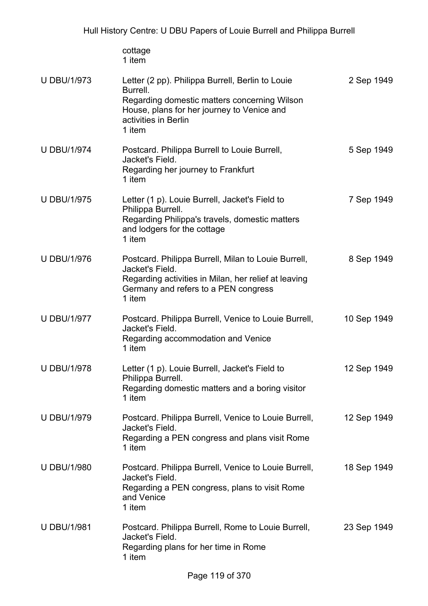|                    | cottage<br>1 item                                                                                                                                                                            |             |
|--------------------|----------------------------------------------------------------------------------------------------------------------------------------------------------------------------------------------|-------------|
| <b>U DBU/1/973</b> | Letter (2 pp). Philippa Burrell, Berlin to Louie<br>Burrell.<br>Regarding domestic matters concerning Wilson<br>House, plans for her journey to Venice and<br>activities in Berlin<br>1 item | 2 Sep 1949  |
| <b>U DBU/1/974</b> | Postcard. Philippa Burrell to Louie Burrell,<br>Jacket's Field.<br>Regarding her journey to Frankfurt<br>1 item                                                                              | 5 Sep 1949  |
| <b>U DBU/1/975</b> | Letter (1 p). Louie Burrell, Jacket's Field to<br>Philippa Burrell.<br>Regarding Philippa's travels, domestic matters<br>and lodgers for the cottage<br>1 item                               | 7 Sep 1949  |
| <b>U DBU/1/976</b> | Postcard. Philippa Burrell, Milan to Louie Burrell,<br>Jacket's Field.<br>Regarding activities in Milan, her relief at leaving<br>Germany and refers to a PEN congress<br>1 item             | 8 Sep 1949  |
| <b>U DBU/1/977</b> | Postcard. Philippa Burrell, Venice to Louie Burrell,<br>Jacket's Field.<br>Regarding accommodation and Venice<br>1 item                                                                      | 10 Sep 1949 |
| <b>U DBU/1/978</b> | Letter (1 p). Louie Burrell, Jacket's Field to<br>Philippa Burrell.<br>Regarding domestic matters and a boring visitor<br>1 item                                                             | 12 Sep 1949 |
| <b>U DBU/1/979</b> | Postcard. Philippa Burrell, Venice to Louie Burrell,<br>Jacket's Field.<br>Regarding a PEN congress and plans visit Rome<br>1 item                                                           | 12 Sep 1949 |
| <b>U DBU/1/980</b> | Postcard. Philippa Burrell, Venice to Louie Burrell,<br>Jacket's Field.<br>Regarding a PEN congress, plans to visit Rome<br>and Venice<br>1 item                                             | 18 Sep 1949 |
| <b>U DBU/1/981</b> | Postcard. Philippa Burrell, Rome to Louie Burrell,<br>Jacket's Field.<br>Regarding plans for her time in Rome<br>1 item                                                                      | 23 Sep 1949 |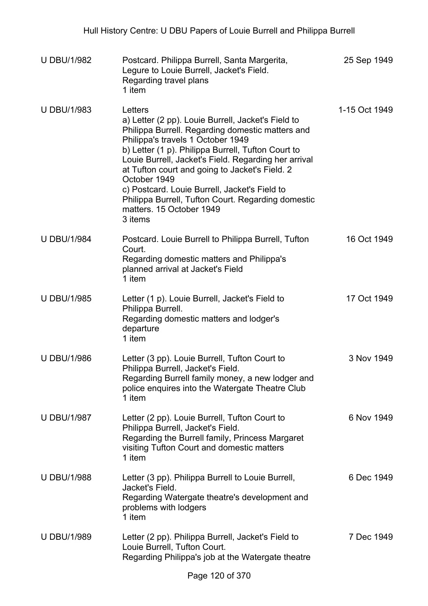| <b>U DBU/1/982</b> | Postcard. Philippa Burrell, Santa Margerita,<br>Legure to Louie Burrell, Jacket's Field.<br>Regarding travel plans<br>1 item                                                                                                                                                                                                                                                                                                                                                         | 25 Sep 1949   |
|--------------------|--------------------------------------------------------------------------------------------------------------------------------------------------------------------------------------------------------------------------------------------------------------------------------------------------------------------------------------------------------------------------------------------------------------------------------------------------------------------------------------|---------------|
| <b>U DBU/1/983</b> | Letters<br>a) Letter (2 pp). Louie Burrell, Jacket's Field to<br>Philippa Burrell. Regarding domestic matters and<br>Philippa's travels 1 October 1949<br>b) Letter (1 p). Philippa Burrell, Tufton Court to<br>Louie Burrell, Jacket's Field. Regarding her arrival<br>at Tufton court and going to Jacket's Field. 2<br>October 1949<br>c) Postcard. Louie Burrell, Jacket's Field to<br>Philippa Burrell, Tufton Court. Regarding domestic<br>matters. 15 October 1949<br>3 items | 1-15 Oct 1949 |
| <b>U DBU/1/984</b> | Postcard. Louie Burrell to Philippa Burrell, Tufton<br>Court.<br>Regarding domestic matters and Philippa's<br>planned arrival at Jacket's Field<br>1 item                                                                                                                                                                                                                                                                                                                            | 16 Oct 1949   |
| <b>U DBU/1/985</b> | Letter (1 p). Louie Burrell, Jacket's Field to<br>Philippa Burrell.<br>Regarding domestic matters and lodger's<br>departure<br>1 item                                                                                                                                                                                                                                                                                                                                                | 17 Oct 1949   |
| <b>U DBU/1/986</b> | Letter (3 pp). Louie Burrell, Tufton Court to<br>Philippa Burrell, Jacket's Field.<br>Regarding Burrell family money, a new lodger and<br>police enquires into the Watergate Theatre Club<br>1 item                                                                                                                                                                                                                                                                                  | 3 Nov 1949    |
| <b>U DBU/1/987</b> | Letter (2 pp). Louie Burrell, Tufton Court to<br>Philippa Burrell, Jacket's Field.<br>Regarding the Burrell family, Princess Margaret<br>visiting Tufton Court and domestic matters<br>1 item                                                                                                                                                                                                                                                                                        | 6 Nov 1949    |
| <b>U DBU/1/988</b> | Letter (3 pp). Philippa Burrell to Louie Burrell,<br>Jacket's Field.<br>Regarding Watergate theatre's development and<br>problems with lodgers<br>1 item                                                                                                                                                                                                                                                                                                                             | 6 Dec 1949    |
| <b>U DBU/1/989</b> | Letter (2 pp). Philippa Burrell, Jacket's Field to<br>Louie Burrell, Tufton Court.<br>Regarding Philippa's job at the Watergate theatre                                                                                                                                                                                                                                                                                                                                              | 7 Dec 1949    |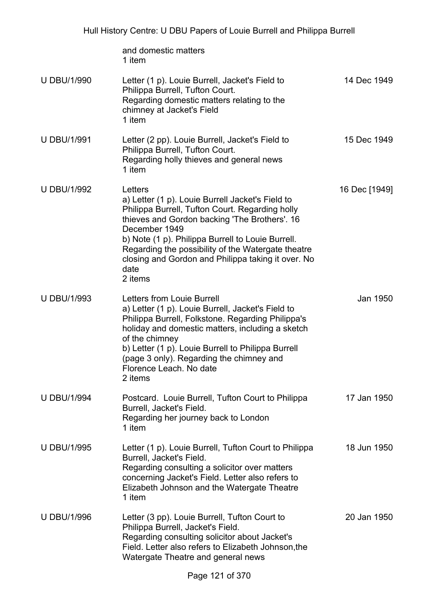and domestic matters 1 item U DBU/1/990 Letter (1 p). Louie Burrell, Jacket's Field to Philippa Burrell, Tufton Court. Regarding domestic matters relating to the chimney at Jacket's Field 1 item 14 Dec 1949 U DBU/1/991 Letter (2 pp). Louie Burrell, Jacket's Field to Philippa Burrell, Tufton Court. Regarding holly thieves and general news 1 item 15 Dec 1949 U DBU/1/992 Letters a) Letter (1 p). Louie Burrell Jacket's Field to Philippa Burrell, Tufton Court. Regarding holly thieves and Gordon backing 'The Brothers'. 16 December 1949 b) Note (1 p). Philippa Burrell to Louie Burrell. Regarding the possibility of the Watergate theatre closing and Gordon and Philippa taking it over. No date 2 items 16 Dec [1949] U DBU/1/993 Letters from Louie Burrell a) Letter (1 p). Louie Burrell, Jacket's Field to Philippa Burrell, Folkstone. Regarding Philippa's holiday and domestic matters, including a sketch of the chimney b) Letter (1 p). Louie Burrell to Philippa Burrell (page 3 only). Regarding the chimney and Florence Leach. No date 2 items Jan 1950 U DBU/1/994 Postcard. Louie Burrell, Tufton Court to Philippa Burrell, Jacket's Field. Regarding her journey back to London 1 item 17 Jan 1950 U DBU/1/995 Letter (1 p). Louie Burrell, Tufton Court to Philippa Burrell, Jacket's Field. Regarding consulting a solicitor over matters concerning Jacket's Field. Letter also refers to Elizabeth Johnson and the Watergate Theatre 1 item 18 Jun 1950 U DBU/1/996 Letter (3 pp). Louie Burrell, Tufton Court to Philippa Burrell, Jacket's Field. Regarding consulting solicitor about Jacket's Field. Letter also refers to Elizabeth Johnson,the Watergate Theatre and general news 20 Jan 1950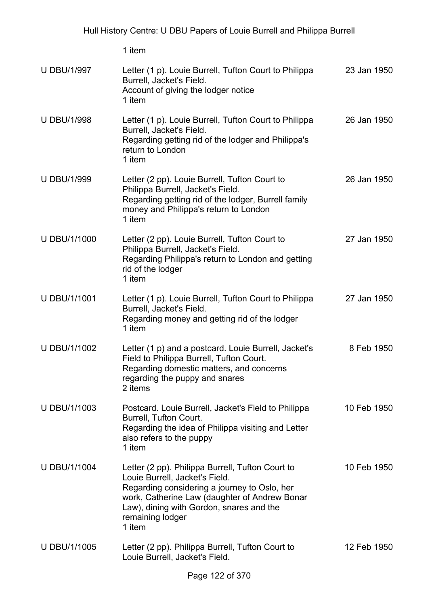| <b>U DBU/1/997</b>  | Letter (1 p). Louie Burrell, Tufton Court to Philippa<br>Burrell, Jacket's Field.<br>Account of giving the lodger notice<br>1 item                                                                                                                            | 23 Jan 1950 |
|---------------------|---------------------------------------------------------------------------------------------------------------------------------------------------------------------------------------------------------------------------------------------------------------|-------------|
| <b>U DBU/1/998</b>  | Letter (1 p). Louie Burrell, Tufton Court to Philippa<br>Burrell, Jacket's Field.<br>Regarding getting rid of the lodger and Philippa's<br>return to London<br>1 item                                                                                         | 26 Jan 1950 |
| <b>U DBU/1/999</b>  | Letter (2 pp). Louie Burrell, Tufton Court to<br>Philippa Burrell, Jacket's Field.<br>Regarding getting rid of the lodger, Burrell family<br>money and Philippa's return to London<br>1 item                                                                  | 26 Jan 1950 |
| <b>U DBU/1/1000</b> | Letter (2 pp). Louie Burrell, Tufton Court to<br>Philippa Burrell, Jacket's Field.<br>Regarding Philippa's return to London and getting<br>rid of the lodger<br>1 item                                                                                        | 27 Jan 1950 |
| U DBU/1/1001        | Letter (1 p). Louie Burrell, Tufton Court to Philippa<br>Burrell, Jacket's Field.<br>Regarding money and getting rid of the lodger<br>1 item                                                                                                                  | 27 Jan 1950 |
| U DBU/1/1002        | Letter (1 p) and a postcard. Louie Burrell, Jacket's<br>Field to Philippa Burrell, Tufton Court.<br>Regarding domestic matters, and concerns<br>regarding the puppy and snares<br>2 items                                                                     | 8 Feb 1950  |
| U DBU/1/1003        | Postcard. Louie Burrell, Jacket's Field to Philippa<br>Burrell, Tufton Court.<br>Regarding the idea of Philippa visiting and Letter<br>also refers to the puppy<br>1 item                                                                                     | 10 Feb 1950 |
| U DBU/1/1004        | Letter (2 pp). Philippa Burrell, Tufton Court to<br>Louie Burrell, Jacket's Field.<br>Regarding considering a journey to Oslo, her<br>work, Catherine Law (daughter of Andrew Bonar<br>Law), dining with Gordon, snares and the<br>remaining lodger<br>1 item | 10 Feb 1950 |
| U DBU/1/1005        | Letter (2 pp). Philippa Burrell, Tufton Court to<br>Louie Burrell, Jacket's Field.                                                                                                                                                                            | 12 Feb 1950 |
|                     | $100 - 1070$                                                                                                                                                                                                                                                  |             |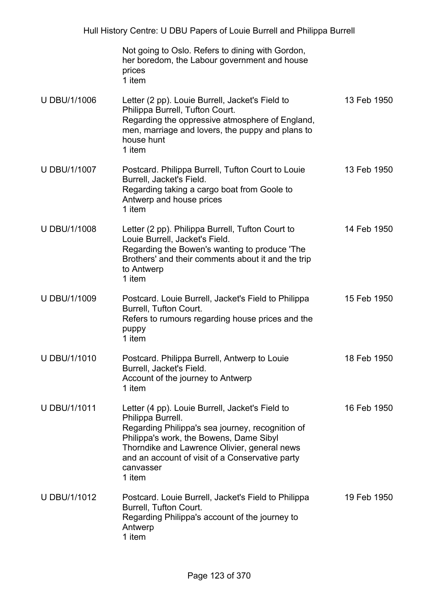| Not going to Oslo. Refers to dining with Gordon, |
|--------------------------------------------------|
| her boredom, the Labour government and house     |
| prices                                           |
| 1 item                                           |

- U DBU/1/1006 Letter (2 pp). Louie Burrell, Jacket's Field to Philippa Burrell, Tufton Court. Regarding the oppressive atmosphere of England, men, marriage and lovers, the puppy and plans to house hunt 1 item 13 Feb 1950 U DBU/1/1007 Postcard. Philippa Burrell, Tufton Court to Louie Burrell, Jacket's Field. Regarding taking a cargo boat from Goole to Antwerp and house prices 13 Feb 1950
	- 1 item
- U DBU/1/1008 Letter (2 pp). Philippa Burrell, Tufton Court to Louie Burrell, Jacket's Field. Regarding the Bowen's wanting to produce 'The Brothers' and their comments about it and the trip to Antwerp 1 item 14 Feb 1950
- U DBU/1/1009 Postcard. Louie Burrell, Jacket's Field to Philippa Burrell, Tufton Court. Refers to rumours regarding house prices and the puppy 1 item 15 Feb 1950
- U DBU/1/1010 Postcard. Philippa Burrell, Antwerp to Louie Burrell, Jacket's Field. Account of the journey to Antwerp 1 item 18 Feb 1950
- U DBU/1/1011 Letter (4 pp). Louie Burrell, Jacket's Field to Philippa Burrell. Regarding Philippa's sea journey, recognition of Philippa's work, the Bowens, Dame Sibyl Thorndike and Lawrence Olivier, general news and an account of visit of a Conservative party canvasser 1 item 16 Feb 1950
- U DBU/1/1012 Postcard. Louie Burrell, Jacket's Field to Philippa Burrell, Tufton Court. Regarding Philippa's account of the journey to Antwerp 1 item 19 Feb 1950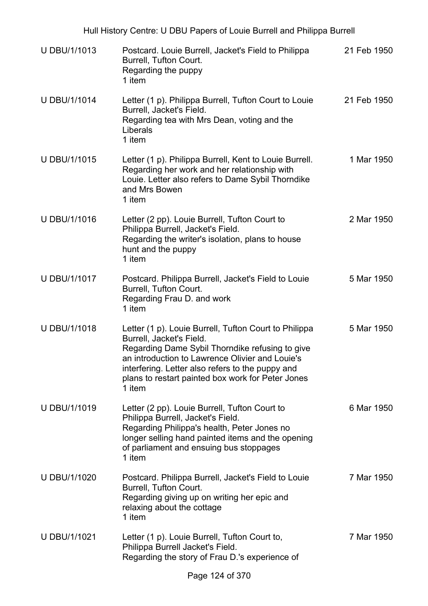| U DBU/1/1013        | Postcard. Louie Burrell, Jacket's Field to Philippa<br>Burrell, Tufton Court.<br>Regarding the puppy<br>1 item                                                                                                                                                                                             | 21 Feb 1950 |
|---------------------|------------------------------------------------------------------------------------------------------------------------------------------------------------------------------------------------------------------------------------------------------------------------------------------------------------|-------------|
| U DBU/1/1014        | Letter (1 p). Philippa Burrell, Tufton Court to Louie<br>Burrell, Jacket's Field.<br>Regarding tea with Mrs Dean, voting and the<br>Liberals<br>1 item                                                                                                                                                     | 21 Feb 1950 |
| U DBU/1/1015        | Letter (1 p). Philippa Burrell, Kent to Louie Burrell.<br>Regarding her work and her relationship with<br>Louie. Letter also refers to Dame Sybil Thorndike<br>and Mrs Bowen<br>1 item                                                                                                                     | 1 Mar 1950  |
| U DBU/1/1016        | Letter (2 pp). Louie Burrell, Tufton Court to<br>Philippa Burrell, Jacket's Field.<br>Regarding the writer's isolation, plans to house<br>hunt and the puppy<br>1 item                                                                                                                                     | 2 Mar 1950  |
| U DBU/1/1017        | Postcard. Philippa Burrell, Jacket's Field to Louie<br>Burrell, Tufton Court.<br>Regarding Frau D. and work<br>1 item                                                                                                                                                                                      | 5 Mar 1950  |
| U DBU/1/1018        | Letter (1 p). Louie Burrell, Tufton Court to Philippa<br>Burrell, Jacket's Field.<br>Regarding Dame Sybil Thorndike refusing to give<br>an introduction to Lawrence Olivier and Louie's<br>interfering. Letter also refers to the puppy and<br>plans to restart painted box work for Peter Jones<br>1 item | 5 Mar 1950  |
| U DBU/1/1019        | Letter (2 pp). Louie Burrell, Tufton Court to<br>Philippa Burrell, Jacket's Field.<br>Regarding Philippa's health, Peter Jones no<br>longer selling hand painted items and the opening<br>of parliament and ensuing bus stoppages<br>1 item                                                                | 6 Mar 1950  |
| U DBU/1/1020        | Postcard. Philippa Burrell, Jacket's Field to Louie<br>Burrell, Tufton Court.<br>Regarding giving up on writing her epic and<br>relaxing about the cottage<br>1 item                                                                                                                                       | 7 Mar 1950  |
| <b>U DBU/1/1021</b> | Letter (1 p). Louie Burrell, Tufton Court to,<br>Philippa Burrell Jacket's Field.<br>Regarding the story of Frau D.'s experience of                                                                                                                                                                        | 7 Mar 1950  |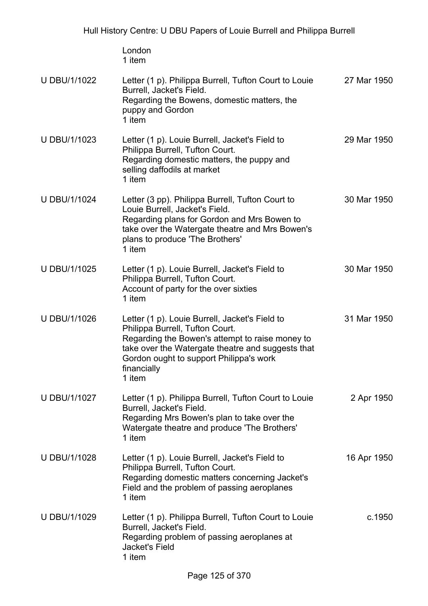London 1 item

| U DBU/1/1022 | Letter (1 p). Philippa Burrell, Tufton Court to Louie<br>Burrell, Jacket's Field.<br>Regarding the Bowens, domestic matters, the<br>puppy and Gordon<br>1 item                                                                                                | 27 Mar 1950 |
|--------------|---------------------------------------------------------------------------------------------------------------------------------------------------------------------------------------------------------------------------------------------------------------|-------------|
| U DBU/1/1023 | Letter (1 p). Louie Burrell, Jacket's Field to<br>Philippa Burrell, Tufton Court.<br>Regarding domestic matters, the puppy and<br>selling daffodils at market<br>1 item                                                                                       | 29 Mar 1950 |
| U DBU/1/1024 | Letter (3 pp). Philippa Burrell, Tufton Court to<br>Louie Burrell, Jacket's Field.<br>Regarding plans for Gordon and Mrs Bowen to<br>take over the Watergate theatre and Mrs Bowen's<br>plans to produce 'The Brothers'<br>1 item                             | 30 Mar 1950 |
| U DBU/1/1025 | Letter (1 p). Louie Burrell, Jacket's Field to<br>Philippa Burrell, Tufton Court.<br>Account of party for the over sixties<br>1 item                                                                                                                          | 30 Mar 1950 |
| U DBU/1/1026 | Letter (1 p). Louie Burrell, Jacket's Field to<br>Philippa Burrell, Tufton Court.<br>Regarding the Bowen's attempt to raise money to<br>take over the Watergate theatre and suggests that<br>Gordon ought to support Philippa's work<br>financially<br>1 item | 31 Mar 1950 |
| U DBU/1/1027 | Letter (1 p). Philippa Burrell, Tufton Court to Louie<br>Burrell, Jacket's Field.<br>Regarding Mrs Bowen's plan to take over the<br>Watergate theatre and produce 'The Brothers'<br>1 item                                                                    | 2 Apr 1950  |
| U DBU/1/1028 | Letter (1 p). Louie Burrell, Jacket's Field to<br>Philippa Burrell, Tufton Court.<br>Regarding domestic matters concerning Jacket's<br>Field and the problem of passing aeroplanes<br>1 item                                                                  | 16 Apr 1950 |
| U DBU/1/1029 | Letter (1 p). Philippa Burrell, Tufton Court to Louie<br>Burrell, Jacket's Field.<br>Regarding problem of passing aeroplanes at<br>Jacket's Field<br>1 item                                                                                                   | c.1950      |
|              |                                                                                                                                                                                                                                                               |             |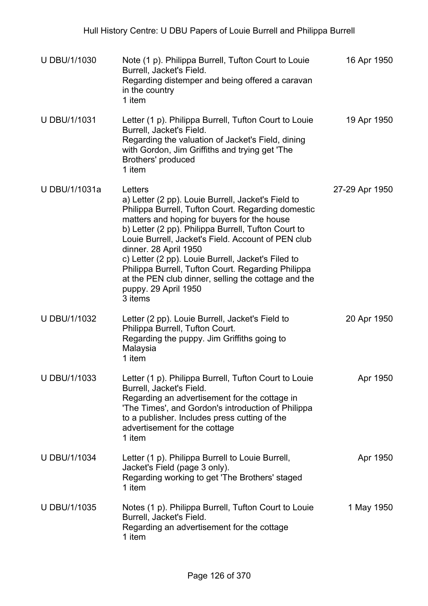| <b>U DBU/1/1030</b> | Note (1 p). Philippa Burrell, Tufton Court to Louie<br>Burrell, Jacket's Field.<br>Regarding distemper and being offered a caravan<br>in the country<br>1 item                                                                                                                                                                                                                                                                                                                                                 | 16 Apr 1950    |
|---------------------|----------------------------------------------------------------------------------------------------------------------------------------------------------------------------------------------------------------------------------------------------------------------------------------------------------------------------------------------------------------------------------------------------------------------------------------------------------------------------------------------------------------|----------------|
| <b>U DBU/1/1031</b> | Letter (1 p). Philippa Burrell, Tufton Court to Louie<br>Burrell, Jacket's Field.<br>Regarding the valuation of Jacket's Field, dining<br>with Gordon, Jim Griffiths and trying get 'The<br>Brothers' produced<br>1 item                                                                                                                                                                                                                                                                                       | 19 Apr 1950    |
| U DBU/1/1031a       | Letters<br>a) Letter (2 pp). Louie Burrell, Jacket's Field to<br>Philippa Burrell, Tufton Court. Regarding domestic<br>matters and hoping for buyers for the house<br>b) Letter (2 pp). Philippa Burrell, Tufton Court to<br>Louie Burrell, Jacket's Field. Account of PEN club<br>dinner. 28 April 1950<br>c) Letter (2 pp). Louie Burrell, Jacket's Filed to<br>Philippa Burrell, Tufton Court. Regarding Philippa<br>at the PEN club dinner, selling the cottage and the<br>puppy. 29 April 1950<br>3 items | 27-29 Apr 1950 |
| U DBU/1/1032        | Letter (2 pp). Louie Burrell, Jacket's Field to<br>Philippa Burrell, Tufton Court.<br>Regarding the puppy. Jim Griffiths going to<br>Malaysia<br>1 item                                                                                                                                                                                                                                                                                                                                                        | 20 Apr 1950    |
| U DBU/1/1033        | Letter (1 p). Philippa Burrell, Tufton Court to Louie<br>Burrell, Jacket's Field.<br>Regarding an advertisement for the cottage in<br>'The Times', and Gordon's introduction of Philippa<br>to a publisher. Includes press cutting of the<br>advertisement for the cottage<br>1 item                                                                                                                                                                                                                           | Apr 1950       |
| U DBU/1/1034        | Letter (1 p). Philippa Burrell to Louie Burrell,<br>Jacket's Field (page 3 only).<br>Regarding working to get 'The Brothers' staged<br>1 item                                                                                                                                                                                                                                                                                                                                                                  | Apr 1950       |
| U DBU/1/1035        | Notes (1 p). Philippa Burrell, Tufton Court to Louie<br>Burrell, Jacket's Field.<br>Regarding an advertisement for the cottage<br>1 item                                                                                                                                                                                                                                                                                                                                                                       | 1 May 1950     |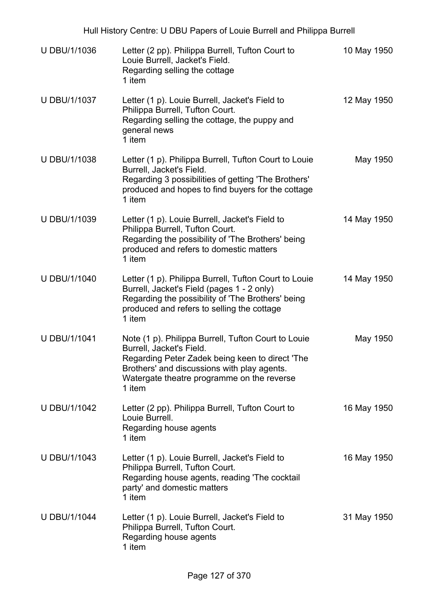|                     | Hull History Centre: U DBU Papers of Louie Burrell and Philippa Burrell                                                                                                                                                                   |             |
|---------------------|-------------------------------------------------------------------------------------------------------------------------------------------------------------------------------------------------------------------------------------------|-------------|
| U DBU/1/1036        | Letter (2 pp). Philippa Burrell, Tufton Court to<br>Louie Burrell, Jacket's Field.<br>Regarding selling the cottage<br>1 item                                                                                                             | 10 May 1950 |
| U DBU/1/1037        | Letter (1 p). Louie Burrell, Jacket's Field to<br>Philippa Burrell, Tufton Court.<br>Regarding selling the cottage, the puppy and<br>general news<br>1 item                                                                               | 12 May 1950 |
| U DBU/1/1038        | Letter (1 p). Philippa Burrell, Tufton Court to Louie<br>Burrell, Jacket's Field.<br>Regarding 3 possibilities of getting 'The Brothers'<br>produced and hopes to find buyers for the cottage<br>1 item                                   | May 1950    |
| U DBU/1/1039        | Letter (1 p). Louie Burrell, Jacket's Field to<br>Philippa Burrell, Tufton Court.<br>Regarding the possibility of 'The Brothers' being<br>produced and refers to domestic matters<br>1 item                                               | 14 May 1950 |
| U DBU/1/1040        | Letter (1 p). Philippa Burrell, Tufton Court to Louie<br>Burrell, Jacket's Field (pages 1 - 2 only)<br>Regarding the possibility of 'The Brothers' being<br>produced and refers to selling the cottage<br>1 item                          | 14 May 1950 |
| <b>U DBU/1/1041</b> | Note (1 p). Philippa Burrell, Tufton Court to Louie<br>Burrell, Jacket's Field.<br>Regarding Peter Zadek being keen to direct 'The<br>Brothers' and discussions with play agents.<br>Watergate theatre programme on the reverse<br>1 item | May 1950    |
| U DBU/1/1042        | Letter (2 pp). Philippa Burrell, Tufton Court to<br>Louie Burrell.<br>Regarding house agents<br>1 item                                                                                                                                    | 16 May 1950 |
| U DBU/1/1043        | Letter (1 p). Louie Burrell, Jacket's Field to<br>Philippa Burrell, Tufton Court.<br>Regarding house agents, reading 'The cocktail<br>party' and domestic matters<br>1 item                                                               | 16 May 1950 |
| <b>U DBU/1/1044</b> | Letter (1 p). Louie Burrell, Jacket's Field to<br>Philippa Burrell, Tufton Court.<br>Regarding house agents<br>1 item                                                                                                                     | 31 May 1950 |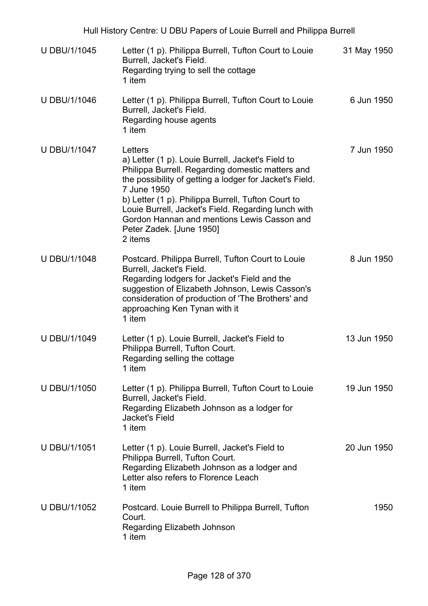| Hull History Centre: U DBU Papers of Louie Burrell and Philippa Burrell |                                                                                                                                                                                                                                                                                                                                                                                               |             |
|-------------------------------------------------------------------------|-----------------------------------------------------------------------------------------------------------------------------------------------------------------------------------------------------------------------------------------------------------------------------------------------------------------------------------------------------------------------------------------------|-------------|
| U DBU/1/1045                                                            | Letter (1 p). Philippa Burrell, Tufton Court to Louie<br>Burrell, Jacket's Field.<br>Regarding trying to sell the cottage<br>1 item                                                                                                                                                                                                                                                           | 31 May 1950 |
| U DBU/1/1046                                                            | Letter (1 p). Philippa Burrell, Tufton Court to Louie<br>Burrell, Jacket's Field.<br>Regarding house agents<br>1 item                                                                                                                                                                                                                                                                         | 6 Jun 1950  |
| U DBU/1/1047                                                            | Letters<br>a) Letter (1 p). Louie Burrell, Jacket's Field to<br>Philippa Burrell. Regarding domestic matters and<br>the possibility of getting a lodger for Jacket's Field.<br>7 June 1950<br>b) Letter (1 p). Philippa Burrell, Tufton Court to<br>Louie Burrell, Jacket's Field. Regarding lunch with<br>Gordon Hannan and mentions Lewis Casson and<br>Peter Zadek. [June 1950]<br>2 items | 7 Jun 1950  |
| U DBU/1/1048                                                            | Postcard. Philippa Burrell, Tufton Court to Louie<br>Burrell, Jacket's Field.<br>Regarding lodgers for Jacket's Field and the<br>suggestion of Elizabeth Johnson, Lewis Casson's<br>consideration of production of 'The Brothers' and<br>approaching Ken Tynan with it<br>1 item                                                                                                              | 8 Jun 1950  |
| <b>U DBU/1/1049</b>                                                     | Letter (1 p). Louie Burrell, Jacket's Field to<br>Philippa Burrell, Tufton Court.<br>Regarding selling the cottage<br>1 item                                                                                                                                                                                                                                                                  | 13 Jun 1950 |
| U DBU/1/1050                                                            | Letter (1 p). Philippa Burrell, Tufton Court to Louie<br>Burrell, Jacket's Field.<br>Regarding Elizabeth Johnson as a lodger for<br>Jacket's Field<br>1 item                                                                                                                                                                                                                                  | 19 Jun 1950 |
| <b>U DBU/1/1051</b>                                                     | Letter (1 p). Louie Burrell, Jacket's Field to<br>Philippa Burrell, Tufton Court.<br>Regarding Elizabeth Johnson as a lodger and<br>Letter also refers to Florence Leach<br>1 item                                                                                                                                                                                                            | 20 Jun 1950 |
| U DBU/1/1052                                                            | Postcard. Louie Burrell to Philippa Burrell, Tufton<br>Court.<br>Regarding Elizabeth Johnson<br>1 item                                                                                                                                                                                                                                                                                        | 1950        |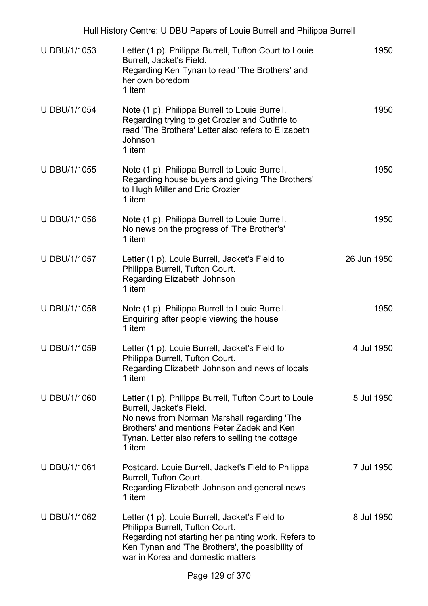| Hull History Centre: U DBU Papers of Louie Burrell and Philippa Burrell |                                                                                                                                                                                                                                              |             |  |
|-------------------------------------------------------------------------|----------------------------------------------------------------------------------------------------------------------------------------------------------------------------------------------------------------------------------------------|-------------|--|
| <b>U DBU/1/1053</b>                                                     | Letter (1 p). Philippa Burrell, Tufton Court to Louie<br>Burrell, Jacket's Field.<br>Regarding Ken Tynan to read 'The Brothers' and<br>her own boredom<br>1 item                                                                             | 1950        |  |
| <b>U DBU/1/1054</b>                                                     | Note (1 p). Philippa Burrell to Louie Burrell.<br>Regarding trying to get Crozier and Guthrie to<br>read 'The Brothers' Letter also refers to Elizabeth<br>Johnson<br>1 item                                                                 | 1950        |  |
| U DBU/1/1055                                                            | Note (1 p). Philippa Burrell to Louie Burrell.<br>Regarding house buyers and giving 'The Brothers'<br>to Hugh Miller and Eric Crozier<br>1 item                                                                                              | 1950        |  |
| <b>U DBU/1/1056</b>                                                     | Note (1 p). Philippa Burrell to Louie Burrell.<br>No news on the progress of 'The Brother's'<br>1 item                                                                                                                                       | 1950        |  |
| U DBU/1/1057                                                            | Letter (1 p). Louie Burrell, Jacket's Field to<br>Philippa Burrell, Tufton Court.<br>Regarding Elizabeth Johnson<br>1 item                                                                                                                   | 26 Jun 1950 |  |
| U DBU/1/1058                                                            | Note (1 p). Philippa Burrell to Louie Burrell.<br>Enquiring after people viewing the house<br>1 item                                                                                                                                         | 1950        |  |
| U DBU/1/1059                                                            | Letter (1 p). Louie Burrell, Jacket's Field to<br>Philippa Burrell, Tufton Court.<br>Regarding Elizabeth Johnson and news of locals<br>1 item                                                                                                | 4 Jul 1950  |  |
| U DBU/1/1060                                                            | Letter (1 p). Philippa Burrell, Tufton Court to Louie<br>Burrell, Jacket's Field.<br>No news from Norman Marshall regarding 'The<br>Brothers' and mentions Peter Zadek and Ken<br>Tynan. Letter also refers to selling the cottage<br>1 item | 5 Jul 1950  |  |
| U DBU/1/1061                                                            | Postcard. Louie Burrell, Jacket's Field to Philippa<br>Burrell, Tufton Court.<br>Regarding Elizabeth Johnson and general news<br>1 item                                                                                                      | 7 Jul 1950  |  |
| U DBU/1/1062                                                            | Letter (1 p). Louie Burrell, Jacket's Field to<br>Philippa Burrell, Tufton Court.<br>Regarding not starting her painting work. Refers to<br>Ken Tynan and 'The Brothers', the possibility of<br>war in Korea and domestic matters            | 8 Jul 1950  |  |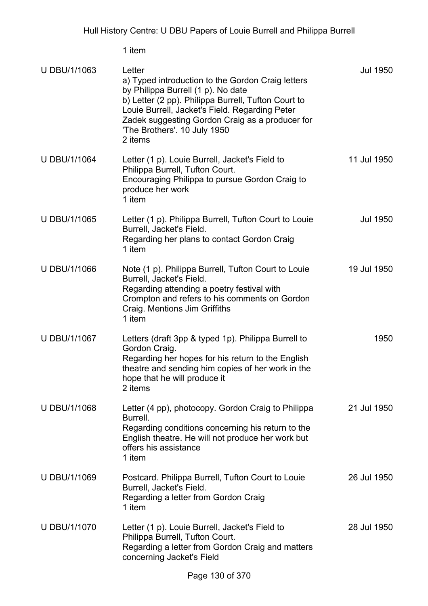| U DBU/1/1063 | Letter<br>a) Typed introduction to the Gordon Craig letters<br>by Philippa Burrell (1 p). No date<br>b) Letter (2 pp). Philippa Burrell, Tufton Court to<br>Louie Burrell, Jacket's Field. Regarding Peter<br>Zadek suggesting Gordon Craig as a producer for<br>'The Brothers'. 10 July 1950<br>2 items | Jul 1950        |
|--------------|----------------------------------------------------------------------------------------------------------------------------------------------------------------------------------------------------------------------------------------------------------------------------------------------------------|-----------------|
| U DBU/1/1064 | Letter (1 p). Louie Burrell, Jacket's Field to<br>Philippa Burrell, Tufton Court.<br>Encouraging Philippa to pursue Gordon Craig to<br>produce her work<br>1 item                                                                                                                                        | 11 Jul 1950     |
| U DBU/1/1065 | Letter (1 p). Philippa Burrell, Tufton Court to Louie<br>Burrell, Jacket's Field.<br>Regarding her plans to contact Gordon Craig<br>1 item                                                                                                                                                               | <b>Jul 1950</b> |
| U DBU/1/1066 | Note (1 p). Philippa Burrell, Tufton Court to Louie<br>Burrell, Jacket's Field.<br>Regarding attending a poetry festival with<br>Crompton and refers to his comments on Gordon<br>Craig. Mentions Jim Griffiths<br>1 item                                                                                | 19 Jul 1950     |
| U DBU/1/1067 | Letters (draft 3pp & typed 1p). Philippa Burrell to<br>Gordon Craig.<br>Regarding her hopes for his return to the English<br>theatre and sending him copies of her work in the<br>hope that he will produce it<br>2 items                                                                                | 1950            |
| U DBU/1/1068 | Letter (4 pp), photocopy. Gordon Craig to Philippa<br>Burrell.<br>Regarding conditions concerning his return to the<br>English theatre. He will not produce her work but<br>offers his assistance<br>1 item                                                                                              | 21 Jul 1950     |
| U DBU/1/1069 | Postcard. Philippa Burrell, Tufton Court to Louie<br>Burrell, Jacket's Field.<br>Regarding a letter from Gordon Craig<br>1 item                                                                                                                                                                          | 26 Jul 1950     |
| U DBU/1/1070 | Letter (1 p). Louie Burrell, Jacket's Field to<br>Philippa Burrell, Tufton Court.<br>Regarding a letter from Gordon Craig and matters<br>concerning Jacket's Field                                                                                                                                       | 28 Jul 1950     |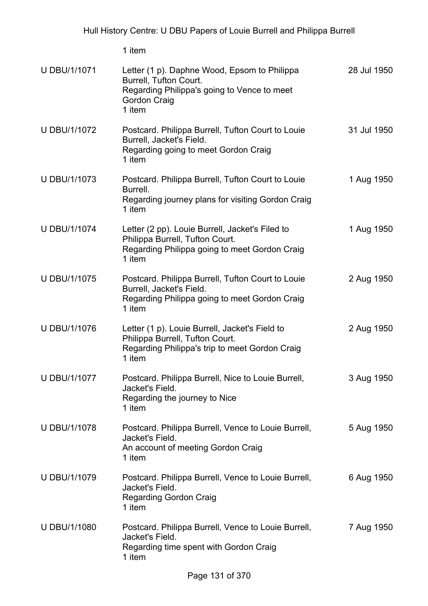| <b>U DBU/1/1071</b> | Letter (1 p). Daphne Wood, Epsom to Philippa<br>Burrell, Tufton Court.<br>Regarding Philippa's going to Vence to meet<br>Gordon Craig<br>1 item | 28 Jul 1950 |
|---------------------|-------------------------------------------------------------------------------------------------------------------------------------------------|-------------|
| U DBU/1/1072        | Postcard. Philippa Burrell, Tufton Court to Louie<br>Burrell, Jacket's Field.<br>Regarding going to meet Gordon Craig<br>1 item                 | 31 Jul 1950 |
| U DBU/1/1073        | Postcard. Philippa Burrell, Tufton Court to Louie<br>Burrell.<br>Regarding journey plans for visiting Gordon Craig<br>1 item                    | 1 Aug 1950  |
| <b>U DBU/1/1074</b> | Letter (2 pp). Louie Burrell, Jacket's Filed to<br>Philippa Burrell, Tufton Court.<br>Regarding Philippa going to meet Gordon Craig<br>1 item   | 1 Aug 1950  |
| U DBU/1/1075        | Postcard. Philippa Burrell, Tufton Court to Louie<br>Burrell, Jacket's Field.<br>Regarding Philippa going to meet Gordon Craig<br>1 item        | 2 Aug 1950  |
| U DBU/1/1076        | Letter (1 p). Louie Burrell, Jacket's Field to<br>Philippa Burrell, Tufton Court.<br>Regarding Philippa's trip to meet Gordon Craig<br>1 item   | 2 Aug 1950  |
| <b>U DBU/1/1077</b> | Postcard. Philippa Burrell, Nice to Louie Burrell,<br>Jacket's Field.<br>Regarding the journey to Nice<br>1 item                                | 3 Aug 1950  |
| U DBU/1/1078        | Postcard. Philippa Burrell, Vence to Louie Burrell,<br>Jacket's Field.<br>An account of meeting Gordon Craig<br>1 item                          | 5 Aug 1950  |
| U DBU/1/1079        | Postcard. Philippa Burrell, Vence to Louie Burrell,<br>Jacket's Field.<br><b>Regarding Gordon Craig</b><br>1 item                               | 6 Aug 1950  |
| U DBU/1/1080        | Postcard. Philippa Burrell, Vence to Louie Burrell,<br>Jacket's Field.<br>Regarding time spent with Gordon Craig<br>1 item                      | 7 Aug 1950  |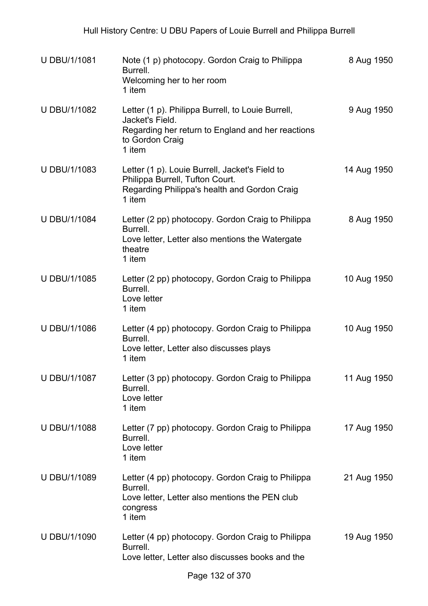| <b>U DBU/1/1081</b> | Note (1 p) photocopy. Gordon Craig to Philippa<br>Burrell.<br>Welcoming her to her room<br>1 item                                                      | 8 Aug 1950  |
|---------------------|--------------------------------------------------------------------------------------------------------------------------------------------------------|-------------|
| <b>U DBU/1/1082</b> | Letter (1 p). Philippa Burrell, to Louie Burrell,<br>Jacket's Field.<br>Regarding her return to England and her reactions<br>to Gordon Craig<br>1 item | 9 Aug 1950  |
| U DBU/1/1083        | Letter (1 p). Louie Burrell, Jacket's Field to<br>Philippa Burrell, Tufton Court.<br>Regarding Philippa's health and Gordon Craig<br>1 item            | 14 Aug 1950 |
| <b>U DBU/1/1084</b> | Letter (2 pp) photocopy. Gordon Craig to Philippa<br>Burrell.<br>Love letter, Letter also mentions the Watergate<br>theatre<br>1 item                  | 8 Aug 1950  |
| U DBU/1/1085        | Letter (2 pp) photocopy, Gordon Craig to Philippa<br>Burrell.<br>Love letter<br>1 item                                                                 | 10 Aug 1950 |
| U DBU/1/1086        | Letter (4 pp) photocopy. Gordon Craig to Philippa<br>Burrell.<br>Love letter, Letter also discusses plays<br>1 item                                    | 10 Aug 1950 |
| U DBU/1/1087        | Letter (3 pp) photocopy. Gordon Craig to Philippa<br>Burrell.<br>Love letter<br>1 item                                                                 | 11 Aug 1950 |
| U DBU/1/1088        | Letter (7 pp) photocopy. Gordon Craig to Philippa<br>Burrell.<br>Love letter<br>1 item                                                                 | 17 Aug 1950 |
| U DBU/1/1089        | Letter (4 pp) photocopy. Gordon Craig to Philippa<br>Burrell.<br>Love letter, Letter also mentions the PEN club<br>congress<br>1 item                  | 21 Aug 1950 |
| U DBU/1/1090        | Letter (4 pp) photocopy. Gordon Craig to Philippa<br>Burrell.<br>Love letter, Letter also discusses books and the                                      | 19 Aug 1950 |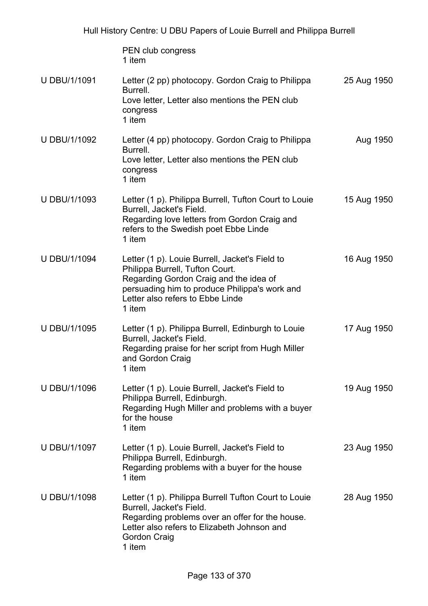|                     | PEN club congress<br>1 item                                                                                                                                                                                                |             |
|---------------------|----------------------------------------------------------------------------------------------------------------------------------------------------------------------------------------------------------------------------|-------------|
| U DBU/1/1091        | Letter (2 pp) photocopy. Gordon Craig to Philippa<br>Burrell.<br>Love letter, Letter also mentions the PEN club<br>congress<br>1 item                                                                                      | 25 Aug 1950 |
| U DBU/1/1092        | Letter (4 pp) photocopy. Gordon Craig to Philippa<br>Burrell.<br>Love letter, Letter also mentions the PEN club<br>congress<br>1 item                                                                                      | Aug 1950    |
| U DBU/1/1093        | Letter (1 p). Philippa Burrell, Tufton Court to Louie<br>Burrell, Jacket's Field.<br>Regarding love letters from Gordon Craig and<br>refers to the Swedish poet Ebbe Linde<br>1 item                                       | 15 Aug 1950 |
| <b>U DBU/1/1094</b> | Letter (1 p). Louie Burrell, Jacket's Field to<br>Philippa Burrell, Tufton Court.<br>Regarding Gordon Craig and the idea of<br>persuading him to produce Philippa's work and<br>Letter also refers to Ebbe Linde<br>1 item | 16 Aug 1950 |
| U DBU/1/1095        | Letter (1 p). Philippa Burrell, Edinburgh to Louie<br>Burrell, Jacket's Field.<br>Regarding praise for her script from Hugh Miller<br>and Gordon Craig<br>1 item                                                           | 17 Aug 1950 |
| <b>U DBU/1/1096</b> | Letter (1 p). Louie Burrell, Jacket's Field to<br>Philippa Burrell, Edinburgh.<br>Regarding Hugh Miller and problems with a buyer<br>for the house<br>1 item                                                               | 19 Aug 1950 |
| U DBU/1/1097        | Letter (1 p). Louie Burrell, Jacket's Field to<br>Philippa Burrell, Edinburgh.<br>Regarding problems with a buyer for the house<br>1 item                                                                                  | 23 Aug 1950 |
| <b>U DBU/1/1098</b> | Letter (1 p). Philippa Burrell Tufton Court to Louie<br>Burrell, Jacket's Field.<br>Regarding problems over an offer for the house.<br>Letter also refers to Elizabeth Johnson and<br>Gordon Craig<br>1 item               | 28 Aug 1950 |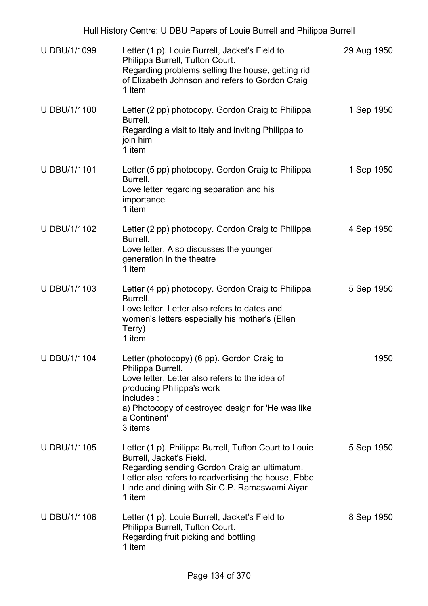| <b>U DBU/1/1099</b> | Letter (1 p). Louie Burrell, Jacket's Field to<br>Philippa Burrell, Tufton Court.<br>Regarding problems selling the house, getting rid<br>of Elizabeth Johnson and refers to Gordon Craig<br>1 item                                                  | 29 Aug 1950 |
|---------------------|------------------------------------------------------------------------------------------------------------------------------------------------------------------------------------------------------------------------------------------------------|-------------|
| <b>U DBU/1/1100</b> | Letter (2 pp) photocopy. Gordon Craig to Philippa<br>Burrell.<br>Regarding a visit to Italy and inviting Philippa to<br>join him<br>1 item                                                                                                           | 1 Sep 1950  |
| <b>U DBU/1/1101</b> | Letter (5 pp) photocopy. Gordon Craig to Philippa<br>Burrell.<br>Love letter regarding separation and his<br>importance<br>1 item                                                                                                                    | 1 Sep 1950  |
| U DBU/1/1102        | Letter (2 pp) photocopy. Gordon Craig to Philippa<br>Burrell.<br>Love letter. Also discusses the younger<br>generation in the theatre<br>1 item                                                                                                      | 4 Sep 1950  |
| U DBU/1/1103        | Letter (4 pp) photocopy. Gordon Craig to Philippa<br>Burrell.<br>Love letter. Letter also refers to dates and<br>women's letters especially his mother's (Ellen<br>Terry)<br>1 item                                                                  | 5 Sep 1950  |
| <b>U DBU/1/1104</b> | Letter (photocopy) (6 pp). Gordon Craig to<br>Philippa Burrell.<br>Love letter. Letter also refers to the idea of<br>producing Philippa's work<br>Includes:<br>a) Photocopy of destroyed design for 'He was like<br>a Continent'<br>3 items          | 1950        |
| <b>U DBU/1/1105</b> | Letter (1 p). Philippa Burrell, Tufton Court to Louie<br>Burrell, Jacket's Field.<br>Regarding sending Gordon Craig an ultimatum.<br>Letter also refers to readvertising the house, Ebbe<br>Linde and dining with Sir C.P. Ramaswami Aiyar<br>1 item | 5 Sep 1950  |
| <b>U DBU/1/1106</b> | Letter (1 p). Louie Burrell, Jacket's Field to<br>Philippa Burrell, Tufton Court.<br>Regarding fruit picking and bottling<br>1 item                                                                                                                  | 8 Sep 1950  |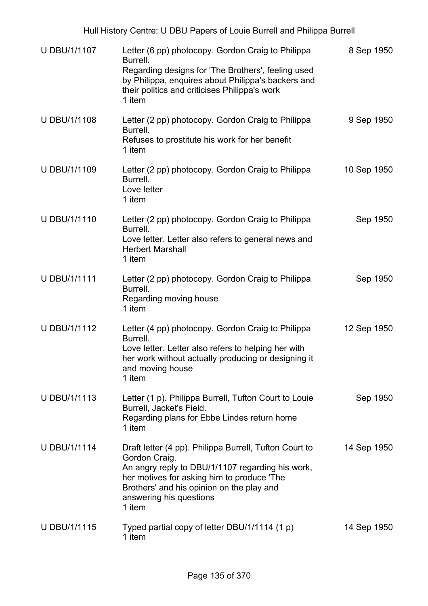| U DBU/1/1107        | Letter (6 pp) photocopy. Gordon Craig to Philippa<br>Burrell.<br>Regarding designs for 'The Brothers', feeling used<br>by Philippa, enquires about Philippa's backers and<br>their politics and criticises Philippa's work<br>1 item                        | 8 Sep 1950  |
|---------------------|-------------------------------------------------------------------------------------------------------------------------------------------------------------------------------------------------------------------------------------------------------------|-------------|
| <b>U DBU/1/1108</b> | Letter (2 pp) photocopy. Gordon Craig to Philippa<br>Burrell.<br>Refuses to prostitute his work for her benefit<br>1 item                                                                                                                                   | 9 Sep 1950  |
| U DBU/1/1109        | Letter (2 pp) photocopy. Gordon Craig to Philippa<br>Burrell.<br>Love letter<br>1 item                                                                                                                                                                      | 10 Sep 1950 |
| U DBU/1/1110        | Letter (2 pp) photocopy. Gordon Craig to Philippa<br>Burrell.<br>Love letter. Letter also refers to general news and<br><b>Herbert Marshall</b><br>1 item                                                                                                   | Sep 1950    |
| <b>U DBU/1/1111</b> | Letter (2 pp) photocopy. Gordon Craig to Philippa<br>Burrell.<br>Regarding moving house<br>1 item                                                                                                                                                           | Sep 1950    |
| U DBU/1/1112        | Letter (4 pp) photocopy. Gordon Craig to Philippa<br>Burrell.<br>Love letter. Letter also refers to helping her with<br>her work without actually producing or designing it<br>and moving house<br>1 item                                                   | 12 Sep 1950 |
| U DBU/1/1113        | Letter (1 p). Philippa Burrell, Tufton Court to Louie<br>Burrell, Jacket's Field.<br>Regarding plans for Ebbe Lindes return home<br>1 item                                                                                                                  | Sep 1950    |
| <b>U DBU/1/1114</b> | Draft letter (4 pp). Philippa Burrell, Tufton Court to<br>Gordon Craig.<br>An angry reply to DBU/1/1107 regarding his work,<br>her motives for asking him to produce 'The<br>Brothers' and his opinion on the play and<br>answering his questions<br>1 item | 14 Sep 1950 |
| <b>U DBU/1/1115</b> | Typed partial copy of letter DBU/1/1114 (1 p)<br>1 item                                                                                                                                                                                                     | 14 Sep 1950 |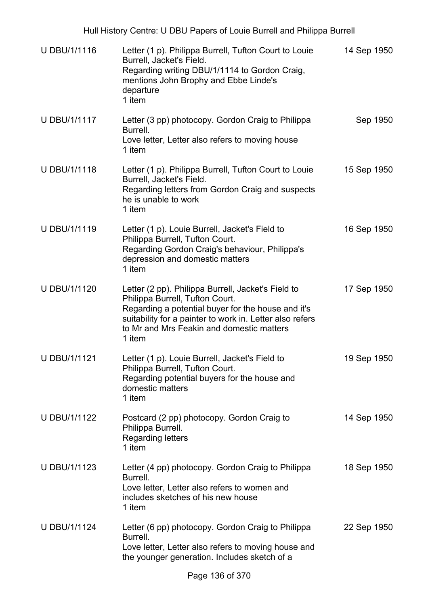| <b>U DBU/1/1116</b> | Letter (1 p). Philippa Burrell, Tufton Court to Louie<br>Burrell, Jacket's Field.<br>Regarding writing DBU/1/1114 to Gordon Craig,<br>mentions John Brophy and Ebbe Linde's<br>departure<br>1 item                                                             | 14 Sep 1950 |
|---------------------|----------------------------------------------------------------------------------------------------------------------------------------------------------------------------------------------------------------------------------------------------------------|-------------|
| <b>U DBU/1/1117</b> | Letter (3 pp) photocopy. Gordon Craig to Philippa<br>Burrell.<br>Love letter, Letter also refers to moving house<br>1 item                                                                                                                                     | Sep 1950    |
| <b>U DBU/1/1118</b> | Letter (1 p). Philippa Burrell, Tufton Court to Louie<br>Burrell, Jacket's Field.<br>Regarding letters from Gordon Craig and suspects<br>he is unable to work<br>1 item                                                                                        | 15 Sep 1950 |
| U DBU/1/1119        | Letter (1 p). Louie Burrell, Jacket's Field to<br>Philippa Burrell, Tufton Court.<br>Regarding Gordon Craig's behaviour, Philippa's<br>depression and domestic matters<br>1 item                                                                               | 16 Sep 1950 |
| U DBU/1/1120        | Letter (2 pp). Philippa Burrell, Jacket's Field to<br>Philippa Burrell, Tufton Court.<br>Regarding a potential buyer for the house and it's<br>suitability for a painter to work in. Letter also refers<br>to Mr and Mrs Feakin and domestic matters<br>1 item | 17 Sep 1950 |
| <b>U DBU/1/1121</b> | Letter (1 p). Louie Burrell, Jacket's Field to<br>Philippa Burrell, Tufton Court.<br>Regarding potential buyers for the house and<br>domestic matters<br>1 item                                                                                                | 19 Sep 1950 |
| <b>U DBU/1/1122</b> | Postcard (2 pp) photocopy. Gordon Craig to<br>Philippa Burrell.<br><b>Regarding letters</b><br>1 item                                                                                                                                                          | 14 Sep 1950 |
| U DBU/1/1123        | Letter (4 pp) photocopy. Gordon Craig to Philippa<br>Burrell.<br>Love letter, Letter also refers to women and<br>includes sketches of his new house<br>1 item                                                                                                  | 18 Sep 1950 |
| <b>U DBU/1/1124</b> | Letter (6 pp) photocopy. Gordon Craig to Philippa<br>Burrell.<br>Love letter, Letter also refers to moving house and<br>the younger generation. Includes sketch of a                                                                                           | 22 Sep 1950 |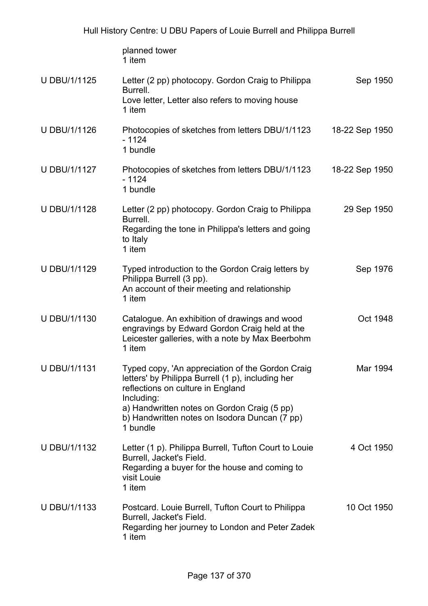|                     | planned tower<br>1 item                                                                                                                                                                                                                                              |                |
|---------------------|----------------------------------------------------------------------------------------------------------------------------------------------------------------------------------------------------------------------------------------------------------------------|----------------|
| U DBU/1/1125        | Letter (2 pp) photocopy. Gordon Craig to Philippa<br>Burrell.<br>Love letter, Letter also refers to moving house<br>1 item                                                                                                                                           | Sep 1950       |
| U DBU/1/1126        | Photocopies of sketches from letters DBU/1/1123<br>$-1124$<br>1 bundle                                                                                                                                                                                               | 18-22 Sep 1950 |
| U DBU/1/1127        | Photocopies of sketches from letters DBU/1/1123<br>$-1124$<br>1 bundle                                                                                                                                                                                               | 18-22 Sep 1950 |
| <b>U DBU/1/1128</b> | Letter (2 pp) photocopy. Gordon Craig to Philippa<br>Burrell.<br>Regarding the tone in Philippa's letters and going<br>to Italy<br>1 item                                                                                                                            | 29 Sep 1950    |
| U DBU/1/1129        | Typed introduction to the Gordon Craig letters by<br>Philippa Burrell (3 pp).<br>An account of their meeting and relationship<br>1 item                                                                                                                              | Sep 1976       |
| U DBU/1/1130        | Catalogue. An exhibition of drawings and wood<br>engravings by Edward Gordon Craig held at the<br>Leicester galleries, with a note by Max Beerbohm<br>1 item                                                                                                         | Oct 1948       |
| <b>U DBU/1/1131</b> | Typed copy, 'An appreciation of the Gordon Craig<br>letters' by Philippa Burrell (1 p), including her<br>reflections on culture in England<br>Including:<br>a) Handwritten notes on Gordon Craig (5 pp)<br>b) Handwritten notes on Isodora Duncan (7 pp)<br>1 bundle | Mar 1994       |
| U DBU/1/1132        | Letter (1 p). Philippa Burrell, Tufton Court to Louie<br>Burrell, Jacket's Field.<br>Regarding a buyer for the house and coming to<br>visit Louie<br>1 item                                                                                                          | 4 Oct 1950     |
| U DBU/1/1133        | Postcard. Louie Burrell, Tufton Court to Philippa<br>Burrell, Jacket's Field.<br>Regarding her journey to London and Peter Zadek<br>1 item                                                                                                                           | 10 Oct 1950    |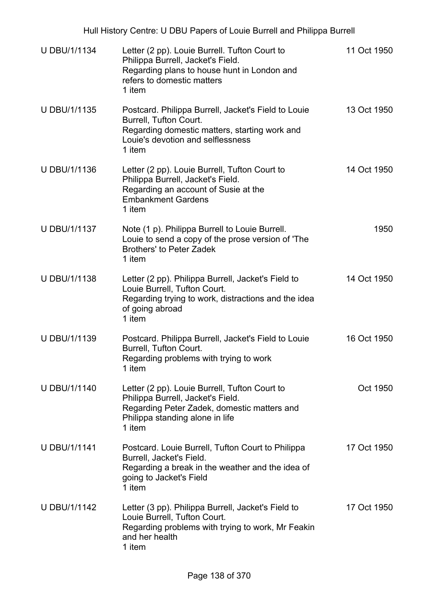| Hull History Centre: U DBU Papers of Louie Burrell and Philippa Burrell |                                                                                                                                                                                |             |  |
|-------------------------------------------------------------------------|--------------------------------------------------------------------------------------------------------------------------------------------------------------------------------|-------------|--|
| U DBU/1/1134                                                            | Letter (2 pp). Louie Burrell. Tufton Court to<br>Philippa Burrell, Jacket's Field.<br>Regarding plans to house hunt in London and<br>refers to domestic matters<br>1 item      | 11 Oct 1950 |  |
| U DBU/1/1135                                                            | Postcard. Philippa Burrell, Jacket's Field to Louie<br>Burrell, Tufton Court.<br>Regarding domestic matters, starting work and<br>Louie's devotion and selflessness<br>1 item  | 13 Oct 1950 |  |
| U DBU/1/1136                                                            | Letter (2 pp). Louie Burrell, Tufton Court to<br>Philippa Burrell, Jacket's Field.<br>Regarding an account of Susie at the<br><b>Embankment Gardens</b><br>1 item              | 14 Oct 1950 |  |
| U DBU/1/1137                                                            | Note (1 p). Philippa Burrell to Louie Burrell.<br>Louie to send a copy of the prose version of 'The<br><b>Brothers' to Peter Zadek</b><br>1 item                               | 1950        |  |
| <b>U DBU/1/1138</b>                                                     | Letter (2 pp). Philippa Burrell, Jacket's Field to<br>Louie Burrell, Tufton Court.<br>Regarding trying to work, distractions and the idea<br>of going abroad<br>1 item         | 14 Oct 1950 |  |
| U DBU/1/1139                                                            | Postcard. Philippa Burrell, Jacket's Field to Louie<br>Burrell, Tufton Court.<br>Regarding problems with trying to work<br>1 item                                              | 16 Oct 1950 |  |
| <b>U DBU/1/1140</b>                                                     | Letter (2 pp). Louie Burrell, Tufton Court to<br>Philippa Burrell, Jacket's Field.<br>Regarding Peter Zadek, domestic matters and<br>Philippa standing alone in life<br>1 item | Oct 1950    |  |
| <b>U DBU/1/1141</b>                                                     | Postcard. Louie Burrell, Tufton Court to Philippa<br>Burrell, Jacket's Field.<br>Regarding a break in the weather and the idea of<br>going to Jacket's Field<br>1 item         | 17 Oct 1950 |  |
| U DBU/1/1142                                                            | Letter (3 pp). Philippa Burrell, Jacket's Field to<br>Louie Burrell, Tufton Court.<br>Regarding problems with trying to work, Mr Feakin<br>and her health<br>1 item            | 17 Oct 1950 |  |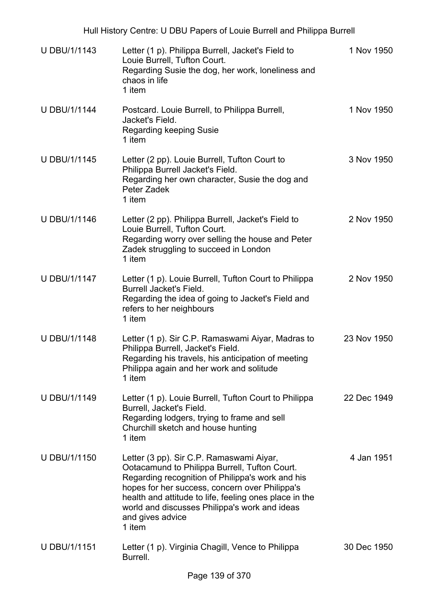Hull History Centre: U DBU Papers of Louie Burrell and Philippa Burrell U DBU/1/1143 Letter (1 p). Philippa Burrell, Jacket's Field to Louie Burrell, Tufton Court. Regarding Susie the dog, her work, loneliness and chaos in life 1 item 1 Nov 1950 U DBU/1/1144 Postcard. Louie Burrell, to Philippa Burrell, Jacket's Field. Regarding keeping Susie 1 item 1 Nov 1950 U DBU/1/1145 Letter (2 pp). Louie Burrell, Tufton Court to Philippa Burrell Jacket's Field. Regarding her own character, Susie the dog and Peter Zadek 1 item 3 Nov 1950 U DBU/1/1146 Letter (2 pp). Philippa Burrell, Jacket's Field to Louie Burrell, Tufton Court. Regarding worry over selling the house and Peter Zadek struggling to succeed in London 1 item 2 Nov 1950 U DBU/1/1147 Letter (1 p). Louie Burrell, Tufton Court to Philippa Burrell Jacket's Field. Regarding the idea of going to Jacket's Field and refers to her neighbours 1 item 2 Nov 1950 U DBU/1/1148 Letter (1 p). Sir C.P. Ramaswami Aiyar, Madras to Philippa Burrell, Jacket's Field. Regarding his travels, his anticipation of meeting Philippa again and her work and solitude 1 item 23 Nov 1950 U DBU/1/1149 Letter (1 p). Louie Burrell, Tufton Court to Philippa Burrell, Jacket's Field. Regarding lodgers, trying to frame and sell Churchill sketch and house hunting 1 item 22 Dec 1949 U DBU/1/1150 Letter (3 pp). Sir C.P. Ramaswami Aiyar, Ootacamund to Philippa Burrell, Tufton Court. Regarding recognition of Philippa's work and his hopes for her success, concern over Philippa's health and attitude to life, feeling ones place in the world and discusses Philippa's work and ideas and gives advice 1 item 4 Jan 1951 U DBU/1/1151 Letter (1 p). Virginia Chagill, Vence to Philippa Burrell. 30 Dec 1950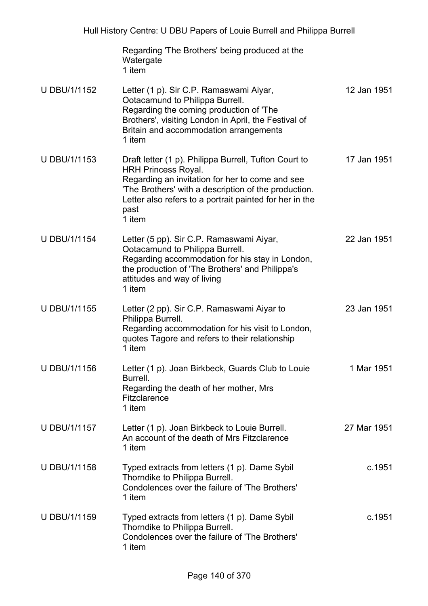|                     | Regarding 'The Brothers' being produced at the<br>Watergate<br>1 item                                                                                                                                                                                                       |             |
|---------------------|-----------------------------------------------------------------------------------------------------------------------------------------------------------------------------------------------------------------------------------------------------------------------------|-------------|
| U DBU/1/1152        | Letter (1 p). Sir C.P. Ramaswami Aiyar,<br>Ootacamund to Philippa Burrell.<br>Regarding the coming production of 'The<br>Brothers', visiting London in April, the Festival of<br>Britain and accommodation arrangements<br>1 item                                           | 12 Jan 1951 |
| <b>U DBU/1/1153</b> | Draft letter (1 p). Philippa Burrell, Tufton Court to<br><b>HRH Princess Royal.</b><br>Regarding an invitation for her to come and see<br>'The Brothers' with a description of the production.<br>Letter also refers to a portrait painted for her in the<br>past<br>1 item | 17 Jan 1951 |
| <b>U DBU/1/1154</b> | Letter (5 pp). Sir C.P. Ramaswami Aiyar,<br>Ootacamund to Philippa Burrell.<br>Regarding accommodation for his stay in London,<br>the production of 'The Brothers' and Philippa's<br>attitudes and way of living<br>1 item                                                  | 22 Jan 1951 |
| <b>U DBU/1/1155</b> | Letter (2 pp). Sir C.P. Ramaswami Aiyar to<br>Philippa Burrell.<br>Regarding accommodation for his visit to London,<br>quotes Tagore and refers to their relationship<br>1 item                                                                                             | 23 Jan 1951 |
| <b>U DBU/1/1156</b> | Letter (1 p). Joan Birkbeck, Guards Club to Louie<br>Burrell.<br>Regarding the death of her mother, Mrs<br>Fitzclarence<br>1 item                                                                                                                                           | 1 Mar 1951  |
| <b>U DBU/1/1157</b> | Letter (1 p). Joan Birkbeck to Louie Burrell.<br>An account of the death of Mrs Fitzclarence<br>1 item                                                                                                                                                                      | 27 Mar 1951 |
| U DBU/1/1158        | Typed extracts from letters (1 p). Dame Sybil<br>Thorndike to Philippa Burrell.<br>Condolences over the failure of 'The Brothers'<br>1 item                                                                                                                                 | c.1951      |
| U DBU/1/1159        | Typed extracts from letters (1 p). Dame Sybil<br>Thorndike to Philippa Burrell.<br>Condolences over the failure of 'The Brothers'<br>1 item                                                                                                                                 | c.1951      |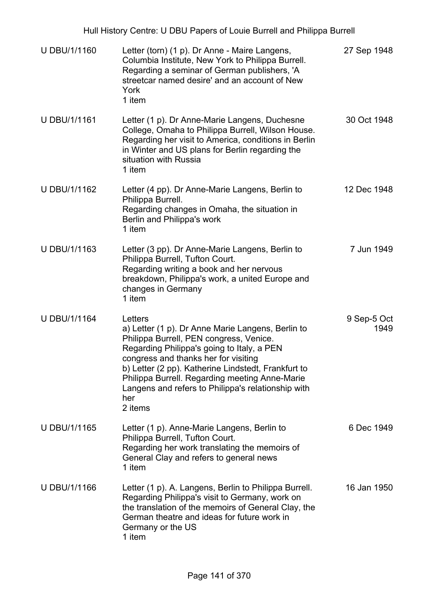| U DBU/1/1160        | Letter (torn) (1 p). Dr Anne - Maire Langens,<br>Columbia Institute, New York to Philippa Burrell.<br>Regarding a seminar of German publishers, 'A<br>streetcar named desire' and an account of New<br>York<br>1 item                                                                                                                                                          | 27 Sep 1948         |
|---------------------|--------------------------------------------------------------------------------------------------------------------------------------------------------------------------------------------------------------------------------------------------------------------------------------------------------------------------------------------------------------------------------|---------------------|
| <b>U DBU/1/1161</b> | Letter (1 p). Dr Anne-Marie Langens, Duchesne<br>College, Omaha to Philippa Burrell, Wilson House.<br>Regarding her visit to America, conditions in Berlin<br>in Winter and US plans for Berlin regarding the<br>situation with Russia<br>1 item                                                                                                                               | 30 Oct 1948         |
| U DBU/1/1162        | Letter (4 pp). Dr Anne-Marie Langens, Berlin to<br>Philippa Burrell.<br>Regarding changes in Omaha, the situation in<br>Berlin and Philippa's work<br>1 item                                                                                                                                                                                                                   | 12 Dec 1948         |
| U DBU/1/1163        | Letter (3 pp). Dr Anne-Marie Langens, Berlin to<br>Philippa Burrell, Tufton Court.<br>Regarding writing a book and her nervous<br>breakdown, Philippa's work, a united Europe and<br>changes in Germany<br>1 item                                                                                                                                                              | 7 Jun 1949          |
| <b>U DBU/1/1164</b> | Letters<br>a) Letter (1 p). Dr Anne Marie Langens, Berlin to<br>Philippa Burrell, PEN congress, Venice.<br>Regarding Philippa's going to Italy, a PEN<br>congress and thanks her for visiting<br>b) Letter (2 pp). Katherine Lindstedt, Frankfurt to<br>Philippa Burrell. Regarding meeting Anne-Marie<br>Langens and refers to Philippa's relationship with<br>her<br>2 items | 9 Sep-5 Oct<br>1949 |
| <b>U DBU/1/1165</b> | Letter (1 p). Anne-Marie Langens, Berlin to<br>Philippa Burrell, Tufton Court.<br>Regarding her work translating the memoirs of<br>General Clay and refers to general news<br>1 item                                                                                                                                                                                           | 6 Dec 1949          |
| U DBU/1/1166        | Letter (1 p). A. Langens, Berlin to Philippa Burrell.<br>Regarding Philippa's visit to Germany, work on<br>the translation of the memoirs of General Clay, the<br>German theatre and ideas for future work in<br>Germany or the US<br>1 item                                                                                                                                   | 16 Jan 1950         |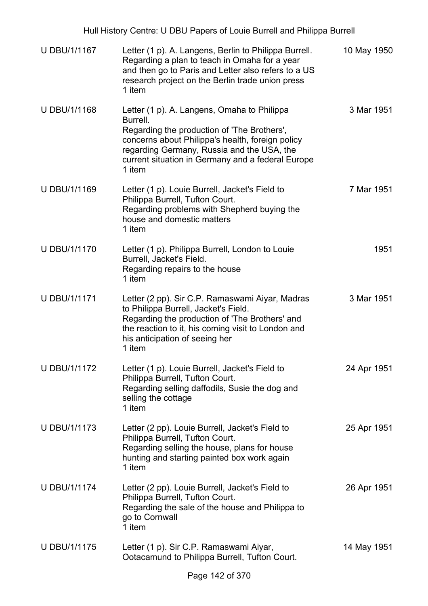| <b>U DBU/1/1167</b> | Letter (1 p). A. Langens, Berlin to Philippa Burrell.<br>Regarding a plan to teach in Omaha for a year<br>and then go to Paris and Letter also refers to a US<br>research project on the Berlin trade union press<br>1 item                                             | 10 May 1950 |
|---------------------|-------------------------------------------------------------------------------------------------------------------------------------------------------------------------------------------------------------------------------------------------------------------------|-------------|
| U DBU/1/1168        | Letter (1 p). A. Langens, Omaha to Philippa<br>Burrell.<br>Regarding the production of 'The Brothers',<br>concerns about Philippa's health, foreign policy<br>regarding Germany, Russia and the USA, the<br>current situation in Germany and a federal Europe<br>1 item | 3 Mar 1951  |
| U DBU/1/1169        | Letter (1 p). Louie Burrell, Jacket's Field to<br>Philippa Burrell, Tufton Court.<br>Regarding problems with Shepherd buying the<br>house and domestic matters<br>1 item                                                                                                | 7 Mar 1951  |
| <b>U DBU/1/1170</b> | Letter (1 p). Philippa Burrell, London to Louie<br>Burrell, Jacket's Field.<br>Regarding repairs to the house<br>1 item                                                                                                                                                 | 1951        |
| <b>U DBU/1/1171</b> | Letter (2 pp). Sir C.P. Ramaswami Aiyar, Madras<br>to Philippa Burrell, Jacket's Field.<br>Regarding the production of 'The Brothers' and<br>the reaction to it, his coming visit to London and<br>his anticipation of seeing her<br>1 item                             | 3 Mar 1951  |
| <b>U DBU/1/1172</b> | Letter (1 p). Louie Burrell, Jacket's Field to<br>Philippa Burrell, Tufton Court.<br>Regarding selling daffodils, Susie the dog and<br>selling the cottage<br>1 item                                                                                                    | 24 Apr 1951 |
| U DBU/1/1173        | Letter (2 pp). Louie Burrell, Jacket's Field to<br>Philippa Burrell, Tufton Court.<br>Regarding selling the house, plans for house<br>hunting and starting painted box work again<br>1 item                                                                             | 25 Apr 1951 |
| <b>U DBU/1/1174</b> | Letter (2 pp). Louie Burrell, Jacket's Field to<br>Philippa Burrell, Tufton Court.<br>Regarding the sale of the house and Philippa to<br>go to Cornwall<br>1 item                                                                                                       | 26 Apr 1951 |
| <b>U DBU/1/1175</b> | Letter (1 p). Sir C.P. Ramaswami Aiyar,<br>Ootacamund to Philippa Burrell, Tufton Court.                                                                                                                                                                                | 14 May 1951 |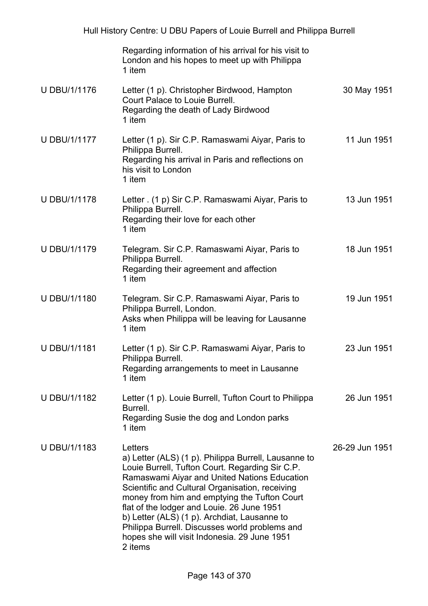|                     | Regarding information of his arrival for his visit to<br>London and his hopes to meet up with Philippa<br>1 item                                                                                                                                                                                                                                                                                                                                                                 |                |
|---------------------|----------------------------------------------------------------------------------------------------------------------------------------------------------------------------------------------------------------------------------------------------------------------------------------------------------------------------------------------------------------------------------------------------------------------------------------------------------------------------------|----------------|
| <b>U DBU/1/1176</b> | Letter (1 p). Christopher Birdwood, Hampton<br>Court Palace to Louie Burrell.<br>Regarding the death of Lady Birdwood<br>1 item                                                                                                                                                                                                                                                                                                                                                  | 30 May 1951    |
| <b>U DBU/1/1177</b> | Letter (1 p). Sir C.P. Ramaswami Aiyar, Paris to<br>Philippa Burrell.<br>Regarding his arrival in Paris and reflections on<br>his visit to London<br>1 item                                                                                                                                                                                                                                                                                                                      | 11 Jun 1951    |
| <b>U DBU/1/1178</b> | Letter (1 p) Sir C.P. Ramaswami Aiyar, Paris to<br>Philippa Burrell.<br>Regarding their love for each other<br>1 item                                                                                                                                                                                                                                                                                                                                                            | 13 Jun 1951    |
| <b>U DBU/1/1179</b> | Telegram. Sir C.P. Ramaswami Aiyar, Paris to<br>Philippa Burrell.<br>Regarding their agreement and affection<br>1 item                                                                                                                                                                                                                                                                                                                                                           | 18 Jun 1951    |
| U DBU/1/1180        | Telegram. Sir C.P. Ramaswami Aiyar, Paris to<br>Philippa Burrell, London.<br>Asks when Philippa will be leaving for Lausanne<br>1 item                                                                                                                                                                                                                                                                                                                                           | 19 Jun 1951    |
| <b>U DBU/1/1181</b> | Letter (1 p). Sir C.P. Ramaswami Aiyar, Paris to<br>Philippa Burrell.<br>Regarding arrangements to meet in Lausanne<br>1 item                                                                                                                                                                                                                                                                                                                                                    | 23 Jun 1951    |
| U DBU/1/1182        | Letter (1 p). Louie Burrell, Tufton Court to Philippa<br>Burrell.<br>Regarding Susie the dog and London parks<br>1 item                                                                                                                                                                                                                                                                                                                                                          | 26 Jun 1951    |
| U DBU/1/1183        | Letters<br>a) Letter (ALS) (1 p). Philippa Burrell, Lausanne to<br>Louie Burrell, Tufton Court. Regarding Sir C.P.<br>Ramaswami Aiyar and United Nations Education<br>Scientific and Cultural Organisation, receiving<br>money from him and emptying the Tufton Court<br>flat of the lodger and Louie. 26 June 1951<br>b) Letter (ALS) (1 p). Archdiat, Lausanne to<br>Philippa Burrell. Discusses world problems and<br>hopes she will visit Indonesia. 29 June 1951<br>2 items | 26-29 Jun 1951 |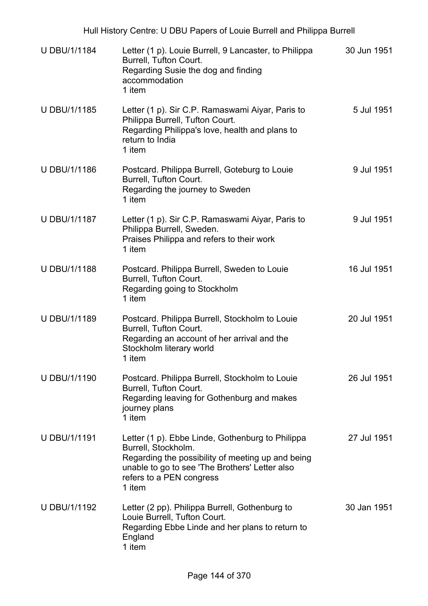| Hull History Centre: U DBU Papers of Louie Burrell and Philippa Burrell |                                                                                                                                                                                                                      |             |  |
|-------------------------------------------------------------------------|----------------------------------------------------------------------------------------------------------------------------------------------------------------------------------------------------------------------|-------------|--|
| <b>U DBU/1/1184</b>                                                     | Letter (1 p). Louie Burrell, 9 Lancaster, to Philippa<br>Burrell, Tufton Court.<br>Regarding Susie the dog and finding<br>accommodation<br>1 item                                                                    | 30 Jun 1951 |  |
| U DBU/1/1185                                                            | Letter (1 p). Sir C.P. Ramaswami Aiyar, Paris to<br>Philippa Burrell, Tufton Court.<br>Regarding Philippa's love, health and plans to<br>return to India<br>1 item                                                   | 5 Jul 1951  |  |
| <b>U DBU/1/1186</b>                                                     | Postcard. Philippa Burrell, Goteburg to Louie<br>Burrell, Tufton Court.<br>Regarding the journey to Sweden<br>1 item                                                                                                 | 9 Jul 1951  |  |
| U DBU/1/1187                                                            | Letter (1 p). Sir C.P. Ramaswami Aiyar, Paris to<br>Philippa Burrell, Sweden.<br>Praises Philippa and refers to their work<br>1 item                                                                                 | 9 Jul 1951  |  |
| <b>U DBU/1/1188</b>                                                     | Postcard. Philippa Burrell, Sweden to Louie<br>Burrell, Tufton Court.<br>Regarding going to Stockholm<br>1 item                                                                                                      | 16 Jul 1951 |  |
| U DBU/1/1189                                                            | Postcard. Philippa Burrell, Stockholm to Louie<br>Burrell, Tufton Court.<br>Regarding an account of her arrival and the<br>Stockholm literary world<br>1 item                                                        | 20 Jul 1951 |  |
| <b>U DBU/1/1190</b>                                                     | Postcard. Philippa Burrell, Stockholm to Louie<br>Burrell, Tufton Court.<br>Regarding leaving for Gothenburg and makes<br>journey plans<br>1 item                                                                    | 26 Jul 1951 |  |
| U DBU/1/1191                                                            | Letter (1 p). Ebbe Linde, Gothenburg to Philippa<br>Burrell, Stockholm.<br>Regarding the possibility of meeting up and being<br>unable to go to see 'The Brothers' Letter also<br>refers to a PEN congress<br>1 item | 27 Jul 1951 |  |
| U DBU/1/1192                                                            | Letter (2 pp). Philippa Burrell, Gothenburg to<br>Louie Burrell, Tufton Court.<br>Regarding Ebbe Linde and her plans to return to<br>England<br>1 item                                                               | 30 Jan 1951 |  |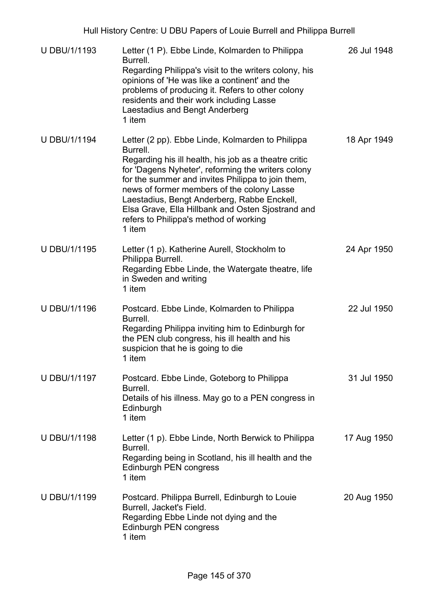| <b>U DBU/1/1193</b> | Letter (1 P). Ebbe Linde, Kolmarden to Philippa<br>Burrell.<br>Regarding Philippa's visit to the writers colony, his<br>opinions of 'He was like a continent' and the<br>problems of producing it. Refers to other colony<br>residents and their work including Lasse<br>Laestadius and Bengt Anderberg<br>1 item                                                                                                                      | 26 Jul 1948 |
|---------------------|----------------------------------------------------------------------------------------------------------------------------------------------------------------------------------------------------------------------------------------------------------------------------------------------------------------------------------------------------------------------------------------------------------------------------------------|-------------|
| <b>U DBU/1/1194</b> | Letter (2 pp). Ebbe Linde, Kolmarden to Philippa<br>Burrell.<br>Regarding his ill health, his job as a theatre critic<br>for 'Dagens Nyheter', reforming the writers colony<br>for the summer and invites Philippa to join them,<br>news of former members of the colony Lasse<br>Laestadius, Bengt Anderberg, Rabbe Enckell,<br>Elsa Grave, Ella Hillbank and Osten Sjostrand and<br>refers to Philippa's method of working<br>1 item | 18 Apr 1949 |
| U DBU/1/1195        | Letter (1 p). Katherine Aurell, Stockholm to<br>Philippa Burrell.<br>Regarding Ebbe Linde, the Watergate theatre, life<br>in Sweden and writing<br>1 item                                                                                                                                                                                                                                                                              | 24 Apr 1950 |
| <b>U DBU/1/1196</b> | Postcard. Ebbe Linde, Kolmarden to Philippa<br>Burrell.<br>Regarding Philippa inviting him to Edinburgh for<br>the PEN club congress, his ill health and his<br>suspicion that he is going to die<br>1 item                                                                                                                                                                                                                            | 22 Jul 1950 |
| <b>U DBU/1/1197</b> | Postcard. Ebbe Linde, Goteborg to Philippa<br>Burrell.<br>Details of his illness. May go to a PEN congress in<br>Edinburgh<br>1 item                                                                                                                                                                                                                                                                                                   | 31 Jul 1950 |
| <b>U DBU/1/1198</b> | Letter (1 p). Ebbe Linde, North Berwick to Philippa<br>Burrell.<br>Regarding being in Scotland, his ill health and the<br>Edinburgh PEN congress<br>1 item                                                                                                                                                                                                                                                                             | 17 Aug 1950 |
| U DBU/1/1199        | Postcard. Philippa Burrell, Edinburgh to Louie<br>Burrell, Jacket's Field.<br>Regarding Ebbe Linde not dying and the<br>Edinburgh PEN congress<br>1 item                                                                                                                                                                                                                                                                               | 20 Aug 1950 |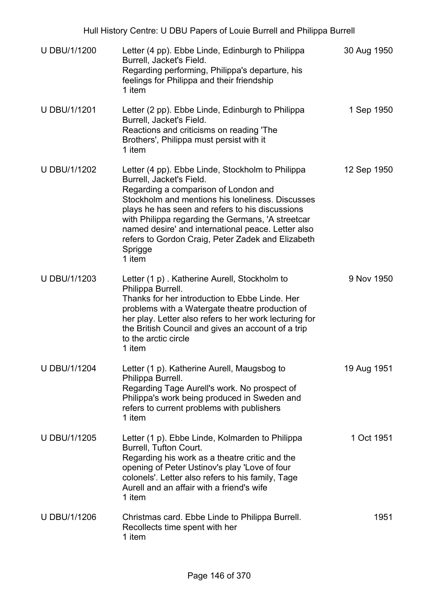| <b>U DBU/1/1200</b> | Letter (4 pp). Ebbe Linde, Edinburgh to Philippa<br>Burrell, Jacket's Field.<br>Regarding performing, Philippa's departure, his<br>feelings for Philippa and their friendship<br>1 item                                                                                                                                                                                                                          | 30 Aug 1950 |
|---------------------|------------------------------------------------------------------------------------------------------------------------------------------------------------------------------------------------------------------------------------------------------------------------------------------------------------------------------------------------------------------------------------------------------------------|-------------|
| <b>U DBU/1/1201</b> | Letter (2 pp). Ebbe Linde, Edinburgh to Philippa<br>Burrell, Jacket's Field.<br>Reactions and criticisms on reading 'The<br>Brothers', Philippa must persist with it<br>1 item                                                                                                                                                                                                                                   | 1 Sep 1950  |
| U DBU/1/1202        | Letter (4 pp). Ebbe Linde, Stockholm to Philippa<br>Burrell, Jacket's Field.<br>Regarding a comparison of London and<br>Stockholm and mentions his loneliness. Discusses<br>plays he has seen and refers to his discussions<br>with Philippa regarding the Germans, 'A streetcar<br>named desire' and international peace. Letter also<br>refers to Gordon Craig, Peter Zadek and Elizabeth<br>Sprigge<br>1 item | 12 Sep 1950 |
| U DBU/1/1203        | Letter (1 p). Katherine Aurell, Stockholm to<br>Philippa Burrell.<br>Thanks for her introduction to Ebbe Linde. Her<br>problems with a Watergate theatre production of<br>her play. Letter also refers to her work lecturing for<br>the British Council and gives an account of a trip<br>to the arctic circle<br>1 item                                                                                         | 9 Nov 1950  |
| <b>U DBU/1/1204</b> | Letter (1 p). Katherine Aurell, Maugsbog to<br>Philippa Burrell.<br>Regarding Tage Aurell's work. No prospect of<br>Philippa's work being produced in Sweden and<br>refers to current problems with publishers<br>1 item                                                                                                                                                                                         | 19 Aug 1951 |
| <b>U DBU/1/1205</b> | Letter (1 p). Ebbe Linde, Kolmarden to Philippa<br>Burrell, Tufton Court.<br>Regarding his work as a theatre critic and the<br>opening of Peter Ustinov's play 'Love of four<br>colonels'. Letter also refers to his family, Tage<br>Aurell and an affair with a friend's wife<br>1 item                                                                                                                         | 1 Oct 1951  |
| U DBU/1/1206        | Christmas card. Ebbe Linde to Philippa Burrell.<br>Recollects time spent with her<br>1 item                                                                                                                                                                                                                                                                                                                      | 1951        |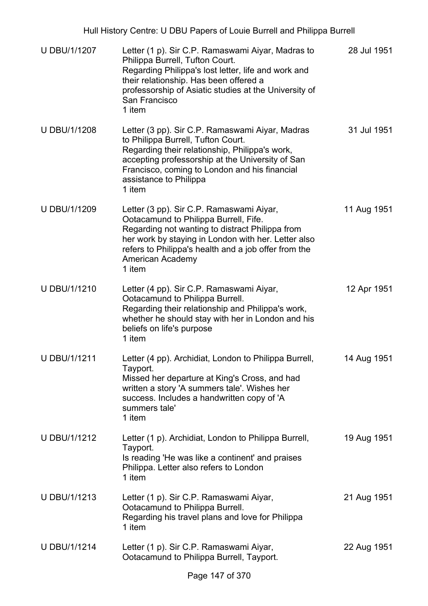| Hull History Centre: U DBU Papers of Louie Burrell and Philippa Burrell |                                                                                                                                                                                                                                                                                   |             |
|-------------------------------------------------------------------------|-----------------------------------------------------------------------------------------------------------------------------------------------------------------------------------------------------------------------------------------------------------------------------------|-------------|
| <b>U DBU/1/1207</b>                                                     | Letter (1 p). Sir C.P. Ramaswami Aiyar, Madras to<br>Philippa Burrell, Tufton Court.<br>Regarding Philippa's lost letter, life and work and<br>their relationship. Has been offered a<br>professorship of Asiatic studies at the University of<br>San Francisco<br>1 item         | 28 Jul 1951 |
| <b>U DBU/1/1208</b>                                                     | Letter (3 pp). Sir C.P. Ramaswami Aiyar, Madras<br>to Philippa Burrell, Tufton Court.<br>Regarding their relationship, Philippa's work,<br>accepting professorship at the University of San<br>Francisco, coming to London and his financial<br>assistance to Philippa<br>1 item  | 31 Jul 1951 |
| U DBU/1/1209                                                            | Letter (3 pp). Sir C.P. Ramaswami Aiyar,<br>Ootacamund to Philippa Burrell, Fife.<br>Regarding not wanting to distract Philippa from<br>her work by staying in London with her. Letter also<br>refers to Philippa's health and a job offer from the<br>American Academy<br>1 item | 11 Aug 1951 |
| U DBU/1/1210                                                            | Letter (4 pp). Sir C.P. Ramaswami Aiyar,<br>Ootacamund to Philippa Burrell.<br>Regarding their relationship and Philippa's work,<br>whether he should stay with her in London and his<br>beliefs on life's purpose<br>1 item                                                      | 12 Apr 1951 |
| <b>U DBU/1/1211</b>                                                     | Letter (4 pp). Archidiat, London to Philippa Burrell,<br>Tayport.<br>Missed her departure at King's Cross, and had<br>written a story 'A summers tale'. Wishes her<br>success. Includes a handwritten copy of 'A<br>summers tale'<br>1 item                                       | 14 Aug 1951 |
| U DBU/1/1212                                                            | Letter (1 p). Archidiat, London to Philippa Burrell,<br>Tayport.<br>Is reading 'He was like a continent' and praises<br>Philippa. Letter also refers to London<br>1 item                                                                                                          | 19 Aug 1951 |
| U DBU/1/1213                                                            | Letter (1 p). Sir C.P. Ramaswami Aiyar,<br>Ootacamund to Philippa Burrell.<br>Regarding his travel plans and love for Philippa<br>1 item                                                                                                                                          | 21 Aug 1951 |
| <b>U DBU/1/1214</b>                                                     | Letter (1 p). Sir C.P. Ramaswami Aiyar,<br>Ootacamund to Philippa Burrell, Tayport.                                                                                                                                                                                               | 22 Aug 1951 |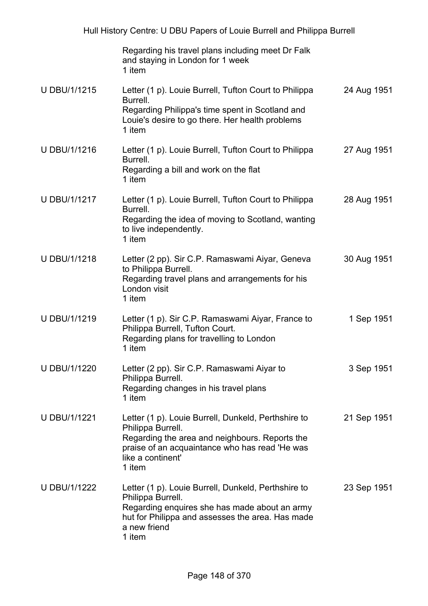|                     | Regarding his travel plans including meet Dr Falk<br>and staying in London for 1 week<br>1 item                                                                                                             |             |
|---------------------|-------------------------------------------------------------------------------------------------------------------------------------------------------------------------------------------------------------|-------------|
| <b>U DBU/1/1215</b> | Letter (1 p). Louie Burrell, Tufton Court to Philippa<br>Burrell.<br>Regarding Philippa's time spent in Scotland and<br>Louie's desire to go there. Her health problems<br>1 item                           | 24 Aug 1951 |
| U DBU/1/1216        | Letter (1 p). Louie Burrell, Tufton Court to Philippa<br>Burrell.<br>Regarding a bill and work on the flat<br>1 item                                                                                        | 27 Aug 1951 |
| U DBU/1/1217        | Letter (1 p). Louie Burrell, Tufton Court to Philippa<br>Burrell.<br>Regarding the idea of moving to Scotland, wanting<br>to live independently.<br>1 item                                                  | 28 Aug 1951 |
| U DBU/1/1218        | Letter (2 pp). Sir C.P. Ramaswami Aiyar, Geneva<br>to Philippa Burrell.<br>Regarding travel plans and arrangements for his<br>London visit<br>1 item                                                        | 30 Aug 1951 |
| U DBU/1/1219        | Letter (1 p). Sir C.P. Ramaswami Aiyar, France to<br>Philippa Burrell, Tufton Court.<br>Regarding plans for travelling to London<br>1 item                                                                  | 1 Sep 1951  |
| U DBU/1/1220        | Letter (2 pp). Sir C.P. Ramaswami Aiyar to<br>Philippa Burrell.<br>Regarding changes in his travel plans<br>1 item                                                                                          | 3 Sep 1951  |
| <b>U DBU/1/1221</b> | Letter (1 p). Louie Burrell, Dunkeld, Perthshire to<br>Philippa Burrell.<br>Regarding the area and neighbours. Reports the<br>praise of an acquaintance who has read 'He was<br>like a continent'<br>1 item | 21 Sep 1951 |
| U DBU/1/1222        | Letter (1 p). Louie Burrell, Dunkeld, Perthshire to<br>Philippa Burrell.<br>Regarding enquires she has made about an army<br>hut for Philippa and assesses the area. Has made<br>a new friend<br>1 item     | 23 Sep 1951 |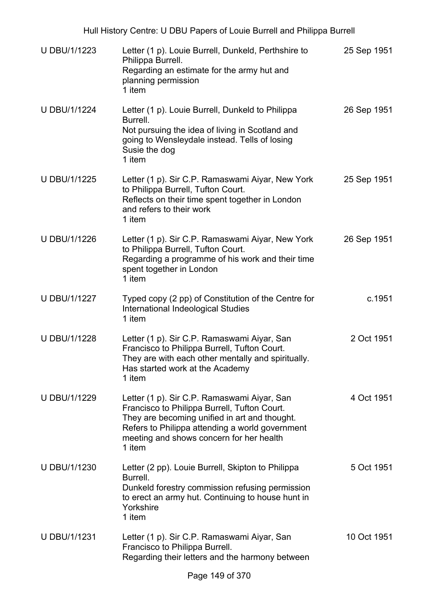| U DBU/1/1223        | Letter (1 p). Louie Burrell, Dunkeld, Perthshire to<br>Philippa Burrell.<br>Regarding an estimate for the army hut and<br>planning permission<br>1 item                                                                                               | 25 Sep 1951 |
|---------------------|-------------------------------------------------------------------------------------------------------------------------------------------------------------------------------------------------------------------------------------------------------|-------------|
| <b>U DBU/1/1224</b> | Letter (1 p). Louie Burrell, Dunkeld to Philippa<br>Burrell.<br>Not pursuing the idea of living in Scotland and<br>going to Wensleydale instead. Tells of losing<br>Susie the dog<br>1 item                                                           | 26 Sep 1951 |
| U DBU/1/1225        | Letter (1 p). Sir C.P. Ramaswami Aiyar, New York<br>to Philippa Burrell, Tufton Court.<br>Reflects on their time spent together in London<br>and refers to their work<br>1 item                                                                       | 25 Sep 1951 |
| U DBU/1/1226        | Letter (1 p). Sir C.P. Ramaswami Aiyar, New York<br>to Philippa Burrell, Tufton Court.<br>Regarding a programme of his work and their time<br>spent together in London<br>1 item                                                                      | 26 Sep 1951 |
| <b>U DBU/1/1227</b> | Typed copy (2 pp) of Constitution of the Centre for<br>International Indeological Studies<br>1 item                                                                                                                                                   | c.1951      |
| <b>U DBU/1/1228</b> | Letter (1 p). Sir C.P. Ramaswami Aiyar, San<br>Francisco to Philippa Burrell, Tufton Court.<br>They are with each other mentally and spiritually.<br>Has started work at the Academy<br>1 item                                                        | 2 Oct 1951  |
| U DBU/1/1229        | Letter (1 p). Sir C.P. Ramaswami Aiyar, San<br>Francisco to Philippa Burrell, Tufton Court.<br>They are becoming unified in art and thought.<br>Refers to Philippa attending a world government<br>meeting and shows concern for her health<br>1 item | 4 Oct 1951  |
| U DBU/1/1230        | Letter (2 pp). Louie Burrell, Skipton to Philippa<br>Burrell.<br>Dunkeld forestry commission refusing permission<br>to erect an army hut. Continuing to house hunt in<br>Yorkshire<br>1 item                                                          | 5 Oct 1951  |
| U DBU/1/1231        | Letter (1 p). Sir C.P. Ramaswami Aiyar, San<br>Francisco to Philippa Burrell.<br>Regarding their letters and the harmony between                                                                                                                      | 10 Oct 1951 |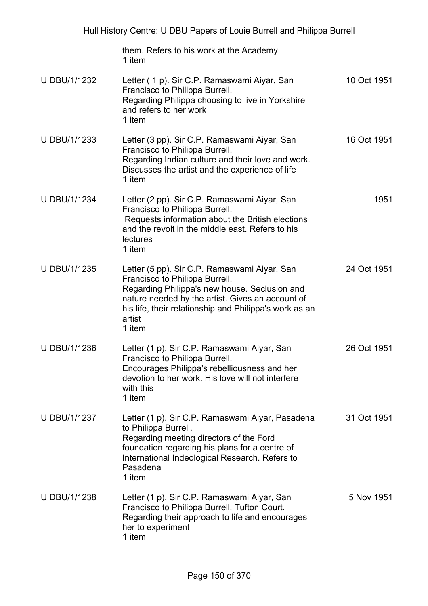| Hull History Centre: U DBU Papers of Louie Burrell and Philippa Burrell |                                                                                                                                                                                                                                                                   |             |
|-------------------------------------------------------------------------|-------------------------------------------------------------------------------------------------------------------------------------------------------------------------------------------------------------------------------------------------------------------|-------------|
|                                                                         | them. Refers to his work at the Academy<br>1 item                                                                                                                                                                                                                 |             |
| U DBU/1/1232                                                            | Letter (1 p). Sir C.P. Ramaswami Aiyar, San<br>Francisco to Philippa Burrell.<br>Regarding Philippa choosing to live in Yorkshire<br>and refers to her work<br>1 item                                                                                             | 10 Oct 1951 |
| U DBU/1/1233                                                            | Letter (3 pp). Sir C.P. Ramaswami Aiyar, San<br>Francisco to Philippa Burrell.<br>Regarding Indian culture and their love and work.<br>Discusses the artist and the experience of life<br>1 item                                                                  | 16 Oct 1951 |
| U DBU/1/1234                                                            | Letter (2 pp). Sir C.P. Ramaswami Aiyar, San<br>Francisco to Philippa Burrell.<br>Requests information about the British elections<br>and the revolt in the middle east. Refers to his<br>lectures<br>1 item                                                      | 1951        |
| U DBU/1/1235                                                            | Letter (5 pp). Sir C.P. Ramaswami Aiyar, San<br>Francisco to Philippa Burrell.<br>Regarding Philippa's new house. Seclusion and<br>nature needed by the artist. Gives an account of<br>his life, their relationship and Philippa's work as an<br>artist<br>1 item | 24 Oct 1951 |
| U DBU/1/1236                                                            | Letter (1 p). Sir C.P. Ramaswami Aiyar, San<br>Francisco to Philippa Burrell.<br>Encourages Philippa's rebelliousness and her<br>devotion to her work. His love will not interfere<br>with this<br>1 item                                                         | 26 Oct 1951 |
| U DBU/1/1237                                                            | Letter (1 p). Sir C.P. Ramaswami Aiyar, Pasadena<br>to Philippa Burrell.<br>Regarding meeting directors of the Ford<br>foundation regarding his plans for a centre of<br>International Indeological Research. Refers to<br>Pasadena<br>1 item                     | 31 Oct 1951 |
| U DBU/1/1238                                                            | Letter (1 p). Sir C.P. Ramaswami Aiyar, San<br>Francisco to Philippa Burrell, Tufton Court.<br>Regarding their approach to life and encourages<br>her to experiment<br>1 item                                                                                     | 5 Nov 1951  |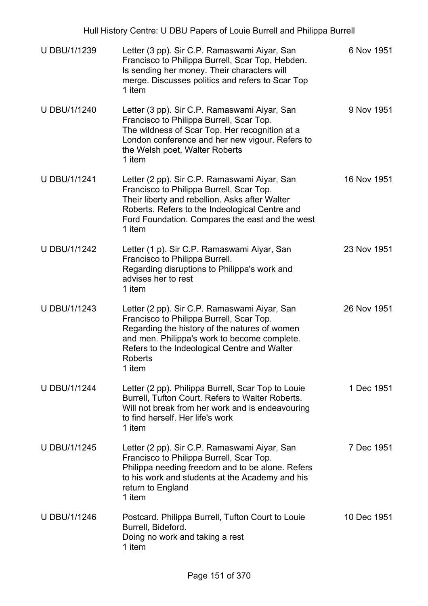| U DBU/1/1239        | Letter (3 pp). Sir C.P. Ramaswami Aiyar, San<br>Francisco to Philippa Burrell, Scar Top, Hebden.<br>Is sending her money. Their characters will<br>merge. Discusses politics and refers to Scar Top<br>1 item                                                         | 6 Nov 1951  |
|---------------------|-----------------------------------------------------------------------------------------------------------------------------------------------------------------------------------------------------------------------------------------------------------------------|-------------|
| U DBU/1/1240        | Letter (3 pp). Sir C.P. Ramaswami Aiyar, San<br>Francisco to Philippa Burrell, Scar Top.<br>The wildness of Scar Top. Her recognition at a<br>London conference and her new vigour. Refers to<br>the Welsh poet, Walter Roberts<br>1 item                             | 9 Nov 1951  |
| <b>U DBU/1/1241</b> | Letter (2 pp). Sir C.P. Ramaswami Aiyar, San<br>Francisco to Philippa Burrell, Scar Top.<br>Their liberty and rebellion. Asks after Walter<br>Roberts. Refers to the Indeological Centre and<br>Ford Foundation. Compares the east and the west<br>1 item             | 16 Nov 1951 |
| <b>U DBU/1/1242</b> | Letter (1 p). Sir C.P. Ramaswami Aiyar, San<br>Francisco to Philippa Burrell.<br>Regarding disruptions to Philippa's work and<br>advises her to rest<br>1 item                                                                                                        | 23 Nov 1951 |
| <b>U DBU/1/1243</b> | Letter (2 pp). Sir C.P. Ramaswami Aiyar, San<br>Francisco to Philippa Burrell, Scar Top.<br>Regarding the history of the natures of women<br>and men. Philippa's work to become complete.<br>Refers to the Indeological Centre and Walter<br><b>Roberts</b><br>1 item | 26 Nov 1951 |
| <b>U DBU/1/1244</b> | Letter (2 pp). Philippa Burrell, Scar Top to Louie<br>Burrell, Tufton Court. Refers to Walter Roberts.<br>Will not break from her work and is endeavouring<br>to find herself. Her life's work<br>1 item                                                              | 1 Dec 1951  |
| <b>U DBU/1/1245</b> | Letter (2 pp). Sir C.P. Ramaswami Aiyar, San<br>Francisco to Philippa Burrell, Scar Top.<br>Philippa needing freedom and to be alone. Refers<br>to his work and students at the Academy and his<br>return to England<br>1 item                                        | 7 Dec 1951  |
| U DBU/1/1246        | Postcard. Philippa Burrell, Tufton Court to Louie<br>Burrell, Bideford.<br>Doing no work and taking a rest<br>1 item                                                                                                                                                  | 10 Dec 1951 |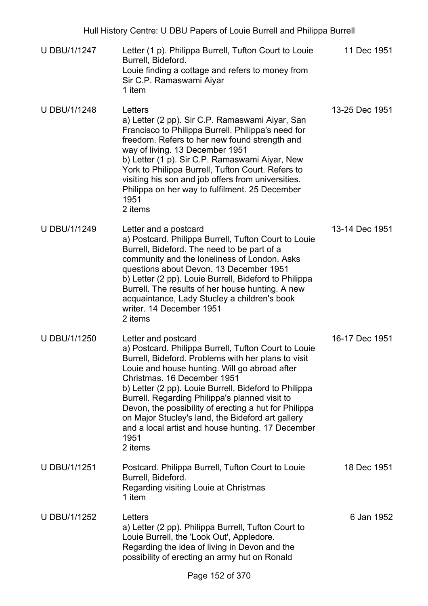- U DBU/1/1247 Letter (1 p). Philippa Burrell, Tufton Court to Louie Burrell, Bideford. Louie finding a cottage and refers to money from Sir C.P. Ramaswami Aiyar 1 item 11 Dec 1951
- U DBU/1/1248 Letters a) Letter (2 pp). Sir C.P. Ramaswami Aiyar, San Francisco to Philippa Burrell. Philippa's need for freedom. Refers to her new found strength and way of living. 13 December 1951 b) Letter (1 p). Sir C.P. Ramaswami Aiyar, New York to Philippa Burrell, Tufton Court. Refers to visiting his son and job offers from universities. Philippa on her way to fulfilment. 25 December 1951 2 items 13-25 Dec 1951
- U DBU/1/1249 Letter and a postcard a) Postcard. Philippa Burrell, Tufton Court to Louie Burrell, Bideford. The need to be part of a community and the loneliness of London. Asks questions about Devon. 13 December 1951 b) Letter (2 pp). Louie Burrell, Bideford to Philippa Burrell. The results of her house hunting. A new acquaintance, Lady Stucley a children's book writer. 14 December 1951 2 items 13-14 Dec 1951
- U DBU/1/1250 Letter and postcard a) Postcard. Philippa Burrell, Tufton Court to Louie Burrell, Bideford. Problems with her plans to visit Louie and house hunting. Will go abroad after Christmas. 16 December 1951 b) Letter (2 pp). Louie Burrell, Bideford to Philippa Burrell. Regarding Philippa's planned visit to Devon, the possibility of erecting a hut for Philippa on Major Stucley's land, the Bideford art gallery and a local artist and house hunting. 17 December 1951 2 items 16-17 Dec 1951
- U DBU/1/1251 Postcard. Philippa Burrell, Tufton Court to Louie Burrell, Bideford. Regarding visiting Louie at Christmas 1 item 18 Dec 1951
- U DBU/1/1252 Letters a) Letter (2 pp). Philippa Burrell, Tufton Court to Louie Burrell, the 'Look Out', Appledore. Regarding the idea of living in Devon and the possibility of erecting an army hut on Ronald 6 Jan 1952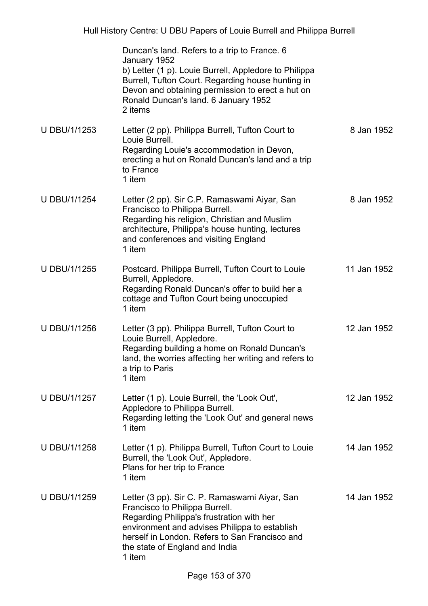|                     | Duncan's land. Refers to a trip to France. 6<br>January 1952<br>b) Letter (1 p). Louie Burrell, Appledore to Philippa<br>Burrell, Tufton Court. Regarding house hunting in<br>Devon and obtaining permission to erect a hut on<br>Ronald Duncan's land. 6 January 1952<br>2 items |             |
|---------------------|-----------------------------------------------------------------------------------------------------------------------------------------------------------------------------------------------------------------------------------------------------------------------------------|-------------|
| U DBU/1/1253        | Letter (2 pp). Philippa Burrell, Tufton Court to<br>Louie Burrell.<br>Regarding Louie's accommodation in Devon,<br>erecting a hut on Ronald Duncan's land and a trip<br>to France<br>1 item                                                                                       | 8 Jan 1952  |
| <b>U DBU/1/1254</b> | Letter (2 pp). Sir C.P. Ramaswami Aiyar, San<br>Francisco to Philippa Burrell.<br>Regarding his religion, Christian and Muslim<br>architecture, Philippa's house hunting, lectures<br>and conferences and visiting England<br>1 item                                              | 8 Jan 1952  |
| U DBU/1/1255        | Postcard. Philippa Burrell, Tufton Court to Louie<br>Burrell, Appledore.<br>Regarding Ronald Duncan's offer to build her a<br>cottage and Tufton Court being unoccupied<br>1 item                                                                                                 | 11 Jan 1952 |
| U DBU/1/1256        | Letter (3 pp). Philippa Burrell, Tufton Court to<br>Louie Burrell, Appledore.<br>Regarding building a home on Ronald Duncan's<br>land, the worries affecting her writing and refers to<br>a trip to Paris<br>1 item                                                               | 12 Jan 1952 |
| U DBU/1/1257        | Letter (1 p). Louie Burrell, the 'Look Out',<br>Appledore to Philippa Burrell.<br>Regarding letting the 'Look Out' and general news<br>1 item                                                                                                                                     | 12 Jan 1952 |
| U DBU/1/1258        | Letter (1 p). Philippa Burrell, Tufton Court to Louie<br>Burrell, the 'Look Out', Appledore.<br>Plans for her trip to France<br>1 item                                                                                                                                            | 14 Jan 1952 |
| U DBU/1/1259        | Letter (3 pp). Sir C. P. Ramaswami Aiyar, San<br>Francisco to Philippa Burrell.<br>Regarding Philippa's frustration with her<br>environment and advises Philippa to establish<br>herself in London. Refers to San Francisco and<br>the state of England and India<br>1 item       | 14 Jan 1952 |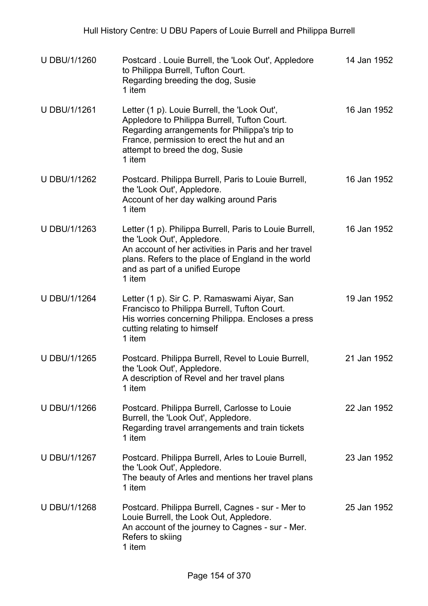| U DBU/1/1260        | Postcard. Louie Burrell, the 'Look Out', Appledore<br>to Philippa Burrell, Tufton Court.<br>Regarding breeding the dog, Susie<br>1 item                                                                                                          | 14 Jan 1952 |
|---------------------|--------------------------------------------------------------------------------------------------------------------------------------------------------------------------------------------------------------------------------------------------|-------------|
| U DBU/1/1261        | Letter (1 p). Louie Burrell, the 'Look Out',<br>Appledore to Philippa Burrell, Tufton Court.<br>Regarding arrangements for Philippa's trip to<br>France, permission to erect the hut and an<br>attempt to breed the dog, Susie<br>1 item         | 16 Jan 1952 |
| U DBU/1/1262        | Postcard. Philippa Burrell, Paris to Louie Burrell,<br>the 'Look Out', Appledore.<br>Account of her day walking around Paris<br>1 item                                                                                                           | 16 Jan 1952 |
| U DBU/1/1263        | Letter (1 p). Philippa Burrell, Paris to Louie Burrell,<br>the 'Look Out', Appledore.<br>An account of her activities in Paris and her travel<br>plans. Refers to the place of England in the world<br>and as part of a unified Europe<br>1 item | 16 Jan 1952 |
| U DBU/1/1264        | Letter (1 p). Sir C. P. Ramaswami Aiyar, San<br>Francisco to Philippa Burrell, Tufton Court.<br>His worries concerning Philippa. Encloses a press<br>cutting relating to himself<br>1 item                                                       | 19 Jan 1952 |
| <b>U DBU/1/1265</b> | Postcard. Philippa Burrell, Revel to Louie Burrell,<br>the 'Look Out', Appledore.<br>A description of Revel and her travel plans<br>1 item                                                                                                       | 21 Jan 1952 |
| U DBU/1/1266        | Postcard. Philippa Burrell, Carlosse to Louie<br>Burrell, the 'Look Out', Appledore.<br>Regarding travel arrangements and train tickets<br>1 item                                                                                                | 22 Jan 1952 |
| U DBU/1/1267        | Postcard. Philippa Burrell, Arles to Louie Burrell,<br>the 'Look Out', Appledore.<br>The beauty of Arles and mentions her travel plans<br>1 item                                                                                                 | 23 Jan 1952 |
| U DBU/1/1268        | Postcard. Philippa Burrell, Cagnes - sur - Mer to<br>Louie Burrell, the Look Out, Appledore.<br>An account of the journey to Cagnes - sur - Mer.<br>Refers to skiing<br>1 item                                                                   | 25 Jan 1952 |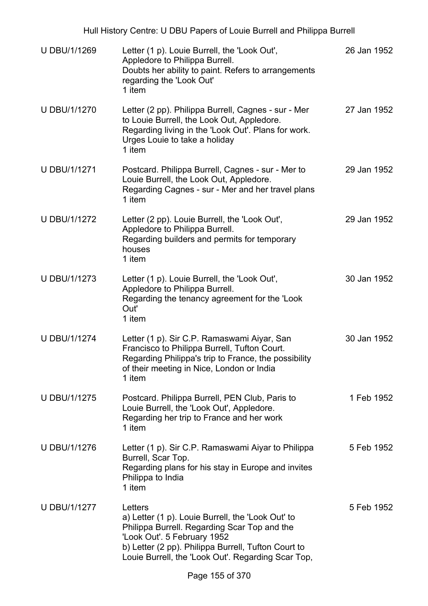U DBU/1/1269 Letter (1 p). Louie Burrell, the 'Look Out', Appledore to Philippa Burrell. Doubts her ability to paint. Refers to arrangements regarding the 'Look Out' 1 item 26 Jan 1952 U DBU/1/1270 Letter (2 pp). Philippa Burrell, Cagnes - sur - Mer to Louie Burrell, the Look Out, Appledore. Regarding living in the 'Look Out'. Plans for work. Urges Louie to take a holiday 1 item 27 Jan 1952 U DBU/1/1271 Postcard. Philippa Burrell, Cagnes - sur - Mer to Louie Burrell, the Look Out, Appledore. Regarding Cagnes - sur - Mer and her travel plans 1 item 29 Jan 1952 U DBU/1/1272 Letter (2 pp). Louie Burrell, the 'Look Out', Appledore to Philippa Burrell. Regarding builders and permits for temporary houses 1 item 29 Jan 1952 U DBU/1/1273 Letter (1 p). Louie Burrell, the 'Look Out', Appledore to Philippa Burrell. Regarding the tenancy agreement for the 'Look Out' 1 item 30 Jan 1952 U DBU/1/1274 Letter (1 p). Sir C.P. Ramaswami Aiyar, San Francisco to Philippa Burrell, Tufton Court. Regarding Philippa's trip to France, the possibility of their meeting in Nice, London or India 1 item 30 Jan 1952 U DBU/1/1275 Postcard. Philippa Burrell, PEN Club, Paris to Louie Burrell, the 'Look Out', Appledore. Regarding her trip to France and her work 1 item 1 Feb 1952 U DBU/1/1276 Letter (1 p). Sir C.P. Ramaswami Aiyar to Philippa Burrell, Scar Top. Regarding plans for his stay in Europe and invites Philippa to India 1 item 5 Feb 1952 U DBU/1/1277 Letters a) Letter (1 p). Louie Burrell, the 'Look Out' to Philippa Burrell. Regarding Scar Top and the 'Look Out'. 5 February 1952 b) Letter (2 pp). Philippa Burrell, Tufton Court to Louie Burrell, the 'Look Out'. Regarding Scar Top, 5 Feb 1952

Hull History Centre: U DBU Papers of Louie Burrell and Philippa Burrell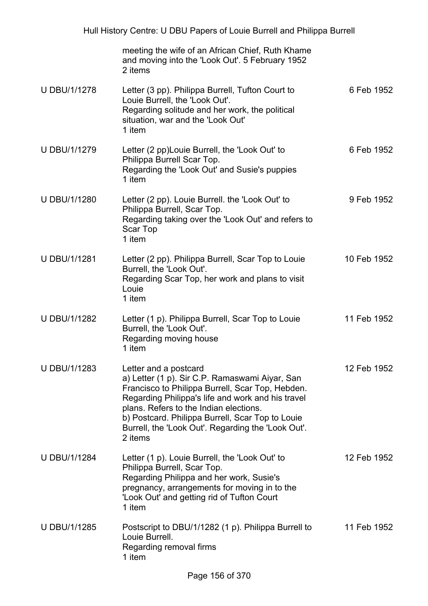|                     | meeting the wife of an African Chief, Ruth Khame<br>and moving into the 'Look Out'. 5 February 1952<br>2 items                                                                                                                                                                                                                                  |             |
|---------------------|-------------------------------------------------------------------------------------------------------------------------------------------------------------------------------------------------------------------------------------------------------------------------------------------------------------------------------------------------|-------------|
| <b>U DBU/1/1278</b> | Letter (3 pp). Philippa Burrell, Tufton Court to<br>Louie Burrell, the 'Look Out'.<br>Regarding solitude and her work, the political<br>situation, war and the 'Look Out'<br>1 item                                                                                                                                                             | 6 Feb 1952  |
| <b>U DBU/1/1279</b> | Letter (2 pp) Louie Burrell, the 'Look Out' to<br>Philippa Burrell Scar Top.<br>Regarding the 'Look Out' and Susie's puppies<br>1 item                                                                                                                                                                                                          | 6 Feb 1952  |
| <b>U DBU/1/1280</b> | Letter (2 pp). Louie Burrell. the 'Look Out' to<br>Philippa Burrell, Scar Top.<br>Regarding taking over the 'Look Out' and refers to<br><b>Scar Top</b><br>1 item                                                                                                                                                                               | 9 Feb 1952  |
| <b>U DBU/1/1281</b> | Letter (2 pp). Philippa Burrell, Scar Top to Louie<br>Burrell, the 'Look Out'.<br>Regarding Scar Top, her work and plans to visit<br>Louie<br>1 item                                                                                                                                                                                            | 10 Feb 1952 |
| <b>U DBU/1/1282</b> | Letter (1 p). Philippa Burrell, Scar Top to Louie<br>Burrell, the 'Look Out'.<br>Regarding moving house<br>1 item                                                                                                                                                                                                                               | 11 Feb 1952 |
| <b>U DBU/1/1283</b> | Letter and a postcard<br>a) Letter (1 p). Sir C.P. Ramaswami Aiyar, San<br>Francisco to Philippa Burrell, Scar Top, Hebden.<br>Regarding Philippa's life and work and his travel<br>plans. Refers to the Indian elections.<br>b) Postcard. Philippa Burrell, Scar Top to Louie<br>Burrell, the 'Look Out'. Regarding the 'Look Out'.<br>2 items | 12 Feb 1952 |
| <b>U DBU/1/1284</b> | Letter (1 p). Louie Burrell, the 'Look Out' to<br>Philippa Burrell, Scar Top.<br>Regarding Philippa and her work, Susie's<br>pregnancy, arrangements for moving in to the<br>'Look Out' and getting rid of Tufton Court<br>1 item                                                                                                               | 12 Feb 1952 |
| <b>U DBU/1/1285</b> | Postscript to DBU/1/1282 (1 p). Philippa Burrell to<br>Louie Burrell.<br>Regarding removal firms<br>1 item                                                                                                                                                                                                                                      | 11 Feb 1952 |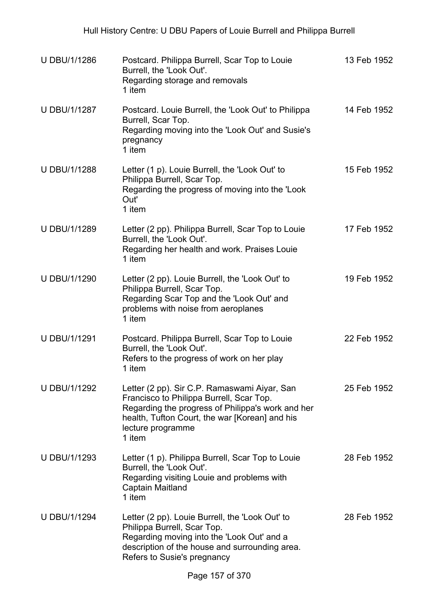| <b>U DBU/1/1286</b> | Postcard. Philippa Burrell, Scar Top to Louie<br>Burrell, the 'Look Out'.<br>Regarding storage and removals<br>1 item                                                                                                          | 13 Feb 1952 |
|---------------------|--------------------------------------------------------------------------------------------------------------------------------------------------------------------------------------------------------------------------------|-------------|
| U DBU/1/1287        | Postcard. Louie Burrell, the 'Look Out' to Philippa<br>Burrell, Scar Top.<br>Regarding moving into the 'Look Out' and Susie's<br>pregnancy<br>1 item                                                                           | 14 Feb 1952 |
| U DBU/1/1288        | Letter (1 p). Louie Burrell, the 'Look Out' to<br>Philippa Burrell, Scar Top.<br>Regarding the progress of moving into the 'Look<br>Out'<br>1 item                                                                             | 15 Feb 1952 |
| <b>U DBU/1/1289</b> | Letter (2 pp). Philippa Burrell, Scar Top to Louie<br>Burrell, the 'Look Out'.<br>Regarding her health and work. Praises Louie<br>1 item                                                                                       | 17 Feb 1952 |
| U DBU/1/1290        | Letter (2 pp). Louie Burrell, the 'Look Out' to<br>Philippa Burrell, Scar Top.<br>Regarding Scar Top and the 'Look Out' and<br>problems with noise from aeroplanes<br>1 item                                                   | 19 Feb 1952 |
| U DBU/1/1291        | Postcard. Philippa Burrell, Scar Top to Louie<br>Burrell, the 'Look Out'.<br>Refers to the progress of work on her play<br>1 item                                                                                              | 22 Feb 1952 |
| <b>U DBU/1/1292</b> | Letter (2 pp). Sir C.P. Ramaswami Aiyar, San<br>Francisco to Philippa Burrell, Scar Top.<br>Regarding the progress of Philippa's work and her<br>health, Tufton Court, the war [Korean] and his<br>lecture programme<br>1 item | 25 Feb 1952 |
| U DBU/1/1293        | Letter (1 p). Philippa Burrell, Scar Top to Louie<br>Burrell, the 'Look Out'.<br>Regarding visiting Louie and problems with<br>Captain Maitland<br>1 item                                                                      | 28 Feb 1952 |
| <b>U DBU/1/1294</b> | Letter (2 pp). Louie Burrell, the 'Look Out' to<br>Philippa Burrell, Scar Top.<br>Regarding moving into the 'Look Out' and a<br>description of the house and surrounding area.<br>Refers to Susie's pregnancy                  | 28 Feb 1952 |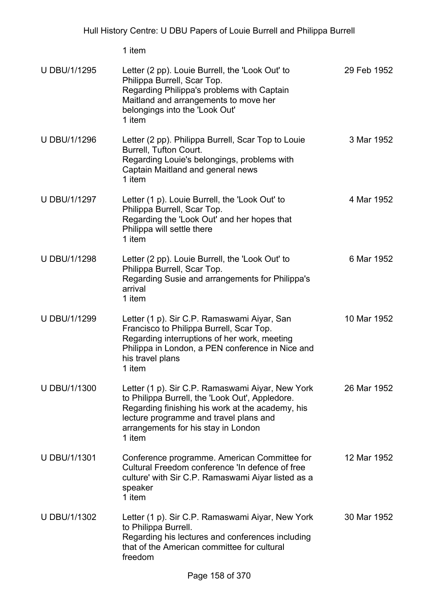| <b>U DBU/1/1295</b> | Letter (2 pp). Louie Burrell, the 'Look Out' to<br>Philippa Burrell, Scar Top.<br>Regarding Philippa's problems with Captain<br>Maitland and arrangements to move her<br>belongings into the 'Look Out'<br>1 item                                  | 29 Feb 1952 |
|---------------------|----------------------------------------------------------------------------------------------------------------------------------------------------------------------------------------------------------------------------------------------------|-------------|
| <b>U DBU/1/1296</b> | Letter (2 pp). Philippa Burrell, Scar Top to Louie<br>Burrell, Tufton Court.<br>Regarding Louie's belongings, problems with<br>Captain Maitland and general news<br>1 item                                                                         | 3 Mar 1952  |
| <b>U DBU/1/1297</b> | Letter (1 p). Louie Burrell, the 'Look Out' to<br>Philippa Burrell, Scar Top.<br>Regarding the 'Look Out' and her hopes that<br>Philippa will settle there<br>1 item                                                                               | 4 Mar 1952  |
| U DBU/1/1298        | Letter (2 pp). Louie Burrell, the 'Look Out' to<br>Philippa Burrell, Scar Top.<br>Regarding Susie and arrangements for Philippa's<br>arrival<br>1 item                                                                                             | 6 Mar 1952  |
| <b>U DBU/1/1299</b> | Letter (1 p). Sir C.P. Ramaswami Aiyar, San<br>Francisco to Philippa Burrell, Scar Top.<br>Regarding interruptions of her work, meeting<br>Philippa in London, a PEN conference in Nice and<br>his travel plans<br>1 item                          | 10 Mar 1952 |
| U DBU/1/1300        | Letter (1 p). Sir C.P. Ramaswami Aiyar, New York<br>to Philippa Burrell, the 'Look Out', Appledore.<br>Regarding finishing his work at the academy, his<br>lecture programme and travel plans and<br>arrangements for his stay in London<br>1 item | 26 Mar 1952 |
| U DBU/1/1301        | Conference programme. American Committee for<br>Cultural Freedom conference 'In defence of free<br>culture' with Sir C.P. Ramaswami Aiyar listed as a<br>speaker<br>1 item                                                                         | 12 Mar 1952 |
| U DBU/1/1302        | Letter (1 p). Sir C.P. Ramaswami Aiyar, New York<br>to Philippa Burrell.<br>Regarding his lectures and conferences including<br>that of the American committee for cultural<br>freedom                                                             | 30 Mar 1952 |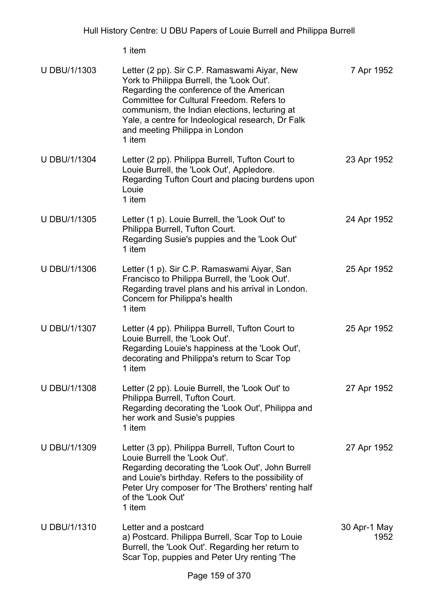| U DBU/1/1303        | Letter (2 pp). Sir C.P. Ramaswami Aiyar, New<br>York to Philippa Burrell, the 'Look Out'.<br>Regarding the conference of the American<br>Committee for Cultural Freedom. Refers to<br>communism, the Indian elections, lecturing at<br>Yale, a centre for Indeological research, Dr Falk<br>and meeting Philippa in London<br>1 item | 7 Apr 1952           |
|---------------------|--------------------------------------------------------------------------------------------------------------------------------------------------------------------------------------------------------------------------------------------------------------------------------------------------------------------------------------|----------------------|
| <b>U DBU/1/1304</b> | Letter (2 pp). Philippa Burrell, Tufton Court to<br>Louie Burrell, the 'Look Out', Appledore.<br>Regarding Tufton Court and placing burdens upon<br>Louie<br>1 item                                                                                                                                                                  | 23 Apr 1952          |
| U DBU/1/1305        | Letter (1 p). Louie Burrell, the 'Look Out' to<br>Philippa Burrell, Tufton Court.<br>Regarding Susie's puppies and the 'Look Out'<br>1 item                                                                                                                                                                                          | 24 Apr 1952          |
| <b>U DBU/1/1306</b> | Letter (1 p). Sir C.P. Ramaswami Aiyar, San<br>Francisco to Philippa Burrell, the 'Look Out'.<br>Regarding travel plans and his arrival in London.<br>Concern for Philippa's health<br>1 item                                                                                                                                        | 25 Apr 1952          |
| U DBU/1/1307        | Letter (4 pp). Philippa Burrell, Tufton Court to<br>Louie Burrell, the 'Look Out'.<br>Regarding Louie's happiness at the 'Look Out',<br>decorating and Philippa's return to Scar Top<br>1 item                                                                                                                                       | 25 Apr 1952          |
| U DBU/1/1308        | Letter (2 pp). Louie Burrell, the 'Look Out' to<br>Philippa Burrell, Tufton Court.<br>Regarding decorating the 'Look Out', Philippa and<br>her work and Susie's puppies<br>1 item                                                                                                                                                    | 27 Apr 1952          |
| U DBU/1/1309        | Letter (3 pp). Philippa Burrell, Tufton Court to<br>Louie Burrell the 'Look Out'.<br>Regarding decorating the 'Look Out', John Burrell<br>and Louie's birthday. Refers to the possibility of<br>Peter Ury composer for 'The Brothers' renting half<br>of the 'Look Out'<br>1 item                                                    | 27 Apr 1952          |
| U DBU/1/1310        | Letter and a postcard<br>a) Postcard. Philippa Burrell, Scar Top to Louie<br>Burrell, the 'Look Out'. Regarding her return to<br>Scar Top, puppies and Peter Ury renting 'The                                                                                                                                                        | 30 Apr-1 May<br>1952 |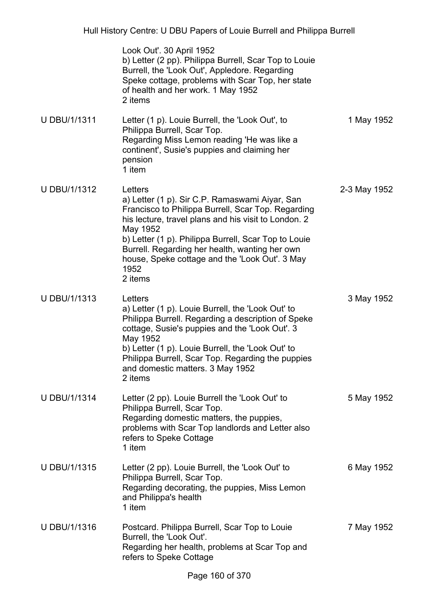| Hull History Centre: U DBU Papers of Louie Burrell and Philippa Burrell |                                                                                                                                                                                                                                                                                                                                                                    |              |
|-------------------------------------------------------------------------|--------------------------------------------------------------------------------------------------------------------------------------------------------------------------------------------------------------------------------------------------------------------------------------------------------------------------------------------------------------------|--------------|
|                                                                         | Look Out'. 30 April 1952<br>b) Letter (2 pp). Philippa Burrell, Scar Top to Louie<br>Burrell, the 'Look Out', Appledore. Regarding<br>Speke cottage, problems with Scar Top, her state<br>of health and her work. 1 May 1952<br>2 items                                                                                                                            |              |
| <b>U DBU/1/1311</b>                                                     | Letter (1 p). Louie Burrell, the 'Look Out', to<br>Philippa Burrell, Scar Top.<br>Regarding Miss Lemon reading 'He was like a<br>continent', Susie's puppies and claiming her<br>pension<br>1 item                                                                                                                                                                 | 1 May 1952   |
| <b>U DBU/1/1312</b>                                                     | Letters<br>a) Letter (1 p). Sir C.P. Ramaswami Aiyar, San<br>Francisco to Philippa Burrell, Scar Top. Regarding<br>his lecture, travel plans and his visit to London. 2<br>May 1952<br>b) Letter (1 p). Philippa Burrell, Scar Top to Louie<br>Burrell. Regarding her health, wanting her own<br>house, Speke cottage and the 'Look Out'. 3 May<br>1952<br>2 items | 2-3 May 1952 |
| U DBU/1/1313                                                            | Letters<br>a) Letter (1 p). Louie Burrell, the 'Look Out' to<br>Philippa Burrell. Regarding a description of Speke<br>cottage, Susie's puppies and the 'Look Out'. 3<br>May 1952<br>b) Letter (1 p). Louie Burrell, the 'Look Out' to<br>Philippa Burrell, Scar Top. Regarding the puppies<br>and domestic matters. 3 May 1952<br>2 items                          | 3 May 1952   |
| <b>U DBU/1/1314</b>                                                     | Letter (2 pp). Louie Burrell the 'Look Out' to<br>Philippa Burrell, Scar Top.<br>Regarding domestic matters, the puppies,<br>problems with Scar Top landlords and Letter also<br>refers to Speke Cottage<br>1 item                                                                                                                                                 | 5 May 1952   |
| <b>U DBU/1/1315</b>                                                     | Letter (2 pp). Louie Burrell, the 'Look Out' to<br>Philippa Burrell, Scar Top.<br>Regarding decorating, the puppies, Miss Lemon<br>and Philippa's health<br>1 item                                                                                                                                                                                                 | 6 May 1952   |
| U DBU/1/1316                                                            | Postcard. Philippa Burrell, Scar Top to Louie<br>Burrell, the 'Look Out'.<br>Regarding her health, problems at Scar Top and<br>refers to Speke Cottage                                                                                                                                                                                                             | 7 May 1952   |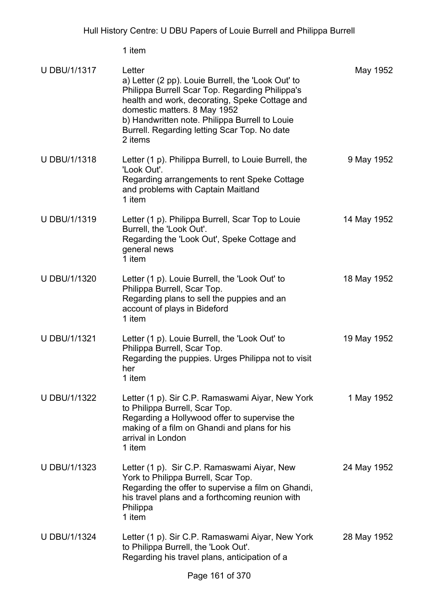| <b>U DBU/1/1317</b> | Letter<br>a) Letter (2 pp). Louie Burrell, the 'Look Out' to<br>Philippa Burrell Scar Top. Regarding Philippa's<br>health and work, decorating, Speke Cottage and<br>domestic matters. 8 May 1952<br>b) Handwritten note. Philippa Burrell to Louie<br>Burrell. Regarding letting Scar Top. No date<br>2 items | May 1952    |
|---------------------|----------------------------------------------------------------------------------------------------------------------------------------------------------------------------------------------------------------------------------------------------------------------------------------------------------------|-------------|
| <b>U DBU/1/1318</b> | Letter (1 p). Philippa Burrell, to Louie Burrell, the<br>'Look Out'.<br>Regarding arrangements to rent Speke Cottage<br>and problems with Captain Maitland<br>1 item                                                                                                                                           | 9 May 1952  |
| <b>U DBU/1/1319</b> | Letter (1 p). Philippa Burrell, Scar Top to Louie<br>Burrell, the 'Look Out'.<br>Regarding the 'Look Out', Speke Cottage and<br>general news<br>1 item                                                                                                                                                         | 14 May 1952 |
| U DBU/1/1320        | Letter (1 p). Louie Burrell, the 'Look Out' to<br>Philippa Burrell, Scar Top.<br>Regarding plans to sell the puppies and an<br>account of plays in Bideford<br>1 item                                                                                                                                          | 18 May 1952 |
| U DBU/1/1321        | Letter (1 p). Louie Burrell, the 'Look Out' to<br>Philippa Burrell, Scar Top.<br>Regarding the puppies. Urges Philippa not to visit<br>her<br>1 item                                                                                                                                                           | 19 May 1952 |
| <b>U DBU/1/1322</b> | Letter (1 p). Sir C.P. Ramaswami Aiyar, New York<br>to Philippa Burrell, Scar Top.<br>Regarding a Hollywood offer to supervise the<br>making of a film on Ghandi and plans for his<br>arrival in London<br>1 item                                                                                              | 1 May 1952  |
| U DBU/1/1323        | Letter (1 p). Sir C.P. Ramaswami Aiyar, New<br>York to Philippa Burrell, Scar Top.<br>Regarding the offer to supervise a film on Ghandi,<br>his travel plans and a forthcoming reunion with<br>Philippa<br>1 item                                                                                              | 24 May 1952 |
| <b>U DBU/1/1324</b> | Letter (1 p). Sir C.P. Ramaswami Aiyar, New York<br>to Philippa Burrell, the 'Look Out'.<br>Regarding his travel plans, anticipation of a                                                                                                                                                                      | 28 May 1952 |
|                     | Dogo $464.6520$                                                                                                                                                                                                                                                                                                |             |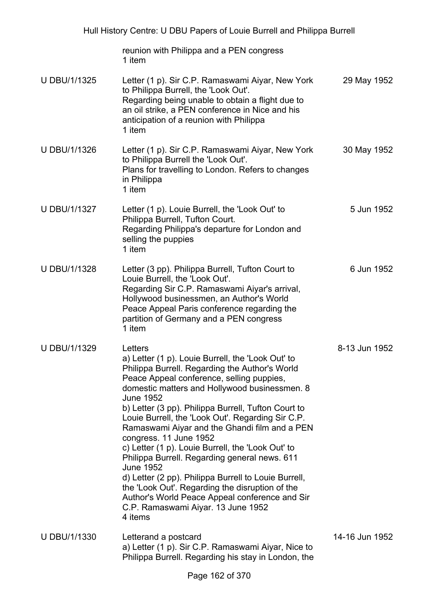reunion with Philippa and a PEN congress 1 item

| U DBU/1/1325 | Letter (1 p). Sir C.P. Ramaswami Aiyar, New York<br>to Philippa Burrell, the 'Look Out'.<br>Regarding being unable to obtain a flight due to<br>an oil strike, a PEN conference in Nice and his<br>anticipation of a reunion with Philippa<br>1 item | 29 May 1952 |
|--------------|------------------------------------------------------------------------------------------------------------------------------------------------------------------------------------------------------------------------------------------------------|-------------|
| U DBU/1/1326 | Letter (1 p). Sir C.P. Ramaswami Aiyar, New York<br>to Philippa Burrell the 'Look Out'.<br>Plans for travelling to London. Refers to changes                                                                                                         | 30 May 1952 |

U DBU/1/1327 Letter (1 p). Louie Burrell, the 'Look Out' to Philippa Burrell, Tufton Court. Regarding Philippa's departure for London and selling the puppies 1 item 5 Jun 1952

in Philippa 1 item

- U DBU/1/1328 Letter (3 pp). Philippa Burrell, Tufton Court to Louie Burrell, the 'Look Out'. Regarding Sir C.P. Ramaswami Aiyar's arrival, Hollywood businessmen, an Author's World Peace Appeal Paris conference regarding the partition of Germany and a PEN congress 1 item 6 Jun 1952
- U DBU/1/1329 Letters a) Letter (1 p). Louie Burrell, the 'Look Out' to Philippa Burrell. Regarding the Author's World Peace Appeal conference, selling puppies, domestic matters and Hollywood businessmen. 8 June 1952 b) Letter (3 pp). Philippa Burrell, Tufton Court to Louie Burrell, the 'Look Out'. Regarding Sir C.P. Ramaswami Aiyar and the Ghandi film and a PEN congress. 11 June 1952 c) Letter (1 p). Louie Burrell, the 'Look Out' to Philippa Burrell. Regarding general news. 611 June 1952 d) Letter (2 pp). Philippa Burrell to Louie Burrell, the 'Look Out'. Regarding the disruption of the Author's World Peace Appeal conference and Sir C.P. Ramaswami Aiyar. 13 June 1952 4 items 8-13 Jun 1952
- U DBU/1/1330 Letterand a postcard a) Letter (1 p). Sir C.P. Ramaswami Aiyar, Nice to Philippa Burrell. Regarding his stay in London, the

14-16 Jun 1952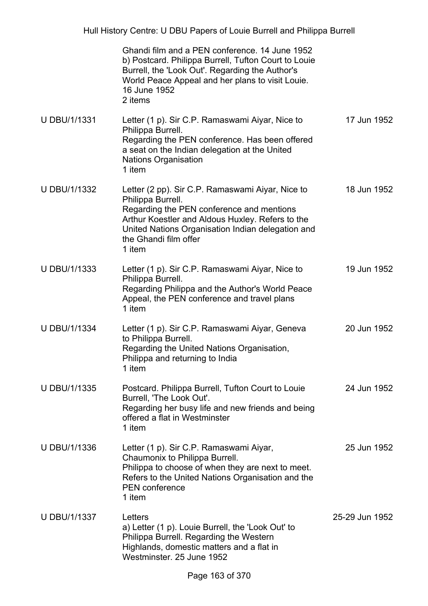Hull History Centre: U DBU Papers of Louie Burrell and Philippa Burrell

|                     | Ghandi film and a PEN conference. 14 June 1952<br>b) Postcard. Philippa Burrell, Tufton Court to Louie<br>Burrell, the 'Look Out'. Regarding the Author's<br>World Peace Appeal and her plans to visit Louie.<br>16 June 1952<br>2 items                       |                |
|---------------------|----------------------------------------------------------------------------------------------------------------------------------------------------------------------------------------------------------------------------------------------------------------|----------------|
| <b>U DBU/1/1331</b> | Letter (1 p). Sir C.P. Ramaswami Aiyar, Nice to<br>Philippa Burrell.<br>Regarding the PEN conference. Has been offered<br>a seat on the Indian delegation at the United<br><b>Nations Organisation</b><br>1 item                                               | 17 Jun 1952    |
| <b>U DBU/1/1332</b> | Letter (2 pp). Sir C.P. Ramaswami Aiyar, Nice to<br>Philippa Burrell.<br>Regarding the PEN conference and mentions<br>Arthur Koestler and Aldous Huxley. Refers to the<br>United Nations Organisation Indian delegation and<br>the Ghandi film offer<br>1 item | 18 Jun 1952    |
| U DBU/1/1333        | Letter (1 p). Sir C.P. Ramaswami Aiyar, Nice to<br>Philippa Burrell.<br>Regarding Philippa and the Author's World Peace<br>Appeal, the PEN conference and travel plans<br>1 item                                                                               | 19 Jun 1952    |
| U DBU/1/1334        | Letter (1 p). Sir C.P. Ramaswami Aiyar, Geneva<br>to Philippa Burrell.<br>Regarding the United Nations Organisation,<br>Philippa and returning to India<br>1 item                                                                                              | 20 Jun 1952    |
| <b>U DBU/1/1335</b> | Postcard. Philippa Burrell, Tufton Court to Louie<br>Burrell, 'The Look Out'.<br>Regarding her busy life and new friends and being<br>offered a flat in Westminster<br>1 item                                                                                  | 24 Jun 1952    |
| <b>U DBU/1/1336</b> | Letter (1 p). Sir C.P. Ramaswami Aiyar,<br>Chaumonix to Philippa Burrell.<br>Philippa to choose of when they are next to meet.<br>Refers to the United Nations Organisation and the<br><b>PEN</b> conference<br>1 item                                         | 25 Jun 1952    |
| U DBU/1/1337        | Letters<br>a) Letter (1 p). Louie Burrell, the 'Look Out' to<br>Philippa Burrell. Regarding the Western<br>Highlands, domestic matters and a flat in<br>Westminster. 25 June 1952                                                                              | 25-29 Jun 1952 |
|                     |                                                                                                                                                                                                                                                                |                |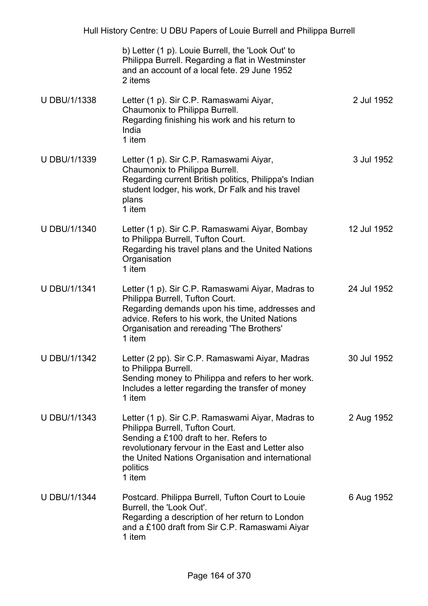|                     | b) Letter (1 p). Louie Burrell, the 'Look Out' to<br>Philippa Burrell. Regarding a flat in Westminster<br>and an account of a local fete. 29 June 1952<br>2 items                                                                                              |             |
|---------------------|----------------------------------------------------------------------------------------------------------------------------------------------------------------------------------------------------------------------------------------------------------------|-------------|
| U DBU/1/1338        | Letter (1 p). Sir C.P. Ramaswami Aiyar,<br>Chaumonix to Philippa Burrell.<br>Regarding finishing his work and his return to<br>India<br>1 item                                                                                                                 | 2 Jul 1952  |
| U DBU/1/1339        | Letter (1 p). Sir C.P. Ramaswami Aiyar,<br>Chaumonix to Philippa Burrell.<br>Regarding current British politics, Philippa's Indian<br>student lodger, his work, Dr Falk and his travel<br>plans<br>1 item                                                      | 3 Jul 1952  |
| U DBU/1/1340        | Letter (1 p). Sir C.P. Ramaswami Aiyar, Bombay<br>to Philippa Burrell, Tufton Court.<br>Regarding his travel plans and the United Nations<br>Organisation<br>1 item                                                                                            | 12 Jul 1952 |
| <b>U DBU/1/1341</b> | Letter (1 p). Sir C.P. Ramaswami Aiyar, Madras to<br>Philippa Burrell, Tufton Court.<br>Regarding demands upon his time, addresses and<br>advice. Refers to his work, the United Nations<br>Organisation and rereading 'The Brothers'<br>1 item                | 24 Jul 1952 |
| U DBU/1/1342        | Letter (2 pp). Sir C.P. Ramaswami Aiyar, Madras<br>to Philippa Burrell.<br>Sending money to Philippa and refers to her work.<br>Includes a letter regarding the transfer of money<br>1 item                                                                    | 30 Jul 1952 |
| <b>U DBU/1/1343</b> | Letter (1 p). Sir C.P. Ramaswami Aiyar, Madras to<br>Philippa Burrell, Tufton Court.<br>Sending a £100 draft to her. Refers to<br>revolutionary fervour in the East and Letter also<br>the United Nations Organisation and international<br>politics<br>1 item | 2 Aug 1952  |
| <b>U DBU/1/1344</b> | Postcard. Philippa Burrell, Tufton Court to Louie<br>Burrell, the 'Look Out'.<br>Regarding a description of her return to London<br>and a £100 draft from Sir C.P. Ramaswami Aiyar<br>1 item                                                                   | 6 Aug 1952  |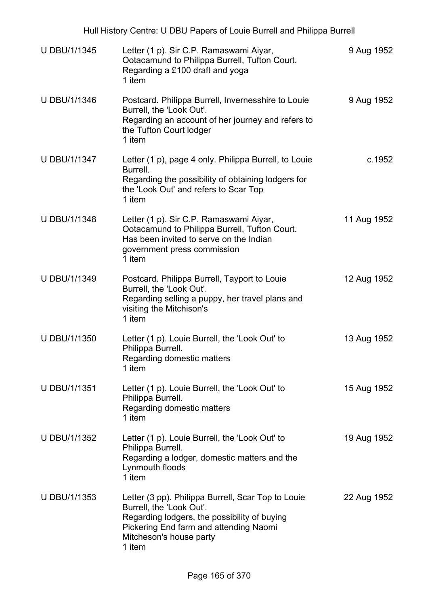| Hull History Centre: U DBU Papers of Louie Burrell and Philippa Burrell |                                                                                                                                                                                                               |             |
|-------------------------------------------------------------------------|---------------------------------------------------------------------------------------------------------------------------------------------------------------------------------------------------------------|-------------|
| U DBU/1/1345                                                            | Letter (1 p). Sir C.P. Ramaswami Aiyar,<br>Ootacamund to Philippa Burrell, Tufton Court.<br>Regarding a £100 draft and yoga<br>1 item                                                                         | 9 Aug 1952  |
| <b>U DBU/1/1346</b>                                                     | Postcard. Philippa Burrell, Invernesshire to Louie<br>Burrell, the 'Look Out'.<br>Regarding an account of her journey and refers to<br>the Tufton Court lodger<br>1 item                                      | 9 Aug 1952  |
| U DBU/1/1347                                                            | Letter (1 p), page 4 only. Philippa Burrell, to Louie<br>Burrell.<br>Regarding the possibility of obtaining lodgers for<br>the 'Look Out' and refers to Scar Top<br>1 item                                    | c.1952      |
| <b>U DBU/1/1348</b>                                                     | Letter (1 p). Sir C.P. Ramaswami Aiyar,<br>Ootacamund to Philippa Burrell, Tufton Court.<br>Has been invited to serve on the Indian<br>government press commission<br>1 item                                  | 11 Aug 1952 |
| U DBU/1/1349                                                            | Postcard. Philippa Burrell, Tayport to Louie<br>Burrell, the 'Look Out'.<br>Regarding selling a puppy, her travel plans and<br>visiting the Mitchison's<br>1 item                                             | 12 Aug 1952 |
| U DBU/1/1350                                                            | Letter (1 p). Louie Burrell, the 'Look Out' to<br>Philippa Burrell.<br>Regarding domestic matters<br>1 item                                                                                                   | 13 Aug 1952 |
| U DBU/1/1351                                                            | Letter (1 p). Louie Burrell, the 'Look Out' to<br>Philippa Burrell.<br>Regarding domestic matters<br>1 item                                                                                                   | 15 Aug 1952 |
| U DBU/1/1352                                                            | Letter (1 p). Louie Burrell, the 'Look Out' to<br>Philippa Burrell.<br>Regarding a lodger, domestic matters and the<br>Lynmouth floods<br>1 item                                                              | 19 Aug 1952 |
| U DBU/1/1353                                                            | Letter (3 pp). Philippa Burrell, Scar Top to Louie<br>Burrell, the 'Look Out'.<br>Regarding lodgers, the possibility of buying<br>Pickering End farm and attending Naomi<br>Mitcheson's house party<br>1 item | 22 Aug 1952 |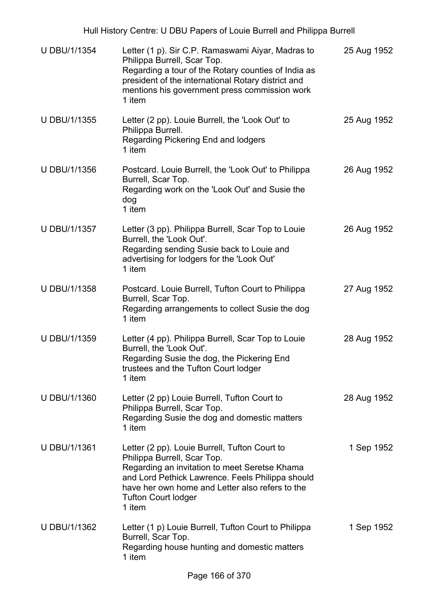| <b>U DBU/1/1354</b> | Letter (1 p). Sir C.P. Ramaswami Aiyar, Madras to<br>Philippa Burrell, Scar Top.<br>Regarding a tour of the Rotary counties of India as<br>president of the international Rotary district and<br>mentions his government press commission work<br>1 item                     | 25 Aug 1952 |
|---------------------|------------------------------------------------------------------------------------------------------------------------------------------------------------------------------------------------------------------------------------------------------------------------------|-------------|
| <b>U DBU/1/1355</b> | Letter (2 pp). Louie Burrell, the 'Look Out' to<br>Philippa Burrell.<br>Regarding Pickering End and lodgers<br>1 item                                                                                                                                                        | 25 Aug 1952 |
| U DBU/1/1356        | Postcard. Louie Burrell, the 'Look Out' to Philippa<br>Burrell, Scar Top.<br>Regarding work on the 'Look Out' and Susie the<br>dog<br>1 item                                                                                                                                 | 26 Aug 1952 |
| U DBU/1/1357        | Letter (3 pp). Philippa Burrell, Scar Top to Louie<br>Burrell, the 'Look Out'.<br>Regarding sending Susie back to Louie and<br>advertising for lodgers for the 'Look Out'<br>1 item                                                                                          | 26 Aug 1952 |
| <b>U DBU/1/1358</b> | Postcard. Louie Burrell, Tufton Court to Philippa<br>Burrell, Scar Top.<br>Regarding arrangements to collect Susie the dog<br>1 item                                                                                                                                         | 27 Aug 1952 |
| <b>U DBU/1/1359</b> | Letter (4 pp). Philippa Burrell, Scar Top to Louie<br>Burrell, the 'Look Out'.<br>Regarding Susie the dog, the Pickering End<br>trustees and the Tufton Court lodger<br>1 item                                                                                               | 28 Aug 1952 |
| U DBU/1/1360        | Letter (2 pp) Louie Burrell, Tufton Court to<br>Philippa Burrell, Scar Top.<br>Regarding Susie the dog and domestic matters<br>1 item                                                                                                                                        | 28 Aug 1952 |
| U DBU/1/1361        | Letter (2 pp). Louie Burrell, Tufton Court to<br>Philippa Burrell, Scar Top.<br>Regarding an invitation to meet Seretse Khama<br>and Lord Pethick Lawrence. Feels Philippa should<br>have her own home and Letter also refers to the<br><b>Tufton Court lodger</b><br>1 item | 1 Sep 1952  |
| U DBU/1/1362        | Letter (1 p) Louie Burrell, Tufton Court to Philippa<br>Burrell, Scar Top.<br>Regarding house hunting and domestic matters<br>1 item                                                                                                                                         | 1 Sep 1952  |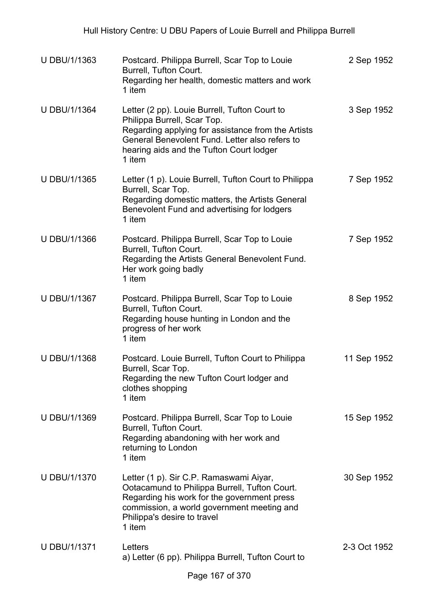| <b>U DBU/1/1363</b> | Postcard. Philippa Burrell, Scar Top to Louie<br>Burrell, Tufton Court.<br>Regarding her health, domestic matters and work<br>1 item                                                                                                       | 2 Sep 1952   |
|---------------------|--------------------------------------------------------------------------------------------------------------------------------------------------------------------------------------------------------------------------------------------|--------------|
| <b>U DBU/1/1364</b> | Letter (2 pp). Louie Burrell, Tufton Court to<br>Philippa Burrell, Scar Top.<br>Regarding applying for assistance from the Artists<br>General Benevolent Fund. Letter also refers to<br>hearing aids and the Tufton Court lodger<br>1 item | 3 Sep 1952   |
| <b>U DBU/1/1365</b> | Letter (1 p). Louie Burrell, Tufton Court to Philippa<br>Burrell, Scar Top.<br>Regarding domestic matters, the Artists General<br>Benevolent Fund and advertising for lodgers<br>1 item                                                    | 7 Sep 1952   |
| U DBU/1/1366        | Postcard. Philippa Burrell, Scar Top to Louie<br>Burrell, Tufton Court.<br>Regarding the Artists General Benevolent Fund.<br>Her work going badly<br>1 item                                                                                | 7 Sep 1952   |
| U DBU/1/1367        | Postcard. Philippa Burrell, Scar Top to Louie<br>Burrell, Tufton Court.<br>Regarding house hunting in London and the<br>progress of her work<br>1 item                                                                                     | 8 Sep 1952   |
| <b>U DBU/1/1368</b> | Postcard. Louie Burrell, Tufton Court to Philippa<br>Burrell, Scar Top.<br>Regarding the new Tufton Court lodger and<br>clothes shopping<br>1 item                                                                                         | 11 Sep 1952  |
| <b>U DBU/1/1369</b> | Postcard. Philippa Burrell, Scar Top to Louie<br>Burrell, Tufton Court.<br>Regarding abandoning with her work and<br>returning to London<br>1 item                                                                                         | 15 Sep 1952  |
| <b>U DBU/1/1370</b> | Letter (1 p). Sir C.P. Ramaswami Aiyar,<br>Ootacamund to Philippa Burrell, Tufton Court.<br>Regarding his work for the government press<br>commission, a world government meeting and<br>Philippa's desire to travel<br>1 item             | 30 Sep 1952  |
| <b>U DBU/1/1371</b> | Letters<br>a) Letter (6 pp). Philippa Burrell, Tufton Court to                                                                                                                                                                             | 2-3 Oct 1952 |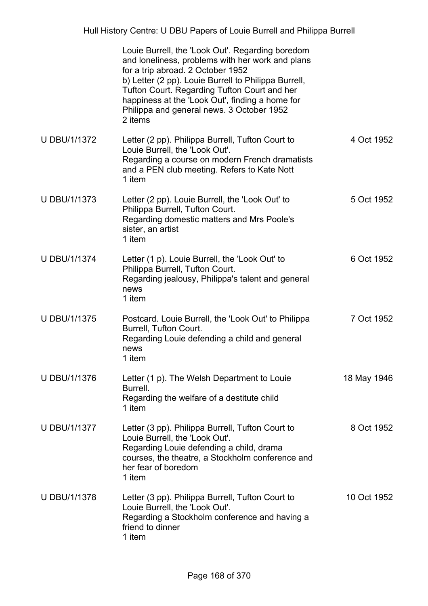|                     | Louie Burrell, the 'Look Out'. Regarding boredom<br>and loneliness, problems with her work and plans<br>for a trip abroad. 2 October 1952<br>b) Letter (2 pp). Louie Burrell to Philippa Burrell,<br>Tufton Court. Regarding Tufton Court and her<br>happiness at the 'Look Out', finding a home for<br>Philippa and general news. 3 October 1952<br>2 items |             |
|---------------------|--------------------------------------------------------------------------------------------------------------------------------------------------------------------------------------------------------------------------------------------------------------------------------------------------------------------------------------------------------------|-------------|
| <b>U DBU/1/1372</b> | Letter (2 pp). Philippa Burrell, Tufton Court to<br>Louie Burrell, the 'Look Out'.<br>Regarding a course on modern French dramatists<br>and a PEN club meeting. Refers to Kate Nott<br>1 item                                                                                                                                                                | 4 Oct 1952  |
| <b>U DBU/1/1373</b> | Letter (2 pp). Louie Burrell, the 'Look Out' to<br>Philippa Burrell, Tufton Court.<br>Regarding domestic matters and Mrs Poole's<br>sister, an artist<br>1 item                                                                                                                                                                                              | 5 Oct 1952  |
| <b>U DBU/1/1374</b> | Letter (1 p). Louie Burrell, the 'Look Out' to<br>Philippa Burrell, Tufton Court.<br>Regarding jealousy, Philippa's talent and general<br>news<br>1 item                                                                                                                                                                                                     | 6 Oct 1952  |
| <b>U DBU/1/1375</b> | Postcard. Louie Burrell, the 'Look Out' to Philippa<br>Burrell, Tufton Court.<br>Regarding Louie defending a child and general<br>news<br>1 item                                                                                                                                                                                                             | 7 Oct 1952  |
| <b>U DBU/1/1376</b> | Letter (1 p). The Welsh Department to Louie<br>Burrell.<br>Regarding the welfare of a destitute child<br>1 item                                                                                                                                                                                                                                              | 18 May 1946 |
| <b>U DBU/1/1377</b> | Letter (3 pp). Philippa Burrell, Tufton Court to<br>Louie Burrell, the 'Look Out'.<br>Regarding Louie defending a child, drama<br>courses, the theatre, a Stockholm conference and<br>her fear of boredom<br>1 item                                                                                                                                          | 8 Oct 1952  |
| <b>U DBU/1/1378</b> | Letter (3 pp). Philippa Burrell, Tufton Court to<br>Louie Burrell, the 'Look Out'.<br>Regarding a Stockholm conference and having a<br>friend to dinner<br>1 item                                                                                                                                                                                            | 10 Oct 1952 |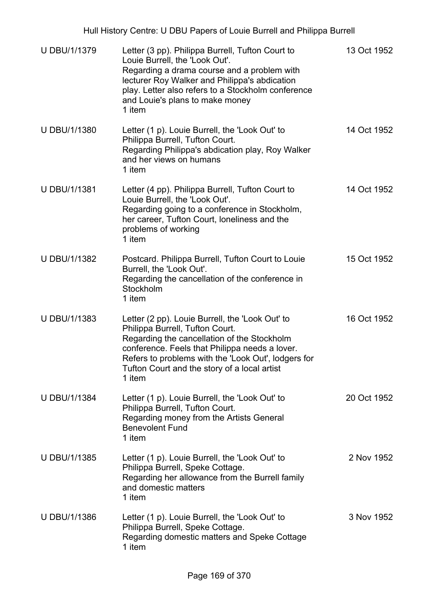| Hull History Centre: U DBU Papers of Louie Burrell and Philippa Burrell |                                                                                                                                                                                                                                                                                                      |             |
|-------------------------------------------------------------------------|------------------------------------------------------------------------------------------------------------------------------------------------------------------------------------------------------------------------------------------------------------------------------------------------------|-------------|
| <b>U DBU/1/1379</b>                                                     | Letter (3 pp). Philippa Burrell, Tufton Court to<br>Louie Burrell, the 'Look Out'.<br>Regarding a drama course and a problem with<br>lecturer Roy Walker and Philippa's abdication<br>play. Letter also refers to a Stockholm conference<br>and Louie's plans to make money<br>1 item                | 13 Oct 1952 |
| <b>U DBU/1/1380</b>                                                     | Letter (1 p). Louie Burrell, the 'Look Out' to<br>Philippa Burrell, Tufton Court.<br>Regarding Philippa's abdication play, Roy Walker<br>and her views on humans<br>1 item                                                                                                                           | 14 Oct 1952 |
| <b>U DBU/1/1381</b>                                                     | Letter (4 pp). Philippa Burrell, Tufton Court to<br>Louie Burrell, the 'Look Out'.<br>Regarding going to a conference in Stockholm,<br>her career, Tufton Court, loneliness and the<br>problems of working<br>1 item                                                                                 | 14 Oct 1952 |
| U DBU/1/1382                                                            | Postcard. Philippa Burrell, Tufton Court to Louie<br>Burrell, the 'Look Out'.<br>Regarding the cancellation of the conference in<br>Stockholm<br>1 item                                                                                                                                              | 15 Oct 1952 |
| U DBU/1/1383                                                            | Letter (2 pp). Louie Burrell, the 'Look Out' to<br>Philippa Burrell, Tufton Court.<br>Regarding the cancellation of the Stockholm<br>conference. Feels that Philippa needs a lover.<br>Refers to problems with the 'Look Out', lodgers for<br>Tufton Court and the story of a local artist<br>1 item | 16 Oct 1952 |
| <b>U DBU/1/1384</b>                                                     | Letter (1 p). Louie Burrell, the 'Look Out' to<br>Philippa Burrell, Tufton Court.<br>Regarding money from the Artists General<br><b>Benevolent Fund</b><br>1 item                                                                                                                                    | 20 Oct 1952 |
| U DBU/1/1385                                                            | Letter (1 p). Louie Burrell, the 'Look Out' to<br>Philippa Burrell, Speke Cottage.<br>Regarding her allowance from the Burrell family<br>and domestic matters<br>1 item                                                                                                                              | 2 Nov 1952  |
| <b>U DBU/1/1386</b>                                                     | Letter (1 p). Louie Burrell, the 'Look Out' to<br>Philippa Burrell, Speke Cottage.<br>Regarding domestic matters and Speke Cottage<br>1 item                                                                                                                                                         | 3 Nov 1952  |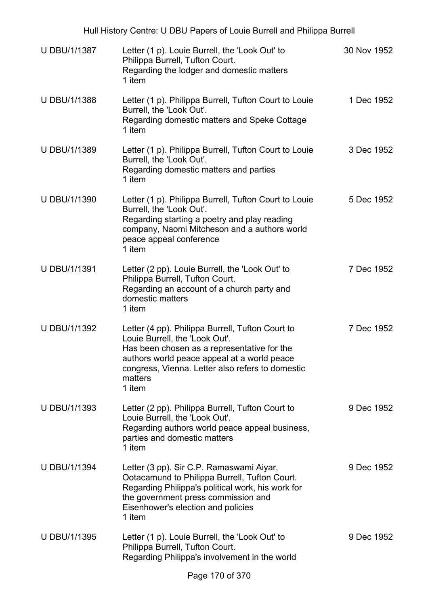| Hull History Centre: U DBU Papers of Louie Burrell and Philippa Burrell |                                                                                                                                                                                                                                                           |             |
|-------------------------------------------------------------------------|-----------------------------------------------------------------------------------------------------------------------------------------------------------------------------------------------------------------------------------------------------------|-------------|
| U DBU/1/1387                                                            | Letter (1 p). Louie Burrell, the 'Look Out' to<br>Philippa Burrell, Tufton Court.<br>Regarding the lodger and domestic matters<br>1 item                                                                                                                  | 30 Nov 1952 |
| U DBU/1/1388                                                            | Letter (1 p). Philippa Burrell, Tufton Court to Louie<br>Burrell, the 'Look Out'.<br>Regarding domestic matters and Speke Cottage<br>1 item                                                                                                               | 1 Dec 1952  |
| U DBU/1/1389                                                            | Letter (1 p). Philippa Burrell, Tufton Court to Louie<br>Burrell, the 'Look Out'.<br>Regarding domestic matters and parties<br>1 item                                                                                                                     | 3 Dec 1952  |
| <b>U DBU/1/1390</b>                                                     | Letter (1 p). Philippa Burrell, Tufton Court to Louie<br>Burrell, the 'Look Out'.<br>Regarding starting a poetry and play reading<br>company, Naomi Mitcheson and a authors world<br>peace appeal conference<br>1 item                                    | 5 Dec 1952  |
| U DBU/1/1391                                                            | Letter (2 pp). Louie Burrell, the 'Look Out' to<br>Philippa Burrell, Tufton Court.<br>Regarding an account of a church party and<br>domestic matters<br>1 item                                                                                            | 7 Dec 1952  |
| <b>U DBU/1/1392</b>                                                     | Letter (4 pp). Philippa Burrell, Tufton Court to<br>Louie Burrell, the 'Look Out'.<br>Has been chosen as a representative for the<br>authors world peace appeal at a world peace<br>congress, Vienna. Letter also refers to domestic<br>matters<br>1 item | 7 Dec 1952  |
| U DBU/1/1393                                                            | Letter (2 pp). Philippa Burrell, Tufton Court to<br>Louie Burrell, the 'Look Out'.<br>Regarding authors world peace appeal business,<br>parties and domestic matters<br>1 item                                                                            | 9 Dec 1952  |
| <b>U DBU/1/1394</b>                                                     | Letter (3 pp). Sir C.P. Ramaswami Aiyar,<br>Ootacamund to Philippa Burrell, Tufton Court.<br>Regarding Philippa's political work, his work for<br>the government press commission and<br>Eisenhower's election and policies<br>1 item                     | 9 Dec 1952  |
| <b>U DBU/1/1395</b>                                                     | Letter (1 p). Louie Burrell, the 'Look Out' to<br>Philippa Burrell, Tufton Court.<br>Regarding Philippa's involvement in the world                                                                                                                        | 9 Dec 1952  |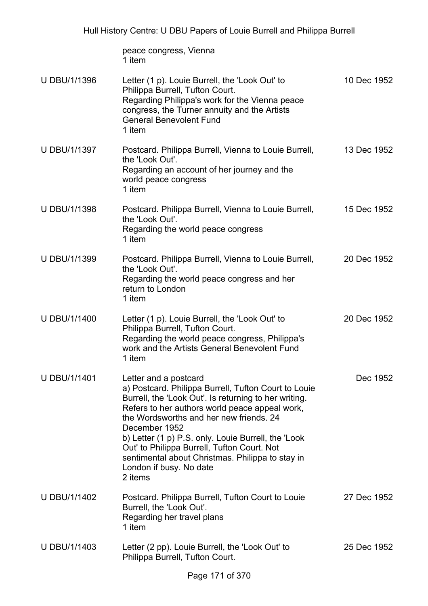peace congress, Vienna 1 item

| U DBU/1/1396        | Letter (1 p). Louie Burrell, the 'Look Out' to<br>Philippa Burrell, Tufton Court.<br>Regarding Philippa's work for the Vienna peace<br>congress, the Turner annuity and the Artists<br><b>General Benevolent Fund</b><br>1 item                                                                                                                                                                                                                      | 10 Dec 1952 |
|---------------------|------------------------------------------------------------------------------------------------------------------------------------------------------------------------------------------------------------------------------------------------------------------------------------------------------------------------------------------------------------------------------------------------------------------------------------------------------|-------------|
| U DBU/1/1397        | Postcard. Philippa Burrell, Vienna to Louie Burrell,<br>the 'Look Out'.<br>Regarding an account of her journey and the<br>world peace congress<br>1 item                                                                                                                                                                                                                                                                                             | 13 Dec 1952 |
| U DBU/1/1398        | Postcard. Philippa Burrell, Vienna to Louie Burrell,<br>the 'Look Out'.<br>Regarding the world peace congress<br>1 item                                                                                                                                                                                                                                                                                                                              | 15 Dec 1952 |
| U DBU/1/1399        | Postcard. Philippa Burrell, Vienna to Louie Burrell,<br>the 'Look Out'.<br>Regarding the world peace congress and her<br>return to London<br>1 item                                                                                                                                                                                                                                                                                                  | 20 Dec 1952 |
| U DBU/1/1400        | Letter (1 p). Louie Burrell, the 'Look Out' to<br>Philippa Burrell, Tufton Court.<br>Regarding the world peace congress, Philippa's<br>work and the Artists General Benevolent Fund<br>1 item                                                                                                                                                                                                                                                        | 20 Dec 1952 |
| <b>U DBU/1/1401</b> | Letter and a postcard<br>a) Postcard. Philippa Burrell, Tufton Court to Louie<br>Burrell, the 'Look Out'. Is returning to her writing.<br>Refers to her authors world peace appeal work,<br>the Wordsworths and her new friends. 24<br>December 1952<br>b) Letter (1 p) P.S. only. Louie Burrell, the 'Look<br>Out' to Philippa Burrell, Tufton Court. Not<br>sentimental about Christmas. Philippa to stay in<br>London if busy. No date<br>2 items | Dec 1952    |
| U DBU/1/1402        | Postcard. Philippa Burrell, Tufton Court to Louie<br>Burrell, the 'Look Out'.<br>Regarding her travel plans<br>1 item                                                                                                                                                                                                                                                                                                                                | 27 Dec 1952 |
| <b>U DBU/1/1403</b> | Letter (2 pp). Louie Burrell, the 'Look Out' to<br>Philippa Burrell, Tufton Court.                                                                                                                                                                                                                                                                                                                                                                   | 25 Dec 1952 |
|                     |                                                                                                                                                                                                                                                                                                                                                                                                                                                      |             |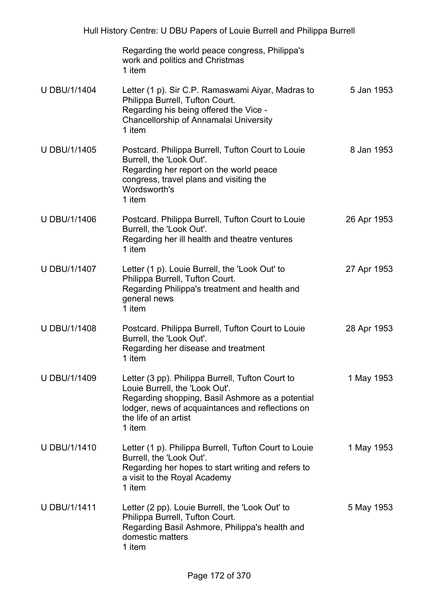|                     | Regarding the world peace congress, Philippa's<br>work and politics and Christmas<br>1 item                                                                                                                                   |             |
|---------------------|-------------------------------------------------------------------------------------------------------------------------------------------------------------------------------------------------------------------------------|-------------|
| <b>U DBU/1/1404</b> | Letter (1 p). Sir C.P. Ramaswami Aiyar, Madras to<br>Philippa Burrell, Tufton Court.<br>Regarding his being offered the Vice -<br>Chancellorship of Annamalai University<br>1 item                                            | 5 Jan 1953  |
| U DBU/1/1405        | Postcard. Philippa Burrell, Tufton Court to Louie<br>Burrell, the 'Look Out'.<br>Regarding her report on the world peace<br>congress, travel plans and visiting the<br>Wordsworth's<br>1 item                                 | 8 Jan 1953  |
| <b>U DBU/1/1406</b> | Postcard. Philippa Burrell, Tufton Court to Louie<br>Burrell, the 'Look Out'.<br>Regarding her ill health and theatre ventures<br>1 item                                                                                      | 26 Apr 1953 |
| <b>U DBU/1/1407</b> | Letter (1 p). Louie Burrell, the 'Look Out' to<br>Philippa Burrell, Tufton Court.<br>Regarding Philippa's treatment and health and<br>general news<br>1 item                                                                  | 27 Apr 1953 |
| <b>U DBU/1/1408</b> | Postcard. Philippa Burrell, Tufton Court to Louie<br>Burrell, the 'Look Out'.<br>Regarding her disease and treatment<br>1 item                                                                                                | 28 Apr 1953 |
| <b>U DBU/1/1409</b> | Letter (3 pp). Philippa Burrell, Tufton Court to<br>Louie Burrell, the 'Look Out'.<br>Regarding shopping, Basil Ashmore as a potential<br>lodger, news of acquaintances and reflections on<br>the life of an artist<br>1 item | 1 May 1953  |
| <b>U DBU/1/1410</b> | Letter (1 p). Philippa Burrell, Tufton Court to Louie<br>Burrell, the 'Look Out'.<br>Regarding her hopes to start writing and refers to<br>a visit to the Royal Academy<br>1 item                                             | 1 May 1953  |
| <b>U DBU/1/1411</b> | Letter (2 pp). Louie Burrell, the 'Look Out' to<br>Philippa Burrell, Tufton Court.<br>Regarding Basil Ashmore, Philippa's health and<br>domestic matters<br>1 item                                                            | 5 May 1953  |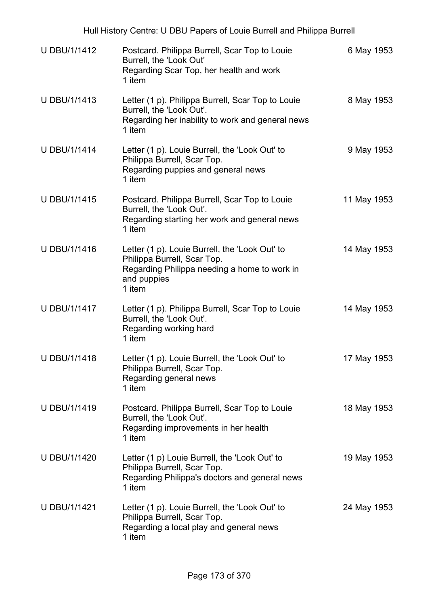| U DBU/1/1412        | Postcard. Philippa Burrell, Scar Top to Louie<br>Burrell, the 'Look Out'<br>Regarding Scar Top, her health and work<br>1 item                          | 6 May 1953  |
|---------------------|--------------------------------------------------------------------------------------------------------------------------------------------------------|-------------|
| U DBU/1/1413        | Letter (1 p). Philippa Burrell, Scar Top to Louie<br>Burrell, the 'Look Out'.<br>Regarding her inability to work and general news<br>1 item            | 8 May 1953  |
| <b>U DBU/1/1414</b> | Letter (1 p). Louie Burrell, the 'Look Out' to<br>Philippa Burrell, Scar Top.<br>Regarding puppies and general news<br>1 item                          | 9 May 1953  |
| <b>U DBU/1/1415</b> | Postcard. Philippa Burrell, Scar Top to Louie<br>Burrell, the 'Look Out'.<br>Regarding starting her work and general news<br>1 item                    | 11 May 1953 |
| <b>U DBU/1/1416</b> | Letter (1 p). Louie Burrell, the 'Look Out' to<br>Philippa Burrell, Scar Top.<br>Regarding Philippa needing a home to work in<br>and puppies<br>1 item | 14 May 1953 |
| U DBU/1/1417        | Letter (1 p). Philippa Burrell, Scar Top to Louie<br>Burrell, the 'Look Out'.<br>Regarding working hard<br>1 item                                      | 14 May 1953 |
| <b>U DBU/1/1418</b> | Letter (1 p). Louie Burrell, the 'Look Out' to<br>Philippa Burrell, Scar Top.<br>Regarding general news<br>1 item                                      | 17 May 1953 |
| <b>U DBU/1/1419</b> | Postcard. Philippa Burrell, Scar Top to Louie<br>Burrell, the 'Look Out'.<br>Regarding improvements in her health<br>1 item                            | 18 May 1953 |
| <b>U DBU/1/1420</b> | Letter (1 p) Louie Burrell, the 'Look Out' to<br>Philippa Burrell, Scar Top.<br>Regarding Philippa's doctors and general news<br>1 item                | 19 May 1953 |
| U DBU/1/1421        | Letter (1 p). Louie Burrell, the 'Look Out' to<br>Philippa Burrell, Scar Top.<br>Regarding a local play and general news<br>1 item                     | 24 May 1953 |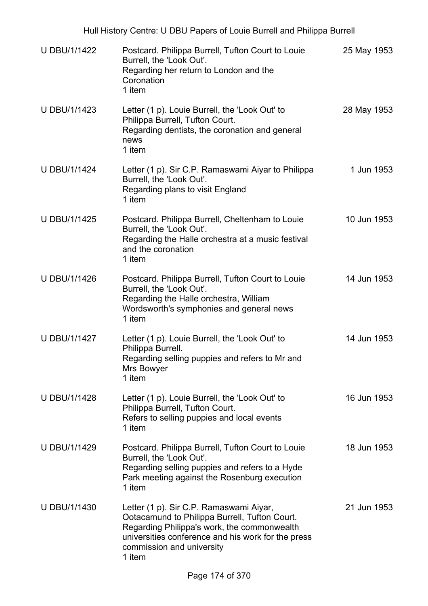| <b>U DBU/1/1422</b> | Postcard. Philippa Burrell, Tufton Court to Louie<br>Burrell, the 'Look Out'.<br>Regarding her return to London and the<br>Coronation<br>1 item                                                                                      | 25 May 1953 |
|---------------------|--------------------------------------------------------------------------------------------------------------------------------------------------------------------------------------------------------------------------------------|-------------|
| U DBU/1/1423        | Letter (1 p). Louie Burrell, the 'Look Out' to<br>Philippa Burrell, Tufton Court.<br>Regarding dentists, the coronation and general<br>news<br>1 item                                                                                | 28 May 1953 |
| <b>U DBU/1/1424</b> | Letter (1 p). Sir C.P. Ramaswami Aiyar to Philippa<br>Burrell, the 'Look Out'.<br>Regarding plans to visit England<br>1 item                                                                                                         | 1 Jun 1953  |
| U DBU/1/1425        | Postcard. Philippa Burrell, Cheltenham to Louie<br>Burrell, the 'Look Out'.<br>Regarding the Halle orchestra at a music festival<br>and the coronation<br>1 item                                                                     | 10 Jun 1953 |
| <b>U DBU/1/1426</b> | Postcard. Philippa Burrell, Tufton Court to Louie<br>Burrell, the 'Look Out'.<br>Regarding the Halle orchestra, William<br>Wordsworth's symphonies and general news<br>1 item                                                        | 14 Jun 1953 |
| <b>U DBU/1/1427</b> | Letter (1 p). Louie Burrell, the 'Look Out' to<br>Philippa Burrell.<br>Regarding selling puppies and refers to Mr and<br>Mrs Bowyer<br>1 item                                                                                        | 14 Jun 1953 |
| U DBU/1/1428        | Letter (1 p). Louie Burrell, the 'Look Out' to<br>Philippa Burrell, Tufton Court.<br>Refers to selling puppies and local events<br>1 item                                                                                            | 16 Jun 1953 |
| U DBU/1/1429        | Postcard. Philippa Burrell, Tufton Court to Louie<br>Burrell, the 'Look Out'.<br>Regarding selling puppies and refers to a Hyde<br>Park meeting against the Rosenburg execution<br>1 item                                            | 18 Jun 1953 |
| U DBU/1/1430        | Letter (1 p). Sir C.P. Ramaswami Aiyar,<br>Ootacamund to Philippa Burrell, Tufton Court.<br>Regarding Philippa's work, the commonwealth<br>universities conference and his work for the press<br>commission and university<br>1 item | 21 Jun 1953 |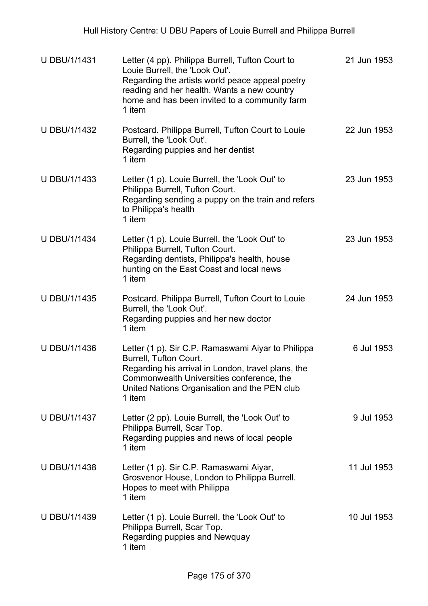| <b>U DBU/1/1431</b> | Letter (4 pp). Philippa Burrell, Tufton Court to<br>Louie Burrell, the 'Look Out'.<br>Regarding the artists world peace appeal poetry<br>reading and her health. Wants a new country<br>home and has been invited to a community farm<br>1 item | 21 Jun 1953 |
|---------------------|-------------------------------------------------------------------------------------------------------------------------------------------------------------------------------------------------------------------------------------------------|-------------|
| U DBU/1/1432        | Postcard. Philippa Burrell, Tufton Court to Louie<br>Burrell, the 'Look Out'.<br>Regarding puppies and her dentist<br>1 item                                                                                                                    | 22 Jun 1953 |
| U DBU/1/1433        | Letter (1 p). Louie Burrell, the 'Look Out' to<br>Philippa Burrell, Tufton Court.<br>Regarding sending a puppy on the train and refers<br>to Philippa's health<br>1 item                                                                        | 23 Jun 1953 |
| <b>U DBU/1/1434</b> | Letter (1 p). Louie Burrell, the 'Look Out' to<br>Philippa Burrell, Tufton Court.<br>Regarding dentists, Philippa's health, house<br>hunting on the East Coast and local news<br>1 item                                                         | 23 Jun 1953 |
| <b>U DBU/1/1435</b> | Postcard. Philippa Burrell, Tufton Court to Louie<br>Burrell, the 'Look Out'.<br>Regarding puppies and her new doctor<br>1 item                                                                                                                 | 24 Jun 1953 |
| U DBU/1/1436        | Letter (1 p). Sir C.P. Ramaswami Aiyar to Philippa<br>Burrell, Tufton Court.<br>Regarding his arrival in London, travel plans, the<br>Commonwealth Universities conference, the<br>United Nations Organisation and the PEN club<br>1 item       | 6 Jul 1953  |
| U DBU/1/1437        | Letter (2 pp). Louie Burrell, the 'Look Out' to<br>Philippa Burrell, Scar Top.<br>Regarding puppies and news of local people<br>1 item                                                                                                          | 9 Jul 1953  |
| <b>U DBU/1/1438</b> | Letter (1 p). Sir C.P. Ramaswami Aiyar,<br>Grosvenor House, London to Philippa Burrell.<br>Hopes to meet with Philippa<br>1 item                                                                                                                | 11 Jul 1953 |
| U DBU/1/1439        | Letter (1 p). Louie Burrell, the 'Look Out' to<br>Philippa Burrell, Scar Top.<br>Regarding puppies and Newquay<br>1 item                                                                                                                        | 10 Jul 1953 |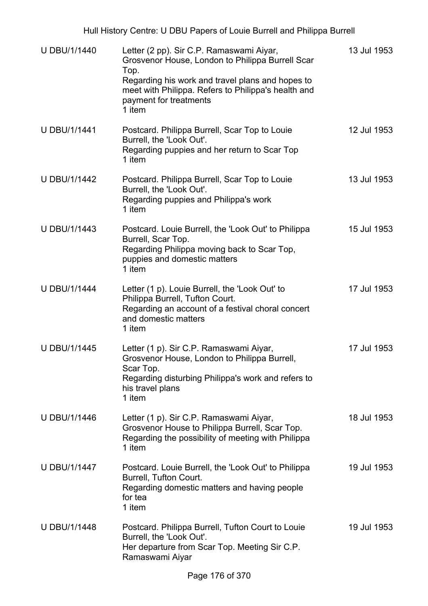| <b>U DBU/1/1440</b> | Letter (2 pp). Sir C.P. Ramaswami Aiyar,<br>Grosvenor House, London to Philippa Burrell Scar<br>Top.<br>Regarding his work and travel plans and hopes to<br>meet with Philippa. Refers to Philippa's health and<br>payment for treatments<br>1 item | 13 Jul 1953 |
|---------------------|-----------------------------------------------------------------------------------------------------------------------------------------------------------------------------------------------------------------------------------------------------|-------------|
| <b>U DBU/1/1441</b> | Postcard. Philippa Burrell, Scar Top to Louie<br>Burrell, the 'Look Out'.<br>Regarding puppies and her return to Scar Top<br>1 item                                                                                                                 | 12 Jul 1953 |
| U DBU/1/1442        | Postcard. Philippa Burrell, Scar Top to Louie<br>Burrell, the 'Look Out'.<br>Regarding puppies and Philippa's work<br>1 item                                                                                                                        | 13 Jul 1953 |
| <b>U DBU/1/1443</b> | Postcard. Louie Burrell, the 'Look Out' to Philippa<br>Burrell, Scar Top.<br>Regarding Philippa moving back to Scar Top,<br>puppies and domestic matters<br>1 item                                                                                  | 15 Jul 1953 |
| <b>U DBU/1/1444</b> | Letter (1 p). Louie Burrell, the 'Look Out' to<br>Philippa Burrell, Tufton Court.<br>Regarding an account of a festival choral concert<br>and domestic matters<br>1 item                                                                            | 17 Jul 1953 |
| <b>U DBU/1/1445</b> | Letter (1 p). Sir C.P. Ramaswami Aiyar,<br>Grosvenor House, London to Philippa Burrell,<br>Scar Top.<br>Regarding disturbing Philippa's work and refers to<br>his travel plans<br>1 item                                                            | 17 Jul 1953 |
| U DBU/1/1446        | Letter (1 p). Sir C.P. Ramaswami Aiyar,<br>Grosvenor House to Philippa Burrell, Scar Top.<br>Regarding the possibility of meeting with Philippa<br>1 item                                                                                           | 18 Jul 1953 |
| <b>U DBU/1/1447</b> | Postcard. Louie Burrell, the 'Look Out' to Philippa<br>Burrell, Tufton Court.<br>Regarding domestic matters and having people<br>for tea<br>1 item                                                                                                  | 19 Jul 1953 |
| <b>U DBU/1/1448</b> | Postcard. Philippa Burrell, Tufton Court to Louie<br>Burrell, the 'Look Out'.<br>Her departure from Scar Top. Meeting Sir C.P.<br>Ramaswami Aiyar                                                                                                   | 19 Jul 1953 |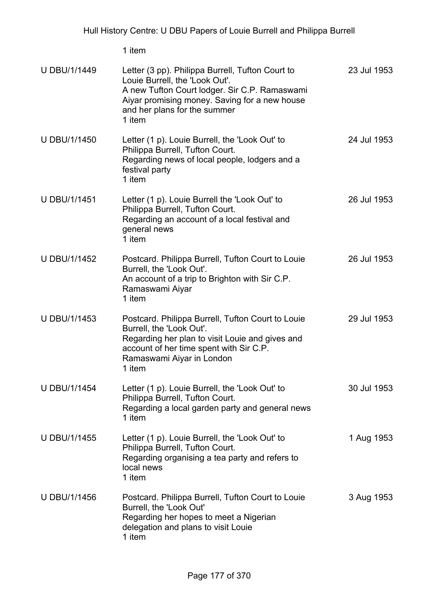| U DBU/1/1449        | Letter (3 pp). Philippa Burrell, Tufton Court to<br>Louie Burrell, the 'Look Out'.<br>A new Tufton Court lodger. Sir C.P. Ramaswami<br>Aiyar promising money. Saving for a new house<br>and her plans for the summer<br>1 item | 23 Jul 1953 |
|---------------------|--------------------------------------------------------------------------------------------------------------------------------------------------------------------------------------------------------------------------------|-------------|
| <b>U DBU/1/1450</b> | Letter (1 p). Louie Burrell, the 'Look Out' to<br>Philippa Burrell, Tufton Court.<br>Regarding news of local people, lodgers and a<br>festival party<br>1 item                                                                 | 24 Jul 1953 |
| <b>U DBU/1/1451</b> | Letter (1 p). Louie Burrell the 'Look Out' to<br>Philippa Burrell, Tufton Court.<br>Regarding an account of a local festival and<br>general news<br>1 item                                                                     | 26 Jul 1953 |
| <b>U DBU/1/1452</b> | Postcard. Philippa Burrell, Tufton Court to Louie<br>Burrell, the 'Look Out'.<br>An account of a trip to Brighton with Sir C.P.<br>Ramaswami Aiyar<br>1 item                                                                   | 26 Jul 1953 |
| <b>U DBU/1/1453</b> | Postcard. Philippa Burrell, Tufton Court to Louie<br>Burrell, the 'Look Out'.<br>Regarding her plan to visit Louie and gives and<br>account of her time spent with Sir C.P.<br>Ramaswami Aiyar in London<br>1 item             | 29 Jul 1953 |
| <b>U DBU/1/1454</b> | Letter (1 p). Louie Burrell, the 'Look Out' to<br>Philippa Burrell, Tufton Court.<br>Regarding a local garden party and general news<br>1 item                                                                                 | 30 Jul 1953 |
| <b>U DBU/1/1455</b> | Letter (1 p). Louie Burrell, the 'Look Out' to<br>Philippa Burrell, Tufton Court.<br>Regarding organising a tea party and refers to<br>local news<br>1 item                                                                    | 1 Aug 1953  |
| <b>U DBU/1/1456</b> | Postcard. Philippa Burrell, Tufton Court to Louie<br>Burrell, the 'Look Out'<br>Regarding her hopes to meet a Nigerian<br>delegation and plans to visit Louie<br>1 item                                                        | 3 Aug 1953  |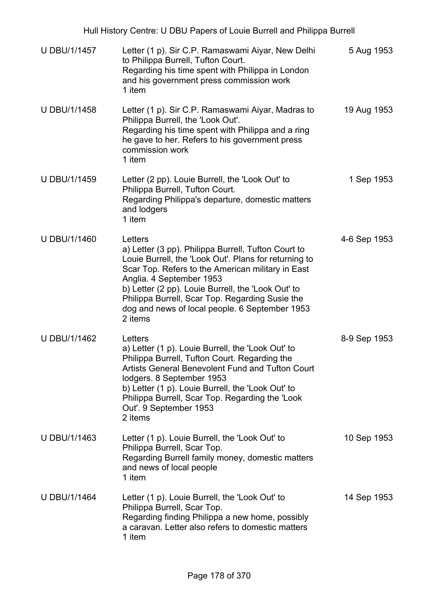| Hull History Centre: U DBU Papers of Louie Burrell and Philippa Burrell |                                                                                                                                                                                                                                                                                                                                                                                |              |  |
|-------------------------------------------------------------------------|--------------------------------------------------------------------------------------------------------------------------------------------------------------------------------------------------------------------------------------------------------------------------------------------------------------------------------------------------------------------------------|--------------|--|
| U DBU/1/1457                                                            | Letter (1 p). Sir C.P. Ramaswami Aiyar, New Delhi<br>to Philippa Burrell, Tufton Court.<br>Regarding his time spent with Philippa in London<br>and his government press commission work<br>1 item                                                                                                                                                                              | 5 Aug 1953   |  |
| U DBU/1/1458                                                            | Letter (1 p). Sir C.P. Ramaswami Aiyar, Madras to<br>Philippa Burrell, the 'Look Out'.<br>Regarding his time spent with Philippa and a ring<br>he gave to her. Refers to his government press<br>commission work<br>1 item                                                                                                                                                     | 19 Aug 1953  |  |
| <b>U DBU/1/1459</b>                                                     | Letter (2 pp). Louie Burrell, the 'Look Out' to<br>Philippa Burrell, Tufton Court.<br>Regarding Philippa's departure, domestic matters<br>and lodgers<br>1 item                                                                                                                                                                                                                | 1 Sep 1953   |  |
| <b>U DBU/1/1460</b>                                                     | Letters<br>a) Letter (3 pp). Philippa Burrell, Tufton Court to<br>Louie Burrell, the 'Look Out'. Plans for returning to<br>Scar Top. Refers to the American military in East<br>Anglia. 4 September 1953<br>b) Letter (2 pp). Louie Burrell, the 'Look Out' to<br>Philippa Burrell, Scar Top. Regarding Susie the<br>dog and news of local people. 6 September 1953<br>2 items | 4-6 Sep 1953 |  |
| U DBU/1/1462                                                            | Letters<br>a) Letter (1 p). Louie Burrell, the 'Look Out' to<br>Philippa Burrell, Tufton Court. Regarding the<br>Artists General Benevolent Fund and Tufton Court<br>lodgers. 8 September 1953<br>b) Letter (1 p). Louie Burrell, the 'Look Out' to<br>Philippa Burrell, Scar Top. Regarding the 'Look<br>Out'. 9 September 1953<br>2 items                                    | 8-9 Sep 1953 |  |
| U DBU/1/1463                                                            | Letter (1 p). Louie Burrell, the 'Look Out' to<br>Philippa Burrell, Scar Top.<br>Regarding Burrell family money, domestic matters<br>and news of local people<br>1 item                                                                                                                                                                                                        | 10 Sep 1953  |  |
| <b>U DBU/1/1464</b>                                                     | Letter (1 p). Louie Burrell, the 'Look Out' to<br>Philippa Burrell, Scar Top.<br>Regarding finding Philippa a new home, possibly<br>a caravan. Letter also refers to domestic matters<br>1 item                                                                                                                                                                                | 14 Sep 1953  |  |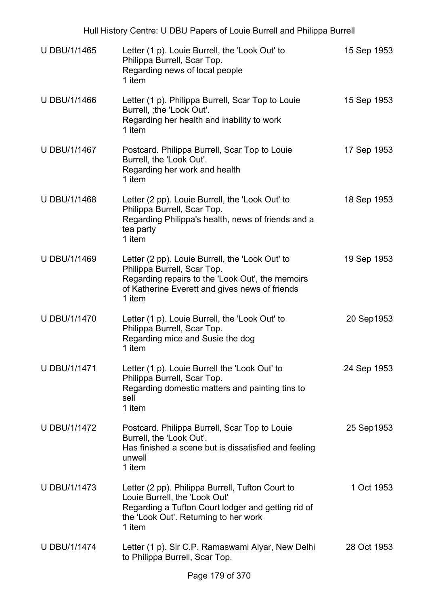| Hull History Centre: U DBU Papers of Louie Burrell and Philippa Burrell |                                                                                                                                                                                                |             |  |
|-------------------------------------------------------------------------|------------------------------------------------------------------------------------------------------------------------------------------------------------------------------------------------|-------------|--|
| U DBU/1/1465                                                            | Letter (1 p). Louie Burrell, the 'Look Out' to<br>Philippa Burrell, Scar Top.<br>Regarding news of local people<br>1 item                                                                      | 15 Sep 1953 |  |
| <b>U DBU/1/1466</b>                                                     | Letter (1 p). Philippa Burrell, Scar Top to Louie<br>Burrell, ; the 'Look Out'.<br>Regarding her health and inability to work<br>1 item                                                        | 15 Sep 1953 |  |
| U DBU/1/1467                                                            | Postcard. Philippa Burrell, Scar Top to Louie<br>Burrell, the 'Look Out'.<br>Regarding her work and health<br>1 item                                                                           | 17 Sep 1953 |  |
| U DBU/1/1468                                                            | Letter (2 pp). Louie Burrell, the 'Look Out' to<br>Philippa Burrell, Scar Top.<br>Regarding Philippa's health, news of friends and a<br>tea party<br>1 item                                    | 18 Sep 1953 |  |
| U DBU/1/1469                                                            | Letter (2 pp). Louie Burrell, the 'Look Out' to<br>Philippa Burrell, Scar Top.<br>Regarding repairs to the 'Look Out', the memoirs<br>of Katherine Everett and gives news of friends<br>1 item | 19 Sep 1953 |  |
| <b>U DBU/1/1470</b>                                                     | Letter (1 p). Louie Burrell, the 'Look Out' to<br>Philippa Burrell, Scar Top.<br>Regarding mice and Susie the dog<br>1 item                                                                    | 20 Sep1953  |  |
| <b>U DBU/1/1471</b>                                                     | Letter (1 p). Louie Burrell the 'Look Out' to<br>Philippa Burrell, Scar Top.<br>Regarding domestic matters and painting tins to<br>sell<br>1 item                                              | 24 Sep 1953 |  |
| <b>U DBU/1/1472</b>                                                     | Postcard. Philippa Burrell, Scar Top to Louie<br>Burrell, the 'Look Out'.<br>Has finished a scene but is dissatisfied and feeling<br>unwell<br>1 item                                          | 25 Sep1953  |  |
| <b>U DBU/1/1473</b>                                                     | Letter (2 pp). Philippa Burrell, Tufton Court to<br>Louie Burrell, the 'Look Out'<br>Regarding a Tufton Court lodger and getting rid of<br>the 'Look Out'. Returning to her work<br>1 item     | 1 Oct 1953  |  |
| <b>U DBU/1/1474</b>                                                     | Letter (1 p). Sir C.P. Ramaswami Aiyar, New Delhi<br>to Philippa Burrell, Scar Top.                                                                                                            | 28 Oct 1953 |  |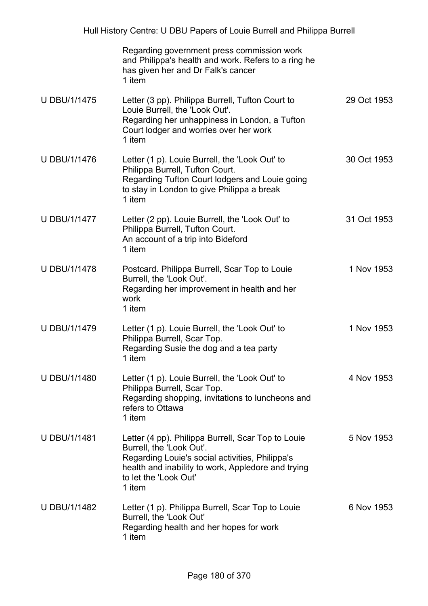|                     | Regarding government press commission work<br>and Philippa's health and work. Refers to a ring he<br>has given her and Dr Falk's cancer<br>1 item                                                                          |             |
|---------------------|----------------------------------------------------------------------------------------------------------------------------------------------------------------------------------------------------------------------------|-------------|
| <b>U DBU/1/1475</b> | Letter (3 pp). Philippa Burrell, Tufton Court to<br>Louie Burrell, the 'Look Out'.<br>Regarding her unhappiness in London, a Tufton<br>Court lodger and worries over her work<br>1 item                                    | 29 Oct 1953 |
| <b>U DBU/1/1476</b> | Letter (1 p). Louie Burrell, the 'Look Out' to<br>Philippa Burrell, Tufton Court.<br>Regarding Tufton Court lodgers and Louie going<br>to stay in London to give Philippa a break<br>1 item                                | 30 Oct 1953 |
| <b>U DBU/1/1477</b> | Letter (2 pp). Louie Burrell, the 'Look Out' to<br>Philippa Burrell, Tufton Court.<br>An account of a trip into Bideford<br>1 item                                                                                         | 31 Oct 1953 |
| <b>U DBU/1/1478</b> | Postcard. Philippa Burrell, Scar Top to Louie<br>Burrell, the 'Look Out'.<br>Regarding her improvement in health and her<br>work<br>1 item                                                                                 | 1 Nov 1953  |
| <b>U DBU/1/1479</b> | Letter (1 p). Louie Burrell, the 'Look Out' to<br>Philippa Burrell, Scar Top.<br>Regarding Susie the dog and a tea party<br>1 item                                                                                         | 1 Nov 1953  |
| <b>U DBU/1/1480</b> | Letter (1 p). Louie Burrell, the 'Look Out' to<br>Philippa Burrell, Scar Top.<br>Regarding shopping, invitations to luncheons and<br>refers to Ottawa<br>1 item                                                            | 4 Nov 1953  |
| <b>U DBU/1/1481</b> | Letter (4 pp). Philippa Burrell, Scar Top to Louie<br>Burrell, the 'Look Out'.<br>Regarding Louie's social activities, Philippa's<br>health and inability to work, Appledore and trying<br>to let the 'Look Out'<br>1 item | 5 Nov 1953  |
| <b>U DBU/1/1482</b> | Letter (1 p). Philippa Burrell, Scar Top to Louie<br>Burrell, the 'Look Out'<br>Regarding health and her hopes for work<br>1 item                                                                                          | 6 Nov 1953  |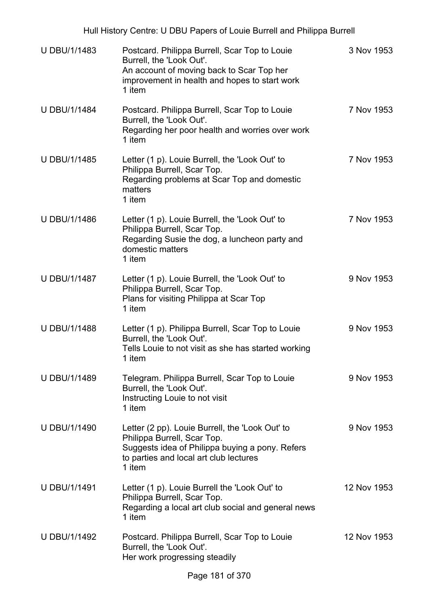| <b>U DBU/1/1483</b> | Postcard. Philippa Burrell, Scar Top to Louie<br>Burrell, the 'Look Out'.<br>An account of moving back to Scar Top her<br>improvement in health and hopes to start work<br>1 item     | 3 Nov 1953  |
|---------------------|---------------------------------------------------------------------------------------------------------------------------------------------------------------------------------------|-------------|
| <b>U DBU/1/1484</b> | Postcard. Philippa Burrell, Scar Top to Louie<br>Burrell, the 'Look Out'.<br>Regarding her poor health and worries over work<br>1 item                                                | 7 Nov 1953  |
| <b>U DBU/1/1485</b> | Letter (1 p). Louie Burrell, the 'Look Out' to<br>Philippa Burrell, Scar Top.<br>Regarding problems at Scar Top and domestic<br>matters<br>1 item                                     | 7 Nov 1953  |
| <b>U DBU/1/1486</b> | Letter (1 p). Louie Burrell, the 'Look Out' to<br>Philippa Burrell, Scar Top.<br>Regarding Susie the dog, a luncheon party and<br>domestic matters<br>1 item                          | 7 Nov 1953  |
| <b>U DBU/1/1487</b> | Letter (1 p). Louie Burrell, the 'Look Out' to<br>Philippa Burrell, Scar Top.<br>Plans for visiting Philippa at Scar Top<br>1 item                                                    | 9 Nov 1953  |
| <b>U DBU/1/1488</b> | Letter (1 p). Philippa Burrell, Scar Top to Louie<br>Burrell, the 'Look Out'.<br>Tells Louie to not visit as she has started working<br>1 item                                        | 9 Nov 1953  |
| U DBU/1/1489        | Telegram. Philippa Burrell, Scar Top to Louie<br>Burrell, the 'Look Out'.<br>Instructing Louie to not visit<br>1 item                                                                 | 9 Nov 1953  |
| <b>U DBU/1/1490</b> | Letter (2 pp). Louie Burrell, the 'Look Out' to<br>Philippa Burrell, Scar Top.<br>Suggests idea of Philippa buying a pony. Refers<br>to parties and local art club lectures<br>1 item | 9 Nov 1953  |
| <b>U DBU/1/1491</b> | Letter (1 p). Louie Burrell the 'Look Out' to<br>Philippa Burrell, Scar Top.<br>Regarding a local art club social and general news<br>1 item                                          | 12 Nov 1953 |
| <b>U DBU/1/1492</b> | Postcard. Philippa Burrell, Scar Top to Louie<br>Burrell, the 'Look Out'.<br>Her work progressing steadily                                                                            | 12 Nov 1953 |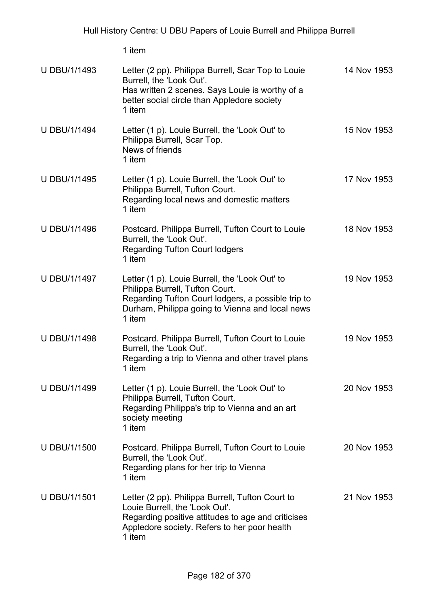1 item

| <b>U DBU/1/1493</b> | Letter (2 pp). Philippa Burrell, Scar Top to Louie<br>Burrell, the 'Look Out'.<br>Has written 2 scenes. Says Louie is worthy of a<br>better social circle than Appledore society<br>1 item           | 14 Nov 1953 |
|---------------------|------------------------------------------------------------------------------------------------------------------------------------------------------------------------------------------------------|-------------|
| <b>U DBU/1/1494</b> | Letter (1 p). Louie Burrell, the 'Look Out' to<br>Philippa Burrell, Scar Top.<br>News of friends<br>1 item                                                                                           | 15 Nov 1953 |
| <b>U DBU/1/1495</b> | Letter (1 p). Louie Burrell, the 'Look Out' to<br>Philippa Burrell, Tufton Court.<br>Regarding local news and domestic matters<br>1 item                                                             | 17 Nov 1953 |
| <b>U DBU/1/1496</b> | Postcard. Philippa Burrell, Tufton Court to Louie<br>Burrell, the 'Look Out'.<br><b>Regarding Tufton Court lodgers</b><br>1 item                                                                     | 18 Nov 1953 |
| <b>U DBU/1/1497</b> | Letter (1 p). Louie Burrell, the 'Look Out' to<br>Philippa Burrell, Tufton Court.<br>Regarding Tufton Court lodgers, a possible trip to<br>Durham, Philippa going to Vienna and local news<br>1 item | 19 Nov 1953 |
| <b>U DBU/1/1498</b> | Postcard. Philippa Burrell, Tufton Court to Louie<br>Burrell, the 'Look Out'.<br>Regarding a trip to Vienna and other travel plans<br>1 item                                                         | 19 Nov 1953 |
| U DBU/1/1499        | Letter (1 p). Louie Burrell, the 'Look Out' to<br>Philippa Burrell, Tufton Court.<br>Regarding Philippa's trip to Vienna and an art<br>society meeting<br>1 item                                     | 20 Nov 1953 |
| U DBU/1/1500        | Postcard. Philippa Burrell, Tufton Court to Louie<br>Burrell, the 'Look Out'.<br>Regarding plans for her trip to Vienna<br>1 item                                                                    | 20 Nov 1953 |
| <b>U DBU/1/1501</b> | Letter (2 pp). Philippa Burrell, Tufton Court to<br>Louie Burrell, the 'Look Out'.<br>Regarding positive attitudes to age and criticises<br>Appledore society. Refers to her poor health<br>1 item   | 21 Nov 1953 |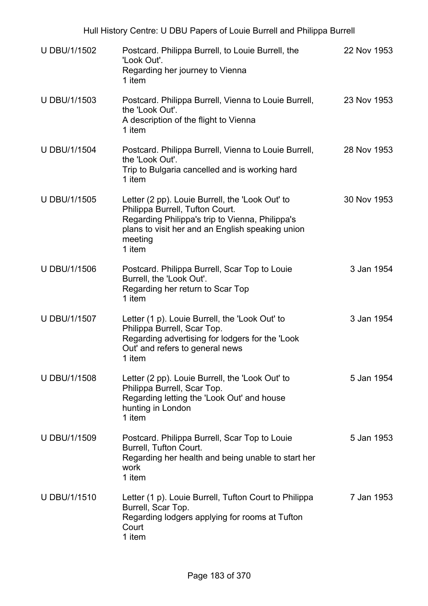| <b>U DBU/1/1502</b> | Postcard. Philippa Burrell, to Louie Burrell, the<br>'Look Out'.<br>Regarding her journey to Vienna<br>1 item                                                                                                  | 22 Nov 1953 |
|---------------------|----------------------------------------------------------------------------------------------------------------------------------------------------------------------------------------------------------------|-------------|
| <b>U DBU/1/1503</b> | Postcard. Philippa Burrell, Vienna to Louie Burrell,<br>the 'Look Out'.<br>A description of the flight to Vienna<br>1 item                                                                                     | 23 Nov 1953 |
| <b>U DBU/1/1504</b> | Postcard. Philippa Burrell, Vienna to Louie Burrell,<br>the 'Look Out'.<br>Trip to Bulgaria cancelled and is working hard<br>1 item                                                                            | 28 Nov 1953 |
| <b>U DBU/1/1505</b> | Letter (2 pp). Louie Burrell, the 'Look Out' to<br>Philippa Burrell, Tufton Court.<br>Regarding Philippa's trip to Vienna, Philippa's<br>plans to visit her and an English speaking union<br>meeting<br>1 item | 30 Nov 1953 |
| <b>U DBU/1/1506</b> | Postcard. Philippa Burrell, Scar Top to Louie<br>Burrell, the 'Look Out'.<br>Regarding her return to Scar Top<br>1 item                                                                                        | 3 Jan 1954  |
| U DBU/1/1507        | Letter (1 p). Louie Burrell, the 'Look Out' to<br>Philippa Burrell, Scar Top.<br>Regarding advertising for lodgers for the 'Look<br>Out' and refers to general news<br>1 item                                  | 3 Jan 1954  |
| <b>U DBU/1/1508</b> | Letter (2 pp). Louie Burrell, the 'Look Out' to<br>Philippa Burrell, Scar Top.<br>Regarding letting the 'Look Out' and house<br>hunting in London<br>1 item                                                    | 5 Jan 1954  |
| <b>U DBU/1/1509</b> | Postcard. Philippa Burrell, Scar Top to Louie<br>Burrell, Tufton Court.<br>Regarding her health and being unable to start her<br>work<br>1 item                                                                | 5 Jan 1953  |
| <b>U DBU/1/1510</b> | Letter (1 p). Louie Burrell, Tufton Court to Philippa<br>Burrell, Scar Top.<br>Regarding lodgers applying for rooms at Tufton<br>Court<br>1 item                                                               | 7 Jan 1953  |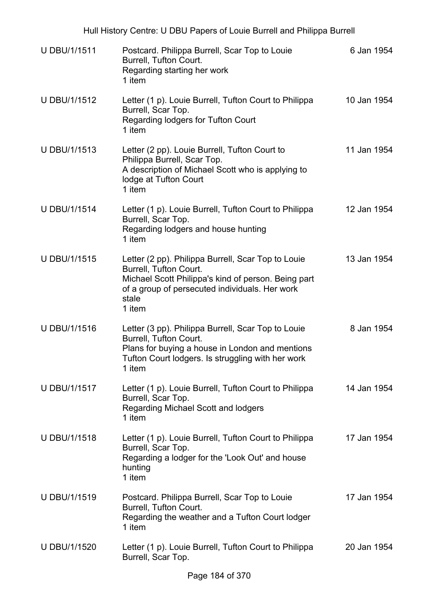| <b>U DBU/1/1511</b> | Postcard. Philippa Burrell, Scar Top to Louie<br>Burrell, Tufton Court.<br>Regarding starting her work<br>1 item                                                                                         | 6 Jan 1954  |
|---------------------|----------------------------------------------------------------------------------------------------------------------------------------------------------------------------------------------------------|-------------|
| U DBU/1/1512        | Letter (1 p). Louie Burrell, Tufton Court to Philippa<br>Burrell, Scar Top.<br>Regarding lodgers for Tufton Court<br>1 item                                                                              | 10 Jan 1954 |
| U DBU/1/1513        | Letter (2 pp). Louie Burrell, Tufton Court to<br>Philippa Burrell, Scar Top.<br>A description of Michael Scott who is applying to<br>lodge at Tufton Court<br>1 item                                     | 11 Jan 1954 |
| <b>U DBU/1/1514</b> | Letter (1 p). Louie Burrell, Tufton Court to Philippa<br>Burrell, Scar Top.<br>Regarding lodgers and house hunting<br>1 item                                                                             | 12 Jan 1954 |
| U DBU/1/1515        | Letter (2 pp). Philippa Burrell, Scar Top to Louie<br>Burrell, Tufton Court.<br>Michael Scott Philippa's kind of person. Being part<br>of a group of persecuted individuals. Her work<br>stale<br>1 item | 13 Jan 1954 |
| <b>U DBU/1/1516</b> | Letter (3 pp). Philippa Burrell, Scar Top to Louie<br>Burrell, Tufton Court.<br>Plans for buying a house in London and mentions<br>Tufton Court lodgers. Is struggling with her work<br>1 item           | 8 Jan 1954  |
| U DBU/1/1517        | Letter (1 p). Louie Burrell, Tufton Court to Philippa<br>Burrell, Scar Top.<br>Regarding Michael Scott and lodgers<br>1 item                                                                             | 14 Jan 1954 |
| <b>U DBU/1/1518</b> | Letter (1 p). Louie Burrell, Tufton Court to Philippa<br>Burrell, Scar Top.<br>Regarding a lodger for the 'Look Out' and house<br>hunting<br>1 item                                                      | 17 Jan 1954 |
| <b>U DBU/1/1519</b> | Postcard. Philippa Burrell, Scar Top to Louie<br>Burrell, Tufton Court.<br>Regarding the weather and a Tufton Court lodger<br>1 item                                                                     | 17 Jan 1954 |
| U DBU/1/1520        | Letter (1 p). Louie Burrell, Tufton Court to Philippa<br>Burrell, Scar Top.                                                                                                                              | 20 Jan 1954 |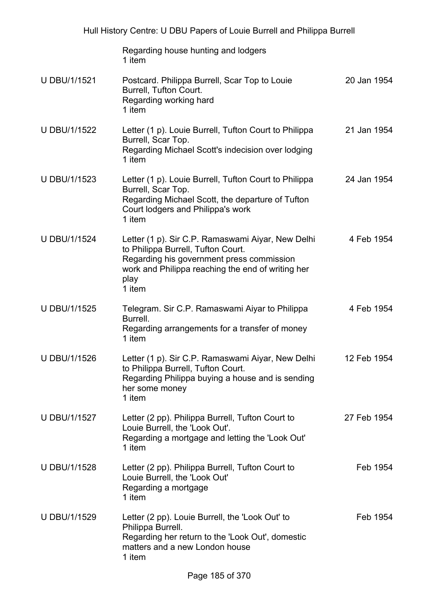Regarding house hunting and lodgers 1 item

- U DBU/1/1521 Postcard. Philippa Burrell, Scar Top to Louie Burrell, Tufton Court. Regarding working hard 1 item 20 Jan 1954 U DBU/1/1522 Letter (1 p). Louie Burrell, Tufton Court to Philippa Burrell, Scar Top. Regarding Michael Scott's indecision over lodging 1 item 21 Jan 1954
- U DBU/1/1523 Letter (1 p). Louie Burrell, Tufton Court to Philippa Burrell, Scar Top. Regarding Michael Scott, the departure of Tufton Court lodgers and Philippa's work 1 item 24 Jan 1954
- U DBU/1/1524 Letter (1 p). Sir C.P. Ramaswami Aiyar, New Delhi to Philippa Burrell, Tufton Court. Regarding his government press commission work and Philippa reaching the end of writing her play 1 item 4 Feb 1954
- U DBU/1/1525 Telegram. Sir C.P. Ramaswami Aiyar to Philippa Burrell. Regarding arrangements for a transfer of money 1 item 4 Feb 1954
- U DBU/1/1526 Letter (1 p). Sir C.P. Ramaswami Aiyar, New Delhi to Philippa Burrell, Tufton Court. Regarding Philippa buying a house and is sending her some money 1 item 12 Feb 1954
- U DBU/1/1527 Letter (2 pp). Philippa Burrell, Tufton Court to Louie Burrell, the 'Look Out'. Regarding a mortgage and letting the 'Look Out' 1 item 27 Feb 1954
- U DBU/1/1528 Letter (2 pp). Philippa Burrell, Tufton Court to Louie Burrell, the 'Look Out' Regarding a mortgage 1 item Feb 1954
- U DBU/1/1529 Letter (2 pp). Louie Burrell, the 'Look Out' to Philippa Burrell. Regarding her return to the 'Look Out', domestic matters and a new London house 1 item Feb 1954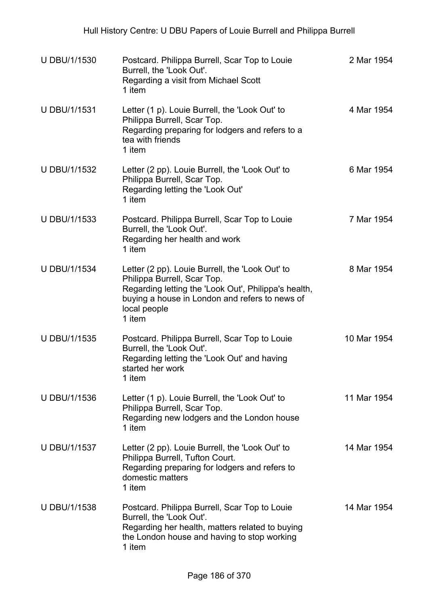| <b>U DBU/1/1530</b> | Postcard. Philippa Burrell, Scar Top to Louie<br>Burrell, the 'Look Out'.<br>Regarding a visit from Michael Scott<br>1 item                                                                                        | 2 Mar 1954  |
|---------------------|--------------------------------------------------------------------------------------------------------------------------------------------------------------------------------------------------------------------|-------------|
| U DBU/1/1531        | Letter (1 p). Louie Burrell, the 'Look Out' to<br>Philippa Burrell, Scar Top.<br>Regarding preparing for lodgers and refers to a<br>tea with friends<br>1 item                                                     | 4 Mar 1954  |
| U DBU/1/1532        | Letter (2 pp). Louie Burrell, the 'Look Out' to<br>Philippa Burrell, Scar Top.<br>Regarding letting the 'Look Out'<br>1 item                                                                                       | 6 Mar 1954  |
| <b>U DBU/1/1533</b> | Postcard. Philippa Burrell, Scar Top to Louie<br>Burrell, the 'Look Out'.<br>Regarding her health and work<br>1 item                                                                                               | 7 Mar 1954  |
| <b>U DBU/1/1534</b> | Letter (2 pp). Louie Burrell, the 'Look Out' to<br>Philippa Burrell, Scar Top.<br>Regarding letting the 'Look Out', Philippa's health,<br>buying a house in London and refers to news of<br>local people<br>1 item | 8 Mar 1954  |
| U DBU/1/1535        | Postcard. Philippa Burrell, Scar Top to Louie<br>Burrell, the 'Look Out'.<br>Regarding letting the 'Look Out' and having<br>started her work<br>1 item                                                             | 10 Mar 1954 |
| U DBU/1/1536        | Letter (1 p). Louie Burrell, the 'Look Out' to<br>Philippa Burrell, Scar Top.<br>Regarding new lodgers and the London house<br>1 item                                                                              | 11 Mar 1954 |
| <b>U DBU/1/1537</b> | Letter (2 pp). Louie Burrell, the 'Look Out' to<br>Philippa Burrell, Tufton Court.<br>Regarding preparing for lodgers and refers to<br>domestic matters<br>1 item                                                  | 14 Mar 1954 |
| U DBU/1/1538        | Postcard. Philippa Burrell, Scar Top to Louie<br>Burrell, the 'Look Out'.<br>Regarding her health, matters related to buying<br>the London house and having to stop working<br>1 item                              | 14 Mar 1954 |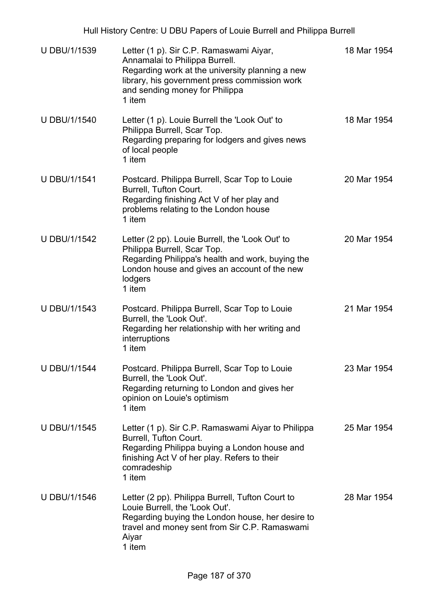Hull History Centre: U DBU Papers of Louie Burrell and Philippa Burrell

| <b>U DBU/1/1539</b> | Letter (1 p). Sir C.P. Ramaswami Aiyar,<br>Annamalai to Philippa Burrell.<br>Regarding work at the university planning a new<br>library, his government press commission work<br>and sending money for Philippa<br>1 item | 18 Mar 1954 |
|---------------------|---------------------------------------------------------------------------------------------------------------------------------------------------------------------------------------------------------------------------|-------------|
| <b>U DBU/1/1540</b> | Letter (1 p). Louie Burrell the 'Look Out' to<br>Philippa Burrell, Scar Top.<br>Regarding preparing for lodgers and gives news<br>of local people<br>1 item                                                               | 18 Mar 1954 |
| <b>U DBU/1/1541</b> | Postcard. Philippa Burrell, Scar Top to Louie<br>Burrell, Tufton Court.<br>Regarding finishing Act V of her play and<br>problems relating to the London house<br>1 item                                                   | 20 Mar 1954 |
| <b>U DBU/1/1542</b> | Letter (2 pp). Louie Burrell, the 'Look Out' to<br>Philippa Burrell, Scar Top.<br>Regarding Philippa's health and work, buying the<br>London house and gives an account of the new<br>lodgers<br>1 item                   | 20 Mar 1954 |
| <b>U DBU/1/1543</b> | Postcard. Philippa Burrell, Scar Top to Louie<br>Burrell, the 'Look Out'.<br>Regarding her relationship with her writing and<br>interruptions<br>1 item                                                                   | 21 Mar 1954 |
| <b>U DBU/1/1544</b> | Postcard. Philippa Burrell, Scar Top to Louie<br>Burrell, the 'Look Out'.<br>Regarding returning to London and gives her<br>opinion on Louie's optimism<br>1 item                                                         | 23 Mar 1954 |
| U DBU/1/1545        | Letter (1 p). Sir C.P. Ramaswami Aiyar to Philippa<br>Burrell, Tufton Court.<br>Regarding Philippa buying a London house and<br>finishing Act V of her play. Refers to their<br>comradeship<br>1 item                     | 25 Mar 1954 |
| U DBU/1/1546        | Letter (2 pp). Philippa Burrell, Tufton Court to<br>Louie Burrell, the 'Look Out'.<br>Regarding buying the London house, her desire to<br>travel and money sent from Sir C.P. Ramaswami<br>Aiyar<br>1 item                | 28 Mar 1954 |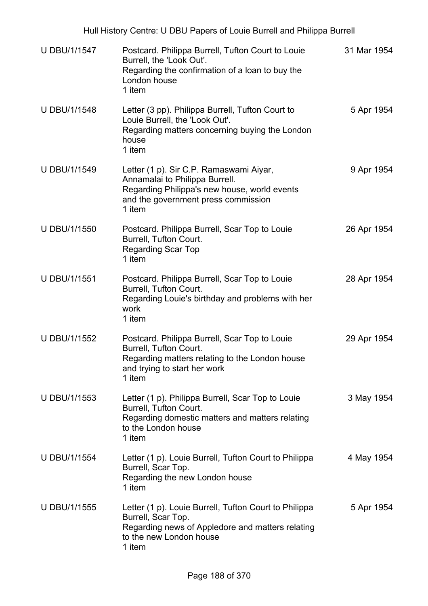| U DBU/1/1547        | Postcard. Philippa Burrell, Tufton Court to Louie<br>Burrell, the 'Look Out'.<br>Regarding the confirmation of a loan to buy the<br>London house<br>1 item                 | 31 Mar 1954 |
|---------------------|----------------------------------------------------------------------------------------------------------------------------------------------------------------------------|-------------|
| <b>U DBU/1/1548</b> | Letter (3 pp). Philippa Burrell, Tufton Court to<br>Louie Burrell, the 'Look Out'.<br>Regarding matters concerning buying the London<br>house<br>1 item                    | 5 Apr 1954  |
| U DBU/1/1549        | Letter (1 p). Sir C.P. Ramaswami Aiyar,<br>Annamalai to Philippa Burrell.<br>Regarding Philippa's new house, world events<br>and the government press commission<br>1 item | 9 Apr 1954  |
| U DBU/1/1550        | Postcard. Philippa Burrell, Scar Top to Louie<br>Burrell, Tufton Court.<br><b>Regarding Scar Top</b><br>1 item                                                             | 26 Apr 1954 |
| U DBU/1/1551        | Postcard. Philippa Burrell, Scar Top to Louie<br>Burrell, Tufton Court.<br>Regarding Louie's birthday and problems with her<br>work<br>1 item                              | 28 Apr 1954 |
| U DBU/1/1552        | Postcard. Philippa Burrell, Scar Top to Louie<br>Burrell, Tufton Court.<br>Regarding matters relating to the London house<br>and trying to start her work<br>1 item        | 29 Apr 1954 |
| <b>U DBU/1/1553</b> | Letter (1 p). Philippa Burrell, Scar Top to Louie<br>Burrell, Tufton Court.<br>Regarding domestic matters and matters relating<br>to the London house<br>1 item            | 3 May 1954  |
| <b>U DBU/1/1554</b> | Letter (1 p). Louie Burrell, Tufton Court to Philippa<br>Burrell, Scar Top.<br>Regarding the new London house<br>1 item                                                    | 4 May 1954  |
| U DBU/1/1555        | Letter (1 p). Louie Burrell, Tufton Court to Philippa<br>Burrell, Scar Top.<br>Regarding news of Appledore and matters relating<br>to the new London house<br>1 item       | 5 Apr 1954  |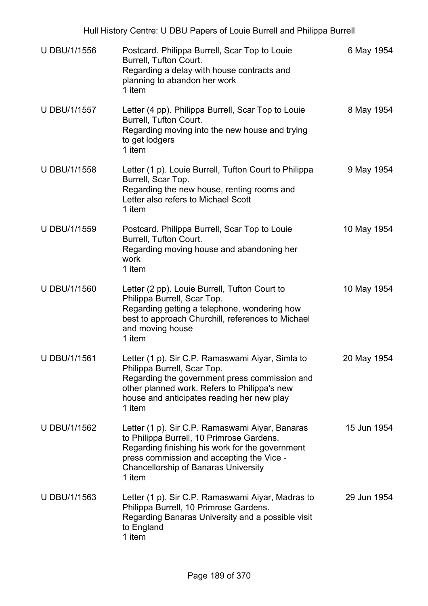| U DBU/1/1556        | Postcard. Philippa Burrell, Scar Top to Louie<br>Burrell, Tufton Court.<br>Regarding a delay with house contracts and<br>planning to abandon her work<br>1 item                                                                                       | 6 May 1954  |
|---------------------|-------------------------------------------------------------------------------------------------------------------------------------------------------------------------------------------------------------------------------------------------------|-------------|
| <b>U DBU/1/1557</b> | Letter (4 pp). Philippa Burrell, Scar Top to Louie<br>Burrell, Tufton Court.<br>Regarding moving into the new house and trying<br>to get lodgers<br>1 item                                                                                            | 8 May 1954  |
| <b>U DBU/1/1558</b> | Letter (1 p). Louie Burrell, Tufton Court to Philippa<br>Burrell, Scar Top.<br>Regarding the new house, renting rooms and<br>Letter also refers to Michael Scott<br>1 item                                                                            | 9 May 1954  |
| U DBU/1/1559        | Postcard. Philippa Burrell, Scar Top to Louie<br>Burrell, Tufton Court.<br>Regarding moving house and abandoning her<br>work<br>1 item                                                                                                                | 10 May 1954 |
| <b>U DBU/1/1560</b> | Letter (2 pp). Louie Burrell, Tufton Court to<br>Philippa Burrell, Scar Top.<br>Regarding getting a telephone, wondering how<br>best to approach Churchill, references to Michael<br>and moving house<br>1 item                                       | 10 May 1954 |
| <b>U DBU/1/1561</b> | Letter (1 p). Sir C.P. Ramaswami Aiyar, Simla to<br>Philippa Burrell, Scar Top.<br>Regarding the government press commission and<br>other planned work. Refers to Philippa's new<br>house and anticipates reading her new play<br>1 item              | 20 May 1954 |
| U DBU/1/1562        | Letter (1 p). Sir C.P. Ramaswami Aiyar, Banaras<br>to Philippa Burrell, 10 Primrose Gardens.<br>Regarding finishing his work for the government<br>press commission and accepting the Vice -<br><b>Chancellorship of Banaras University</b><br>1 item | 15 Jun 1954 |
| U DBU/1/1563        | Letter (1 p). Sir C.P. Ramaswami Aiyar, Madras to<br>Philippa Burrell, 10 Primrose Gardens.<br>Regarding Banaras University and a possible visit<br>to England<br>1 item                                                                              | 29 Jun 1954 |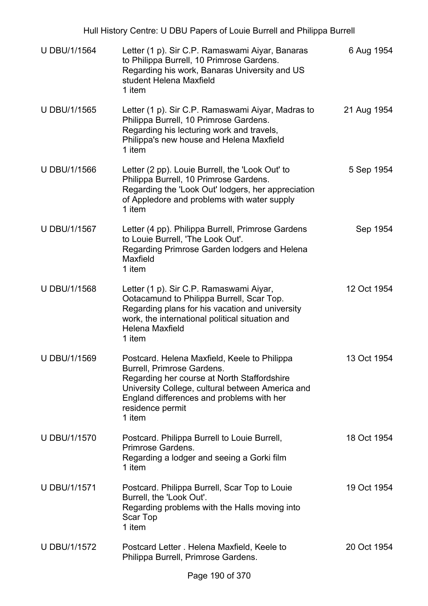| Hull History Centre: U DBU Papers of Louie Burrell and Philippa Burrell |                                                                                                                                                                                                                                                          |             |  |
|-------------------------------------------------------------------------|----------------------------------------------------------------------------------------------------------------------------------------------------------------------------------------------------------------------------------------------------------|-------------|--|
| <b>U DBU/1/1564</b>                                                     | Letter (1 p). Sir C.P. Ramaswami Aiyar, Banaras<br>to Philippa Burrell, 10 Primrose Gardens.<br>Regarding his work, Banaras University and US<br>student Helena Maxfield<br>1 item                                                                       | 6 Aug 1954  |  |
| U DBU/1/1565                                                            | Letter (1 p). Sir C.P. Ramaswami Aiyar, Madras to<br>Philippa Burrell, 10 Primrose Gardens.<br>Regarding his lecturing work and travels,<br>Philippa's new house and Helena Maxfield<br>1 item                                                           | 21 Aug 1954 |  |
| <b>U DBU/1/1566</b>                                                     | Letter (2 pp). Louie Burrell, the 'Look Out' to<br>Philippa Burrell, 10 Primrose Gardens.<br>Regarding the 'Look Out' lodgers, her appreciation<br>of Appledore and problems with water supply<br>1 item                                                 | 5 Sep 1954  |  |
| U DBU/1/1567                                                            | Letter (4 pp). Philippa Burrell, Primrose Gardens<br>to Louie Burrell, 'The Look Out'.<br>Regarding Primrose Garden lodgers and Helena<br>Maxfield<br>1 item                                                                                             | Sep 1954    |  |
| U DBU/1/1568                                                            | Letter (1 p). Sir C.P. Ramaswami Aiyar,<br>Ootacamund to Philippa Burrell, Scar Top.<br>Regarding plans for his vacation and university<br>work, the international political situation and<br><b>Helena Maxfield</b><br>1 item                           | 12 Oct 1954 |  |
| U DBU/1/1569                                                            | Postcard. Helena Maxfield, Keele to Philippa<br>Burrell, Primrose Gardens.<br>Regarding her course at North Staffordshire<br>University College, cultural between America and<br>England differences and problems with her<br>residence permit<br>1 item | 13 Oct 1954 |  |
| <b>U DBU/1/1570</b>                                                     | Postcard. Philippa Burrell to Louie Burrell,<br>Primrose Gardens.<br>Regarding a lodger and seeing a Gorki film<br>1 item                                                                                                                                | 18 Oct 1954 |  |
| <b>U DBU/1/1571</b>                                                     | Postcard. Philippa Burrell, Scar Top to Louie<br>Burrell, the 'Look Out'.<br>Regarding problems with the Halls moving into<br>Scar Top<br>1 item                                                                                                         | 19 Oct 1954 |  |
| <b>U DBU/1/1572</b>                                                     | Postcard Letter . Helena Maxfield, Keele to<br>Philippa Burrell, Primrose Gardens.                                                                                                                                                                       | 20 Oct 1954 |  |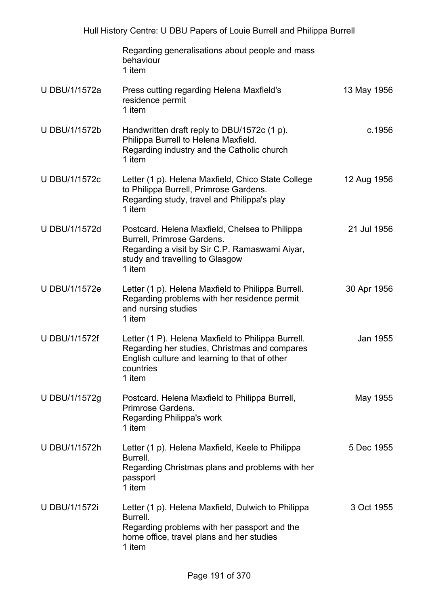|                      | Regarding generalisations about people and mass<br>behaviour<br>1 item                                                                                                      |             |
|----------------------|-----------------------------------------------------------------------------------------------------------------------------------------------------------------------------|-------------|
| U DBU/1/1572a        | Press cutting regarding Helena Maxfield's<br>residence permit<br>1 item                                                                                                     | 13 May 1956 |
| U DBU/1/1572b        | Handwritten draft reply to DBU/1572c (1 p).<br>Philippa Burrell to Helena Maxfield.<br>Regarding industry and the Catholic church<br>1 item                                 | c.1956      |
| <b>U DBU/1/1572c</b> | Letter (1 p). Helena Maxfield, Chico State College<br>to Philippa Burrell, Primrose Gardens.<br>Regarding study, travel and Philippa's play<br>1 item                       | 12 Aug 1956 |
| U DBU/1/1572d        | Postcard. Helena Maxfield, Chelsea to Philippa<br>Burrell, Primrose Gardens.<br>Regarding a visit by Sir C.P. Ramaswami Aiyar,<br>study and travelling to Glasgow<br>1 item | 21 Jul 1956 |
| U DBU/1/1572e        | Letter (1 p). Helena Maxfield to Philippa Burrell.<br>Regarding problems with her residence permit<br>and nursing studies<br>1 item                                         | 30 Apr 1956 |
| <b>U DBU/1/1572f</b> | Letter (1 P). Helena Maxfield to Philippa Burrell.<br>Regarding her studies, Christmas and compares<br>English culture and learning to that of other<br>countries<br>1 item | Jan 1955    |
| U DBU/1/1572g        | Postcard. Helena Maxfield to Philippa Burrell,<br>Primrose Gardens.<br>Regarding Philippa's work<br>1 item                                                                  | May 1955    |
| U DBU/1/1572h        | Letter (1 p). Helena Maxfield, Keele to Philippa<br>Burrell.<br>Regarding Christmas plans and problems with her<br>passport<br>1 item                                       | 5 Dec 1955  |
| <b>U DBU/1/1572i</b> | Letter (1 p). Helena Maxfield, Dulwich to Philippa<br>Burrell.<br>Regarding problems with her passport and the<br>home office, travel plans and her studies<br>1 item       | 3 Oct 1955  |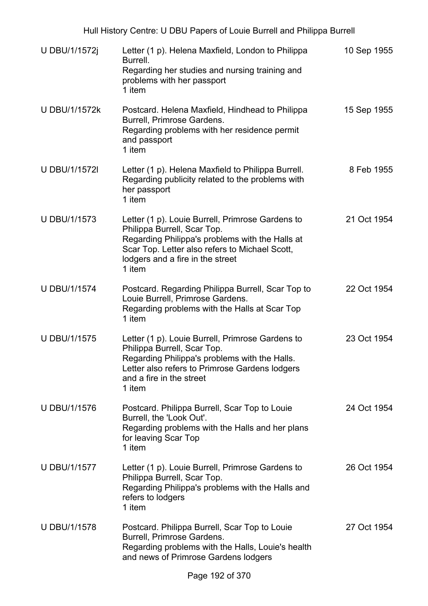| U DBU/1/1572j        | Letter (1 p). Helena Maxfield, London to Philippa<br>Burrell.<br>Regarding her studies and nursing training and<br>problems with her passport<br>1 item                                                                            | 10 Sep 1955 |
|----------------------|------------------------------------------------------------------------------------------------------------------------------------------------------------------------------------------------------------------------------------|-------------|
| <b>U DBU/1/1572k</b> | Postcard. Helena Maxfield, Hindhead to Philippa<br>Burrell, Primrose Gardens.<br>Regarding problems with her residence permit<br>and passport<br>1 item                                                                            | 15 Sep 1955 |
| <b>U DBU/1/1572I</b> | Letter (1 p). Helena Maxfield to Philippa Burrell.<br>Regarding publicity related to the problems with<br>her passport<br>1 item                                                                                                   | 8 Feb 1955  |
| <b>U DBU/1/1573</b>  | Letter (1 p). Louie Burrell, Primrose Gardens to<br>Philippa Burrell, Scar Top.<br>Regarding Philippa's problems with the Halls at<br>Scar Top. Letter also refers to Michael Scott,<br>lodgers and a fire in the street<br>1 item | 21 Oct 1954 |
| <b>U DBU/1/1574</b>  | Postcard. Regarding Philippa Burrell, Scar Top to<br>Louie Burrell, Primrose Gardens.<br>Regarding problems with the Halls at Scar Top<br>1 item                                                                                   | 22 Oct 1954 |
| <b>U DBU/1/1575</b>  | Letter (1 p). Louie Burrell, Primrose Gardens to<br>Philippa Burrell, Scar Top.<br>Regarding Philippa's problems with the Halls.<br>Letter also refers to Primrose Gardens lodgers<br>and a fire in the street<br>1 item           | 23 Oct 1954 |
| <b>U DBU/1/1576</b>  | Postcard. Philippa Burrell, Scar Top to Louie<br>Burrell, the 'Look Out'.<br>Regarding problems with the Halls and her plans<br>for leaving Scar Top<br>1 item                                                                     | 24 Oct 1954 |
| <b>U DBU/1/1577</b>  | Letter (1 p). Louie Burrell, Primrose Gardens to<br>Philippa Burrell, Scar Top.<br>Regarding Philippa's problems with the Halls and<br>refers to lodgers<br>1 item                                                                 | 26 Oct 1954 |
| <b>U DBU/1/1578</b>  | Postcard. Philippa Burrell, Scar Top to Louie<br>Burrell, Primrose Gardens.<br>Regarding problems with the Halls, Louie's health<br>and news of Primrose Gardens lodgers                                                           | 27 Oct 1954 |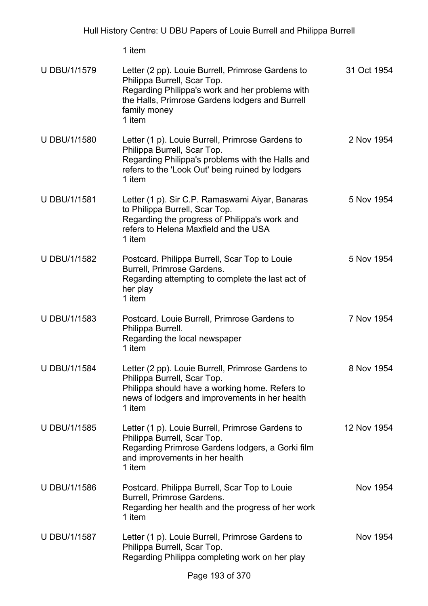1 item

| <b>U DBU/1/1579</b> | Letter (2 pp). Louie Burrell, Primrose Gardens to<br>Philippa Burrell, Scar Top.<br>Regarding Philippa's work and her problems with<br>the Halls, Primrose Gardens lodgers and Burrell<br>family money<br>1 item | 31 Oct 1954 |
|---------------------|------------------------------------------------------------------------------------------------------------------------------------------------------------------------------------------------------------------|-------------|
| <b>U DBU/1/1580</b> | Letter (1 p). Louie Burrell, Primrose Gardens to<br>Philippa Burrell, Scar Top.<br>Regarding Philippa's problems with the Halls and<br>refers to the 'Look Out' being ruined by lodgers<br>1 item                | 2 Nov 1954  |
| <b>U DBU/1/1581</b> | Letter (1 p). Sir C.P. Ramaswami Aiyar, Banaras<br>to Philippa Burrell, Scar Top.<br>Regarding the progress of Philippa's work and<br>refers to Helena Maxfield and the USA<br>1 item                            | 5 Nov 1954  |
| U DBU/1/1582        | Postcard. Philippa Burrell, Scar Top to Louie<br>Burrell, Primrose Gardens.<br>Regarding attempting to complete the last act of<br>her play<br>1 item                                                            | 5 Nov 1954  |
| U DBU/1/1583        | Postcard. Louie Burrell, Primrose Gardens to<br>Philippa Burrell.<br>Regarding the local newspaper<br>1 item                                                                                                     | 7 Nov 1954  |
| <b>U DBU/1/1584</b> | Letter (2 pp). Louie Burrell, Primrose Gardens to<br>Philippa Burrell, Scar Top.<br>Philippa should have a working home. Refers to<br>news of lodgers and improvements in her health<br>1 item                   | 8 Nov 1954  |
| <b>U DBU/1/1585</b> | Letter (1 p). Louie Burrell, Primrose Gardens to<br>Philippa Burrell, Scar Top.<br>Regarding Primrose Gardens lodgers, a Gorki film<br>and improvements in her health<br>1 item                                  | 12 Nov 1954 |
| <b>U DBU/1/1586</b> | Postcard. Philippa Burrell, Scar Top to Louie<br>Burrell, Primrose Gardens.<br>Regarding her health and the progress of her work<br>1 item                                                                       | Nov 1954    |
| <b>U DBU/1/1587</b> | Letter (1 p). Louie Burrell, Primrose Gardens to<br>Philippa Burrell, Scar Top.<br>Regarding Philippa completing work on her play                                                                                | Nov 1954    |
|                     | -- 100 - 1070                                                                                                                                                                                                    |             |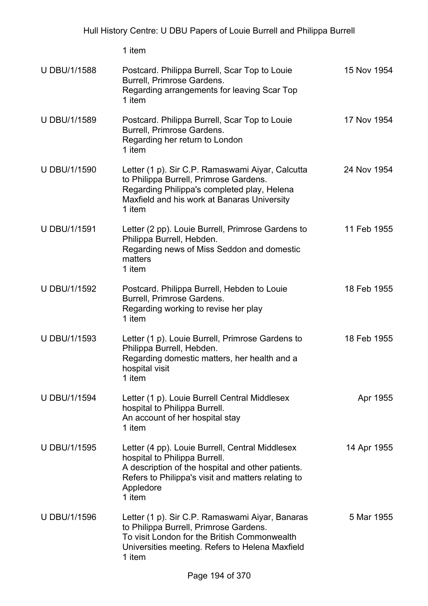1 item U DBU/1/1588 Postcard. Philippa Burrell, Scar Top to Louie Burrell, Primrose Gardens. Regarding arrangements for leaving Scar Top 1 item 15 Nov 1954 U DBU/1/1589 Postcard. Philippa Burrell, Scar Top to Louie Burrell, Primrose Gardens. Regarding her return to London 1 item 17 Nov 1954 U DBU/1/1590 Letter (1 p). Sir C.P. Ramaswami Aiyar, Calcutta to Philippa Burrell, Primrose Gardens. Regarding Philippa's completed play, Helena Maxfield and his work at Banaras University 1 item 24 Nov 1954 U DBU/1/1591 Letter (2 pp). Louie Burrell, Primrose Gardens to Philippa Burrell, Hebden. Regarding news of Miss Seddon and domestic matters 1 item 11 Feb 1955 U DBU/1/1592 Postcard. Philippa Burrell, Hebden to Louie Burrell, Primrose Gardens. Regarding working to revise her play 1 item 18 Feb 1955 U DBU/1/1593 Letter (1 p). Louie Burrell, Primrose Gardens to Philippa Burrell, Hebden. Regarding domestic matters, her health and a hospital visit 1 item 18 Feb 1955 U DBU/1/1594 Letter (1 p). Louie Burrell Central Middlesex hospital to Philippa Burrell. An account of her hospital stay 1 item Apr 1955

- U DBU/1/1595 Letter (4 pp). Louie Burrell, Central Middlesex hospital to Philippa Burrell. A description of the hospital and other patients. Refers to Philippa's visit and matters relating to Appledore 1 item 14 Apr 1955
- U DBU/1/1596 Letter (1 p). Sir C.P. Ramaswami Aiyar, Banaras to Philippa Burrell, Primrose Gardens. To visit London for the British Commonwealth Universities meeting. Refers to Helena Maxfield 1 item 5 Mar 1955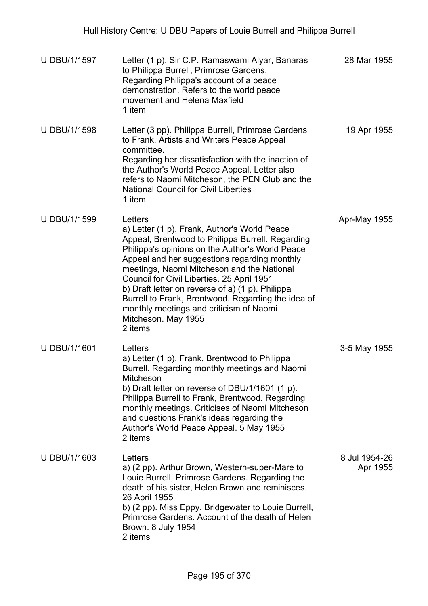| <b>U DBU/1/1597</b> | Letter (1 p). Sir C.P. Ramaswami Aiyar, Banaras<br>to Philippa Burrell, Primrose Gardens.<br>Regarding Philippa's account of a peace<br>demonstration. Refers to the world peace<br>movement and Helena Maxfield<br>1 item                                                                                                                                                                                                                                                                        | 28 Mar 1955               |
|---------------------|---------------------------------------------------------------------------------------------------------------------------------------------------------------------------------------------------------------------------------------------------------------------------------------------------------------------------------------------------------------------------------------------------------------------------------------------------------------------------------------------------|---------------------------|
| <b>U DBU/1/1598</b> | Letter (3 pp). Philippa Burrell, Primrose Gardens<br>to Frank, Artists and Writers Peace Appeal<br>committee.<br>Regarding her dissatisfaction with the inaction of<br>the Author's World Peace Appeal. Letter also<br>refers to Naomi Mitcheson, the PEN Club and the<br><b>National Council for Civil Liberties</b><br>1 item                                                                                                                                                                   | 19 Apr 1955               |
| <b>U DBU/1/1599</b> | Letters<br>a) Letter (1 p). Frank, Author's World Peace<br>Appeal, Brentwood to Philippa Burrell. Regarding<br>Philippa's opinions on the Author's World Peace<br>Appeal and her suggestions regarding monthly<br>meetings, Naomi Mitcheson and the National<br>Council for Civil Liberties. 25 April 1951<br>b) Draft letter on reverse of a) (1 p). Philippa<br>Burrell to Frank, Brentwood. Regarding the idea of<br>monthly meetings and criticism of Naomi<br>Mitcheson. May 1955<br>2 items | Apr-May 1955              |
| U DBU/1/1601        | Letters<br>a) Letter (1 p). Frank, Brentwood to Philippa<br>Burrell. Regarding monthly meetings and Naomi<br>Mitcheson<br>b) Draft letter on reverse of DBU/1/1601 $(1 p)$ .<br>Philippa Burrell to Frank, Brentwood. Regarding<br>monthly meetings. Criticises of Naomi Mitcheson<br>and questions Frank's ideas regarding the<br>Author's World Peace Appeal. 5 May 1955<br>2 items                                                                                                             | 3-5 May 1955              |
| U DBU/1/1603        | Letters<br>a) (2 pp). Arthur Brown, Western-super-Mare to<br>Louie Burrell, Primrose Gardens. Regarding the<br>death of his sister, Helen Brown and reminisces.<br>26 April 1955<br>b) (2 pp). Miss Eppy, Bridgewater to Louie Burrell,<br>Primrose Gardens. Account of the death of Helen<br>Brown. 8 July 1954<br>2 items                                                                                                                                                                       | 8 Jul 1954-26<br>Apr 1955 |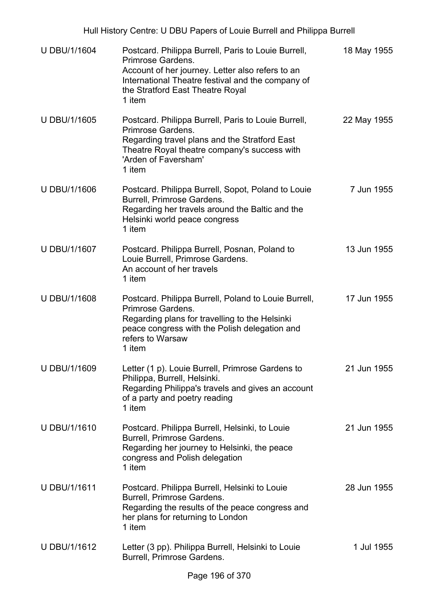| <b>U DBU/1/1604</b> | Postcard. Philippa Burrell, Paris to Louie Burrell,<br>Primrose Gardens.<br>Account of her journey. Letter also refers to an<br>International Theatre festival and the company of<br>the Stratford East Theatre Royal<br>1 item | 18 May 1955 |
|---------------------|---------------------------------------------------------------------------------------------------------------------------------------------------------------------------------------------------------------------------------|-------------|
| <b>U DBU/1/1605</b> | Postcard. Philippa Burrell, Paris to Louie Burrell,<br>Primrose Gardens.<br>Regarding travel plans and the Stratford East<br>Theatre Royal theatre company's success with<br>'Arden of Faversham'<br>1 item                     | 22 May 1955 |
| U DBU/1/1606        | Postcard. Philippa Burrell, Sopot, Poland to Louie<br>Burrell, Primrose Gardens.<br>Regarding her travels around the Baltic and the<br>Helsinki world peace congress<br>1 item                                                  | 7 Jun 1955  |
| U DBU/1/1607        | Postcard. Philippa Burrell, Posnan, Poland to<br>Louie Burrell, Primrose Gardens.<br>An account of her travels<br>1 item                                                                                                        | 13 Jun 1955 |
| U DBU/1/1608        | Postcard. Philippa Burrell, Poland to Louie Burrell,<br>Primrose Gardens.<br>Regarding plans for travelling to the Helsinki<br>peace congress with the Polish delegation and<br>refers to Warsaw<br>1 item                      | 17 Jun 1955 |
| U DBU/1/1609        | Letter (1 p). Louie Burrell, Primrose Gardens to<br>Philippa, Burrell, Helsinki.<br>Regarding Philippa's travels and gives an account<br>of a party and poetry reading<br>1 item                                                | 21 Jun 1955 |
| U DBU/1/1610        | Postcard. Philippa Burrell, Helsinki, to Louie<br>Burrell, Primrose Gardens.<br>Regarding her journey to Helsinki, the peace<br>congress and Polish delegation<br>1 item                                                        | 21 Jun 1955 |
| U DBU/1/1611        | Postcard. Philippa Burrell, Helsinki to Louie<br>Burrell, Primrose Gardens.<br>Regarding the results of the peace congress and<br>her plans for returning to London<br>1 item                                                   | 28 Jun 1955 |
| U DBU/1/1612        | Letter (3 pp). Philippa Burrell, Helsinki to Louie<br>Burrell, Primrose Gardens.                                                                                                                                                | 1 Jul 1955  |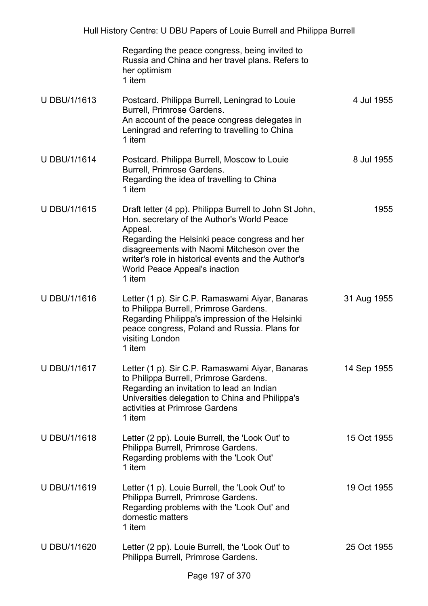|                     | Regarding the peace congress, being invited to<br>Russia and China and her travel plans. Refers to<br>her optimism<br>1 item                                                                                                                                                                                      |             |
|---------------------|-------------------------------------------------------------------------------------------------------------------------------------------------------------------------------------------------------------------------------------------------------------------------------------------------------------------|-------------|
| U DBU/1/1613        | Postcard. Philippa Burrell, Leningrad to Louie<br>Burrell, Primrose Gardens.<br>An account of the peace congress delegates in<br>Leningrad and referring to travelling to China<br>1 item                                                                                                                         | 4 Jul 1955  |
| <b>U DBU/1/1614</b> | Postcard. Philippa Burrell, Moscow to Louie<br>Burrell, Primrose Gardens.<br>Regarding the idea of travelling to China<br>1 item                                                                                                                                                                                  | 8 Jul 1955  |
| <b>UDBU/1/1615</b>  | Draft letter (4 pp). Philippa Burrell to John St John,<br>Hon. secretary of the Author's World Peace<br>Appeal.<br>Regarding the Helsinki peace congress and her<br>disagreements with Naomi Mitcheson over the<br>writer's role in historical events and the Author's<br>World Peace Appeal's inaction<br>1 item | 1955        |
| U DBU/1/1616        | Letter (1 p). Sir C.P. Ramaswami Aiyar, Banaras<br>to Philippa Burrell, Primrose Gardens.<br>Regarding Philippa's impression of the Helsinki<br>peace congress, Poland and Russia. Plans for<br>visiting London<br>1 item                                                                                         | 31 Aug 1955 |
| U DBU/1/1617        | Letter (1 p). Sir C.P. Ramaswami Aiyar, Banaras<br>to Philippa Burrell, Primrose Gardens.<br>Regarding an invitation to lead an Indian<br>Universities delegation to China and Philippa's<br>activities at Primrose Gardens<br>1 item                                                                             | 14 Sep 1955 |
| U DBU/1/1618        | Letter (2 pp). Louie Burrell, the 'Look Out' to<br>Philippa Burrell, Primrose Gardens.<br>Regarding problems with the 'Look Out'<br>1 item                                                                                                                                                                        | 15 Oct 1955 |
| U DBU/1/1619        | Letter (1 p). Louie Burrell, the 'Look Out' to<br>Philippa Burrell, Primrose Gardens.<br>Regarding problems with the 'Look Out' and<br>domestic matters<br>1 item                                                                                                                                                 | 19 Oct 1955 |
| U DBU/1/1620        | Letter (2 pp). Louie Burrell, the 'Look Out' to<br>Philippa Burrell, Primrose Gardens.                                                                                                                                                                                                                            | 25 Oct 1955 |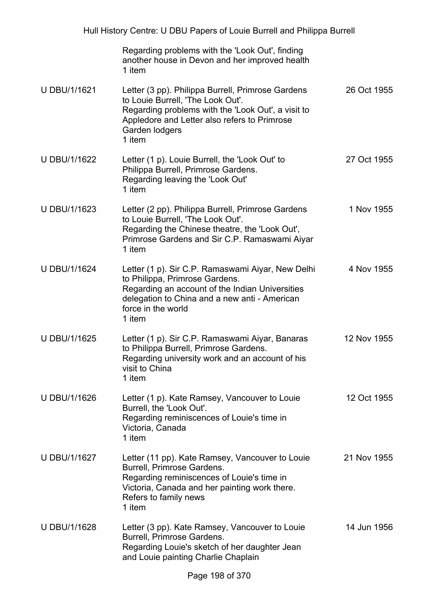| Regarding problems with the 'Look Out', finding |
|-------------------------------------------------|
| another house in Devon and her improved health  |
| 1 item                                          |

| U DBU/1/1621 | Letter (3 pp). Philippa Burrell, Primrose Gardens<br>to Louie Burrell, 'The Look Out'.<br>Regarding problems with the 'Look Out', a visit to<br>Appledore and Letter also refers to Primrose<br>Garden lodgers<br>1 item | 26 Oct 1955 |
|--------------|--------------------------------------------------------------------------------------------------------------------------------------------------------------------------------------------------------------------------|-------------|
| U DBU/1/1622 | Letter (1 p). Louie Burrell, the 'Look Out' to<br>Philippa Burrell, Primrose Gardens.<br>Regarding leaving the 'Look Out'<br>1 item                                                                                      | 27 Oct 1955 |
| U DBU/1/1623 | Letter (2 pp). Philippa Burrell, Primrose Gardens<br>to Louie Burrell 'The Look Out'                                                                                                                                     | 1 Nov 1955  |

- to Louie Burrell, 'The Look Out'. Regarding the Chinese theatre, the 'Look Out', Primrose Gardens and Sir C.P. Ramaswami Aiyar 1 item
- U DBU/1/1624 Letter (1 p). Sir C.P. Ramaswami Aiyar, New Delhi to Philippa, Primrose Gardens. Regarding an account of the Indian Universities delegation to China and a new anti - American force in the world 1 item 4 Nov 1955
- U DBU/1/1625 Letter (1 p). Sir C.P. Ramaswami Aiyar, Banaras to Philippa Burrell, Primrose Gardens. Regarding university work and an account of his visit to China 1 item 12 Nov 1955
- U DBU/1/1626 Letter (1 p). Kate Ramsey, Vancouver to Louie Burrell, the 'Look Out'. Regarding reminiscences of Louie's time in Victoria, Canada 1 item 12 Oct 1955
- U DBU/1/1627 Letter (11 pp). Kate Ramsey, Vancouver to Louie Burrell, Primrose Gardens. Regarding reminiscences of Louie's time in Victoria, Canada and her painting work there. Refers to family news 1 item 21 Nov 1955
- U DBU/1/1628 Letter (3 pp). Kate Ramsey, Vancouver to Louie Burrell, Primrose Gardens. Regarding Louie's sketch of her daughter Jean and Louie painting Charlie Chaplain 14 Jun 1956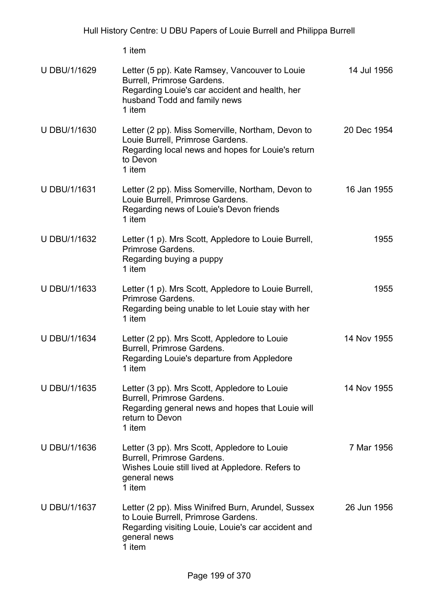1 item

| U DBU/1/1629        | Letter (5 pp). Kate Ramsey, Vancouver to Louie<br>Burrell, Primrose Gardens.<br>Regarding Louie's car accident and health, her<br>husband Todd and family news<br>1 item  | 14 Jul 1956 |
|---------------------|---------------------------------------------------------------------------------------------------------------------------------------------------------------------------|-------------|
| U DBU/1/1630        | Letter (2 pp). Miss Somerville, Northam, Devon to<br>Louie Burrell, Primrose Gardens.<br>Regarding local news and hopes for Louie's return<br>to Devon<br>1 item          | 20 Dec 1954 |
| U DBU/1/1631        | Letter (2 pp). Miss Somerville, Northam, Devon to<br>Louie Burrell, Primrose Gardens.<br>Regarding news of Louie's Devon friends<br>1 item                                | 16 Jan 1955 |
| U DBU/1/1632        | Letter (1 p). Mrs Scott, Appledore to Louie Burrell,<br>Primrose Gardens.<br>Regarding buying a puppy<br>1 item                                                           | 1955        |
| U DBU/1/1633        | Letter (1 p). Mrs Scott, Appledore to Louie Burrell,<br>Primrose Gardens.<br>Regarding being unable to let Louie stay with her<br>1 item                                  | 1955        |
| <b>U DBU/1/1634</b> | Letter (2 pp). Mrs Scott, Appledore to Louie<br>Burrell, Primrose Gardens.<br>Regarding Louie's departure from Appledore<br>1 item                                        | 14 Nov 1955 |
| <b>U DBU/1/1635</b> | Letter (3 pp). Mrs Scott, Appledore to Louie<br>Burrell, Primrose Gardens.<br>Regarding general news and hopes that Louie will<br>return to Devon<br>1 item               | 14 Nov 1955 |
| U DBU/1/1636        | Letter (3 pp). Mrs Scott, Appledore to Louie<br>Burrell, Primrose Gardens.<br>Wishes Louie still lived at Appledore. Refers to<br>general news<br>1 item                  | 7 Mar 1956  |
| U DBU/1/1637        | Letter (2 pp). Miss Winifred Burn, Arundel, Sussex<br>to Louie Burrell, Primrose Gardens.<br>Regarding visiting Louie, Louie's car accident and<br>general news<br>1 item | 26 Jun 1956 |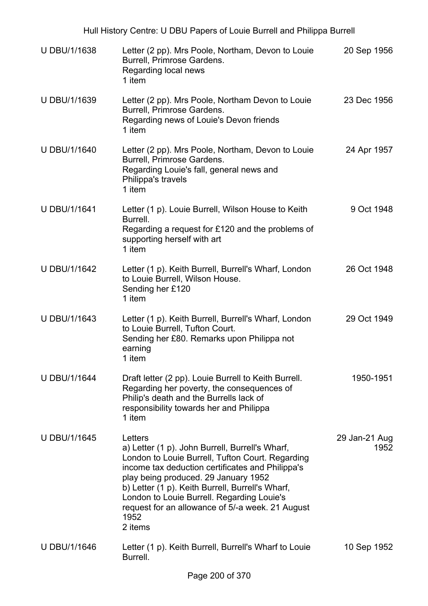|                     | Hull History Centre: U DBU Papers of Louie Burrell and Philippa Burrell                                                                                                                                                                                                                                                                                                             |                       |
|---------------------|-------------------------------------------------------------------------------------------------------------------------------------------------------------------------------------------------------------------------------------------------------------------------------------------------------------------------------------------------------------------------------------|-----------------------|
| U DBU/1/1638        | Letter (2 pp). Mrs Poole, Northam, Devon to Louie<br>Burrell, Primrose Gardens.<br>Regarding local news<br>1 item                                                                                                                                                                                                                                                                   | 20 Sep 1956           |
| U DBU/1/1639        | Letter (2 pp). Mrs Poole, Northam Devon to Louie<br>Burrell, Primrose Gardens.<br>Regarding news of Louie's Devon friends<br>1 item                                                                                                                                                                                                                                                 | 23 Dec 1956           |
| U DBU/1/1640        | Letter (2 pp). Mrs Poole, Northam, Devon to Louie<br>Burrell, Primrose Gardens.<br>Regarding Louie's fall, general news and<br>Philippa's travels<br>1 item                                                                                                                                                                                                                         | 24 Apr 1957           |
| <b>U DBU/1/1641</b> | Letter (1 p). Louie Burrell, Wilson House to Keith<br>Burrell.<br>Regarding a request for £120 and the problems of<br>supporting herself with art<br>1 item                                                                                                                                                                                                                         | 9 Oct 1948            |
| U DBU/1/1642        | Letter (1 p). Keith Burrell, Burrell's Wharf, London<br>to Louie Burrell, Wilson House.<br>Sending her £120<br>1 item                                                                                                                                                                                                                                                               | 26 Oct 1948           |
| U DBU/1/1643        | Letter (1 p). Keith Burrell, Burrell's Wharf, London<br>to Louie Burrell, Tufton Court.<br>Sending her £80. Remarks upon Philippa not<br>earning<br>1 item                                                                                                                                                                                                                          | 29 Oct 1949           |
| <b>U DBU/1/1644</b> | Draft letter (2 pp). Louie Burrell to Keith Burrell.<br>Regarding her poverty, the consequences of<br>Philip's death and the Burrells lack of<br>responsibility towards her and Philippa<br>1 item                                                                                                                                                                                  | 1950-1951             |
| <b>U DBU/1/1645</b> | Letters<br>a) Letter (1 p). John Burrell, Burrell's Wharf,<br>London to Louie Burrell, Tufton Court. Regarding<br>income tax deduction certificates and Philippa's<br>play being produced. 29 January 1952<br>b) Letter (1 p). Keith Burrell, Burrell's Wharf,<br>London to Louie Burrell. Regarding Louie's<br>request for an allowance of 5/-a week. 21 August<br>1952<br>2 items | 29 Jan-21 Aug<br>1952 |
| U DBU/1/1646        | Letter (1 p). Keith Burrell, Burrell's Wharf to Louie<br>Burrell.                                                                                                                                                                                                                                                                                                                   | 10 Sep 1952           |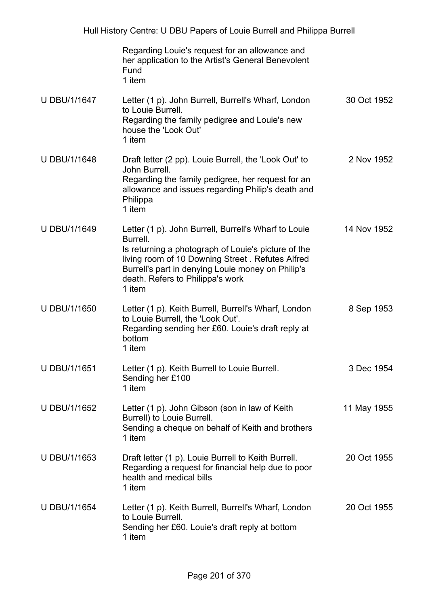|                     | Regarding Louie's request for an allowance and<br>her application to the Artist's General Benevolent<br>Fund<br>1 item                                                                                                                                                         |             |
|---------------------|--------------------------------------------------------------------------------------------------------------------------------------------------------------------------------------------------------------------------------------------------------------------------------|-------------|
| U DBU/1/1647        | Letter (1 p). John Burrell, Burrell's Wharf, London<br>to Louie Burrell.<br>Regarding the family pedigree and Louie's new<br>house the 'Look Out'<br>1 item                                                                                                                    | 30 Oct 1952 |
| U DBU/1/1648        | Draft letter (2 pp). Louie Burrell, the 'Look Out' to<br>John Burrell.<br>Regarding the family pedigree, her request for an<br>allowance and issues regarding Philip's death and<br>Philippa<br>1 item                                                                         | 2 Nov 1952  |
| U DBU/1/1649        | Letter (1 p). John Burrell, Burrell's Wharf to Louie<br>Burrell.<br>Is returning a photograph of Louie's picture of the<br>living room of 10 Downing Street. Refutes Alfred<br>Burrell's part in denying Louie money on Philip's<br>death. Refers to Philippa's work<br>1 item | 14 Nov 1952 |
| U DBU/1/1650        | Letter (1 p). Keith Burrell, Burrell's Wharf, London<br>to Louie Burrell, the 'Look Out'.<br>Regarding sending her £60. Louie's draft reply at<br>bottom<br>1 item                                                                                                             | 8 Sep 1953  |
| U DBU/1/1651        | Letter (1 p). Keith Burrell to Louie Burrell.<br>Sending her £100<br>1 item                                                                                                                                                                                                    | 3 Dec 1954  |
| U DBU/1/1652        | Letter (1 p). John Gibson (son in law of Keith<br>Burrell) to Louie Burrell.<br>Sending a cheque on behalf of Keith and brothers<br>1 item                                                                                                                                     | 11 May 1955 |
| U DBU/1/1653        | Draft letter (1 p). Louie Burrell to Keith Burrell.<br>Regarding a request for financial help due to poor<br>health and medical bills<br>1 item                                                                                                                                | 20 Oct 1955 |
| <b>U DBU/1/1654</b> | Letter (1 p). Keith Burrell, Burrell's Wharf, London<br>to Louie Burrell.<br>Sending her £60. Louie's draft reply at bottom<br>1 item                                                                                                                                          | 20 Oct 1955 |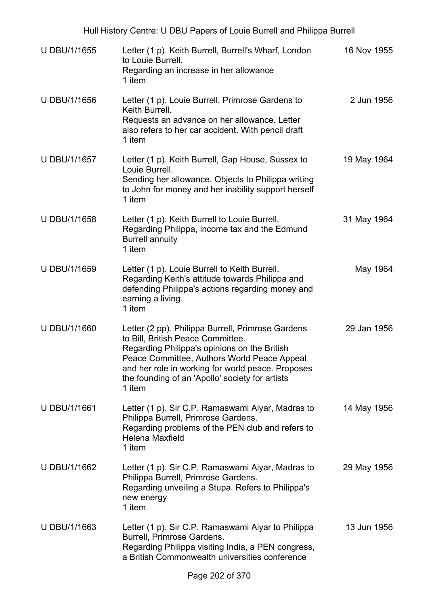| <b>U DBU/1/1655</b> | Letter (1 p). Keith Burrell, Burrell's Wharf, London<br>to Louie Burrell.<br>Regarding an increase in her allowance<br>1 item                                                                                                                                                                           | 16 Nov 1955 |
|---------------------|---------------------------------------------------------------------------------------------------------------------------------------------------------------------------------------------------------------------------------------------------------------------------------------------------------|-------------|
| U DBU/1/1656        | Letter (1 p). Louie Burrell, Primrose Gardens to<br>Keith Burrell.<br>Requests an advance on her allowance. Letter<br>also refers to her car accident. With pencil draft<br>1 item                                                                                                                      | 2 Jun 1956  |
| U DBU/1/1657        | Letter (1 p). Keith Burrell, Gap House, Sussex to<br>Louie Burrell.<br>Sending her allowance. Objects to Philippa writing<br>to John for money and her inability support herself<br>1 item                                                                                                              | 19 May 1964 |
| <b>U DBU/1/1658</b> | Letter (1 p). Keith Burrell to Louie Burrell.<br>Regarding Philippa, income tax and the Edmund<br><b>Burrell annuity</b><br>1 item                                                                                                                                                                      | 31 May 1964 |
| U DBU/1/1659        | Letter (1 p). Louie Burrell to Keith Burrell.<br>Regarding Keith's attitude towards Philippa and<br>defending Philippa's actions regarding money and<br>earning a living.<br>1 item                                                                                                                     | May 1964    |
| <b>U DBU/1/1660</b> | Letter (2 pp). Philippa Burrell, Primrose Gardens<br>to Bill, British Peace Committee.<br>Regarding Philippa's opinions on the British<br>Peace Committee, Authors World Peace Appeal<br>and her role in working for world peace. Proposes<br>the founding of an 'Apollo' society for artists<br>1 item | 29 Jan 1956 |
| U DBU/1/1661        | Letter (1 p). Sir C.P. Ramaswami Aiyar, Madras to<br>Philippa Burrell, Primrose Gardens.<br>Regarding problems of the PEN club and refers to<br><b>Helena Maxfield</b><br>1 item                                                                                                                        | 14 May 1956 |
| U DBU/1/1662        | Letter (1 p). Sir C.P. Ramaswami Aiyar, Madras to<br>Philippa Burrell, Primrose Gardens.<br>Regarding unveiling a Stupa. Refers to Philippa's<br>new energy<br>1 item                                                                                                                                   | 29 May 1956 |
| U DBU/1/1663        | Letter (1 p). Sir C.P. Ramaswami Aiyar to Philippa<br>Burrell, Primrose Gardens.<br>Regarding Philippa visiting India, a PEN congress,<br>a British Commonwealth universities conference                                                                                                                | 13 Jun 1956 |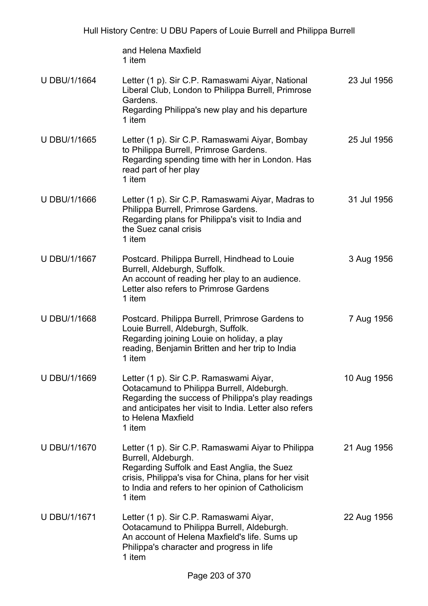|                     | and Helena Maxfield<br>1 item                                                                                                                                                                                                                     |             |
|---------------------|---------------------------------------------------------------------------------------------------------------------------------------------------------------------------------------------------------------------------------------------------|-------------|
| U DBU/1/1664        | Letter (1 p). Sir C.P. Ramaswami Aiyar, National<br>Liberal Club, London to Philippa Burrell, Primrose<br>Gardens.<br>Regarding Philippa's new play and his departure<br>1 item                                                                   | 23 Jul 1956 |
| U DBU/1/1665        | Letter (1 p). Sir C.P. Ramaswami Aiyar, Bombay<br>to Philippa Burrell, Primrose Gardens.<br>Regarding spending time with her in London. Has<br>read part of her play<br>1 item                                                                    | 25 Jul 1956 |
| U DBU/1/1666        | Letter (1 p). Sir C.P. Ramaswami Aiyar, Madras to<br>Philippa Burrell, Primrose Gardens.<br>Regarding plans for Philippa's visit to India and<br>the Suez canal crisis<br>1 item                                                                  | 31 Jul 1956 |
| U DBU/1/1667        | Postcard. Philippa Burrell, Hindhead to Louie<br>Burrell, Aldeburgh, Suffolk.<br>An account of reading her play to an audience.<br>Letter also refers to Primrose Gardens<br>1 item                                                               | 3 Aug 1956  |
| U DBU/1/1668        | Postcard. Philippa Burrell, Primrose Gardens to<br>Louie Burrell, Aldeburgh, Suffolk.<br>Regarding joining Louie on holiday, a play<br>reading, Benjamin Britten and her trip to India<br>1 item                                                  | 7 Aug 1956  |
| U DBU/1/1669        | Letter (1 p). Sir C.P. Ramaswami Aiyar,<br>Ootacamund to Philippa Burrell, Aldeburgh.<br>Regarding the success of Philippa's play readings<br>and anticipates her visit to India. Letter also refers<br>to Helena Maxfield<br>1 item              | 10 Aug 1956 |
| U DBU/1/1670        | Letter (1 p). Sir C.P. Ramaswami Aiyar to Philippa<br>Burrell, Aldeburgh.<br>Regarding Suffolk and East Anglia, the Suez<br>crisis, Philippa's visa for China, plans for her visit<br>to India and refers to her opinion of Catholicism<br>1 item | 21 Aug 1956 |
| <b>U DBU/1/1671</b> | Letter (1 p). Sir C.P. Ramaswami Aiyar,<br>Ootacamund to Philippa Burrell, Aldeburgh.<br>An account of Helena Maxfield's life. Sums up<br>Philippa's character and progress in life<br>1 item                                                     | 22 Aug 1956 |
|                     |                                                                                                                                                                                                                                                   |             |

Hull History Centre: U DBU Papers of Louie Burrell and Philippa Burrell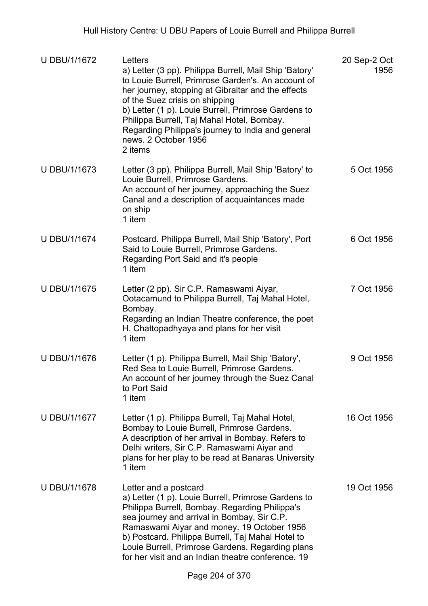| U DBU/1/1672        | Letters<br>a) Letter (3 pp). Philippa Burrell, Mail Ship 'Batory'<br>to Louie Burrell, Primrose Garden's. An account of<br>her journey, stopping at Gibraltar and the effects<br>of the Suez crisis on shipping<br>b) Letter (1 p). Louie Burrell, Primrose Gardens to<br>Philippa Burrell, Taj Mahal Hotel, Bombay.<br>Regarding Philippa's journey to India and general<br>news. 2 October 1956<br>2 items | 20 Sep-2 Oct<br>1956 |
|---------------------|--------------------------------------------------------------------------------------------------------------------------------------------------------------------------------------------------------------------------------------------------------------------------------------------------------------------------------------------------------------------------------------------------------------|----------------------|
| U DBU/1/1673        | Letter (3 pp). Philippa Burrell, Mail Ship 'Batory' to<br>Louie Burrell, Primrose Gardens.<br>An account of her journey, approaching the Suez<br>Canal and a description of acquaintances made<br>on ship<br>1 item                                                                                                                                                                                          | 5 Oct 1956           |
| <b>U DBU/1/1674</b> | Postcard. Philippa Burrell, Mail Ship 'Batory', Port<br>Said to Louie Burrell, Primrose Gardens.<br>Regarding Port Said and it's people<br>1 item                                                                                                                                                                                                                                                            | 6 Oct 1956           |
| U DBU/1/1675        | Letter (2 pp). Sir C.P. Ramaswami Aiyar,<br>Ootacamund to Philippa Burrell, Taj Mahal Hotel,<br>Bombay.<br>Regarding an Indian Theatre conference, the poet<br>H. Chattopadhyaya and plans for her visit<br>1 item                                                                                                                                                                                           | 7 Oct 1956           |
| <b>U DBU/1/1676</b> | Letter (1 p). Philippa Burrell, Mail Ship 'Batory',<br>Red Sea to Louie Burrell, Primrose Gardens.<br>An account of her journey through the Suez Canal<br>to Port Said<br>1 item                                                                                                                                                                                                                             | 9 Oct 1956           |
| U DBU/1/1677        | Letter (1 p). Philippa Burrell, Taj Mahal Hotel,<br>Bombay to Louie Burrell, Primrose Gardens.<br>A description of her arrival in Bombay. Refers to<br>Delhi writers, Sir C.P. Ramaswami Aiyar and<br>plans for her play to be read at Banaras University<br>1 item                                                                                                                                          | 16 Oct 1956          |
| <b>U DBU/1/1678</b> | Letter and a postcard<br>a) Letter (1 p). Louie Burrell, Primrose Gardens to<br>Philippa Burrell, Bombay. Regarding Philippa's<br>sea journey and arrival in Bombay, Sir C.P.<br>Ramaswami Aiyar and money. 19 October 1956<br>b) Postcard. Philippa Burrell, Taj Mahal Hotel to<br>Louie Burrell, Primrose Gardens. Regarding plans<br>for her visit and an Indian theatre conference. 19                   | 19 Oct 1956          |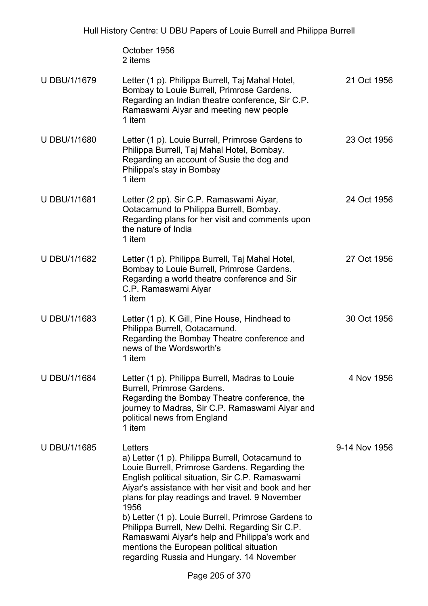October 1956 2 items

| U DBU/1/1679        | Letter (1 p). Philippa Burrell, Taj Mahal Hotel,<br>Bombay to Louie Burrell, Primrose Gardens.<br>Regarding an Indian theatre conference, Sir C.P.<br>Ramaswami Aiyar and meeting new people<br>1 item                                                                                                                                                                                                                                                                                                                                 | 21 Oct 1956   |
|---------------------|----------------------------------------------------------------------------------------------------------------------------------------------------------------------------------------------------------------------------------------------------------------------------------------------------------------------------------------------------------------------------------------------------------------------------------------------------------------------------------------------------------------------------------------|---------------|
| U DBU/1/1680        | Letter (1 p). Louie Burrell, Primrose Gardens to<br>Philippa Burrell, Taj Mahal Hotel, Bombay.<br>Regarding an account of Susie the dog and<br>Philippa's stay in Bombay<br>1 item                                                                                                                                                                                                                                                                                                                                                     | 23 Oct 1956   |
| U DBU/1/1681        | Letter (2 pp). Sir C.P. Ramaswami Aiyar,<br>Ootacamund to Philippa Burrell, Bombay.<br>Regarding plans for her visit and comments upon<br>the nature of India<br>1 item                                                                                                                                                                                                                                                                                                                                                                | 24 Oct 1956   |
| U DBU/1/1682        | Letter (1 p). Philippa Burrell, Taj Mahal Hotel,<br>Bombay to Louie Burrell, Primrose Gardens.<br>Regarding a world theatre conference and Sir<br>C.P. Ramaswami Aiyar<br>1 item                                                                                                                                                                                                                                                                                                                                                       | 27 Oct 1956   |
| U DBU/1/1683        | Letter (1 p). K Gill, Pine House, Hindhead to<br>Philippa Burrell, Ootacamund.<br>Regarding the Bombay Theatre conference and<br>news of the Wordsworth's<br>1 item                                                                                                                                                                                                                                                                                                                                                                    | 30 Oct 1956   |
| <b>U DBU/1/1684</b> | Letter (1 p). Philippa Burrell, Madras to Louie<br>Burrell, Primrose Gardens.<br>Regarding the Bombay Theatre conference, the<br>journey to Madras, Sir C.P. Ramaswami Aiyar and<br>political news from England<br>1 item                                                                                                                                                                                                                                                                                                              | 4 Nov 1956    |
| <b>U DBU/1/1685</b> | Letters<br>a) Letter (1 p). Philippa Burrell, Ootacamund to<br>Louie Burrell, Primrose Gardens. Regarding the<br>English political situation, Sir C.P. Ramaswami<br>Aiyar's assistance with her visit and book and her<br>plans for play readings and travel. 9 November<br>1956<br>b) Letter (1 p). Louie Burrell, Primrose Gardens to<br>Philippa Burrell, New Delhi. Regarding Sir C.P.<br>Ramaswami Aiyar's help and Philippa's work and<br>mentions the European political situation<br>regarding Russia and Hungary. 14 November | 9-14 Nov 1956 |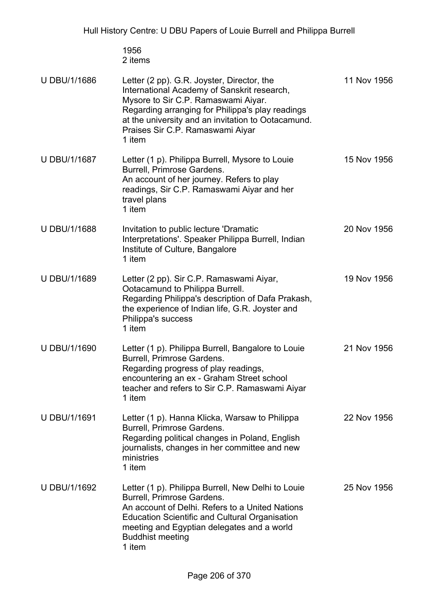1956 2 items

| <b>U DBU/1/1686</b> | Letter (2 pp). G.R. Joyster, Director, the<br>International Academy of Sanskrit research,<br>Mysore to Sir C.P. Ramaswami Aiyar.<br>Regarding arranging for Philippa's play readings<br>at the university and an invitation to Ootacamund.<br>Praises Sir C.P. Ramaswami Aiyar<br>1 item | 11 Nov 1956 |
|---------------------|------------------------------------------------------------------------------------------------------------------------------------------------------------------------------------------------------------------------------------------------------------------------------------------|-------------|
| <b>U DBU/1/1687</b> | Letter (1 p). Philippa Burrell, Mysore to Louie<br>Burrell, Primrose Gardens.<br>An account of her journey. Refers to play<br>readings, Sir C.P. Ramaswami Aiyar and her<br>travel plans<br>1 item                                                                                       | 15 Nov 1956 |
| <b>U DBU/1/1688</b> | Invitation to public lecture 'Dramatic<br>Interpretations'. Speaker Philippa Burrell, Indian<br>Institute of Culture, Bangalore<br>1 item                                                                                                                                                | 20 Nov 1956 |
| U DBU/1/1689        | Letter (2 pp). Sir C.P. Ramaswami Aiyar,<br>Ootacamund to Philippa Burrell.<br>Regarding Philippa's description of Dafa Prakash,<br>the experience of Indian life, G.R. Joyster and<br>Philippa's success<br>1 item                                                                      | 19 Nov 1956 |
| U DBU/1/1690        | Letter (1 p). Philippa Burrell, Bangalore to Louie<br>Burrell, Primrose Gardens.<br>Regarding progress of play readings,<br>encountering an ex - Graham Street school<br>teacher and refers to Sir C.P. Ramaswami Aiyar<br>1 item                                                        | 21 Nov 1956 |
| U DBU/1/1691        | Letter (1 p). Hanna Klicka, Warsaw to Philippa<br>Burrell, Primrose Gardens.<br>Regarding political changes in Poland, English<br>journalists, changes in her committee and new<br>ministries<br>1 item                                                                                  | 22 Nov 1956 |
| <b>U DBU/1/1692</b> | Letter (1 p). Philippa Burrell, New Delhi to Louie<br>Burrell, Primrose Gardens.<br>An account of Delhi. Refers to a United Nations<br><b>Education Scientific and Cultural Organisation</b><br>meeting and Egyptian delegates and a world<br><b>Buddhist meeting</b><br>1 item          | 25 Nov 1956 |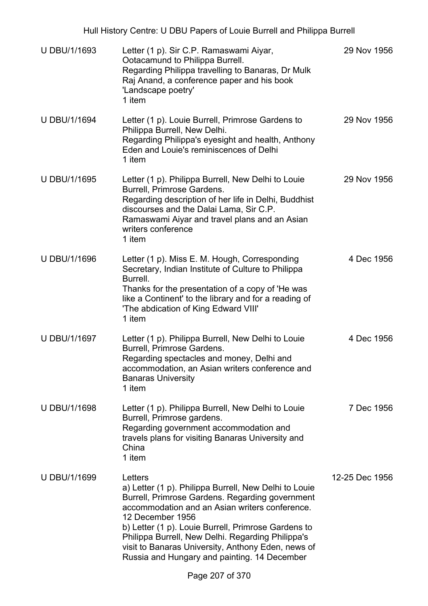| Hull History Centre: U DBU Papers of Louie Burrell and Philippa Burrell |                                                                                                                                                                                                                                                                                                                                                                                                             |                |  |
|-------------------------------------------------------------------------|-------------------------------------------------------------------------------------------------------------------------------------------------------------------------------------------------------------------------------------------------------------------------------------------------------------------------------------------------------------------------------------------------------------|----------------|--|
| U DBU/1/1693                                                            | Letter (1 p). Sir C.P. Ramaswami Aiyar,<br>Ootacamund to Philippa Burrell.<br>Regarding Philippa travelling to Banaras, Dr Mulk<br>Raj Anand, a conference paper and his book<br>'Landscape poetry'<br>1 item                                                                                                                                                                                               | 29 Nov 1956    |  |
| <b>U DBU/1/1694</b>                                                     | Letter (1 p). Louie Burrell, Primrose Gardens to<br>Philippa Burrell, New Delhi.<br>Regarding Philippa's eyesight and health, Anthony<br>Eden and Louie's reminiscences of Delhi<br>1 item                                                                                                                                                                                                                  | 29 Nov 1956    |  |
| <b>U DBU/1/1695</b>                                                     | Letter (1 p). Philippa Burrell, New Delhi to Louie<br>Burrell, Primrose Gardens.<br>Regarding description of her life in Delhi, Buddhist<br>discourses and the Dalai Lama, Sir C.P.<br>Ramaswami Aiyar and travel plans and an Asian<br>writers conference<br>1 item                                                                                                                                        | 29 Nov 1956    |  |
| <b>U DBU/1/1696</b>                                                     | Letter (1 p). Miss E. M. Hough, Corresponding<br>Secretary, Indian Institute of Culture to Philippa<br>Burrell.<br>Thanks for the presentation of a copy of 'He was<br>like a Continent' to the library and for a reading of<br>'The abdication of King Edward VIII'<br>1 item                                                                                                                              | 4 Dec 1956     |  |
| U DBU/1/1697                                                            | Letter (1 p). Philippa Burrell, New Delhi to Louie<br><b>Burrell, Primrose Gardens</b><br>Regarding spectacles and money, Delhi and<br>accommodation, an Asian writers conference and<br><b>Banaras University</b><br>1 item                                                                                                                                                                                | 4 Dec 1956     |  |
| <b>U DBU/1/1698</b>                                                     | Letter (1 p). Philippa Burrell, New Delhi to Louie<br>Burrell, Primrose gardens.<br>Regarding government accommodation and<br>travels plans for visiting Banaras University and<br>China<br>1 item                                                                                                                                                                                                          | 7 Dec 1956     |  |
| U DBU/1/1699                                                            | Letters<br>a) Letter (1 p). Philippa Burrell, New Delhi to Louie<br>Burrell, Primrose Gardens. Regarding government<br>accommodation and an Asian writers conference.<br>12 December 1956<br>b) Letter (1 p). Louie Burrell, Primrose Gardens to<br>Philippa Burrell, New Delhi. Regarding Philippa's<br>visit to Banaras University, Anthony Eden, news of<br>Russia and Hungary and painting. 14 December | 12-25 Dec 1956 |  |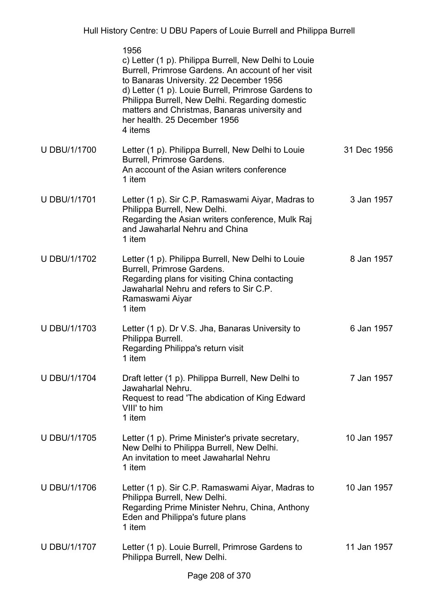|                     | 1956<br>c) Letter (1 p). Philippa Burrell, New Delhi to Louie<br>Burrell, Primrose Gardens. An account of her visit<br>to Banaras University. 22 December 1956<br>d) Letter (1 p). Louie Burrell, Primrose Gardens to<br>Philippa Burrell, New Delhi. Regarding domestic<br>matters and Christmas, Banaras university and<br>her health. 25 December 1956<br>4 items |             |
|---------------------|----------------------------------------------------------------------------------------------------------------------------------------------------------------------------------------------------------------------------------------------------------------------------------------------------------------------------------------------------------------------|-------------|
| U DBU/1/1700        | Letter (1 p). Philippa Burrell, New Delhi to Louie<br>Burrell, Primrose Gardens.<br>An account of the Asian writers conference<br>1 item                                                                                                                                                                                                                             | 31 Dec 1956 |
| <b>U DBU/1/1701</b> | Letter (1 p). Sir C.P. Ramaswami Aiyar, Madras to<br>Philippa Burrell, New Delhi.<br>Regarding the Asian writers conference, Mulk Raj<br>and Jawaharlal Nehru and China<br>1 item                                                                                                                                                                                    | 3 Jan 1957  |
| U DBU/1/1702        | Letter (1 p). Philippa Burrell, New Delhi to Louie<br>Burrell, Primrose Gardens.<br>Regarding plans for visiting China contacting<br>Jawaharlal Nehru and refers to Sir C.P.<br>Ramaswami Aiyar<br>1 item                                                                                                                                                            | 8 Jan 1957  |
| U DBU/1/1703        | Letter (1 p). Dr V.S. Jha, Banaras University to<br>Philippa Burrell.<br>Regarding Philippa's return visit<br>1 item                                                                                                                                                                                                                                                 | 6 Jan 1957  |
| <b>U DBU/1/1704</b> | Draft letter (1 p). Philippa Burrell, New Delhi to<br>Jawaharlal Nehru.<br>Request to read 'The abdication of King Edward<br>VIII' to him<br>1 item                                                                                                                                                                                                                  | 7 Jan 1957  |
| <b>U DBU/1/1705</b> | Letter (1 p). Prime Minister's private secretary,<br>New Delhi to Philippa Burrell, New Delhi.<br>An invitation to meet Jawaharlal Nehru<br>1 item                                                                                                                                                                                                                   | 10 Jan 1957 |
| <b>U DBU/1/1706</b> | Letter (1 p). Sir C.P. Ramaswami Aiyar, Madras to<br>Philippa Burrell, New Delhi.<br>Regarding Prime Minister Nehru, China, Anthony<br>Eden and Philippa's future plans<br>1 item                                                                                                                                                                                    | 10 Jan 1957 |
| <b>U DBU/1/1707</b> | Letter (1 p). Louie Burrell, Primrose Gardens to<br>Philippa Burrell, New Delhi.                                                                                                                                                                                                                                                                                     | 11 Jan 1957 |
|                     |                                                                                                                                                                                                                                                                                                                                                                      |             |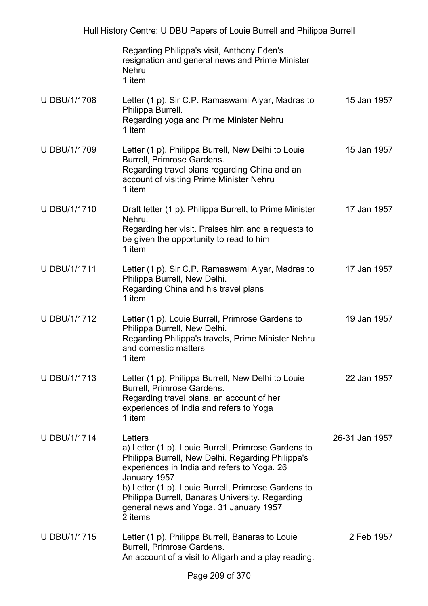|                     | Regarding Philippa's visit, Anthony Eden's<br>resignation and general news and Prime Minister<br><b>Nehru</b><br>1 item                                                                                                                                                                                                                           |                |
|---------------------|---------------------------------------------------------------------------------------------------------------------------------------------------------------------------------------------------------------------------------------------------------------------------------------------------------------------------------------------------|----------------|
| <b>U DBU/1/1708</b> | Letter (1 p). Sir C.P. Ramaswami Aiyar, Madras to<br>Philippa Burrell.<br>Regarding yoga and Prime Minister Nehru<br>1 item                                                                                                                                                                                                                       | 15 Jan 1957    |
| U DBU/1/1709        | Letter (1 p). Philippa Burrell, New Delhi to Louie<br>Burrell, Primrose Gardens.<br>Regarding travel plans regarding China and an<br>account of visiting Prime Minister Nehru<br>1 item                                                                                                                                                           | 15 Jan 1957    |
| <b>U DBU/1/1710</b> | Draft letter (1 p). Philippa Burrell, to Prime Minister<br>Nehru.<br>Regarding her visit. Praises him and a requests to<br>be given the opportunity to read to him<br>1 item                                                                                                                                                                      | 17 Jan 1957    |
| <b>U DBU/1/1711</b> | Letter (1 p). Sir C.P. Ramaswami Aiyar, Madras to<br>Philippa Burrell, New Delhi.<br>Regarding China and his travel plans<br>1 item                                                                                                                                                                                                               | 17 Jan 1957    |
| U DBU/1/1712        | Letter (1 p). Louie Burrell, Primrose Gardens to<br>Philippa Burrell, New Delhi.<br>Regarding Philippa's travels, Prime Minister Nehru<br>and domestic matters<br>1 item                                                                                                                                                                          | 19 Jan 1957    |
| <b>U DBU/1/1713</b> | Letter (1 p). Philippa Burrell, New Delhi to Louie<br>Burrell, Primrose Gardens.<br>Regarding travel plans, an account of her<br>experiences of India and refers to Yoga<br>1 item                                                                                                                                                                | 22 Jan 1957    |
| <b>U DBU/1/1714</b> | Letters<br>a) Letter (1 p). Louie Burrell, Primrose Gardens to<br>Philippa Burrell, New Delhi. Regarding Philippa's<br>experiences in India and refers to Yoga. 26<br>January 1957<br>b) Letter (1 p). Louie Burrell, Primrose Gardens to<br>Philippa Burrell, Banaras University. Regarding<br>general news and Yoga. 31 January 1957<br>2 items | 26-31 Jan 1957 |
| <b>U DBU/1/1715</b> | Letter (1 p). Philippa Burrell, Banaras to Louie<br>Burrell, Primrose Gardens.<br>An account of a visit to Aligarh and a play reading.                                                                                                                                                                                                            | 2 Feb 1957     |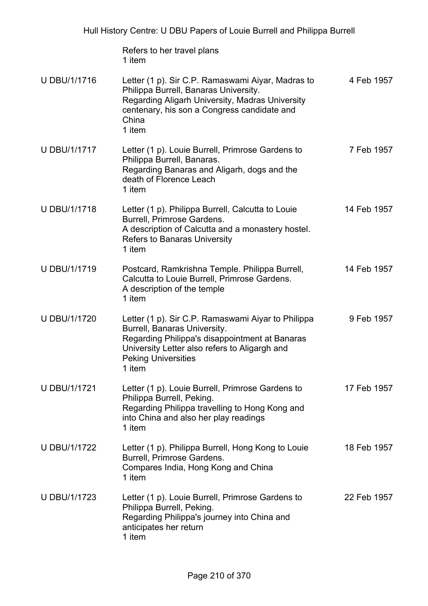Refers to her travel plans 1 item

| <b>U DBU/1/1716</b> | Letter (1 p). Sir C.P. Ramaswami Aiyar, Madras to<br>Philippa Burrell, Banaras University.<br>Regarding Aligarh University, Madras University<br>centenary, his son a Congress candidate and<br>China<br>1 item               | 4 Feb 1957  |
|---------------------|-------------------------------------------------------------------------------------------------------------------------------------------------------------------------------------------------------------------------------|-------------|
| <b>U DBU/1/1717</b> | Letter (1 p). Louie Burrell, Primrose Gardens to<br>Philippa Burrell, Banaras.<br>Regarding Banaras and Aligarh, dogs and the<br>death of Florence Leach<br>1 item                                                            | 7 Feb 1957  |
| <b>U DBU/1/1718</b> | Letter (1 p). Philippa Burrell, Calcutta to Louie<br>Burrell, Primrose Gardens.<br>A description of Calcutta and a monastery hostel.<br><b>Refers to Banaras University</b><br>1 item                                         | 14 Feb 1957 |
| U DBU/1/1719        | Postcard, Ramkrishna Temple. Philippa Burrell,<br>Calcutta to Louie Burrell, Primrose Gardens.<br>A description of the temple<br>1 item                                                                                       | 14 Feb 1957 |
| U DBU/1/1720        | Letter (1 p). Sir C.P. Ramaswami Aiyar to Philippa<br>Burrell, Banaras University.<br>Regarding Philippa's disappointment at Banaras<br>University Letter also refers to Aligargh and<br><b>Peking Universities</b><br>1 item | 9 Feb 1957  |
| <b>U DBU/1/1721</b> | Letter (1 p). Louie Burrell, Primrose Gardens to<br>Philippa Burrell, Peking.<br>Regarding Philippa travelling to Hong Kong and<br>into China and also her play readings<br>1 item                                            | 17 Feb 1957 |
| U DBU/1/1722        | Letter (1 p). Philippa Burrell, Hong Kong to Louie<br>Burrell, Primrose Gardens.<br>Compares India, Hong Kong and China<br>1 item                                                                                             | 18 Feb 1957 |
| <b>U DBU/1/1723</b> | Letter (1 p). Louie Burrell, Primrose Gardens to<br>Philippa Burrell, Peking.<br>Regarding Philippa's journey into China and<br>anticipates her return<br>1 item                                                              | 22 Feb 1957 |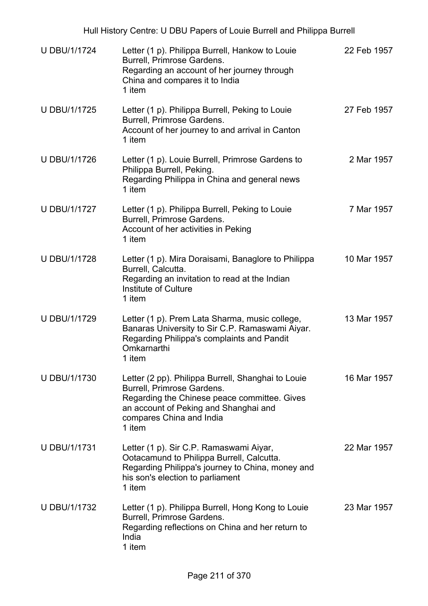| Hull History Centre: U DBU Papers of Louie Burrell and Philippa Burrell |                                                                                                                                                                                                                 |             |  |
|-------------------------------------------------------------------------|-----------------------------------------------------------------------------------------------------------------------------------------------------------------------------------------------------------------|-------------|--|
| <b>U DBU/1/1724</b>                                                     | Letter (1 p). Philippa Burrell, Hankow to Louie<br>Burrell, Primrose Gardens.<br>Regarding an account of her journey through<br>China and compares it to India<br>1 item                                        | 22 Feb 1957 |  |
| <b>U DBU/1/1725</b>                                                     | Letter (1 p). Philippa Burrell, Peking to Louie<br>Burrell, Primrose Gardens.<br>Account of her journey to and arrival in Canton<br>1 item                                                                      | 27 Feb 1957 |  |
| <b>U DBU/1/1726</b>                                                     | Letter (1 p). Louie Burrell, Primrose Gardens to<br>Philippa Burrell, Peking.<br>Regarding Philippa in China and general news<br>1 item                                                                         | 2 Mar 1957  |  |
| <b>U DBU/1/1727</b>                                                     | Letter (1 p). Philippa Burrell, Peking to Louie<br>Burrell, Primrose Gardens.<br>Account of her activities in Peking<br>1 item                                                                                  | 7 Mar 1957  |  |
| <b>U DBU/1/1728</b>                                                     | Letter (1 p). Mira Doraisami, Banaglore to Philippa<br>Burrell, Calcutta.<br>Regarding an invitation to read at the Indian<br>Institute of Culture<br>1 item                                                    | 10 Mar 1957 |  |
| U DBU/1/1729                                                            | Letter (1 p). Prem Lata Sharma, music college,<br>Banaras University to Sir C.P. Ramaswami Aiyar.<br>Regarding Philippa's complaints and Pandit<br>Omkarnarthi<br>1 item                                        | 13 Mar 1957 |  |
| <b>U DBU/1/1730</b>                                                     | Letter (2 pp). Philippa Burrell, Shanghai to Louie<br>Burrell, Primrose Gardens.<br>Regarding the Chinese peace committee. Gives<br>an account of Peking and Shanghai and<br>compares China and India<br>1 item | 16 Mar 1957 |  |
| <b>U DBU/1/1731</b>                                                     | Letter (1 p). Sir C.P. Ramaswami Aiyar,<br>Ootacamund to Philippa Burrell, Calcutta.<br>Regarding Philippa's journey to China, money and<br>his son's election to parliament<br>1 item                          | 22 Mar 1957 |  |
| U DBU/1/1732                                                            | Letter (1 p). Philippa Burrell, Hong Kong to Louie<br>Burrell, Primrose Gardens.<br>Regarding reflections on China and her return to<br>India<br>1 item                                                         | 23 Mar 1957 |  |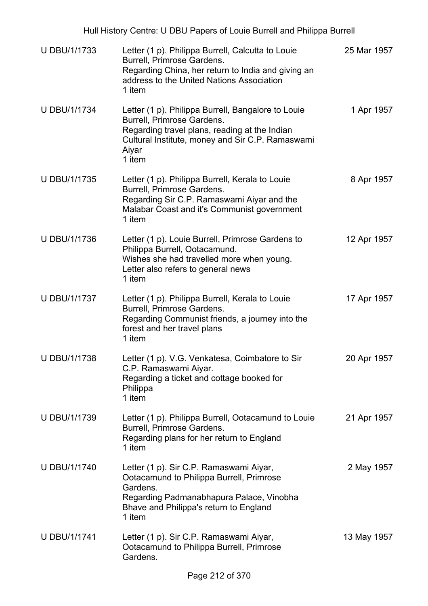| Hull History Centre: U DBU Papers of Louie Burrell and Philippa Burrell |                                                                                                                                                                                                          |             |  |  |
|-------------------------------------------------------------------------|----------------------------------------------------------------------------------------------------------------------------------------------------------------------------------------------------------|-------------|--|--|
| <b>U DBU/1/1733</b>                                                     | Letter (1 p). Philippa Burrell, Calcutta to Louie<br>Burrell, Primrose Gardens.<br>Regarding China, her return to India and giving an<br>address to the United Nations Association<br>1 item             | 25 Mar 1957 |  |  |
| <b>U DBU/1/1734</b>                                                     | Letter (1 p). Philippa Burrell, Bangalore to Louie<br>Burrell, Primrose Gardens.<br>Regarding travel plans, reading at the Indian<br>Cultural Institute, money and Sir C.P. Ramaswami<br>Aiyar<br>1 item | 1 Apr 1957  |  |  |
| U DBU/1/1735                                                            | Letter (1 p). Philippa Burrell, Kerala to Louie<br>Burrell, Primrose Gardens.<br>Regarding Sir C.P. Ramaswami Aiyar and the<br>Malabar Coast and it's Communist government<br>1 item                     | 8 Apr 1957  |  |  |
| <b>U DBU/1/1736</b>                                                     | Letter (1 p). Louie Burrell, Primrose Gardens to<br>Philippa Burrell, Ootacamund.<br>Wishes she had travelled more when young.<br>Letter also refers to general news<br>1 item                           | 12 Apr 1957 |  |  |
| <b>U DBU/1/1737</b>                                                     | Letter (1 p). Philippa Burrell, Kerala to Louie<br>Burrell, Primrose Gardens.<br>Regarding Communist friends, a journey into the<br>forest and her travel plans<br>1 item                                | 17 Apr 1957 |  |  |
| <b>U DBU/1/1738</b>                                                     | Letter (1 p). V.G. Venkatesa, Coimbatore to Sir<br>C.P. Ramaswami Aiyar.<br>Regarding a ticket and cottage booked for<br>Philippa<br>1 item                                                              | 20 Apr 1957 |  |  |
| U DBU/1/1739                                                            | Letter (1 p). Philippa Burrell, Ootacamund to Louie<br>Burrell, Primrose Gardens.<br>Regarding plans for her return to England<br>1 item                                                                 | 21 Apr 1957 |  |  |
| U DBU/1/1740                                                            | Letter (1 p). Sir C.P. Ramaswami Aiyar,<br>Ootacamund to Philippa Burrell, Primrose<br>Gardens.<br>Regarding Padmanabhapura Palace, Vinobha<br>Bhave and Philippa's return to England<br>1 item          | 2 May 1957  |  |  |
| <b>U DBU/1/1741</b>                                                     | Letter (1 p). Sir C.P. Ramaswami Aiyar,<br>Ootacamund to Philippa Burrell, Primrose<br>Gardens.                                                                                                          | 13 May 1957 |  |  |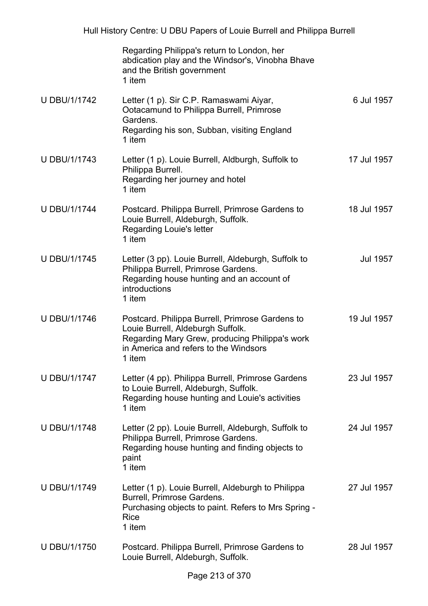|                     | Regarding Philippa's return to London, her<br>abdication play and the Windsor's, Vinobha Bhave<br>and the British government<br>1 item                                                    |             |
|---------------------|-------------------------------------------------------------------------------------------------------------------------------------------------------------------------------------------|-------------|
| <b>U DBU/1/1742</b> | Letter (1 p). Sir C.P. Ramaswami Aiyar,<br>Ootacamund to Philippa Burrell, Primrose<br>Gardens.<br>Regarding his son, Subban, visiting England                                            | 6 Jul 1957  |
|                     | 1 item                                                                                                                                                                                    |             |
| <b>U DBU/1/1743</b> | Letter (1 p). Louie Burrell, Aldburgh, Suffolk to<br>Philippa Burrell.<br>Regarding her journey and hotel<br>1 item                                                                       | 17 Jul 1957 |
| <b>U DBU/1/1744</b> | Postcard. Philippa Burrell, Primrose Gardens to<br>Louie Burrell, Aldeburgh, Suffolk.<br><b>Regarding Louie's letter</b><br>1 item                                                        | 18 Jul 1957 |
| <b>U DBU/1/1745</b> | Letter (3 pp). Louie Burrell, Aldeburgh, Suffolk to<br>Philippa Burrell, Primrose Gardens.<br>Regarding house hunting and an account of<br>introductions<br>1 item                        | Jul 1957    |
| U DBU/1/1746        | Postcard. Philippa Burrell, Primrose Gardens to<br>Louie Burrell, Aldeburgh Suffolk.<br>Regarding Mary Grew, producing Philippa's work<br>in America and refers to the Windsors<br>1 item | 19 Jul 1957 |
| <b>U DBU/1/1747</b> | Letter (4 pp). Philippa Burrell, Primrose Gardens<br>to Louie Burrell, Aldeburgh, Suffolk.<br>Regarding house hunting and Louie's activities<br>1 item                                    | 23 Jul 1957 |
| <b>U DBU/1/1748</b> | Letter (2 pp). Louie Burrell, Aldeburgh, Suffolk to<br>Philippa Burrell, Primrose Gardens.<br>Regarding house hunting and finding objects to<br>paint<br>1 item                           | 24 Jul 1957 |
| <b>U DBU/1/1749</b> | Letter (1 p). Louie Burrell, Aldeburgh to Philippa<br>Burrell, Primrose Gardens.<br>Purchasing objects to paint. Refers to Mrs Spring -<br><b>Rice</b><br>1 item                          | 27 Jul 1957 |
| <b>U DBU/1/1750</b> | Postcard. Philippa Burrell, Primrose Gardens to<br>Louie Burrell, Aldeburgh, Suffolk.                                                                                                     | 28 Jul 1957 |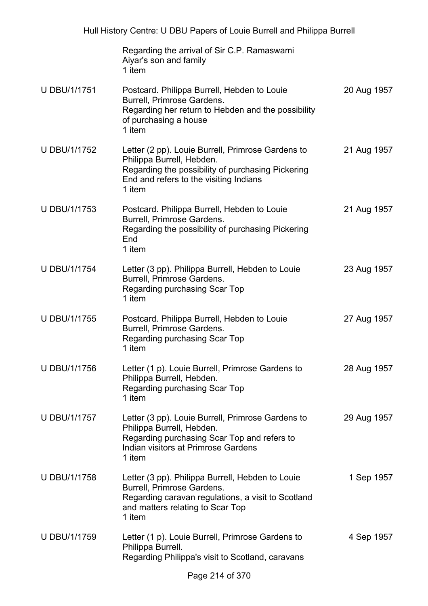|                     | Regarding the arrival of Sir C.P. Ramaswami<br>Aiyar's son and family<br>1 item                                                                                                         |             |
|---------------------|-----------------------------------------------------------------------------------------------------------------------------------------------------------------------------------------|-------------|
| <b>U DBU/1/1751</b> | Postcard. Philippa Burrell, Hebden to Louie<br>Burrell, Primrose Gardens.<br>Regarding her return to Hebden and the possibility<br>of purchasing a house<br>1 item                      | 20 Aug 1957 |
| <b>U DBU/1/1752</b> | Letter (2 pp). Louie Burrell, Primrose Gardens to<br>Philippa Burrell, Hebden.<br>Regarding the possibility of purchasing Pickering<br>End and refers to the visiting Indians<br>1 item | 21 Aug 1957 |
| <b>U DBU/1/1753</b> | Postcard. Philippa Burrell, Hebden to Louie<br>Burrell, Primrose Gardens.<br>Regarding the possibility of purchasing Pickering<br>End<br>1 item                                         | 21 Aug 1957 |
| <b>U DBU/1/1754</b> | Letter (3 pp). Philippa Burrell, Hebden to Louie<br>Burrell, Primrose Gardens.<br>Regarding purchasing Scar Top<br>1 item                                                               | 23 Aug 1957 |
| <b>U DBU/1/1755</b> | Postcard. Philippa Burrell, Hebden to Louie<br>Burrell, Primrose Gardens.<br>Regarding purchasing Scar Top<br>1 item                                                                    | 27 Aug 1957 |
| U DBU/1/1756        | Letter (1 p). Louie Burrell, Primrose Gardens to<br>Philippa Burrell, Hebden.<br>Regarding purchasing Scar Top<br>1 item                                                                | 28 Aug 1957 |
| <b>U DBU/1/1757</b> | Letter (3 pp). Louie Burrell, Primrose Gardens to<br>Philippa Burrell, Hebden.<br>Regarding purchasing Scar Top and refers to<br>Indian visitors at Primrose Gardens<br>1 item          | 29 Aug 1957 |
| <b>U DBU/1/1758</b> | Letter (3 pp). Philippa Burrell, Hebden to Louie<br>Burrell, Primrose Gardens.<br>Regarding caravan regulations, a visit to Scotland<br>and matters relating to Scar Top<br>1 item      | 1 Sep 1957  |
| <b>U DBU/1/1759</b> | Letter (1 p). Louie Burrell, Primrose Gardens to<br>Philippa Burrell.<br>Regarding Philippa's visit to Scotland, caravans                                                               | 4 Sep 1957  |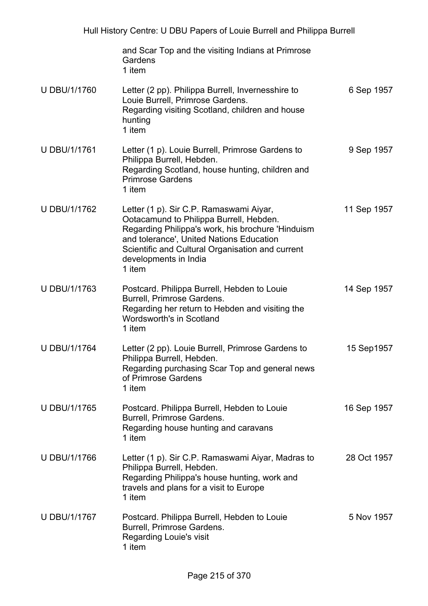|                     | and Scar Top and the visiting Indians at Primrose<br>Gardens<br>1 item                                                                                                                                                                                                     |             |
|---------------------|----------------------------------------------------------------------------------------------------------------------------------------------------------------------------------------------------------------------------------------------------------------------------|-------------|
| <b>U DBU/1/1760</b> | Letter (2 pp). Philippa Burrell, Invernesshire to<br>Louie Burrell, Primrose Gardens.<br>Regarding visiting Scotland, children and house<br>hunting<br>1 item                                                                                                              | 6 Sep 1957  |
| U DBU/1/1761        | Letter (1 p). Louie Burrell, Primrose Gardens to<br>Philippa Burrell, Hebden.<br>Regarding Scotland, house hunting, children and<br><b>Primrose Gardens</b><br>1 item                                                                                                      | 9 Sep 1957  |
| U DBU/1/1762        | Letter (1 p). Sir C.P. Ramaswami Aiyar,<br>Ootacamund to Philippa Burrell, Hebden.<br>Regarding Philippa's work, his brochure 'Hinduism<br>and tolerance', United Nations Education<br>Scientific and Cultural Organisation and current<br>developments in India<br>1 item | 11 Sep 1957 |
| <b>U DBU/1/1763</b> | Postcard. Philippa Burrell, Hebden to Louie<br>Burrell, Primrose Gardens.<br>Regarding her return to Hebden and visiting the<br>Wordsworth's in Scotland<br>1 item                                                                                                         | 14 Sep 1957 |
| <b>U DBU/1/1764</b> | Letter (2 pp). Louie Burrell, Primrose Gardens to<br>Philippa Burrell, Hebden.<br>Regarding purchasing Scar Top and general news<br>of Primrose Gardens<br>1 item                                                                                                          | 15 Sep1957  |
| <b>U DBU/1/1765</b> | Postcard. Philippa Burrell, Hebden to Louie<br>Burrell, Primrose Gardens.<br>Regarding house hunting and caravans<br>1 item                                                                                                                                                | 16 Sep 1957 |
| <b>U DBU/1/1766</b> | Letter (1 p). Sir C.P. Ramaswami Aiyar, Madras to<br>Philippa Burrell, Hebden.<br>Regarding Philippa's house hunting, work and<br>travels and plans for a visit to Europe<br>1 item                                                                                        | 28 Oct 1957 |
| U DBU/1/1767        | Postcard. Philippa Burrell, Hebden to Louie<br>Burrell, Primrose Gardens.<br>Regarding Louie's visit<br>1 item                                                                                                                                                             | 5 Nov 1957  |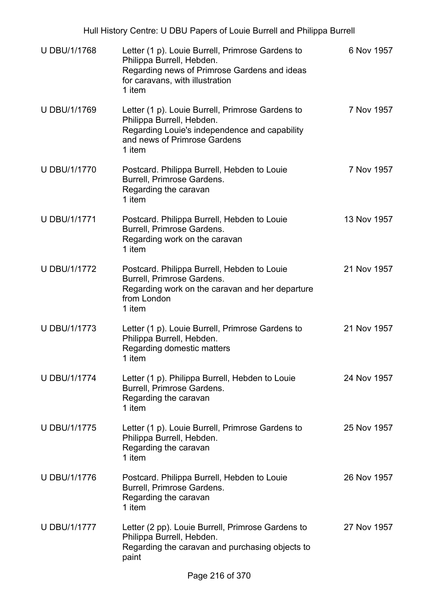| Hull History Centre: U DBU Papers of Louie Burrell and Philippa Burrell |                                                                                                                                                                            |             |  |
|-------------------------------------------------------------------------|----------------------------------------------------------------------------------------------------------------------------------------------------------------------------|-------------|--|
| <b>U DBU/1/1768</b>                                                     | Letter (1 p). Louie Burrell, Primrose Gardens to<br>Philippa Burrell, Hebden.<br>Regarding news of Primrose Gardens and ideas<br>for caravans, with illustration<br>1 item | 6 Nov 1957  |  |
| U DBU/1/1769                                                            | Letter (1 p). Louie Burrell, Primrose Gardens to<br>Philippa Burrell, Hebden.<br>Regarding Louie's independence and capability<br>and news of Primrose Gardens<br>1 item   | 7 Nov 1957  |  |
| <b>U DBU/1/1770</b>                                                     | Postcard. Philippa Burrell, Hebden to Louie<br>Burrell, Primrose Gardens.<br>Regarding the caravan<br>1 item                                                               | 7 Nov 1957  |  |
| <b>U DBU/1/1771</b>                                                     | Postcard. Philippa Burrell, Hebden to Louie<br>Burrell, Primrose Gardens.<br>Regarding work on the caravan<br>1 item                                                       | 13 Nov 1957 |  |
| <b>U DBU/1/1772</b>                                                     | Postcard. Philippa Burrell, Hebden to Louie<br>Burrell, Primrose Gardens.<br>Regarding work on the caravan and her departure<br>from London<br>1 item                      | 21 Nov 1957 |  |
| <b>U DBU/1/1773</b>                                                     | Letter (1 p). Louie Burrell, Primrose Gardens to<br>Philippa Burrell, Hebden.<br>Regarding domestic matters<br>1 item                                                      | 21 Nov 1957 |  |
| <b>U DBU/1/1774</b>                                                     | Letter (1 p). Philippa Burrell, Hebden to Louie<br>Burrell, Primrose Gardens.<br>Regarding the caravan<br>1 item                                                           | 24 Nov 1957 |  |
| <b>U DBU/1/1775</b>                                                     | Letter (1 p). Louie Burrell, Primrose Gardens to<br>Philippa Burrell, Hebden.<br>Regarding the caravan<br>1 item                                                           | 25 Nov 1957 |  |
| U DBU/1/1776                                                            | Postcard. Philippa Burrell, Hebden to Louie<br>Burrell, Primrose Gardens.<br>Regarding the caravan<br>1 item                                                               | 26 Nov 1957 |  |
| <b>U DBU/1/1777</b>                                                     | Letter (2 pp). Louie Burrell, Primrose Gardens to<br>Philippa Burrell, Hebden.<br>Regarding the caravan and purchasing objects to<br>paint                                 | 27 Nov 1957 |  |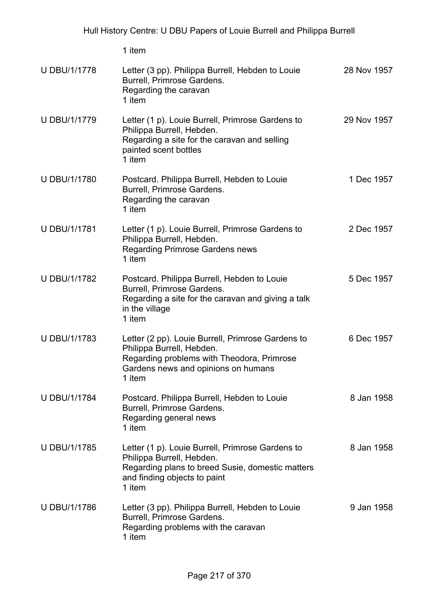U DBU/1/1778 Letter (3 pp). Philippa Burrell, Hebden to Louie Burrell, Primrose Gardens. Regarding the caravan 1 item 28 Nov 1957 U DBU/1/1779 Letter (1 p). Louie Burrell, Primrose Gardens to Philippa Burrell, Hebden. Regarding a site for the caravan and selling painted scent bottles 1 item 29 Nov 1957 U DBU/1/1780 Postcard. Philippa Burrell, Hebden to Louie Burrell, Primrose Gardens. Regarding the caravan 1 item 1 Dec 1957 U DBU/1/1781 Letter (1 p). Louie Burrell, Primrose Gardens to Philippa Burrell, Hebden. Regarding Primrose Gardens news 1 item 2 Dec 1957 U DBU/1/1782 Postcard. Philippa Burrell, Hebden to Louie Burrell, Primrose Gardens. Regarding a site for the caravan and giving a talk in the village 1 item 5 Dec 1957 U DBU/1/1783 Letter (2 pp). Louie Burrell, Primrose Gardens to Philippa Burrell, Hebden. Regarding problems with Theodora, Primrose Gardens news and opinions on humans 1 item 6 Dec 1957 U DBU/1/1784 Postcard. Philippa Burrell, Hebden to Louie Burrell, Primrose Gardens. Regarding general news 1 item 8 Jan 1958 U DBU/1/1785 Letter (1 p). Louie Burrell, Primrose Gardens to Philippa Burrell, Hebden. Regarding plans to breed Susie, domestic matters and finding objects to paint 1 item 8 Jan 1958 U DBU/1/1786 Letter (3 pp). Philippa Burrell, Hebden to Louie Burrell, Primrose Gardens. Regarding problems with the caravan 1 item 9 Jan 1958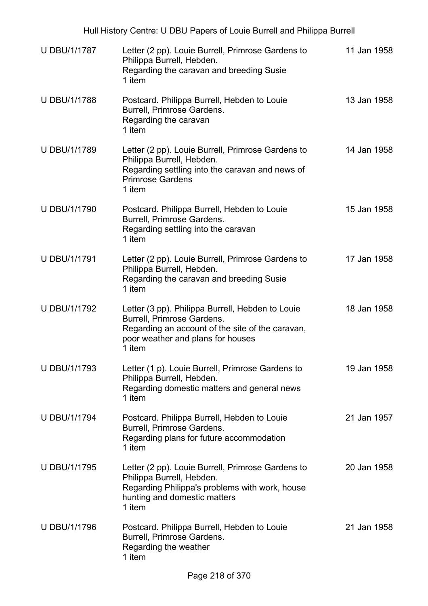| Hull History Centre: U DBU Papers of Louie Burrell and Philippa Burrell |                                                                                                                                                                                   |             |  |
|-------------------------------------------------------------------------|-----------------------------------------------------------------------------------------------------------------------------------------------------------------------------------|-------------|--|
| U DBU/1/1787                                                            | Letter (2 pp). Louie Burrell, Primrose Gardens to<br>Philippa Burrell, Hebden.<br>Regarding the caravan and breeding Susie<br>1 item                                              | 11 Jan 1958 |  |
| <b>U DBU/1/1788</b>                                                     | Postcard. Philippa Burrell, Hebden to Louie<br>Burrell, Primrose Gardens.<br>Regarding the caravan<br>1 item                                                                      | 13 Jan 1958 |  |
| <b>U DBU/1/1789</b>                                                     | Letter (2 pp). Louie Burrell, Primrose Gardens to<br>Philippa Burrell, Hebden.<br>Regarding settling into the caravan and news of<br><b>Primrose Gardens</b><br>1 item            | 14 Jan 1958 |  |
| <b>U DBU/1/1790</b>                                                     | Postcard. Philippa Burrell, Hebden to Louie<br>Burrell, Primrose Gardens.<br>Regarding settling into the caravan<br>1 item                                                        | 15 Jan 1958 |  |
| <b>U DBU/1/1791</b>                                                     | Letter (2 pp). Louie Burrell, Primrose Gardens to<br>Philippa Burrell, Hebden.<br>Regarding the caravan and breeding Susie<br>1 item                                              | 17 Jan 1958 |  |
| U DBU/1/1792                                                            | Letter (3 pp). Philippa Burrell, Hebden to Louie<br>Burrell, Primrose Gardens.<br>Regarding an account of the site of the caravan,<br>poor weather and plans for houses<br>1 item | 18 Jan 1958 |  |
| <b>U DBU/1/1793</b>                                                     | Letter (1 p). Louie Burrell, Primrose Gardens to<br>Philippa Burrell, Hebden.<br>Regarding domestic matters and general news<br>1 item                                            | 19 Jan 1958 |  |
| <b>U DBU/1/1794</b>                                                     | Postcard. Philippa Burrell, Hebden to Louie<br>Burrell, Primrose Gardens.<br>Regarding plans for future accommodation<br>1 item                                                   | 21 Jan 1957 |  |
| <b>U DBU/1/1795</b>                                                     | Letter (2 pp). Louie Burrell, Primrose Gardens to<br>Philippa Burrell, Hebden.<br>Regarding Philippa's problems with work, house<br>hunting and domestic matters<br>1 item        | 20 Jan 1958 |  |
| U DBU/1/1796                                                            | Postcard. Philippa Burrell, Hebden to Louie<br>Burrell, Primrose Gardens.<br>Regarding the weather<br>1 item                                                                      | 21 Jan 1958 |  |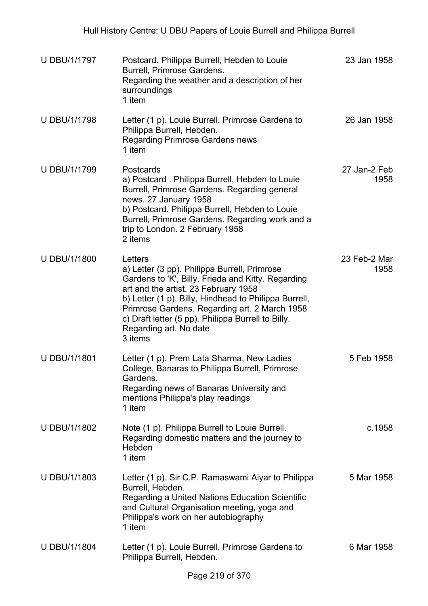| <b>U DBU/1/1797</b> | Postcard. Philippa Burrell, Hebden to Louie<br>Burrell, Primrose Gardens.<br>Regarding the weather and a description of her<br>surroundings<br>1 item                                                                                                                                                                                                      | 23 Jan 1958          |
|---------------------|------------------------------------------------------------------------------------------------------------------------------------------------------------------------------------------------------------------------------------------------------------------------------------------------------------------------------------------------------------|----------------------|
| <b>U DBU/1/1798</b> | Letter (1 p). Louie Burrell, Primrose Gardens to<br>Philippa Burrell, Hebden.<br><b>Regarding Primrose Gardens news</b><br>1 item                                                                                                                                                                                                                          | 26 Jan 1958          |
| <b>U DBU/1/1799</b> | Postcards<br>a) Postcard. Philippa Burrell, Hebden to Louie<br>Burrell, Primrose Gardens. Regarding general<br>news. 27 January 1958<br>b) Postcard. Philippa Burrell, Hebden to Louie<br>Burrell, Primrose Gardens. Regarding work and a<br>trip to London. 2 February 1958<br>2 items                                                                    | 27 Jan-2 Feb<br>1958 |
| <b>U DBU/1/1800</b> | Letters<br>a) Letter (3 pp). Philippa Burrell, Primrose<br>Gardens to 'K', Billy, Frieda and Kitty. Regarding<br>art and the artist. 23 February 1958<br>b) Letter (1 p). Billy, Hindhead to Philippa Burrell,<br>Primrose Gardens. Regarding art. 2 March 1958<br>c) Draft letter (5 pp). Philippa Burrell to Billy.<br>Regarding art. No date<br>3 items | 23 Feb-2 Mar<br>1958 |
| U DBU/1/1801        | Letter (1 p). Prem Lata Sharma, New Ladies<br>College, Banaras to Philippa Burrell, Primrose<br>Gardens.<br>Regarding news of Banaras University and<br>mentions Philippa's play readings<br>1 item                                                                                                                                                        | 5 Feb 1958           |
| U DBU/1/1802        | Note (1 p). Philippa Burrell to Louie Burrell.<br>Regarding domestic matters and the journey to<br>Hebden<br>1 item                                                                                                                                                                                                                                        | c.1958               |
| U DBU/1/1803        | Letter (1 p). Sir C.P. Ramaswami Aiyar to Philippa<br>Burrell, Hebden.<br>Regarding a United Nations Education Scientific<br>and Cultural Organisation meeting, yoga and<br>Philippa's work on her autobiography<br>1 item                                                                                                                                 | 5 Mar 1958           |
| <b>U DBU/1/1804</b> | Letter (1 p). Louie Burrell, Primrose Gardens to<br>Philippa Burrell, Hebden.                                                                                                                                                                                                                                                                              | 6 Mar 1958           |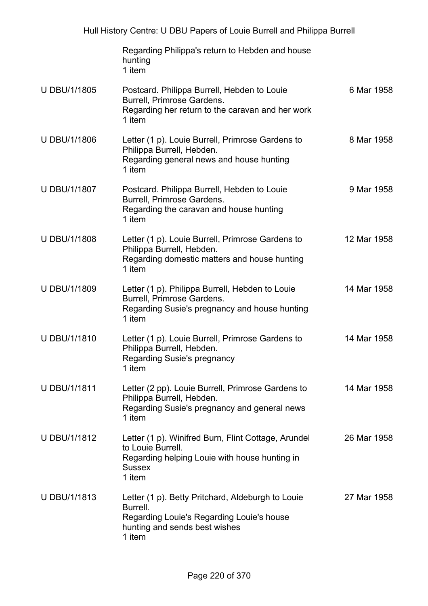|                     | Regarding Philippa's return to Hebden and house<br>hunting<br>1 item                                                                                  |             |
|---------------------|-------------------------------------------------------------------------------------------------------------------------------------------------------|-------------|
| U DBU/1/1805        | Postcard. Philippa Burrell, Hebden to Louie<br>Burrell, Primrose Gardens.<br>Regarding her return to the caravan and her work<br>1 item               | 6 Mar 1958  |
| <b>U DBU/1/1806</b> | Letter (1 p). Louie Burrell, Primrose Gardens to<br>Philippa Burrell, Hebden.<br>Regarding general news and house hunting<br>1 item                   | 8 Mar 1958  |
| U DBU/1/1807        | Postcard. Philippa Burrell, Hebden to Louie<br>Burrell, Primrose Gardens.<br>Regarding the caravan and house hunting<br>1 item                        | 9 Mar 1958  |
| <b>U DBU/1/1808</b> | Letter (1 p). Louie Burrell, Primrose Gardens to<br>Philippa Burrell, Hebden.<br>Regarding domestic matters and house hunting<br>1 item               | 12 Mar 1958 |
| U DBU/1/1809        | Letter (1 p). Philippa Burrell, Hebden to Louie<br>Burrell, Primrose Gardens.<br>Regarding Susie's pregnancy and house hunting<br>1 item              | 14 Mar 1958 |
| U DBU/1/1810        | Letter (1 p). Louie Burrell, Primrose Gardens to<br>Philippa Burrell, Hebden.<br>Regarding Susie's pregnancy<br>1 item                                | 14 Mar 1958 |
| <b>U DBU/1/1811</b> | Letter (2 pp). Louie Burrell, Primrose Gardens to<br>Philippa Burrell, Hebden.<br>Regarding Susie's pregnancy and general news<br>1 item              | 14 Mar 1958 |
| U DBU/1/1812        | Letter (1 p). Winifred Burn, Flint Cottage, Arundel<br>to Louie Burrell.<br>Regarding helping Louie with house hunting in<br><b>Sussex</b><br>1 item  | 26 Mar 1958 |
| U DBU/1/1813        | Letter (1 p). Betty Pritchard, Aldeburgh to Louie<br>Burrell.<br>Regarding Louie's Regarding Louie's house<br>hunting and sends best wishes<br>1 item | 27 Mar 1958 |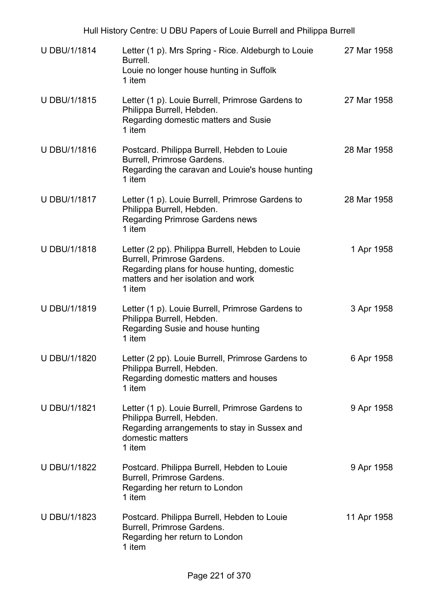| <b>U DBU/1/1814</b> | Letter (1 p). Mrs Spring - Rice. Aldeburgh to Louie<br>Burrell.<br>Louie no longer house hunting in Suffolk<br>1 item                                                         | 27 Mar 1958 |
|---------------------|-------------------------------------------------------------------------------------------------------------------------------------------------------------------------------|-------------|
| U DBU/1/1815        | Letter (1 p). Louie Burrell, Primrose Gardens to<br>Philippa Burrell, Hebden.<br>Regarding domestic matters and Susie<br>1 item                                               | 27 Mar 1958 |
| U DBU/1/1816        | Postcard. Philippa Burrell, Hebden to Louie<br>Burrell, Primrose Gardens.<br>Regarding the caravan and Louie's house hunting<br>1 item                                        | 28 Mar 1958 |
| <b>U DBU/1/1817</b> | Letter (1 p). Louie Burrell, Primrose Gardens to<br>Philippa Burrell, Hebden.<br><b>Regarding Primrose Gardens news</b><br>1 item                                             | 28 Mar 1958 |
| <b>U DBU/1/1818</b> | Letter (2 pp). Philippa Burrell, Hebden to Louie<br>Burrell, Primrose Gardens.<br>Regarding plans for house hunting, domestic<br>matters and her isolation and work<br>1 item | 1 Apr 1958  |
| U DBU/1/1819        | Letter (1 p). Louie Burrell, Primrose Gardens to<br>Philippa Burrell, Hebden.<br>Regarding Susie and house hunting<br>1 item                                                  | 3 Apr 1958  |
| <b>U DBU/1/1820</b> | Letter (2 pp). Louie Burrell, Primrose Gardens to<br>Philippa Burrell, Hebden.<br>Regarding domestic matters and houses<br>1 item                                             | 6 Apr 1958  |
| <b>U DBU/1/1821</b> | Letter (1 p). Louie Burrell, Primrose Gardens to<br>Philippa Burrell, Hebden.<br>Regarding arrangements to stay in Sussex and<br>domestic matters<br>1 item                   | 9 Apr 1958  |
| U DBU/1/1822        | Postcard. Philippa Burrell, Hebden to Louie<br>Burrell, Primrose Gardens.<br>Regarding her return to London<br>1 item                                                         | 9 Apr 1958  |
| U DBU/1/1823        | Postcard. Philippa Burrell, Hebden to Louie<br>Burrell, Primrose Gardens.<br>Regarding her return to London<br>1 item                                                         | 11 Apr 1958 |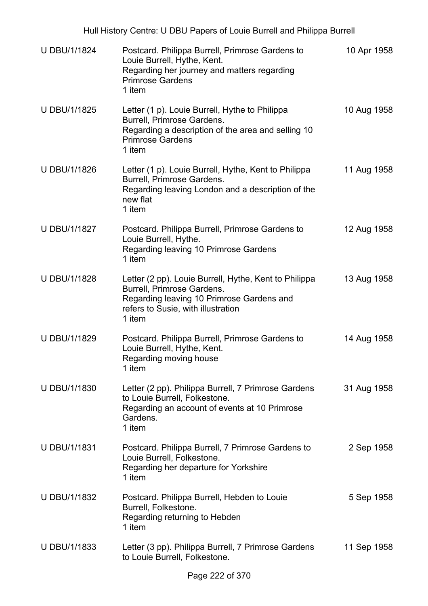| <b>U DBU/1/1824</b> | Postcard. Philippa Burrell, Primrose Gardens to<br>Louie Burrell, Hythe, Kent.<br>Regarding her journey and matters regarding<br><b>Primrose Gardens</b><br>1 item               | 10 Apr 1958 |
|---------------------|----------------------------------------------------------------------------------------------------------------------------------------------------------------------------------|-------------|
| <b>U DBU/1/1825</b> | Letter (1 p). Louie Burrell, Hythe to Philippa<br>Burrell, Primrose Gardens.<br>Regarding a description of the area and selling 10<br><b>Primrose Gardens</b><br>1 item          | 10 Aug 1958 |
| <b>U DBU/1/1826</b> | Letter (1 p). Louie Burrell, Hythe, Kent to Philippa<br>Burrell, Primrose Gardens.<br>Regarding leaving London and a description of the<br>new flat<br>1 item                    | 11 Aug 1958 |
| U DBU/1/1827        | Postcard. Philippa Burrell, Primrose Gardens to<br>Louie Burrell, Hythe.<br>Regarding leaving 10 Primrose Gardens<br>1 item                                                      | 12 Aug 1958 |
| <b>U DBU/1/1828</b> | Letter (2 pp). Louie Burrell, Hythe, Kent to Philippa<br>Burrell, Primrose Gardens.<br>Regarding leaving 10 Primrose Gardens and<br>refers to Susie, with illustration<br>1 item | 13 Aug 1958 |
| U DBU/1/1829        | Postcard. Philippa Burrell, Primrose Gardens to<br>Louie Burrell, Hythe, Kent.<br>Regarding moving house<br>1 item                                                               | 14 Aug 1958 |
| U DBU/1/1830        | Letter (2 pp). Philippa Burrell, 7 Primrose Gardens<br>to Louie Burrell, Folkestone.<br>Regarding an account of events at 10 Primrose<br>Gardens.<br>1 item                      | 31 Aug 1958 |
| U DBU/1/1831        | Postcard. Philippa Burrell, 7 Primrose Gardens to<br>Louie Burrell, Folkestone.<br>Regarding her departure for Yorkshire<br>1 item                                               | 2 Sep 1958  |
| U DBU/1/1832        | Postcard. Philippa Burrell, Hebden to Louie<br>Burrell, Folkestone.<br>Regarding returning to Hebden<br>1 item                                                                   | 5 Sep 1958  |
| U DBU/1/1833        | Letter (3 pp). Philippa Burrell, 7 Primrose Gardens<br>to Louie Burrell, Folkestone.                                                                                             | 11 Sep 1958 |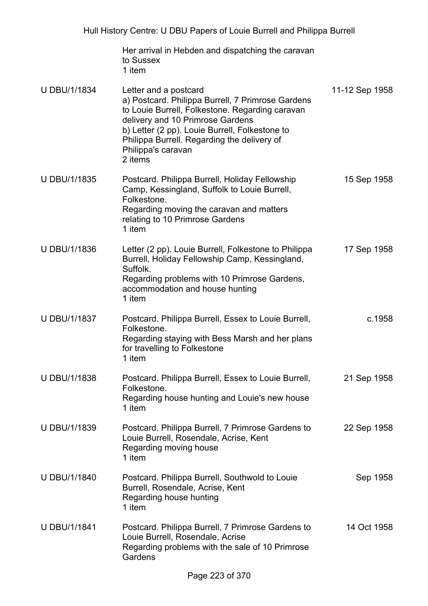Her arrival in Hebden and dispatching the caravan to Sussex 1 item

| <b>U DBU/1/1834</b> | Letter and a postcard<br>a) Postcard. Philippa Burrell, 7 Primrose Gardens<br>to Louie Burrell, Folkestone. Regarding caravan<br>delivery and 10 Primrose Gardens<br>b) Letter (2 pp). Louie Burrell, Folkestone to<br>Philippa Burrell. Regarding the delivery of<br>Philippa's caravan<br>2 items | 11-12 Sep 1958 |
|---------------------|-----------------------------------------------------------------------------------------------------------------------------------------------------------------------------------------------------------------------------------------------------------------------------------------------------|----------------|
| U DBU/1/1835        | Postcard. Philippa Burrell, Holiday Fellowship<br>Camp, Kessingland, Suffolk to Louie Burrell,<br>Folkestone.<br>Regarding moving the caravan and matters<br>relating to 10 Primrose Gardens<br>1 item                                                                                              | 15 Sep 1958    |
| U DBU/1/1836        | Letter (2 pp). Louie Burrell, Folkestone to Philippa<br>Burrell, Holiday Fellowship Camp, Kessingland,<br>Suffolk.<br>Regarding problems with 10 Primrose Gardens,<br>accommodation and house hunting<br>1 item                                                                                     | 17 Sep 1958    |
| U DBU/1/1837        | Postcard. Philippa Burrell, Essex to Louie Burrell,<br>Folkestone.<br>Regarding staying with Bess Marsh and her plans<br>for travelling to Folkestone<br>1 item                                                                                                                                     | c.1958         |
| U DBU/1/1838        | Postcard. Philippa Burrell, Essex to Louie Burrell,<br>Folkestone.<br>Regarding house hunting and Louie's new house<br>1 item                                                                                                                                                                       | 21 Sep 1958    |
| <b>U DBU/1/1839</b> | Postcard. Philippa Burrell, 7 Primrose Gardens to<br>Louie Burrell, Rosendale, Acrise, Kent<br>Regarding moving house<br>1 item                                                                                                                                                                     | 22 Sep 1958    |
| <b>U DBU/1/1840</b> | Postcard. Philippa Burrell, Southwold to Louie<br>Burrell, Rosendale, Acrise, Kent<br>Regarding house hunting<br>1 item                                                                                                                                                                             | Sep 1958       |
| <b>U DBU/1/1841</b> | Postcard. Philippa Burrell, 7 Primrose Gardens to<br>Louie Burrell, Rosendale, Acrise<br>Regarding problems with the sale of 10 Primrose<br>Gardens                                                                                                                                                 | 14 Oct 1958    |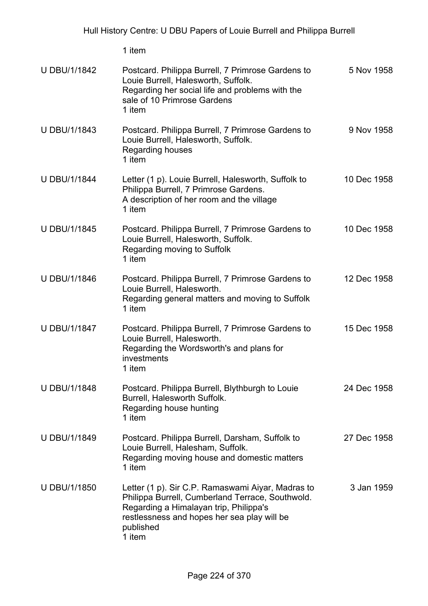| <b>U DBU/1/1842</b> | Postcard. Philippa Burrell, 7 Primrose Gardens to<br>Louie Burrell, Halesworth, Suffolk.<br>Regarding her social life and problems with the<br>sale of 10 Primrose Gardens<br>1 item                                  | 5 Nov 1958  |
|---------------------|-----------------------------------------------------------------------------------------------------------------------------------------------------------------------------------------------------------------------|-------------|
| <b>U DBU/1/1843</b> | Postcard. Philippa Burrell, 7 Primrose Gardens to<br>Louie Burrell, Halesworth, Suffolk.<br>Regarding houses<br>1 item                                                                                                | 9 Nov 1958  |
| <b>U DBU/1/1844</b> | Letter (1 p). Louie Burrell, Halesworth, Suffolk to<br>Philippa Burrell, 7 Primrose Gardens.<br>A description of her room and the village<br>1 item                                                                   | 10 Dec 1958 |
| <b>U DBU/1/1845</b> | Postcard. Philippa Burrell, 7 Primrose Gardens to<br>Louie Burrell, Halesworth, Suffolk.<br>Regarding moving to Suffolk<br>1 item                                                                                     | 10 Dec 1958 |
| <b>U DBU/1/1846</b> | Postcard. Philippa Burrell, 7 Primrose Gardens to<br>Louie Burrell, Halesworth.<br>Regarding general matters and moving to Suffolk<br>1 item                                                                          | 12 Dec 1958 |
| <b>U DBU/1/1847</b> | Postcard. Philippa Burrell, 7 Primrose Gardens to<br>Louie Burrell, Halesworth.<br>Regarding the Wordsworth's and plans for<br>investments<br>1 item                                                                  | 15 Dec 1958 |
| <b>U DBU/1/1848</b> | Postcard. Philippa Burrell, Blythburgh to Louie<br>Burrell, Halesworth Suffolk.<br>Regarding house hunting<br>1 item                                                                                                  | 24 Dec 1958 |
| U DBU/1/1849        | Postcard. Philippa Burrell, Darsham, Suffolk to<br>Louie Burrell, Halesham, Suffolk.<br>Regarding moving house and domestic matters<br>1 item                                                                         | 27 Dec 1958 |
| <b>U DBU/1/1850</b> | Letter (1 p). Sir C.P. Ramaswami Aiyar, Madras to<br>Philippa Burrell, Cumberland Terrace, Southwold.<br>Regarding a Himalayan trip, Philippa's<br>restlessness and hopes her sea play will be<br>published<br>1 item | 3 Jan 1959  |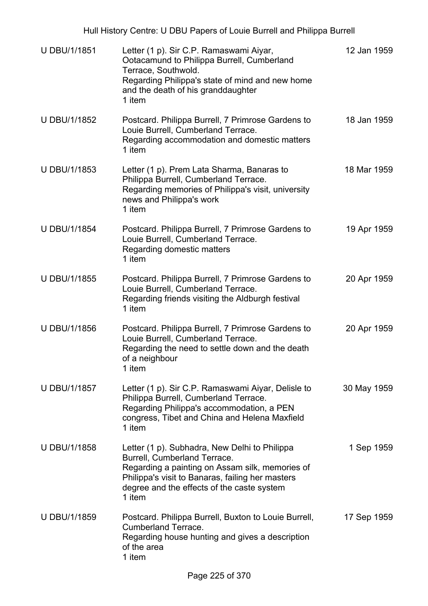|                     | Hull History Centre: U DBU Papers of Louie Burrell and Philippa Burrell                                                                                                                                                                      |             |
|---------------------|----------------------------------------------------------------------------------------------------------------------------------------------------------------------------------------------------------------------------------------------|-------------|
| U DBU/1/1851        | Letter (1 p). Sir C.P. Ramaswami Aiyar,<br>Ootacamund to Philippa Burrell, Cumberland<br>Terrace, Southwold.<br>Regarding Philippa's state of mind and new home<br>and the death of his granddaughter<br>1 item                              | 12 Jan 1959 |
| U DBU/1/1852        | Postcard. Philippa Burrell, 7 Primrose Gardens to<br>Louie Burrell, Cumberland Terrace.<br>Regarding accommodation and domestic matters<br>1 item                                                                                            | 18 Jan 1959 |
| U DBU/1/1853        | Letter (1 p). Prem Lata Sharma, Banaras to<br>Philippa Burrell, Cumberland Terrace.<br>Regarding memories of Philippa's visit, university<br>news and Philippa's work<br>1 item                                                              | 18 Mar 1959 |
| <b>U DBU/1/1854</b> | Postcard. Philippa Burrell, 7 Primrose Gardens to<br>Louie Burrell, Cumberland Terrace.<br>Regarding domestic matters<br>1 item                                                                                                              | 19 Apr 1959 |
| <b>U DBU/1/1855</b> | Postcard. Philippa Burrell, 7 Primrose Gardens to<br>Louie Burrell, Cumberland Terrace.<br>Regarding friends visiting the Aldburgh festival<br>1 item                                                                                        | 20 Apr 1959 |
| <b>U DBU/1/1856</b> | Postcard. Philippa Burrell, 7 Primrose Gardens to<br>Louie Burrell, Cumberland Terrace.<br>Regarding the need to settle down and the death<br>of a neighbour<br>1 item                                                                       | 20 Apr 1959 |
| U DBU/1/1857        | Letter (1 p). Sir C.P. Ramaswami Aiyar, Delisle to<br>Philippa Burrell, Cumberland Terrace.<br>Regarding Philippa's accommodation, a PEN<br>congress, Tibet and China and Helena Maxfield<br>1 item                                          | 30 May 1959 |
| <b>U DBU/1/1858</b> | Letter (1 p). Subhadra, New Delhi to Philippa<br>Burrell, Cumberland Terrace.<br>Regarding a painting on Assam silk, memories of<br>Philippa's visit to Banaras, failing her masters<br>degree and the effects of the caste system<br>1 item | 1 Sep 1959  |
| U DBU/1/1859        | Postcard. Philippa Burrell, Buxton to Louie Burrell,<br><b>Cumberland Terrace.</b><br>Regarding house hunting and gives a description                                                                                                        | 17 Sep 1959 |

of the area 1 item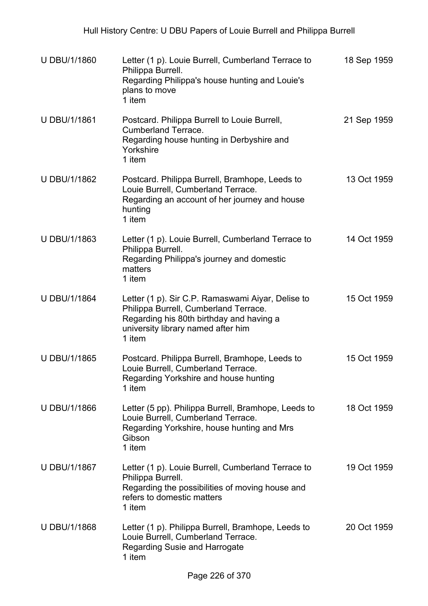| U DBU/1/1860        | Letter (1 p). Louie Burrell, Cumberland Terrace to<br>Philippa Burrell.<br>Regarding Philippa's house hunting and Louie's<br>plans to move<br>1 item                                   | 18 Sep 1959 |
|---------------------|----------------------------------------------------------------------------------------------------------------------------------------------------------------------------------------|-------------|
| U DBU/1/1861        | Postcard. Philippa Burrell to Louie Burrell,<br><b>Cumberland Terrace.</b><br>Regarding house hunting in Derbyshire and<br>Yorkshire<br>1 item                                         | 21 Sep 1959 |
| U DBU/1/1862        | Postcard. Philippa Burrell, Bramhope, Leeds to<br>Louie Burrell, Cumberland Terrace.<br>Regarding an account of her journey and house<br>hunting<br>1 item                             | 13 Oct 1959 |
| U DBU/1/1863        | Letter (1 p). Louie Burrell, Cumberland Terrace to<br>Philippa Burrell.<br>Regarding Philippa's journey and domestic<br>matters<br>1 item                                              | 14 Oct 1959 |
| <b>U DBU/1/1864</b> | Letter (1 p). Sir C.P. Ramaswami Aiyar, Delise to<br>Philippa Burrell, Cumberland Terrace.<br>Regarding his 80th birthday and having a<br>university library named after him<br>1 item | 15 Oct 1959 |
| U DBU/1/1865        | Postcard. Philippa Burrell, Bramhope, Leeds to<br>Louie Burrell, Cumberland Terrace.<br>Regarding Yorkshire and house hunting<br>1 item                                                | 15 Oct 1959 |
| U DBU/1/1866        | Letter (5 pp). Philippa Burrell, Bramhope, Leeds to<br>Louie Burrell, Cumberland Terrace.<br>Regarding Yorkshire, house hunting and Mrs<br>Gibson<br>1 item                            | 18 Oct 1959 |
| <b>U DBU/1/1867</b> | Letter (1 p). Louie Burrell, Cumberland Terrace to<br>Philippa Burrell.<br>Regarding the possibilities of moving house and<br>refers to domestic matters<br>1 item                     | 19 Oct 1959 |
| U DBU/1/1868        | Letter (1 p). Philippa Burrell, Bramhope, Leeds to<br>Louie Burrell, Cumberland Terrace.<br>Regarding Susie and Harrogate<br>1 item                                                    | 20 Oct 1959 |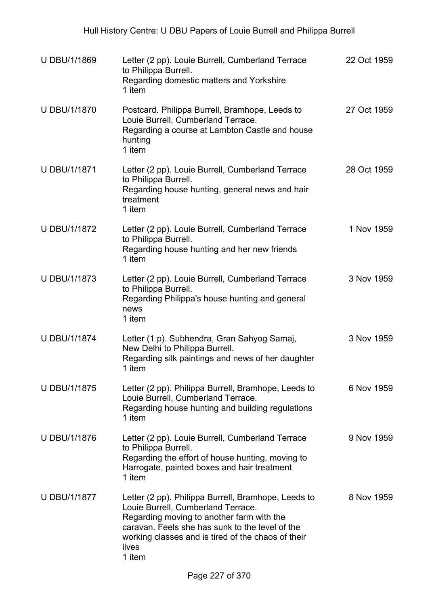| <b>U DBU/1/1869</b> | Letter (2 pp). Louie Burrell, Cumberland Terrace<br>to Philippa Burrell.<br>Regarding domestic matters and Yorkshire<br>1 item                                                                                                                                     | 22 Oct 1959 |
|---------------------|--------------------------------------------------------------------------------------------------------------------------------------------------------------------------------------------------------------------------------------------------------------------|-------------|
| <b>U DBU/1/1870</b> | Postcard. Philippa Burrell, Bramhope, Leeds to<br>Louie Burrell, Cumberland Terrace.<br>Regarding a course at Lambton Castle and house<br>hunting<br>1 item                                                                                                        | 27 Oct 1959 |
| <b>U DBU/1/1871</b> | Letter (2 pp). Louie Burrell, Cumberland Terrace<br>to Philippa Burrell.<br>Regarding house hunting, general news and hair<br>treatment<br>1 item                                                                                                                  | 28 Oct 1959 |
| <b>U DBU/1/1872</b> | Letter (2 pp). Louie Burrell, Cumberland Terrace<br>to Philippa Burrell.<br>Regarding house hunting and her new friends<br>1 item                                                                                                                                  | 1 Nov 1959  |
| <b>U DBU/1/1873</b> | Letter (2 pp). Louie Burrell, Cumberland Terrace<br>to Philippa Burrell.<br>Regarding Philippa's house hunting and general<br>news<br>1 item                                                                                                                       | 3 Nov 1959  |
| <b>U DBU/1/1874</b> | Letter (1 p). Subhendra, Gran Sahyog Samaj,<br>New Delhi to Philippa Burrell.<br>Regarding silk paintings and news of her daughter<br>1 item                                                                                                                       | 3 Nov 1959  |
| <b>U DBU/1/1875</b> | Letter (2 pp). Philippa Burrell, Bramhope, Leeds to<br>Louie Burrell, Cumberland Terrace.<br>Regarding house hunting and building regulations<br>1 item                                                                                                            | 6 Nov 1959  |
| <b>U DBU/1/1876</b> | Letter (2 pp). Louie Burrell, Cumberland Terrace<br>to Philippa Burrell.<br>Regarding the effort of house hunting, moving to<br>Harrogate, painted boxes and hair treatment<br>1 item                                                                              | 9 Nov 1959  |
| <b>U DBU/1/1877</b> | Letter (2 pp). Philippa Burrell, Bramhope, Leeds to<br>Louie Burrell, Cumberland Terrace.<br>Regarding moving to another farm with the<br>caravan. Feels she has sunk to the level of the<br>working classes and is tired of the chaos of their<br>lives<br>1 item | 8 Nov 1959  |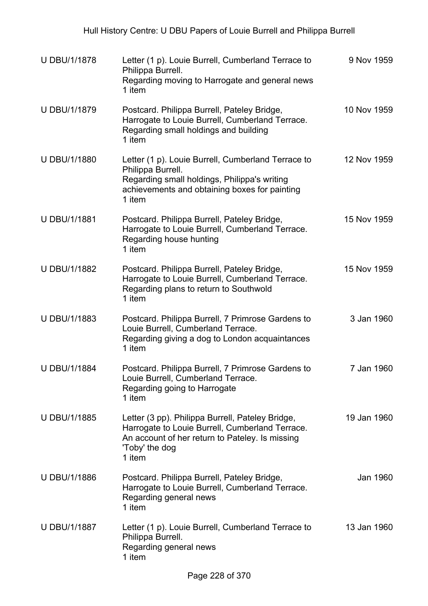| <b>U DBU/1/1878</b> | Letter (1 p). Louie Burrell, Cumberland Terrace to<br>Philippa Burrell.<br>Regarding moving to Harrogate and general news<br>1 item                                                | 9 Nov 1959  |
|---------------------|------------------------------------------------------------------------------------------------------------------------------------------------------------------------------------|-------------|
| <b>U DBU/1/1879</b> | Postcard. Philippa Burrell, Pateley Bridge,<br>Harrogate to Louie Burrell, Cumberland Terrace.<br>Regarding small holdings and building<br>1 item                                  | 10 Nov 1959 |
| <b>U DBU/1/1880</b> | Letter (1 p). Louie Burrell, Cumberland Terrace to<br>Philippa Burrell.<br>Regarding small holdings, Philippa's writing<br>achievements and obtaining boxes for painting<br>1 item | 12 Nov 1959 |
| <b>U DBU/1/1881</b> | Postcard. Philippa Burrell, Pateley Bridge,<br>Harrogate to Louie Burrell, Cumberland Terrace.<br>Regarding house hunting<br>1 item                                                | 15 Nov 1959 |
| U DBU/1/1882        | Postcard. Philippa Burrell, Pateley Bridge,<br>Harrogate to Louie Burrell, Cumberland Terrace.<br>Regarding plans to return to Southwold<br>1 item                                 | 15 Nov 1959 |
| U DBU/1/1883        | Postcard. Philippa Burrell, 7 Primrose Gardens to<br>Louie Burrell, Cumberland Terrace.<br>Regarding giving a dog to London acquaintances<br>1 item                                | 3 Jan 1960  |
| <b>U DBU/1/1884</b> | Postcard. Philippa Burrell, 7 Primrose Gardens to<br>Louie Burrell, Cumberland Terrace.<br>Regarding going to Harrogate<br>1 item                                                  | 7 Jan 1960  |
| <b>U DBU/1/1885</b> | Letter (3 pp). Philippa Burrell, Pateley Bridge,<br>Harrogate to Louie Burrell, Cumberland Terrace.<br>An account of her return to Pateley. Is missing<br>'Toby' the dog<br>1 item | 19 Jan 1960 |
| <b>U DBU/1/1886</b> | Postcard. Philippa Burrell, Pateley Bridge,<br>Harrogate to Louie Burrell, Cumberland Terrace.<br>Regarding general news<br>1 item                                                 | Jan 1960    |
| <b>U DBU/1/1887</b> | Letter (1 p). Louie Burrell, Cumberland Terrace to<br>Philippa Burrell.<br>Regarding general news<br>1 item                                                                        | 13 Jan 1960 |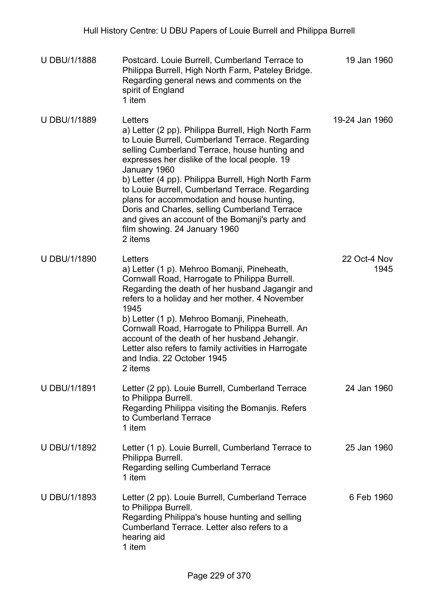| <b>U DBU/1/1888</b> | Postcard. Louie Burrell, Cumberland Terrace to<br>Philippa Burrell, High North Farm, Pateley Bridge.<br>Regarding general news and comments on the<br>spirit of England<br>1 item                                                                                                                                                                                                                                                                                                                                                           | 19 Jan 1960          |
|---------------------|---------------------------------------------------------------------------------------------------------------------------------------------------------------------------------------------------------------------------------------------------------------------------------------------------------------------------------------------------------------------------------------------------------------------------------------------------------------------------------------------------------------------------------------------|----------------------|
| U DBU/1/1889        | Letters<br>a) Letter (2 pp). Philippa Burrell, High North Farm<br>to Louie Burrell, Cumberland Terrace. Regarding<br>selling Cumberland Terrace, house hunting and<br>expresses her dislike of the local people. 19<br>January 1960<br>b) Letter (4 pp). Philippa Burrell, High North Farm<br>to Louie Burrell, Cumberland Terrace. Regarding<br>plans for accommodation and house hunting,<br>Doris and Charles, selling Cumberland Terrace<br>and gives an account of the Bomanji's party and<br>film showing. 24 January 1960<br>2 items | 19-24 Jan 1960       |
| U DBU/1/1890        | Letters<br>a) Letter (1 p). Mehroo Bomanji, Pineheath,<br>Cornwall Road, Harrogate to Philippa Burrell.<br>Regarding the death of her husband Jagangir and<br>refers to a holiday and her mother. 4 November<br>1945<br>b) Letter (1 p). Mehroo Bomanji, Pineheath,<br>Cornwall Road, Harrogate to Philippa Burrell. An<br>account of the death of her husband Jehangir.<br>Letter also refers to family activities in Harrogate<br>and India. 22 October 1945<br>2 items                                                                   | 22 Oct-4 Nov<br>1945 |
| U DBU/1/1891        | Letter (2 pp). Louie Burrell, Cumberland Terrace<br>to Philippa Burrell.<br>Regarding Philippa visiting the Bomanjis. Refers<br>to Cumberland Terrace<br>1 item                                                                                                                                                                                                                                                                                                                                                                             | 24 Jan 1960          |
| U DBU/1/1892        | Letter (1 p). Louie Burrell, Cumberland Terrace to<br>Philippa Burrell.<br>Regarding selling Cumberland Terrace<br>1 item                                                                                                                                                                                                                                                                                                                                                                                                                   | 25 Jan 1960          |
| U DBU/1/1893        | Letter (2 pp). Louie Burrell, Cumberland Terrace<br>to Philippa Burrell.<br>Regarding Philippa's house hunting and selling<br>Cumberland Terrace. Letter also refers to a<br>hearing aid<br>1 item                                                                                                                                                                                                                                                                                                                                          | 6 Feb 1960           |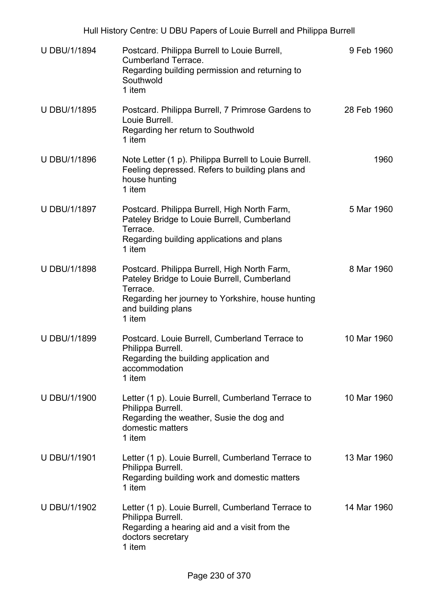| <b>U DBU/1/1894</b> | Postcard. Philippa Burrell to Louie Burrell,<br><b>Cumberland Terrace.</b><br>Regarding building permission and returning to<br>Southwold<br>1 item                                          | 9 Feb 1960  |
|---------------------|----------------------------------------------------------------------------------------------------------------------------------------------------------------------------------------------|-------------|
| U DBU/1/1895        | Postcard. Philippa Burrell, 7 Primrose Gardens to<br>Louie Burrell.<br>Regarding her return to Southwold<br>1 item                                                                           | 28 Feb 1960 |
| <b>U DBU/1/1896</b> | Note Letter (1 p). Philippa Burrell to Louie Burrell.<br>Feeling depressed. Refers to building plans and<br>house hunting<br>1 item                                                          | 1960        |
| <b>U DBU/1/1897</b> | Postcard. Philippa Burrell, High North Farm,<br>Pateley Bridge to Louie Burrell, Cumberland<br>Terrace.<br>Regarding building applications and plans<br>1 item                               | 5 Mar 1960  |
| <b>U DBU/1/1898</b> | Postcard. Philippa Burrell, High North Farm,<br>Pateley Bridge to Louie Burrell, Cumberland<br>Terrace.<br>Regarding her journey to Yorkshire, house hunting<br>and building plans<br>1 item | 8 Mar 1960  |
| U DBU/1/1899        | Postcard. Louie Burrell, Cumberland Terrace to<br>Philippa Burrell.<br>Regarding the building application and<br>accommodation<br>1 item                                                     | 10 Mar 1960 |
| <b>U DBU/1/1900</b> | Letter (1 p). Louie Burrell, Cumberland Terrace to<br>Philippa Burrell.<br>Regarding the weather, Susie the dog and<br>domestic matters<br>1 item                                            | 10 Mar 1960 |
| <b>U DBU/1/1901</b> | Letter (1 p). Louie Burrell, Cumberland Terrace to<br>Philippa Burrell.<br>Regarding building work and domestic matters<br>1 item                                                            | 13 Mar 1960 |
| U DBU/1/1902        | Letter (1 p). Louie Burrell, Cumberland Terrace to<br>Philippa Burrell.<br>Regarding a hearing aid and a visit from the<br>doctors secretary<br>1 item                                       | 14 Mar 1960 |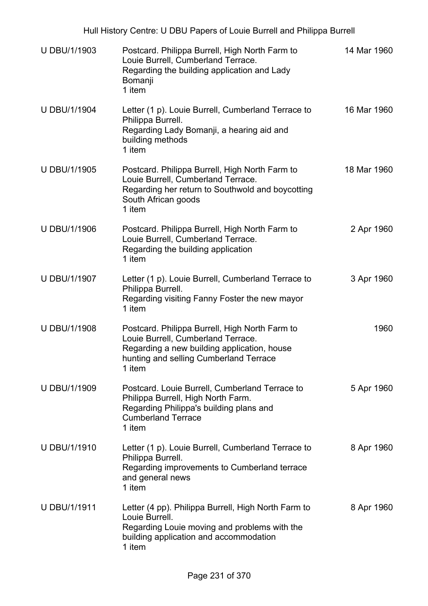| <b>U DBU/1/1903</b> | Postcard. Philippa Burrell, High North Farm to<br>Louie Burrell, Cumberland Terrace.<br>Regarding the building application and Lady<br>Bomanji<br>1 item                                | 14 Mar 1960 |
|---------------------|-----------------------------------------------------------------------------------------------------------------------------------------------------------------------------------------|-------------|
| <b>U DBU/1/1904</b> | Letter (1 p). Louie Burrell, Cumberland Terrace to<br>Philippa Burrell.<br>Regarding Lady Bomanji, a hearing aid and<br>building methods<br>1 item                                      | 16 Mar 1960 |
| <b>U DBU/1/1905</b> | Postcard. Philippa Burrell, High North Farm to<br>Louie Burrell, Cumberland Terrace.<br>Regarding her return to Southwold and boycotting<br>South African goods<br>1 item               | 18 Mar 1960 |
| <b>U DBU/1/1906</b> | Postcard. Philippa Burrell, High North Farm to<br>Louie Burrell, Cumberland Terrace.<br>Regarding the building application<br>1 item                                                    | 2 Apr 1960  |
| U DBU/1/1907        | Letter (1 p). Louie Burrell, Cumberland Terrace to<br>Philippa Burrell.<br>Regarding visiting Fanny Foster the new mayor<br>1 item                                                      | 3 Apr 1960  |
| <b>U DBU/1/1908</b> | Postcard. Philippa Burrell, High North Farm to<br>Louie Burrell, Cumberland Terrace.<br>Regarding a new building application, house<br>hunting and selling Cumberland Terrace<br>1 item | 1960        |
| U DBU/1/1909        | Postcard. Louie Burrell, Cumberland Terrace to<br>Philippa Burrell, High North Farm.<br>Regarding Philippa's building plans and<br><b>Cumberland Terrace</b><br>1 item                  | 5 Apr 1960  |
| U DBU/1/1910        | Letter (1 p). Louie Burrell, Cumberland Terrace to<br>Philippa Burrell.<br>Regarding improvements to Cumberland terrace<br>and general news<br>1 item                                   | 8 Apr 1960  |
| <b>U DBU/1/1911</b> | Letter (4 pp). Philippa Burrell, High North Farm to<br>Louie Burrell.<br>Regarding Louie moving and problems with the<br>building application and accommodation<br>1 item               | 8 Apr 1960  |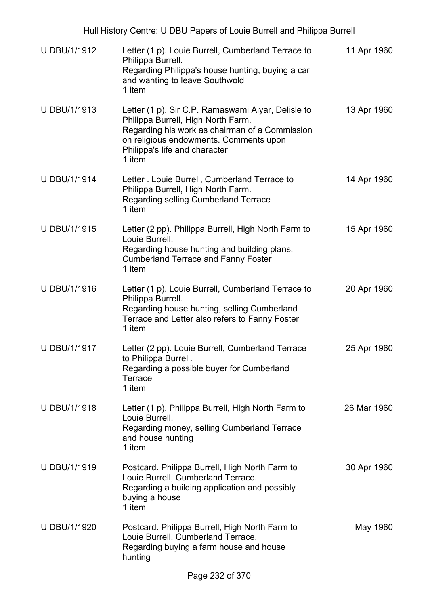| <b>U DBU/1/1912</b> | Letter (1 p). Louie Burrell, Cumberland Terrace to<br>Philippa Burrell.<br>Regarding Philippa's house hunting, buying a car<br>and wanting to leave Southwold<br>1 item                                                         | 11 Apr 1960 |
|---------------------|---------------------------------------------------------------------------------------------------------------------------------------------------------------------------------------------------------------------------------|-------------|
| U DBU/1/1913        | Letter (1 p). Sir C.P. Ramaswami Aiyar, Delisle to<br>Philippa Burrell, High North Farm.<br>Regarding his work as chairman of a Commission<br>on religious endowments. Comments upon<br>Philippa's life and character<br>1 item | 13 Apr 1960 |
| <b>U DBU/1/1914</b> | Letter . Louie Burrell, Cumberland Terrace to<br>Philippa Burrell, High North Farm.<br>Regarding selling Cumberland Terrace<br>1 item                                                                                           | 14 Apr 1960 |
| <b>U DBU/1/1915</b> | Letter (2 pp). Philippa Burrell, High North Farm to<br>Louie Burrell.<br>Regarding house hunting and building plans,<br><b>Cumberland Terrace and Fanny Foster</b><br>1 item                                                    | 15 Apr 1960 |
| <b>U DBU/1/1916</b> | Letter (1 p). Louie Burrell, Cumberland Terrace to<br>Philippa Burrell.<br>Regarding house hunting, selling Cumberland<br>Terrace and Letter also refers to Fanny Foster<br>1 item                                              | 20 Apr 1960 |
| U DBU/1/1917        | Letter (2 pp). Louie Burrell, Cumberland Terrace<br>to Philippa Burrell.<br>Regarding a possible buyer for Cumberland<br>Terrace<br>1 item                                                                                      | 25 Apr 1960 |
| <b>U DBU/1/1918</b> | Letter (1 p). Philippa Burrell, High North Farm to<br>Louie Burrell.<br>Regarding money, selling Cumberland Terrace<br>and house hunting<br>1 item                                                                              | 26 Mar 1960 |
| U DBU/1/1919        | Postcard. Philippa Burrell, High North Farm to<br>Louie Burrell, Cumberland Terrace.<br>Regarding a building application and possibly<br>buying a house<br>1 item                                                               | 30 Apr 1960 |
| <b>U DBU/1/1920</b> | Postcard. Philippa Burrell, High North Farm to<br>Louie Burrell, Cumberland Terrace.<br>Regarding buying a farm house and house<br>hunting                                                                                      | May 1960    |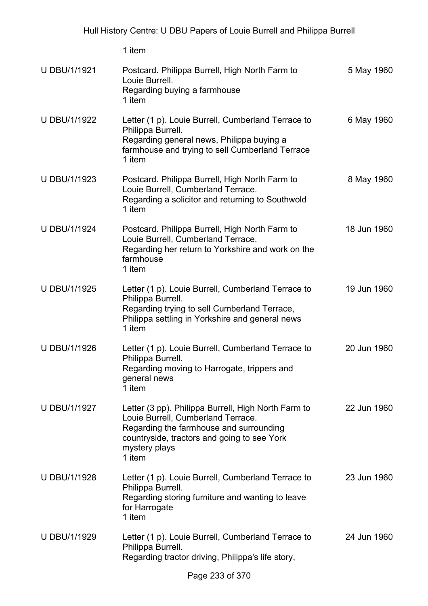| U DBU/1/1921        | Postcard. Philippa Burrell, High North Farm to<br>Louie Burrell.<br>Regarding buying a farmhouse<br>1 item                                                                                                     | 5 May 1960  |
|---------------------|----------------------------------------------------------------------------------------------------------------------------------------------------------------------------------------------------------------|-------------|
| U DBU/1/1922        | Letter (1 p). Louie Burrell, Cumberland Terrace to<br>Philippa Burrell.<br>Regarding general news, Philippa buying a<br>farmhouse and trying to sell Cumberland Terrace<br>1 item                              | 6 May 1960  |
| U DBU/1/1923        | Postcard. Philippa Burrell, High North Farm to<br>Louie Burrell, Cumberland Terrace.<br>Regarding a solicitor and returning to Southwold<br>1 item                                                             | 8 May 1960  |
| <b>U DBU/1/1924</b> | Postcard. Philippa Burrell, High North Farm to<br>Louie Burrell, Cumberland Terrace.<br>Regarding her return to Yorkshire and work on the<br>farmhouse<br>1 item                                               | 18 Jun 1960 |
| <b>U DBU/1/1925</b> | Letter (1 p). Louie Burrell, Cumberland Terrace to<br>Philippa Burrell.<br>Regarding trying to sell Cumberland Terrace,<br>Philippa settling in Yorkshire and general news<br>1 item                           | 19 Jun 1960 |
| U DBU/1/1926        | Letter (1 p). Louie Burrell, Cumberland Terrace to<br>Philippa Burrell.<br>Regarding moving to Harrogate, trippers and<br>general news<br>1 item                                                               | 20 Jun 1960 |
| U DBU/1/1927        | Letter (3 pp). Philippa Burrell, High North Farm to<br>Louie Burrell, Cumberland Terrace.<br>Regarding the farmhouse and surrounding<br>countryside, tractors and going to see York<br>mystery plays<br>1 item | 22 Jun 1960 |
| U DBU/1/1928        | Letter (1 p). Louie Burrell, Cumberland Terrace to<br>Philippa Burrell.<br>Regarding storing furniture and wanting to leave<br>for Harrogate<br>1 item                                                         | 23 Jun 1960 |
| U DBU/1/1929        | Letter (1 p). Louie Burrell, Cumberland Terrace to<br>Philippa Burrell.<br>Regarding tractor driving, Philippa's life story,                                                                                   | 24 Jun 1960 |
|                     | $\sim$ 000 $\sim$ 070                                                                                                                                                                                          |             |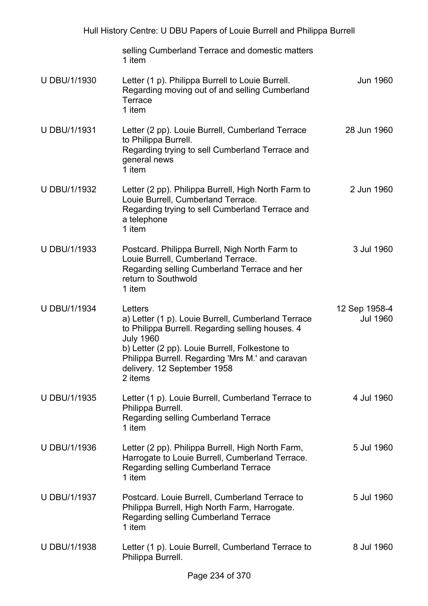| Hull History Centre: U DBU Papers of Louie Burrell and Philippa Burrell |                                                                                                                                                                                                                                                                                       |                                  |  |
|-------------------------------------------------------------------------|---------------------------------------------------------------------------------------------------------------------------------------------------------------------------------------------------------------------------------------------------------------------------------------|----------------------------------|--|
|                                                                         | selling Cumberland Terrace and domestic matters<br>1 item                                                                                                                                                                                                                             |                                  |  |
| U DBU/1/1930                                                            | Letter (1 p). Philippa Burrell to Louie Burrell.<br>Regarding moving out of and selling Cumberland<br>Terrace<br>1 item                                                                                                                                                               | Jun 1960                         |  |
| U DBU/1/1931                                                            | Letter (2 pp). Louie Burrell, Cumberland Terrace<br>to Philippa Burrell.<br>Regarding trying to sell Cumberland Terrace and<br>general news<br>1 item                                                                                                                                 | 28 Jun 1960                      |  |
| U DBU/1/1932                                                            | Letter (2 pp). Philippa Burrell, High North Farm to<br>Louie Burrell, Cumberland Terrace.<br>Regarding trying to sell Cumberland Terrace and<br>a telephone<br>1 item                                                                                                                 | 2 Jun 1960                       |  |
| U DBU/1/1933                                                            | Postcard. Philippa Burrell, Nigh North Farm to<br>Louie Burrell, Cumberland Terrace.<br>Regarding selling Cumberland Terrace and her<br>return to Southwold<br>1 item                                                                                                                 | 3 Jul 1960                       |  |
| U DBU/1/1934                                                            | Letters<br>a) Letter (1 p). Louie Burrell, Cumberland Terrace<br>to Philippa Burrell. Regarding selling houses. 4<br><b>July 1960</b><br>b) Letter (2 pp). Louie Burrell, Folkestone to<br>Philippa Burrell. Regarding 'Mrs M.' and caravan<br>delivery. 12 September 1958<br>2 items | 12 Sep 1958-4<br><b>Jul 1960</b> |  |
| U DBU/1/1935                                                            | Letter (1 p). Louie Burrell, Cumberland Terrace to<br>Philippa Burrell.<br>Regarding selling Cumberland Terrace<br>1 item                                                                                                                                                             | 4 Jul 1960                       |  |
| U DBU/1/1936                                                            | Letter (2 pp). Philippa Burrell, High North Farm,<br>Harrogate to Louie Burrell, Cumberland Terrace.<br>Regarding selling Cumberland Terrace<br>1 item                                                                                                                                | 5 Jul 1960                       |  |
| <b>U DBU/1/1937</b>                                                     | Postcard. Louie Burrell, Cumberland Terrace to<br>Philippa Burrell, High North Farm, Harrogate.<br>Regarding selling Cumberland Terrace<br>1 item                                                                                                                                     | 5 Jul 1960                       |  |
| U DBU/1/1938                                                            | Letter (1 p). Louie Burrell, Cumberland Terrace to<br>Philippa Burrell.                                                                                                                                                                                                               | 8 Jul 1960                       |  |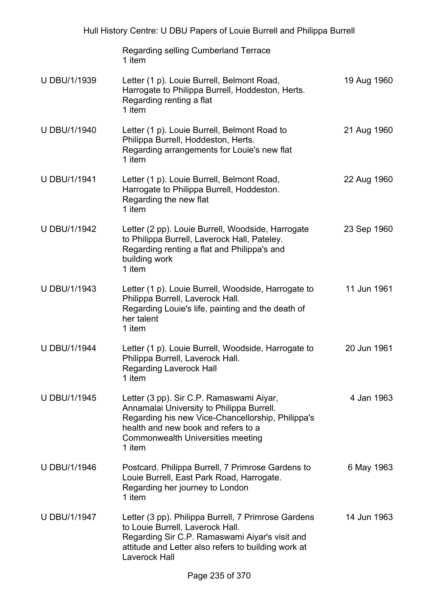| Hull History Centre: U DBU Papers of Louie Burrell and Philippa Burrell |                                                                                                                                                                                                                                  |             |
|-------------------------------------------------------------------------|----------------------------------------------------------------------------------------------------------------------------------------------------------------------------------------------------------------------------------|-------------|
|                                                                         | Regarding selling Cumberland Terrace<br>1 item                                                                                                                                                                                   |             |
| U DBU/1/1939                                                            | Letter (1 p). Louie Burrell, Belmont Road,<br>Harrogate to Philippa Burrell, Hoddeston, Herts.<br>Regarding renting a flat<br>1 item                                                                                             | 19 Aug 1960 |
| U DBU/1/1940                                                            | Letter (1 p). Louie Burrell, Belmont Road to<br>Philippa Burrell, Hoddeston, Herts.<br>Regarding arrangements for Louie's new flat<br>1 item                                                                                     | 21 Aug 1960 |
| <b>U DBU/1/1941</b>                                                     | Letter (1 p). Louie Burrell, Belmont Road,<br>Harrogate to Philippa Burrell, Hoddeston.<br>Regarding the new flat<br>1 item                                                                                                      | 22 Aug 1960 |
| <b>U DBU/1/1942</b>                                                     | Letter (2 pp). Louie Burrell, Woodside, Harrogate<br>to Philippa Burrell, Laverock Hall, Pateley.<br>Regarding renting a flat and Philippa's and<br>building work<br>1 item                                                      | 23 Sep 1960 |
| U DBU/1/1943                                                            | Letter (1 p). Louie Burrell, Woodside, Harrogate to<br>Philippa Burrell, Laverock Hall.<br>Regarding Louie's life, painting and the death of<br>her talent<br>1 item                                                             | 11 Jun 1961 |
| <b>U DBU/1/1944</b>                                                     | Letter (1 p). Louie Burrell, Woodside, Harrogate to<br>Philippa Burrell, Laverock Hall.<br><b>Regarding Laverock Hall</b><br>1 item                                                                                              | 20 Jun 1961 |
| <b>U DBU/1/1945</b>                                                     | Letter (3 pp). Sir C.P. Ramaswami Aiyar,<br>Annamalai University to Philippa Burrell.<br>Regarding his new Vice-Chancellorship, Philippa's<br>health and new book and refers to a<br>Commonwealth Universities meeting<br>1 item | 4 Jan 1963  |
| <b>U DBU/1/1946</b>                                                     | Postcard. Philippa Burrell, 7 Primrose Gardens to<br>Louie Burrell, East Park Road, Harrogate.<br>Regarding her journey to London<br>1 item                                                                                      | 6 May 1963  |
| U DBU/1/1947                                                            | Letter (3 pp). Philippa Burrell, 7 Primrose Gardens<br>to Louie Burrell, Laverock Hall.<br>Regarding Sir C.P. Ramaswami Aiyar's visit and<br>attitude and Letter also refers to building work at<br><b>Laverock Hall</b>         | 14 Jun 1963 |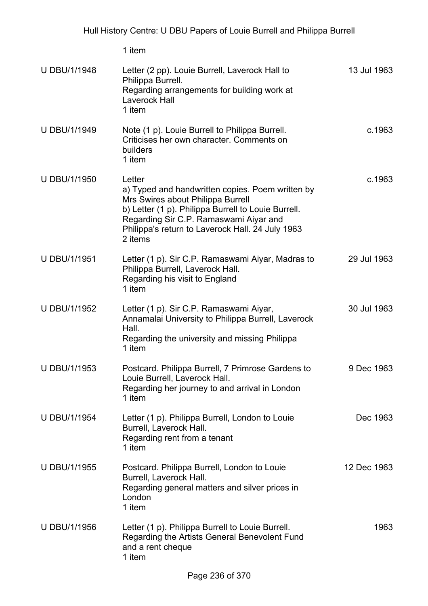1 item U DBU/1/1948 Letter (2 pp). Louie Burrell, Laverock Hall to Philippa Burrell. Regarding arrangements for building work at Laverock Hall 1 item 13 Jul 1963 U DBU/1/1949 Note (1 p). Louie Burrell to Philippa Burrell. Criticises her own character. Comments on builders 1 item c.1963 U DBU/1/1950 Letter a) Typed and handwritten copies. Poem written by Mrs Swires about Philippa Burrell b) Letter (1 p). Philippa Burrell to Louie Burrell. Regarding Sir C.P. Ramaswami Aiyar and Philippa's return to Laverock Hall. 24 July 1963 2 items c.1963 U DBU/1/1951 Letter (1 p). Sir C.P. Ramaswami Aiyar, Madras to Philippa Burrell, Laverock Hall. Regarding his visit to England 1 item 29 Jul 1963 U DBU/1/1952 Letter (1 p). Sir C.P. Ramaswami Aiyar, Annamalai University to Philippa Burrell, Laverock Hall. Regarding the university and missing Philippa 1 item 30 Jul 1963 U DBU/1/1953 Postcard. Philippa Burrell, 7 Primrose Gardens to Louie Burrell, Laverock Hall. Regarding her journey to and arrival in London 1 item 9 Dec 1963 U DBU/1/1954 Letter (1 p). Philippa Burrell, London to Louie Burrell, Laverock Hall. Regarding rent from a tenant 1 item Dec 1963 U DBU/1/1955 Postcard. Philippa Burrell, London to Louie Burrell, Laverock Hall. Regarding general matters and silver prices in London 1 item 12 Dec 1963 U DBU/1/1956 Letter (1 p). Philippa Burrell to Louie Burrell. Regarding the Artists General Benevolent Fund and a rent cheque 1 item 1963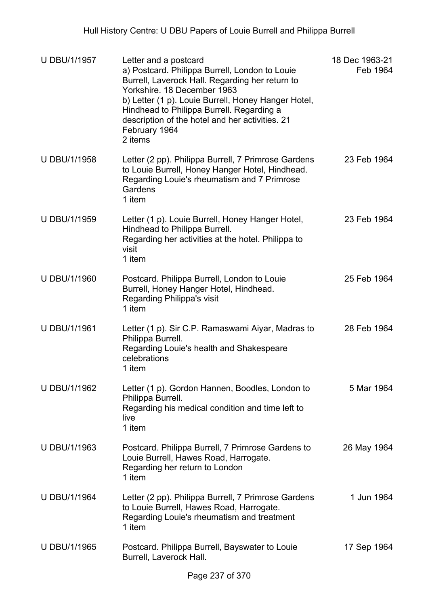| <b>U DBU/1/1957</b> | Letter and a postcard<br>a) Postcard. Philippa Burrell, London to Louie<br>Burrell, Laverock Hall. Regarding her return to<br>Yorkshire. 18 December 1963<br>b) Letter (1 p). Louie Burrell, Honey Hanger Hotel,<br>Hindhead to Philippa Burrell. Regarding a<br>description of the hotel and her activities. 21<br>February 1964<br>2 items | 18 Dec 1963-21<br>Feb 1964 |
|---------------------|----------------------------------------------------------------------------------------------------------------------------------------------------------------------------------------------------------------------------------------------------------------------------------------------------------------------------------------------|----------------------------|
| U DBU/1/1958        | Letter (2 pp). Philippa Burrell, 7 Primrose Gardens<br>to Louie Burrell, Honey Hanger Hotel, Hindhead.<br>Regarding Louie's rheumatism and 7 Primrose<br>Gardens<br>1 item                                                                                                                                                                   | 23 Feb 1964                |
| U DBU/1/1959        | Letter (1 p). Louie Burrell, Honey Hanger Hotel,<br>Hindhead to Philippa Burrell.<br>Regarding her activities at the hotel. Philippa to<br>visit<br>1 item                                                                                                                                                                                   | 23 Feb 1964                |
| U DBU/1/1960        | Postcard. Philippa Burrell, London to Louie<br>Burrell, Honey Hanger Hotel, Hindhead.<br>Regarding Philippa's visit<br>1 item                                                                                                                                                                                                                | 25 Feb 1964                |
| <b>U DBU/1/1961</b> | Letter (1 p). Sir C.P. Ramaswami Aiyar, Madras to<br>Philippa Burrell.<br>Regarding Louie's health and Shakespeare<br>celebrations<br>1 item                                                                                                                                                                                                 | 28 Feb 1964                |
| U DBU/1/1962        | Letter (1 p). Gordon Hannen, Boodles, London to<br>Philippa Burrell.<br>Regarding his medical condition and time left to<br>live<br>1 item                                                                                                                                                                                                   | 5 Mar 1964                 |
| U DBU/1/1963        | Postcard. Philippa Burrell, 7 Primrose Gardens to<br>Louie Burrell, Hawes Road, Harrogate.<br>Regarding her return to London<br>1 item                                                                                                                                                                                                       | 26 May 1964                |
| <b>U DBU/1/1964</b> | Letter (2 pp). Philippa Burrell, 7 Primrose Gardens<br>to Louie Burrell, Hawes Road, Harrogate.<br>Regarding Louie's rheumatism and treatment<br>1 item                                                                                                                                                                                      | 1 Jun 1964                 |
| <b>U DBU/1/1965</b> | Postcard. Philippa Burrell, Bayswater to Louie<br>Burrell, Laverock Hall.                                                                                                                                                                                                                                                                    | 17 Sep 1964                |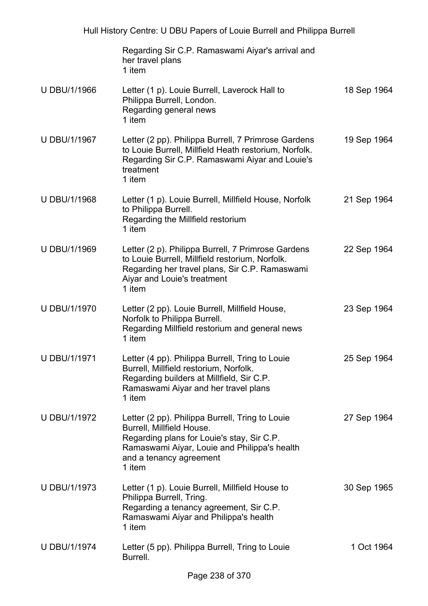|                     | Regarding Sir C.P. Ramaswami Aiyar's arrival and<br>her travel plans<br>1 item                                                                                                                                  |             |
|---------------------|-----------------------------------------------------------------------------------------------------------------------------------------------------------------------------------------------------------------|-------------|
| <b>U DBU/1/1966</b> | Letter (1 p). Louie Burrell, Laverock Hall to<br>Philippa Burrell, London.<br>Regarding general news<br>1 item                                                                                                  | 18 Sep 1964 |
| <b>U DBU/1/1967</b> | Letter (2 pp). Philippa Burrell, 7 Primrose Gardens<br>to Louie Burrell, Millfield Heath restorium, Norfolk.<br>Regarding Sir C.P. Ramaswami Aiyar and Louie's<br>treatment<br>1 item                           | 19 Sep 1964 |
| U DBU/1/1968        | Letter (1 p). Louie Burrell, Millfield House, Norfolk<br>to Philippa Burrell.<br>Regarding the Millfield restorium<br>1 item                                                                                    | 21 Sep 1964 |
| U DBU/1/1969        | Letter (2 p). Philippa Burrell, 7 Primrose Gardens<br>to Louie Burrell, Millfield restorium, Norfolk.<br>Regarding her travel plans, Sir C.P. Ramaswami<br>Aiyar and Louie's treatment<br>1 item                | 22 Sep 1964 |
| U DBU/1/1970        | Letter (2 pp). Louie Burrell, Millfield House,<br>Norfolk to Philippa Burrell.<br>Regarding Millfield restorium and general news<br>1 item                                                                      | 23 Sep 1964 |
| <b>U DBU/1/1971</b> | Letter (4 pp). Philippa Burrell, Tring to Louie<br>Burrell, Millfield restorium, Norfolk.<br>Regarding builders at Millfield, Sir C.P.<br>Ramaswami Aiyar and her travel plans<br>1 item                        | 25 Sep 1964 |
| <b>U DBU/1/1972</b> | Letter (2 pp). Philippa Burrell, Tring to Louie<br>Burrell, Millfield House.<br>Regarding plans for Louie's stay, Sir C.P.<br>Ramaswami Aiyar, Louie and Philippa's health<br>and a tenancy agreement<br>1 item | 27 Sep 1964 |
| <b>U DBU/1/1973</b> | Letter (1 p). Louie Burrell, Millfield House to<br>Philippa Burrell, Tring.<br>Regarding a tenancy agreement, Sir C.P.<br>Ramaswami Aiyar and Philippa's health<br>1 item                                       | 30 Sep 1965 |
| <b>U DBU/1/1974</b> | Letter (5 pp). Philippa Burrell, Tring to Louie<br>Burrell.                                                                                                                                                     | 1 Oct 1964  |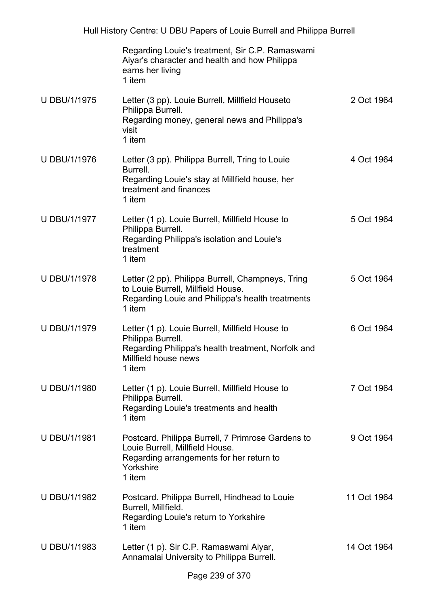|                     | Regarding Louie's treatment, Sir C.P. Ramaswami<br>Aiyar's character and health and how Philippa<br>earns her living<br>1 item                               |             |
|---------------------|--------------------------------------------------------------------------------------------------------------------------------------------------------------|-------------|
| <b>U DBU/1/1975</b> | Letter (3 pp). Louie Burrell, Millfield Houseto<br>Philippa Burrell.<br>Regarding money, general news and Philippa's<br>visit<br>1 item                      | 2 Oct 1964  |
| <b>U DBU/1/1976</b> | Letter (3 pp). Philippa Burrell, Tring to Louie<br>Burrell.<br>Regarding Louie's stay at Millfield house, her<br>treatment and finances<br>1 item            | 4 Oct 1964  |
| <b>U DBU/1/1977</b> | Letter (1 p). Louie Burrell, Millfield House to<br>Philippa Burrell.<br>Regarding Philippa's isolation and Louie's<br>treatment<br>1 item                    | 5 Oct 1964  |
| <b>U DBU/1/1978</b> | Letter (2 pp). Philippa Burrell, Champneys, Tring<br>to Louie Burrell, Millfield House.<br>Regarding Louie and Philippa's health treatments<br>1 item        | 5 Oct 1964  |
| <b>U DBU/1/1979</b> | Letter (1 p). Louie Burrell, Millfield House to<br>Philippa Burrell.<br>Regarding Philippa's health treatment, Norfolk and<br>Millfield house news<br>1 item | 6 Oct 1964  |
| <b>U DBU/1/1980</b> | Letter (1 p). Louie Burrell, Millfield House to<br>Philippa Burrell.<br>Regarding Louie's treatments and health<br>1 item                                    | 7 Oct 1964  |
| U DBU/1/1981        | Postcard. Philippa Burrell, 7 Primrose Gardens to<br>Louie Burrell, Millfield House.<br>Regarding arrangements for her return to<br>Yorkshire<br>1 item      | 9 Oct 1964  |
| <b>U DBU/1/1982</b> | Postcard. Philippa Burrell, Hindhead to Louie<br>Burrell, Millfield.<br>Regarding Louie's return to Yorkshire<br>1 item                                      | 11 Oct 1964 |
| U DBU/1/1983        | Letter (1 p). Sir C.P. Ramaswami Aiyar,<br>Annamalai University to Philippa Burrell.                                                                         | 14 Oct 1964 |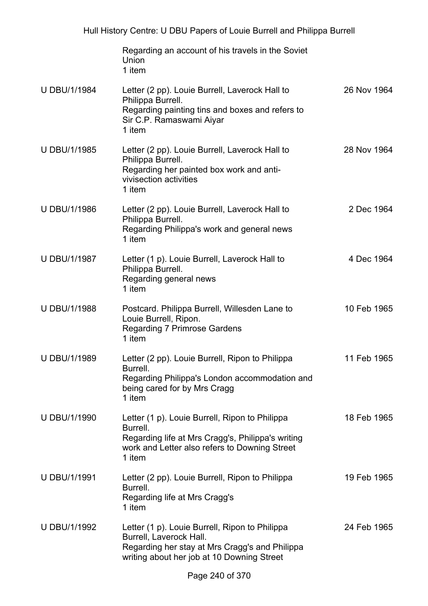|                     | Regarding an account of his travels in the Soviet<br>Union<br>1 item                                                                                                       |             |
|---------------------|----------------------------------------------------------------------------------------------------------------------------------------------------------------------------|-------------|
| <b>U DBU/1/1984</b> | Letter (2 pp). Louie Burrell, Laverock Hall to<br>Philippa Burrell.<br>Regarding painting tins and boxes and refers to<br>Sir C.P. Ramaswami Aiyar<br>1 item               | 26 Nov 1964 |
| <b>U DBU/1/1985</b> | Letter (2 pp). Louie Burrell, Laverock Hall to<br>Philippa Burrell.<br>Regarding her painted box work and anti-<br>vivisection activities<br>1 item                        | 28 Nov 1964 |
| <b>U DBU/1/1986</b> | Letter (2 pp). Louie Burrell, Laverock Hall to<br>Philippa Burrell.<br>Regarding Philippa's work and general news<br>1 item                                                | 2 Dec 1964  |
| <b>U DBU/1/1987</b> | Letter (1 p). Louie Burrell, Laverock Hall to<br>Philippa Burrell.<br>Regarding general news<br>1 item                                                                     | 4 Dec 1964  |
| <b>U DBU/1/1988</b> | Postcard. Philippa Burrell, Willesden Lane to<br>Louie Burrell, Ripon.<br><b>Regarding 7 Primrose Gardens</b><br>1 item                                                    | 10 Feb 1965 |
| U DBU/1/1989        | Letter (2 pp). Louie Burrell, Ripon to Philippa<br>Burrell.<br>Regarding Philippa's London accommodation and<br>being cared for by Mrs Cragg<br>1 item                     | 11 Feb 1965 |
| U DBU/1/1990        | Letter (1 p). Louie Burrell, Ripon to Philippa<br>Burrell.<br>Regarding life at Mrs Cragg's, Philippa's writing<br>work and Letter also refers to Downing Street<br>1 item | 18 Feb 1965 |
| U DBU/1/1991        | Letter (2 pp). Louie Burrell, Ripon to Philippa<br>Burrell.<br>Regarding life at Mrs Cragg's<br>1 item                                                                     | 19 Feb 1965 |
| U DBU/1/1992        | Letter (1 p). Louie Burrell, Ripon to Philippa<br>Burrell, Laverock Hall.<br>Regarding her stay at Mrs Cragg's and Philippa<br>writing about her job at 10 Downing Street  | 24 Feb 1965 |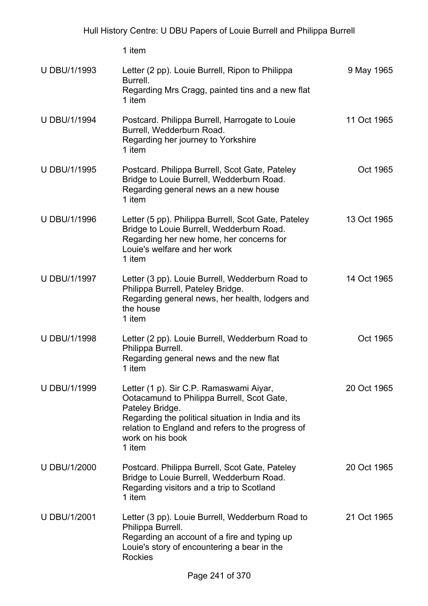| <b>U DBU/1/1993</b> | Letter (2 pp). Louie Burrell, Ripon to Philippa<br>Burrell.<br>Regarding Mrs Cragg, painted tins and a new flat<br>1 item                                                                                                                         | 9 May 1965  |
|---------------------|---------------------------------------------------------------------------------------------------------------------------------------------------------------------------------------------------------------------------------------------------|-------------|
| <b>U DBU/1/1994</b> | Postcard. Philippa Burrell, Harrogate to Louie<br>Burrell, Wedderburn Road.<br>Regarding her journey to Yorkshire<br>1 item                                                                                                                       | 11 Oct 1965 |
| <b>U DBU/1/1995</b> | Postcard. Philippa Burrell, Scot Gate, Pateley<br>Bridge to Louie Burrell, Wedderburn Road.<br>Regarding general news an a new house<br>1 item                                                                                                    | Oct 1965    |
| <b>U DBU/1/1996</b> | Letter (5 pp). Philippa Burrell, Scot Gate, Pateley<br>Bridge to Louie Burrell, Wedderburn Road.<br>Regarding her new home, her concerns for<br>Louie's welfare and her work<br>1 item                                                            | 13 Oct 1965 |
| <b>U DBU/1/1997</b> | Letter (3 pp). Louie Burrell, Wedderburn Road to<br>Philippa Burrell, Pateley Bridge.<br>Regarding general news, her health, lodgers and<br>the house<br>1 item                                                                                   | 14 Oct 1965 |
| U DBU/1/1998        | Letter (2 pp). Louie Burrell, Wedderburn Road to<br>Philippa Burrell.<br>Regarding general news and the new flat<br>1 item                                                                                                                        | Oct 1965    |
| <b>U DBU/1/1999</b> | Letter (1 p). Sir C.P. Ramaswami Aiyar,<br>Ootacamund to Philippa Burrell, Scot Gate,<br>Pateley Bridge.<br>Regarding the political situation in India and its<br>relation to England and refers to the progress of<br>work on his book<br>1 item | 20 Oct 1965 |
| <b>U DBU/1/2000</b> | Postcard. Philippa Burrell, Scot Gate, Pateley<br>Bridge to Louie Burrell, Wedderburn Road.<br>Regarding visitors and a trip to Scotland<br>1 item                                                                                                | 20 Oct 1965 |
| <b>U DBU/1/2001</b> | Letter (3 pp). Louie Burrell, Wedderburn Road to<br>Philippa Burrell.<br>Regarding an account of a fire and typing up<br>Louie's story of encountering a bear in the<br><b>Rockies</b>                                                            | 21 Oct 1965 |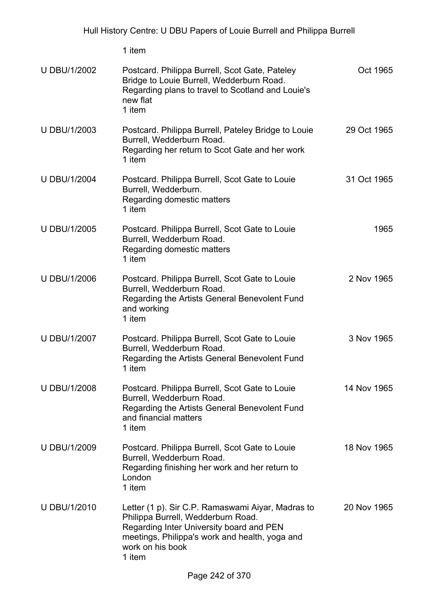1 item U DBU/1/2002 Postcard. Philippa Burrell, Scot Gate, Pateley Bridge to Louie Burrell, Wedderburn Road. Regarding plans to travel to Scotland and Louie's new flat 1 item Oct 1965 U DBU/1/2003 Postcard. Philippa Burrell, Pateley Bridge to Louie Burrell, Wedderburn Road. Regarding her return to Scot Gate and her work 1 item 29 Oct 1965 U DBU/1/2004 Postcard. Philippa Burrell, Scot Gate to Louie Burrell, Wedderburn. Regarding domestic matters 1 item 31 Oct 1965 U DBU/1/2005 Postcard. Philippa Burrell, Scot Gate to Louie Burrell, Wedderburn Road. Regarding domestic matters 1 item 1965 U DBU/1/2006 Postcard. Philippa Burrell, Scot Gate to Louie Burrell, Wedderburn Road. Regarding the Artists General Benevolent Fund and working 1 item 2 Nov 1965 U DBU/1/2007 Postcard. Philippa Burrell, Scot Gate to Louie Burrell, Wedderburn Road. Regarding the Artists General Benevolent Fund 1 item 3 Nov 1965 U DBU/1/2008 Postcard. Philippa Burrell, Scot Gate to Louie Burrell, Wedderburn Road. Regarding the Artists General Benevolent Fund and financial matters 1 item 14 Nov 1965 U DBU/1/2009 Postcard. Philippa Burrell, Scot Gate to Louie Burrell, Wedderburn Road. Regarding finishing her work and her return to London 1 item 18 Nov 1965 U DBU/1/2010 Letter (1 p). Sir C.P. Ramaswami Aiyar, Madras to Philippa Burrell, Wedderburn Road. Regarding Inter University board and PEN meetings, Philippa's work and health, yoga and 20 Nov 1965

work on his book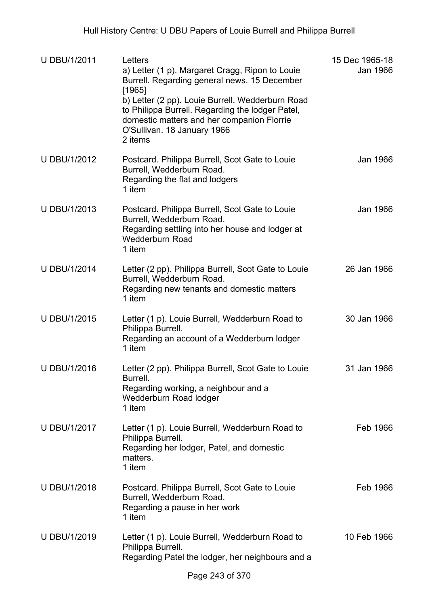| U DBU/1/2011        | Letters<br>a) Letter (1 p). Margaret Cragg, Ripon to Louie<br>Burrell. Regarding general news. 15 December<br>[1965]<br>b) Letter (2 pp). Louie Burrell, Wedderburn Road<br>to Philippa Burrell. Regarding the lodger Patel,<br>domestic matters and her companion Florrie<br>O'Sullivan. 18 January 1966<br>2 items | 15 Dec 1965-18<br>Jan 1966 |
|---------------------|----------------------------------------------------------------------------------------------------------------------------------------------------------------------------------------------------------------------------------------------------------------------------------------------------------------------|----------------------------|
| <b>U DBU/1/2012</b> | Postcard. Philippa Burrell, Scot Gate to Louie<br>Burrell, Wedderburn Road.<br>Regarding the flat and lodgers<br>1 item                                                                                                                                                                                              | Jan 1966                   |
| U DBU/1/2013        | Postcard. Philippa Burrell, Scot Gate to Louie<br>Burrell, Wedderburn Road.<br>Regarding settling into her house and lodger at<br><b>Wedderburn Road</b><br>1 item                                                                                                                                                   | Jan 1966                   |
| <b>U DBU/1/2014</b> | Letter (2 pp). Philippa Burrell, Scot Gate to Louie<br>Burrell, Wedderburn Road.<br>Regarding new tenants and domestic matters<br>1 item                                                                                                                                                                             | 26 Jan 1966                |
| U DBU/1/2015        | Letter (1 p). Louie Burrell, Wedderburn Road to<br>Philippa Burrell.<br>Regarding an account of a Wedderburn lodger<br>1 item                                                                                                                                                                                        | 30 Jan 1966                |
| <b>U DBU/1/2016</b> | Letter (2 pp). Philippa Burrell, Scot Gate to Louie<br>Burrell.<br>Regarding working, a neighbour and a<br>Wedderburn Road lodger<br>1 item                                                                                                                                                                          | 31 Jan 1966                |
| <b>U DBU/1/2017</b> | Letter (1 p). Louie Burrell, Wedderburn Road to<br>Philippa Burrell.<br>Regarding her lodger, Patel, and domestic<br>matters.<br>1 item                                                                                                                                                                              | Feb 1966                   |
| U DBU/1/2018        | Postcard. Philippa Burrell, Scot Gate to Louie<br>Burrell, Wedderburn Road.<br>Regarding a pause in her work<br>1 item                                                                                                                                                                                               | Feb 1966                   |
| U DBU/1/2019        | Letter (1 p). Louie Burrell, Wedderburn Road to<br>Philippa Burrell.<br>Regarding Patel the lodger, her neighbours and a                                                                                                                                                                                             | 10 Feb 1966                |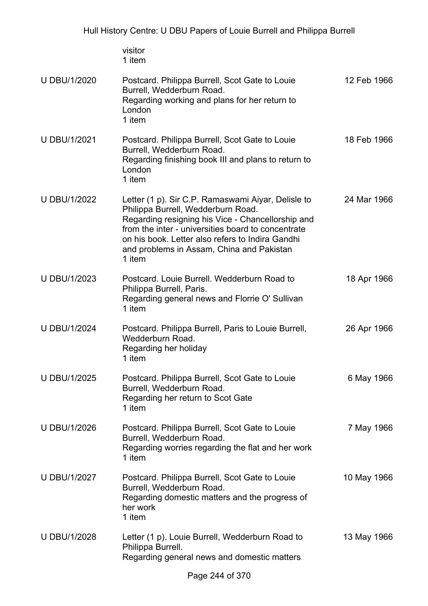visitor 1 item

| U DBU/1/2020        | Postcard. Philippa Burrell, Scot Gate to Louie<br>Burrell, Wedderburn Road.<br>Regarding working and plans for her return to<br>London<br>1 item                                                                                                                                                               | 12 Feb 1966 |
|---------------------|----------------------------------------------------------------------------------------------------------------------------------------------------------------------------------------------------------------------------------------------------------------------------------------------------------------|-------------|
| U DBU/1/2021        | Postcard. Philippa Burrell, Scot Gate to Louie<br>Burrell, Wedderburn Road.<br>Regarding finishing book III and plans to return to<br>London<br>1 item                                                                                                                                                         | 18 Feb 1966 |
| <b>U DBU/1/2022</b> | Letter (1 p). Sir C.P. Ramaswami Aiyar, Delisle to<br>Philippa Burrell, Wedderburn Road.<br>Regarding resigning his Vice - Chancellorship and<br>from the inter - universities board to concentrate<br>on his book. Letter also refers to Indira Gandhi<br>and problems in Assam, China and Pakistan<br>1 item | 24 Mar 1966 |
| U DBU/1/2023        | Postcard. Louie Burrell. Wedderburn Road to<br>Philippa Burrell, Paris.<br>Regarding general news and Florrie O' Sullivan<br>1 item                                                                                                                                                                            | 18 Apr 1966 |
| <b>U DBU/1/2024</b> | Postcard. Philippa Burrell, Paris to Louie Burrell,<br>Wedderburn Road.<br>Regarding her holiday<br>1 item                                                                                                                                                                                                     | 26 Apr 1966 |
| U DBU/1/2025        | Postcard. Philippa Burrell, Scot Gate to Louie<br>Burrell, Wedderburn Road.<br>Regarding her return to Scot Gate<br>1 item                                                                                                                                                                                     | 6 May 1966  |
| <b>U DBU/1/2026</b> | Postcard. Philippa Burrell, Scot Gate to Louie<br>Burrell, Wedderburn Road.<br>Regarding worries regarding the flat and her work<br>1 item                                                                                                                                                                     | 7 May 1966  |
| <b>U DBU/1/2027</b> | Postcard. Philippa Burrell, Scot Gate to Louie<br>Burrell, Wedderburn Road.<br>Regarding domestic matters and the progress of<br>her work<br>1 item                                                                                                                                                            | 10 May 1966 |
| <b>U DBU/1/2028</b> | Letter (1 p). Louie Burrell, Wedderburn Road to<br>Philippa Burrell.<br>Regarding general news and domestic matters                                                                                                                                                                                            | 13 May 1966 |
|                     | Page 244 of 370                                                                                                                                                                                                                                                                                                |             |
|                     |                                                                                                                                                                                                                                                                                                                |             |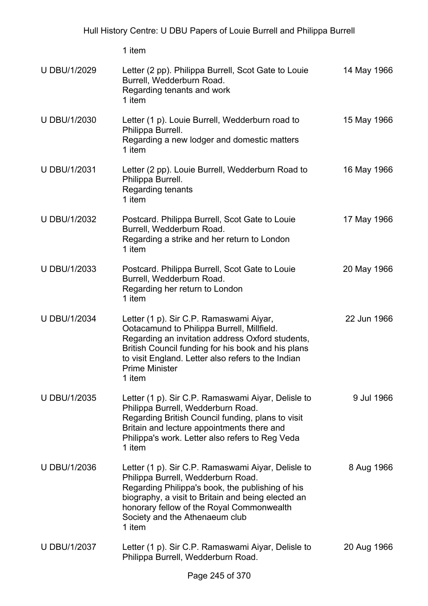Page 245 of 370 U DBU/1/2029 Letter (2 pp). Philippa Burrell, Scot Gate to Louie Burrell, Wedderburn Road. Regarding tenants and work 1 item 14 May 1966 U DBU/1/2030 Letter (1 p). Louie Burrell, Wedderburn road to Philippa Burrell. Regarding a new lodger and domestic matters 1 item 15 May 1966 U DBU/1/2031 Letter (2 pp). Louie Burrell, Wedderburn Road to Philippa Burrell. Regarding tenants 1 item 16 May 1966 U DBU/1/2032 Postcard. Philippa Burrell, Scot Gate to Louie Burrell, Wedderburn Road. Regarding a strike and her return to London 1 item 17 May 1966 U DBU/1/2033 Postcard. Philippa Burrell, Scot Gate to Louie Burrell, Wedderburn Road. Regarding her return to London 1 item 20 May 1966 U DBU/1/2034 Letter (1 p). Sir C.P. Ramaswami Aiyar, Ootacamund to Philippa Burrell, Millfield. Regarding an invitation address Oxford students, British Council funding for his book and his plans to visit England. Letter also refers to the Indian Prime Minister 1 item 22 Jun 1966 U DBU/1/2035 Letter (1 p). Sir C.P. Ramaswami Aiyar, Delisle to Philippa Burrell, Wedderburn Road. Regarding British Council funding, plans to visit Britain and lecture appointments there and Philippa's work. Letter also refers to Reg Veda 1 item 9 Jul 1966 U DBU/1/2036 Letter (1 p). Sir C.P. Ramaswami Aiyar, Delisle to Philippa Burrell, Wedderburn Road. Regarding Philippa's book, the publishing of his biography, a visit to Britain and being elected an honorary fellow of the Royal Commonwealth Society and the Athenaeum club 1 item 8 Aug 1966 U DBU/1/2037 Letter (1 p). Sir C.P. Ramaswami Aiyar, Delisle to Philippa Burrell, Wedderburn Road. 20 Aug 1966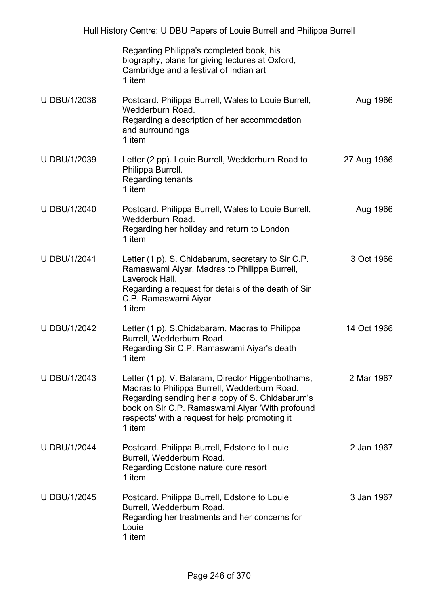|                     | Regarding Philippa's completed book, his<br>biography, plans for giving lectures at Oxford,<br>Cambridge and a festival of Indian art<br>1 item                                                                                                                     |             |
|---------------------|---------------------------------------------------------------------------------------------------------------------------------------------------------------------------------------------------------------------------------------------------------------------|-------------|
| <b>U DBU/1/2038</b> | Postcard. Philippa Burrell, Wales to Louie Burrell,<br>Wedderburn Road.<br>Regarding a description of her accommodation<br>and surroundings<br>1 item                                                                                                               | Aug 1966    |
| <b>U DBU/1/2039</b> | Letter (2 pp). Louie Burrell, Wedderburn Road to<br>Philippa Burrell.<br>Regarding tenants<br>1 item                                                                                                                                                                | 27 Aug 1966 |
| <b>U DBU/1/2040</b> | Postcard. Philippa Burrell, Wales to Louie Burrell,<br>Wedderburn Road.<br>Regarding her holiday and return to London<br>1 item                                                                                                                                     | Aug 1966    |
| <b>U DBU/1/2041</b> | Letter (1 p). S. Chidabarum, secretary to Sir C.P.<br>Ramaswami Aiyar, Madras to Philippa Burrell,<br>Laverock Hall.<br>Regarding a request for details of the death of Sir<br>C.P. Ramaswami Aiyar<br>1 item                                                       | 3 Oct 1966  |
| <b>U DBU/1/2042</b> | Letter (1 p). S.Chidabaram, Madras to Philippa<br>Burrell, Wedderburn Road.<br>Regarding Sir C.P. Ramaswami Aiyar's death<br>1 item                                                                                                                                 | 14 Oct 1966 |
| <b>U DBU/1/2043</b> | Letter (1 p). V. Balaram, Director Higgenbothams,<br>Madras to Philippa Burrell, Wedderburn Road.<br>Regarding sending her a copy of S. Chidabarum's<br>book on Sir C.P. Ramaswami Aiyar 'With profound<br>respects' with a request for help promoting it<br>1 item | 2 Mar 1967  |
| <b>U DBU/1/2044</b> | Postcard. Philippa Burrell, Edstone to Louie<br>Burrell, Wedderburn Road.<br>Regarding Edstone nature cure resort<br>1 item                                                                                                                                         | 2 Jan 1967  |
| <b>U DBU/1/2045</b> | Postcard. Philippa Burrell, Edstone to Louie<br>Burrell, Wedderburn Road.<br>Regarding her treatments and her concerns for<br>Louie<br>1 item                                                                                                                       | 3 Jan 1967  |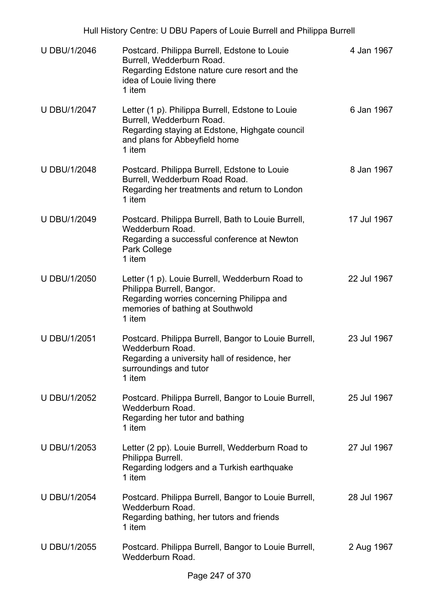| <b>U DBU/1/2046</b> | Postcard. Philippa Burrell, Edstone to Louie<br>Burrell, Wedderburn Road.<br>Regarding Edstone nature cure resort and the<br>idea of Louie living there<br>1 item          | 4 Jan 1967  |
|---------------------|----------------------------------------------------------------------------------------------------------------------------------------------------------------------------|-------------|
| <b>U DBU/1/2047</b> | Letter (1 p). Philippa Burrell, Edstone to Louie<br>Burrell, Wedderburn Road.<br>Regarding staying at Edstone, Highgate council<br>and plans for Abbeyfield home<br>1 item | 6 Jan 1967  |
| <b>U DBU/1/2048</b> | Postcard. Philippa Burrell, Edstone to Louie<br>Burrell, Wedderburn Road Road.<br>Regarding her treatments and return to London<br>1 item                                  | 8 Jan 1967  |
| <b>U DBU/1/2049</b> | Postcard. Philippa Burrell, Bath to Louie Burrell,<br>Wedderburn Road.<br>Regarding a successful conference at Newton<br>Park College<br>1 item                            | 17 Jul 1967 |
| <b>U DBU/1/2050</b> | Letter (1 p). Louie Burrell, Wedderburn Road to<br>Philippa Burrell, Bangor.<br>Regarding worries concerning Philippa and<br>memories of bathing at Southwold<br>1 item    | 22 Jul 1967 |
| <b>U DBU/1/2051</b> | Postcard. Philippa Burrell, Bangor to Louie Burrell,<br>Wedderburn Road.<br>Regarding a university hall of residence, her<br>surroundings and tutor<br>1 item              | 23 Jul 1967 |
| <b>U DBU/1/2052</b> | Postcard. Philippa Burrell, Bangor to Louie Burrell,<br>Wedderburn Road.<br>Regarding her tutor and bathing<br>1 item                                                      | 25 Jul 1967 |
| U DBU/1/2053        | Letter (2 pp). Louie Burrell, Wedderburn Road to<br>Philippa Burrell.<br>Regarding lodgers and a Turkish earthquake<br>1 item                                              | 27 Jul 1967 |
| <b>U DBU/1/2054</b> | Postcard. Philippa Burrell, Bangor to Louie Burrell,<br>Wedderburn Road.<br>Regarding bathing, her tutors and friends<br>1 item                                            | 28 Jul 1967 |
| U DBU/1/2055        | Postcard. Philippa Burrell, Bangor to Louie Burrell,<br>Wedderburn Road.                                                                                                   | 2 Aug 1967  |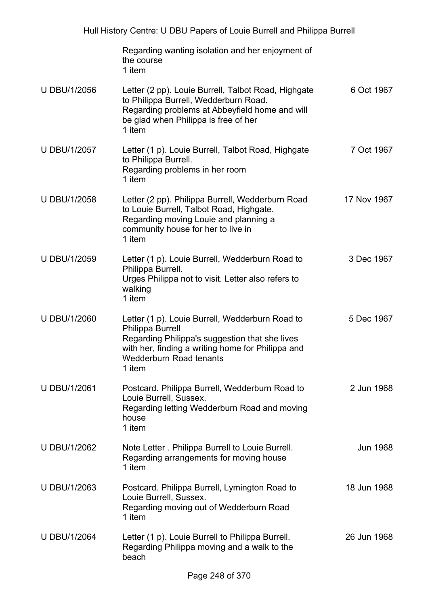|                     | Regarding wanting isolation and her enjoyment of<br>the course<br>1 item                                                                                                                                                      |                 |
|---------------------|-------------------------------------------------------------------------------------------------------------------------------------------------------------------------------------------------------------------------------|-----------------|
| <b>U DBU/1/2056</b> | Letter (2 pp). Louie Burrell, Talbot Road, Highgate<br>to Philippa Burrell, Wedderburn Road.<br>Regarding problems at Abbeyfield home and will<br>be glad when Philippa is free of her<br>1 item                              | 6 Oct 1967      |
| <b>U DBU/1/2057</b> | Letter (1 p). Louie Burrell, Talbot Road, Highgate<br>to Philippa Burrell.<br>Regarding problems in her room<br>1 item                                                                                                        | 7 Oct 1967      |
| U DBU/1/2058        | Letter (2 pp). Philippa Burrell, Wedderburn Road<br>to Louie Burrell, Talbot Road, Highgate.<br>Regarding moving Louie and planning a<br>community house for her to live in<br>1 item                                         | 17 Nov 1967     |
| U DBU/1/2059        | Letter (1 p). Louie Burrell, Wedderburn Road to<br>Philippa Burrell.<br>Urges Philippa not to visit. Letter also refers to<br>walking<br>1 item                                                                               | 3 Dec 1967      |
| <b>U DBU/1/2060</b> | Letter (1 p). Louie Burrell, Wedderburn Road to<br><b>Philippa Burrell</b><br>Regarding Philippa's suggestion that she lives<br>with her, finding a writing home for Philippa and<br><b>Wedderburn Road tenants</b><br>1 item | 5 Dec 1967      |
| <b>U DBU/1/2061</b> | Postcard. Philippa Burrell, Wedderburn Road to<br>Louie Burrell, Sussex.<br>Regarding letting Wedderburn Road and moving<br>house<br>1 item                                                                                   | 2 Jun 1968      |
| U DBU/1/2062        | Note Letter. Philippa Burrell to Louie Burrell.<br>Regarding arrangements for moving house<br>1 item                                                                                                                          | <b>Jun 1968</b> |
| U DBU/1/2063        | Postcard. Philippa Burrell, Lymington Road to<br>Louie Burrell, Sussex.<br>Regarding moving out of Wedderburn Road<br>1 item                                                                                                  | 18 Jun 1968     |
| <b>U DBU/1/2064</b> | Letter (1 p). Louie Burrell to Philippa Burrell.<br>Regarding Philippa moving and a walk to the<br>beach                                                                                                                      | 26 Jun 1968     |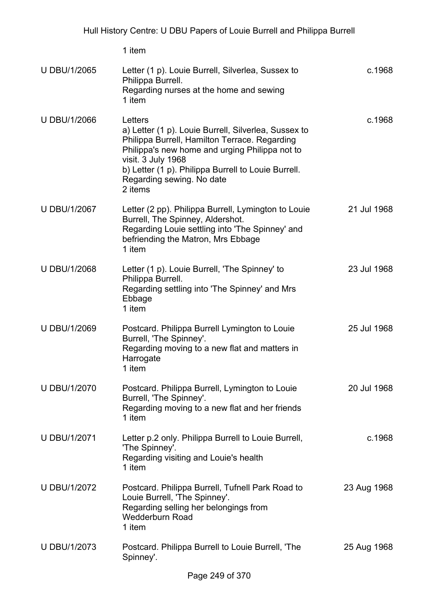|                     | 1 item                                                                                                                                                                                                                                                                                  |             |
|---------------------|-----------------------------------------------------------------------------------------------------------------------------------------------------------------------------------------------------------------------------------------------------------------------------------------|-------------|
| <b>U DBU/1/2065</b> | Letter (1 p). Louie Burrell, Silverlea, Sussex to<br>Philippa Burrell.<br>Regarding nurses at the home and sewing<br>1 item                                                                                                                                                             | c.1968      |
| <b>U DBU/1/2066</b> | Letters<br>a) Letter (1 p). Louie Burrell, Silverlea, Sussex to<br>Philippa Burrell, Hamilton Terrace. Regarding<br>Philippa's new home and urging Philippa not to<br>visit. 3 July 1968<br>b) Letter (1 p). Philippa Burrell to Louie Burrell.<br>Regarding sewing. No date<br>2 items | c.1968      |
| <b>U DBU/1/2067</b> | Letter (2 pp). Philippa Burrell, Lymington to Louie<br>Burrell, The Spinney, Aldershot.<br>Regarding Louie settling into 'The Spinney' and<br>befriending the Matron, Mrs Ebbage<br>1 item                                                                                              | 21 Jul 1968 |
| <b>U DBU/1/2068</b> | Letter (1 p). Louie Burrell, 'The Spinney' to<br>Philippa Burrell.<br>Regarding settling into 'The Spinney' and Mrs<br>Ebbage<br>1 item                                                                                                                                                 | 23 Jul 1968 |
| U DBU/1/2069        | Postcard. Philippa Burrell Lymington to Louie<br>Burrell, 'The Spinney'.<br>Regarding moving to a new flat and matters in<br>Harrogate<br>1 item                                                                                                                                        | 25 Jul 1968 |
| <b>U DBU/1/2070</b> | Postcard. Philippa Burrell, Lymington to Louie<br>Burrell, 'The Spinney'.<br>Regarding moving to a new flat and her friends<br>1 item                                                                                                                                                   | 20 Jul 1968 |
| <b>U DBU/1/2071</b> | Letter p.2 only. Philippa Burrell to Louie Burrell,<br>'The Spinney'.<br>Regarding visiting and Louie's health<br>1 item                                                                                                                                                                | c.1968      |
| <b>U DBU/1/2072</b> | Postcard. Philippa Burrell, Tufnell Park Road to<br>Louie Burrell, 'The Spinney'.<br>Regarding selling her belongings from<br><b>Wedderburn Road</b><br>1 item                                                                                                                          | 23 Aug 1968 |
| <b>U DBU/1/2073</b> | Postcard. Philippa Burrell to Louie Burrell, 'The<br>Spinney'.                                                                                                                                                                                                                          | 25 Aug 1968 |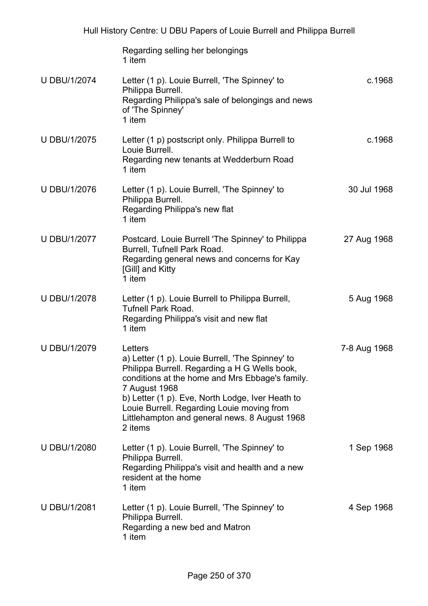|                     | Regarding selling her belongings<br>1 item                                                                                                                                                                                                                                                                                                     |              |
|---------------------|------------------------------------------------------------------------------------------------------------------------------------------------------------------------------------------------------------------------------------------------------------------------------------------------------------------------------------------------|--------------|
| <b>U DBU/1/2074</b> | Letter (1 p). Louie Burrell, 'The Spinney' to<br>Philippa Burrell.<br>Regarding Philippa's sale of belongings and news<br>of 'The Spinney'<br>1 item                                                                                                                                                                                           | c.1968       |
| <b>U DBU/1/2075</b> | Letter (1 p) postscript only. Philippa Burrell to<br>Louie Burrell.<br>Regarding new tenants at Wedderburn Road<br>1 item                                                                                                                                                                                                                      | c.1968       |
| <b>U DBU/1/2076</b> | Letter (1 p). Louie Burrell, 'The Spinney' to<br>Philippa Burrell.<br>Regarding Philippa's new flat<br>1 item                                                                                                                                                                                                                                  | 30 Jul 1968  |
| <b>U DBU/1/2077</b> | Postcard. Louie Burrell 'The Spinney' to Philippa<br>Burrell, Tufnell Park Road.<br>Regarding general news and concerns for Kay<br>[Gill] and Kitty<br>1 item                                                                                                                                                                                  | 27 Aug 1968  |
| <b>U DBU/1/2078</b> | Letter (1 p). Louie Burrell to Philippa Burrell,<br><b>Tufnell Park Road.</b><br>Regarding Philippa's visit and new flat<br>1 item                                                                                                                                                                                                             | 5 Aug 1968   |
| <b>U DBU/1/2079</b> | Letters<br>a) Letter (1 p). Louie Burrell, 'The Spinney' to<br>Philippa Burrell. Regarding a H G Wells book,<br>conditions at the home and Mrs Ebbage's family.<br>7 August 1968<br>b) Letter (1 p). Eve, North Lodge, Iver Heath to<br>Louie Burrell. Regarding Louie moving from<br>Littlehampton and general news. 8 August 1968<br>2 items | 7-8 Aug 1968 |
| <b>U DBU/1/2080</b> | Letter (1 p). Louie Burrell, 'The Spinney' to<br>Philippa Burrell.<br>Regarding Philippa's visit and health and a new<br>resident at the home<br>1 item                                                                                                                                                                                        | 1 Sep 1968   |
| <b>U DBU/1/2081</b> | Letter (1 p). Louie Burrell, 'The Spinney' to<br>Philippa Burrell.<br>Regarding a new bed and Matron<br>1 item                                                                                                                                                                                                                                 | 4 Sep 1968   |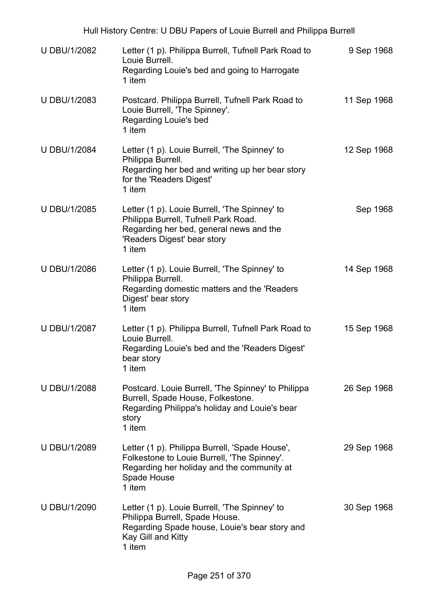| <b>U DBU/1/2082</b> | Letter (1 p). Philippa Burrell, Tufnell Park Road to<br>Louie Burrell.<br>Regarding Louie's bed and going to Harrogate<br>1 item                                          | 9 Sep 1968  |
|---------------------|---------------------------------------------------------------------------------------------------------------------------------------------------------------------------|-------------|
| U DBU/1/2083        | Postcard. Philippa Burrell, Tufnell Park Road to<br>Louie Burrell, 'The Spinney'.<br>Regarding Louie's bed<br>1 item                                                      | 11 Sep 1968 |
| <b>U DBU/1/2084</b> | Letter (1 p). Louie Burrell, 'The Spinney' to<br>Philippa Burrell.<br>Regarding her bed and writing up her bear story<br>for the 'Readers Digest'<br>1 item               | 12 Sep 1968 |
| <b>U DBU/1/2085</b> | Letter (1 p). Louie Burrell, 'The Spinney' to<br>Philippa Burrell, Tufnell Park Road.<br>Regarding her bed, general news and the<br>'Readers Digest' bear story<br>1 item | Sep 1968    |
| <b>U DBU/1/2086</b> | Letter (1 p). Louie Burrell, 'The Spinney' to<br>Philippa Burrell.<br>Regarding domestic matters and the 'Readers'<br>Digest' bear story<br>1 item                        | 14 Sep 1968 |
| <b>U DBU/1/2087</b> | Letter (1 p). Philippa Burrell, Tufnell Park Road to<br>Louie Burrell.<br>Regarding Louie's bed and the 'Readers Digest'<br>bear story<br>1 item                          | 15 Sep 1968 |
| <b>U DBU/1/2088</b> | Postcard. Louie Burrell, 'The Spinney' to Philippa<br>Burrell, Spade House, Folkestone.<br>Regarding Philippa's holiday and Louie's bear<br>story<br>1 item               | 26 Sep 1968 |
| U DBU/1/2089        | Letter (1 p). Philippa Burrell, 'Spade House',<br>Folkestone to Louie Burrell, 'The Spinney'.<br>Regarding her holiday and the community at<br>Spade House<br>1 item      | 29 Sep 1968 |
| <b>U DBU/1/2090</b> | Letter (1 p). Louie Burrell, 'The Spinney' to<br>Philippa Burrell, Spade House.<br>Regarding Spade house, Louie's bear story and<br>Kay Gill and Kitty<br>1 item          | 30 Sep 1968 |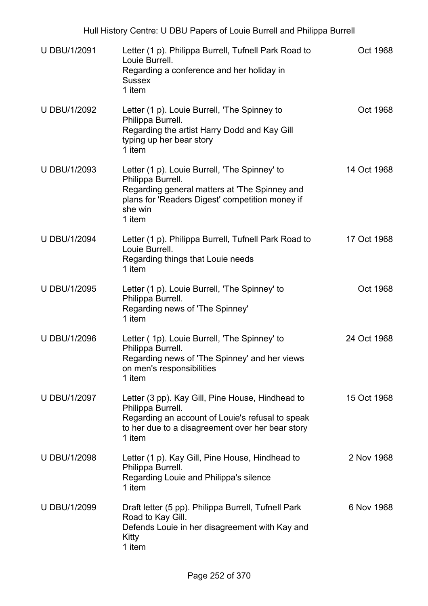| <b>U DBU/1/2091</b> | Letter (1 p). Philippa Burrell, Tufnell Park Road to<br>Louie Burrell.<br>Regarding a conference and her holiday in<br><b>Sussex</b><br>1 item                                              | Oct 1968    |
|---------------------|---------------------------------------------------------------------------------------------------------------------------------------------------------------------------------------------|-------------|
| <b>U DBU/1/2092</b> | Letter (1 p). Louie Burrell, 'The Spinney to<br>Philippa Burrell.<br>Regarding the artist Harry Dodd and Kay Gill<br>typing up her bear story<br>1 item                                     | Oct 1968    |
| U DBU/1/2093        | Letter (1 p). Louie Burrell, 'The Spinney' to<br>Philippa Burrell.<br>Regarding general matters at 'The Spinney and<br>plans for 'Readers Digest' competition money if<br>she win<br>1 item | 14 Oct 1968 |
| <b>U DBU/1/2094</b> | Letter (1 p). Philippa Burrell, Tufnell Park Road to<br>Louie Burrell.<br>Regarding things that Louie needs<br>1 item                                                                       | 17 Oct 1968 |
| <b>U DBU/1/2095</b> | Letter (1 p). Louie Burrell, 'The Spinney' to<br>Philippa Burrell.<br>Regarding news of 'The Spinney'<br>1 item                                                                             | Oct 1968    |
| <b>U DBU/1/2096</b> | Letter (1p). Louie Burrell, 'The Spinney' to<br>Philippa Burrell.<br>Regarding news of 'The Spinney' and her views<br>on men's responsibilities<br>1 item                                   | 24 Oct 1968 |
| <b>U DBU/1/2097</b> | Letter (3 pp). Kay Gill, Pine House, Hindhead to<br>Philippa Burrell.<br>Regarding an account of Louie's refusal to speak<br>to her due to a disagreement over her bear story<br>1 item     | 15 Oct 1968 |
| <b>U DBU/1/2098</b> | Letter (1 p). Kay Gill, Pine House, Hindhead to<br>Philippa Burrell.<br>Regarding Louie and Philippa's silence<br>1 item                                                                    | 2 Nov 1968  |
| <b>U DBU/1/2099</b> | Draft letter (5 pp). Philippa Burrell, Tufnell Park<br>Road to Kay Gill.<br>Defends Louie in her disagreement with Kay and<br>Kitty<br>1 item                                               | 6 Nov 1968  |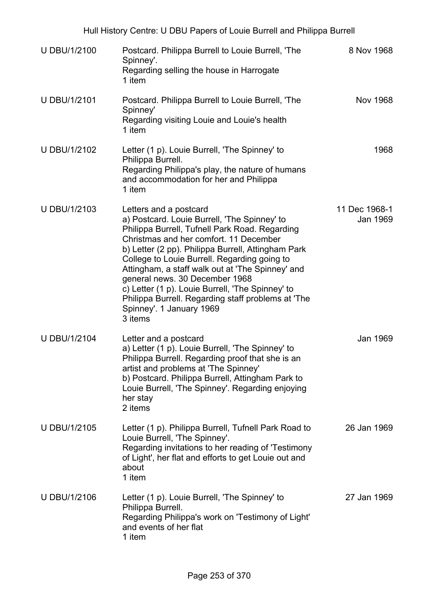| U DBU/1/2100        | Postcard. Philippa Burrell to Louie Burrell, 'The<br>Spinney'.<br>Regarding selling the house in Harrogate<br>1 item                                                                                                                                                                                                                                                                                                                                                                                            | 8 Nov 1968                |
|---------------------|-----------------------------------------------------------------------------------------------------------------------------------------------------------------------------------------------------------------------------------------------------------------------------------------------------------------------------------------------------------------------------------------------------------------------------------------------------------------------------------------------------------------|---------------------------|
| U DBU/1/2101        | Postcard. Philippa Burrell to Louie Burrell, 'The<br>Spinney'<br>Regarding visiting Louie and Louie's health<br>1 item                                                                                                                                                                                                                                                                                                                                                                                          | Nov 1968                  |
| U DBU/1/2102        | Letter (1 p). Louie Burrell, 'The Spinney' to<br>Philippa Burrell.<br>Regarding Philippa's play, the nature of humans<br>and accommodation for her and Philippa<br>1 item                                                                                                                                                                                                                                                                                                                                       | 1968                      |
| <b>U DBU/1/2103</b> | Letters and a postcard<br>a) Postcard. Louie Burrell, 'The Spinney' to<br>Philippa Burrell, Tufnell Park Road. Regarding<br>Christmas and her comfort. 11 December<br>b) Letter (2 pp). Philippa Burrell, Attingham Park<br>College to Louie Burrell. Regarding going to<br>Attingham, a staff walk out at 'The Spinney' and<br>general news. 30 December 1968<br>c) Letter (1 p). Louie Burrell, 'The Spinney' to<br>Philippa Burrell. Regarding staff problems at 'The<br>Spinney'. 1 January 1969<br>3 items | 11 Dec 1968-1<br>Jan 1969 |
| <b>U DBU/1/2104</b> | Letter and a postcard<br>a) Letter (1 p). Louie Burrell, 'The Spinney' to<br>Philippa Burrell. Regarding proof that she is an<br>artist and problems at 'The Spinney'<br>b) Postcard. Philippa Burrell, Attingham Park to<br>Louie Burrell, 'The Spinney'. Regarding enjoying<br>her stay<br>2 items                                                                                                                                                                                                            | Jan 1969                  |
| <b>U DBU/1/2105</b> | Letter (1 p). Philippa Burrell, Tufnell Park Road to<br>Louie Burrell, 'The Spinney'.<br>Regarding invitations to her reading of 'Testimony<br>of Light', her flat and efforts to get Louie out and<br>about<br>1 item                                                                                                                                                                                                                                                                                          | 26 Jan 1969               |
| <b>U DBU/1/2106</b> | Letter (1 p). Louie Burrell, 'The Spinney' to<br>Philippa Burrell.<br>Regarding Philippa's work on 'Testimony of Light'<br>and events of her flat<br>1 item                                                                                                                                                                                                                                                                                                                                                     | 27 Jan 1969               |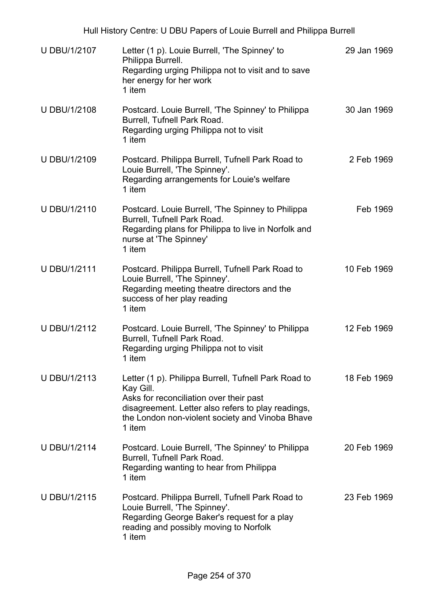| <b>U DBU/1/2107</b> | Letter (1 p). Louie Burrell, 'The Spinney' to<br>Philippa Burrell.<br>Regarding urging Philippa not to visit and to save<br>her energy for her work<br>1 item                                                                   | 29 Jan 1969 |
|---------------------|---------------------------------------------------------------------------------------------------------------------------------------------------------------------------------------------------------------------------------|-------------|
| <b>U DBU/1/2108</b> | Postcard. Louie Burrell, 'The Spinney' to Philippa<br>Burrell, Tufnell Park Road.<br>Regarding urging Philippa not to visit<br>1 item                                                                                           | 30 Jan 1969 |
| <b>U DBU/1/2109</b> | Postcard. Philippa Burrell, Tufnell Park Road to<br>Louie Burrell, 'The Spinney'.<br>Regarding arrangements for Louie's welfare<br>1 item                                                                                       | 2 Feb 1969  |
| <b>U DBU/1/2110</b> | Postcard. Louie Burrell, 'The Spinney to Philippa<br>Burrell, Tufnell Park Road.<br>Regarding plans for Philippa to live in Norfolk and<br>nurse at 'The Spinney'<br>1 item                                                     | Feb 1969    |
| <b>U DBU/1/2111</b> | Postcard. Philippa Burrell, Tufnell Park Road to<br>Louie Burrell, 'The Spinney'.<br>Regarding meeting theatre directors and the<br>success of her play reading<br>1 item                                                       | 10 Feb 1969 |
| U DBU/1/2112        | Postcard. Louie Burrell, 'The Spinney' to Philippa<br>Burrell, Tufnell Park Road.<br>Regarding urging Philippa not to visit<br>1 item                                                                                           | 12 Feb 1969 |
| U DBU/1/2113        | Letter (1 p). Philippa Burrell, Tufnell Park Road to<br>Kay Gill.<br>Asks for reconciliation over their past<br>disagreement. Letter also refers to play readings,<br>the London non-violent society and Vinoba Bhave<br>1 item | 18 Feb 1969 |
| <b>U DBU/1/2114</b> | Postcard. Louie Burrell, 'The Spinney' to Philippa<br>Burrell, Tufnell Park Road.<br>Regarding wanting to hear from Philippa<br>1 item                                                                                          | 20 Feb 1969 |
| <b>U DBU/1/2115</b> | Postcard. Philippa Burrell, Tufnell Park Road to<br>Louie Burrell, 'The Spinney'.<br>Regarding George Baker's request for a play<br>reading and possibly moving to Norfolk<br>1 item                                            | 23 Feb 1969 |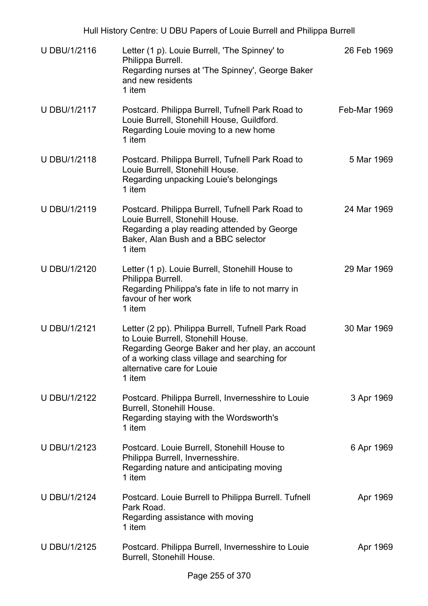| <b>U DBU/1/2116</b> | Letter (1 p). Louie Burrell, 'The Spinney' to<br>Philippa Burrell.<br>Regarding nurses at 'The Spinney', George Baker<br>and new residents<br>1 item                                                                                | 26 Feb 1969  |
|---------------------|-------------------------------------------------------------------------------------------------------------------------------------------------------------------------------------------------------------------------------------|--------------|
| U DBU/1/2117        | Postcard. Philippa Burrell, Tufnell Park Road to<br>Louie Burrell, Stonehill House, Guildford.<br>Regarding Louie moving to a new home<br>1 item                                                                                    | Feb-Mar 1969 |
| U DBU/1/2118        | Postcard. Philippa Burrell, Tufnell Park Road to<br>Louie Burrell, Stonehill House.<br>Regarding unpacking Louie's belongings<br>1 item                                                                                             | 5 Mar 1969   |
| U DBU/1/2119        | Postcard. Philippa Burrell, Tufnell Park Road to<br>Louie Burrell, Stonehill House.<br>Regarding a play reading attended by George<br>Baker, Alan Bush and a BBC selector<br>1 item                                                 | 24 Mar 1969  |
| U DBU/1/2120        | Letter (1 p). Louie Burrell, Stonehill House to<br>Philippa Burrell.<br>Regarding Philippa's fate in life to not marry in<br>favour of her work<br>1 item                                                                           | 29 Mar 1969  |
| <b>U DBU/1/2121</b> | Letter (2 pp). Philippa Burrell, Tufnell Park Road<br>to Louie Burrell, Stonehill House.<br>Regarding George Baker and her play, an account<br>of a working class village and searching for<br>alternative care for Louie<br>1 item | 30 Mar 1969  |
| <b>U DBU/1/2122</b> | Postcard. Philippa Burrell, Invernesshire to Louie<br>Burrell, Stonehill House.<br>Regarding staying with the Wordsworth's<br>1 item                                                                                                | 3 Apr 1969   |
| <b>U DBU/1/2123</b> | Postcard. Louie Burrell, Stonehill House to<br>Philippa Burrell, Invernesshire.<br>Regarding nature and anticipating moving<br>1 item                                                                                               | 6 Apr 1969   |
| <b>U DBU/1/2124</b> | Postcard. Louie Burrell to Philippa Burrell. Tufnell<br>Park Road.<br>Regarding assistance with moving<br>1 item                                                                                                                    | Apr 1969     |
| <b>U DBU/1/2125</b> | Postcard. Philippa Burrell, Invernesshire to Louie<br>Burrell, Stonehill House.                                                                                                                                                     | Apr 1969     |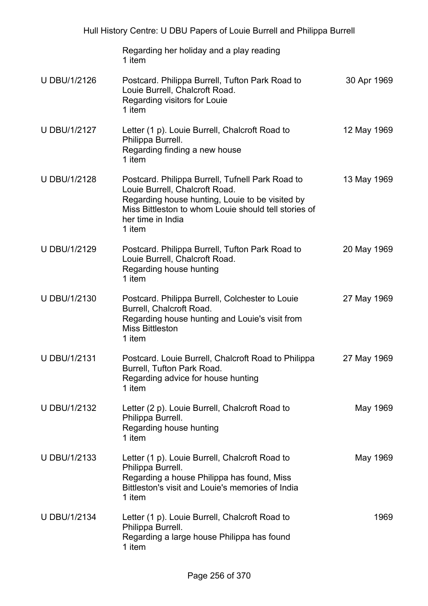|                     | Hull History Centre: U DBU Papers of Louie Burrell and Philippa Burrell                                                                                                                                                      |             |
|---------------------|------------------------------------------------------------------------------------------------------------------------------------------------------------------------------------------------------------------------------|-------------|
|                     | Regarding her holiday and a play reading<br>1 item                                                                                                                                                                           |             |
| U DBU/1/2126        | Postcard. Philippa Burrell, Tufton Park Road to<br>Louie Burrell, Chalcroft Road.<br>Regarding visitors for Louie<br>1 item                                                                                                  | 30 Apr 1969 |
| <b>U DBU/1/2127</b> | Letter (1 p). Louie Burrell, Chalcroft Road to<br>Philippa Burrell.<br>Regarding finding a new house<br>1 item                                                                                                               | 12 May 1969 |
| <b>U DBU/1/2128</b> | Postcard. Philippa Burrell, Tufnell Park Road to<br>Louie Burrell, Chalcroft Road.<br>Regarding house hunting, Louie to be visited by<br>Miss Bittleston to whom Louie should tell stories of<br>her time in India<br>1 item | 13 May 1969 |
| <b>U DBU/1/2129</b> | Postcard. Philippa Burrell, Tufton Park Road to<br>Louie Burrell, Chalcroft Road.<br>Regarding house hunting<br>1 item                                                                                                       | 20 May 1969 |
| U DBU/1/2130        | Postcard. Philippa Burrell, Colchester to Louie<br>Burrell, Chalcroft Road.<br>Regarding house hunting and Louie's visit from<br><b>Miss Bittleston</b><br>1 item                                                            | 27 May 1969 |
| U DBU/1/2131        | Postcard. Louie Burrell, Chalcroft Road to Philippa<br>Burrell, Tufton Park Road.<br>Regarding advice for house hunting<br>1 item                                                                                            | 27 May 1969 |
| U DBU/1/2132        | Letter (2 p). Louie Burrell, Chalcroft Road to<br>Philippa Burrell.<br>Regarding house hunting<br>1 item                                                                                                                     | May 1969    |
| U DBU/1/2133        | Letter (1 p). Louie Burrell, Chalcroft Road to<br>Philippa Burrell.<br>Regarding a house Philippa has found, Miss<br>Bittleston's visit and Louie's memories of India<br>1 item                                              | May 1969    |
| U DBU/1/2134        | Letter (1 p). Louie Burrell, Chalcroft Road to<br>Philippa Burrell.<br>Regarding a large house Philippa has found<br>1 item                                                                                                  | 1969        |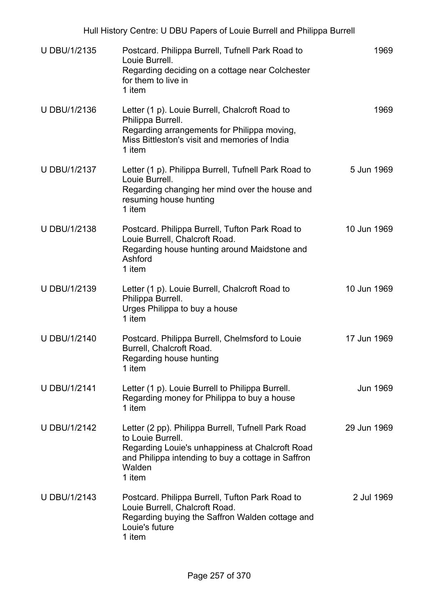| <b>U DBU/1/2135</b> | Postcard. Philippa Burrell, Tufnell Park Road to<br>Louie Burrell.<br>Regarding deciding on a cottage near Colchester<br>for them to live in<br>1 item                                               | 1969        |
|---------------------|------------------------------------------------------------------------------------------------------------------------------------------------------------------------------------------------------|-------------|
| <b>U DBU/1/2136</b> | Letter (1 p). Louie Burrell, Chalcroft Road to<br>Philippa Burrell.<br>Regarding arrangements for Philippa moving,<br>Miss Bittleston's visit and memories of India<br>1 item                        | 1969        |
| U DBU/1/2137        | Letter (1 p). Philippa Burrell, Tufnell Park Road to<br>Louie Burrell.<br>Regarding changing her mind over the house and<br>resuming house hunting<br>1 item                                         | 5 Jun 1969  |
| U DBU/1/2138        | Postcard. Philippa Burrell, Tufton Park Road to<br>Louie Burrell, Chalcroft Road.<br>Regarding house hunting around Maidstone and<br>Ashford<br>1 item                                               | 10 Jun 1969 |
| U DBU/1/2139        | Letter (1 p). Louie Burrell, Chalcroft Road to<br>Philippa Burrell.<br>Urges Philippa to buy a house<br>1 item                                                                                       | 10 Jun 1969 |
| U DBU/1/2140        | Postcard. Philippa Burrell, Chelmsford to Louie<br>Burrell, Chalcroft Road.<br>Regarding house hunting<br>1 item                                                                                     | 17 Jun 1969 |
| U DBU/1/2141        | Letter (1 p). Louie Burrell to Philippa Burrell.<br>Regarding money for Philippa to buy a house<br>1 item                                                                                            | Jun 1969    |
| <b>U DBU/1/2142</b> | Letter (2 pp). Philippa Burrell, Tufnell Park Road<br>to Louie Burrell.<br>Regarding Louie's unhappiness at Chalcroft Road<br>and Philippa intending to buy a cottage in Saffron<br>Walden<br>1 item | 29 Jun 1969 |
| U DBU/1/2143        | Postcard. Philippa Burrell, Tufton Park Road to<br>Louie Burrell, Chalcroft Road.<br>Regarding buying the Saffron Walden cottage and<br>Louie's future<br>1 item                                     | 2 Jul 1969  |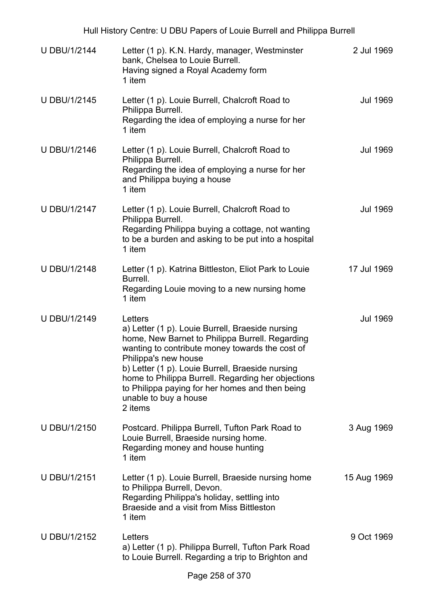|                     | Hull History Centre: U DBU Papers of Louie Burrell and Philippa Burrell                                                                                                                                                                                                                                                                                                                    |                 |
|---------------------|--------------------------------------------------------------------------------------------------------------------------------------------------------------------------------------------------------------------------------------------------------------------------------------------------------------------------------------------------------------------------------------------|-----------------|
| <b>U DBU/1/2144</b> | Letter (1 p). K.N. Hardy, manager, Westminster<br>bank, Chelsea to Louie Burrell.<br>Having signed a Royal Academy form<br>1 item                                                                                                                                                                                                                                                          | 2 Jul 1969      |
| <b>U DBU/1/2145</b> | Letter (1 p). Louie Burrell, Chalcroft Road to<br>Philippa Burrell.<br>Regarding the idea of employing a nurse for her<br>1 item                                                                                                                                                                                                                                                           | <b>Jul 1969</b> |
| U DBU/1/2146        | Letter (1 p). Louie Burrell, Chalcroft Road to<br>Philippa Burrell.<br>Regarding the idea of employing a nurse for her<br>and Philippa buying a house<br>1 item                                                                                                                                                                                                                            | <b>Jul 1969</b> |
| <b>U DBU/1/2147</b> | Letter (1 p). Louie Burrell, Chalcroft Road to<br>Philippa Burrell.<br>Regarding Philippa buying a cottage, not wanting<br>to be a burden and asking to be put into a hospital<br>1 item                                                                                                                                                                                                   | <b>Jul 1969</b> |
| U DBU/1/2148        | Letter (1 p). Katrina Bittleston, Eliot Park to Louie<br>Burrell.<br>Regarding Louie moving to a new nursing home<br>1 item                                                                                                                                                                                                                                                                | 17 Jul 1969     |
| U DBU/1/2149        | Letters<br>a) Letter (1 p). Louie Burrell, Braeside nursing<br>home, New Barnet to Philippa Burrell. Regarding<br>wanting to contribute money towards the cost of<br>Philippa's new house<br>b) Letter (1 p). Louie Burrell, Braeside nursing<br>home to Philippa Burrell. Regarding her objections<br>to Philippa paying for her homes and then being<br>unable to buy a house<br>2 items | <b>Jul 1969</b> |
| U DBU/1/2150        | Postcard. Philippa Burrell, Tufton Park Road to<br>Louie Burrell, Braeside nursing home.<br>Regarding money and house hunting<br>1 item                                                                                                                                                                                                                                                    | 3 Aug 1969      |
| <b>U DBU/1/2151</b> | Letter (1 p). Louie Burrell, Braeside nursing home<br>to Philippa Burrell, Devon.<br>Regarding Philippa's holiday, settling into<br>Braeside and a visit from Miss Bittleston<br>1 item                                                                                                                                                                                                    | 15 Aug 1969     |
| U DBU/1/2152        | Letters<br>a) Letter (1 p). Philippa Burrell, Tufton Park Road<br>to Louie Burrell. Regarding a trip to Brighton and                                                                                                                                                                                                                                                                       | 9 Oct 1969      |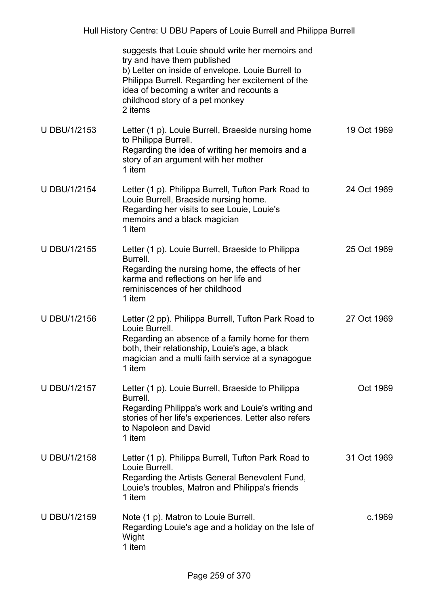|                     | suggests that Louie should write her memoirs and<br>try and have them published<br>b) Letter on inside of envelope. Louie Burrell to<br>Philippa Burrell. Regarding her excitement of the<br>idea of becoming a writer and recounts a<br>childhood story of a pet monkey<br>2 items |             |
|---------------------|-------------------------------------------------------------------------------------------------------------------------------------------------------------------------------------------------------------------------------------------------------------------------------------|-------------|
| U DBU/1/2153        | Letter (1 p). Louie Burrell, Braeside nursing home<br>to Philippa Burrell.<br>Regarding the idea of writing her memoirs and a<br>story of an argument with her mother<br>1 item                                                                                                     | 19 Oct 1969 |
| <b>U DBU/1/2154</b> | Letter (1 p). Philippa Burrell, Tufton Park Road to<br>Louie Burrell, Braeside nursing home.<br>Regarding her visits to see Louie, Louie's<br>memoirs and a black magician<br>1 item                                                                                                | 24 Oct 1969 |
| <b>U DBU/1/2155</b> | Letter (1 p). Louie Burrell, Braeside to Philippa<br>Burrell.<br>Regarding the nursing home, the effects of her<br>karma and reflections on her life and<br>reminiscences of her childhood<br>1 item                                                                                | 25 Oct 1969 |
| <b>U DBU/1/2156</b> | Letter (2 pp). Philippa Burrell, Tufton Park Road to<br>Louie Burrell.<br>Regarding an absence of a family home for them<br>both, their relationship, Louie's age, a black<br>magician and a multi faith service at a synagogue<br>1 item                                           | 27 Oct 1969 |
| <b>U DBU/1/2157</b> | Letter (1 p). Louie Burrell, Braeside to Philippa<br>Burrell.<br>Regarding Philippa's work and Louie's writing and<br>stories of her life's experiences. Letter also refers<br>to Napoleon and David<br>1 item                                                                      | Oct 1969    |
| <b>U DBU/1/2158</b> | Letter (1 p). Philippa Burrell, Tufton Park Road to<br>Louie Burrell.<br>Regarding the Artists General Benevolent Fund,<br>Louie's troubles, Matron and Philippa's friends<br>1 item                                                                                                | 31 Oct 1969 |
| U DBU/1/2159        | Note (1 p). Matron to Louie Burrell.<br>Regarding Louie's age and a holiday on the Isle of<br>Wight<br>1 item                                                                                                                                                                       | c.1969      |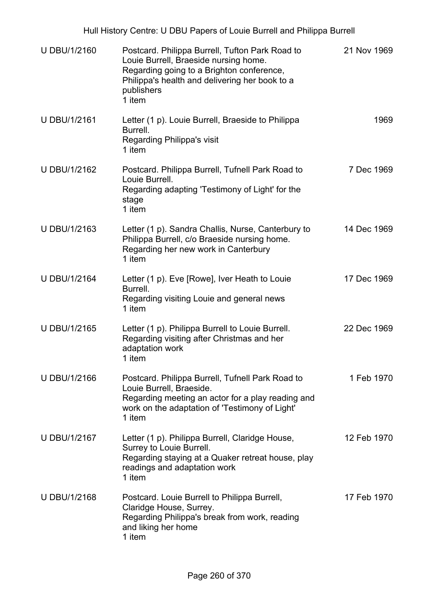| <b>U DBU/1/2160</b> | Postcard. Philippa Burrell, Tufton Park Road to<br>Louie Burrell, Braeside nursing home.<br>Regarding going to a Brighton conference,<br>Philippa's health and delivering her book to a<br>publishers<br>1 item | 21 Nov 1969 |
|---------------------|-----------------------------------------------------------------------------------------------------------------------------------------------------------------------------------------------------------------|-------------|
| <b>U DBU/1/2161</b> | Letter (1 p). Louie Burrell, Braeside to Philippa<br>Burrell.<br>Regarding Philippa's visit<br>1 item                                                                                                           | 1969        |
| U DBU/1/2162        | Postcard. Philippa Burrell, Tufnell Park Road to<br>Louie Burrell.<br>Regarding adapting 'Testimony of Light' for the<br>stage<br>1 item                                                                        | 7 Dec 1969  |
| U DBU/1/2163        | Letter (1 p). Sandra Challis, Nurse, Canterbury to<br>Philippa Burrell, c/o Braeside nursing home.<br>Regarding her new work in Canterbury<br>1 item                                                            | 14 Dec 1969 |
| <b>U DBU/1/2164</b> | Letter (1 p). Eve [Rowe], Iver Heath to Louie<br>Burrell.<br>Regarding visiting Louie and general news<br>1 item                                                                                                | 17 Dec 1969 |
| U DBU/1/2165        | Letter (1 p). Philippa Burrell to Louie Burrell.<br>Regarding visiting after Christmas and her<br>adaptation work<br>1 item                                                                                     | 22 Dec 1969 |
| U DBU/1/2166        | Postcard. Philippa Burrell, Tufnell Park Road to<br>Louie Burrell, Braeside.<br>Regarding meeting an actor for a play reading and<br>work on the adaptation of 'Testimony of Light'<br>1 item                   | 1 Feb 1970  |
| <b>U DBU/1/2167</b> | Letter (1 p). Philippa Burrell, Claridge House,<br>Surrey to Louie Burrell.<br>Regarding staying at a Quaker retreat house, play<br>readings and adaptation work<br>1 item                                      | 12 Feb 1970 |
| <b>U DBU/1/2168</b> | Postcard. Louie Burrell to Philippa Burrell,<br>Claridge House, Surrey.<br>Regarding Philippa's break from work, reading<br>and liking her home<br>1 item                                                       | 17 Feb 1970 |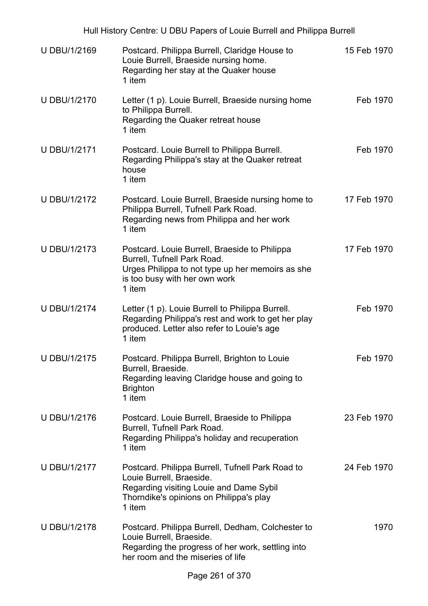| <b>U DBU/1/2169</b> | Postcard. Philippa Burrell, Claridge House to<br>Louie Burrell, Braeside nursing home.<br>Regarding her stay at the Quaker house<br>1 item                                   | 15 Feb 1970 |
|---------------------|------------------------------------------------------------------------------------------------------------------------------------------------------------------------------|-------------|
| <b>U DBU/1/2170</b> | Letter (1 p). Louie Burrell, Braeside nursing home<br>to Philippa Burrell.<br>Regarding the Quaker retreat house<br>1 item                                                   | Feb 1970    |
| <b>U DBU/1/2171</b> | Postcard. Louie Burrell to Philippa Burrell.<br>Regarding Philippa's stay at the Quaker retreat<br>house<br>1 item                                                           | Feb 1970    |
| <b>U DBU/1/2172</b> | Postcard. Louie Burrell, Braeside nursing home to<br>Philippa Burrell, Tufnell Park Road.<br>Regarding news from Philippa and her work<br>1 item                             | 17 Feb 1970 |
| <b>U DBU/1/2173</b> | Postcard. Louie Burrell, Braeside to Philippa<br>Burrell, Tufnell Park Road.<br>Urges Philippa to not type up her memoirs as she<br>is too busy with her own work<br>1 item  | 17 Feb 1970 |
| <b>U DBU/1/2174</b> | Letter (1 p). Louie Burrell to Philippa Burrell.<br>Regarding Philippa's rest and work to get her play<br>produced. Letter also refer to Louie's age<br>1 item               | Feb 1970    |
| <b>U DBU/1/2175</b> | Postcard. Philippa Burrell, Brighton to Louie<br>Burrell, Braeside.<br>Regarding leaving Claridge house and going to<br><b>Brighton</b><br>1 item                            | Feb 1970    |
| <b>U DBU/1/2176</b> | Postcard. Louie Burrell, Braeside to Philippa<br>Burrell, Tufnell Park Road.<br>Regarding Philippa's holiday and recuperation<br>1 item                                      | 23 Feb 1970 |
| U DBU/1/2177        | Postcard. Philippa Burrell, Tufnell Park Road to<br>Louie Burrell, Braeside.<br>Regarding visiting Louie and Dame Sybil<br>Thorndike's opinions on Philippa's play<br>1 item | 24 Feb 1970 |
| <b>U DBU/1/2178</b> | Postcard. Philippa Burrell, Dedham, Colchester to<br>Louie Burrell, Braeside.<br>Regarding the progress of her work, settling into<br>her room and the miseries of life      | 1970        |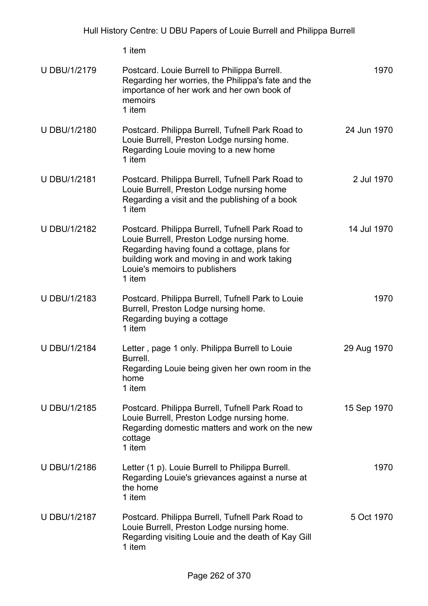1 item

| <b>U DBU/1/2179</b> | Postcard. Louie Burrell to Philippa Burrell.<br>Regarding her worries, the Philippa's fate and the<br>importance of her work and her own book of<br>memoirs<br>1 item                                                                   | 1970        |
|---------------------|-----------------------------------------------------------------------------------------------------------------------------------------------------------------------------------------------------------------------------------------|-------------|
| U DBU/1/2180        | Postcard. Philippa Burrell, Tufnell Park Road to<br>Louie Burrell, Preston Lodge nursing home.<br>Regarding Louie moving to a new home<br>1 item                                                                                        | 24 Jun 1970 |
| <b>U DBU/1/2181</b> | Postcard. Philippa Burrell, Tufnell Park Road to<br>Louie Burrell, Preston Lodge nursing home<br>Regarding a visit and the publishing of a book<br>1 item                                                                               | 2 Jul 1970  |
| <b>U DBU/1/2182</b> | Postcard. Philippa Burrell, Tufnell Park Road to<br>Louie Burrell, Preston Lodge nursing home.<br>Regarding having found a cottage, plans for<br>building work and moving in and work taking<br>Louie's memoirs to publishers<br>1 item | 14 Jul 1970 |
| U DBU/1/2183        | Postcard. Philippa Burrell, Tufnell Park to Louie<br>Burrell, Preston Lodge nursing home.<br>Regarding buying a cottage<br>1 item                                                                                                       | 1970        |
| <b>U DBU/1/2184</b> | Letter, page 1 only. Philippa Burrell to Louie<br>Burrell.<br>Regarding Louie being given her own room in the<br>home<br>1 item                                                                                                         | 29 Aug 1970 |
| <b>U DBU/1/2185</b> | Postcard. Philippa Burrell, Tufnell Park Road to<br>Louie Burrell, Preston Lodge nursing home.<br>Regarding domestic matters and work on the new<br>cottage<br>1 item                                                                   | 15 Sep 1970 |
| U DBU/1/2186        | Letter (1 p). Louie Burrell to Philippa Burrell.<br>Regarding Louie's grievances against a nurse at<br>the home<br>1 item                                                                                                               | 1970        |
| <b>U DBU/1/2187</b> | Postcard. Philippa Burrell, Tufnell Park Road to<br>Louie Burrell, Preston Lodge nursing home.<br>Regarding visiting Louie and the death of Kay Gill<br>1 item                                                                          | 5 Oct 1970  |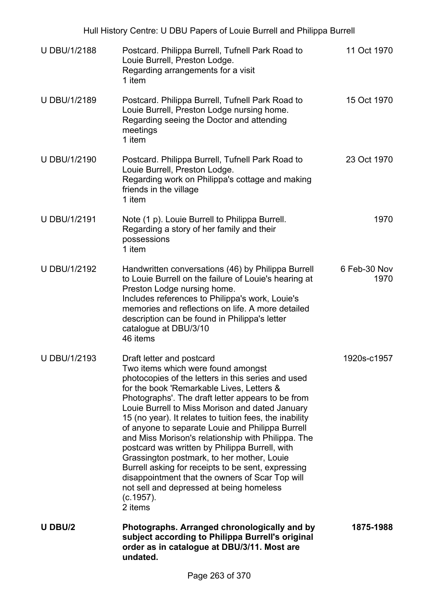|                     | Hull History Centre: U DBU Papers of Louie Burrell and Philippa Burrell                                                                                                                                                                                                                                                                                                                                                                                                                                                                                                                                                                                                                                                      |                      |
|---------------------|------------------------------------------------------------------------------------------------------------------------------------------------------------------------------------------------------------------------------------------------------------------------------------------------------------------------------------------------------------------------------------------------------------------------------------------------------------------------------------------------------------------------------------------------------------------------------------------------------------------------------------------------------------------------------------------------------------------------------|----------------------|
| <b>U DBU/1/2188</b> | Postcard. Philippa Burrell, Tufnell Park Road to<br>Louie Burrell, Preston Lodge.<br>Regarding arrangements for a visit<br>1 item                                                                                                                                                                                                                                                                                                                                                                                                                                                                                                                                                                                            | 11 Oct 1970          |
| U DBU/1/2189        | Postcard. Philippa Burrell, Tufnell Park Road to<br>Louie Burrell, Preston Lodge nursing home.<br>Regarding seeing the Doctor and attending<br>meetings<br>1 item                                                                                                                                                                                                                                                                                                                                                                                                                                                                                                                                                            | 15 Oct 1970          |
| U DBU/1/2190        | Postcard. Philippa Burrell, Tufnell Park Road to<br>Louie Burrell, Preston Lodge.<br>Regarding work on Philippa's cottage and making<br>friends in the village<br>1 item                                                                                                                                                                                                                                                                                                                                                                                                                                                                                                                                                     | 23 Oct 1970          |
| <b>U DBU/1/2191</b> | Note (1 p). Louie Burrell to Philippa Burrell.<br>Regarding a story of her family and their<br>possessions<br>1 item                                                                                                                                                                                                                                                                                                                                                                                                                                                                                                                                                                                                         | 1970                 |
| U DBU/1/2192        | Handwritten conversations (46) by Philippa Burrell<br>to Louie Burrell on the failure of Louie's hearing at<br>Preston Lodge nursing home.<br>Includes references to Philippa's work, Louie's<br>memories and reflections on life. A more detailed<br>description can be found in Philippa's letter<br>catalogue at DBU/3/10<br>46 items                                                                                                                                                                                                                                                                                                                                                                                     | 6 Feb-30 Nov<br>1970 |
| <b>U DBU/1/2193</b> | Draft letter and postcard<br>Two items which were found amongst<br>photocopies of the letters in this series and used<br>for the book 'Remarkable Lives, Letters &<br>Photographs'. The draft letter appears to be from<br>Louie Burrell to Miss Morison and dated January<br>15 (no year). It relates to tuition fees, the inability<br>of anyone to separate Louie and Philippa Burrell<br>and Miss Morison's relationship with Philippa. The<br>postcard was written by Philippa Burrell, with<br>Grassington postmark, to her mother, Louie<br>Burrell asking for receipts to be sent, expressing<br>disappointment that the owners of Scar Top will<br>not sell and depressed at being homeless<br>(c.1957).<br>2 items | 1920s-c1957          |
| U DBU/2             | Photographs. Arranged chronologically and by<br>subject according to Philippa Burrell's original<br>order as in catalogue at DBU/3/11. Most are<br>undated.                                                                                                                                                                                                                                                                                                                                                                                                                                                                                                                                                                  | 1875-1988            |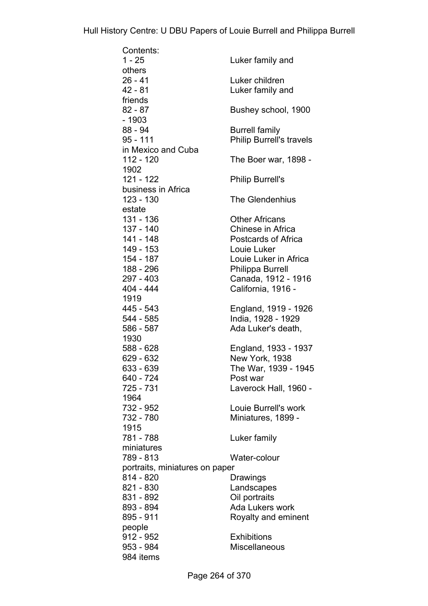| Contents:                      |                                 |
|--------------------------------|---------------------------------|
| $1 - 25$                       | Luker family and                |
| others                         |                                 |
| $26 - 41$                      | Luker children                  |
| 42 - 81                        | Luker family and                |
| friends                        |                                 |
| $82 - 87$                      | Bushey school, 1900             |
| - 1903                         |                                 |
|                                |                                 |
| 88 - 94                        | <b>Burrell family</b>           |
| 95 - 111                       | <b>Philip Burrell's travels</b> |
| in Mexico and Cuba             |                                 |
| 112 - 120                      | The Boer war, 1898 -            |
| 1902                           |                                 |
| 121 - 122                      | <b>Philip Burrell's</b>         |
| business in Africa             |                                 |
| 123 - 130                      | The Glendenhius                 |
| estate                         |                                 |
| 131 - 136                      | <b>Other Africans</b>           |
| 137 - 140                      | Chinese in Africa               |
| 141 - 148                      | Postcards of Africa             |
| 149 - 153                      | Louie Luker                     |
|                                |                                 |
| 154 - 187                      | Louie Luker in Africa           |
| 188 - 296                      | <b>Philippa Burrell</b>         |
| 297 - 403                      | Canada, 1912 - 1916             |
| 404 - 444                      | California, 1916 -              |
| 1919                           |                                 |
| 445 - 543                      | England, 1919 - 1926            |
| 544 - 585                      | India, 1928 - 1929              |
| 586 - 587                      | Ada Luker's death,              |
| 1930                           |                                 |
| 588 - 628                      | England, 1933 - 1937            |
| 629 - 632                      | New York, 1938                  |
| 633 - 639                      | The War, 1939 - 1945            |
|                                |                                 |
| 640 - 724                      | Post war                        |
| 725 - 731                      | Laverock Hall, 1960 -           |
| 1964                           |                                 |
| 732 - 952                      | Louie Burrell's work            |
| 732 - 780                      | Miniatures, 1899 -              |
| 1915                           |                                 |
| 781 - 788                      | Luker family                    |
| miniatures                     |                                 |
| 789 - 813                      | Water-colour                    |
| portraits, miniatures on paper |                                 |
| 814 - 820                      | Drawings                        |
| 821 - 830                      | Landscapes                      |
|                                |                                 |
| 831 - 892                      | Oil portraits                   |
| 893 - 894                      | Ada Lukers work                 |
| 895 - 911                      | Royalty and eminent             |
| people                         |                                 |
| 912 - 952                      | <b>Exhibitions</b>              |
| 953 - 984                      | <b>Miscellaneous</b>            |
| 984 items                      |                                 |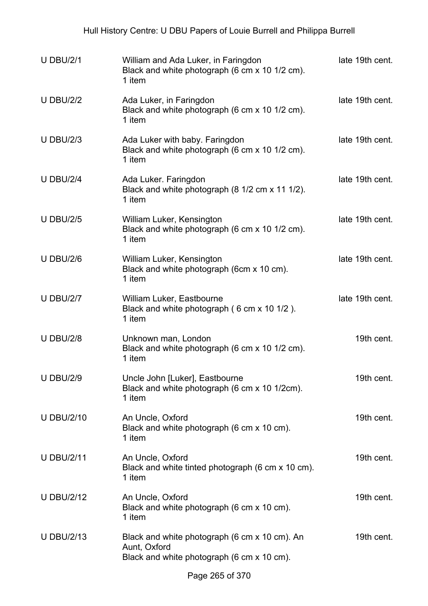| <b>U DBU/2/1</b>  | William and Ada Luker, in Faringdon<br>Black and white photograph (6 cm x 10 1/2 cm).<br>1 item             | late 19th cent. |
|-------------------|-------------------------------------------------------------------------------------------------------------|-----------------|
| <b>U DBU/2/2</b>  | Ada Luker, in Faringdon<br>Black and white photograph (6 cm x 10 1/2 cm).<br>1 item                         | late 19th cent. |
| <b>U DBU/2/3</b>  | Ada Luker with baby. Faringdon<br>Black and white photograph (6 cm x 10 1/2 cm).<br>1 item                  | late 19th cent. |
| <b>U DBU/2/4</b>  | Ada Luker. Faringdon<br>Black and white photograph (8 1/2 cm x 11 1/2).<br>1 item                           | late 19th cent. |
| <b>U DBU/2/5</b>  | William Luker, Kensington<br>Black and white photograph (6 cm x 10 1/2 cm).<br>1 item                       | late 19th cent. |
| <b>U DBU/2/6</b>  | William Luker, Kensington<br>Black and white photograph (6cm x 10 cm).<br>1 item                            | late 19th cent. |
| <b>U DBU/2/7</b>  | William Luker, Eastbourne<br>Black and white photograph (6 cm x 10 1/2).<br>1 item                          | late 19th cent. |
| <b>U DBU/2/8</b>  | Unknown man, London<br>Black and white photograph (6 cm x 10 1/2 cm).<br>1 item                             | 19th cent.      |
| <b>U DBU/2/9</b>  | Uncle John [Luker], Eastbourne<br>Black and white photograph (6 cm x 10 1/2cm).<br>1 item                   | 19th cent.      |
| <b>U DBU/2/10</b> | An Uncle, Oxford<br>Black and white photograph (6 cm x 10 cm).<br>1 item                                    | 19th cent.      |
| <b>U DBU/2/11</b> | An Uncle, Oxford<br>Black and white tinted photograph (6 cm x 10 cm).<br>1 item                             | 19th cent.      |
| <b>U DBU/2/12</b> | An Uncle, Oxford<br>Black and white photograph (6 cm x 10 cm).<br>1 item                                    | 19th cent.      |
| <b>U DBU/2/13</b> | Black and white photograph (6 cm x 10 cm). An<br>Aunt, Oxford<br>Black and white photograph (6 cm x 10 cm). | 19th cent.      |
|                   |                                                                                                             |                 |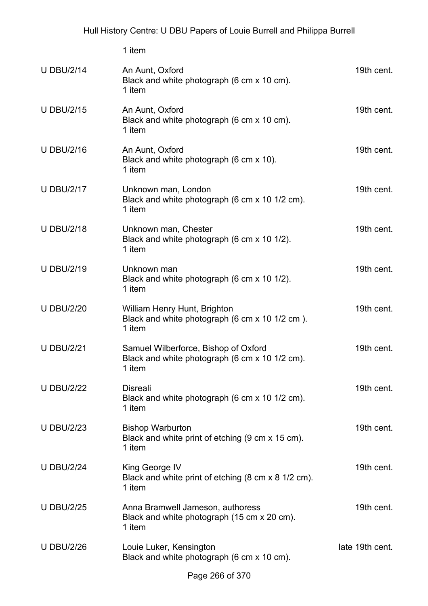1 item

| <b>U DBU/2/14</b> | An Aunt, Oxford<br>Black and white photograph (6 cm x 10 cm).<br>1 item                          | 19th cent.      |
|-------------------|--------------------------------------------------------------------------------------------------|-----------------|
| <b>U DBU/2/15</b> | An Aunt, Oxford<br>Black and white photograph (6 cm x 10 cm).<br>1 item                          | 19th cent.      |
| <b>U DBU/2/16</b> | An Aunt, Oxford<br>Black and white photograph (6 cm x 10).<br>1 item                             | 19th cent.      |
| <b>U DBU/2/17</b> | Unknown man, London<br>Black and white photograph (6 cm x 10 1/2 cm).<br>1 item                  | 19th cent.      |
| <b>U DBU/2/18</b> | Unknown man, Chester<br>Black and white photograph (6 cm x 10 1/2).<br>1 item                    | 19th cent.      |
| <b>U DBU/2/19</b> | Unknown man<br>Black and white photograph (6 cm x 10 1/2).<br>1 item                             | 19th cent.      |
| <b>U DBU/2/20</b> | William Henry Hunt, Brighton<br>Black and white photograph (6 cm x 10 1/2 cm).<br>1 item         | 19th cent.      |
| <b>U DBU/2/21</b> | Samuel Wilberforce, Bishop of Oxford<br>Black and white photograph (6 cm x 10 1/2 cm).<br>1 item | 19th cent.      |
| <b>U DBU/2/22</b> | <b>Disreali</b><br>Black and white photograph (6 cm x 10 1/2 cm).<br>1 item                      | 19th cent.      |
| <b>U DBU/2/23</b> | <b>Bishop Warburton</b><br>Black and white print of etching (9 cm x 15 cm).<br>1 item            | 19th cent.      |
| <b>U DBU/2/24</b> | King George IV<br>Black and white print of etching (8 cm x 8 1/2 cm).<br>1 item                  | 19th cent.      |
| <b>U DBU/2/25</b> | Anna Bramwell Jameson, authoress<br>Black and white photograph (15 cm x 20 cm).<br>1 item        | 19th cent.      |
| <b>U DBU/2/26</b> | Louie Luker, Kensington<br>Black and white photograph (6 cm x 10 cm).                            | late 19th cent. |
|                   |                                                                                                  |                 |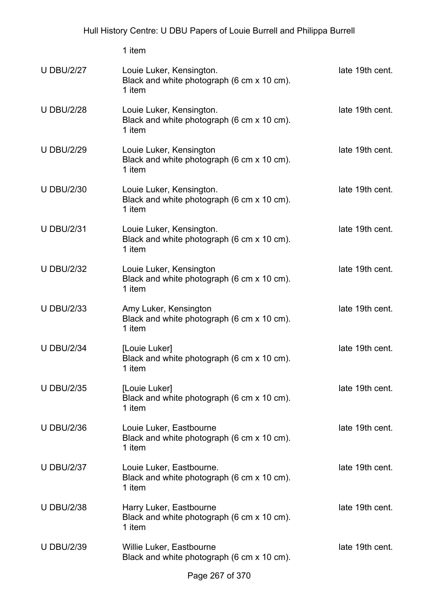1 item U DBU/2/27 Louie Luker, Kensington. Black and white photograph (6 cm x 10 cm). 1 item late 19th cent. U DBU/2/28 Louie Luker, Kensington. Black and white photograph (6 cm x 10 cm). 1 item late 19th cent. U DBU/2/29 Louie Luker, Kensington Black and white photograph (6 cm x 10 cm). 1 item late 19th cent. U DBU/2/30 Louie Luker, Kensington. Black and white photograph (6 cm x 10 cm). 1 item late 19th cent. U DBU/2/31 Louie Luker, Kensington. Black and white photograph (6 cm x 10 cm). 1 item late 19th cent. U DBU/2/32 Louie Luker, Kensington Black and white photograph (6 cm x 10 cm). 1 item late 19th cent. U DBU/2/33 Amy Luker, Kensington Black and white photograph (6 cm x 10 cm). 1 item late 19th cent. U DBU/2/34 [Louie Luker] Black and white photograph (6 cm x 10 cm). 1 item late 19th cent. U DBU/2/35 [Louie Luker] Black and white photograph (6 cm x 10 cm). 1 item late 19th cent. U DBU/2/36 Louie Luker, Eastbourne Black and white photograph (6 cm x 10 cm). 1 item late 19th cent. U DBU/2/37 Louie Luker, Eastbourne. Black and white photograph (6 cm x 10 cm). 1 item late 19th cent. U DBU/2/38 Harry Luker, Eastbourne Black and white photograph (6 cm x 10 cm). 1 item late 19th cent. U DBU/2/39 Willie Luker, Eastbourne Black and white photograph (6 cm x 10 cm). late 19th cent.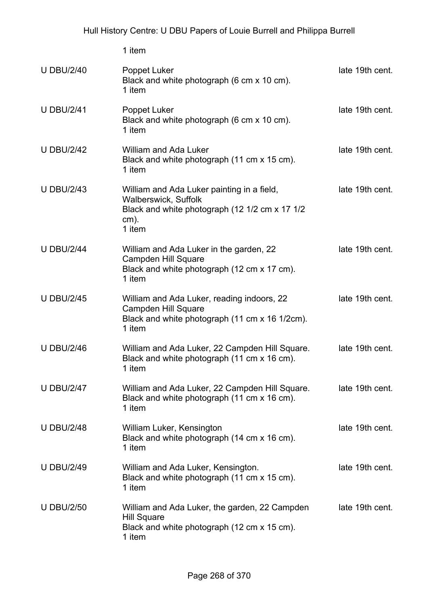1 item

| <b>U DBU/2/40</b> | Poppet Luker<br>Black and white photograph (6 cm x 10 cm).<br>1 item                                                                             | late 19th cent. |
|-------------------|--------------------------------------------------------------------------------------------------------------------------------------------------|-----------------|
| <b>U DBU/2/41</b> | Poppet Luker<br>Black and white photograph (6 cm x 10 cm).<br>1 item                                                                             | late 19th cent. |
| <b>U DBU/2/42</b> | <b>William and Ada Luker</b><br>Black and white photograph (11 cm x 15 cm).<br>1 item                                                            | late 19th cent. |
| <b>U DBU/2/43</b> | William and Ada Luker painting in a field,<br><b>Walberswick, Suffolk</b><br>Black and white photograph (12 1/2 cm x 17 1/2<br>$cm)$ .<br>1 item | late 19th cent. |
| <b>U DBU/2/44</b> | William and Ada Luker in the garden, 22<br><b>Campden Hill Square</b><br>Black and white photograph (12 cm x 17 cm).<br>1 item                   | late 19th cent. |
| <b>U DBU/2/45</b> | William and Ada Luker, reading indoors, 22<br><b>Campden Hill Square</b><br>Black and white photograph (11 cm x 16 1/2cm).<br>1 item             | late 19th cent. |
| <b>U DBU/2/46</b> | William and Ada Luker, 22 Campden Hill Square.<br>Black and white photograph (11 cm x 16 cm).<br>1 item                                          | late 19th cent. |
| <b>U DBU/2/47</b> | William and Ada Luker, 22 Campden Hill Square.<br>Black and white photograph (11 cm x 16 cm).<br>1 item                                          | late 19th cent. |
| <b>U DBU/2/48</b> | William Luker, Kensington<br>Black and white photograph (14 cm x 16 cm).<br>1 item                                                               | late 19th cent. |
| <b>U DBU/2/49</b> | William and Ada Luker, Kensington.<br>Black and white photograph (11 cm x 15 cm).<br>1 item                                                      | late 19th cent. |
| <b>U DBU/2/50</b> | William and Ada Luker, the garden, 22 Campden<br><b>Hill Square</b><br>Black and white photograph (12 cm x 15 cm).<br>1 item                     | late 19th cent. |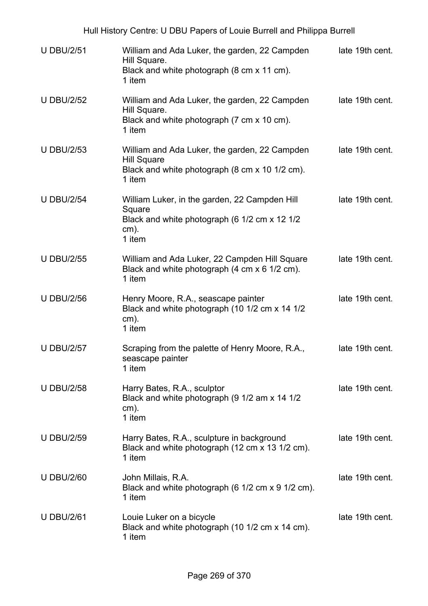| <b>U DBU/2/51</b> | William and Ada Luker, the garden, 22 Campden<br>Hill Square.<br>Black and white photograph (8 cm x 11 cm).<br>1 item           | late 19th cent. |
|-------------------|---------------------------------------------------------------------------------------------------------------------------------|-----------------|
| <b>U DBU/2/52</b> | William and Ada Luker, the garden, 22 Campden<br>Hill Square.<br>Black and white photograph (7 cm x 10 cm).<br>1 item           | late 19th cent. |
| <b>U DBU/2/53</b> | William and Ada Luker, the garden, 22 Campden<br><b>Hill Square</b><br>Black and white photograph (8 cm x 10 1/2 cm).<br>1 item | late 19th cent. |
| <b>U DBU/2/54</b> | William Luker, in the garden, 22 Campden Hill<br>Square<br>Black and white photograph (6 1/2 cm x 12 1/2<br>$cm)$ .<br>1 item   | late 19th cent. |
| <b>U DBU/2/55</b> | William and Ada Luker, 22 Campden Hill Square<br>Black and white photograph (4 cm x 6 1/2 cm).<br>1 item                        | late 19th cent. |
| <b>U DBU/2/56</b> | Henry Moore, R.A., seascape painter<br>Black and white photograph (10 1/2 cm x 14 1/2<br>$cm)$ .<br>1 item                      | late 19th cent. |
| <b>U DBU/2/57</b> | Scraping from the palette of Henry Moore, R.A.,<br>seascape painter<br>1 item                                                   | late 19th cent. |
| <b>U DBU/2/58</b> | Harry Bates, R.A., sculptor<br>Black and white photograph (9 1/2 am x 14 1/2<br>$cm)$ .<br>1 item                               | late 19th cent. |
| <b>U DBU/2/59</b> | Harry Bates, R.A., sculpture in background<br>Black and white photograph (12 cm x 13 1/2 cm).<br>1 item                         | late 19th cent. |
| <b>U DBU/2/60</b> | John Millais, R.A.<br>Black and white photograph (6 1/2 cm x 9 1/2 cm).<br>1 item                                               | late 19th cent. |
| <b>U DBU/2/61</b> | Louie Luker on a bicycle<br>Black and white photograph (10 1/2 cm x 14 cm).<br>1 item                                           | late 19th cent. |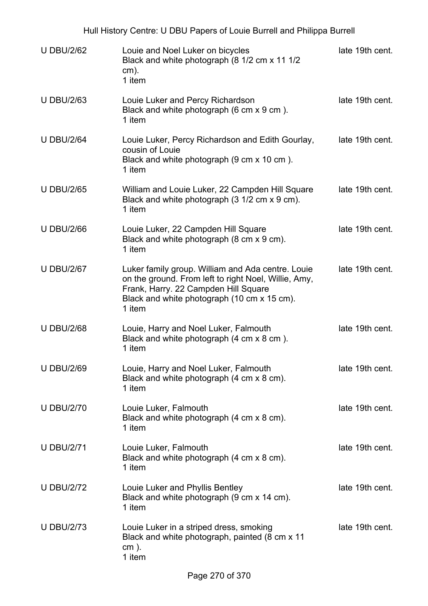Hull History Centre: U DBU Papers of Louie Burrell and Philippa Burrell

| <b>U DBU/2/62</b> | Louie and Noel Luker on bicycles<br>Black and white photograph (8 1/2 cm x 11 1/2<br>$cm)$ .<br>1 item                                                                                                     | late 19th cent. |
|-------------------|------------------------------------------------------------------------------------------------------------------------------------------------------------------------------------------------------------|-----------------|
| <b>U DBU/2/63</b> | Louie Luker and Percy Richardson<br>Black and white photograph (6 cm x 9 cm).<br>1 item                                                                                                                    | late 19th cent. |
| <b>U DBU/2/64</b> | Louie Luker, Percy Richardson and Edith Gourlay,<br>cousin of Louie<br>Black and white photograph (9 cm x 10 cm).<br>1 item                                                                                | late 19th cent. |
| <b>U DBU/2/65</b> | William and Louie Luker, 22 Campden Hill Square<br>Black and white photograph (3 1/2 cm x 9 cm).<br>1 item                                                                                                 | late 19th cent. |
| <b>U DBU/2/66</b> | Louie Luker, 22 Campden Hill Square<br>Black and white photograph (8 cm x 9 cm).<br>1 item                                                                                                                 | late 19th cent. |
| <b>U DBU/2/67</b> | Luker family group. William and Ada centre. Louie<br>on the ground. From left to right Noel, Willie, Amy,<br>Frank, Harry. 22 Campden Hill Square<br>Black and white photograph (10 cm x 15 cm).<br>1 item | late 19th cent. |
| <b>U DBU/2/68</b> | Louie, Harry and Noel Luker, Falmouth<br>Black and white photograph (4 cm x 8 cm).<br>1 item                                                                                                               | late 19th cent. |
| <b>U DBU/2/69</b> | Louie, Harry and Noel Luker, Falmouth<br>Black and white photograph (4 cm x 8 cm).<br>1 item                                                                                                               | late 19th cent. |
| <b>U DBU/2/70</b> | Louie Luker, Falmouth<br>Black and white photograph (4 cm x 8 cm).<br>1 item                                                                                                                               | late 19th cent. |
| <b>U DBU/2/71</b> | Louie Luker, Falmouth<br>Black and white photograph (4 cm x 8 cm).<br>1 item                                                                                                                               | late 19th cent. |
| <b>U DBU/2/72</b> | Louie Luker and Phyllis Bentley<br>Black and white photograph (9 cm x 14 cm).<br>1 item                                                                                                                    | late 19th cent. |
| <b>U DBU/2/73</b> | Louie Luker in a striped dress, smoking<br>Black and white photograph, painted (8 cm x 11<br>$cm$ ).<br>1 item                                                                                             | late 19th cent. |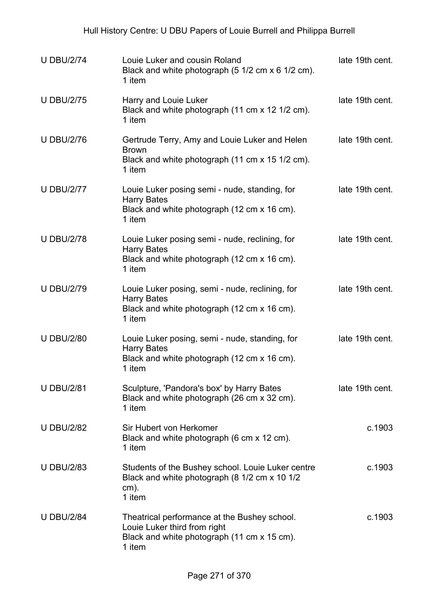| <b>U DBU/2/74</b> | Louie Luker and cousin Roland<br>Black and white photograph (5 1/2 cm x 6 1/2 cm).<br>1 item                                          | late 19th cent. |
|-------------------|---------------------------------------------------------------------------------------------------------------------------------------|-----------------|
| <b>U DBU/2/75</b> | Harry and Louie Luker<br>Black and white photograph (11 cm x 12 1/2 cm).<br>1 item                                                    | late 19th cent. |
| <b>U DBU/2/76</b> | Gertrude Terry, Amy and Louie Luker and Helen<br><b>Brown</b><br>Black and white photograph (11 cm x 15 1/2 cm).<br>1 item            | late 19th cent. |
| <b>U DBU/2/77</b> | Louie Luker posing semi - nude, standing, for<br><b>Harry Bates</b><br>Black and white photograph (12 cm x 16 cm).<br>1 item          | late 19th cent. |
| <b>U DBU/2/78</b> | Louie Luker posing semi - nude, reclining, for<br><b>Harry Bates</b><br>Black and white photograph (12 cm x 16 cm).<br>1 item         | late 19th cent. |
| <b>U DBU/2/79</b> | Louie Luker posing, semi - nude, reclining, for<br><b>Harry Bates</b><br>Black and white photograph (12 cm x 16 cm).<br>1 item        | late 19th cent. |
| <b>U DBU/2/80</b> | Louie Luker posing, semi - nude, standing, for<br><b>Harry Bates</b><br>Black and white photograph (12 cm x 16 cm).<br>1 item         | late 19th cent. |
| <b>U DBU/2/81</b> | Sculpture, 'Pandora's box' by Harry Bates<br>Black and white photograph (26 cm x 32 cm).<br>1 item                                    | late 19th cent. |
| <b>U DBU/2/82</b> | Sir Hubert von Herkomer<br>Black and white photograph (6 cm x 12 cm).<br>1 item                                                       | c.1903          |
| <b>U DBU/2/83</b> | Students of the Bushey school. Louie Luker centre<br>Black and white photograph (8 1/2 cm x 10 1/2<br>$cm)$ .<br>1 item               | c.1903          |
| <b>U DBU/2/84</b> | Theatrical performance at the Bushey school.<br>Louie Luker third from right<br>Black and white photograph (11 cm x 15 cm).<br>1 item | c.1903          |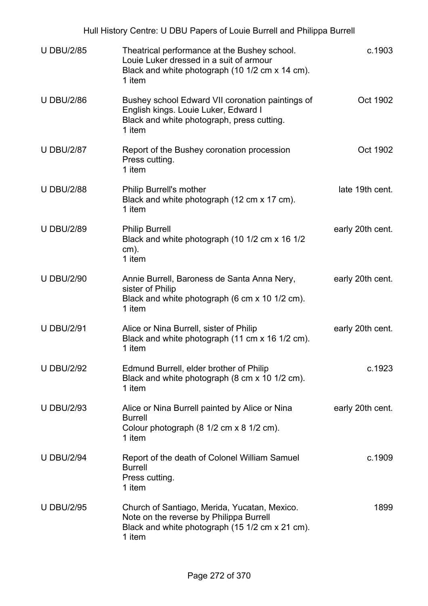|                   | Hull History Centre: U DBU Papers of Louie Burrell and Philippa Burrell                                                                              |                  |
|-------------------|------------------------------------------------------------------------------------------------------------------------------------------------------|------------------|
| <b>U DBU/2/85</b> | Theatrical performance at the Bushey school.<br>Louie Luker dressed in a suit of armour<br>Black and white photograph (10 1/2 cm x 14 cm).<br>1 item | c.1903           |
| <b>U DBU/2/86</b> | Bushey school Edward VII coronation paintings of<br>English kings. Louie Luker, Edward I<br>Black and white photograph, press cutting.<br>1 item     | Oct 1902         |
| <b>U DBU/2/87</b> | Report of the Bushey coronation procession<br>Press cutting.<br>1 item                                                                               | Oct 1902         |
| <b>U DBU/2/88</b> | Philip Burrell's mother<br>Black and white photograph (12 cm x 17 cm).<br>1 item                                                                     | late 19th cent.  |
| <b>U DBU/2/89</b> | <b>Philip Burrell</b><br>Black and white photograph (10 1/2 cm x 16 1/2<br>cm).<br>1 item                                                            | early 20th cent. |
| <b>U DBU/2/90</b> | Annie Burrell, Baroness de Santa Anna Nery,<br>sister of Philip<br>Black and white photograph (6 cm x 10 1/2 cm).<br>1 item                          | early 20th cent. |
| <b>U DBU/2/91</b> | Alice or Nina Burrell, sister of Philip<br>Black and white photograph (11 cm x 16 1/2 cm).<br>1 item                                                 | early 20th cent. |
| <b>U DBU/2/92</b> | Edmund Burrell, elder brother of Philip<br>Black and white photograph (8 cm x 10 1/2 cm).<br>1 item                                                  | c.1923           |
| <b>U DBU/2/93</b> | Alice or Nina Burrell painted by Alice or Nina<br><b>Burrell</b><br>Colour photograph (8 1/2 cm x 8 1/2 cm).<br>1 item                               | early 20th cent. |
| <b>U DBU/2/94</b> | Report of the death of Colonel William Samuel<br><b>Burrell</b><br>Press cutting.<br>1 item                                                          | c.1909           |
| <b>U DBU/2/95</b> | Church of Santiago, Merida, Yucatan, Mexico.<br>Note on the reverse by Philippa Burrell<br>Black and white photograph (15 1/2 cm x 21 cm).<br>1 item | 1899             |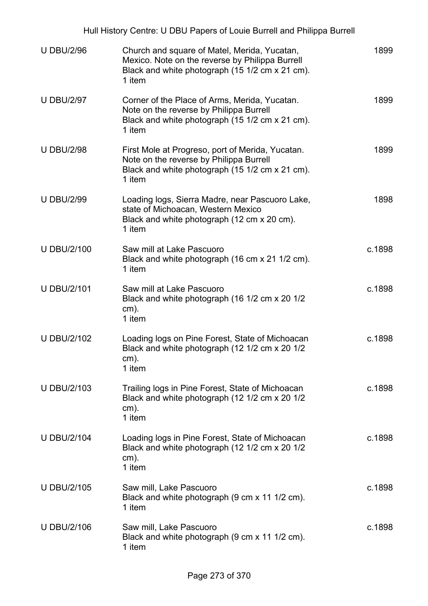|                    | Hull History Centre: U DBU Papers of Louie Burrell and Philippa Burrell                                                                                      |        |
|--------------------|--------------------------------------------------------------------------------------------------------------------------------------------------------------|--------|
| <b>U DBU/2/96</b>  | Church and square of Matel, Merida, Yucatan,<br>Mexico. Note on the reverse by Philippa Burrell<br>Black and white photograph (15 1/2 cm x 21 cm).<br>1 item | 1899   |
| <b>U DBU/2/97</b>  | Corner of the Place of Arms, Merida, Yucatan.<br>Note on the reverse by Philippa Burrell<br>Black and white photograph (15 1/2 cm x 21 cm).<br>1 item        | 1899   |
| <b>U DBU/2/98</b>  | First Mole at Progreso, port of Merida, Yucatan.<br>Note on the reverse by Philippa Burrell<br>Black and white photograph (15 1/2 cm x 21 cm).<br>1 item     | 1899   |
| <b>U DBU/2/99</b>  | Loading logs, Sierra Madre, near Pascuoro Lake,<br>state of Michoacan, Western Mexico<br>Black and white photograph (12 cm x 20 cm).<br>1 item               | 1898   |
| <b>U DBU/2/100</b> | Saw mill at Lake Pascuoro<br>Black and white photograph (16 cm x 21 1/2 cm).<br>1 item                                                                       | c.1898 |
| <b>U DBU/2/101</b> | Saw mill at Lake Pascuoro<br>Black and white photograph (16 1/2 cm x 20 1/2<br>$cm)$ .<br>1 item                                                             | c.1898 |
| <b>U DBU/2/102</b> | Loading logs on Pine Forest, State of Michoacan<br>Black and white photograph (12 1/2 cm x 20 1/2<br>cm).<br>1 item                                          | c.1898 |
| <b>U DBU/2/103</b> | Trailing logs in Pine Forest, State of Michoacan<br>Black and white photograph (12 1/2 cm x 20 1/2<br>$cm)$ .<br>1 item                                      | c.1898 |
| <b>U DBU/2/104</b> | Loading logs in Pine Forest, State of Michoacan<br>Black and white photograph (12 1/2 cm x 20 1/2<br>$cm)$ .<br>1 item                                       | c.1898 |
| <b>U DBU/2/105</b> | Saw mill, Lake Pascuoro<br>Black and white photograph (9 cm x 11 1/2 cm).<br>1 item                                                                          | c.1898 |
| <b>U DBU/2/106</b> | Saw mill, Lake Pascuoro<br>Black and white photograph (9 cm x 11 1/2 cm).<br>1 item                                                                          | c.1898 |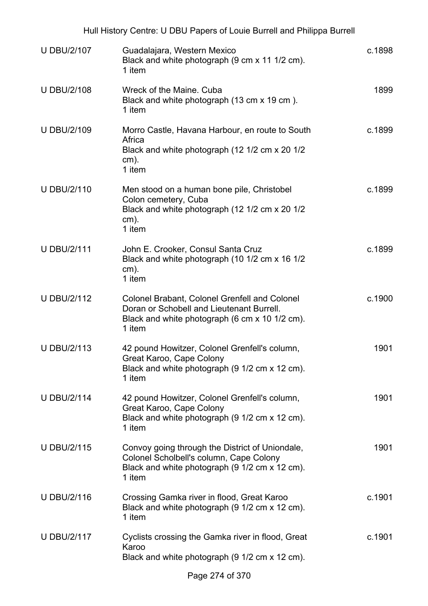| Hull History Centre: U DBU Papers of Louie Burrell and Philippa Burrell |                                                                                                                                                               |        |
|-------------------------------------------------------------------------|---------------------------------------------------------------------------------------------------------------------------------------------------------------|--------|
| <b>U DBU/2/107</b>                                                      | Guadalajara, Western Mexico<br>Black and white photograph (9 cm x 11 1/2 cm).<br>1 item                                                                       | c.1898 |
| <b>U DBU/2/108</b>                                                      | Wreck of the Maine. Cuba<br>Black and white photograph (13 cm x 19 cm).<br>1 item                                                                             | 1899   |
| <b>U DBU/2/109</b>                                                      | Morro Castle, Havana Harbour, en route to South<br>Africa<br>Black and white photograph (12 1/2 cm x 20 1/2<br>cm).<br>1 item                                 | c.1899 |
| <b>U DBU/2/110</b>                                                      | Men stood on a human bone pile, Christobel<br>Colon cemetery, Cuba<br>Black and white photograph (12 1/2 cm x 20 1/2<br>cm).<br>1 item                        | c.1899 |
| <b>U DBU/2/111</b>                                                      | John E. Crooker, Consul Santa Cruz<br>Black and white photograph (10 1/2 cm x 16 1/2<br>cm).<br>1 item                                                        | c.1899 |
| <b>U DBU/2/112</b>                                                      | <b>Colonel Brabant, Colonel Grenfell and Colonel</b><br>Doran or Schobell and Lieutenant Burrell.<br>Black and white photograph (6 cm x 10 1/2 cm).<br>1 item | c.1900 |
| <b>U DBU/2/113</b>                                                      | 42 pound Howitzer, Colonel Grenfell's column,<br>Great Karoo, Cape Colony<br>Black and white photograph (9 1/2 cm x 12 cm).<br>1 item                         | 1901   |
| <b>U DBU/2/114</b>                                                      | 42 pound Howitzer, Colonel Grenfell's column,<br>Great Karoo, Cape Colony<br>Black and white photograph (9 1/2 cm x 12 cm).<br>1 item                         | 1901   |
| <b>U DBU/2/115</b>                                                      | Convoy going through the District of Uniondale,<br>Colonel Scholbell's column, Cape Colony<br>Black and white photograph (9 1/2 cm x 12 cm).<br>1 item        | 1901   |
| <b>U DBU/2/116</b>                                                      | Crossing Gamka river in flood, Great Karoo<br>Black and white photograph (9 1/2 cm x 12 cm).<br>1 item                                                        | c.1901 |
| <b>U DBU/2/117</b>                                                      | Cyclists crossing the Gamka river in flood, Great<br>Karoo<br>Black and white photograph (9 1/2 cm x 12 cm).                                                  | c.1901 |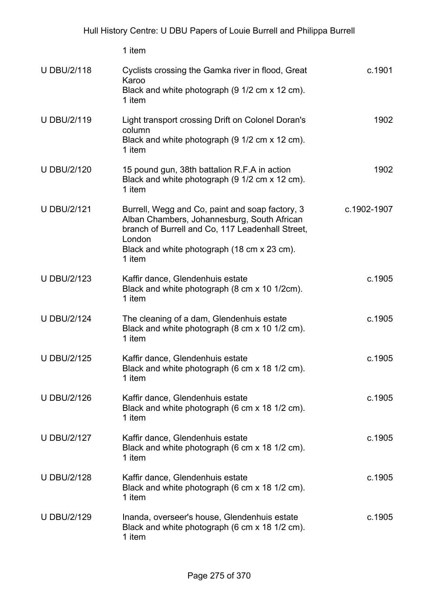|                    | 1 item                                                                                                                                                                                                                |             |
|--------------------|-----------------------------------------------------------------------------------------------------------------------------------------------------------------------------------------------------------------------|-------------|
| <b>U DBU/2/118</b> | Cyclists crossing the Gamka river in flood, Great<br>Karoo<br>Black and white photograph (9 1/2 cm x 12 cm).<br>1 item                                                                                                | c.1901      |
| <b>U DBU/2/119</b> | Light transport crossing Drift on Colonel Doran's<br>column<br>Black and white photograph (9 1/2 cm x 12 cm).<br>1 item                                                                                               | 1902        |
| <b>U DBU/2/120</b> | 15 pound gun, 38th battalion R.F.A in action<br>Black and white photograph (9 1/2 cm x 12 cm).<br>1 item                                                                                                              | 1902        |
| <b>U DBU/2/121</b> | Burrell, Wegg and Co, paint and soap factory, 3<br>Alban Chambers, Johannesburg, South African<br>branch of Burrell and Co, 117 Leadenhall Street,<br>London<br>Black and white photograph (18 cm x 23 cm).<br>1 item | c.1902-1907 |
| <b>U DBU/2/123</b> | Kaffir dance, Glendenhuis estate<br>Black and white photograph (8 cm x 10 1/2cm).<br>1 item                                                                                                                           | c.1905      |
| <b>U DBU/2/124</b> | The cleaning of a dam, Glendenhuis estate<br>Black and white photograph (8 cm x 10 1/2 cm).<br>1 item                                                                                                                 | c.1905      |
| <b>U DBU/2/125</b> | Kaffir dance, Glendenhuis estate<br>Black and white photograph (6 cm x 18 1/2 cm).<br>1 item                                                                                                                          | c.1905      |
| <b>U DBU/2/126</b> | Kaffir dance, Glendenhuis estate<br>Black and white photograph (6 cm x 18 1/2 cm).<br>1 item                                                                                                                          | c.1905      |
| <b>U DBU/2/127</b> | Kaffir dance, Glendenhuis estate<br>Black and white photograph (6 cm x 18 1/2 cm).<br>1 item                                                                                                                          | c.1905      |
| <b>U DBU/2/128</b> | Kaffir dance, Glendenhuis estate<br>Black and white photograph (6 cm x 18 1/2 cm).<br>1 item                                                                                                                          | c.1905      |
| <b>U DBU/2/129</b> | Inanda, overseer's house, Glendenhuis estate<br>Black and white photograph (6 cm x 18 1/2 cm).<br>1 item                                                                                                              | c.1905      |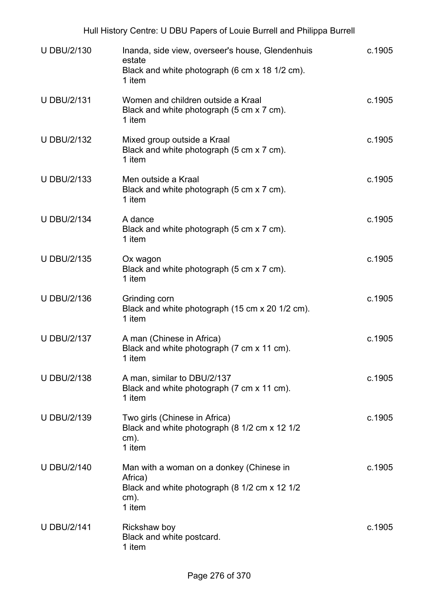| <b>U DBU/2/130</b> | Inanda, side view, overseer's house, Glendenhuis<br>estate<br>Black and white photograph (6 cm x 18 1/2 cm).<br>1 item    | c.1905 |
|--------------------|---------------------------------------------------------------------------------------------------------------------------|--------|
| <b>U DBU/2/131</b> | Women and children outside a Kraal<br>Black and white photograph (5 cm x 7 cm).<br>1 item                                 | c.1905 |
| <b>U DBU/2/132</b> | Mixed group outside a Kraal<br>Black and white photograph (5 cm x 7 cm).<br>1 item                                        | c.1905 |
| <b>U DBU/2/133</b> | Men outside a Kraal<br>Black and white photograph (5 cm x 7 cm).<br>1 item                                                | c.1905 |
| <b>U DBU/2/134</b> | A dance<br>Black and white photograph (5 cm x 7 cm).<br>1 item                                                            | c.1905 |
| <b>U DBU/2/135</b> | Ox wagon<br>Black and white photograph (5 cm x 7 cm).<br>1 item                                                           | c.1905 |
| <b>U DBU/2/136</b> | Grinding corn<br>Black and white photograph (15 cm x 20 1/2 cm).<br>1 item                                                | c.1905 |
| <b>U DBU/2/137</b> | A man (Chinese in Africa)<br>Black and white photograph (7 cm x 11 cm).<br>1 item                                         | c.1905 |
| <b>U DBU/2/138</b> | A man, similar to DBU/2/137<br>Black and white photograph (7 cm x 11 cm).<br>1 item                                       | c.1905 |
| <b>U DBU/2/139</b> | Two girls (Chinese in Africa)<br>Black and white photograph (8 1/2 cm x 12 1/2<br>$cm)$ .<br>1 item                       | c.1905 |
| <b>U DBU/2/140</b> | Man with a woman on a donkey (Chinese in<br>Africa)<br>Black and white photograph (8 1/2 cm x 12 1/2<br>$cm)$ .<br>1 item | c.1905 |
| <b>U DBU/2/141</b> | Rickshaw boy<br>Black and white postcard.<br>1 item                                                                       | c.1905 |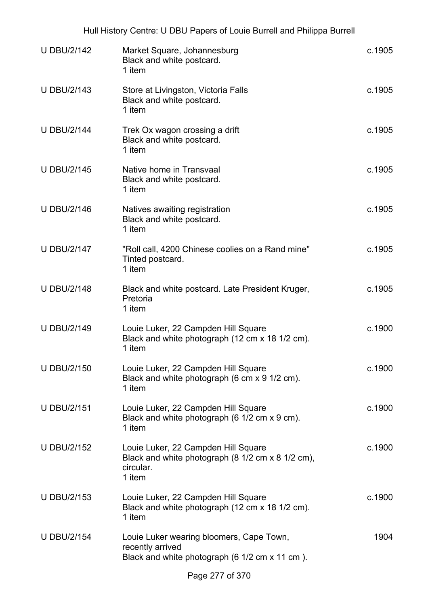| Hull History Centre: U DBU Papers of Louie Burrell and Philippa Burrell |                                                                                                                 |        |  |
|-------------------------------------------------------------------------|-----------------------------------------------------------------------------------------------------------------|--------|--|
| <b>U DBU/2/142</b>                                                      | Market Square, Johannesburg<br>Black and white postcard.<br>1 item                                              | c.1905 |  |
| <b>U DBU/2/143</b>                                                      | Store at Livingston, Victoria Falls<br>Black and white postcard.<br>1 item                                      | c.1905 |  |
| <b>U DBU/2/144</b>                                                      | Trek Ox wagon crossing a drift<br>Black and white postcard.<br>1 item                                           | c.1905 |  |
| <b>U DBU/2/145</b>                                                      | Native home in Transvaal<br>Black and white postcard.<br>1 item                                                 | c.1905 |  |
| <b>U DBU/2/146</b>                                                      | Natives awaiting registration<br>Black and white postcard.<br>1 item                                            | c.1905 |  |
| <b>U DBU/2/147</b>                                                      | "Roll call, 4200 Chinese coolies on a Rand mine"<br>Tinted postcard.<br>1 item                                  | c.1905 |  |
| <b>U DBU/2/148</b>                                                      | Black and white postcard. Late President Kruger,<br>Pretoria<br>1 item                                          | c.1905 |  |
| <b>U DBU/2/149</b>                                                      | Louie Luker, 22 Campden Hill Square<br>Black and white photograph (12 cm x 18 1/2 cm).<br>1 item                | c.1900 |  |
| <b>U DBU/2/150</b>                                                      | Louie Luker, 22 Campden Hill Square<br>Black and white photograph (6 cm x 9 1/2 cm).<br>1 item                  | c.1900 |  |
| <b>U DBU/2/151</b>                                                      | Louie Luker, 22 Campden Hill Square<br>Black and white photograph (6 1/2 cm x 9 cm).<br>1 item                  | c.1900 |  |
| <b>U DBU/2/152</b>                                                      | Louie Luker, 22 Campden Hill Square<br>Black and white photograph (8 1/2 cm x 8 1/2 cm),<br>circular.<br>1 item | c.1900 |  |
| <b>U DBU/2/153</b>                                                      | Louie Luker, 22 Campden Hill Square<br>Black and white photograph (12 cm x 18 1/2 cm).<br>1 item                | c.1900 |  |
| <b>U DBU/2/154</b>                                                      | Louie Luker wearing bloomers, Cape Town,<br>recently arrived<br>Black and white photograph (6 1/2 cm x 11 cm).  | 1904   |  |
|                                                                         |                                                                                                                 |        |  |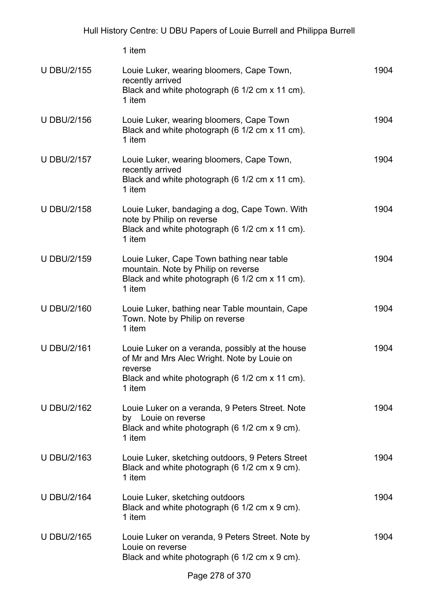|                    | 1 item                                                                                                                                                                |      |
|--------------------|-----------------------------------------------------------------------------------------------------------------------------------------------------------------------|------|
| <b>U DBU/2/155</b> | Louie Luker, wearing bloomers, Cape Town,<br>recently arrived<br>Black and white photograph (6 1/2 cm x 11 cm).<br>1 item                                             | 1904 |
| <b>U DBU/2/156</b> | Louie Luker, wearing bloomers, Cape Town<br>Black and white photograph (6 1/2 cm x 11 cm).<br>1 item                                                                  | 1904 |
| <b>U DBU/2/157</b> | Louie Luker, wearing bloomers, Cape Town,<br>recently arrived<br>Black and white photograph (6 1/2 cm x 11 cm).<br>1 item                                             | 1904 |
| <b>U DBU/2/158</b> | Louie Luker, bandaging a dog, Cape Town. With<br>note by Philip on reverse<br>Black and white photograph (6 1/2 cm x 11 cm).<br>1 item                                | 1904 |
| <b>U DBU/2/159</b> | Louie Luker, Cape Town bathing near table<br>mountain. Note by Philip on reverse<br>Black and white photograph (6 1/2 cm x 11 cm).<br>1 item                          | 1904 |
| <b>U DBU/2/160</b> | Louie Luker, bathing near Table mountain, Cape<br>Town. Note by Philip on reverse<br>1 item                                                                           | 1904 |
| <b>U DBU/2/161</b> | Louie Luker on a veranda, possibly at the house<br>of Mr and Mrs Alec Wright. Note by Louie on<br>reverse<br>Black and white photograph (6 1/2 cm x 11 cm).<br>1 item | 1904 |
| <b>U DBU/2/162</b> | Louie Luker on a veranda, 9 Peters Street. Note<br>by Louie on reverse<br>Black and white photograph (6 1/2 cm x 9 cm).<br>1 item                                     | 1904 |
| <b>U DBU/2/163</b> | Louie Luker, sketching outdoors, 9 Peters Street<br>Black and white photograph (6 1/2 cm x 9 cm).<br>1 item                                                           | 1904 |
| <b>U DBU/2/164</b> | Louie Luker, sketching outdoors<br>Black and white photograph (6 1/2 cm x 9 cm).<br>1 item                                                                            | 1904 |
| <b>U DBU/2/165</b> | Louie Luker on veranda, 9 Peters Street. Note by<br>Louie on reverse<br>Black and white photograph (6 1/2 cm x 9 cm).                                                 | 1904 |
|                    |                                                                                                                                                                       |      |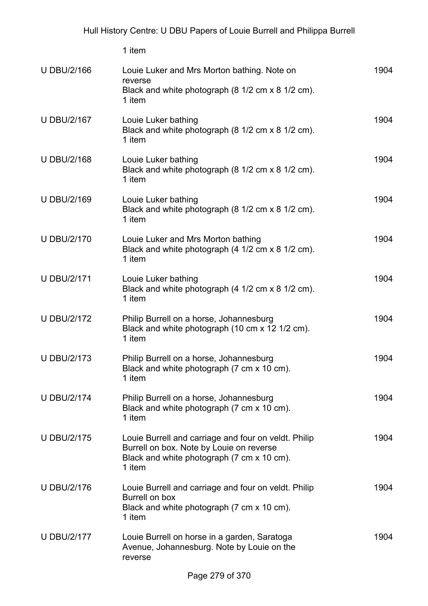|                    | 1 item                                                                                                                                                   |      |
|--------------------|----------------------------------------------------------------------------------------------------------------------------------------------------------|------|
| <b>U DBU/2/166</b> | Louie Luker and Mrs Morton bathing. Note on<br>reverse<br>Black and white photograph (8 1/2 cm x 8 1/2 cm).<br>1 item                                    | 1904 |
| <b>U DBU/2/167</b> | Louie Luker bathing<br>Black and white photograph (8 1/2 cm x 8 1/2 cm).<br>1 item                                                                       | 1904 |
| <b>U DBU/2/168</b> | Louie Luker bathing<br>Black and white photograph (8 1/2 cm x 8 1/2 cm).<br>1 item                                                                       | 1904 |
| <b>U DBU/2/169</b> | Louie Luker bathing<br>Black and white photograph (8 1/2 cm x 8 1/2 cm).<br>1 item                                                                       | 1904 |
| <b>U DBU/2/170</b> | Louie Luker and Mrs Morton bathing<br>Black and white photograph (4 1/2 cm x 8 1/2 cm).<br>1 item                                                        | 1904 |
| <b>U DBU/2/171</b> | Louie Luker bathing<br>Black and white photograph (4 1/2 cm x 8 1/2 cm).<br>1 item                                                                       | 1904 |
| <b>U DBU/2/172</b> | Philip Burrell on a horse, Johannesburg<br>Black and white photograph (10 cm x 12 1/2 cm).<br>1 item                                                     | 1904 |
| <b>U DBU/2/173</b> | Philip Burrell on a horse, Johannesburg<br>Black and white photograph (7 cm x 10 cm).<br>1 item                                                          | 1904 |
| <b>U DBU/2/174</b> | Philip Burrell on a horse, Johannesburg<br>Black and white photograph (7 cm x 10 cm).<br>1 item                                                          | 1904 |
| <b>U DBU/2/175</b> | Louie Burrell and carriage and four on veldt. Philip<br>Burrell on box. Note by Louie on reverse<br>Black and white photograph (7 cm x 10 cm).<br>1 item | 1904 |
| <b>U DBU/2/176</b> | Louie Burrell and carriage and four on veldt. Philip<br>Burrell on box<br>Black and white photograph (7 cm x 10 cm).<br>1 item                           | 1904 |
| <b>U DBU/2/177</b> | Louie Burrell on horse in a garden, Saratoga<br>Avenue, Johannesburg. Note by Louie on the<br>reverse                                                    | 1904 |
|                    |                                                                                                                                                          |      |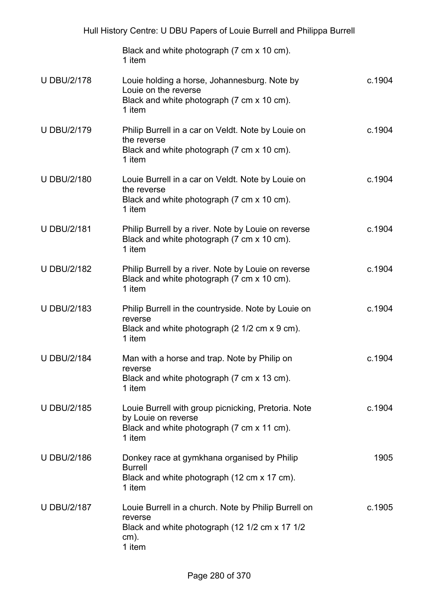|                    | Black and white photograph (7 cm x 10 cm).<br>1 item                                                                                   |        |
|--------------------|----------------------------------------------------------------------------------------------------------------------------------------|--------|
| <b>U DBU/2/178</b> | Louie holding a horse, Johannesburg. Note by<br>Louie on the reverse<br>Black and white photograph (7 cm x 10 cm).<br>1 item           | c.1904 |
| <b>U DBU/2/179</b> | Philip Burrell in a car on Veldt. Note by Louie on<br>the reverse<br>Black and white photograph (7 cm x 10 cm).<br>1 item              | c.1904 |
| <b>U DBU/2/180</b> | Louie Burrell in a car on Veldt. Note by Louie on<br>the reverse<br>Black and white photograph (7 cm x 10 cm).<br>1 item               | c.1904 |
| <b>U DBU/2/181</b> | Philip Burrell by a river. Note by Louie on reverse<br>Black and white photograph (7 cm x 10 cm).<br>1 item                            | c.1904 |
| <b>U DBU/2/182</b> | Philip Burrell by a river. Note by Louie on reverse<br>Black and white photograph (7 cm x 10 cm).<br>1 item                            | c.1904 |
| <b>U DBU/2/183</b> | Philip Burrell in the countryside. Note by Louie on<br>reverse<br>Black and white photograph (2 1/2 cm x 9 cm).<br>1 item              | c.1904 |
| <b>U DBU/2/184</b> | Man with a horse and trap. Note by Philip on<br>reverse<br>Black and white photograph (7 cm x 13 cm).<br>1 item                        | c.1904 |
| <b>U DBU/2/185</b> | Louie Burrell with group picnicking, Pretoria. Note<br>by Louie on reverse<br>Black and white photograph (7 cm x 11 cm).<br>1 item     | c.1904 |
| <b>U DBU/2/186</b> | Donkey race at gymkhana organised by Philip<br><b>Burrell</b><br>Black and white photograph (12 cm x 17 cm).<br>1 item                 | 1905   |
| <b>U DBU/2/187</b> | Louie Burrell in a church. Note by Philip Burrell on<br>reverse<br>Black and white photograph (12 1/2 cm x 17 1/2<br>$cm)$ .<br>1 item | c.1905 |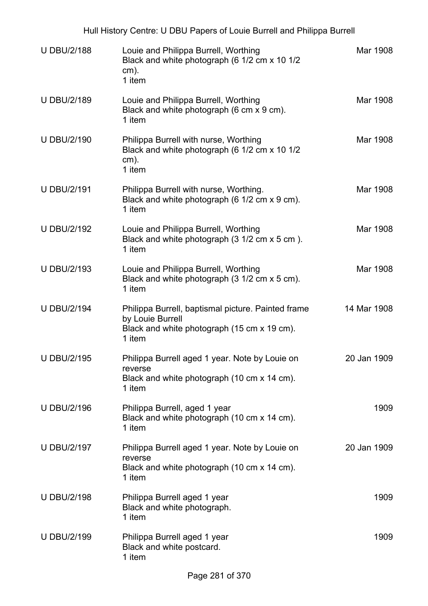Hull History Centre: U DBU Papers of Louie Burrell and Philippa Burrell

| <b>U DBU/2/188</b> | Louie and Philippa Burrell, Worthing<br>Black and white photograph (6 1/2 cm x 10 1/2<br>$cm)$ .<br>1 item                      | Mar 1908    |
|--------------------|---------------------------------------------------------------------------------------------------------------------------------|-------------|
| <b>U DBU/2/189</b> | Louie and Philippa Burrell, Worthing<br>Black and white photograph (6 cm x 9 cm).<br>1 item                                     | Mar 1908    |
| <b>U DBU/2/190</b> | Philippa Burrell with nurse, Worthing<br>Black and white photograph (6 1/2 cm x 10 1/2<br>$cm)$ .<br>1 item                     | Mar 1908    |
| <b>U DBU/2/191</b> | Philippa Burrell with nurse, Worthing.<br>Black and white photograph (6 1/2 cm x 9 cm).<br>1 item                               | Mar 1908    |
| <b>U DBU/2/192</b> | Louie and Philippa Burrell, Worthing<br>Black and white photograph (3 1/2 cm x 5 cm ).<br>1 item                                | Mar 1908    |
| <b>U DBU/2/193</b> | Louie and Philippa Burrell, Worthing<br>Black and white photograph (3 1/2 cm x 5 cm).<br>1 item                                 | Mar 1908    |
| <b>U DBU/2/194</b> | Philippa Burrell, baptismal picture. Painted frame<br>by Louie Burrell<br>Black and white photograph (15 cm x 19 cm).<br>1 item | 14 Mar 1908 |
| <b>U DBU/2/195</b> | Philippa Burrell aged 1 year. Note by Louie on<br>reverse<br>Black and white photograph (10 cm x 14 cm).<br>1 item              | 20 Jan 1909 |
| <b>U DBU/2/196</b> | Philippa Burrell, aged 1 year<br>Black and white photograph (10 cm x 14 cm).<br>1 item                                          | 1909        |
| <b>U DBU/2/197</b> | Philippa Burrell aged 1 year. Note by Louie on<br>reverse<br>Black and white photograph (10 cm x 14 cm).<br>1 item              | 20 Jan 1909 |
| <b>U DBU/2/198</b> | Philippa Burrell aged 1 year<br>Black and white photograph.<br>1 item                                                           | 1909        |
| <b>U DBU/2/199</b> | Philippa Burrell aged 1 year<br>Black and white postcard.<br>1 item                                                             | 1909        |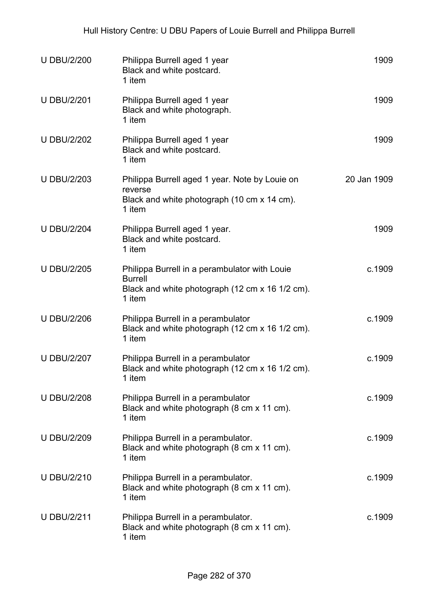| <b>U DBU/2/200</b> | Philippa Burrell aged 1 year<br>Black and white postcard.<br>1 item                                                          | 1909        |
|--------------------|------------------------------------------------------------------------------------------------------------------------------|-------------|
| <b>U DBU/2/201</b> | Philippa Burrell aged 1 year<br>Black and white photograph.<br>1 item                                                        | 1909        |
| <b>U DBU/2/202</b> | Philippa Burrell aged 1 year<br>Black and white postcard.<br>1 item                                                          | 1909        |
| <b>U DBU/2/203</b> | Philippa Burrell aged 1 year. Note by Louie on<br>reverse<br>Black and white photograph (10 cm x 14 cm).<br>1 item           | 20 Jan 1909 |
| <b>U DBU/2/204</b> | Philippa Burrell aged 1 year.<br>Black and white postcard.<br>1 item                                                         | 1909        |
| <b>U DBU/2/205</b> | Philippa Burrell in a perambulator with Louie<br><b>Burrell</b><br>Black and white photograph (12 cm x 16 1/2 cm).<br>1 item | c.1909      |
| <b>U DBU/2/206</b> | Philippa Burrell in a perambulator<br>Black and white photograph (12 cm x 16 1/2 cm).<br>1 item                              | c.1909      |
| <b>U DBU/2/207</b> | Philippa Burrell in a perambulator<br>Black and white photograph (12 cm x 16 1/2 cm).<br>1 item                              | c.1909      |
| <b>U DBU/2/208</b> | Philippa Burrell in a perambulator<br>Black and white photograph (8 cm x 11 cm).<br>1 item                                   | c.1909      |
| <b>U DBU/2/209</b> | Philippa Burrell in a perambulator.<br>Black and white photograph (8 cm x 11 cm).<br>1 item                                  | c.1909      |
| <b>U DBU/2/210</b> | Philippa Burrell in a perambulator.<br>Black and white photograph (8 cm x 11 cm).<br>1 item                                  | c.1909      |
| <b>U DBU/2/211</b> | Philippa Burrell in a perambulator.<br>Black and white photograph (8 cm x 11 cm).<br>1 item                                  | c.1909      |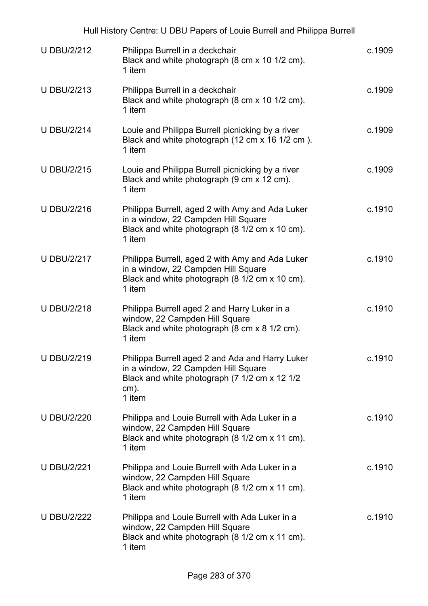| <b>U DBU/2/212</b> | Philippa Burrell in a deckchair<br>Black and white photograph (8 cm x 10 1/2 cm).<br>1 item                                                                  | c.1909 |
|--------------------|--------------------------------------------------------------------------------------------------------------------------------------------------------------|--------|
| <b>U DBU/2/213</b> | Philippa Burrell in a deckchair<br>Black and white photograph (8 cm x 10 1/2 cm).<br>1 item                                                                  | c.1909 |
| <b>U DBU/2/214</b> | Louie and Philippa Burrell picnicking by a river<br>Black and white photograph (12 cm x 16 1/2 cm).<br>1 item                                                | c.1909 |
| <b>U DBU/2/215</b> | Louie and Philippa Burrell picnicking by a river<br>Black and white photograph (9 cm x 12 cm).<br>1 item                                                     | c.1909 |
| <b>U DBU/2/216</b> | Philippa Burrell, aged 2 with Amy and Ada Luker<br>in a window, 22 Campden Hill Square<br>Black and white photograph (8 1/2 cm x 10 cm).<br>1 item           | c.1910 |
| <b>U DBU/2/217</b> | Philippa Burrell, aged 2 with Amy and Ada Luker<br>in a window, 22 Campden Hill Square<br>Black and white photograph (8 1/2 cm x 10 cm).<br>1 item           | c.1910 |
| <b>U DBU/2/218</b> | Philippa Burrell aged 2 and Harry Luker in a<br>window, 22 Campden Hill Square<br>Black and white photograph (8 cm x 8 1/2 cm).<br>1 item                    | c.1910 |
| <b>U DBU/2/219</b> | Philippa Burrell aged 2 and Ada and Harry Luker<br>in a window, 22 Campden Hill Square<br>Black and white photograph (7 1/2 cm x 12 1/2<br>$cm)$ .<br>1 item | c.1910 |
| <b>U DBU/2/220</b> | Philippa and Louie Burrell with Ada Luker in a<br>window, 22 Campden Hill Square<br>Black and white photograph (8 1/2 cm x 11 cm).<br>1 item                 | c.1910 |
| <b>U DBU/2/221</b> | Philippa and Louie Burrell with Ada Luker in a<br>window, 22 Campden Hill Square<br>Black and white photograph (8 1/2 cm x 11 cm).<br>1 item                 | c.1910 |
| <b>U DBU/2/222</b> | Philippa and Louie Burrell with Ada Luker in a<br>window, 22 Campden Hill Square<br>Black and white photograph (8 1/2 cm x 11 cm).<br>1 item                 | c.1910 |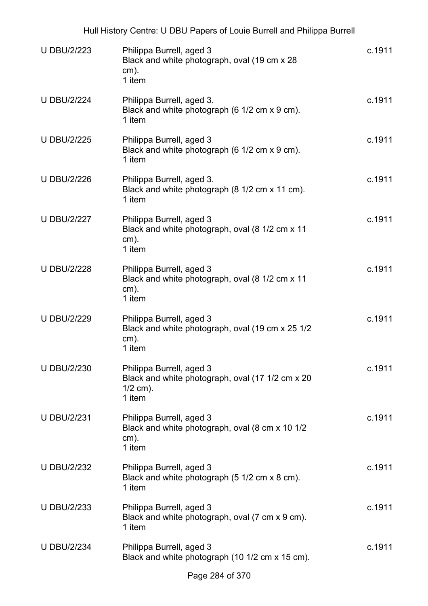| <b>U DBU/2/223</b> | Philippa Burrell, aged 3<br>Black and white photograph, oval (19 cm x 28)<br>$cm)$ .<br>1 item       | c.1911 |
|--------------------|------------------------------------------------------------------------------------------------------|--------|
| <b>U DBU/2/224</b> | Philippa Burrell, aged 3.<br>Black and white photograph (6 1/2 cm x 9 cm).<br>1 item                 | c.1911 |
| <b>U DBU/2/225</b> | Philippa Burrell, aged 3<br>Black and white photograph (6 1/2 cm x 9 cm).<br>1 item                  | c.1911 |
| <b>U DBU/2/226</b> | Philippa Burrell, aged 3.<br>Black and white photograph (8 1/2 cm x 11 cm).<br>1 item                | c.1911 |
| <b>U DBU/2/227</b> | Philippa Burrell, aged 3<br>Black and white photograph, oval (8 1/2 cm x 11<br>cm).<br>1 item        | c.1911 |
| <b>U DBU/2/228</b> | Philippa Burrell, aged 3<br>Black and white photograph, oval (8 1/2 cm x 11<br>$cm)$ .<br>1 item     | c.1911 |
| <b>U DBU/2/229</b> | Philippa Burrell, aged 3<br>Black and white photograph, oval (19 cm x 25 1/2<br>cm).<br>1 item       | c.1911 |
| <b>U DBU/2/230</b> | Philippa Burrell, aged 3<br>Black and white photograph, oval (17 1/2 cm x 20<br>$1/2$ cm).<br>1 item | c.1911 |
| <b>U DBU/2/231</b> | Philippa Burrell, aged 3<br>Black and white photograph, oval (8 cm x 10 1/2<br>cm).<br>1 item        | c.1911 |
| <b>U DBU/2/232</b> | Philippa Burrell, aged 3<br>Black and white photograph (5 1/2 cm x 8 cm).<br>1 item                  | c.1911 |
| <b>U DBU/2/233</b> | Philippa Burrell, aged 3<br>Black and white photograph, oval (7 cm x 9 cm).<br>1 item                | c.1911 |
| <b>U DBU/2/234</b> | Philippa Burrell, aged 3<br>Black and white photograph (10 1/2 cm x 15 cm).                          | c.1911 |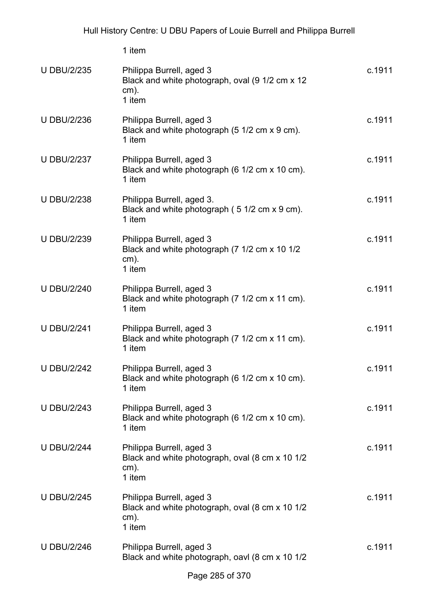|                    | 1 item                                                                                           |        |
|--------------------|--------------------------------------------------------------------------------------------------|--------|
| <b>U DBU/2/235</b> | Philippa Burrell, aged 3<br>Black and white photograph, oval (9 1/2 cm x 12<br>$cm)$ .<br>1 item | c.1911 |
| <b>U DBU/2/236</b> | Philippa Burrell, aged 3<br>Black and white photograph (5 1/2 cm x 9 cm).<br>1 item              | c.1911 |
| <b>U DBU/2/237</b> | Philippa Burrell, aged 3<br>Black and white photograph (6 1/2 cm x 10 cm).<br>1 item             | c.1911 |
| <b>U DBU/2/238</b> | Philippa Burrell, aged 3.<br>Black and white photograph (5 1/2 cm x 9 cm).<br>1 item             | c.1911 |
| <b>U DBU/2/239</b> | Philippa Burrell, aged 3<br>Black and white photograph (7 1/2 cm x 10 1/2<br>$cm)$ .<br>1 item   | c.1911 |
| <b>U DBU/2/240</b> | Philippa Burrell, aged 3<br>Black and white photograph (7 1/2 cm x 11 cm).<br>1 item             | c.1911 |
| <b>U DBU/2/241</b> | Philippa Burrell, aged 3<br>Black and white photograph (7 1/2 cm x 11 cm).<br>1 item             | c.1911 |
| <b>U DBU/2/242</b> | Philippa Burrell, aged 3<br>Black and white photograph (6 1/2 cm x 10 cm).<br>1 item             | c.1911 |
| <b>U DBU/2/243</b> | Philippa Burrell, aged 3<br>Black and white photograph (6 1/2 cm x 10 cm).<br>1 item             | c.1911 |
| <b>U DBU/2/244</b> | Philippa Burrell, aged 3<br>Black and white photograph, oval (8 cm x 10 1/2<br>$cm)$ .<br>1 item | c.1911 |
| <b>U DBU/2/245</b> | Philippa Burrell, aged 3<br>Black and white photograph, oval (8 cm x 10 1/2<br>$cm)$ .<br>1 item | c.1911 |
| <b>U DBU/2/246</b> | Philippa Burrell, aged 3<br>Black and white photograph, oavl (8 cm x 10 1/2                      | c.1911 |
|                    |                                                                                                  |        |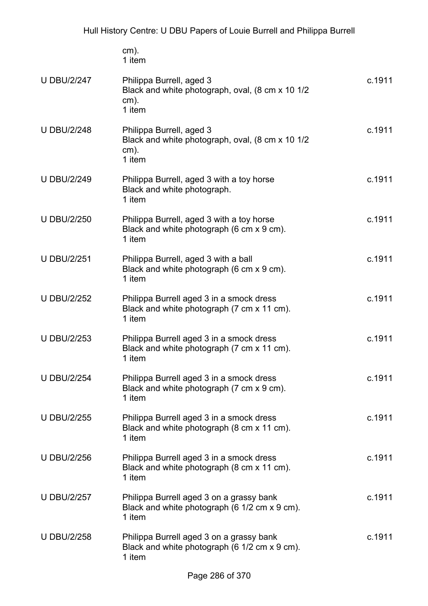|                    | $cm)$ .<br>1 item                                                                                   |        |
|--------------------|-----------------------------------------------------------------------------------------------------|--------|
| <b>U DBU/2/247</b> | Philippa Burrell, aged 3<br>Black and white photograph, oval, (8 cm x 10 1/2<br>$cm)$ .<br>1 item   | c.1911 |
| <b>U DBU/2/248</b> | Philippa Burrell, aged 3<br>Black and white photograph, oval, (8 cm x 10 1/2<br>$cm)$ .<br>1 item   | c.1911 |
| <b>U DBU/2/249</b> | Philippa Burrell, aged 3 with a toy horse<br>Black and white photograph.<br>1 item                  | c.1911 |
| <b>U DBU/2/250</b> | Philippa Burrell, aged 3 with a toy horse<br>Black and white photograph (6 cm x 9 cm).<br>1 item    | c.1911 |
| <b>U DBU/2/251</b> | Philippa Burrell, aged 3 with a ball<br>Black and white photograph (6 cm x 9 cm).<br>1 item         | c.1911 |
| <b>U DBU/2/252</b> | Philippa Burrell aged 3 in a smock dress<br>Black and white photograph (7 cm x 11 cm).<br>1 item    | c.1911 |
| <b>U DBU/2/253</b> | Philippa Burrell aged 3 in a smock dress<br>Black and white photograph (7 cm x 11 cm).<br>1 item    | c.1911 |
| <b>U DBU/2/254</b> | Philippa Burrell aged 3 in a smock dress<br>Black and white photograph (7 cm x 9 cm).<br>1 item     | c.1911 |
| <b>U DBU/2/255</b> | Philippa Burrell aged 3 in a smock dress<br>Black and white photograph (8 cm x 11 cm).<br>1 item    | c.1911 |
| <b>U DBU/2/256</b> | Philippa Burrell aged 3 in a smock dress<br>Black and white photograph (8 cm x 11 cm).<br>1 item    | c.1911 |
| <b>U DBU/2/257</b> | Philippa Burrell aged 3 on a grassy bank<br>Black and white photograph (6 1/2 cm x 9 cm).<br>1 item | c.1911 |
| U DBU/2/258        | Philippa Burrell aged 3 on a grassy bank                                                            | c.1911 |

U DBU/2/258 Philippa Burrell aged 3 on a grassy bank Black and white photograph (6 1/2 cm x 9 cm). 1 item c.1911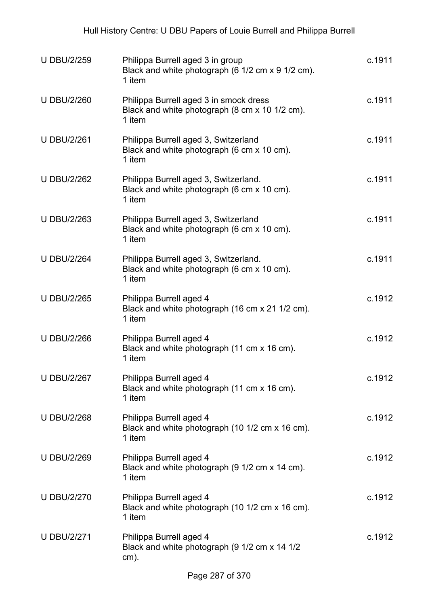| <b>U DBU/2/259</b> | Philippa Burrell aged 3 in group<br>Black and white photograph (6 1/2 cm x 9 1/2 cm).<br>1 item    | c.1911 |
|--------------------|----------------------------------------------------------------------------------------------------|--------|
| <b>U DBU/2/260</b> | Philippa Burrell aged 3 in smock dress<br>Black and white photograph (8 cm x 10 1/2 cm).<br>1 item | c.1911 |
| <b>U DBU/2/261</b> | Philippa Burrell aged 3, Switzerland<br>Black and white photograph (6 cm x 10 cm).<br>1 item       | c.1911 |
| <b>U DBU/2/262</b> | Philippa Burrell aged 3, Switzerland.<br>Black and white photograph (6 cm x 10 cm).<br>1 item      | c.1911 |
| <b>U DBU/2/263</b> | Philippa Burrell aged 3, Switzerland<br>Black and white photograph (6 cm x 10 cm).<br>1 item       | c.1911 |
| <b>U DBU/2/264</b> | Philippa Burrell aged 3, Switzerland.<br>Black and white photograph (6 cm x 10 cm).<br>1 item      | c.1911 |
| <b>U DBU/2/265</b> | Philippa Burrell aged 4<br>Black and white photograph (16 cm x 21 1/2 cm).<br>1 item               | c.1912 |
| <b>U DBU/2/266</b> | Philippa Burrell aged 4<br>Black and white photograph (11 cm x 16 cm).<br>1 item                   | c.1912 |
| <b>U DBU/2/267</b> | Philippa Burrell aged 4<br>Black and white photograph (11 cm x 16 cm).<br>1 item                   | c.1912 |
| <b>U DBU/2/268</b> | Philippa Burrell aged 4<br>Black and white photograph (10 1/2 cm x 16 cm).<br>1 item               | c.1912 |
| <b>U DBU/2/269</b> | Philippa Burrell aged 4<br>Black and white photograph (9 1/2 cm x 14 cm).<br>1 item                | c.1912 |
| <b>U DBU/2/270</b> | Philippa Burrell aged 4<br>Black and white photograph (10 1/2 cm x 16 cm).<br>1 item               | c.1912 |
| <b>U DBU/2/271</b> | Philippa Burrell aged 4<br>Black and white photograph (9 1/2 cm x 14 1/2<br>$cm)$ .                | c.1912 |
|                    |                                                                                                    |        |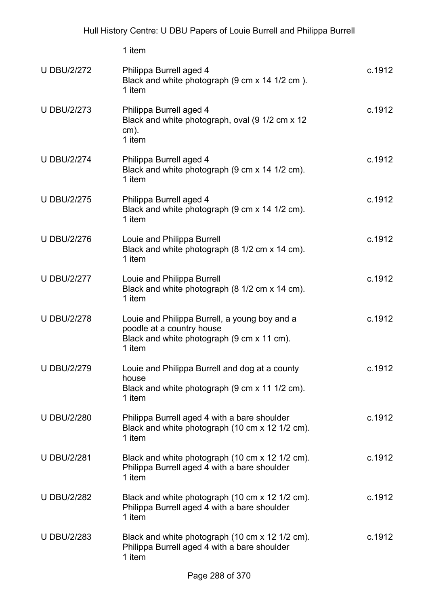|                    | 1 item                                                                                                                             |        |
|--------------------|------------------------------------------------------------------------------------------------------------------------------------|--------|
| <b>U DBU/2/272</b> | Philippa Burrell aged 4<br>Black and white photograph (9 cm x 14 1/2 cm).<br>1 item                                                | c.1912 |
| <b>U DBU/2/273</b> | Philippa Burrell aged 4<br>Black and white photograph, oval (9 1/2 cm x 12<br>$cm)$ .<br>1 item                                    | c.1912 |
| <b>U DBU/2/274</b> | Philippa Burrell aged 4<br>Black and white photograph (9 cm x 14 1/2 cm).<br>1 item                                                | c.1912 |
| <b>U DBU/2/275</b> | Philippa Burrell aged 4<br>Black and white photograph (9 cm x 14 1/2 cm).<br>1 item                                                | c.1912 |
| <b>U DBU/2/276</b> | Louie and Philippa Burrell<br>Black and white photograph (8 1/2 cm x 14 cm).<br>1 item                                             | c.1912 |
| <b>U DBU/2/277</b> | Louie and Philippa Burrell<br>Black and white photograph (8 1/2 cm x 14 cm).<br>1 item                                             | c.1912 |
| <b>U DBU/2/278</b> | Louie and Philippa Burrell, a young boy and a<br>poodle at a country house<br>Black and white photograph (9 cm x 11 cm).<br>1 item | c.1912 |
| <b>U DBU/2/279</b> | Louie and Philippa Burrell and dog at a county<br>house<br>Black and white photograph (9 cm x 11 1/2 cm).<br>1 item                | c.1912 |
| <b>U DBU/2/280</b> | Philippa Burrell aged 4 with a bare shoulder<br>Black and white photograph (10 cm x 12 1/2 cm).<br>1 item                          | c.1912 |
| <b>U DBU/2/281</b> | Black and white photograph (10 cm x 12 1/2 cm).<br>Philippa Burrell aged 4 with a bare shoulder<br>1 item                          | c.1912 |
| <b>U DBU/2/282</b> | Black and white photograph (10 cm x 12 1/2 cm).<br>Philippa Burrell aged 4 with a bare shoulder<br>1 item                          | c.1912 |
| <b>U DBU/2/283</b> | Black and white photograph (10 cm x 12 1/2 cm).<br>Philippa Burrell aged 4 with a bare shoulder<br>1 item                          | c.1912 |
|                    |                                                                                                                                    |        |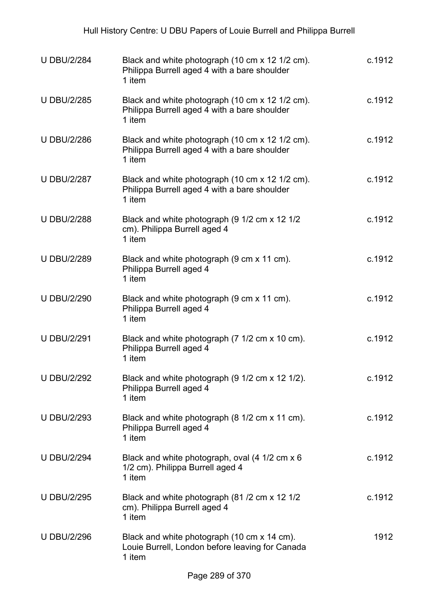| <b>U DBU/2/284</b> | Black and white photograph (10 cm x 12 1/2 cm).<br>Philippa Burrell aged 4 with a bare shoulder<br>1 item | c.1912 |
|--------------------|-----------------------------------------------------------------------------------------------------------|--------|
| <b>U DBU/2/285</b> | Black and white photograph (10 cm x 12 1/2 cm).<br>Philippa Burrell aged 4 with a bare shoulder<br>1 item | c.1912 |
| <b>U DBU/2/286</b> | Black and white photograph (10 cm x 12 1/2 cm).<br>Philippa Burrell aged 4 with a bare shoulder<br>1 item | c.1912 |
| <b>U DBU/2/287</b> | Black and white photograph (10 cm x 12 1/2 cm).<br>Philippa Burrell aged 4 with a bare shoulder<br>1 item | c.1912 |
| <b>U DBU/2/288</b> | Black and white photograph (9 1/2 cm x 12 1/2<br>cm). Philippa Burrell aged 4<br>1 item                   | c.1912 |
| <b>U DBU/2/289</b> | Black and white photograph (9 cm x 11 cm).<br>Philippa Burrell aged 4<br>1 item                           | c.1912 |
| <b>U DBU/2/290</b> | Black and white photograph (9 cm x 11 cm).<br>Philippa Burrell aged 4<br>1 item                           | c.1912 |
| <b>U DBU/2/291</b> | Black and white photograph (7 1/2 cm x 10 cm).<br>Philippa Burrell aged 4<br>1 item                       | c.1912 |
| <b>U DBU/2/292</b> | Black and white photograph (9 1/2 cm x 12 1/2).<br>Philippa Burrell aged 4<br>1 item                      | c.1912 |
| <b>U DBU/2/293</b> | Black and white photograph (8 1/2 cm x 11 cm).<br>Philippa Burrell aged 4<br>1 item                       | c.1912 |
| <b>U DBU/2/294</b> | Black and white photograph, oval (4 1/2 cm x 6<br>1/2 cm). Philippa Burrell aged 4<br>1 item              | c.1912 |
| <b>U DBU/2/295</b> | Black and white photograph (81 /2 cm x 12 1/2<br>cm). Philippa Burrell aged 4<br>1 item                   | c.1912 |
| <b>U DBU/2/296</b> | Black and white photograph (10 cm x 14 cm).<br>Louie Burrell, London before leaving for Canada<br>1 item  | 1912   |
|                    | $D_{\alpha\alpha\alpha}$ 200 of 270                                                                       |        |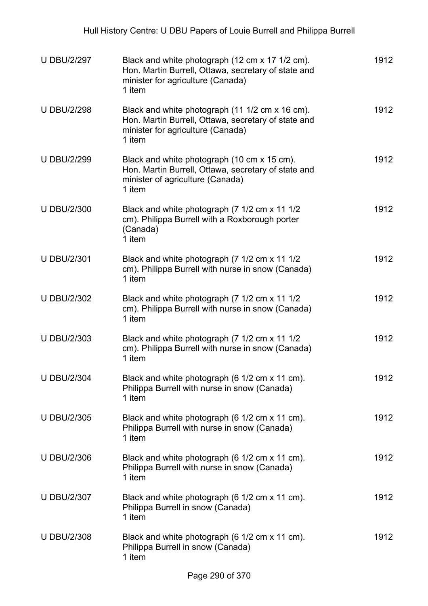| Black and white photograph (12 cm x 17 1/2 cm).<br>Hon. Martin Burrell, Ottawa, secretary of state and<br>minister for agriculture (Canada)<br>1 item | 1912 |
|-------------------------------------------------------------------------------------------------------------------------------------------------------|------|
| Black and white photograph (11 1/2 cm x 16 cm).<br>Hon. Martin Burrell, Ottawa, secretary of state and<br>minister for agriculture (Canada)<br>1 item | 1912 |
| Black and white photograph (10 cm x 15 cm).<br>Hon. Martin Burrell, Ottawa, secretary of state and<br>minister of agriculture (Canada)<br>1 item      | 1912 |
| Black and white photograph (7 1/2 cm x 11 1/2<br>cm). Philippa Burrell with a Roxborough porter<br>(Canada)<br>1 item                                 | 1912 |
| Black and white photograph (7 1/2 cm x 11 1/2<br>cm). Philippa Burrell with nurse in snow (Canada)<br>1 item                                          | 1912 |
| Black and white photograph (7 1/2 cm x 11 1/2<br>cm). Philippa Burrell with nurse in snow (Canada)<br>1 item                                          | 1912 |
| Black and white photograph (7 1/2 cm x 11 1/2<br>cm). Philippa Burrell with nurse in snow (Canada)<br>1 item                                          | 1912 |
| Black and white photograph (6 1/2 cm x 11 cm).<br>Philippa Burrell with nurse in snow (Canada)<br>1 item                                              | 1912 |
| Black and white photograph (6 1/2 cm x 11 cm).<br>Philippa Burrell with nurse in snow (Canada)<br>1 item                                              | 1912 |
| Black and white photograph (6 1/2 cm x 11 cm).<br>Philippa Burrell with nurse in snow (Canada)<br>1 item                                              | 1912 |
| Black and white photograph (6 1/2 cm x 11 cm).<br>Philippa Burrell in snow (Canada)<br>1 item                                                         | 1912 |
| Black and white photograph (6 1/2 cm x 11 cm).<br>Philippa Burrell in snow (Canada)<br>1 item                                                         | 1912 |
|                                                                                                                                                       |      |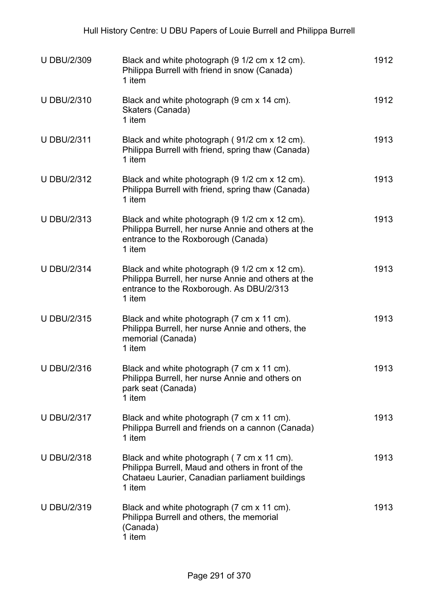| <b>U DBU/2/309</b> | Black and white photograph (9 1/2 cm x 12 cm).<br>Philippa Burrell with friend in snow (Canada)<br>1 item                                                   | 1912 |
|--------------------|-------------------------------------------------------------------------------------------------------------------------------------------------------------|------|
| <b>U DBU/2/310</b> | Black and white photograph (9 cm x 14 cm).<br>Skaters (Canada)<br>1 item                                                                                    | 1912 |
| <b>U DBU/2/311</b> | Black and white photograph (91/2 cm x 12 cm).<br>Philippa Burrell with friend, spring thaw (Canada)<br>1 item                                               | 1913 |
| <b>U DBU/2/312</b> | Black and white photograph (9 1/2 cm x 12 cm).<br>Philippa Burrell with friend, spring thaw (Canada)<br>1 item                                              | 1913 |
| <b>U DBU/2/313</b> | Black and white photograph (9 1/2 cm x 12 cm).<br>Philippa Burrell, her nurse Annie and others at the<br>entrance to the Roxborough (Canada)<br>1 item      | 1913 |
| <b>U DBU/2/314</b> | Black and white photograph (9 1/2 cm x 12 cm).<br>Philippa Burrell, her nurse Annie and others at the<br>entrance to the Roxborough. As DBU/2/313<br>1 item | 1913 |
| <b>U DBU/2/315</b> | Black and white photograph (7 cm x 11 cm).<br>Philippa Burrell, her nurse Annie and others, the<br>memorial (Canada)<br>1 item                              | 1913 |
| <b>U DBU/2/316</b> | Black and white photograph (7 cm x 11 cm).<br>Philippa Burrell, her nurse Annie and others on<br>park seat (Canada)<br>1 item                               | 1913 |
| <b>U DBU/2/317</b> | Black and white photograph (7 cm x 11 cm).<br>Philippa Burrell and friends on a cannon (Canada)<br>1 item                                                   | 1913 |
| <b>U DBU/2/318</b> | Black and white photograph (7 cm x 11 cm).<br>Philippa Burrell, Maud and others in front of the<br>Chataeu Laurier, Canadian parliament buildings<br>1 item | 1913 |
| <b>U DBU/2/319</b> | Black and white photograph (7 cm x 11 cm).<br>Philippa Burrell and others, the memorial<br>(Canada)<br>1 item                                               | 1913 |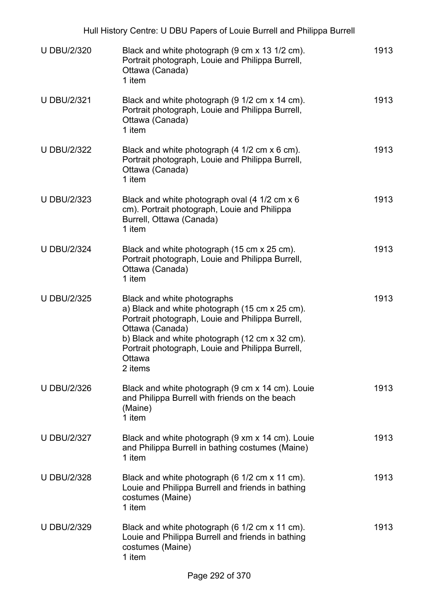| Hull History Centre: U DBU Papers of Louie Burrell and Philippa Burrell |                                                                                                                                                                                                                                                                                 |      |
|-------------------------------------------------------------------------|---------------------------------------------------------------------------------------------------------------------------------------------------------------------------------------------------------------------------------------------------------------------------------|------|
| <b>U DBU/2/320</b>                                                      | Black and white photograph (9 cm x 13 1/2 cm).<br>Portrait photograph, Louie and Philippa Burrell,<br>Ottawa (Canada)<br>1 item                                                                                                                                                 | 1913 |
| <b>U DBU/2/321</b>                                                      | Black and white photograph (9 1/2 cm x 14 cm).<br>Portrait photograph, Louie and Philippa Burrell,<br>Ottawa (Canada)<br>1 item                                                                                                                                                 | 1913 |
| <b>U DBU/2/322</b>                                                      | Black and white photograph (4 1/2 cm x 6 cm).<br>Portrait photograph, Louie and Philippa Burrell,<br>Ottawa (Canada)<br>1 item                                                                                                                                                  | 1913 |
| <b>U DBU/2/323</b>                                                      | Black and white photograph oval (4 1/2 cm x 6<br>cm). Portrait photograph, Louie and Philippa<br>Burrell, Ottawa (Canada)<br>1 item                                                                                                                                             | 1913 |
| <b>U DBU/2/324</b>                                                      | Black and white photograph (15 cm x 25 cm).<br>Portrait photograph, Louie and Philippa Burrell,<br>Ottawa (Canada)<br>1 item                                                                                                                                                    | 1913 |
| <b>U DBU/2/325</b>                                                      | Black and white photographs<br>a) Black and white photograph (15 cm x 25 cm).<br>Portrait photograph, Louie and Philippa Burrell,<br>Ottawa (Canada)<br>b) Black and white photograph (12 cm x 32 cm).<br>Portrait photograph, Louie and Philippa Burrell,<br>Ottawa<br>2 items | 1913 |
| <b>U DBU/2/326</b>                                                      | Black and white photograph (9 cm x 14 cm). Louie<br>and Philippa Burrell with friends on the beach<br>(Maine)<br>1 item                                                                                                                                                         | 1913 |
| <b>U DBU/2/327</b>                                                      | Black and white photograph (9 xm x 14 cm). Louie<br>and Philippa Burrell in bathing costumes (Maine)<br>1 item                                                                                                                                                                  | 1913 |
| <b>U DBU/2/328</b>                                                      | Black and white photograph (6 1/2 cm x 11 cm).<br>Louie and Philippa Burrell and friends in bathing<br>costumes (Maine)<br>1 item                                                                                                                                               | 1913 |
| <b>U DBU/2/329</b>                                                      | Black and white photograph (6 1/2 cm x 11 cm).<br>Louie and Philippa Burrell and friends in bathing<br>costumes (Maine)<br>1 item                                                                                                                                               | 1913 |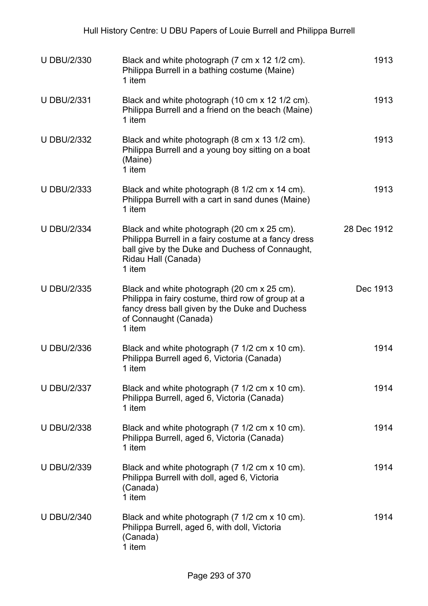| <b>U DBU/2/330</b> | Black and white photograph (7 cm x 12 1/2 cm).<br>Philippa Burrell in a bathing costume (Maine)<br>1 item                                                                               | 1913        |
|--------------------|-----------------------------------------------------------------------------------------------------------------------------------------------------------------------------------------|-------------|
| <b>U DBU/2/331</b> | Black and white photograph (10 cm x 12 1/2 cm).<br>Philippa Burrell and a friend on the beach (Maine)<br>1 item                                                                         | 1913        |
| <b>U DBU/2/332</b> | Black and white photograph (8 cm x 13 1/2 cm).<br>Philippa Burrell and a young boy sitting on a boat<br>(Maine)<br>1 item                                                               | 1913        |
| <b>U DBU/2/333</b> | Black and white photograph (8 1/2 cm x 14 cm).<br>Philippa Burrell with a cart in sand dunes (Maine)<br>1 item                                                                          | 1913        |
| <b>U DBU/2/334</b> | Black and white photograph (20 cm x 25 cm).<br>Philippa Burrell in a fairy costume at a fancy dress<br>ball give by the Duke and Duchess of Connaught,<br>Ridau Hall (Canada)<br>1 item | 28 Dec 1912 |
| <b>U DBU/2/335</b> | Black and white photograph (20 cm x 25 cm).<br>Philippa in fairy costume, third row of group at a<br>fancy dress ball given by the Duke and Duchess<br>of Connaught (Canada)<br>1 item  | Dec 1913    |
| <b>U DBU/2/336</b> | Black and white photograph (7 1/2 cm x 10 cm).<br>Philippa Burrell aged 6, Victoria (Canada)<br>1 item                                                                                  | 1914        |
| <b>U DBU/2/337</b> | Black and white photograph (7 1/2 cm x 10 cm).<br>Philippa Burrell, aged 6, Victoria (Canada)<br>1 item                                                                                 | 1914        |
| <b>U DBU/2/338</b> | Black and white photograph (7 1/2 cm x 10 cm).<br>Philippa Burrell, aged 6, Victoria (Canada)<br>1 item                                                                                 | 1914        |
| <b>U DBU/2/339</b> | Black and white photograph (7 1/2 cm x 10 cm).<br>Philippa Burrell with doll, aged 6, Victoria<br>(Canada)<br>1 item                                                                    | 1914        |
| <b>U DBU/2/340</b> | Black and white photograph (7 1/2 cm x 10 cm).<br>Philippa Burrell, aged 6, with doll, Victoria<br>(Canada)<br>1 item                                                                   | 1914        |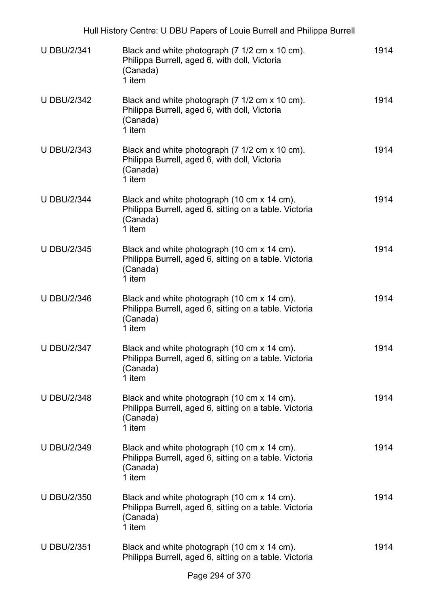|                    | Hull History Centre: U DBU Papers of Louie Burrell and Philippa Burrell                                                     |      |
|--------------------|-----------------------------------------------------------------------------------------------------------------------------|------|
| <b>U DBU/2/341</b> | Black and white photograph (7 1/2 cm x 10 cm).<br>Philippa Burrell, aged 6, with doll, Victoria<br>(Canada)<br>1 item       | 1914 |
| <b>U DBU/2/342</b> | Black and white photograph (7 1/2 cm x 10 cm).<br>Philippa Burrell, aged 6, with doll, Victoria<br>(Canada)<br>1 item       | 1914 |
| <b>U DBU/2/343</b> | Black and white photograph (7 1/2 cm x 10 cm).<br>Philippa Burrell, aged 6, with doll, Victoria<br>(Canada)<br>1 item       | 1914 |
| <b>U DBU/2/344</b> | Black and white photograph (10 cm x 14 cm).<br>Philippa Burrell, aged 6, sitting on a table. Victoria<br>(Canada)<br>1 item | 1914 |
| <b>U DBU/2/345</b> | Black and white photograph (10 cm x 14 cm).<br>Philippa Burrell, aged 6, sitting on a table. Victoria<br>(Canada)<br>1 item | 1914 |
| <b>U DBU/2/346</b> | Black and white photograph (10 cm x 14 cm).<br>Philippa Burrell, aged 6, sitting on a table. Victoria<br>(Canada)<br>1 item | 1914 |
| <b>U DBU/2/347</b> | Black and white photograph (10 cm x 14 cm).<br>Philippa Burrell, aged 6, sitting on a table. Victoria<br>(Canada)<br>1 item | 1914 |
| <b>U DBU/2/348</b> | Black and white photograph (10 cm x 14 cm).<br>Philippa Burrell, aged 6, sitting on a table. Victoria<br>(Canada)<br>1 item | 1914 |
| <b>U DBU/2/349</b> | Black and white photograph (10 cm x 14 cm).<br>Philippa Burrell, aged 6, sitting on a table. Victoria<br>(Canada)<br>1 item | 1914 |
| <b>U DBU/2/350</b> | Black and white photograph (10 cm x 14 cm).<br>Philippa Burrell, aged 6, sitting on a table. Victoria<br>(Canada)<br>1 item | 1914 |
| <b>U DBU/2/351</b> | Black and white photograph (10 cm x 14 cm).<br>Philippa Burrell, aged 6, sitting on a table. Victoria                       | 1914 |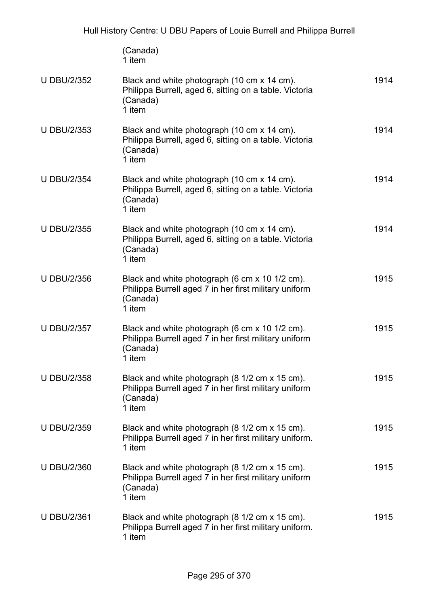|                    | (Canada)<br>1 item                                                                                                            |      |
|--------------------|-------------------------------------------------------------------------------------------------------------------------------|------|
| <b>U DBU/2/352</b> | Black and white photograph (10 cm x 14 cm).<br>Philippa Burrell, aged 6, sitting on a table. Victoria<br>(Canada)<br>1 item   | 1914 |
| <b>U DBU/2/353</b> | Black and white photograph (10 cm x 14 cm).<br>Philippa Burrell, aged 6, sitting on a table. Victoria<br>(Canada)<br>1 item   | 1914 |
| <b>U DBU/2/354</b> | Black and white photograph (10 cm x 14 cm).<br>Philippa Burrell, aged 6, sitting on a table. Victoria<br>(Canada)<br>1 item   | 1914 |
| <b>U DBU/2/355</b> | Black and white photograph (10 cm x 14 cm).<br>Philippa Burrell, aged 6, sitting on a table. Victoria<br>(Canada)<br>1 item   | 1914 |
| <b>U DBU/2/356</b> | Black and white photograph (6 cm x 10 1/2 cm).<br>Philippa Burrell aged 7 in her first military uniform<br>(Canada)<br>1 item | 1915 |
| <b>U DBU/2/357</b> | Black and white photograph (6 cm x 10 1/2 cm).<br>Philippa Burrell aged 7 in her first military uniform<br>(Canada)<br>1 item | 1915 |
| <b>U DBU/2/358</b> | Black and white photograph (8 1/2 cm x 15 cm).<br>Philippa Burrell aged 7 in her first military uniform<br>(Canada)<br>1 item | 1915 |
| <b>U DBU/2/359</b> | Black and white photograph (8 1/2 cm x 15 cm).<br>Philippa Burrell aged 7 in her first military uniform.<br>1 item            | 1915 |
| <b>U DBU/2/360</b> | Black and white photograph (8 1/2 cm x 15 cm).<br>Philippa Burrell aged 7 in her first military uniform<br>(Canada)<br>1 item | 1915 |
| <b>U DBU/2/361</b> | Black and white photograph (8 1/2 cm x 15 cm).<br>Philippa Burrell aged 7 in her first military uniform.<br>1 item            | 1915 |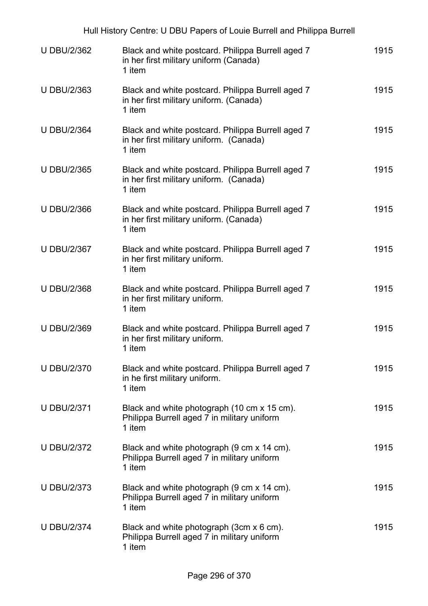|                    | Hull History Centre: U DBU Papers of Louie Burrell and Philippa Burrell                                |      |
|--------------------|--------------------------------------------------------------------------------------------------------|------|
| <b>U DBU/2/362</b> | Black and white postcard. Philippa Burrell aged 7<br>in her first military uniform (Canada)<br>1 item  | 1915 |
| <b>U DBU/2/363</b> | Black and white postcard. Philippa Burrell aged 7<br>in her first military uniform. (Canada)<br>1 item | 1915 |
| <b>U DBU/2/364</b> | Black and white postcard. Philippa Burrell aged 7<br>in her first military uniform. (Canada)<br>1 item | 1915 |
| <b>U DBU/2/365</b> | Black and white postcard. Philippa Burrell aged 7<br>in her first military uniform. (Canada)<br>1 item | 1915 |
| <b>U DBU/2/366</b> | Black and white postcard. Philippa Burrell aged 7<br>in her first military uniform. (Canada)<br>1 item | 1915 |
| <b>U DBU/2/367</b> | Black and white postcard. Philippa Burrell aged 7<br>in her first military uniform.<br>1 item          | 1915 |
| <b>U DBU/2/368</b> | Black and white postcard. Philippa Burrell aged 7<br>in her first military uniform.<br>1 item          | 1915 |
| <b>U DBU/2/369</b> | Black and white postcard. Philippa Burrell aged 7<br>in her first military uniform.<br>1 item          | 1915 |
| <b>U DBU/2/370</b> | Black and white postcard. Philippa Burrell aged 7<br>in he first military uniform.<br>1 item           | 1915 |
| <b>U DBU/2/371</b> | Black and white photograph (10 cm x 15 cm).<br>Philippa Burrell aged 7 in military uniform<br>1 item   | 1915 |
| <b>U DBU/2/372</b> | Black and white photograph (9 cm x 14 cm).<br>Philippa Burrell aged 7 in military uniform<br>1 item    | 1915 |
| <b>U DBU/2/373</b> | Black and white photograph (9 cm x 14 cm).<br>Philippa Burrell aged 7 in military uniform<br>1 item    | 1915 |
| <b>U DBU/2/374</b> | Black and white photograph (3cm x 6 cm).<br>Philippa Burrell aged 7 in military uniform<br>1 item      | 1915 |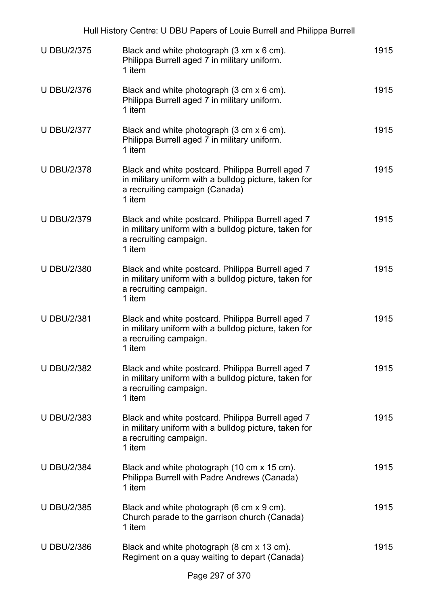| Hull History Centre: U DBU Papers of Louie Burrell and Philippa Burrell |                                                                                                                                                        |      |
|-------------------------------------------------------------------------|--------------------------------------------------------------------------------------------------------------------------------------------------------|------|
| <b>U DBU/2/375</b>                                                      | Black and white photograph (3 xm x 6 cm).<br>Philippa Burrell aged 7 in military uniform.<br>1 item                                                    | 1915 |
| <b>U DBU/2/376</b>                                                      | Black and white photograph (3 cm x 6 cm).<br>Philippa Burrell aged 7 in military uniform.<br>1 item                                                    | 1915 |
| <b>U DBU/2/377</b>                                                      | Black and white photograph (3 cm x 6 cm).<br>Philippa Burrell aged 7 in military uniform.<br>1 item                                                    | 1915 |
| <b>U DBU/2/378</b>                                                      | Black and white postcard. Philippa Burrell aged 7<br>in military uniform with a bulldog picture, taken for<br>a recruiting campaign (Canada)<br>1 item | 1915 |
| <b>U DBU/2/379</b>                                                      | Black and white postcard. Philippa Burrell aged 7<br>in military uniform with a bulldog picture, taken for<br>a recruiting campaign.<br>1 item         | 1915 |
| <b>U DBU/2/380</b>                                                      | Black and white postcard. Philippa Burrell aged 7<br>in military uniform with a bulldog picture, taken for<br>a recruiting campaign.<br>1 item         | 1915 |
| <b>U DBU/2/381</b>                                                      | Black and white postcard. Philippa Burrell aged 7<br>in military uniform with a bulldog picture, taken for<br>a recruiting campaign.<br>1 item         | 1915 |
| <b>U DBU/2/382</b>                                                      | Black and white postcard. Philippa Burrell aged 7<br>in military uniform with a bulldog picture, taken for<br>a recruiting campaign.<br>1 item         | 1915 |
| <b>U DBU/2/383</b>                                                      | Black and white postcard. Philippa Burrell aged 7<br>in military uniform with a bulldog picture, taken for<br>a recruiting campaign.<br>1 item         | 1915 |
| <b>U DBU/2/384</b>                                                      | Black and white photograph (10 cm x 15 cm).<br>Philippa Burrell with Padre Andrews (Canada)<br>1 item                                                  | 1915 |
| <b>U DBU/2/385</b>                                                      | Black and white photograph (6 cm x 9 cm).<br>Church parade to the garrison church (Canada)<br>1 item                                                   | 1915 |
| <b>U DBU/2/386</b>                                                      | Black and white photograph (8 cm x 13 cm).<br>Regiment on a quay waiting to depart (Canada)                                                            | 1915 |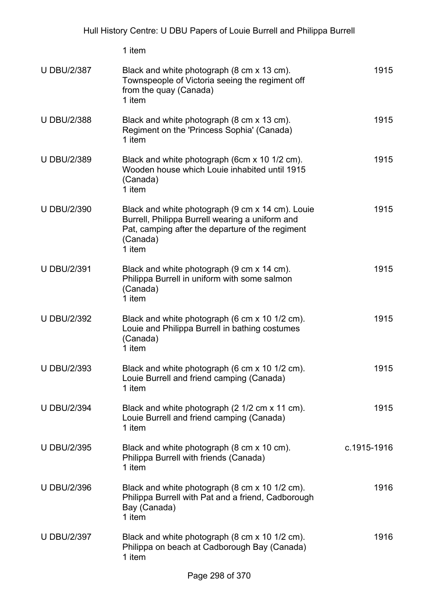|                    | 1 item                                                                                                                                                                        |             |
|--------------------|-------------------------------------------------------------------------------------------------------------------------------------------------------------------------------|-------------|
| <b>U DBU/2/387</b> | Black and white photograph (8 cm x 13 cm).<br>Townspeople of Victoria seeing the regiment off<br>from the quay (Canada)<br>1 item                                             | 1915        |
| <b>U DBU/2/388</b> | Black and white photograph (8 cm x 13 cm).<br>Regiment on the 'Princess Sophia' (Canada)<br>1 item                                                                            | 1915        |
| <b>U DBU/2/389</b> | Black and white photograph (6cm x 10 1/2 cm).<br>Wooden house which Louie inhabited until 1915<br>(Canada)<br>1 item                                                          | 1915        |
| <b>U DBU/2/390</b> | Black and white photograph (9 cm x 14 cm). Louie<br>Burrell, Philippa Burrell wearing a uniform and<br>Pat, camping after the departure of the regiment<br>(Canada)<br>1 item | 1915        |
| <b>U DBU/2/391</b> | Black and white photograph (9 cm x 14 cm).<br>Philippa Burrell in uniform with some salmon<br>(Canada)<br>1 item                                                              | 1915        |
| <b>U DBU/2/392</b> | Black and white photograph (6 cm x 10 1/2 cm).<br>Louie and Philippa Burrell in bathing costumes<br>(Canada)<br>1 item                                                        | 1915        |
| <b>U DBU/2/393</b> | Black and white photograph (6 cm x 10 1/2 cm).<br>Louie Burrell and friend camping (Canada)<br>1 item                                                                         | 1915        |
| <b>U DBU/2/394</b> | Black and white photograph (2 1/2 cm x 11 cm).<br>Louie Burrell and friend camping (Canada)<br>1 item                                                                         | 1915        |
| <b>U DBU/2/395</b> | Black and white photograph (8 cm x 10 cm).<br>Philippa Burrell with friends (Canada)<br>1 item                                                                                | c.1915-1916 |
| <b>U DBU/2/396</b> | Black and white photograph (8 cm x 10 1/2 cm).<br>Philippa Burrell with Pat and a friend, Cadborough<br>Bay (Canada)<br>1 item                                                | 1916        |
| <b>U DBU/2/397</b> | Black and white photograph (8 cm x 10 1/2 cm).<br>Philippa on beach at Cadborough Bay (Canada)<br>1 item                                                                      | 1916        |
|                    |                                                                                                                                                                               |             |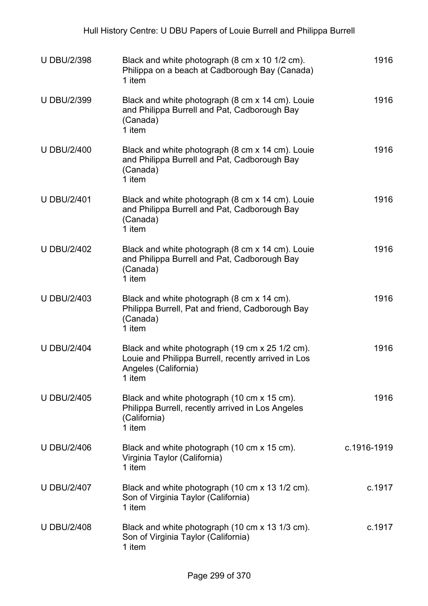| <b>U DBU/2/398</b> | Black and white photograph (8 cm x 10 1/2 cm).<br>Philippa on a beach at Cadborough Bay (Canada)<br>1 item                               | 1916        |
|--------------------|------------------------------------------------------------------------------------------------------------------------------------------|-------------|
| <b>U DBU/2/399</b> | Black and white photograph (8 cm x 14 cm). Louie<br>and Philippa Burrell and Pat, Cadborough Bay<br>(Canada)<br>1 item                   | 1916        |
| <b>U DBU/2/400</b> | Black and white photograph (8 cm x 14 cm). Louie<br>and Philippa Burrell and Pat, Cadborough Bay<br>(Canada)<br>1 item                   | 1916        |
| <b>U DBU/2/401</b> | Black and white photograph (8 cm x 14 cm). Louie<br>and Philippa Burrell and Pat, Cadborough Bay<br>(Canada)<br>1 item                   | 1916        |
| <b>U DBU/2/402</b> | Black and white photograph (8 cm x 14 cm). Louie<br>and Philippa Burrell and Pat, Cadborough Bay<br>(Canada)<br>1 item                   | 1916        |
| <b>U DBU/2/403</b> | Black and white photograph (8 cm x 14 cm).<br>Philippa Burrell, Pat and friend, Cadborough Bay<br>(Canada)<br>1 item                     | 1916        |
| <b>U DBU/2/404</b> | Black and white photograph (19 cm x 25 1/2 cm).<br>Louie and Philippa Burrell, recently arrived in Los<br>Angeles (California)<br>1 item | 1916        |
| <b>U DBU/2/405</b> | Black and white photograph (10 cm x 15 cm).<br>Philippa Burrell, recently arrived in Los Angeles<br>(California)<br>1 item               | 1916        |
| <b>U DBU/2/406</b> | Black and white photograph (10 cm x 15 cm).<br>Virginia Taylor (California)<br>1 item                                                    | c.1916-1919 |
| <b>U DBU/2/407</b> | Black and white photograph (10 cm x 13 1/2 cm).<br>Son of Virginia Taylor (California)<br>1 item                                         | c.1917      |
| <b>U DBU/2/408</b> | Black and white photograph (10 cm x 13 1/3 cm).<br>Son of Virginia Taylor (California)<br>1 item                                         | c.1917      |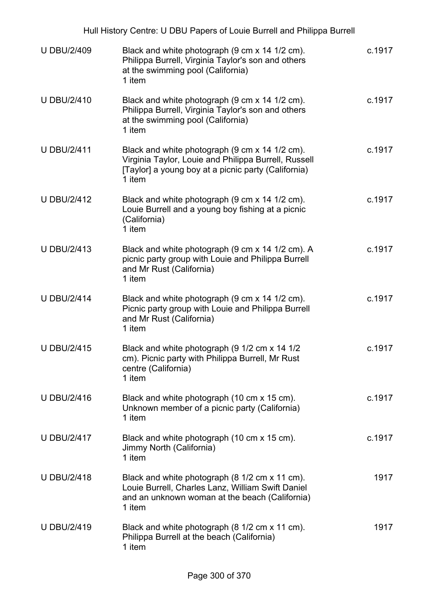|                    | Hull History Centre: U DBU Papers of Louie Burrell and Philippa Burrell                                                                                                 |        |
|--------------------|-------------------------------------------------------------------------------------------------------------------------------------------------------------------------|--------|
| <b>U DBU/2/409</b> | Black and white photograph (9 cm x 14 1/2 cm).<br>Philippa Burrell, Virginia Taylor's son and others<br>at the swimming pool (California)<br>1 item                     | c.1917 |
| <b>U DBU/2/410</b> | Black and white photograph (9 cm x 14 1/2 cm).<br>Philippa Burrell, Virginia Taylor's son and others<br>at the swimming pool (California)<br>1 item                     | c.1917 |
| <b>U DBU/2/411</b> | Black and white photograph (9 cm x 14 1/2 cm).<br>Virginia Taylor, Louie and Philippa Burrell, Russell<br>[Taylor] a young boy at a picnic party (California)<br>1 item | c.1917 |
| <b>U DBU/2/412</b> | Black and white photograph (9 cm x 14 1/2 cm).<br>Louie Burrell and a young boy fishing at a picnic<br>(California)<br>1 item                                           | c.1917 |
| <b>U DBU/2/413</b> | Black and white photograph (9 cm x 14 1/2 cm). A<br>picnic party group with Louie and Philippa Burrell<br>and Mr Rust (California)<br>1 item                            | c.1917 |
| <b>U DBU/2/414</b> | Black and white photograph (9 cm x 14 1/2 cm).<br>Picnic party group with Louie and Philippa Burrell<br>and Mr Rust (California)<br>1 item                              | c.1917 |
| <b>U DBU/2/415</b> | Black and white photograph (9 1/2 cm x 14 1/2<br>cm). Picnic party with Philippa Burrell, Mr Rust<br>centre (California)<br>1 item                                      | c.1917 |
| <b>U DBU/2/416</b> | Black and white photograph (10 cm x 15 cm).<br>Unknown member of a picnic party (California)<br>1 item                                                                  | c.1917 |
| <b>U DBU/2/417</b> | Black and white photograph (10 cm x 15 cm).<br>Jimmy North (California)<br>1 item                                                                                       | c.1917 |
| <b>U DBU/2/418</b> | Black and white photograph (8 1/2 cm x 11 cm).<br>Louie Burrell, Charles Lanz, William Swift Daniel<br>and an unknown woman at the beach (California)<br>1 item         | 1917   |
| <b>U DBU/2/419</b> | Black and white photograph (8 1/2 cm x 11 cm).<br>Philippa Burrell at the beach (California)<br>1 item                                                                  | 1917   |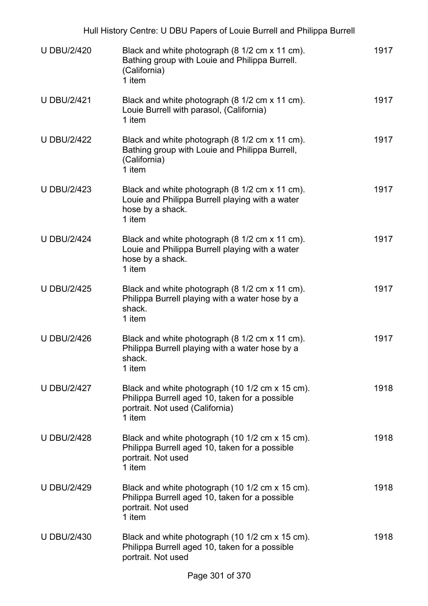|                    | Hull History Centre: U DBU Papers of Louie Burrell and Philippa Burrell                                                                        |      |
|--------------------|------------------------------------------------------------------------------------------------------------------------------------------------|------|
| <b>U DBU/2/420</b> | Black and white photograph (8 1/2 cm x 11 cm).<br>Bathing group with Louie and Philippa Burrell.<br>(California)<br>1 item                     | 1917 |
| <b>U DBU/2/421</b> | Black and white photograph (8 1/2 cm x 11 cm).<br>Louie Burrell with parasol, (California)<br>1 item                                           | 1917 |
| <b>U DBU/2/422</b> | Black and white photograph (8 1/2 cm x 11 cm).<br>Bathing group with Louie and Philippa Burrell,<br>(California)<br>1 item                     | 1917 |
| <b>U DBU/2/423</b> | Black and white photograph (8 1/2 cm x 11 cm).<br>Louie and Philippa Burrell playing with a water<br>hose by a shack.<br>1 item                | 1917 |
| <b>U DBU/2/424</b> | Black and white photograph (8 1/2 cm x 11 cm).<br>Louie and Philippa Burrell playing with a water<br>hose by a shack.<br>1 item                | 1917 |
| <b>U DBU/2/425</b> | Black and white photograph (8 1/2 cm x 11 cm).<br>Philippa Burrell playing with a water hose by a<br>shack.<br>1 item                          | 1917 |
| <b>U DBU/2/426</b> | Black and white photograph (8 1/2 cm x 11 cm).<br>Philippa Burrell playing with a water hose by a<br>shack.<br>1 item                          | 1917 |
| <b>U DBU/2/427</b> | Black and white photograph (10 1/2 cm x 15 cm).<br>Philippa Burrell aged 10, taken for a possible<br>portrait. Not used (California)<br>1 item | 1918 |
| <b>U DBU/2/428</b> | Black and white photograph (10 1/2 cm x 15 cm).<br>Philippa Burrell aged 10, taken for a possible<br>portrait. Not used<br>1 item              | 1918 |
| <b>U DBU/2/429</b> | Black and white photograph (10 1/2 cm x 15 cm).<br>Philippa Burrell aged 10, taken for a possible<br>portrait. Not used<br>1 item              | 1918 |
| <b>U DBU/2/430</b> | Black and white photograph (10 1/2 cm x 15 cm).<br>Philippa Burrell aged 10, taken for a possible<br>portrait. Not used                        | 1918 |
|                    | Dess 004 - 1070                                                                                                                                |      |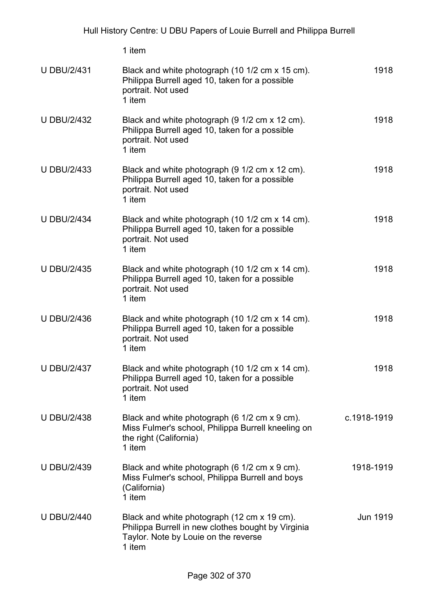|                    | 1 item                                                                                                                                              |             |
|--------------------|-----------------------------------------------------------------------------------------------------------------------------------------------------|-------------|
| <b>U DBU/2/431</b> | Black and white photograph (10 1/2 cm x 15 cm).<br>Philippa Burrell aged 10, taken for a possible<br>portrait. Not used<br>1 item                   | 1918        |
| <b>U DBU/2/432</b> | Black and white photograph (9 1/2 cm x 12 cm).<br>Philippa Burrell aged 10, taken for a possible<br>portrait. Not used<br>1 item                    | 1918        |
| <b>U DBU/2/433</b> | Black and white photograph (9 1/2 cm x 12 cm).<br>Philippa Burrell aged 10, taken for a possible<br>portrait. Not used<br>1 item                    | 1918        |
| <b>U DBU/2/434</b> | Black and white photograph (10 1/2 cm x 14 cm).<br>Philippa Burrell aged 10, taken for a possible<br>portrait. Not used<br>1 item                   | 1918        |
| <b>U DBU/2/435</b> | Black and white photograph (10 1/2 cm x 14 cm).<br>Philippa Burrell aged 10, taken for a possible<br>portrait. Not used<br>1 item                   | 1918        |
| <b>U DBU/2/436</b> | Black and white photograph (10 1/2 cm x 14 cm).<br>Philippa Burrell aged 10, taken for a possible<br>portrait. Not used<br>1 item                   | 1918        |
| <b>U DBU/2/437</b> | Black and white photograph (10 1/2 cm x 14 cm).<br>Philippa Burrell aged 10, taken for a possible<br>portrait. Not used<br>1 item                   | 1918        |
| <b>U DBU/2/438</b> | Black and white photograph (6 1/2 cm x 9 cm).<br>Miss Fulmer's school, Philippa Burrell kneeling on<br>the right (California)<br>1 item             | c.1918-1919 |
| <b>U DBU/2/439</b> | Black and white photograph (6 1/2 cm x 9 cm).<br>Miss Fulmer's school, Philippa Burrell and boys<br>(California)<br>1 item                          | 1918-1919   |
| <b>U DBU/2/440</b> | Black and white photograph (12 cm x 19 cm).<br>Philippa Burrell in new clothes bought by Virginia<br>Taylor. Note by Louie on the reverse<br>1 item | Jun 1919    |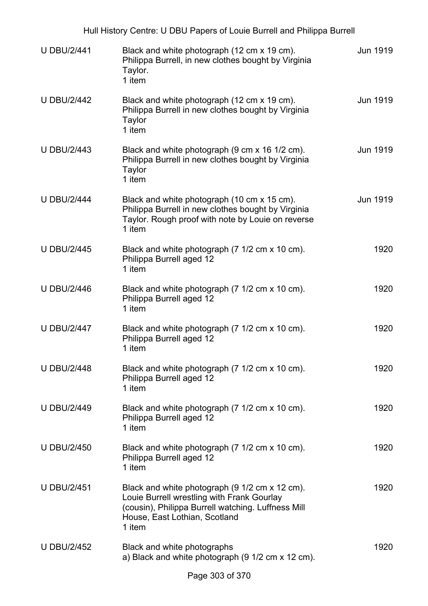| <b>U DBU/2/441</b> | Black and white photograph (12 cm x 19 cm).<br>Philippa Burrell, in new clothes bought by Virginia<br>Taylor.<br>1 item                                                                       | <b>Jun 1919</b> |
|--------------------|-----------------------------------------------------------------------------------------------------------------------------------------------------------------------------------------------|-----------------|
| <b>U DBU/2/442</b> | Black and white photograph (12 cm x 19 cm).<br>Philippa Burrell in new clothes bought by Virginia<br>Taylor<br>1 item                                                                         | Jun 1919        |
| <b>U DBU/2/443</b> | Black and white photograph (9 cm x 16 1/2 cm).<br>Philippa Burrell in new clothes bought by Virginia<br><b>Taylor</b><br>1 item                                                               | Jun 1919        |
| <b>U DBU/2/444</b> | Black and white photograph (10 cm x 15 cm).<br>Philippa Burrell in new clothes bought by Virginia<br>Taylor. Rough proof with note by Louie on reverse<br>1 item                              | Jun 1919        |
| <b>U DBU/2/445</b> | Black and white photograph (7 1/2 cm x 10 cm).<br>Philippa Burrell aged 12<br>1 item                                                                                                          | 1920            |
| <b>U DBU/2/446</b> | Black and white photograph (7 1/2 cm x 10 cm).<br>Philippa Burrell aged 12<br>1 item                                                                                                          | 1920            |
| <b>U DBU/2/447</b> | Black and white photograph (7 1/2 cm x 10 cm).<br>Philippa Burrell aged 12<br>1 item                                                                                                          | 1920            |
| <b>U DBU/2/448</b> | Black and white photograph (7 1/2 cm x 10 cm).<br>Philippa Burrell aged 12<br>1 item                                                                                                          | 1920            |
| <b>U DBU/2/449</b> | Black and white photograph (7 1/2 cm x 10 cm).<br>Philippa Burrell aged 12<br>1 item                                                                                                          | 1920            |
| <b>U DBU/2/450</b> | Black and white photograph (7 1/2 cm x 10 cm).<br>Philippa Burrell aged 12<br>1 item                                                                                                          | 1920            |
| <b>U DBU/2/451</b> | Black and white photograph (9 1/2 cm x 12 cm).<br>Louie Burrell wrestling with Frank Gourlay<br>(cousin), Philippa Burrell watching. Luffness Mill<br>House, East Lothian, Scotland<br>1 item | 1920            |
| <b>U DBU/2/452</b> | Black and white photographs<br>a) Black and white photograph (9 1/2 cm x 12 cm).                                                                                                              | 1920            |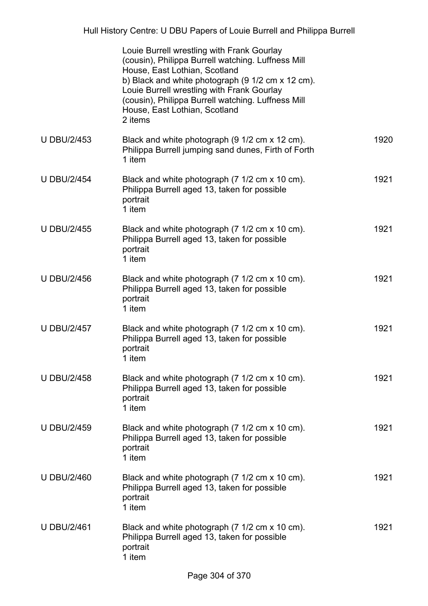|                    | Louie Burrell wrestling with Frank Gourlay<br>(cousin), Philippa Burrell watching. Luffness Mill<br>House, East Lothian, Scotland<br>b) Black and white photograph (9 1/2 cm x 12 cm).<br>Louie Burrell wrestling with Frank Gourlay<br>(cousin), Philippa Burrell watching. Luffness Mill<br>House, East Lothian, Scotland<br>2 items |      |
|--------------------|----------------------------------------------------------------------------------------------------------------------------------------------------------------------------------------------------------------------------------------------------------------------------------------------------------------------------------------|------|
| <b>U DBU/2/453</b> | Black and white photograph (9 1/2 cm x 12 cm).<br>Philippa Burrell jumping sand dunes, Firth of Forth<br>1 item                                                                                                                                                                                                                        | 1920 |
| <b>U DBU/2/454</b> | Black and white photograph (7 1/2 cm x 10 cm).<br>Philippa Burrell aged 13, taken for possible<br>portrait<br>1 item                                                                                                                                                                                                                   | 1921 |
| <b>U DBU/2/455</b> | Black and white photograph (7 1/2 cm x 10 cm).<br>Philippa Burrell aged 13, taken for possible<br>portrait<br>1 item                                                                                                                                                                                                                   | 1921 |
| <b>U DBU/2/456</b> | Black and white photograph (7 1/2 cm x 10 cm).<br>Philippa Burrell aged 13, taken for possible<br>portrait<br>1 item                                                                                                                                                                                                                   | 1921 |
| <b>U DBU/2/457</b> | Black and white photograph (7 1/2 cm x 10 cm).<br>Philippa Burrell aged 13, taken for possible<br>portrait<br>1 item                                                                                                                                                                                                                   | 1921 |
| <b>U DBU/2/458</b> | Black and white photograph (7 1/2 cm x 10 cm).<br>Philippa Burrell aged 13, taken for possible<br>portrait<br>1 item                                                                                                                                                                                                                   | 1921 |
| <b>U DBU/2/459</b> | Black and white photograph (7 1/2 cm x 10 cm).<br>Philippa Burrell aged 13, taken for possible<br>portrait<br>1 item                                                                                                                                                                                                                   | 1921 |
| <b>U DBU/2/460</b> | Black and white photograph (7 1/2 cm x 10 cm).<br>Philippa Burrell aged 13, taken for possible<br>portrait<br>1 item                                                                                                                                                                                                                   | 1921 |
| <b>U DBU/2/461</b> | Black and white photograph (7 1/2 cm x 10 cm).<br>Philippa Burrell aged 13, taken for possible<br>portrait<br>1 item                                                                                                                                                                                                                   | 1921 |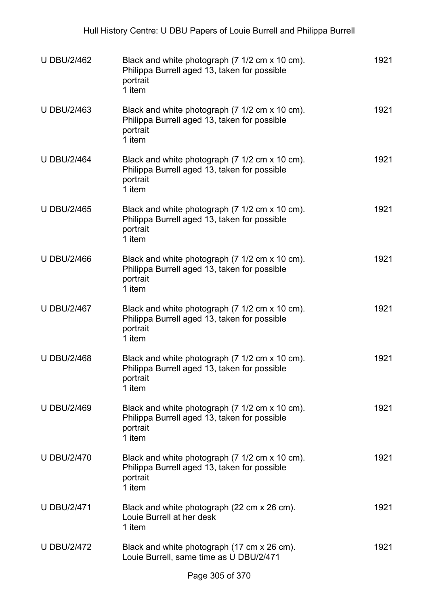| <b>U DBU/2/462</b> | Black and white photograph (7 1/2 cm x 10 cm).<br>Philippa Burrell aged 13, taken for possible<br>portrait<br>1 item | 1921 |
|--------------------|----------------------------------------------------------------------------------------------------------------------|------|
| <b>U DBU/2/463</b> | Black and white photograph (7 1/2 cm x 10 cm).<br>Philippa Burrell aged 13, taken for possible<br>portrait<br>1 item | 1921 |
| <b>U DBU/2/464</b> | Black and white photograph (7 1/2 cm x 10 cm).<br>Philippa Burrell aged 13, taken for possible<br>portrait<br>1 item | 1921 |
| <b>U DBU/2/465</b> | Black and white photograph (7 1/2 cm x 10 cm).<br>Philippa Burrell aged 13, taken for possible<br>portrait<br>1 item | 1921 |
| <b>U DBU/2/466</b> | Black and white photograph (7 1/2 cm x 10 cm).<br>Philippa Burrell aged 13, taken for possible<br>portrait<br>1 item | 1921 |
| <b>U DBU/2/467</b> | Black and white photograph (7 1/2 cm x 10 cm).<br>Philippa Burrell aged 13, taken for possible<br>portrait<br>1 item | 1921 |
| <b>U DBU/2/468</b> | Black and white photograph (7 1/2 cm x 10 cm).<br>Philippa Burrell aged 13, taken for possible<br>portrait<br>1 item | 1921 |
| <b>U DBU/2/469</b> | Black and white photograph (7 1/2 cm x 10 cm).<br>Philippa Burrell aged 13, taken for possible<br>portrait<br>1 item | 1921 |
| <b>U DBU/2/470</b> | Black and white photograph (7 1/2 cm x 10 cm).<br>Philippa Burrell aged 13, taken for possible<br>portrait<br>1 item | 1921 |
| <b>U DBU/2/471</b> | Black and white photograph (22 cm x 26 cm).<br>Louie Burrell at her desk<br>1 item                                   | 1921 |
| <b>U DBU/2/472</b> | Black and white photograph (17 cm x 26 cm).<br>Louie Burrell, same time as U DBU/2/471                               | 1921 |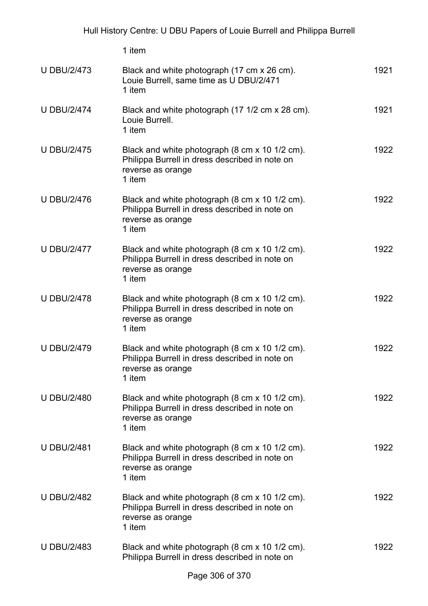|                    | 1 item                                                                                                                          |      |
|--------------------|---------------------------------------------------------------------------------------------------------------------------------|------|
| <b>U DBU/2/473</b> | Black and white photograph (17 cm x 26 cm).<br>Louie Burrell, same time as U DBU/2/471<br>1 item                                | 1921 |
| <b>U DBU/2/474</b> | Black and white photograph (17 1/2 cm x 28 cm).<br>Louie Burrell.<br>1 item                                                     | 1921 |
| <b>U DBU/2/475</b> | Black and white photograph (8 cm x 10 1/2 cm).<br>Philippa Burrell in dress described in note on<br>reverse as orange<br>1 item | 1922 |
| <b>U DBU/2/476</b> | Black and white photograph (8 cm x 10 1/2 cm).<br>Philippa Burrell in dress described in note on<br>reverse as orange<br>1 item | 1922 |
| <b>U DBU/2/477</b> | Black and white photograph (8 cm x 10 1/2 cm).<br>Philippa Burrell in dress described in note on<br>reverse as orange<br>1 item | 1922 |
| <b>U DBU/2/478</b> | Black and white photograph (8 cm x 10 1/2 cm).<br>Philippa Burrell in dress described in note on<br>reverse as orange<br>1 item | 1922 |
| <b>U DBU/2/479</b> | Black and white photograph (8 cm x 10 1/2 cm).<br>Philippa Burrell in dress described in note on<br>reverse as orange<br>1 item | 1922 |
| <b>U DBU/2/480</b> | Black and white photograph (8 cm x 10 1/2 cm).<br>Philippa Burrell in dress described in note on<br>reverse as orange<br>1 item | 1922 |
| <b>U DBU/2/481</b> | Black and white photograph (8 cm x 10 1/2 cm).<br>Philippa Burrell in dress described in note on<br>reverse as orange<br>1 item | 1922 |
| <b>U DBU/2/482</b> | Black and white photograph (8 cm x 10 1/2 cm).<br>Philippa Burrell in dress described in note on<br>reverse as orange<br>1 item | 1922 |
| <b>U DBU/2/483</b> | Black and white photograph (8 cm x 10 1/2 cm).<br>Philippa Burrell in dress described in note on                                | 1922 |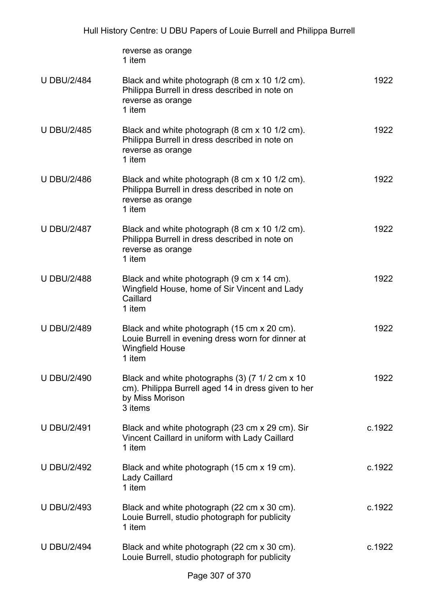|                    | reverse as orange<br>1 item                                                                                                          |        |
|--------------------|--------------------------------------------------------------------------------------------------------------------------------------|--------|
| <b>U DBU/2/484</b> | Black and white photograph (8 cm x 10 1/2 cm).<br>Philippa Burrell in dress described in note on<br>reverse as orange<br>1 item      | 1922   |
| <b>U DBU/2/485</b> | Black and white photograph (8 cm x 10 1/2 cm).<br>Philippa Burrell in dress described in note on<br>reverse as orange<br>1 item      | 1922   |
| <b>U DBU/2/486</b> | Black and white photograph (8 cm x 10 1/2 cm).<br>Philippa Burrell in dress described in note on<br>reverse as orange<br>1 item      | 1922   |
| <b>U DBU/2/487</b> | Black and white photograph (8 cm x 10 1/2 cm).<br>Philippa Burrell in dress described in note on<br>reverse as orange<br>1 item      | 1922   |
| <b>U DBU/2/488</b> | Black and white photograph (9 cm x 14 cm).<br>Wingfield House, home of Sir Vincent and Lady<br>Caillard<br>1 item                    | 1922   |
| <b>U DBU/2/489</b> | Black and white photograph (15 cm x 20 cm).<br>Louie Burrell in evening dress worn for dinner at<br><b>Wingfield House</b><br>1 item | 1922   |
| <b>U DBU/2/490</b> | Black and white photographs (3) (7 1/2 cm x 10<br>cm). Philippa Burrell aged 14 in dress given to her<br>by Miss Morison<br>3 items  | 1922   |
| <b>U DBU/2/491</b> | Black and white photograph (23 cm x 29 cm). Sir<br>Vincent Caillard in uniform with Lady Caillard<br>1 item                          | c.1922 |
| <b>U DBU/2/492</b> | Black and white photograph (15 cm x 19 cm).<br><b>Lady Caillard</b><br>1 item                                                        | c.1922 |
| <b>U DBU/2/493</b> | Black and white photograph (22 cm x 30 cm).<br>Louie Burrell, studio photograph for publicity<br>1 item                              | c.1922 |
| <b>U DBU/2/494</b> | Black and white photograph (22 cm x 30 cm).<br>Louie Burrell, studio photograph for publicity                                        | c.1922 |
|                    |                                                                                                                                      |        |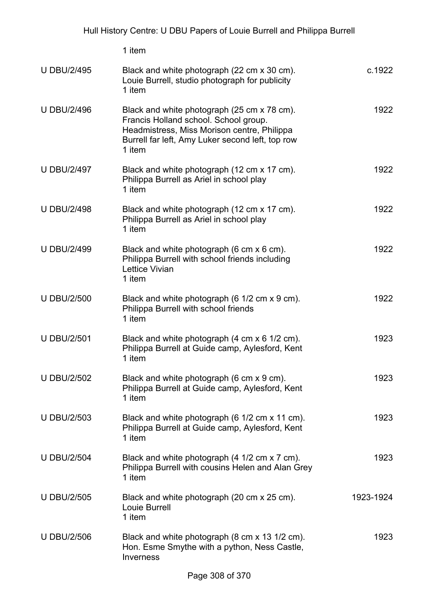|                    | 1 item                                                                                                                                                                                            |           |
|--------------------|---------------------------------------------------------------------------------------------------------------------------------------------------------------------------------------------------|-----------|
| <b>U DBU/2/495</b> | Black and white photograph (22 cm x 30 cm).<br>Louie Burrell, studio photograph for publicity<br>1 item                                                                                           | c.1922    |
| <b>U DBU/2/496</b> | Black and white photograph (25 cm x 78 cm).<br>Francis Holland school. School group.<br>Headmistress, Miss Morison centre, Philippa<br>Burrell far left, Amy Luker second left, top row<br>1 item | 1922      |
| <b>U DBU/2/497</b> | Black and white photograph (12 cm x 17 cm).<br>Philippa Burrell as Ariel in school play<br>1 item                                                                                                 | 1922      |
| <b>U DBU/2/498</b> | Black and white photograph (12 cm x 17 cm).<br>Philippa Burrell as Ariel in school play<br>1 item                                                                                                 | 1922      |
| <b>U DBU/2/499</b> | Black and white photograph (6 cm x 6 cm).<br>Philippa Burrell with school friends including<br><b>Lettice Vivian</b><br>1 item                                                                    | 1922      |
| <b>U DBU/2/500</b> | Black and white photograph (6 1/2 cm x 9 cm).<br>Philippa Burrell with school friends<br>1 item                                                                                                   | 1922      |
| <b>U DBU/2/501</b> | Black and white photograph (4 cm x 6 1/2 cm).<br>Philippa Burrell at Guide camp, Aylesford, Kent<br>1 item                                                                                        | 1923      |
| <b>U DBU/2/502</b> | Black and white photograph (6 cm x 9 cm).<br>Philippa Burrell at Guide camp, Aylesford, Kent<br>1 item                                                                                            | 1923      |
| <b>U DBU/2/503</b> | Black and white photograph (6 1/2 cm x 11 cm).<br>Philippa Burrell at Guide camp, Aylesford, Kent<br>1 item                                                                                       | 1923      |
| <b>U DBU/2/504</b> | Black and white photograph (4 1/2 cm x 7 cm).<br>Philippa Burrell with cousins Helen and Alan Grey<br>1 item                                                                                      | 1923      |
| <b>U DBU/2/505</b> | Black and white photograph (20 cm x 25 cm).<br>Louie Burrell<br>1 item                                                                                                                            | 1923-1924 |
| <b>U DBU/2/506</b> | Black and white photograph (8 cm x 13 1/2 cm).<br>Hon. Esme Smythe with a python, Ness Castle,<br>Inverness                                                                                       | 1923      |
|                    |                                                                                                                                                                                                   |           |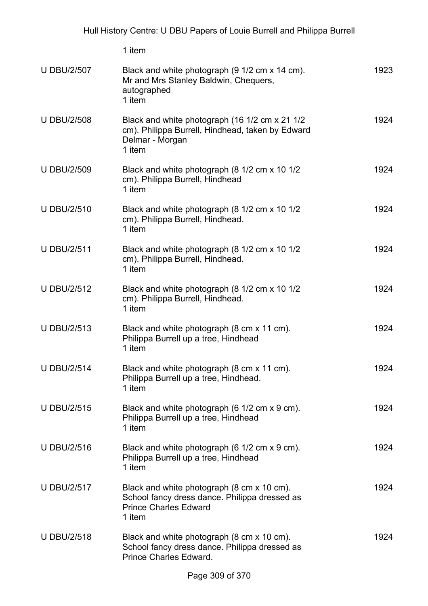|                    | 1 item                                                                                                                                |      |
|--------------------|---------------------------------------------------------------------------------------------------------------------------------------|------|
| <b>U DBU/2/507</b> | Black and white photograph (9 1/2 cm x 14 cm).<br>Mr and Mrs Stanley Baldwin, Chequers,<br>autographed<br>1 item                      | 1923 |
| <b>U DBU/2/508</b> | Black and white photograph (16 1/2 cm x 21 1/2<br>cm). Philippa Burrell, Hindhead, taken by Edward<br>Delmar - Morgan<br>1 item       | 1924 |
| <b>U DBU/2/509</b> | Black and white photograph (8 1/2 cm x 10 1/2<br>cm). Philippa Burrell, Hindhead<br>1 item                                            | 1924 |
| <b>U DBU/2/510</b> | Black and white photograph (8 1/2 cm x 10 1/2<br>cm). Philippa Burrell, Hindhead.<br>1 item                                           | 1924 |
| <b>U DBU/2/511</b> | Black and white photograph (8 1/2 cm x 10 1/2<br>cm). Philippa Burrell, Hindhead.<br>1 item                                           | 1924 |
| <b>U DBU/2/512</b> | Black and white photograph (8 1/2 cm x 10 1/2<br>cm). Philippa Burrell, Hindhead.<br>1 item                                           | 1924 |
| <b>U DBU/2/513</b> | Black and white photograph (8 cm x 11 cm).<br>Philippa Burrell up a tree, Hindhead<br>1 item                                          | 1924 |
| <b>U DBU/2/514</b> | Black and white photograph (8 cm x 11 cm).<br>Philippa Burrell up a tree, Hindhead.<br>1 item                                         | 1924 |
| <b>U DBU/2/515</b> | Black and white photograph (6 1/2 cm x 9 cm).<br>Philippa Burrell up a tree, Hindhead<br>1 item                                       | 1924 |
| <b>U DBU/2/516</b> | Black and white photograph (6 1/2 cm x 9 cm).<br>Philippa Burrell up a tree, Hindhead<br>1 item                                       | 1924 |
| <b>U DBU/2/517</b> | Black and white photograph (8 cm x 10 cm).<br>School fancy dress dance. Philippa dressed as<br><b>Prince Charles Edward</b><br>1 item | 1924 |
| <b>U DBU/2/518</b> | Black and white photograph (8 cm x 10 cm).<br>School fancy dress dance. Philippa dressed as<br>Prince Charles Edward.                 | 1924 |
|                    |                                                                                                                                       |      |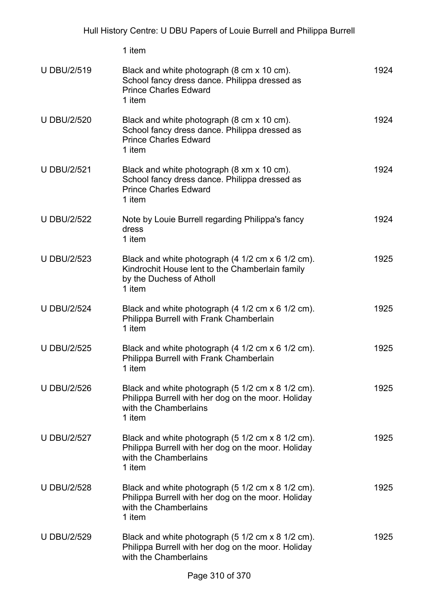|                    | 1 item                                                                                                                                     |      |
|--------------------|--------------------------------------------------------------------------------------------------------------------------------------------|------|
| <b>U DBU/2/519</b> | Black and white photograph (8 cm x 10 cm).<br>School fancy dress dance. Philippa dressed as<br><b>Prince Charles Edward</b><br>1 item      | 1924 |
| <b>U DBU/2/520</b> | Black and white photograph (8 cm x 10 cm).<br>School fancy dress dance. Philippa dressed as<br><b>Prince Charles Edward</b><br>1 item      | 1924 |
| <b>U DBU/2/521</b> | Black and white photograph (8 xm x 10 cm).<br>School fancy dress dance. Philippa dressed as<br><b>Prince Charles Edward</b><br>1 item      | 1924 |
| <b>U DBU/2/522</b> | Note by Louie Burrell regarding Philippa's fancy<br>dress<br>1 item                                                                        | 1924 |
| <b>U DBU/2/523</b> | Black and white photograph (4 1/2 cm x 6 1/2 cm).<br>Kindrochit House lent to the Chamberlain family<br>by the Duchess of Atholl<br>1 item | 1925 |
| <b>U DBU/2/524</b> | Black and white photograph (4 1/2 cm x 6 1/2 cm).<br>Philippa Burrell with Frank Chamberlain<br>1 item                                     | 1925 |
| <b>U DBU/2/525</b> | Black and white photograph (4 1/2 cm x 6 1/2 cm).<br>Philippa Burrell with Frank Chamberlain<br>1 item                                     | 1925 |
| <b>U DBU/2/526</b> | Black and white photograph (5 1/2 cm x 8 1/2 cm).<br>Philippa Burrell with her dog on the moor. Holiday<br>with the Chamberlains<br>1 item | 1925 |
| <b>U DBU/2/527</b> | Black and white photograph (5 1/2 cm x 8 1/2 cm).<br>Philippa Burrell with her dog on the moor. Holiday<br>with the Chamberlains<br>1 item | 1925 |
| <b>U DBU/2/528</b> | Black and white photograph (5 1/2 cm x 8 1/2 cm).<br>Philippa Burrell with her dog on the moor. Holiday<br>with the Chamberlains<br>1 item | 1925 |
| <b>U DBU/2/529</b> | Black and white photograph (5 1/2 cm x 8 1/2 cm).<br>Philippa Burrell with her dog on the moor. Holiday<br>with the Chamberlains           | 1925 |
|                    |                                                                                                                                            |      |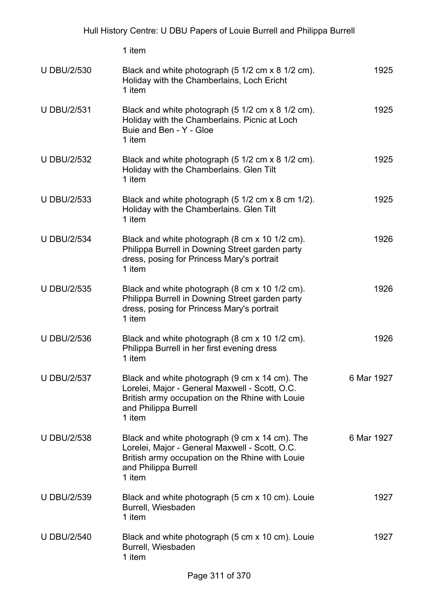1 item U DBU/2/530 Black and white photograph (5 1/2 cm x 8 1/2 cm). Holiday with the Chamberlains, Loch Ericht 1 item 1925 U DBU/2/531 Black and white photograph (5 1/2 cm x 8 1/2 cm). Holiday with the Chamberlains. Picnic at Loch Buie and Ben - Y - Gloe 1 item 1925 U DBU/2/532 Black and white photograph (5 1/2 cm x 8 1/2 cm). Holiday with the Chamberlains. Glen Tilt 1 item 1925 U DBU/2/533 Black and white photograph (5 1/2 cm x 8 cm 1/2). Holiday with the Chamberlains. Glen Tilt 1 item 1925 U DBU/2/534 Black and white photograph (8 cm x 10 1/2 cm). Philippa Burrell in Downing Street garden party dress, posing for Princess Mary's portrait 1 item 1926 U DBU/2/535 Black and white photograph (8 cm x 10 1/2 cm). Philippa Burrell in Downing Street garden party dress, posing for Princess Mary's portrait 1 item 1926 U DBU/2/536 Black and white photograph (8 cm x 10 1/2 cm). Philippa Burrell in her first evening dress 1 item 1926 U DBU/2/537 Black and white photograph (9 cm x 14 cm). The Lorelei, Major - General Maxwell - Scott, O.C. British army occupation on the Rhine with Louie and Philippa Burrell 1 item 6 Mar 1927 U DBU/2/538 Black and white photograph (9 cm x 14 cm). The Lorelei, Major - General Maxwell - Scott, O.C. British army occupation on the Rhine with Louie and Philippa Burrell 1 item 6 Mar 1927 U DBU/2/539 Black and white photograph (5 cm x 10 cm). Louie Burrell, Wiesbaden 1 item 1927 U DBU/2/540 Black and white photograph (5 cm x 10 cm). Louie Burrell, Wiesbaden 1 item 1927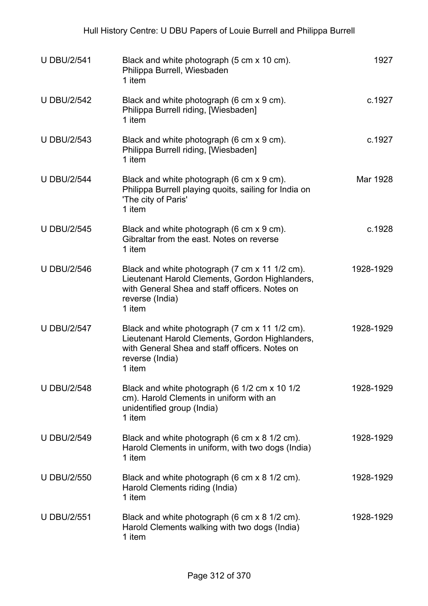| <b>U DBU/2/541</b> | Black and white photograph (5 cm x 10 cm).<br>Philippa Burrell, Wiesbaden<br>1 item                                                                                              | 1927      |
|--------------------|----------------------------------------------------------------------------------------------------------------------------------------------------------------------------------|-----------|
| <b>U DBU/2/542</b> | Black and white photograph (6 cm x 9 cm).<br>Philippa Burrell riding, [Wiesbaden]<br>1 item                                                                                      | c.1927    |
| <b>U DBU/2/543</b> | Black and white photograph (6 cm x 9 cm).<br>Philippa Burrell riding, [Wiesbaden]<br>1 item                                                                                      | c.1927    |
| <b>U DBU/2/544</b> | Black and white photograph (6 cm x 9 cm).<br>Philippa Burrell playing quoits, sailing for India on<br>'The city of Paris'<br>1 item                                              | Mar 1928  |
| <b>U DBU/2/545</b> | Black and white photograph (6 cm x 9 cm).<br>Gibraltar from the east. Notes on reverse<br>1 item                                                                                 | c.1928    |
| <b>U DBU/2/546</b> | Black and white photograph (7 cm x 11 1/2 cm).<br>Lieutenant Harold Clements, Gordon Highlanders,<br>with General Shea and staff officers. Notes on<br>reverse (India)<br>1 item | 1928-1929 |
| <b>U DBU/2/547</b> | Black and white photograph (7 cm x 11 1/2 cm).<br>Lieutenant Harold Clements, Gordon Highlanders,<br>with General Shea and staff officers. Notes on<br>reverse (India)<br>1 item | 1928-1929 |
| <b>U DBU/2/548</b> | Black and white photograph (6 1/2 cm x 10 1/2<br>cm). Harold Clements in uniform with an<br>unidentified group (India)<br>1 item                                                 | 1928-1929 |
| <b>U DBU/2/549</b> | Black and white photograph (6 cm x 8 1/2 cm).<br>Harold Clements in uniform, with two dogs (India)<br>1 item                                                                     | 1928-1929 |
| <b>U DBU/2/550</b> | Black and white photograph (6 cm x 8 1/2 cm).<br>Harold Clements riding (India)<br>1 item                                                                                        | 1928-1929 |
| <b>U DBU/2/551</b> | Black and white photograph (6 cm x 8 1/2 cm).<br>Harold Clements walking with two dogs (India)<br>1 item                                                                         | 1928-1929 |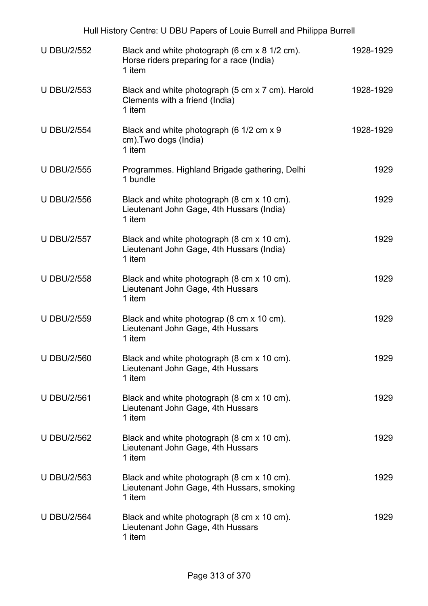| Hull History Centre: U DBU Papers of Louie Burrell and Philippa Burrell |                                                                                                      |           |  |
|-------------------------------------------------------------------------|------------------------------------------------------------------------------------------------------|-----------|--|
| <b>U DBU/2/552</b>                                                      | Black and white photograph (6 cm x 8 1/2 cm).<br>Horse riders preparing for a race (India)<br>1 item | 1928-1929 |  |
| <b>U DBU/2/553</b>                                                      | Black and white photograph (5 cm x 7 cm). Harold<br>Clements with a friend (India)<br>1 item         | 1928-1929 |  |
| <b>U DBU/2/554</b>                                                      | Black and white photograph (6 1/2 cm x 9<br>cm). Two dogs (India)<br>1 item                          | 1928-1929 |  |
| <b>U DBU/2/555</b>                                                      | Programmes. Highland Brigade gathering, Delhi<br>1 bundle                                            | 1929      |  |
| <b>U DBU/2/556</b>                                                      | Black and white photograph (8 cm x 10 cm).<br>Lieutenant John Gage, 4th Hussars (India)<br>1 item    | 1929      |  |
| <b>U DBU/2/557</b>                                                      | Black and white photograph (8 cm x 10 cm).<br>Lieutenant John Gage, 4th Hussars (India)<br>1 item    | 1929      |  |
| <b>U DBU/2/558</b>                                                      | Black and white photograph (8 cm x 10 cm).<br>Lieutenant John Gage, 4th Hussars<br>1 item            | 1929      |  |
| <b>U DBU/2/559</b>                                                      | Black and white photograp (8 cm x 10 cm).<br>Lieutenant John Gage, 4th Hussars<br>1 item             | 1929      |  |
| <b>U DBU/2/560</b>                                                      | Black and white photograph (8 cm x 10 cm).<br>Lieutenant John Gage, 4th Hussars<br>1 item            | 1929      |  |
| <b>U DBU/2/561</b>                                                      | Black and white photograph (8 cm x 10 cm).<br>Lieutenant John Gage, 4th Hussars<br>1 item            | 1929      |  |
| <b>U DBU/2/562</b>                                                      | Black and white photograph (8 cm x 10 cm).<br>Lieutenant John Gage, 4th Hussars<br>1 item            | 1929      |  |
| <b>U DBU/2/563</b>                                                      | Black and white photograph (8 cm x 10 cm).<br>Lieutenant John Gage, 4th Hussars, smoking<br>1 item   | 1929      |  |
| <b>U DBU/2/564</b>                                                      | Black and white photograph (8 cm x 10 cm).<br>Lieutenant John Gage, 4th Hussars<br>1 item            | 1929      |  |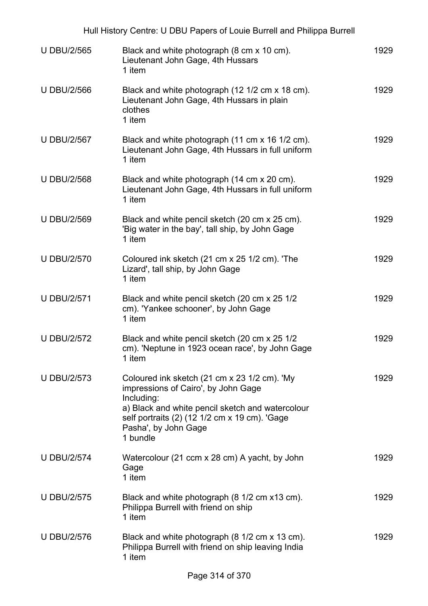|                    | Hull History Centre: U DBU Papers of Louie Burrell and Philippa Burrell                                                                                                                                                                    |      |
|--------------------|--------------------------------------------------------------------------------------------------------------------------------------------------------------------------------------------------------------------------------------------|------|
| <b>U DBU/2/565</b> | Black and white photograph (8 cm x 10 cm).<br>Lieutenant John Gage, 4th Hussars<br>1 item                                                                                                                                                  | 1929 |
| <b>U DBU/2/566</b> | Black and white photograph (12 1/2 cm x 18 cm).<br>Lieutenant John Gage, 4th Hussars in plain<br>clothes<br>1 item                                                                                                                         | 1929 |
| <b>U DBU/2/567</b> | Black and white photograph (11 cm x 16 1/2 cm).<br>Lieutenant John Gage, 4th Hussars in full uniform<br>1 item                                                                                                                             | 1929 |
| <b>U DBU/2/568</b> | Black and white photograph (14 cm x 20 cm).<br>Lieutenant John Gage, 4th Hussars in full uniform<br>1 item                                                                                                                                 | 1929 |
| <b>U DBU/2/569</b> | Black and white pencil sketch (20 cm x 25 cm).<br>'Big water in the bay', tall ship, by John Gage<br>1 item                                                                                                                                | 1929 |
| <b>U DBU/2/570</b> | Coloured ink sketch (21 cm x 25 1/2 cm). 'The<br>Lizard', tall ship, by John Gage<br>1 item                                                                                                                                                | 1929 |
| <b>U DBU/2/571</b> | Black and white pencil sketch (20 cm x 25 1/2)<br>cm). 'Yankee schooner', by John Gage<br>1 item                                                                                                                                           | 1929 |
| <b>U DBU/2/572</b> | Black and white pencil sketch (20 cm x 25 1/2)<br>cm). 'Neptune in 1923 ocean race', by John Gage<br>1 item                                                                                                                                | 1929 |
| <b>U DBU/2/573</b> | Coloured ink sketch (21 cm x 23 1/2 cm). 'My<br>impressions of Cairo', by John Gage<br>Including:<br>a) Black and white pencil sketch and watercolour<br>self portraits (2) (12 1/2 cm x 19 cm). 'Gage<br>Pasha', by John Gage<br>1 bundle | 1929 |
| <b>U DBU/2/574</b> | Watercolour (21 ccm x 28 cm) A yacht, by John<br>Gage<br>1 item                                                                                                                                                                            | 1929 |
| <b>U DBU/2/575</b> | Black and white photograph (8 1/2 cm x13 cm).<br>Philippa Burrell with friend on ship<br>1 item                                                                                                                                            | 1929 |
| <b>U DBU/2/576</b> | Black and white photograph (8 1/2 cm x 13 cm).<br>Philippa Burrell with friend on ship leaving India<br>1 item                                                                                                                             | 1929 |
|                    |                                                                                                                                                                                                                                            |      |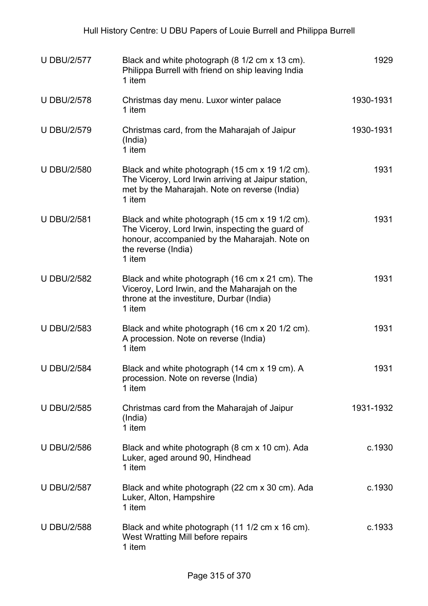| <b>U DBU/2/577</b> | Black and white photograph (8 1/2 cm x 13 cm).<br>Philippa Burrell with friend on ship leaving India<br>1 item                                                                        | 1929      |
|--------------------|---------------------------------------------------------------------------------------------------------------------------------------------------------------------------------------|-----------|
| <b>U DBU/2/578</b> | Christmas day menu. Luxor winter palace<br>1 item                                                                                                                                     | 1930-1931 |
| <b>U DBU/2/579</b> | Christmas card, from the Maharajah of Jaipur<br>(India)<br>1 item                                                                                                                     | 1930-1931 |
| <b>U DBU/2/580</b> | Black and white photograph (15 cm x 19 1/2 cm).<br>The Viceroy, Lord Irwin arriving at Jaipur station,<br>met by the Maharajah. Note on reverse (India)<br>1 item                     | 1931      |
| <b>U DBU/2/581</b> | Black and white photograph (15 cm x 19 1/2 cm).<br>The Viceroy, Lord Irwin, inspecting the guard of<br>honour, accompanied by the Maharajah. Note on<br>the reverse (India)<br>1 item | 1931      |
| <b>U DBU/2/582</b> | Black and white photograph (16 cm x 21 cm). The<br>Viceroy, Lord Irwin, and the Maharajah on the<br>throne at the investiture, Durbar (India)<br>1 item                               | 1931      |
| <b>U DBU/2/583</b> | Black and white photograph (16 cm x 20 1/2 cm).<br>A procession. Note on reverse (India)<br>1 item                                                                                    | 1931      |
| <b>U DBU/2/584</b> | Black and white photograph (14 cm x 19 cm). A<br>procession. Note on reverse (India)<br>1 item                                                                                        | 1931      |
| <b>U DBU/2/585</b> | Christmas card from the Maharajah of Jaipur<br>(India)<br>1 item                                                                                                                      | 1931-1932 |
| <b>U DBU/2/586</b> | Black and white photograph (8 cm x 10 cm). Ada<br>Luker, aged around 90, Hindhead<br>1 item                                                                                           | c.1930    |
| <b>U DBU/2/587</b> | Black and white photograph (22 cm x 30 cm). Ada<br>Luker, Alton, Hampshire<br>1 item                                                                                                  | c.1930    |
| <b>U DBU/2/588</b> | Black and white photograph (11 1/2 cm x 16 cm).<br>West Wratting Mill before repairs<br>1 item                                                                                        | c.1933    |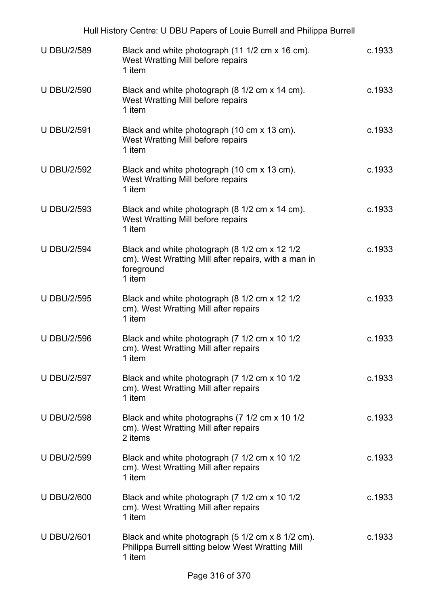|                    | Hull History Centre: U DBU Papers of Louie Burrell and Philippa Burrell                                                       |        |
|--------------------|-------------------------------------------------------------------------------------------------------------------------------|--------|
| <b>U DBU/2/589</b> | Black and white photograph (11 1/2 cm x 16 cm).<br>West Wratting Mill before repairs<br>1 item                                | c.1933 |
| <b>U DBU/2/590</b> | Black and white photograph (8 1/2 cm x 14 cm).<br>West Wratting Mill before repairs<br>1 item                                 | c.1933 |
| <b>U DBU/2/591</b> | Black and white photograph (10 cm x 13 cm).<br>West Wratting Mill before repairs<br>1 item                                    | c.1933 |
| <b>U DBU/2/592</b> | Black and white photograph (10 cm x 13 cm).<br>West Wratting Mill before repairs<br>1 item                                    | c.1933 |
| <b>U DBU/2/593</b> | Black and white photograph (8 1/2 cm x 14 cm).<br>West Wratting Mill before repairs<br>1 item                                 | c.1933 |
| <b>U DBU/2/594</b> | Black and white photograph (8 1/2 cm x 12 1/2<br>cm). West Wratting Mill after repairs, with a man in<br>foreground<br>1 item | c.1933 |
| <b>U DBU/2/595</b> | Black and white photograph (8 1/2 cm x 12 1/2<br>cm). West Wratting Mill after repairs<br>1 item                              | c.1933 |
| <b>U DBU/2/596</b> | Black and white photograph (7 1/2 cm x 10 1/2<br>cm). West Wratting Mill after repairs<br>1 item                              | c.1933 |
| <b>U DBU/2/597</b> | Black and white photograph (7 1/2 cm x 10 1/2<br>cm). West Wratting Mill after repairs<br>1 item                              | c.1933 |
| <b>U DBU/2/598</b> | Black and white photographs (7 1/2 cm x 10 1/2<br>cm). West Wratting Mill after repairs<br>2 items                            | c.1933 |
| <b>U DBU/2/599</b> | Black and white photograph (7 1/2 cm x 10 1/2<br>cm). West Wratting Mill after repairs<br>1 item                              | c.1933 |
| <b>U DBU/2/600</b> | Black and white photograph (7 1/2 cm x 10 1/2<br>cm). West Wratting Mill after repairs<br>1 item                              | c.1933 |
| <b>U DBU/2/601</b> | Black and white photograph (5 1/2 cm x 8 1/2 cm).<br>Philippa Burrell sitting below West Wratting Mill<br>1 item              | c.1933 |
|                    |                                                                                                                               |        |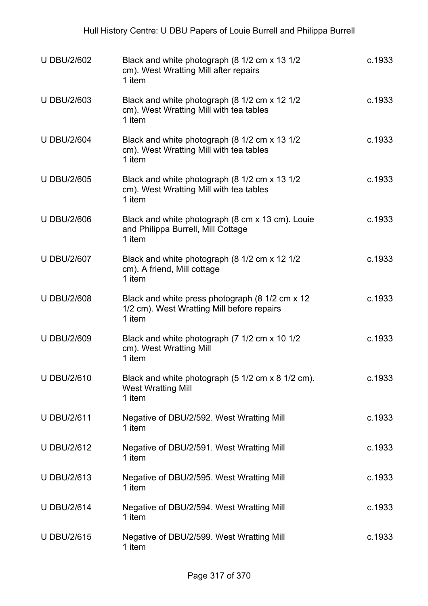| <b>U DBU/2/602</b> | Black and white photograph (8 1/2 cm x 13 1/2<br>cm). West Wratting Mill after repairs<br>1 item        | c.1933 |
|--------------------|---------------------------------------------------------------------------------------------------------|--------|
| <b>U DBU/2/603</b> | Black and white photograph (8 1/2 cm x 12 1/2<br>cm). West Wratting Mill with tea tables<br>1 item      | c.1933 |
| <b>U DBU/2/604</b> | Black and white photograph (8 1/2 cm x 13 1/2<br>cm). West Wratting Mill with tea tables<br>1 item      | c.1933 |
| <b>U DBU/2/605</b> | Black and white photograph (8 1/2 cm x 13 1/2<br>cm). West Wratting Mill with tea tables<br>1 item      | c.1933 |
| <b>U DBU/2/606</b> | Black and white photograph (8 cm x 13 cm). Louie<br>and Philippa Burrell, Mill Cottage<br>1 item        | c.1933 |
| <b>U DBU/2/607</b> | Black and white photograph (8 1/2 cm x 12 1/2<br>cm). A friend, Mill cottage<br>1 item                  | c.1933 |
| <b>U DBU/2/608</b> | Black and white press photograph (8 1/2 cm x 12<br>1/2 cm). West Wratting Mill before repairs<br>1 item | c.1933 |
| <b>U DBU/2/609</b> | Black and white photograph (7 1/2 cm x 10 1/2<br>cm). West Wratting Mill<br>1 item                      | c.1933 |
| <b>U DBU/2/610</b> | Black and white photograph (5 1/2 cm x 8 1/2 cm).<br><b>West Wratting Mill</b><br>1 item                | c.1933 |
| <b>U DBU/2/611</b> | Negative of DBU/2/592. West Wratting Mill<br>1 item                                                     | c.1933 |
| <b>U DBU/2/612</b> | Negative of DBU/2/591. West Wratting Mill<br>1 item                                                     | c.1933 |
| <b>UDBU/2/613</b>  | Negative of DBU/2/595. West Wratting Mill<br>1 item                                                     | c.1933 |
| <b>U DBU/2/614</b> | Negative of DBU/2/594. West Wratting Mill<br>1 item                                                     | c.1933 |
| <b>U DBU/2/615</b> | Negative of DBU/2/599. West Wratting Mill<br>1 item                                                     | c.1933 |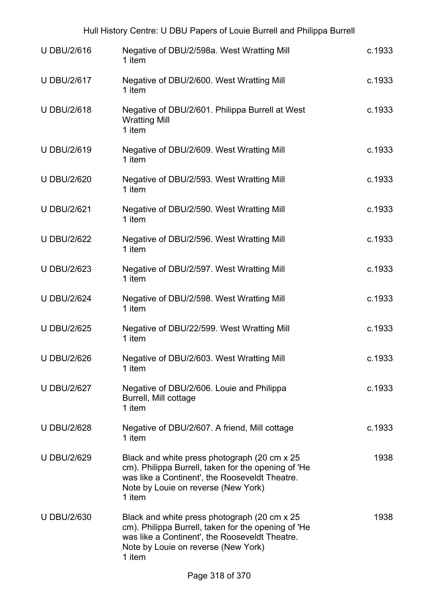| Hull History Centre: U DBU Papers of Louie Burrell and Philippa Burrell |                                                                                                                                                                                                         |        |
|-------------------------------------------------------------------------|---------------------------------------------------------------------------------------------------------------------------------------------------------------------------------------------------------|--------|
| <b>U DBU/2/616</b>                                                      | Negative of DBU/2/598a. West Wratting Mill<br>1 item                                                                                                                                                    | c.1933 |
| <b>U DBU/2/617</b>                                                      | Negative of DBU/2/600. West Wratting Mill<br>1 item                                                                                                                                                     | c.1933 |
| <b>U DBU/2/618</b>                                                      | Negative of DBU/2/601. Philippa Burrell at West<br><b>Wratting Mill</b><br>1 item                                                                                                                       | c.1933 |
| <b>U DBU/2/619</b>                                                      | Negative of DBU/2/609. West Wratting Mill<br>1 item                                                                                                                                                     | c.1933 |
| <b>U DBU/2/620</b>                                                      | Negative of DBU/2/593. West Wratting Mill<br>1 item                                                                                                                                                     | c.1933 |
| <b>U DBU/2/621</b>                                                      | Negative of DBU/2/590. West Wratting Mill<br>1 item                                                                                                                                                     | c.1933 |
| <b>U DBU/2/622</b>                                                      | Negative of DBU/2/596. West Wratting Mill<br>1 item                                                                                                                                                     | c.1933 |
| <b>U DBU/2/623</b>                                                      | Negative of DBU/2/597. West Wratting Mill<br>1 item                                                                                                                                                     | c.1933 |
| <b>U DBU/2/624</b>                                                      | Negative of DBU/2/598. West Wratting Mill<br>1 item                                                                                                                                                     | c.1933 |
| <b>U DBU/2/625</b>                                                      | Negative of DBU/22/599. West Wratting Mill<br>1 item                                                                                                                                                    | c.1933 |
| <b>U DBU/2/626</b>                                                      | Negative of DBU/2/603. West Wratting Mill<br>1 item                                                                                                                                                     | c.1933 |
| <b>U DBU/2/627</b>                                                      | Negative of DBU/2/606. Louie and Philippa<br>Burrell, Mill cottage<br>1 item                                                                                                                            | c.1933 |
| <b>U DBU/2/628</b>                                                      | Negative of DBU/2/607. A friend, Mill cottage<br>1 item                                                                                                                                                 | c.1933 |
| <b>U DBU/2/629</b>                                                      | Black and white press photograph (20 cm x 25)<br>cm). Philippa Burrell, taken for the opening of 'He<br>was like a Continent', the Rooseveldt Theatre.<br>Note by Louie on reverse (New York)<br>1 item | 1938   |
| <b>U DBU/2/630</b>                                                      | Black and white press photograph (20 cm x 25)<br>cm). Philippa Burrell, taken for the opening of 'He<br>was like a Continent', the Rooseveldt Theatre.<br>Note by Louie on reverse (New York)<br>1 item | 1938   |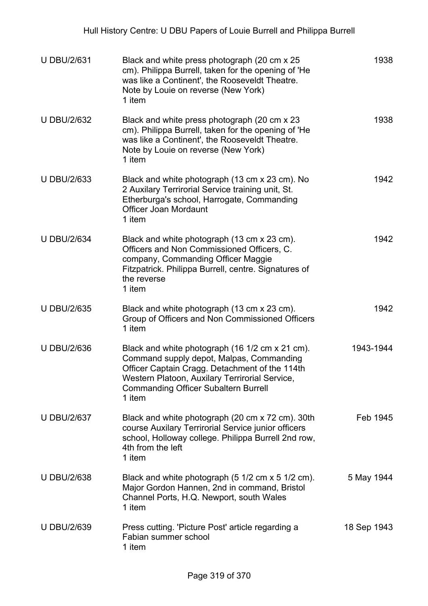| <b>U DBU/2/631</b> | Black and white press photograph (20 cm x 25)<br>cm). Philippa Burrell, taken for the opening of 'He<br>was like a Continent', the Rooseveldt Theatre.<br>Note by Louie on reverse (New York)<br>1 item                                                  | 1938        |
|--------------------|----------------------------------------------------------------------------------------------------------------------------------------------------------------------------------------------------------------------------------------------------------|-------------|
| <b>U DBU/2/632</b> | Black and white press photograph (20 cm x 23)<br>cm). Philippa Burrell, taken for the opening of 'He<br>was like a Continent', the Rooseveldt Theatre.<br>Note by Louie on reverse (New York)<br>1 item                                                  | 1938        |
| <b>U DBU/2/633</b> | Black and white photograph (13 cm x 23 cm). No<br>2 Auxilary Terrirorial Service training unit, St.<br>Etherburga's school, Harrogate, Commanding<br>Officer Joan Mordaunt<br>1 item                                                                     | 1942        |
| <b>U DBU/2/634</b> | Black and white photograph (13 cm x 23 cm).<br>Officers and Non Commissioned Officers, C.<br>company, Commanding Officer Maggie<br>Fitzpatrick. Philippa Burrell, centre. Signatures of<br>the reverse<br>1 item                                         | 1942        |
| <b>U DBU/2/635</b> | Black and white photograph (13 cm x 23 cm).<br>Group of Officers and Non Commissioned Officers<br>1 item                                                                                                                                                 | 1942        |
| <b>U DBU/2/636</b> | Black and white photograph (16 1/2 cm x 21 cm).<br>Command supply depot, Malpas, Commanding<br>Officer Captain Cragg. Detachment of the 114th<br>Western Platoon, Auxilary Terrirorial Service,<br><b>Commanding Officer Subaltern Burrell</b><br>1 item | 1943-1944   |
| <b>U DBU/2/637</b> | Black and white photograph (20 cm x 72 cm). 30th<br>course Auxilary Terrirorial Service junior officers<br>school, Holloway college. Philippa Burrell 2nd row,<br>4th from the left<br>1 item                                                            | Feb 1945    |
| <b>U DBU/2/638</b> | Black and white photograph (5 1/2 cm x 5 1/2 cm).<br>Major Gordon Hannen, 2nd in command, Bristol<br>Channel Ports, H.Q. Newport, south Wales<br>1 item                                                                                                  | 5 May 1944  |
| <b>U DBU/2/639</b> | Press cutting. 'Picture Post' article regarding a<br>Fabian summer school<br>1 item                                                                                                                                                                      | 18 Sep 1943 |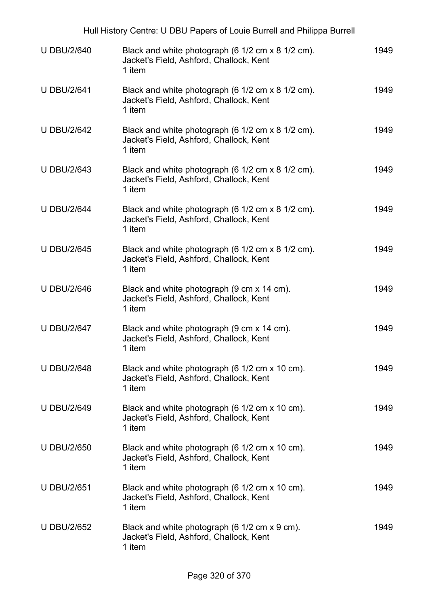| Hull History Centre: U DBU Papers of Louie Burrell and Philippa Burrell |                                                                                                        |      |  |
|-------------------------------------------------------------------------|--------------------------------------------------------------------------------------------------------|------|--|
| <b>U DBU/2/640</b>                                                      | Black and white photograph (6 1/2 cm x 8 1/2 cm).<br>Jacket's Field, Ashford, Challock, Kent<br>1 item | 1949 |  |
| <b>U DBU/2/641</b>                                                      | Black and white photograph (6 1/2 cm x 8 1/2 cm).<br>Jacket's Field, Ashford, Challock, Kent<br>1 item | 1949 |  |
| <b>U DBU/2/642</b>                                                      | Black and white photograph (6 1/2 cm x 8 1/2 cm).<br>Jacket's Field, Ashford, Challock, Kent<br>1 item | 1949 |  |
| <b>U DBU/2/643</b>                                                      | Black and white photograph (6 1/2 cm x 8 1/2 cm).<br>Jacket's Field, Ashford, Challock, Kent<br>1 item | 1949 |  |
| <b>U DBU/2/644</b>                                                      | Black and white photograph (6 1/2 cm x 8 1/2 cm).<br>Jacket's Field, Ashford, Challock, Kent<br>1 item | 1949 |  |
| <b>U DBU/2/645</b>                                                      | Black and white photograph (6 1/2 cm x 8 1/2 cm).<br>Jacket's Field, Ashford, Challock, Kent<br>1 item | 1949 |  |
| <b>U DBU/2/646</b>                                                      | Black and white photograph (9 cm x 14 cm).<br>Jacket's Field, Ashford, Challock, Kent<br>1 item        | 1949 |  |
| <b>U DBU/2/647</b>                                                      | Black and white photograph (9 cm x 14 cm).<br>Jacket's Field, Ashford, Challock, Kent<br>1 item        | 1949 |  |
| <b>U DBU/2/648</b>                                                      | Black and white photograph (6 1/2 cm x 10 cm).<br>Jacket's Field, Ashford, Challock, Kent<br>1 item    | 1949 |  |
| <b>U DBU/2/649</b>                                                      | Black and white photograph (6 1/2 cm x 10 cm).<br>Jacket's Field, Ashford, Challock, Kent<br>1 item    | 1949 |  |
| <b>U DBU/2/650</b>                                                      | Black and white photograph (6 1/2 cm x 10 cm).<br>Jacket's Field, Ashford, Challock, Kent<br>1 item    | 1949 |  |
| <b>U DBU/2/651</b>                                                      | Black and white photograph (6 1/2 cm x 10 cm).<br>Jacket's Field, Ashford, Challock, Kent<br>1 item    | 1949 |  |
| <b>U DBU/2/652</b>                                                      | Black and white photograph (6 1/2 cm x 9 cm).<br>Jacket's Field, Ashford, Challock, Kent<br>1 item     | 1949 |  |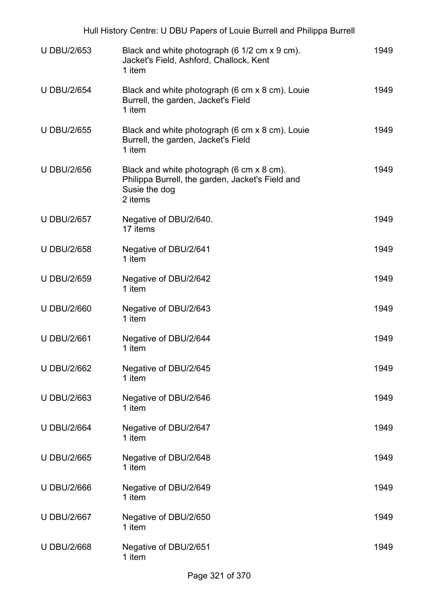| Hull History Centre: U DBU Papers of Louie Burrell and Philippa Burrell |                                                                                                                           |      |  |
|-------------------------------------------------------------------------|---------------------------------------------------------------------------------------------------------------------------|------|--|
| <b>U DBU/2/653</b>                                                      | Black and white photograph (6 1/2 cm x 9 cm).<br>Jacket's Field, Ashford, Challock, Kent<br>1 item                        | 1949 |  |
| <b>U DBU/2/654</b>                                                      | Black and white photograph (6 cm x 8 cm). Louie<br>Burrell, the garden, Jacket's Field<br>1 item                          | 1949 |  |
| <b>U DBU/2/655</b>                                                      | Black and white photograph (6 cm x 8 cm). Louie<br>Burrell, the garden, Jacket's Field<br>1 item                          | 1949 |  |
| <b>U DBU/2/656</b>                                                      | Black and white photograph (6 cm x 8 cm).<br>Philippa Burrell, the garden, Jacket's Field and<br>Susie the dog<br>2 items | 1949 |  |
| <b>U DBU/2/657</b>                                                      | Negative of DBU/2/640.<br>17 items                                                                                        | 1949 |  |
| <b>U DBU/2/658</b>                                                      | Negative of DBU/2/641<br>1 item                                                                                           | 1949 |  |
| <b>U DBU/2/659</b>                                                      | Negative of DBU/2/642<br>1 item                                                                                           | 1949 |  |
| <b>U DBU/2/660</b>                                                      | Negative of DBU/2/643<br>1 item                                                                                           | 1949 |  |
| <b>U DBU/2/661</b>                                                      | Negative of DBU/2/644<br>1 item                                                                                           | 1949 |  |
| <b>U DBU/2/662</b>                                                      | Negative of DBU/2/645<br>1 item                                                                                           | 1949 |  |
| <b>U DBU/2/663</b>                                                      | Negative of DBU/2/646<br>1 item                                                                                           | 1949 |  |
| <b>U DBU/2/664</b>                                                      | Negative of DBU/2/647<br>1 item                                                                                           | 1949 |  |
| <b>U DBU/2/665</b>                                                      | Negative of DBU/2/648<br>1 item                                                                                           | 1949 |  |
| <b>U DBU/2/666</b>                                                      | Negative of DBU/2/649<br>1 item                                                                                           | 1949 |  |
| <b>U DBU/2/667</b>                                                      | Negative of DBU/2/650<br>1 item                                                                                           | 1949 |  |
| <b>U DBU/2/668</b>                                                      | Negative of DBU/2/651<br>1 item                                                                                           | 1949 |  |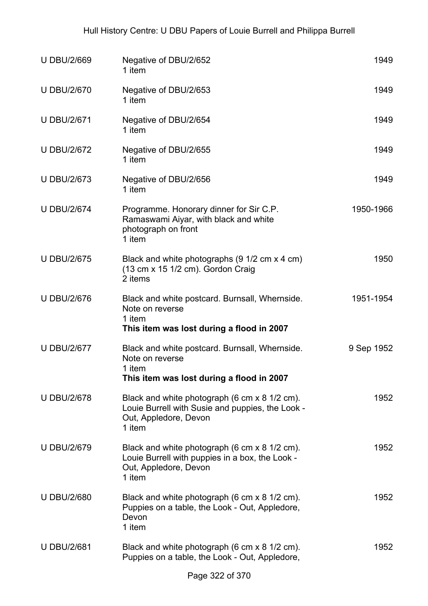| <b>U DBU/2/669</b> | Negative of DBU/2/652<br>1 item                                                                                                      | 1949       |
|--------------------|--------------------------------------------------------------------------------------------------------------------------------------|------------|
| <b>U DBU/2/670</b> | Negative of DBU/2/653<br>1 item                                                                                                      | 1949       |
| <b>U DBU/2/671</b> | Negative of DBU/2/654<br>1 item                                                                                                      | 1949       |
| <b>U DBU/2/672</b> | Negative of DBU/2/655<br>1 item                                                                                                      | 1949       |
| <b>U DBU/2/673</b> | Negative of DBU/2/656<br>1 item                                                                                                      | 1949       |
| <b>U DBU/2/674</b> | Programme. Honorary dinner for Sir C.P.<br>Ramaswami Aiyar, with black and white<br>photograph on front<br>1 item                    | 1950-1966  |
| <b>U DBU/2/675</b> | Black and white photographs (9 1/2 cm x 4 cm)<br>(13 cm x 15 1/2 cm). Gordon Craig<br>2 items                                        | 1950       |
| <b>U DBU/2/676</b> | Black and white postcard. Burnsall, Whernside.<br>Note on reverse<br>1 item<br>This item was lost during a flood in 2007             | 1951-1954  |
| <b>U DBU/2/677</b> | Black and white postcard. Burnsall, Whernside.<br>Note on reverse<br>1 item<br>This item was lost during a flood in 2007             | 9 Sep 1952 |
| <b>U DBU/2/678</b> | Black and white photograph (6 cm x 8 1/2 cm).<br>Louie Burrell with Susie and puppies, the Look -<br>Out, Appledore, Devon<br>1 item | 1952       |
| <b>U DBU/2/679</b> | Black and white photograph (6 cm x 8 1/2 cm).<br>Louie Burrell with puppies in a box, the Look -<br>Out, Appledore, Devon<br>1 item  | 1952       |
| <b>U DBU/2/680</b> | Black and white photograph (6 cm x 8 1/2 cm).<br>Puppies on a table, the Look - Out, Appledore,<br>Devon<br>1 item                   | 1952       |
| <b>U DBU/2/681</b> | Black and white photograph (6 cm x 8 1/2 cm).<br>Puppies on a table, the Look - Out, Appledore,                                      | 1952       |
|                    | $000 - 1070$                                                                                                                         |            |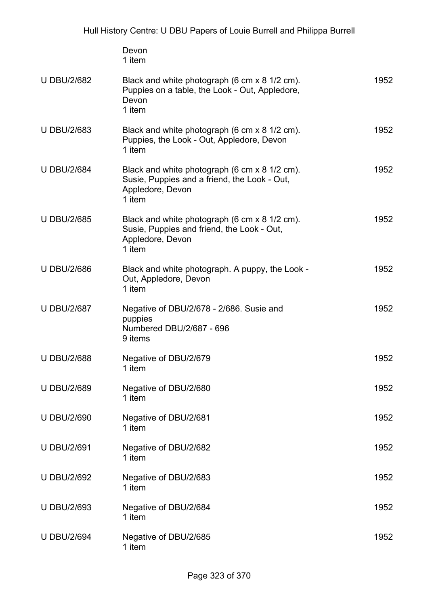|                    | Devon<br>1 item                                                                                                             |      |
|--------------------|-----------------------------------------------------------------------------------------------------------------------------|------|
| <b>U DBU/2/682</b> | Black and white photograph (6 cm x 8 1/2 cm).<br>Puppies on a table, the Look - Out, Appledore,<br>Devon<br>1 item          | 1952 |
| <b>U DBU/2/683</b> | Black and white photograph (6 cm x 8 1/2 cm).<br>Puppies, the Look - Out, Appledore, Devon<br>1 item                        | 1952 |
| <b>U DBU/2/684</b> | Black and white photograph (6 cm x 8 1/2 cm).<br>Susie, Puppies and a friend, the Look - Out,<br>Appledore, Devon<br>1 item | 1952 |
| <b>U DBU/2/685</b> | Black and white photograph (6 cm x 8 1/2 cm).<br>Susie, Puppies and friend, the Look - Out,<br>Appledore, Devon<br>1 item   | 1952 |
| <b>U DBU/2/686</b> | Black and white photograph. A puppy, the Look -<br>Out, Appledore, Devon<br>1 item                                          | 1952 |
| <b>U DBU/2/687</b> | Negative of DBU/2/678 - 2/686. Susie and<br>puppies<br>Numbered DBU/2/687 - 696<br>9 items                                  | 1952 |
| <b>U DBU/2/688</b> | Negative of DBU/2/679<br>1 item                                                                                             | 1952 |
| <b>U DBU/2/689</b> | Negative of DBU/2/680<br>1 item                                                                                             | 1952 |
| <b>U DBU/2/690</b> | Negative of DBU/2/681<br>1 item                                                                                             | 1952 |
| <b>U DBU/2/691</b> | Negative of DBU/2/682<br>1 item                                                                                             | 1952 |
| <b>U DBU/2/692</b> | Negative of DBU/2/683<br>1 item                                                                                             | 1952 |
| <b>U DBU/2/693</b> | Negative of DBU/2/684<br>1 item                                                                                             | 1952 |
| <b>U DBU/2/694</b> | Negative of DBU/2/685<br>1 item                                                                                             | 1952 |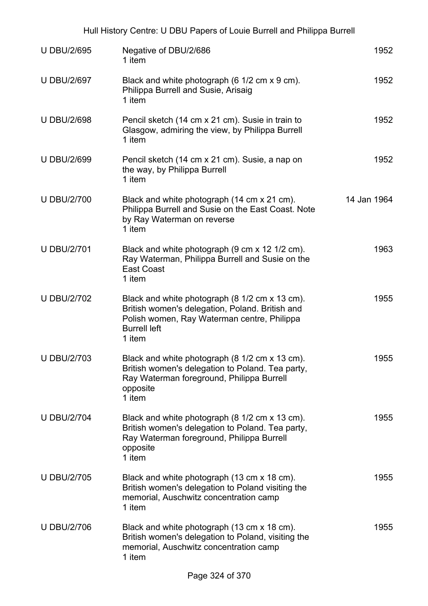| <b>U DBU/2/695</b> | Negative of DBU/2/686<br>1 item                                                                                                                                                   | 1952        |
|--------------------|-----------------------------------------------------------------------------------------------------------------------------------------------------------------------------------|-------------|
| <b>U DBU/2/697</b> | Black and white photograph (6 1/2 cm x 9 cm).<br>Philippa Burrell and Susie, Arisaig<br>1 item                                                                                    | 1952        |
| <b>U DBU/2/698</b> | Pencil sketch (14 cm x 21 cm). Susie in train to<br>Glasgow, admiring the view, by Philippa Burrell<br>1 item                                                                     | 1952        |
| <b>U DBU/2/699</b> | Pencil sketch (14 cm x 21 cm). Susie, a nap on<br>the way, by Philippa Burrell<br>1 item                                                                                          | 1952        |
| <b>U DBU/2/700</b> | Black and white photograph (14 cm x 21 cm).<br>Philippa Burrell and Susie on the East Coast. Note<br>by Ray Waterman on reverse<br>1 item                                         | 14 Jan 1964 |
| <b>U DBU/2/701</b> | Black and white photograph (9 cm x 12 1/2 cm).<br>Ray Waterman, Philippa Burrell and Susie on the<br>East Coast<br>1 item                                                         | 1963        |
| <b>U DBU/2/702</b> | Black and white photograph (8 1/2 cm x 13 cm).<br>British women's delegation, Poland. British and<br>Polish women, Ray Waterman centre, Philippa<br><b>Burrell left</b><br>1 item | 1955        |
| <b>U DBU/2/703</b> | Black and white photograph (8 1/2 cm x 13 cm).<br>British women's delegation to Poland. Tea party,<br>Ray Waterman foreground, Philippa Burrell<br>opposite<br>1 item             | 1955        |
| <b>U DBU/2/704</b> | Black and white photograph (8 1/2 cm x 13 cm).<br>British women's delegation to Poland. Tea party,<br>Ray Waterman foreground, Philippa Burrell<br>opposite<br>1 item             | 1955        |
| <b>U DBU/2/705</b> | Black and white photograph (13 cm x 18 cm).<br>British women's delegation to Poland visiting the<br>memorial, Auschwitz concentration camp<br>1 item                              | 1955        |
| <b>U DBU/2/706</b> | Black and white photograph (13 cm x 18 cm).<br>British women's delegation to Poland, visiting the<br>memorial, Auschwitz concentration camp<br>1 item                             | 1955        |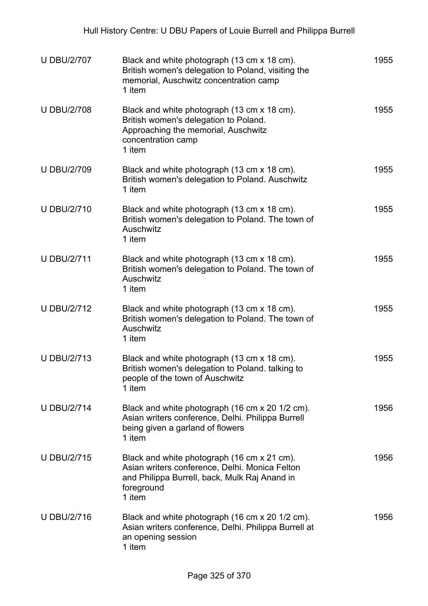| <b>U DBU/2/707</b> | Black and white photograph (13 cm x 18 cm).<br>British women's delegation to Poland, visiting the<br>memorial, Auschwitz concentration camp<br>1 item                  | 1955 |
|--------------------|------------------------------------------------------------------------------------------------------------------------------------------------------------------------|------|
| <b>U DBU/2/708</b> | Black and white photograph (13 cm x 18 cm).<br>British women's delegation to Poland.<br>Approaching the memorial, Auschwitz<br>concentration camp<br>1 item            | 1955 |
| <b>U DBU/2/709</b> | Black and white photograph (13 cm x 18 cm).<br>British women's delegation to Poland. Auschwitz<br>1 item                                                               | 1955 |
| <b>U DBU/2/710</b> | Black and white photograph (13 cm x 18 cm).<br>British women's delegation to Poland. The town of<br>Auschwitz<br>1 item                                                | 1955 |
| <b>U DBU/2/711</b> | Black and white photograph (13 cm x 18 cm).<br>British women's delegation to Poland. The town of<br>Auschwitz<br>1 item                                                | 1955 |
| <b>U DBU/2/712</b> | Black and white photograph (13 cm x 18 cm).<br>British women's delegation to Poland. The town of<br>Auschwitz<br>1 item                                                | 1955 |
| <b>U DBU/2/713</b> | Black and white photograph (13 cm x 18 cm).<br>British women's delegation to Poland. talking to<br>people of the town of Auschwitz<br>1 item                           | 1955 |
| <b>U DBU/2/714</b> | Black and white photograph (16 cm x 20 1/2 cm).<br>Asian writers conference, Delhi. Philippa Burrell<br>being given a garland of flowers<br>1 item                     | 1956 |
| <b>U DBU/2/715</b> | Black and white photograph (16 cm x 21 cm).<br>Asian writers conference, Delhi. Monica Felton<br>and Philippa Burrell, back, Mulk Raj Anand in<br>foreground<br>1 item | 1956 |
| <b>U DBU/2/716</b> | Black and white photograph (16 cm x 20 1/2 cm).<br>Asian writers conference, Delhi. Philippa Burrell at<br>an opening session<br>1 item                                | 1956 |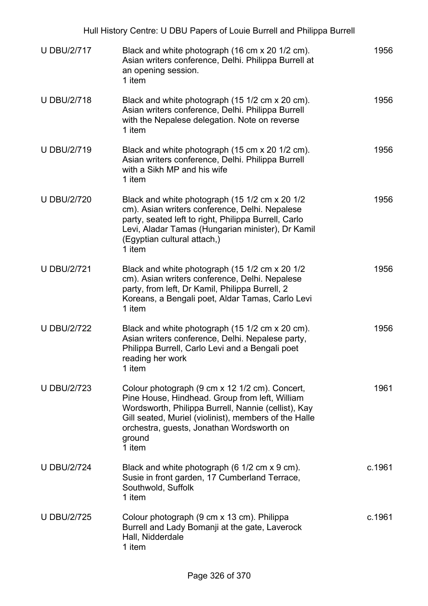|                    | Hull History Centre: U DBU Papers of Louie Burrell and Philippa Burrell                                                                                                                                                                                                           |        |
|--------------------|-----------------------------------------------------------------------------------------------------------------------------------------------------------------------------------------------------------------------------------------------------------------------------------|--------|
| <b>U DBU/2/717</b> | Black and white photograph (16 cm x 20 1/2 cm).<br>Asian writers conference, Delhi. Philippa Burrell at<br>an opening session.<br>1 item                                                                                                                                          | 1956   |
| <b>U DBU/2/718</b> | Black and white photograph (15 1/2 cm x 20 cm).<br>Asian writers conference, Delhi. Philippa Burrell<br>with the Nepalese delegation. Note on reverse<br>1 item                                                                                                                   | 1956   |
| <b>U DBU/2/719</b> | Black and white photograph (15 cm x 20 1/2 cm).<br>Asian writers conference, Delhi. Philippa Burrell<br>with a Sikh MP and his wife<br>1 item                                                                                                                                     | 1956   |
| <b>U DBU/2/720</b> | Black and white photograph (15 1/2 cm x 20 1/2<br>cm). Asian writers conference, Delhi. Nepalese<br>party, seated left to right, Philippa Burrell, Carlo<br>Levi, Aladar Tamas (Hungarian minister), Dr Kamil<br>(Egyptian cultural attach,)<br>1 item                            | 1956   |
| <b>U DBU/2/721</b> | Black and white photograph (15 1/2 cm x 20 1/2<br>cm). Asian writers conference, Delhi. Nepalese<br>party, from left, Dr Kamil, Philippa Burrell, 2<br>Koreans, a Bengali poet, Aldar Tamas, Carlo Levi<br>1 item                                                                 | 1956   |
| <b>U DBU/2/722</b> | Black and white photograph (15 1/2 cm x 20 cm).<br>Asian writers conference, Delhi. Nepalese party,<br>Philippa Burrell, Carlo Levi and a Bengali poet<br>reading her work<br>1 item                                                                                              | 1956   |
| <b>U DBU/2/723</b> | Colour photograph (9 cm x 12 1/2 cm). Concert,<br>Pine House, Hindhead. Group from left, William<br>Wordsworth, Philippa Burrell, Nannie (cellist), Kay<br>Gill seated, Muriel (violinist), members of the Halle<br>orchestra, guests, Jonathan Wordsworth on<br>ground<br>1 item | 1961   |
| <b>U DBU/2/724</b> | Black and white photograph (6 1/2 cm x 9 cm).<br>Susie in front garden, 17 Cumberland Terrace,<br>Southwold, Suffolk<br>1 item                                                                                                                                                    | c.1961 |
| <b>U DBU/2/725</b> | Colour photograph (9 cm x 13 cm). Philippa<br>Burrell and Lady Bomanji at the gate, Laverock<br>Hall, Nidderdale<br>1 item                                                                                                                                                        | c.1961 |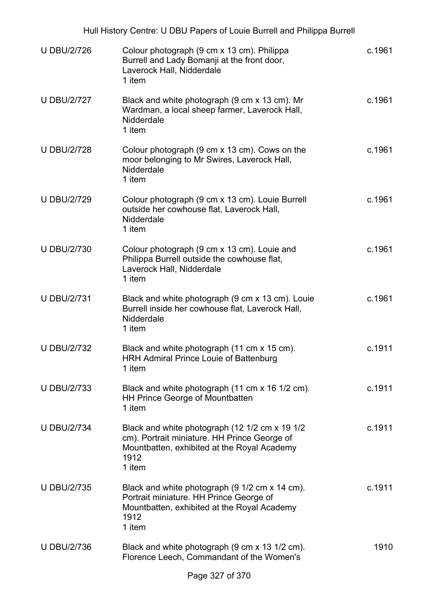|                    | Hull History Centre: U DBU Papers of Louie Burrell and Philippa Burrell                                                                                         |        |
|--------------------|-----------------------------------------------------------------------------------------------------------------------------------------------------------------|--------|
| <b>U DBU/2/726</b> | Colour photograph (9 cm x 13 cm). Philippa<br>Burrell and Lady Bomanji at the front door,<br>Laverock Hall, Nidderdale<br>1 item                                | c.1961 |
| <b>U DBU/2/727</b> | Black and white photograph (9 cm x 13 cm). Mr<br>Wardman, a local sheep farmer, Laverock Hall,<br>Nidderdale<br>1 item                                          | c.1961 |
| <b>U DBU/2/728</b> | Colour photograph (9 cm x 13 cm). Cows on the<br>moor belonging to Mr Swires, Laverock Hall,<br>Nidderdale<br>1 item                                            | c.1961 |
| <b>U DBU/2/729</b> | Colour photograph (9 cm x 13 cm). Louie Burrell<br>outside her cowhouse flat, Laverock Hall,<br>Nidderdale<br>1 item                                            | c.1961 |
| <b>U DBU/2/730</b> | Colour photograph (9 cm x 13 cm). Louie and<br>Philippa Burrell outside the cowhouse flat,<br>Laverock Hall, Nidderdale<br>1 item                               | c.1961 |
| <b>U DBU/2/731</b> | Black and white photograph (9 cm x 13 cm). Louie<br>Burrell inside her cowhouse flat, Laverock Hall,<br>Nidderdale<br>1 item                                    | c.1961 |
| <b>U DBU/2/732</b> | Black and white photograph (11 cm x 15 cm).<br><b>HRH Admiral Prince Louie of Battenburg</b><br>1 item                                                          | c.1911 |
| <b>U DBU/2/733</b> | Black and white photograph (11 cm x 16 1/2 cm).<br><b>HH Prince George of Mountbatten</b><br>1 item                                                             | c.1911 |
| <b>U DBU/2/734</b> | Black and white photograph (12 1/2 cm x 19 1/2<br>cm). Portrait miniature. HH Prince George of<br>Mountbatten, exhibited at the Royal Academy<br>1912<br>1 item | c.1911 |
| <b>U DBU/2/735</b> | Black and white photograph (9 1/2 cm x 14 cm).<br>Portrait miniature. HH Prince George of<br>Mountbatten, exhibited at the Royal Academy<br>1912<br>1 item      | c.1911 |
| <b>U DBU/2/736</b> | Black and white photograph (9 cm x 13 1/2 cm).<br>Florence Leech, Commandant of the Women's                                                                     | 1910   |
|                    |                                                                                                                                                                 |        |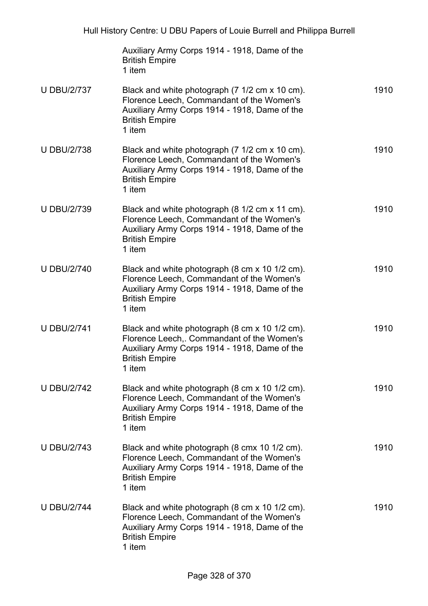|                    | Auxiliary Army Corps 1914 - 1918, Dame of the<br><b>British Empire</b><br>1 item                                                                                                 |      |
|--------------------|----------------------------------------------------------------------------------------------------------------------------------------------------------------------------------|------|
| <b>U DBU/2/737</b> | Black and white photograph (7 1/2 cm x 10 cm).<br>Florence Leech, Commandant of the Women's<br>Auxiliary Army Corps 1914 - 1918, Dame of the<br><b>British Empire</b><br>1 item  | 1910 |
| <b>U DBU/2/738</b> | Black and white photograph (7 1/2 cm x 10 cm).<br>Florence Leech, Commandant of the Women's<br>Auxiliary Army Corps 1914 - 1918, Dame of the<br><b>British Empire</b><br>1 item  | 1910 |
| <b>U DBU/2/739</b> | Black and white photograph (8 1/2 cm x 11 cm).<br>Florence Leech, Commandant of the Women's<br>Auxiliary Army Corps 1914 - 1918, Dame of the<br><b>British Empire</b><br>1 item  | 1910 |
| <b>U DBU/2/740</b> | Black and white photograph (8 cm x 10 1/2 cm).<br>Florence Leech, Commandant of the Women's<br>Auxiliary Army Corps 1914 - 1918, Dame of the<br><b>British Empire</b><br>1 item  | 1910 |
| <b>U DBU/2/741</b> | Black and white photograph (8 cm x 10 1/2 cm).<br>Florence Leech,. Commandant of the Women's<br>Auxiliary Army Corps 1914 - 1918, Dame of the<br><b>British Empire</b><br>1 item | 1910 |
| <b>U DBU/2/742</b> | Black and white photograph (8 cm x 10 1/2 cm).<br>Florence Leech, Commandant of the Women's<br>Auxiliary Army Corps 1914 - 1918, Dame of the<br><b>British Empire</b><br>1 item  | 1910 |
| <b>U DBU/2/743</b> | Black and white photograph (8 cmx 10 1/2 cm).<br>Florence Leech, Commandant of the Women's<br>Auxiliary Army Corps 1914 - 1918, Dame of the<br><b>British Empire</b><br>1 item   | 1910 |
| <b>U DBU/2/744</b> | Black and white photograph (8 cm x 10 1/2 cm).<br>Florence Leech, Commandant of the Women's<br>Auxiliary Army Corps 1914 - 1918, Dame of the<br><b>British Empire</b><br>1 item  | 1910 |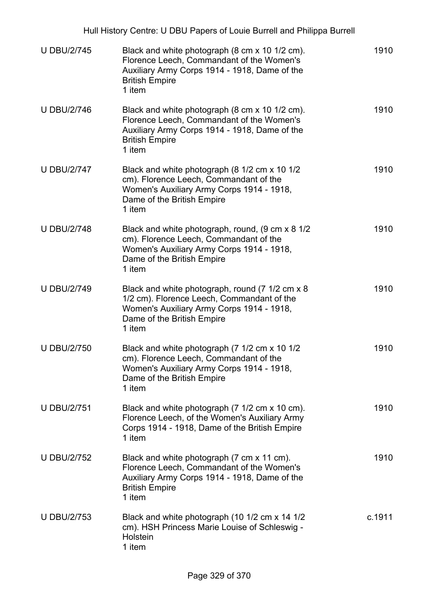|                    | Hull History Centre: U DBU Papers of Louie Burrell and Philippa Burrell                                                                                                            |        |
|--------------------|------------------------------------------------------------------------------------------------------------------------------------------------------------------------------------|--------|
| <b>U DBU/2/745</b> | Black and white photograph (8 cm x 10 1/2 cm).<br>Florence Leech, Commandant of the Women's<br>Auxiliary Army Corps 1914 - 1918, Dame of the<br><b>British Empire</b><br>1 item    | 1910   |
| <b>U DBU/2/746</b> | Black and white photograph (8 cm x 10 1/2 cm).<br>Florence Leech, Commandant of the Women's<br>Auxiliary Army Corps 1914 - 1918, Dame of the<br><b>British Empire</b><br>1 item    | 1910   |
| <b>U DBU/2/747</b> | Black and white photograph (8 1/2 cm x 10 1/2<br>cm). Florence Leech, Commandant of the<br>Women's Auxiliary Army Corps 1914 - 1918,<br>Dame of the British Empire<br>1 item       | 1910   |
| <b>U DBU/2/748</b> | Black and white photograph, round, (9 cm x 8 1/2<br>cm). Florence Leech, Commandant of the<br>Women's Auxiliary Army Corps 1914 - 1918,<br>Dame of the British Empire<br>1 item    | 1910   |
| <b>U DBU/2/749</b> | Black and white photograph, round (7 1/2 cm x 8<br>1/2 cm). Florence Leech, Commandant of the<br>Women's Auxiliary Army Corps 1914 - 1918,<br>Dame of the British Empire<br>1 item | 1910   |
| U DBU/2/750        | Black and white photograph (7 1/2 cm x 10 1/2<br>cm). Florence Leech, Commandant of the<br>Women's Auxiliary Army Corps 1914 - 1918,<br>Dame of the British Empire<br>1 item       | 1910   |
| <b>U DBU/2/751</b> | Black and white photograph (7 1/2 cm x 10 cm).<br>Florence Leech, of the Women's Auxiliary Army<br>Corps 1914 - 1918, Dame of the British Empire<br>1 item                         | 1910   |
| <b>U DBU/2/752</b> | Black and white photograph (7 cm x 11 cm).<br>Florence Leech, Commandant of the Women's<br>Auxiliary Army Corps 1914 - 1918, Dame of the<br><b>British Empire</b><br>1 item        | 1910   |
| <b>U DBU/2/753</b> | Black and white photograph (10 1/2 cm x 14 1/2<br>cm). HSH Princess Marie Louise of Schleswig -<br>Holstein<br>1 item                                                              | c.1911 |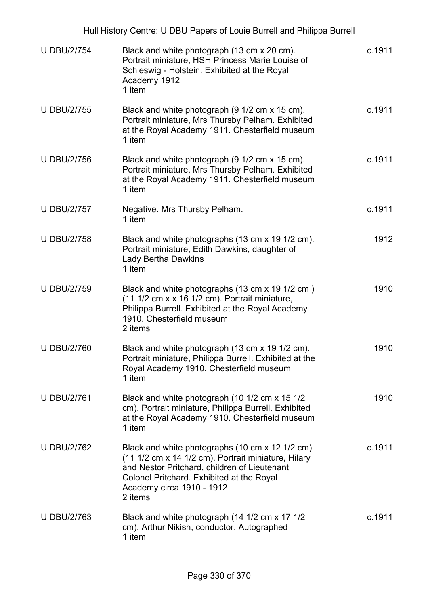|                    | Hull History Centre: U DBU Papers of Louie Burrell and Philippa Burrell                                                                                                                                                                     |        |
|--------------------|---------------------------------------------------------------------------------------------------------------------------------------------------------------------------------------------------------------------------------------------|--------|
| <b>U DBU/2/754</b> | Black and white photograph (13 cm x 20 cm).<br>Portrait miniature, HSH Princess Marie Louise of<br>Schleswig - Holstein. Exhibited at the Royal<br>Academy 1912<br>1 item                                                                   | c.1911 |
| <b>U DBU/2/755</b> | Black and white photograph (9 1/2 cm x 15 cm).<br>Portrait miniature, Mrs Thursby Pelham. Exhibited<br>at the Royal Academy 1911. Chesterfield museum<br>1 item                                                                             | c.1911 |
| <b>U DBU/2/756</b> | Black and white photograph (9 1/2 cm x 15 cm).<br>Portrait miniature, Mrs Thursby Pelham. Exhibited<br>at the Royal Academy 1911. Chesterfield museum<br>1 item                                                                             | c.1911 |
| <b>U DBU/2/757</b> | Negative. Mrs Thursby Pelham.<br>1 item                                                                                                                                                                                                     | c.1911 |
| <b>U DBU/2/758</b> | Black and white photographs (13 cm x 19 1/2 cm).<br>Portrait miniature, Edith Dawkins, daughter of<br><b>Lady Bertha Dawkins</b><br>1 item                                                                                                  | 1912   |
| <b>U DBU/2/759</b> | Black and white photographs (13 cm x 19 1/2 cm)<br>$(11 1/2$ cm x x 16 1/2 cm). Portrait miniature,<br>Philippa Burrell. Exhibited at the Royal Academy<br>1910. Chesterfield museum<br>2 items                                             | 1910   |
| <b>U DBU/2/760</b> | Black and white photograph (13 cm x 19 1/2 cm).<br>Portrait miniature, Philippa Burrell. Exhibited at the<br>Royal Academy 1910. Chesterfield museum<br>1 item                                                                              | 1910   |
| <b>U DBU/2/761</b> | Black and white photograph (10 1/2 cm x 15 1/2<br>cm). Portrait miniature, Philippa Burrell. Exhibited<br>at the Royal Academy 1910. Chesterfield museum<br>1 item                                                                          | 1910   |
| <b>U DBU/2/762</b> | Black and white photographs (10 cm x 12 1/2 cm)<br>(11 1/2 cm x 14 1/2 cm). Portrait miniature, Hilary<br>and Nestor Pritchard, children of Lieutenant<br>Colonel Pritchard. Exhibited at the Royal<br>Academy circa 1910 - 1912<br>2 items | c.1911 |
| <b>U DBU/2/763</b> | Black and white photograph (14 1/2 cm x 17 1/2<br>cm). Arthur Nikish, conductor. Autographed<br>1 item                                                                                                                                      | c.1911 |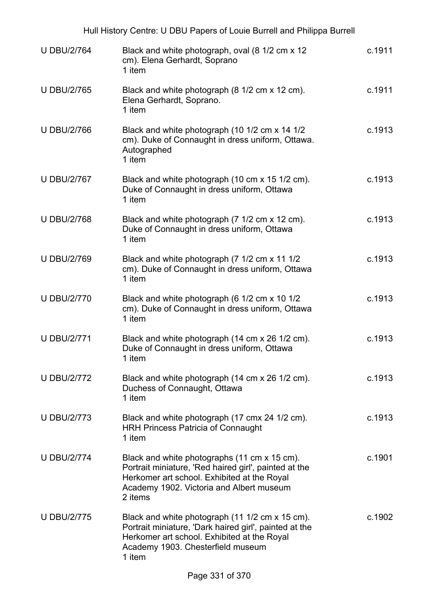| Hull History Centre: U DBU Papers of Louie Burrell and Philippa Burrell |                                                                                                                                                                                                             |        |
|-------------------------------------------------------------------------|-------------------------------------------------------------------------------------------------------------------------------------------------------------------------------------------------------------|--------|
| <b>U DBU/2/764</b>                                                      | Black and white photograph, oval (8 1/2 cm x 12<br>cm). Elena Gerhardt, Soprano<br>1 item                                                                                                                   | c.1911 |
| <b>U DBU/2/765</b>                                                      | Black and white photograph (8 1/2 cm x 12 cm).<br>Elena Gerhardt, Soprano.<br>1 item                                                                                                                        | c.1911 |
| <b>U DBU/2/766</b>                                                      | Black and white photograph (10 1/2 cm x 14 1/2<br>cm). Duke of Connaught in dress uniform, Ottawa.<br>Autographed<br>1 item                                                                                 | c.1913 |
| <b>U DBU/2/767</b>                                                      | Black and white photograph (10 cm x 15 1/2 cm).<br>Duke of Connaught in dress uniform, Ottawa<br>1 item                                                                                                     | c.1913 |
| <b>U DBU/2/768</b>                                                      | Black and white photograph (7 1/2 cm x 12 cm).<br>Duke of Connaught in dress uniform, Ottawa<br>1 item                                                                                                      | c.1913 |
| <b>U DBU/2/769</b>                                                      | Black and white photograph (7 1/2 cm x 11 1/2<br>cm). Duke of Connaught in dress uniform, Ottawa<br>1 item                                                                                                  | c.1913 |
| <b>U DBU/2/770</b>                                                      | Black and white photograph (6 1/2 cm x 10 1/2<br>cm). Duke of Connaught in dress uniform, Ottawa<br>1 item                                                                                                  | c.1913 |
| <b>U DBU/2/771</b>                                                      | Black and white photograph (14 cm x 26 1/2 cm).<br>Duke of Connaught in dress uniform, Ottawa<br>1 item                                                                                                     | c.1913 |
| <b>U DBU/2/772</b>                                                      | Black and white photograph (14 cm x 26 1/2 cm).<br>Duchess of Connaught, Ottawa<br>1 item                                                                                                                   | c.1913 |
| <b>U DBU/2/773</b>                                                      | Black and white photograph (17 cmx 24 1/2 cm).<br><b>HRH Princess Patricia of Connaught</b><br>1 item                                                                                                       | c.1913 |
| <b>U DBU/2/774</b>                                                      | Black and white photographs (11 cm x 15 cm).<br>Portrait miniature, 'Red haired girl', painted at the<br>Herkomer art school. Exhibited at the Royal<br>Academy 1902. Victoria and Albert museum<br>2 items | c.1901 |
| <b>U DBU/2/775</b>                                                      | Black and white photograph (11 1/2 cm x 15 cm).<br>Portrait miniature, 'Dark haired girl', painted at the<br>Herkomer art school. Exhibited at the Royal<br>Academy 1903. Chesterfield museum<br>1 item     | c.1902 |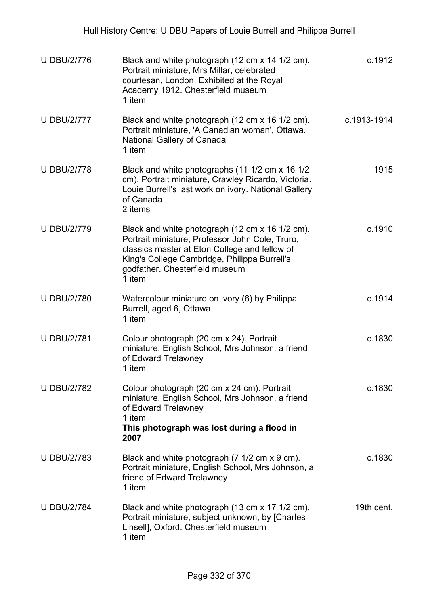| <b>U DBU/2/776</b> | Black and white photograph (12 cm x 14 1/2 cm).<br>Portrait miniature, Mrs Millar, celebrated<br>courtesan, London. Exhibited at the Royal<br>Academy 1912. Chesterfield museum<br>1 item                                                       | c.1912      |
|--------------------|-------------------------------------------------------------------------------------------------------------------------------------------------------------------------------------------------------------------------------------------------|-------------|
| <b>U DBU/2/777</b> | Black and white photograph (12 cm x 16 1/2 cm).<br>Portrait miniature, 'A Canadian woman', Ottawa.<br>National Gallery of Canada<br>1 item                                                                                                      | c.1913-1914 |
| <b>U DBU/2/778</b> | Black and white photographs (11 1/2 cm x 16 1/2<br>cm). Portrait miniature, Crawley Ricardo, Victoria.<br>Louie Burrell's last work on ivory. National Gallery<br>of Canada<br>2 items                                                          | 1915        |
| <b>U DBU/2/779</b> | Black and white photograph (12 cm x 16 1/2 cm).<br>Portrait miniature, Professor John Cole, Truro,<br>classics master at Eton College and fellow of<br>King's College Cambridge, Philippa Burrell's<br>godfather. Chesterfield museum<br>1 item | c.1910      |
| <b>U DBU/2/780</b> | Watercolour miniature on ivory (6) by Philippa<br>Burrell, aged 6, Ottawa<br>1 item                                                                                                                                                             | c.1914      |
| <b>U DBU/2/781</b> | Colour photograph (20 cm x 24). Portrait<br>miniature, English School, Mrs Johnson, a friend<br>of Edward Trelawney<br>1 item                                                                                                                   | c.1830      |
| <b>U DBU/2/782</b> | Colour photograph (20 cm x 24 cm). Portrait<br>miniature, English School, Mrs Johnson, a friend<br>of Edward Trelawney<br>1 item<br>This photograph was lost during a flood in<br>2007                                                          | c.1830      |
| <b>U DBU/2/783</b> | Black and white photograph (7 1/2 cm x 9 cm).<br>Portrait miniature, English School, Mrs Johnson, a<br>friend of Edward Trelawney<br>1 item                                                                                                     | c.1830      |
| <b>U DBU/2/784</b> | Black and white photograph (13 cm x 17 1/2 cm).<br>Portrait miniature, subject unknown, by [Charles<br>Linsell], Oxford. Chesterfield museum<br>1 item                                                                                          | 19th cent.  |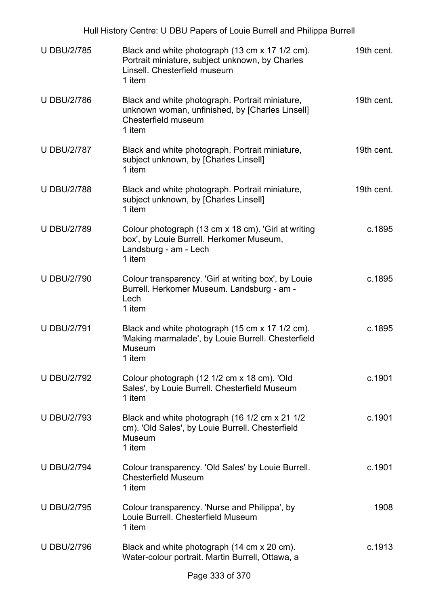| Hull History Centre: U DBU Papers of Louie Burrell and Philippa Burrell |                                                                                                                                              |            |  |
|-------------------------------------------------------------------------|----------------------------------------------------------------------------------------------------------------------------------------------|------------|--|
| <b>U DBU/2/785</b>                                                      | Black and white photograph (13 cm x 17 1/2 cm).<br>Portrait miniature, subject unknown, by Charles<br>Linsell. Chesterfield museum<br>1 item | 19th cent. |  |
| <b>U DBU/2/786</b>                                                      | Black and white photograph. Portrait miniature,<br>unknown woman, unfinished, by [Charles Linsell]<br>Chesterfield museum<br>1 item          | 19th cent. |  |
| <b>U DBU/2/787</b>                                                      | Black and white photograph. Portrait miniature,<br>subject unknown, by [Charles Linsell]<br>1 item                                           | 19th cent. |  |
| <b>U DBU/2/788</b>                                                      | Black and white photograph. Portrait miniature,<br>subject unknown, by [Charles Linsell]<br>1 item                                           | 19th cent. |  |
| <b>U DBU/2/789</b>                                                      | Colour photograph (13 cm x 18 cm). 'Girl at writing<br>box', by Louie Burrell. Herkomer Museum,<br>Landsburg - am - Lech<br>1 item           | c.1895     |  |
| <b>U DBU/2/790</b>                                                      | Colour transparency. 'Girl at writing box', by Louie<br>Burrell. Herkomer Museum. Landsburg - am -<br>Lech<br>1 item                         | c.1895     |  |
| <b>U DBU/2/791</b>                                                      | Black and white photograph (15 cm x 17 1/2 cm).<br>'Making marmalade', by Louie Burrell. Chesterfield<br>Museum<br>1 item                    | c.1895     |  |
| <b>U DBU/2/792</b>                                                      | Colour photograph (12 1/2 cm x 18 cm). 'Old<br>Sales', by Louie Burrell. Chesterfield Museum<br>1 item                                       | c.1901     |  |
| <b>U DBU/2/793</b>                                                      | Black and white photograph (16 1/2 cm x 21 1/2<br>cm). 'Old Sales', by Louie Burrell. Chesterfield<br>Museum<br>1 item                       | c.1901     |  |
| <b>U DBU/2/794</b>                                                      | Colour transparency. 'Old Sales' by Louie Burrell.<br><b>Chesterfield Museum</b><br>1 item                                                   | c.1901     |  |
| <b>U DBU/2/795</b>                                                      | Colour transparency. 'Nurse and Philippa', by<br>Louie Burrell, Chesterfield Museum<br>1 item                                                | 1908       |  |
| <b>U DBU/2/796</b>                                                      | Black and white photograph (14 cm x 20 cm).<br>Water-colour portrait. Martin Burrell, Ottawa, a                                              | c.1913     |  |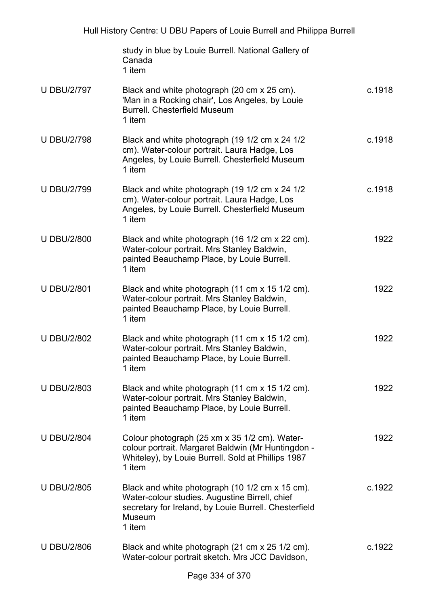|                    | study in blue by Louie Burrell. National Gallery of<br>Canada<br>1 item                                                                                                        |        |
|--------------------|--------------------------------------------------------------------------------------------------------------------------------------------------------------------------------|--------|
| <b>U DBU/2/797</b> | Black and white photograph (20 cm x 25 cm).<br>'Man in a Rocking chair', Los Angeles, by Louie<br><b>Burrell. Chesterfield Museum</b><br>1 item                                | c.1918 |
| <b>U DBU/2/798</b> | Black and white photograph (19 1/2 cm x 24 1/2<br>cm). Water-colour portrait. Laura Hadge, Los<br>Angeles, by Louie Burrell. Chesterfield Museum<br>1 item                     | c.1918 |
| <b>U DBU/2/799</b> | Black and white photograph (19 1/2 cm x 24 1/2<br>cm). Water-colour portrait. Laura Hadge, Los<br>Angeles, by Louie Burrell. Chesterfield Museum<br>1 item                     | c.1918 |
| <b>U DBU/2/800</b> | Black and white photograph (16 1/2 cm x 22 cm).<br>Water-colour portrait. Mrs Stanley Baldwin,<br>painted Beauchamp Place, by Louie Burrell.<br>1 item                         | 1922   |
| <b>U DBU/2/801</b> | Black and white photograph (11 cm x 15 1/2 cm).<br>Water-colour portrait. Mrs Stanley Baldwin,<br>painted Beauchamp Place, by Louie Burrell.<br>1 item                         | 1922   |
| <b>U DBU/2/802</b> | Black and white photograph (11 cm x 15 1/2 cm).<br>Water-colour portrait. Mrs Stanley Baldwin,<br>painted Beauchamp Place, by Louie Burrell.<br>1 item                         | 1922   |
| <b>U DBU/2/803</b> | Black and white photograph (11 cm x 15 1/2 cm).<br>Water-colour portrait. Mrs Stanley Baldwin,<br>painted Beauchamp Place, by Louie Burrell.<br>1 item                         | 1922   |
| <b>U DBU/2/804</b> | Colour photograph (25 xm x 35 1/2 cm). Water-<br>colour portrait. Margaret Baldwin (Mr Huntingdon -<br>Whiteley), by Louie Burrell. Sold at Phillips 1987<br>1 item            | 1922   |
| <b>U DBU/2/805</b> | Black and white photograph (10 1/2 cm x 15 cm).<br>Water-colour studies. Augustine Birrell, chief<br>secretary for Ireland, by Louie Burrell. Chesterfield<br>Museum<br>1 item | c.1922 |
| <b>U DBU/2/806</b> | Black and white photograph (21 cm x 25 1/2 cm).<br>Water-colour portrait sketch. Mrs JCC Davidson,                                                                             | c.1922 |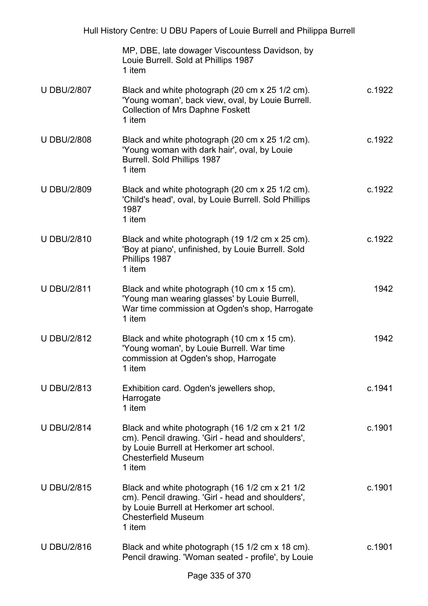|                    | MP, DBE, late dowager Viscountess Davidson, by<br>Louie Burrell. Sold at Phillips 1987<br>1 item                                                                                        |        |
|--------------------|-----------------------------------------------------------------------------------------------------------------------------------------------------------------------------------------|--------|
| <b>U DBU/2/807</b> | Black and white photograph (20 cm x 25 1/2 cm).<br>'Young woman', back view, oval, by Louie Burrell.<br><b>Collection of Mrs Daphne Foskett</b><br>1 item                               | c.1922 |
| <b>U DBU/2/808</b> | Black and white photograph (20 cm x 25 1/2 cm).<br>'Young woman with dark hair', oval, by Louie<br><b>Burrell. Sold Phillips 1987</b><br>1 item                                         | c.1922 |
| <b>U DBU/2/809</b> | Black and white photograph (20 cm x 25 1/2 cm).<br>'Child's head', oval, by Louie Burrell. Sold Phillips<br>1987<br>1 item                                                              | c.1922 |
| <b>U DBU/2/810</b> | Black and white photograph (19 1/2 cm x 25 cm).<br>'Boy at piano', unfinished, by Louie Burrell. Sold<br>Phillips 1987<br>1 item                                                        | c.1922 |
| <b>U DBU/2/811</b> | Black and white photograph (10 cm x 15 cm).<br>'Young man wearing glasses' by Louie Burrell,<br>War time commission at Ogden's shop, Harrogate<br>1 item                                | 1942   |
| <b>U DBU/2/812</b> | Black and white photograph (10 cm x 15 cm).<br>'Young woman', by Louie Burrell. War time<br>commission at Ogden's shop, Harrogate<br>1 item                                             | 1942   |
| <b>U DBU/2/813</b> | Exhibition card. Ogden's jewellers shop,<br>Harrogate<br>1 item                                                                                                                         | c.1941 |
| <b>U DBU/2/814</b> | Black and white photograph (16 1/2 cm x 21 1/2<br>cm). Pencil drawing. 'Girl - head and shoulders',<br>by Louie Burrell at Herkomer art school.<br><b>Chesterfield Museum</b><br>1 item | c.1901 |
| <b>U DBU/2/815</b> | Black and white photograph (16 1/2 cm x 21 1/2<br>cm). Pencil drawing. 'Girl - head and shoulders',<br>by Louie Burrell at Herkomer art school.<br><b>Chesterfield Museum</b><br>1 item | c.1901 |
| <b>U DBU/2/816</b> | Black and white photograph (15 1/2 cm x 18 cm).<br>Pencil drawing. 'Woman seated - profile', by Louie                                                                                   | c.1901 |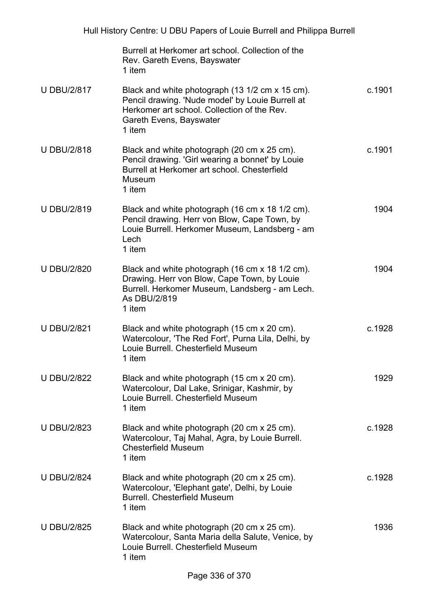|                    | Burrell at Herkomer art school. Collection of the<br>Rev. Gareth Evens, Bayswater<br>1 item                                                                                             |        |
|--------------------|-----------------------------------------------------------------------------------------------------------------------------------------------------------------------------------------|--------|
| <b>U DBU/2/817</b> | Black and white photograph (13 1/2 cm x 15 cm).<br>Pencil drawing. 'Nude model' by Louie Burrell at<br>Herkomer art school. Collection of the Rev.<br>Gareth Evens, Bayswater<br>1 item | c.1901 |
| <b>U DBU/2/818</b> | Black and white photograph (20 cm x 25 cm).<br>Pencil drawing. 'Girl wearing a bonnet' by Louie<br>Burrell at Herkomer art school. Chesterfield<br>Museum<br>1 item                     | c.1901 |
| <b>U DBU/2/819</b> | Black and white photograph (16 cm x 18 1/2 cm).<br>Pencil drawing. Herr von Blow, Cape Town, by<br>Louie Burrell. Herkomer Museum, Landsberg - am<br>Lech<br>1 item                     | 1904   |
| <b>U DBU/2/820</b> | Black and white photograph (16 cm x 18 1/2 cm).<br>Drawing. Herr von Blow, Cape Town, by Louie<br>Burrell. Herkomer Museum, Landsberg - am Lech.<br>As DBU/2/819<br>1 item              | 1904   |
| <b>U DBU/2/821</b> | Black and white photograph (15 cm x 20 cm).<br>Watercolour, 'The Red Fort', Purna Lila, Delhi, by<br>Louie Burrell, Chesterfield Museum<br>1 item                                       | c.1928 |
| <b>U DBU/2/822</b> | Black and white photograph (15 cm x 20 cm).<br>Watercolour, Dal Lake, Srinigar, Kashmir, by<br>Louie Burrell, Chesterfield Museum<br>1 item                                             | 1929   |
| <b>U DBU/2/823</b> | Black and white photograph (20 cm x 25 cm).<br>Watercolour, Taj Mahal, Agra, by Louie Burrell.<br><b>Chesterfield Museum</b><br>1 item                                                  | c.1928 |
| <b>U DBU/2/824</b> | Black and white photograph (20 cm x 25 cm).<br>Watercolour, 'Elephant gate', Delhi, by Louie<br><b>Burrell. Chesterfield Museum</b><br>1 item                                           | c.1928 |
| <b>U DBU/2/825</b> | Black and white photograph (20 cm x 25 cm).<br>Watercolour, Santa Maria della Salute, Venice, by<br>Louie Burrell. Chesterfield Museum<br>1 item                                        | 1936   |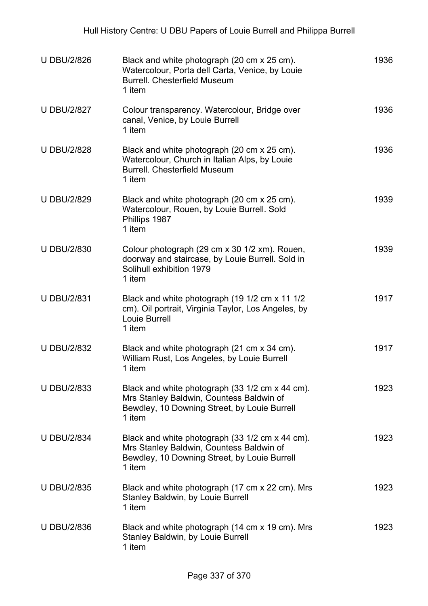| <b>U DBU/2/826</b> | Black and white photograph (20 cm x 25 cm).<br>Watercolour, Porta dell Carta, Venice, by Louie<br><b>Burrell, Chesterfield Museum</b><br>1 item       | 1936 |
|--------------------|-------------------------------------------------------------------------------------------------------------------------------------------------------|------|
| <b>U DBU/2/827</b> | Colour transparency. Watercolour, Bridge over<br>canal, Venice, by Louie Burrell<br>1 item                                                            | 1936 |
| <b>U DBU/2/828</b> | Black and white photograph (20 cm x 25 cm).<br>Watercolour, Church in Italian Alps, by Louie<br><b>Burrell, Chesterfield Museum</b><br>1 item         | 1936 |
| <b>U DBU/2/829</b> | Black and white photograph (20 cm x 25 cm).<br>Watercolour, Rouen, by Louie Burrell. Sold<br>Phillips 1987<br>1 item                                  | 1939 |
| <b>U DBU/2/830</b> | Colour photograph (29 cm x 30 1/2 xm). Rouen,<br>doorway and staircase, by Louie Burrell. Sold in<br>Solihull exhibition 1979<br>1 item               | 1939 |
| <b>U DBU/2/831</b> | Black and white photograph (19 1/2 cm x 11 1/2<br>cm). Oil portrait, Virginia Taylor, Los Angeles, by<br>Louie Burrell<br>1 item                      | 1917 |
| <b>U DBU/2/832</b> | Black and white photograph (21 cm x 34 cm).<br>William Rust, Los Angeles, by Louie Burrell<br>1 item                                                  | 1917 |
| <b>U DBU/2/833</b> | Black and white photograph (33 1/2 cm x 44 cm).<br>Mrs Stanley Baldwin, Countess Baldwin of<br>Bewdley, 10 Downing Street, by Louie Burrell<br>1 item | 1923 |
| <b>U DBU/2/834</b> | Black and white photograph (33 1/2 cm x 44 cm).<br>Mrs Stanley Baldwin, Countess Baldwin of<br>Bewdley, 10 Downing Street, by Louie Burrell<br>1 item | 1923 |
| <b>U DBU/2/835</b> | Black and white photograph (17 cm x 22 cm). Mrs<br>Stanley Baldwin, by Louie Burrell<br>1 item                                                        | 1923 |
| <b>U DBU/2/836</b> | Black and white photograph (14 cm x 19 cm). Mrs<br><b>Stanley Baldwin, by Louie Burrell</b><br>1 item                                                 | 1923 |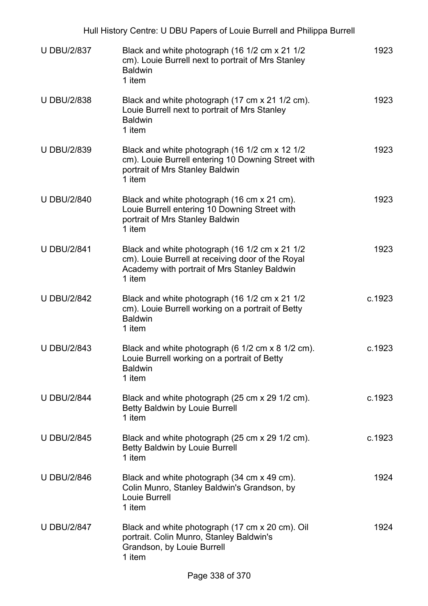|                    | Hull History Centre: U DBU Papers of Louie Burrell and Philippa Burrell                                                                                       |        |
|--------------------|---------------------------------------------------------------------------------------------------------------------------------------------------------------|--------|
| <b>U DBU/2/837</b> | Black and white photograph (16 1/2 cm x 21 1/2<br>cm). Louie Burrell next to portrait of Mrs Stanley<br><b>Baldwin</b><br>1 item                              | 1923   |
| <b>U DBU/2/838</b> | Black and white photograph (17 cm x 21 1/2 cm).<br>Louie Burrell next to portrait of Mrs Stanley<br><b>Baldwin</b><br>1 item                                  | 1923   |
| <b>U DBU/2/839</b> | Black and white photograph (16 1/2 cm x 12 1/2<br>cm). Louie Burrell entering 10 Downing Street with<br>portrait of Mrs Stanley Baldwin<br>1 item             | 1923   |
| <b>U DBU/2/840</b> | Black and white photograph (16 cm x 21 cm).<br>Louie Burrell entering 10 Downing Street with<br>portrait of Mrs Stanley Baldwin<br>1 item                     | 1923   |
| <b>U DBU/2/841</b> | Black and white photograph (16 1/2 cm x 21 1/2<br>cm). Louie Burrell at receiving door of the Royal<br>Academy with portrait of Mrs Stanley Baldwin<br>1 item | 1923   |
| <b>U DBU/2/842</b> | Black and white photograph (16 1/2 cm x 21 1/2<br>cm). Louie Burrell working on a portrait of Betty<br><b>Baldwin</b><br>1 item                               | c.1923 |
| <b>U DBU/2/843</b> | Black and white photograph (6 1/2 cm x 8 1/2 cm).<br>Louie Burrell working on a portrait of Betty<br><b>Baldwin</b><br>1 item                                 | c.1923 |
| <b>U DBU/2/844</b> | Black and white photograph (25 cm x 29 1/2 cm).<br><b>Betty Baldwin by Louie Burrell</b><br>1 item                                                            | c.1923 |
| <b>U DBU/2/845</b> | Black and white photograph (25 cm x 29 1/2 cm).<br>Betty Baldwin by Louie Burrell<br>1 item                                                                   | c.1923 |
| <b>U DBU/2/846</b> | Black and white photograph (34 cm x 49 cm).<br>Colin Munro, Stanley Baldwin's Grandson, by<br>Louie Burrell<br>1 item                                         | 1924   |
| <b>U DBU/2/847</b> | Black and white photograph (17 cm x 20 cm). Oil<br>portrait. Colin Munro, Stanley Baldwin's<br>Grandson, by Louie Burrell<br>1 item                           | 1924   |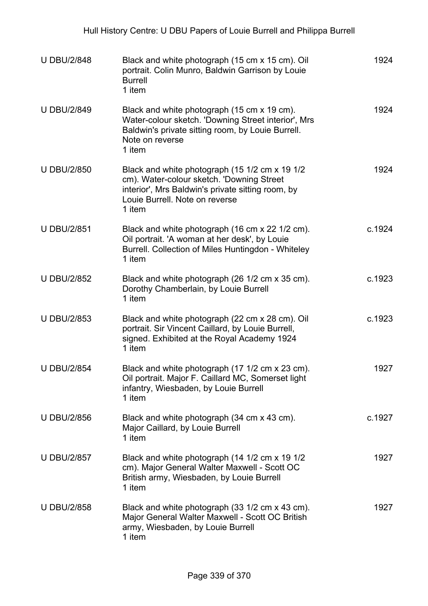| <b>U DBU/2/848</b> | Black and white photograph (15 cm x 15 cm). Oil<br>portrait. Colin Munro, Baldwin Garrison by Louie<br><b>Burrell</b><br>1 item                                                              | 1924   |
|--------------------|----------------------------------------------------------------------------------------------------------------------------------------------------------------------------------------------|--------|
| <b>U DBU/2/849</b> | Black and white photograph (15 cm x 19 cm).<br>Water-colour sketch. 'Downing Street interior', Mrs<br>Baldwin's private sitting room, by Louie Burrell.<br>Note on reverse<br>1 item         | 1924   |
| <b>U DBU/2/850</b> | Black and white photograph (15 1/2 cm x 19 1/2<br>cm). Water-colour sketch. 'Downing Street<br>interior', Mrs Baldwin's private sitting room, by<br>Louie Burrell. Note on reverse<br>1 item | 1924   |
| <b>U DBU/2/851</b> | Black and white photograph (16 cm x 22 1/2 cm).<br>Oil portrait. 'A woman at her desk', by Louie<br>Burrell. Collection of Miles Huntingdon - Whiteley<br>1 item                             | c.1924 |
| <b>U DBU/2/852</b> | Black and white photograph (26 1/2 cm x 35 cm).<br>Dorothy Chamberlain, by Louie Burrell<br>1 item                                                                                           | c.1923 |
| <b>U DBU/2/853</b> | Black and white photograph (22 cm x 28 cm). Oil<br>portrait. Sir Vincent Caillard, by Louie Burrell,<br>signed. Exhibited at the Royal Academy 1924<br>1 item                                | c.1923 |
| <b>U DBU/2/854</b> | Black and white photograph (17 1/2 cm x 23 cm).<br>Oil portrait. Major F. Caillard MC, Somerset light<br>infantry, Wiesbaden, by Louie Burrell<br>1 item                                     | 1927   |
| <b>U DBU/2/856</b> | Black and white photograph (34 cm x 43 cm).<br>Major Caillard, by Louie Burrell<br>1 item                                                                                                    | c.1927 |
| <b>U DBU/2/857</b> | Black and white photograph (14 1/2 cm x 19 1/2<br>cm). Major General Walter Maxwell - Scott OC<br>British army, Wiesbaden, by Louie Burrell<br>1 item                                        | 1927   |
| <b>U DBU/2/858</b> | Black and white photograph (33 1/2 cm x 43 cm).<br>Major General Walter Maxwell - Scott OC British<br>army, Wiesbaden, by Louie Burrell<br>1 item                                            | 1927   |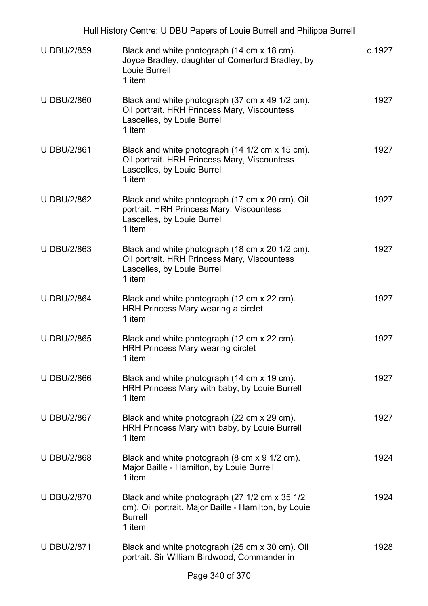|                    | Hull History Centre: U DBU Papers of Louie Burrell and Philippa Burrell                                                                  |        |
|--------------------|------------------------------------------------------------------------------------------------------------------------------------------|--------|
| <b>U DBU/2/859</b> | Black and white photograph (14 cm x 18 cm).<br>Joyce Bradley, daughter of Comerford Bradley, by<br>Louie Burrell<br>1 item               | c.1927 |
| <b>U DBU/2/860</b> | Black and white photograph (37 cm x 49 1/2 cm).<br>Oil portrait. HRH Princess Mary, Viscountess<br>Lascelles, by Louie Burrell<br>1 item | 1927   |
| <b>U DBU/2/861</b> | Black and white photograph (14 1/2 cm x 15 cm).<br>Oil portrait. HRH Princess Mary, Viscountess<br>Lascelles, by Louie Burrell<br>1 item | 1927   |
| <b>U DBU/2/862</b> | Black and white photograph (17 cm x 20 cm). Oil<br>portrait. HRH Princess Mary, Viscountess<br>Lascelles, by Louie Burrell<br>1 item     | 1927   |
| <b>U DBU/2/863</b> | Black and white photograph (18 cm x 20 1/2 cm).<br>Oil portrait. HRH Princess Mary, Viscountess<br>Lascelles, by Louie Burrell<br>1 item | 1927   |
| <b>U DBU/2/864</b> | Black and white photograph (12 cm x 22 cm).<br>HRH Princess Mary wearing a circlet<br>1 item                                             | 1927   |
| <b>U DBU/2/865</b> | Black and white photograph (12 cm x 22 cm).<br><b>HRH Princess Mary wearing circlet</b><br>1 item                                        | 1927   |
| <b>U DBU/2/866</b> | Black and white photograph (14 cm x 19 cm).<br>HRH Princess Mary with baby, by Louie Burrell<br>1 item                                   | 1927   |
| <b>U DBU/2/867</b> | Black and white photograph (22 cm x 29 cm).<br>HRH Princess Mary with baby, by Louie Burrell<br>1 item                                   | 1927   |
| <b>U DBU/2/868</b> | Black and white photograph (8 cm x 9 1/2 cm).<br>Major Baille - Hamilton, by Louie Burrell<br>1 item                                     | 1924   |
| <b>U DBU/2/870</b> | Black and white photograph (27 1/2 cm x 35 1/2<br>cm). Oil portrait. Major Baille - Hamilton, by Louie<br><b>Burrell</b><br>1 item       | 1924   |
| <b>U DBU/2/871</b> | Black and white photograph (25 cm x 30 cm). Oil<br>portrait. Sir William Birdwood, Commander in                                          | 1928   |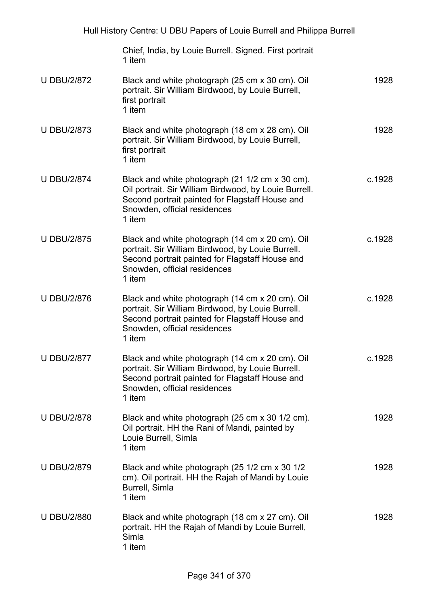|                    | Hull History Centre: U DBU Papers of Louie Burrell and Philippa Burrell                                                                                                                               |        |
|--------------------|-------------------------------------------------------------------------------------------------------------------------------------------------------------------------------------------------------|--------|
|                    | Chief, India, by Louie Burrell. Signed. First portrait<br>1 item                                                                                                                                      |        |
| <b>U DBU/2/872</b> | Black and white photograph (25 cm x 30 cm). Oil<br>portrait. Sir William Birdwood, by Louie Burrell,<br>first portrait<br>1 item                                                                      | 1928   |
| <b>U DBU/2/873</b> | Black and white photograph (18 cm x 28 cm). Oil<br>portrait. Sir William Birdwood, by Louie Burrell,<br>first portrait<br>1 item                                                                      | 1928   |
| <b>U DBU/2/874</b> | Black and white photograph (21 1/2 cm x 30 cm).<br>Oil portrait. Sir William Birdwood, by Louie Burrell.<br>Second portrait painted for Flagstaff House and<br>Snowden, official residences<br>1 item | c.1928 |
| <b>U DBU/2/875</b> | Black and white photograph (14 cm x 20 cm). Oil<br>portrait. Sir William Birdwood, by Louie Burrell.<br>Second portrait painted for Flagstaff House and<br>Snowden, official residences<br>1 item     | c.1928 |
| <b>U DBU/2/876</b> | Black and white photograph (14 cm x 20 cm). Oil<br>portrait. Sir William Birdwood, by Louie Burrell.<br>Second portrait painted for Flagstaff House and<br>Snowden, official residences<br>1 item     | c.1928 |
| <b>U DBU/2/877</b> | Black and white photograph (14 cm x 20 cm). Oil<br>portrait. Sir William Birdwood, by Louie Burrell.<br>Second portrait painted for Flagstaff House and<br>Snowden, official residences<br>1 item     | c.1928 |
| <b>U DBU/2/878</b> | Black and white photograph (25 cm x 30 1/2 cm).<br>Oil portrait. HH the Rani of Mandi, painted by<br>Louie Burrell, Simla<br>1 item                                                                   | 1928   |
| <b>U DBU/2/879</b> | Black and white photograph (25 1/2 cm x 30 1/2<br>cm). Oil portrait. HH the Rajah of Mandi by Louie<br>Burrell, Simla<br>1 item                                                                       | 1928   |
| <b>U DBU/2/880</b> | Black and white photograph (18 cm x 27 cm). Oil<br>portrait. HH the Rajah of Mandi by Louie Burrell,<br>Simla<br>1 item                                                                               | 1928   |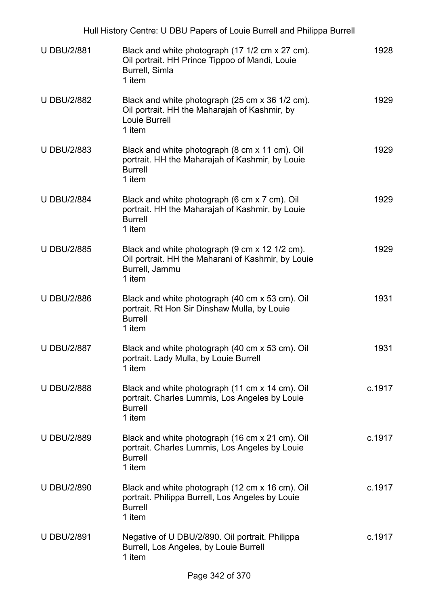| Hull History Centre: U DBU Papers of Louie Burrell and Philippa Burrell |                                                                                                                                  |        |
|-------------------------------------------------------------------------|----------------------------------------------------------------------------------------------------------------------------------|--------|
| <b>U DBU/2/881</b>                                                      | Black and white photograph (17 1/2 cm x 27 cm).<br>Oil portrait. HH Prince Tippoo of Mandi, Louie<br>Burrell, Simla<br>1 item    | 1928   |
| <b>U DBU/2/882</b>                                                      | Black and white photograph (25 cm x 36 1/2 cm).<br>Oil portrait. HH the Maharajah of Kashmir, by<br>Louie Burrell<br>1 item      | 1929   |
| <b>U DBU/2/883</b>                                                      | Black and white photograph (8 cm x 11 cm). Oil<br>portrait. HH the Maharajah of Kashmir, by Louie<br><b>Burrell</b><br>1 item    | 1929   |
| <b>U DBU/2/884</b>                                                      | Black and white photograph (6 cm x 7 cm). Oil<br>portrait. HH the Maharajah of Kashmir, by Louie<br><b>Burrell</b><br>1 item     | 1929   |
| <b>U DBU/2/885</b>                                                      | Black and white photograph (9 cm x 12 1/2 cm).<br>Oil portrait. HH the Maharani of Kashmir, by Louie<br>Burrell, Jammu<br>1 item | 1929   |
| <b>U DBU/2/886</b>                                                      | Black and white photograph (40 cm x 53 cm). Oil<br>portrait. Rt Hon Sir Dinshaw Mulla, by Louie<br><b>Burrell</b><br>1 item      | 1931   |
| <b>U DBU/2/887</b>                                                      | Black and white photograph (40 cm x 53 cm). Oil<br>portrait. Lady Mulla, by Louie Burrell<br>1 item                              | 1931   |
| <b>U DBU/2/888</b>                                                      | Black and white photograph (11 cm x 14 cm). Oil<br>portrait. Charles Lummis, Los Angeles by Louie<br><b>Burrell</b><br>1 item    | c.1917 |
| <b>U DBU/2/889</b>                                                      | Black and white photograph (16 cm x 21 cm). Oil<br>portrait. Charles Lummis, Los Angeles by Louie<br><b>Burrell</b><br>1 item    | c.1917 |
| <b>U DBU/2/890</b>                                                      | Black and white photograph (12 cm x 16 cm). Oil<br>portrait. Philippa Burrell, Los Angeles by Louie<br><b>Burrell</b><br>1 item  | c.1917 |
| <b>U DBU/2/891</b>                                                      | Negative of U DBU/2/890. Oil portrait. Philippa<br>Burrell, Los Angeles, by Louie Burrell<br>1 item                              | c.1917 |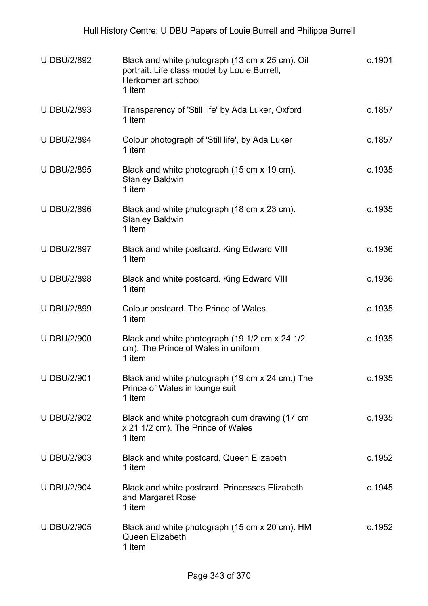| <b>U DBU/2/892</b> | Black and white photograph (13 cm x 25 cm). Oil<br>portrait. Life class model by Louie Burrell,<br>Herkomer art school<br>1 item | c.1901 |
|--------------------|----------------------------------------------------------------------------------------------------------------------------------|--------|
| <b>U DBU/2/893</b> | Transparency of 'Still life' by Ada Luker, Oxford<br>1 item                                                                      | c.1857 |
| <b>U DBU/2/894</b> | Colour photograph of 'Still life', by Ada Luker<br>1 item                                                                        | c.1857 |
| <b>U DBU/2/895</b> | Black and white photograph (15 cm x 19 cm).<br><b>Stanley Baldwin</b><br>1 item                                                  | c.1935 |
| <b>U DBU/2/896</b> | Black and white photograph (18 cm x 23 cm).<br><b>Stanley Baldwin</b><br>1 item                                                  | c.1935 |
| <b>U DBU/2/897</b> | Black and white postcard. King Edward VIII<br>1 item                                                                             | c.1936 |
| <b>U DBU/2/898</b> | Black and white postcard. King Edward VIII<br>1 item                                                                             | c.1936 |
| <b>U DBU/2/899</b> | Colour postcard. The Prince of Wales<br>1 item                                                                                   | c.1935 |
| <b>U DBU/2/900</b> | Black and white photograph (19 1/2 cm x 24 1/2<br>cm). The Prince of Wales in uniform<br>1 item                                  | c.1935 |
| <b>U DBU/2/901</b> | Black and white photograph (19 cm x 24 cm.) The<br>Prince of Wales in lounge suit<br>1 item                                      | c.1935 |
| <b>U DBU/2/902</b> | Black and white photograph cum drawing (17 cm<br>x 21 1/2 cm). The Prince of Wales<br>1 item                                     | c.1935 |
| <b>U DBU/2/903</b> | Black and white postcard. Queen Elizabeth<br>1 item                                                                              | c.1952 |
| <b>U DBU/2/904</b> | Black and white postcard. Princesses Elizabeth<br>and Margaret Rose<br>1 item                                                    | c.1945 |
| <b>U DBU/2/905</b> | Black and white photograph (15 cm x 20 cm). HM<br>Queen Elizabeth<br>1 item                                                      | c.1952 |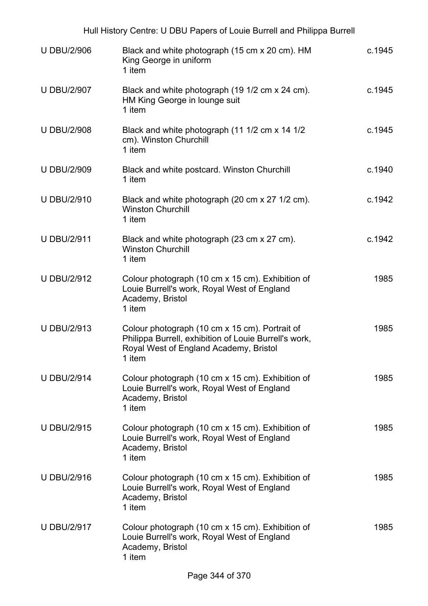|                    | Hull History Centre: U DBU Papers of Louie Burrell and Philippa Burrell                                                                                     |        |
|--------------------|-------------------------------------------------------------------------------------------------------------------------------------------------------------|--------|
| <b>U DBU/2/906</b> | Black and white photograph (15 cm x 20 cm). HM<br>King George in uniform<br>1 item                                                                          | c.1945 |
| <b>U DBU/2/907</b> | Black and white photograph (19 1/2 cm x 24 cm).<br>HM King George in lounge suit<br>1 item                                                                  | c.1945 |
| <b>U DBU/2/908</b> | Black and white photograph (11 1/2 cm x 14 1/2<br>cm). Winston Churchill<br>1 item                                                                          | c.1945 |
| <b>U DBU/2/909</b> | Black and white postcard. Winston Churchill<br>1 item                                                                                                       | c.1940 |
| <b>U DBU/2/910</b> | Black and white photograph (20 cm x 27 1/2 cm).<br><b>Winston Churchill</b><br>1 item                                                                       | c.1942 |
| <b>U DBU/2/911</b> | Black and white photograph (23 cm x 27 cm).<br><b>Winston Churchill</b><br>1 item                                                                           | c.1942 |
| <b>U DBU/2/912</b> | Colour photograph (10 cm x 15 cm). Exhibition of<br>Louie Burrell's work, Royal West of England<br>Academy, Bristol<br>1 item                               | 1985   |
| <b>U DBU/2/913</b> | Colour photograph (10 cm x 15 cm). Portrait of<br>Philippa Burrell, exhibition of Louie Burrell's work,<br>Royal West of England Academy, Bristol<br>1 item | 1985   |
| <b>U DBU/2/914</b> | Colour photograph (10 cm x 15 cm). Exhibition of<br>Louie Burrell's work, Royal West of England<br>Academy, Bristol<br>1 item                               | 1985   |
| <b>U DBU/2/915</b> | Colour photograph (10 cm x 15 cm). Exhibition of<br>Louie Burrell's work, Royal West of England<br>Academy, Bristol<br>1 item                               | 1985   |
| <b>U DBU/2/916</b> | Colour photograph (10 cm x 15 cm). Exhibition of<br>Louie Burrell's work, Royal West of England<br>Academy, Bristol<br>1 item                               | 1985   |
| <b>U DBU/2/917</b> | Colour photograph (10 cm x 15 cm). Exhibition of<br>Louie Burrell's work, Royal West of England<br>Academy, Bristol<br>1 item                               | 1985   |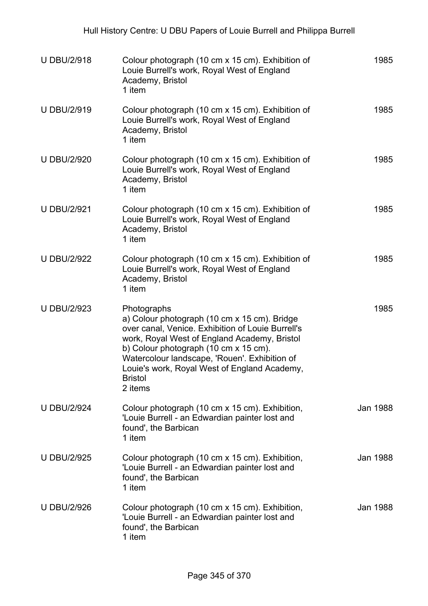| <b>U DBU/2/918</b> | Colour photograph (10 cm x 15 cm). Exhibition of<br>Louie Burrell's work, Royal West of England<br>Academy, Bristol<br>1 item                                                                                                                                                                                                           | 1985     |
|--------------------|-----------------------------------------------------------------------------------------------------------------------------------------------------------------------------------------------------------------------------------------------------------------------------------------------------------------------------------------|----------|
| <b>U DBU/2/919</b> | Colour photograph (10 cm x 15 cm). Exhibition of<br>Louie Burrell's work, Royal West of England<br>Academy, Bristol<br>1 item                                                                                                                                                                                                           | 1985     |
| <b>U DBU/2/920</b> | Colour photograph (10 cm x 15 cm). Exhibition of<br>Louie Burrell's work, Royal West of England<br>Academy, Bristol<br>1 item                                                                                                                                                                                                           | 1985     |
| <b>U DBU/2/921</b> | Colour photograph (10 cm x 15 cm). Exhibition of<br>Louie Burrell's work, Royal West of England<br>Academy, Bristol<br>1 item                                                                                                                                                                                                           | 1985     |
| <b>U DBU/2/922</b> | Colour photograph (10 cm x 15 cm). Exhibition of<br>Louie Burrell's work, Royal West of England<br>Academy, Bristol<br>1 item                                                                                                                                                                                                           | 1985     |
| <b>U DBU/2/923</b> | Photographs<br>a) Colour photograph (10 cm x 15 cm). Bridge<br>over canal, Venice. Exhibition of Louie Burrell's<br>work, Royal West of England Academy, Bristol<br>b) Colour photograph (10 cm x 15 cm).<br>Watercolour landscape, 'Rouen'. Exhibition of<br>Louie's work, Royal West of England Academy,<br><b>Bristol</b><br>2 items | 1985     |
| <b>U DBU/2/924</b> | Colour photograph (10 cm x 15 cm). Exhibition,<br>'Louie Burrell - an Edwardian painter lost and<br>found', the Barbican<br>1 item                                                                                                                                                                                                      | Jan 1988 |
| <b>U DBU/2/925</b> | Colour photograph (10 cm x 15 cm). Exhibition,<br>'Louie Burrell - an Edwardian painter lost and<br>found', the Barbican<br>1 item                                                                                                                                                                                                      | Jan 1988 |
| <b>U DBU/2/926</b> | Colour photograph (10 cm x 15 cm). Exhibition,<br>'Louie Burrell - an Edwardian painter lost and<br>found', the Barbican<br>1 item                                                                                                                                                                                                      | Jan 1988 |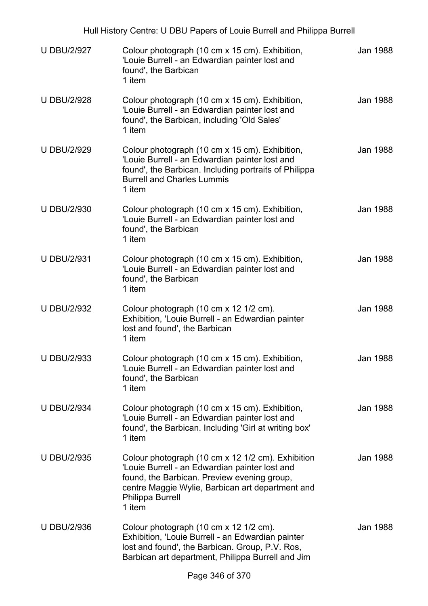| Hull History Centre: U DBU Papers of Louie Burrell and Philippa Burrell |                                                                                                                                                                                                                                      |          |  |
|-------------------------------------------------------------------------|--------------------------------------------------------------------------------------------------------------------------------------------------------------------------------------------------------------------------------------|----------|--|
| <b>U DBU/2/927</b>                                                      | Colour photograph (10 cm x 15 cm). Exhibition,<br>'Louie Burrell - an Edwardian painter lost and<br>found', the Barbican<br>1 item                                                                                                   | Jan 1988 |  |
| <b>U DBU/2/928</b>                                                      | Colour photograph (10 cm x 15 cm). Exhibition,<br>'Louie Burrell - an Edwardian painter lost and<br>found', the Barbican, including 'Old Sales'<br>1 item                                                                            | Jan 1988 |  |
| <b>U DBU/2/929</b>                                                      | Colour photograph (10 cm x 15 cm). Exhibition,<br>'Louie Burrell - an Edwardian painter lost and<br>found', the Barbican. Including portraits of Philippa<br><b>Burrell and Charles Lummis</b><br>1 item                             | Jan 1988 |  |
| <b>U DBU/2/930</b>                                                      | Colour photograph (10 cm x 15 cm). Exhibition,<br>'Louie Burrell - an Edwardian painter lost and<br>found', the Barbican<br>1 item                                                                                                   | Jan 1988 |  |
| <b>U DBU/2/931</b>                                                      | Colour photograph (10 cm x 15 cm). Exhibition,<br>'Louie Burrell - an Edwardian painter lost and<br>found', the Barbican<br>1 item                                                                                                   | Jan 1988 |  |
| <b>U DBU/2/932</b>                                                      | Colour photograph (10 cm x 12 1/2 cm).<br>Exhibition, 'Louie Burrell - an Edwardian painter<br>lost and found', the Barbican<br>1 item                                                                                               | Jan 1988 |  |
| <b>U DBU/2/933</b>                                                      | Colour photograph (10 cm x 15 cm). Exhibition,<br>'Louie Burrell - an Edwardian painter lost and<br>found', the Barbican<br>1 item                                                                                                   | Jan 1988 |  |
| <b>U DBU/2/934</b>                                                      | Colour photograph (10 cm x 15 cm). Exhibition,<br>'Louie Burrell - an Edwardian painter lost and<br>found', the Barbican. Including 'Girl at writing box'<br>1 item                                                                  | Jan 1988 |  |
| <b>U DBU/2/935</b>                                                      | Colour photograph (10 cm x 12 1/2 cm). Exhibition<br>'Louie Burrell - an Edwardian painter lost and<br>found, the Barbican. Preview evening group,<br>centre Maggie Wylie, Barbican art department and<br>Philippa Burrell<br>1 item | Jan 1988 |  |
| <b>U DBU/2/936</b>                                                      | Colour photograph (10 cm x 12 1/2 cm).<br>Exhibition, 'Louie Burrell - an Edwardian painter<br>lost and found', the Barbican. Group, P.V. Ros,<br>Barbican art department, Philippa Burrell and Jim                                  | Jan 1988 |  |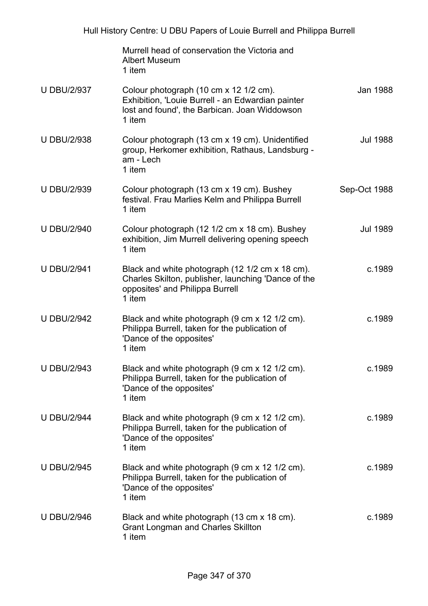|                    | Murrell head of conservation the Victoria and<br><b>Albert Museum</b><br>1 item                                                                        |                 |
|--------------------|--------------------------------------------------------------------------------------------------------------------------------------------------------|-----------------|
| <b>U DBU/2/937</b> | Colour photograph (10 cm x 12 1/2 cm).<br>Exhibition, 'Louie Burrell - an Edwardian painter<br>lost and found', the Barbican. Joan Widdowson<br>1 item | Jan 1988        |
| <b>U DBU/2/938</b> | Colour photograph (13 cm x 19 cm). Unidentified<br>group, Herkomer exhibition, Rathaus, Landsburg -<br>am - Lech<br>1 item                             | <b>Jul 1988</b> |
| <b>U DBU/2/939</b> | Colour photograph (13 cm x 19 cm). Bushey<br>festival. Frau Marlies Kelm and Philippa Burrell<br>1 item                                                | Sep-Oct 1988    |
| <b>U DBU/2/940</b> | Colour photograph (12 1/2 cm x 18 cm). Bushey<br>exhibition, Jim Murrell delivering opening speech<br>1 item                                           | <b>Jul 1989</b> |
| <b>U DBU/2/941</b> | Black and white photograph (12 1/2 cm x 18 cm).<br>Charles Skilton, publisher, launching 'Dance of the<br>opposites' and Philippa Burrell<br>1 item    | c.1989          |
| <b>U DBU/2/942</b> | Black and white photograph (9 cm x 12 1/2 cm).<br>Philippa Burrell, taken for the publication of<br>'Dance of the opposites'<br>1 item                 | c.1989          |
| <b>U DBU/2/943</b> | Black and white photograph (9 cm x 12 1/2 cm).<br>Philippa Burrell, taken for the publication of<br>'Dance of the opposites'<br>1 item                 | c.1989          |
| <b>U DBU/2/944</b> | Black and white photograph (9 cm x 12 1/2 cm).<br>Philippa Burrell, taken for the publication of<br>'Dance of the opposites'<br>1 item                 | c.1989          |
| <b>U DBU/2/945</b> | Black and white photograph (9 cm x 12 1/2 cm).<br>Philippa Burrell, taken for the publication of<br>'Dance of the opposites'<br>1 item                 | c.1989          |
| <b>U DBU/2/946</b> | Black and white photograph (13 cm x 18 cm).<br><b>Grant Longman and Charles Skillton</b><br>1 item                                                     | c.1989          |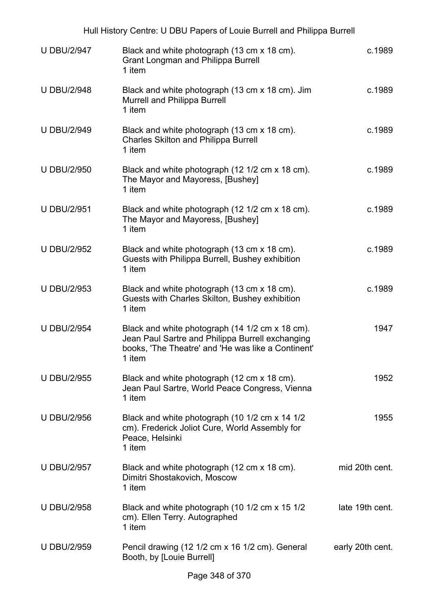|                    | Hull History Centre: U DBU Papers of Louie Burrell and Philippa Burrell                                                                                             |                  |
|--------------------|---------------------------------------------------------------------------------------------------------------------------------------------------------------------|------------------|
| <b>U DBU/2/947</b> | Black and white photograph (13 cm x 18 cm).<br><b>Grant Longman and Philippa Burrell</b><br>1 item                                                                  | c.1989           |
| <b>U DBU/2/948</b> | Black and white photograph (13 cm x 18 cm). Jim<br><b>Murrell and Philippa Burrell</b><br>1 item                                                                    | c.1989           |
| <b>U DBU/2/949</b> | Black and white photograph (13 cm x 18 cm).<br><b>Charles Skilton and Philippa Burrell</b><br>1 item                                                                | c.1989           |
| <b>U DBU/2/950</b> | Black and white photograph (12 1/2 cm x 18 cm).<br>The Mayor and Mayoress, [Bushey]<br>1 item                                                                       | c.1989           |
| <b>U DBU/2/951</b> | Black and white photograph (12 1/2 cm x 18 cm).<br>The Mayor and Mayoress, [Bushey]<br>1 item                                                                       | c.1989           |
| <b>U DBU/2/952</b> | Black and white photograph (13 cm x 18 cm).<br>Guests with Philippa Burrell, Bushey exhibition<br>1 item                                                            | c.1989           |
| <b>U DBU/2/953</b> | Black and white photograph (13 cm x 18 cm).<br>Guests with Charles Skilton, Bushey exhibition<br>1 item                                                             | c.1989           |
| <b>U DBU/2/954</b> | Black and white photograph (14 1/2 cm x 18 cm).<br>Jean Paul Sartre and Philippa Burrell exchanging<br>books, 'The Theatre' and 'He was like a Continent'<br>1 item | 1947             |
| <b>U DBU/2/955</b> | Black and white photograph (12 cm x 18 cm).<br>Jean Paul Sartre, World Peace Congress, Vienna<br>1 item                                                             | 1952             |
| <b>U DBU/2/956</b> | Black and white photograph (10 1/2 cm x 14 1/2<br>cm). Frederick Joliot Cure, World Assembly for<br>Peace, Helsinki<br>1 item                                       | 1955             |
| <b>U DBU/2/957</b> | Black and white photograph (12 cm x 18 cm).<br>Dimitri Shostakovich, Moscow<br>1 item                                                                               | mid 20th cent.   |
| <b>U DBU/2/958</b> | Black and white photograph (10 1/2 cm x 15 1/2<br>cm). Ellen Terry. Autographed<br>1 item                                                                           | late 19th cent.  |
| <b>U DBU/2/959</b> | Pencil drawing (12 1/2 cm x 16 1/2 cm). General<br>Booth, by [Louie Burrell]                                                                                        | early 20th cent. |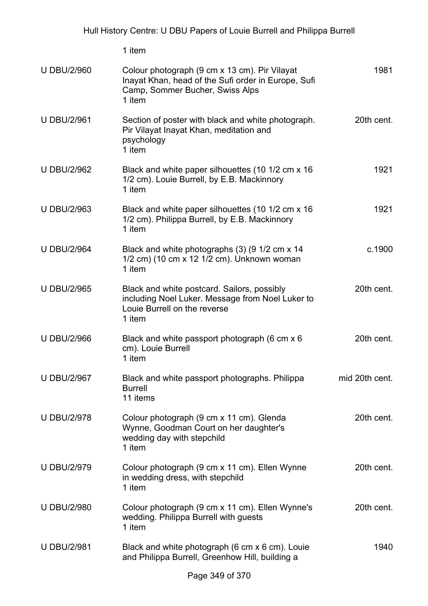|                    | 1 item                                                                                                                                            |                |
|--------------------|---------------------------------------------------------------------------------------------------------------------------------------------------|----------------|
| <b>U DBU/2/960</b> | Colour photograph (9 cm x 13 cm). Pir Vilayat<br>Inayat Khan, head of the Sufi order in Europe, Sufi<br>Camp, Sommer Bucher, Swiss Alps<br>1 item | 1981           |
| <b>U DBU/2/961</b> | Section of poster with black and white photograph.<br>Pir Vilayat Inayat Khan, meditation and<br>psychology<br>1 item                             | 20th cent.     |
| <b>U DBU/2/962</b> | Black and white paper silhouettes (10 1/2 cm x 16<br>1/2 cm). Louie Burrell, by E.B. Mackinnory<br>1 item                                         | 1921           |
| <b>U DBU/2/963</b> | Black and white paper silhouettes (10 1/2 cm x 16<br>1/2 cm). Philippa Burrell, by E.B. Mackinnory<br>1 item                                      | 1921           |
| <b>U DBU/2/964</b> | Black and white photographs (3) (9 1/2 cm x 14<br>1/2 cm) (10 cm x 12 1/2 cm). Unknown woman<br>1 item                                            | c.1900         |
| <b>U DBU/2/965</b> | Black and white postcard. Sailors, possibly<br>including Noel Luker. Message from Noel Luker to<br>Louie Burrell on the reverse<br>1 item         | 20th cent.     |
| <b>U DBU/2/966</b> | Black and white passport photograph (6 cm x 6<br>cm). Louie Burrell<br>1 item                                                                     | 20th cent.     |
| <b>U DBU/2/967</b> | Black and white passport photographs. Philippa<br><b>Burrell</b><br>11 items                                                                      | mid 20th cent. |
| <b>U DBU/2/978</b> | Colour photograph (9 cm x 11 cm). Glenda<br>Wynne, Goodman Court on her daughter's<br>wedding day with stepchild<br>1 item                        | 20th cent.     |
| <b>U DBU/2/979</b> | Colour photograph (9 cm x 11 cm). Ellen Wynne<br>in wedding dress, with stepchild<br>1 item                                                       | 20th cent.     |
| <b>U DBU/2/980</b> | Colour photograph (9 cm x 11 cm). Ellen Wynne's<br>wedding. Philippa Burrell with guests<br>1 item                                                | 20th cent.     |
| <b>U DBU/2/981</b> | Black and white photograph (6 cm x 6 cm). Louie<br>and Philippa Burrell, Greenhow Hill, building a                                                | 1940           |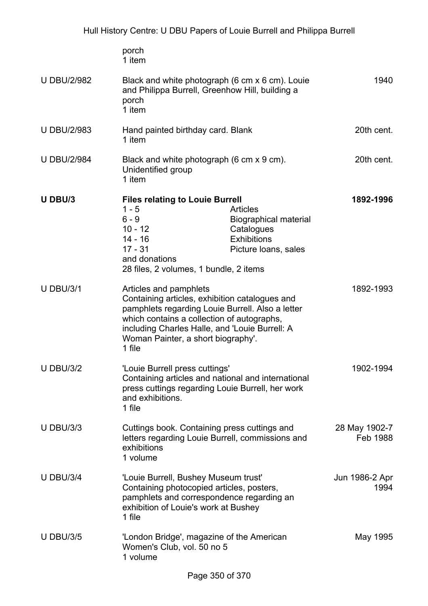|                    | porch<br>1 item                                                                                                                                                                                                                                                              |                                                                                                      |                           |
|--------------------|------------------------------------------------------------------------------------------------------------------------------------------------------------------------------------------------------------------------------------------------------------------------------|------------------------------------------------------------------------------------------------------|---------------------------|
| <b>U DBU/2/982</b> | Black and white photograph (6 cm x 6 cm). Louie<br>and Philippa Burrell, Greenhow Hill, building a<br>porch<br>1 item                                                                                                                                                        |                                                                                                      | 1940                      |
| <b>U DBU/2/983</b> | Hand painted birthday card. Blank<br>1 item                                                                                                                                                                                                                                  |                                                                                                      | 20th cent.                |
| <b>U DBU/2/984</b> | Black and white photograph (6 cm x 9 cm).<br>Unidentified group<br>1 item                                                                                                                                                                                                    |                                                                                                      | 20th cent.                |
| U DBU/3            | <b>Files relating to Louie Burrell</b><br>$1 - 5$<br>$6 - 9$<br>$10 - 12$<br>14 - 16<br>$17 - 31$<br>and donations<br>28 files, 2 volumes, 1 bundle, 2 items                                                                                                                 | Articles<br><b>Biographical material</b><br>Catalogues<br><b>Exhibitions</b><br>Picture Ioans, sales | 1892-1996                 |
| <b>U DBU/3/1</b>   | Articles and pamphlets<br>Containing articles, exhibition catalogues and<br>pamphlets regarding Louie Burrell. Also a letter<br>which contains a collection of autographs,<br>including Charles Halle, and 'Louie Burrell: A<br>Woman Painter, a short biography'.<br>1 file |                                                                                                      | 1892-1993                 |
| <b>U DBU/3/2</b>   | 'Louie Burrell press cuttings'<br>Containing articles and national and international<br>press cuttings regarding Louie Burrell, her work<br>and exhibitions.<br>1 file                                                                                                       |                                                                                                      | 1902-1994                 |
| <b>U DBU/3/3</b>   | Cuttings book. Containing press cuttings and<br>letters regarding Louie Burrell, commissions and<br>exhibitions<br>1 volume                                                                                                                                                  |                                                                                                      | 28 May 1902-7<br>Feb 1988 |
| <b>U DBU/3/4</b>   | 'Louie Burrell, Bushey Museum trust'<br>Containing photocopied articles, posters,<br>pamphlets and correspondence regarding an<br>exhibition of Louie's work at Bushey<br>1 file                                                                                             |                                                                                                      | Jun 1986-2 Apr<br>1994    |
| <b>U DBU/3/5</b>   | 'London Bridge', magazine of the American<br>Women's Club, vol. 50 no 5<br>1 volume                                                                                                                                                                                          |                                                                                                      | May 1995                  |
|                    |                                                                                                                                                                                                                                                                              |                                                                                                      |                           |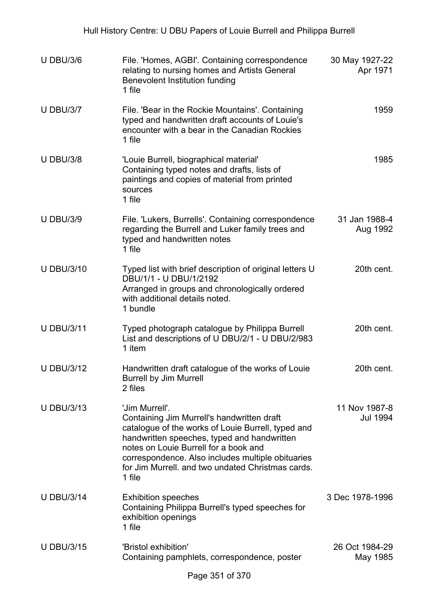| <b>U DBU/3/6</b>  | File. 'Homes, AGBI'. Containing correspondence<br>relating to nursing homes and Artists General<br>Benevolent Institution funding<br>1 file                                                                                                                                                                                    | 30 May 1927-22<br>Apr 1971 |
|-------------------|--------------------------------------------------------------------------------------------------------------------------------------------------------------------------------------------------------------------------------------------------------------------------------------------------------------------------------|----------------------------|
| <b>U DBU/3/7</b>  | File. 'Bear in the Rockie Mountains'. Containing<br>typed and handwritten draft accounts of Louie's<br>encounter with a bear in the Canadian Rockies<br>1 file                                                                                                                                                                 | 1959                       |
| <b>U DBU/3/8</b>  | 'Louie Burrell, biographical material'<br>Containing typed notes and drafts, lists of<br>paintings and copies of material from printed<br>sources<br>1 file                                                                                                                                                                    | 1985                       |
| <b>U DBU/3/9</b>  | File. 'Lukers, Burrells'. Containing correspondence<br>regarding the Burrell and Luker family trees and<br>typed and handwritten notes<br>1 file                                                                                                                                                                               | 31 Jan 1988-4<br>Aug 1992  |
| <b>U DBU/3/10</b> | Typed list with brief description of original letters U<br>DBU/1/1 - U DBU/1/2192<br>Arranged in groups and chronologically ordered<br>with additional details noted.<br>1 bundle                                                                                                                                              | 20th cent.                 |
| <b>U DBU/3/11</b> | Typed photograph catalogue by Philippa Burrell<br>List and descriptions of U DBU/2/1 - U DBU/2/983<br>1 item                                                                                                                                                                                                                   | 20th cent.                 |
| <b>U DBU/3/12</b> | Handwritten draft catalogue of the works of Louie<br><b>Burrell by Jim Murrell</b><br>2 files                                                                                                                                                                                                                                  | 20th cent.                 |
| <b>U DBU/3/13</b> | 'Jim Murrell'.<br>Containing Jim Murrell's handwritten draft<br>catalogue of the works of Louie Burrell, typed and<br>handwritten speeches, typed and handwritten<br>notes on Louie Burrell for a book and<br>correspondence. Also includes multiple obituaries<br>for Jim Murrell, and two undated Christmas cards.<br>1 file | 11 Nov 1987-8<br>Jul 1994  |
| <b>U DBU/3/14</b> | <b>Exhibition speeches</b><br>Containing Philippa Burrell's typed speeches for<br>exhibition openings<br>1 file                                                                                                                                                                                                                | 3 Dec 1978-1996            |
| <b>U DBU/3/15</b> | 'Bristol exhibition'<br>Containing pamphlets, correspondence, poster                                                                                                                                                                                                                                                           | 26 Oct 1984-29<br>May 1985 |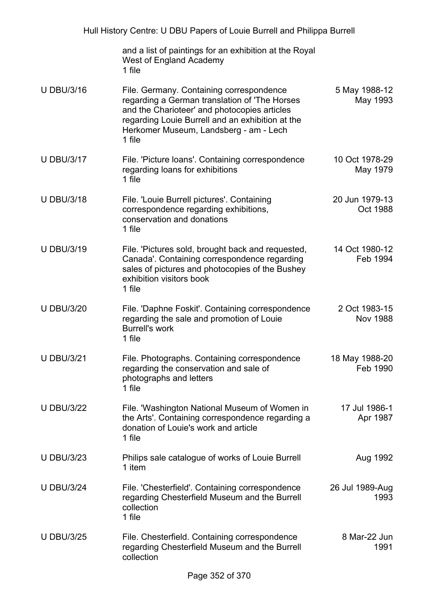|                   | and a list of paintings for an exhibition at the Royal<br>West of England Academy<br>1 file                                                                                                                                                       |                            |
|-------------------|---------------------------------------------------------------------------------------------------------------------------------------------------------------------------------------------------------------------------------------------------|----------------------------|
| <b>U DBU/3/16</b> | File. Germany. Containing correspondence<br>regarding a German translation of 'The Horses<br>and the Charioteer' and photocopies articles<br>regarding Louie Burrell and an exhibition at the<br>Herkomer Museum, Landsberg - am - Lech<br>1 file | 5 May 1988-12<br>May 1993  |
| <b>U DBU/3/17</b> | File. 'Picture loans'. Containing correspondence<br>regarding loans for exhibitions<br>1 file                                                                                                                                                     | 10 Oct 1978-29<br>May 1979 |
| <b>U DBU/3/18</b> | File. 'Louie Burrell pictures'. Containing<br>correspondence regarding exhibitions,<br>conservation and donations<br>1 file                                                                                                                       | 20 Jun 1979-13<br>Oct 1988 |
| <b>U DBU/3/19</b> | File. 'Pictures sold, brought back and requested,<br>Canada'. Containing correspondence regarding<br>sales of pictures and photocopies of the Bushey<br>exhibition visitors book<br>1 file                                                        | 14 Oct 1980-12<br>Feb 1994 |
| <b>U DBU/3/20</b> | File. 'Daphne Foskit'. Containing correspondence<br>regarding the sale and promotion of Louie<br><b>Burrell's work</b><br>1 file                                                                                                                  | 2 Oct 1983-15<br>Nov 1988  |
| <b>U DBU/3/21</b> | File. Photographs. Containing correspondence<br>regarding the conservation and sale of<br>photographs and letters<br>1 file                                                                                                                       | 18 May 1988-20<br>Feb 1990 |
| <b>U DBU/3/22</b> | File. 'Washington National Museum of Women in<br>the Arts'. Containing correspondence regarding a<br>donation of Louie's work and article<br>1 file                                                                                               | 17 Jul 1986-1<br>Apr 1987  |
| <b>U DBU/3/23</b> | Philips sale catalogue of works of Louie Burrell<br>1 item                                                                                                                                                                                        | Aug 1992                   |
| <b>U DBU/3/24</b> | File. 'Chesterfield'. Containing correspondence<br>regarding Chesterfield Museum and the Burrell<br>collection<br>1 file                                                                                                                          | 26 Jul 1989-Aug<br>1993    |
| <b>U DBU/3/25</b> | File. Chesterfield. Containing correspondence<br>regarding Chesterfield Museum and the Burrell<br>collection                                                                                                                                      | 8 Mar-22 Jun<br>1991       |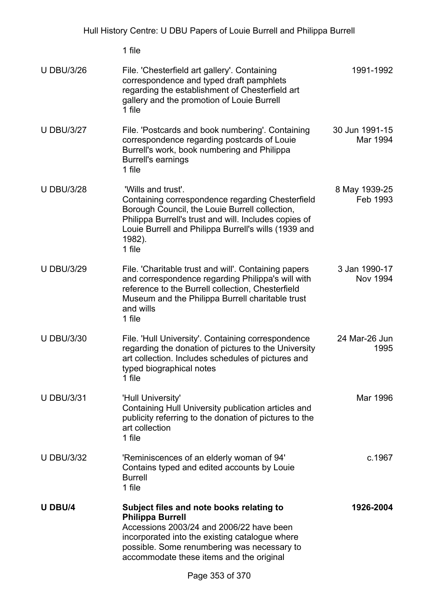|                   | 1 file                                                                                                                                                                                                                                                        |                            |
|-------------------|---------------------------------------------------------------------------------------------------------------------------------------------------------------------------------------------------------------------------------------------------------------|----------------------------|
| <b>U DBU/3/26</b> | File. 'Chesterfield art gallery'. Containing<br>correspondence and typed draft pamphlets<br>regarding the establishment of Chesterfield art<br>gallery and the promotion of Louie Burrell<br>1 file                                                           | 1991-1992                  |
| <b>U DBU/3/27</b> | File. 'Postcards and book numbering'. Containing<br>correspondence regarding postcards of Louie<br>Burrell's work, book numbering and Philippa<br><b>Burrell's earnings</b><br>1 file                                                                         | 30 Jun 1991-15<br>Mar 1994 |
| <b>U DBU/3/28</b> | 'Wills and trust'.<br>Containing correspondence regarding Chesterfield<br>Borough Council, the Louie Burrell collection,<br>Philippa Burrell's trust and will. Includes copies of<br>Louie Burrell and Philippa Burrell's wills (1939 and<br>1982).<br>1 file | 8 May 1939-25<br>Feb 1993  |
| <b>U DBU/3/29</b> | File. 'Charitable trust and will'. Containing papers<br>and correspondence regarding Philippa's will with<br>reference to the Burrell collection, Chesterfield<br>Museum and the Philippa Burrell charitable trust<br>and wills<br>1 file                     | 3 Jan 1990-17<br>Nov 1994  |
| <b>U DBU/3/30</b> | File. 'Hull University'. Containing correspondence<br>regarding the donation of pictures to the University<br>art collection. Includes schedules of pictures and<br>typed biographical notes<br>1 file                                                        | 24 Mar-26 Jun<br>1995      |
| <b>U DBU/3/31</b> | 'Hull University'<br>Containing Hull University publication articles and<br>publicity referring to the donation of pictures to the<br>art collection<br>1 file                                                                                                | Mar 1996                   |
| <b>U DBU/3/32</b> | 'Reminiscences of an elderly woman of 94'<br>Contains typed and edited accounts by Louie<br><b>Burrell</b><br>1 file                                                                                                                                          | c.1967                     |
| <b>U DBU/4</b>    | Subject files and note books relating to<br><b>Philippa Burrell</b><br>Accessions 2003/24 and 2006/22 have been<br>incorporated into the existing catalogue where<br>possible. Some renumbering was necessary to<br>accommodate these items and the original  | 1926-2004                  |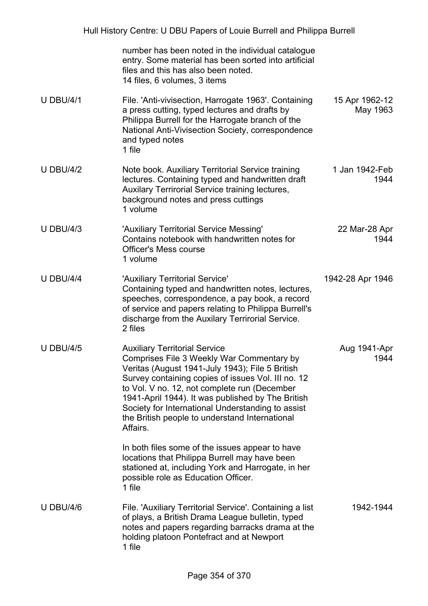|                  | number has been noted in the individual catalogue<br>entry. Some material has been sorted into artificial<br>files and this has also been noted.<br>14 files, 6 volumes, 3 items                                                                                                                                                                                                                                   |                            |
|------------------|--------------------------------------------------------------------------------------------------------------------------------------------------------------------------------------------------------------------------------------------------------------------------------------------------------------------------------------------------------------------------------------------------------------------|----------------------------|
| <b>U DBU/4/1</b> | File. 'Anti-vivisection, Harrogate 1963'. Containing<br>a press cutting, typed lectures and drafts by<br>Philippa Burrell for the Harrogate branch of the<br>National Anti-Vivisection Society, correspondence<br>and typed notes<br>1 file                                                                                                                                                                        | 15 Apr 1962-12<br>May 1963 |
| <b>U DBU/4/2</b> | Note book. Auxiliary Territorial Service training<br>lectures. Containing typed and handwritten draft<br>Auxilary Terrirorial Service training lectures,<br>background notes and press cuttings<br>1 volume                                                                                                                                                                                                        | 1 Jan 1942-Feb<br>1944     |
| <b>U DBU/4/3</b> | 'Auxiliary Territorial Service Messing'<br>Contains notebook with handwritten notes for<br><b>Officer's Mess course</b><br>1 volume                                                                                                                                                                                                                                                                                | 22 Mar-28 Apr<br>1944      |
| <b>U DBU/4/4</b> | 'Auxiliary Territorial Service'<br>Containing typed and handwritten notes, lectures,<br>speeches, correspondence, a pay book, a record<br>of service and papers relating to Philippa Burrell's<br>discharge from the Auxilary Terrirorial Service.<br>2 files                                                                                                                                                      | 1942-28 Apr 1946           |
| <b>U DBU/4/5</b> | <b>Auxiliary Territorial Service</b><br>Comprises File 3 Weekly War Commentary by<br>Veritas (August 1941-July 1943); File 5 British<br>Survey containing copies of issues Vol. III no. 12<br>to Vol. V no. 12, not complete run (December<br>1941-April 1944). It was published by The British<br>Society for International Understanding to assist<br>the British people to understand International<br>Affairs. | Aug 1941-Apr<br>1944       |
|                  | In both files some of the issues appear to have<br>locations that Philippa Burrell may have been<br>stationed at, including York and Harrogate, in her<br>possible role as Education Officer.<br>1 file                                                                                                                                                                                                            |                            |
| <b>U DBU/4/6</b> | File. 'Auxiliary Territorial Service'. Containing a list<br>of plays, a British Drama League bulletin, typed<br>notes and papers regarding barracks drama at the<br>holding platoon Pontefract and at Newport<br>1 file                                                                                                                                                                                            | 1942-1944                  |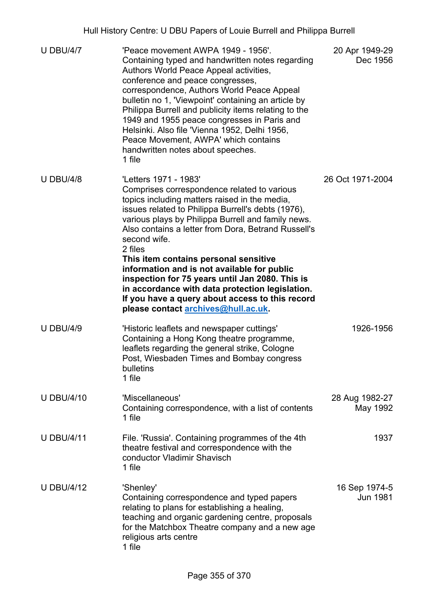| <b>U DBU/4/7</b>  | 'Peace movement AWPA 1949 - 1956'.<br>Containing typed and handwritten notes regarding<br>Authors World Peace Appeal activities,<br>conference and peace congresses,<br>correspondence, Authors World Peace Appeal<br>bulletin no 1, 'Viewpoint' containing an article by<br>Philippa Burrell and publicity items relating to the<br>1949 and 1955 peace congresses in Paris and<br>Helsinki. Also file 'Vienna 1952, Delhi 1956,<br>Peace Movement, AWPA' which contains<br>handwritten notes about speeches.<br>1 file                                                                                    | 20 Apr 1949-29<br>Dec 1956       |
|-------------------|-------------------------------------------------------------------------------------------------------------------------------------------------------------------------------------------------------------------------------------------------------------------------------------------------------------------------------------------------------------------------------------------------------------------------------------------------------------------------------------------------------------------------------------------------------------------------------------------------------------|----------------------------------|
| <b>U DBU/4/8</b>  | 'Letters 1971 - 1983'<br>Comprises correspondence related to various<br>topics including matters raised in the media,<br>issues related to Philippa Burrell's debts (1976),<br>various plays by Philippa Burrell and family news.<br>Also contains a letter from Dora, Betrand Russell's<br>second wife.<br>2 files<br>This item contains personal sensitive<br>information and is not available for public<br>inspection for 75 years until Jan 2080. This is<br>in accordance with data protection legislation.<br>If you have a query about access to this record<br>please contact archives@hull.ac.uk. | 26 Oct 1971-2004                 |
| <b>U DBU/4/9</b>  | 'Historic leaflets and newspaper cuttings'<br>Containing a Hong Kong theatre programme,<br>leaflets regarding the general strike, Cologne<br>Post, Wiesbaden Times and Bombay congress<br>bulletins<br>1 file                                                                                                                                                                                                                                                                                                                                                                                               | 1926-1956                        |
| <b>U DBU/4/10</b> | 'Miscellaneous'<br>Containing correspondence, with a list of contents<br>1 file                                                                                                                                                                                                                                                                                                                                                                                                                                                                                                                             | 28 Aug 1982-27<br>May 1992       |
| <b>U DBU/4/11</b> | File. 'Russia'. Containing programmes of the 4th<br>theatre festival and correspondence with the<br>conductor Vladimir Shavisch<br>1 file                                                                                                                                                                                                                                                                                                                                                                                                                                                                   | 1937                             |
| <b>U DBU/4/12</b> | 'Shenley'<br>Containing correspondence and typed papers<br>relating to plans for establishing a healing,<br>teaching and organic gardening centre, proposals<br>for the Matchbox Theatre company and a new age<br>religious arts centre<br>1 file                                                                                                                                                                                                                                                                                                                                                           | 16 Sep 1974-5<br><b>Jun 1981</b> |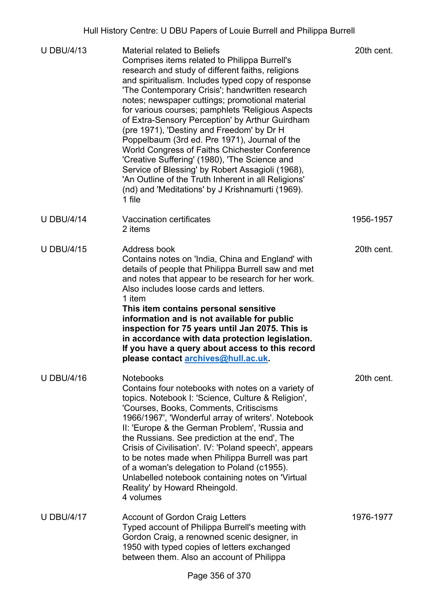| <b>U DBU/4/13</b> | <b>Material related to Beliefs</b><br>Comprises items related to Philippa Burrell's<br>research and study of different faiths, religions<br>and spiritualism. Includes typed copy of response<br>'The Contemporary Crisis'; handwritten research<br>notes; newspaper cuttings; promotional material<br>for various courses; pamphlets 'Religious Aspects<br>of Extra-Sensory Perception' by Arthur Guirdham<br>(pre 1971), 'Destiny and Freedom' by Dr H<br>Poppelbaum (3rd ed. Pre 1971), Journal of the<br>World Congress of Faiths Chichester Conference<br>'Creative Suffering' (1980), 'The Science and<br>Service of Blessing' by Robert Assagioli (1968),<br>'An Outline of the Truth Inherent in all Religions'<br>(nd) and 'Meditations' by J Krishnamurti (1969).<br>1 file | 20th cent. |
|-------------------|---------------------------------------------------------------------------------------------------------------------------------------------------------------------------------------------------------------------------------------------------------------------------------------------------------------------------------------------------------------------------------------------------------------------------------------------------------------------------------------------------------------------------------------------------------------------------------------------------------------------------------------------------------------------------------------------------------------------------------------------------------------------------------------|------------|
| <b>U DBU/4/14</b> | Vaccination certificates<br>2 items                                                                                                                                                                                                                                                                                                                                                                                                                                                                                                                                                                                                                                                                                                                                                   | 1956-1957  |
| <b>U DBU/4/15</b> | Address book<br>Contains notes on 'India, China and England' with<br>details of people that Philippa Burrell saw and met<br>and notes that appear to be research for her work.<br>Also includes loose cards and letters.<br>1 item<br>This item contains personal sensitive<br>information and is not available for public<br>inspection for 75 years until Jan 2075. This is<br>in accordance with data protection legislation.<br>If you have a query about access to this record<br>please contact archives@hull.ac.uk.                                                                                                                                                                                                                                                            | 20th cent. |
| <b>U DBU/4/16</b> | <b>Notebooks</b><br>Contains four notebooks with notes on a variety of<br>topics. Notebook I: 'Science, Culture & Religion',<br>'Courses, Books, Comments, Critiscisms<br>1966/1967', 'Wonderful array of writers'. Notebook<br>II: 'Europe & the German Problem', 'Russia and<br>the Russians. See prediction at the end', The<br>Crisis of Civilisation'. IV: 'Poland speech', appears<br>to be notes made when Philippa Burrell was part<br>of a woman's delegation to Poland (c1955).<br>Unlabelled notebook containing notes on 'Virtual<br>Reality' by Howard Rheingold.<br>4 volumes                                                                                                                                                                                           | 20th cent. |
| <b>U DBU/4/17</b> | <b>Account of Gordon Craig Letters</b><br>Typed account of Philippa Burrell's meeting with<br>Gordon Craig, a renowned scenic designer, in<br>1950 with typed copies of letters exchanged<br>between them. Also an account of Philippa                                                                                                                                                                                                                                                                                                                                                                                                                                                                                                                                                | 1976-1977  |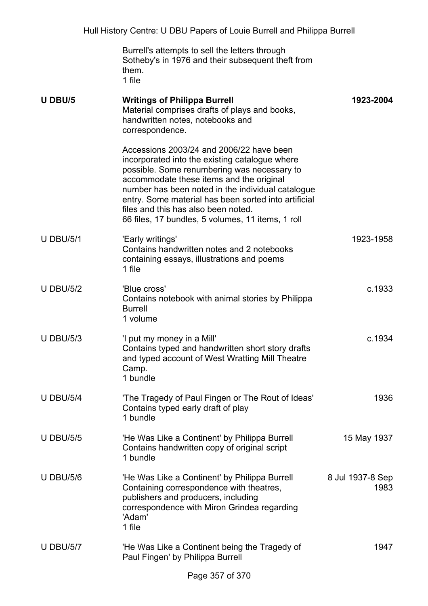Burrell's attempts to sell the letters through Sotheby's in 1976 and their subsequent theft from them. 1 file

| U DBU/5          | <b>Writings of Philippa Burrell</b><br>Material comprises drafts of plays and books,<br>handwritten notes, notebooks and<br>correspondence.                                                                                                                                                                                                                                                    | 1923-2004                |
|------------------|------------------------------------------------------------------------------------------------------------------------------------------------------------------------------------------------------------------------------------------------------------------------------------------------------------------------------------------------------------------------------------------------|--------------------------|
|                  | Accessions 2003/24 and 2006/22 have been<br>incorporated into the existing catalogue where<br>possible. Some renumbering was necessary to<br>accommodate these items and the original<br>number has been noted in the individual catalogue<br>entry. Some material has been sorted into artificial<br>files and this has also been noted.<br>66 files, 17 bundles, 5 volumes, 11 items, 1 roll |                          |
| <b>U DBU/5/1</b> | 'Early writings'<br>Contains handwritten notes and 2 notebooks<br>containing essays, illustrations and poems<br>1 file                                                                                                                                                                                                                                                                         | 1923-1958                |
| <b>U DBU/5/2</b> | 'Blue cross'<br>Contains notebook with animal stories by Philippa<br><b>Burrell</b><br>1 volume                                                                                                                                                                                                                                                                                                | c.1933                   |
| <b>U DBU/5/3</b> | 'I put my money in a Mill'<br>Contains typed and handwritten short story drafts<br>and typed account of West Wratting Mill Theatre<br>Camp.<br>1 bundle                                                                                                                                                                                                                                        | c.1934                   |
| <b>U DBU/5/4</b> | 'The Tragedy of Paul Fingen or The Rout of Ideas'<br>Contains typed early draft of play<br>1 bundle                                                                                                                                                                                                                                                                                            | 1936                     |
| <b>U DBU/5/5</b> | 'He Was Like a Continent' by Philippa Burrell<br>Contains handwritten copy of original script<br>1 bundle                                                                                                                                                                                                                                                                                      | 15 May 1937              |
| <b>U DBU/5/6</b> | 'He Was Like a Continent' by Philippa Burrell<br>Containing correspondence with theatres,<br>publishers and producers, including<br>correspondence with Miron Grindea regarding<br>'Adam'<br>1 file                                                                                                                                                                                            | 8 Jul 1937-8 Sep<br>1983 |
| <b>U DBU/5/7</b> | 'He Was Like a Continent being the Tragedy of<br>Paul Fingen' by Philippa Burrell                                                                                                                                                                                                                                                                                                              | 1947                     |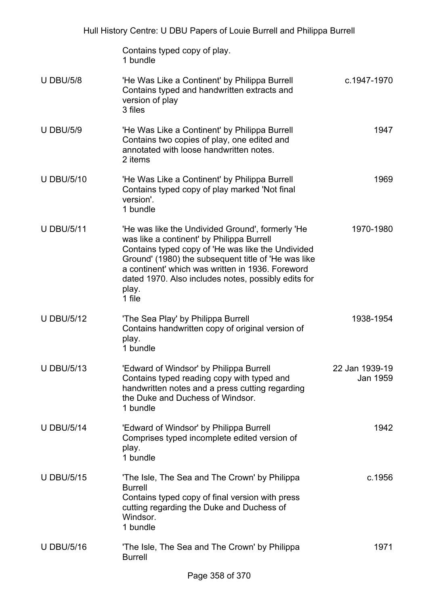Contains typed copy of play. 1 bundle

- U DBU/5/8 'He Was Like a Continent' by Philippa Burrell Contains typed and handwritten extracts and version of play 3 files c.1947-1970 U DBU/5/9 'He Was Like a Continent' by Philippa Burrell Contains two copies of play, one edited and annotated with loose handwritten notes. 2 items 1947 U DBU/5/10 'He Was Like a Continent' by Philippa Burrell Contains typed copy of play marked 'Not final version'. 1 bundle 1969 U DBU/5/11 'He was like the Undivided Ground', formerly 'He was like a continent' by Philippa Burrell Contains typed copy of 'He was like the Undivided Ground' (1980) the subsequent title of 'He was like a continent' which was written in 1936. Foreword dated 1970. Also includes notes, possibly edits for play. 1 file 1970-1980 U DBU/5/12 'The Sea Play' by Philippa Burrell Contains handwritten copy of original version of play. 1 bundle 1938-1954
- U DBU/5/13 'Edward of Windsor' by Philippa Burrell Contains typed reading copy with typed and handwritten notes and a press cutting regarding the Duke and Duchess of Windsor. 1 bundle 22 Jan 1939-19 Jan 1959
- U DBU/5/14 'Edward of Windsor' by Philippa Burrell Comprises typed incomplete edited version of play. 1 bundle 1942
- U DBU/5/15 'The Isle, The Sea and The Crown' by Philippa Burrell Contains typed copy of final version with press cutting regarding the Duke and Duchess of **Windsor** 1 bundle c.1956
- U DBU/5/16 'The Isle, The Sea and The Crown' by Philippa Burrell 1971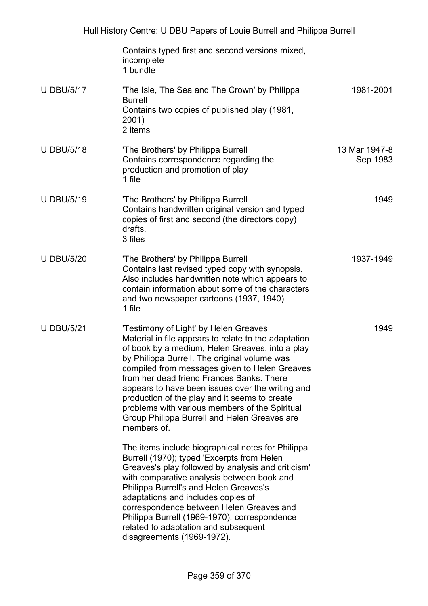|                   | Contains typed first and second versions mixed,<br>incomplete<br>1 bundle                                                                                                                                                                                                                                                                                                                                                                                                                                            |                           |
|-------------------|----------------------------------------------------------------------------------------------------------------------------------------------------------------------------------------------------------------------------------------------------------------------------------------------------------------------------------------------------------------------------------------------------------------------------------------------------------------------------------------------------------------------|---------------------------|
| <b>U DBU/5/17</b> | 'The Isle, The Sea and The Crown' by Philippa<br><b>Burrell</b><br>Contains two copies of published play (1981,<br>2001)<br>2 items                                                                                                                                                                                                                                                                                                                                                                                  | 1981-2001                 |
| <b>U DBU/5/18</b> | 'The Brothers' by Philippa Burrell<br>Contains correspondence regarding the<br>production and promotion of play<br>1 file                                                                                                                                                                                                                                                                                                                                                                                            | 13 Mar 1947-8<br>Sep 1983 |
| <b>U DBU/5/19</b> | 'The Brothers' by Philippa Burrell<br>Contains handwritten original version and typed<br>copies of first and second (the directors copy)<br>drafts.<br>3 files                                                                                                                                                                                                                                                                                                                                                       | 1949                      |
| <b>U DBU/5/20</b> | 'The Brothers' by Philippa Burrell<br>Contains last revised typed copy with synopsis.<br>Also includes handwritten note which appears to<br>contain information about some of the characters<br>and two newspaper cartoons (1937, 1940)<br>1 file                                                                                                                                                                                                                                                                    | 1937-1949                 |
| <b>U DBU/5/21</b> | 'Testimony of Light' by Helen Greaves<br>Material in file appears to relate to the adaptation<br>of book by a medium, Helen Greaves, into a play<br>by Philippa Burrell. The original volume was<br>compiled from messages given to Helen Greaves<br>from her dead friend Frances Banks. There<br>appears to have been issues over the writing and<br>production of the play and it seems to create<br>problems with various members of the Spiritual<br>Group Philippa Burrell and Helen Greaves are<br>members of. | 1949                      |
|                   | The items include biographical notes for Philippa<br>Burrell (1970); typed 'Excerpts from Helen<br>Greaves's play followed by analysis and criticism'<br>with comparative analysis between book and<br>Philippa Burrell's and Helen Greaves's<br>adaptations and includes copies of<br>correspondence between Helen Greaves and<br>Philippa Burrell (1969-1970); correspondence<br>related to adaptation and subsequent<br>disagreements (1969-1972).                                                                |                           |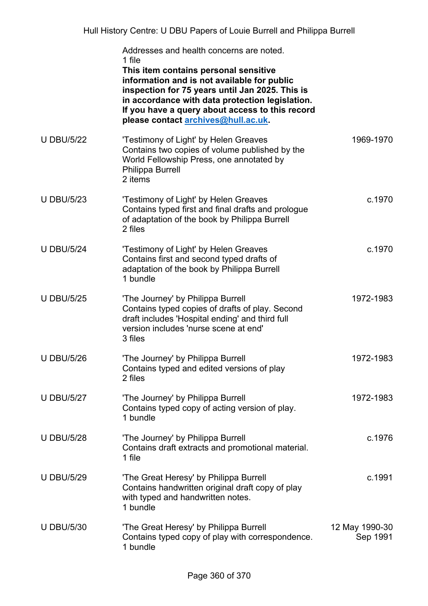|                   | Addresses and health concerns are noted.<br>1 file<br>This item contains personal sensitive<br>information and is not available for public<br>inspection for 75 years until Jan 2025. This is<br>in accordance with data protection legislation.<br>If you have a query about access to this record<br>please contact archives@hull.ac.uk. |                            |
|-------------------|--------------------------------------------------------------------------------------------------------------------------------------------------------------------------------------------------------------------------------------------------------------------------------------------------------------------------------------------|----------------------------|
| <b>U DBU/5/22</b> | 'Testimony of Light' by Helen Greaves<br>Contains two copies of volume published by the<br>World Fellowship Press, one annotated by<br>Philippa Burrell<br>2 items                                                                                                                                                                         | 1969-1970                  |
| <b>U DBU/5/23</b> | 'Testimony of Light' by Helen Greaves<br>Contains typed first and final drafts and prologue<br>of adaptation of the book by Philippa Burrell<br>2 files                                                                                                                                                                                    | c.1970                     |
| <b>U DBU/5/24</b> | 'Testimony of Light' by Helen Greaves<br>Contains first and second typed drafts of<br>adaptation of the book by Philippa Burrell<br>1 bundle                                                                                                                                                                                               | c.1970                     |
| <b>U DBU/5/25</b> | 'The Journey' by Philippa Burrell<br>Contains typed copies of drafts of play. Second<br>draft includes 'Hospital ending' and third full<br>version includes 'nurse scene at end'<br>3 files                                                                                                                                                | 1972-1983                  |
| <b>U DBU/5/26</b> | 'The Journey' by Philippa Burrell<br>Contains typed and edited versions of play<br>2 files                                                                                                                                                                                                                                                 | 1972-1983                  |
| <b>U DBU/5/27</b> | 'The Journey' by Philippa Burrell<br>Contains typed copy of acting version of play.<br>1 bundle                                                                                                                                                                                                                                            | 1972-1983                  |
| <b>U DBU/5/28</b> | 'The Journey' by Philippa Burrell<br>Contains draft extracts and promotional material.<br>1 file                                                                                                                                                                                                                                           | c.1976                     |
| <b>U DBU/5/29</b> | 'The Great Heresy' by Philippa Burrell<br>Contains handwritten original draft copy of play<br>with typed and handwritten notes.<br>1 bundle                                                                                                                                                                                                | c.1991                     |
| <b>U DBU/5/30</b> | 'The Great Heresy' by Philippa Burrell<br>Contains typed copy of play with correspondence.<br>1 bundle                                                                                                                                                                                                                                     | 12 May 1990-30<br>Sep 1991 |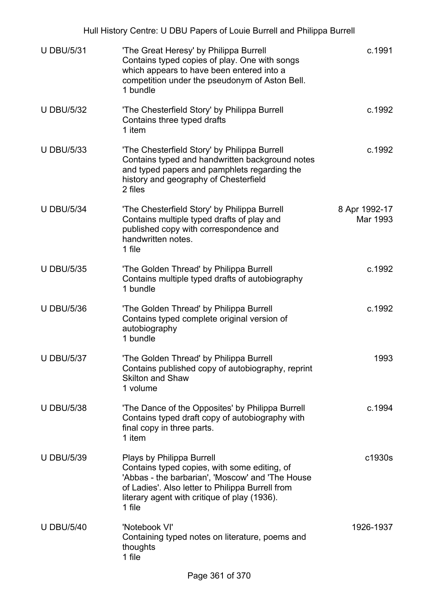| Hull History Centre: U DBU Papers of Louie Burrell and Philippa Burrell |                                                                                                                                                                                                                                             |                           |  |
|-------------------------------------------------------------------------|---------------------------------------------------------------------------------------------------------------------------------------------------------------------------------------------------------------------------------------------|---------------------------|--|
| <b>U DBU/5/31</b>                                                       | 'The Great Heresy' by Philippa Burrell<br>Contains typed copies of play. One with songs<br>which appears to have been entered into a<br>competition under the pseudonym of Aston Bell.<br>1 bundle                                          | c.1991                    |  |
| <b>U DBU/5/32</b>                                                       | 'The Chesterfield Story' by Philippa Burrell<br>Contains three typed drafts<br>1 item                                                                                                                                                       | c.1992                    |  |
| <b>U DBU/5/33</b>                                                       | 'The Chesterfield Story' by Philippa Burrell<br>Contains typed and handwritten background notes<br>and typed papers and pamphlets regarding the<br>history and geography of Chesterfield<br>2 files                                         | c.1992                    |  |
| <b>U DBU/5/34</b>                                                       | 'The Chesterfield Story' by Philippa Burrell<br>Contains multiple typed drafts of play and<br>published copy with correspondence and<br>handwritten notes.<br>1 file                                                                        | 8 Apr 1992-17<br>Mar 1993 |  |
| <b>U DBU/5/35</b>                                                       | 'The Golden Thread' by Philippa Burrell<br>Contains multiple typed drafts of autobiography<br>1 bundle                                                                                                                                      | c.1992                    |  |
| <b>U DBU/5/36</b>                                                       | 'The Golden Thread' by Philippa Burrell<br>Contains typed complete original version of<br>autobiography<br>1 bundle                                                                                                                         | c.1992                    |  |
| <b>U DBU/5/37</b>                                                       | 'The Golden Thread' by Philippa Burrell<br>Contains published copy of autobiography, reprint<br><b>Skilton and Shaw</b><br>1 volume                                                                                                         | 1993                      |  |
| <b>U DBU/5/38</b>                                                       | 'The Dance of the Opposites' by Philippa Burrell<br>Contains typed draft copy of autobiography with<br>final copy in three parts.<br>1 item                                                                                                 | c.1994                    |  |
| <b>U DBU/5/39</b>                                                       | Plays by Philippa Burrell<br>Contains typed copies, with some editing, of<br>'Abbas - the barbarian', 'Moscow' and 'The House<br>of Ladies'. Also letter to Philippa Burrell from<br>literary agent with critique of play (1936).<br>1 file | c1930s                    |  |
| <b>U DBU/5/40</b>                                                       | 'Notebook VI'<br>Containing typed notes on literature, poems and<br>thoughts<br>1 file                                                                                                                                                      | 1926-1937                 |  |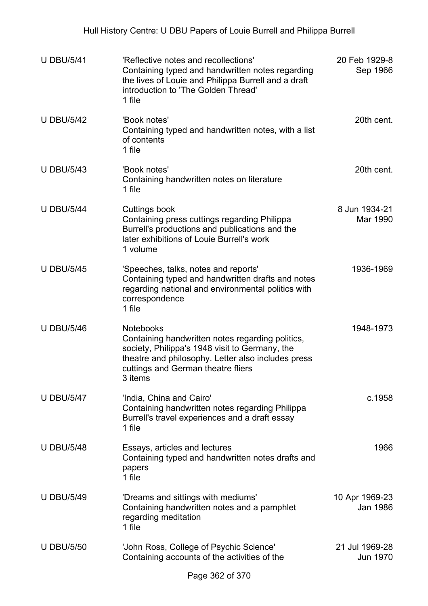| <b>U DBU/5/41</b> | 'Reflective notes and recollections'<br>Containing typed and handwritten notes regarding<br>the lives of Louie and Philippa Burrell and a draft<br>introduction to 'The Golden Thread'<br>1 file                              | 20 Feb 1929-8<br>Sep 1966  |
|-------------------|-------------------------------------------------------------------------------------------------------------------------------------------------------------------------------------------------------------------------------|----------------------------|
| <b>U DBU/5/42</b> | 'Book notes'<br>Containing typed and handwritten notes, with a list<br>of contents<br>1 file                                                                                                                                  | 20th cent.                 |
| <b>U DBU/5/43</b> | 'Book notes'<br>Containing handwritten notes on literature<br>1 file                                                                                                                                                          | 20th cent.                 |
| <b>U DBU/5/44</b> | Cuttings book<br>Containing press cuttings regarding Philippa<br>Burrell's productions and publications and the<br>later exhibitions of Louie Burrell's work<br>1 volume                                                      | 8 Jun 1934-21<br>Mar 1990  |
| <b>U DBU/5/45</b> | 'Speeches, talks, notes and reports'<br>Containing typed and handwritten drafts and notes<br>regarding national and environmental politics with<br>correspondence<br>1 file                                                   | 1936-1969                  |
| <b>U DBU/5/46</b> | <b>Notebooks</b><br>Containing handwritten notes regarding politics,<br>society, Philippa's 1948 visit to Germany, the<br>theatre and philosophy. Letter also includes press<br>cuttings and German theatre fliers<br>3 items | 1948-1973                  |
| <b>U DBU/5/47</b> | 'India, China and Cairo'<br>Containing handwritten notes regarding Philippa<br>Burrell's travel experiences and a draft essay<br>1 file                                                                                       | c.1958                     |
| <b>U DBU/5/48</b> | Essays, articles and lectures<br>Containing typed and handwritten notes drafts and<br>papers<br>1 file                                                                                                                        | 1966                       |
| <b>U DBU/5/49</b> | 'Dreams and sittings with mediums'<br>Containing handwritten notes and a pamphlet<br>regarding meditation<br>1 file                                                                                                           | 10 Apr 1969-23<br>Jan 1986 |
| <b>U DBU/5/50</b> | 'John Ross, College of Psychic Science'<br>Containing accounts of the activities of the                                                                                                                                       | 21 Jul 1969-28<br>Jun 1970 |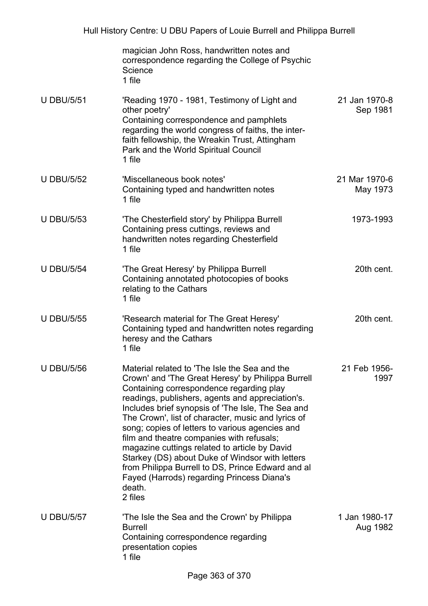|                   | magician John Ross, handwritten notes and<br>correspondence regarding the College of Psychic<br>Science<br>1 file                                                                                                                                                                                                                                                                                                                                                                                                                                                                                                                         |                           |
|-------------------|-------------------------------------------------------------------------------------------------------------------------------------------------------------------------------------------------------------------------------------------------------------------------------------------------------------------------------------------------------------------------------------------------------------------------------------------------------------------------------------------------------------------------------------------------------------------------------------------------------------------------------------------|---------------------------|
| <b>U DBU/5/51</b> | 'Reading 1970 - 1981, Testimony of Light and<br>other poetry'<br>Containing correspondence and pamphlets<br>regarding the world congress of faiths, the inter-<br>faith fellowship, the Wreakin Trust, Attingham<br>Park and the World Spiritual Council<br>1 file                                                                                                                                                                                                                                                                                                                                                                        | 21 Jan 1970-8<br>Sep 1981 |
| <b>U DBU/5/52</b> | 'Miscellaneous book notes'<br>Containing typed and handwritten notes<br>1 file                                                                                                                                                                                                                                                                                                                                                                                                                                                                                                                                                            | 21 Mar 1970-6<br>May 1973 |
| <b>U DBU/5/53</b> | 'The Chesterfield story' by Philippa Burrell<br>Containing press cuttings, reviews and<br>handwritten notes regarding Chesterfield<br>1 file                                                                                                                                                                                                                                                                                                                                                                                                                                                                                              | 1973-1993                 |
| <b>U DBU/5/54</b> | 'The Great Heresy' by Philippa Burrell<br>Containing annotated photocopies of books<br>relating to the Cathars<br>1 file                                                                                                                                                                                                                                                                                                                                                                                                                                                                                                                  | 20th cent.                |
| <b>U DBU/5/55</b> | 'Research material for The Great Heresy'<br>Containing typed and handwritten notes regarding<br>heresy and the Cathars<br>1 file                                                                                                                                                                                                                                                                                                                                                                                                                                                                                                          | 20th cent.                |
| <b>U DBU/5/56</b> | Material related to 'The Isle the Sea and the<br>Crown' and 'The Great Heresy' by Philippa Burrell<br>Containing correspondence regarding play<br>readings, publishers, agents and appreciation's.<br>Includes brief synopsis of 'The Isle, The Sea and<br>The Crown', list of character, music and lyrics of<br>song; copies of letters to various agencies and<br>film and theatre companies with refusals;<br>magazine cuttings related to article by David<br>Starkey (DS) about Duke of Windsor with letters<br>from Philippa Burrell to DS, Prince Edward and al<br>Fayed (Harrods) regarding Princess Diana's<br>death.<br>2 files | 21 Feb 1956-<br>1997      |
| <b>U DBU/5/57</b> | 'The Isle the Sea and the Crown' by Philippa<br><b>Burrell</b><br>Containing correspondence regarding<br>presentation copies<br>1 file                                                                                                                                                                                                                                                                                                                                                                                                                                                                                                    | 1 Jan 1980-17<br>Aug 1982 |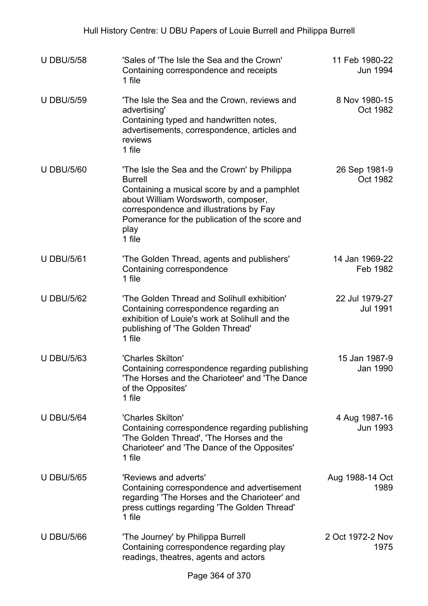| <b>U DBU/5/58</b> | 'Sales of 'The Isle the Sea and the Crown'<br>Containing correspondence and receipts<br>1 file                                                                                                                                                                       | 11 Feb 1980-22<br>Jun 1994        |
|-------------------|----------------------------------------------------------------------------------------------------------------------------------------------------------------------------------------------------------------------------------------------------------------------|-----------------------------------|
| <b>U DBU/5/59</b> | 'The Isle the Sea and the Crown, reviews and<br>advertising'<br>Containing typed and handwritten notes,<br>advertisements, correspondence, articles and<br>reviews<br>1 file                                                                                         | 8 Nov 1980-15<br>Oct 1982         |
| <b>U DBU/5/60</b> | 'The Isle the Sea and the Crown' by Philippa<br><b>Burrell</b><br>Containing a musical score by and a pamphlet<br>about William Wordsworth, composer,<br>correspondence and illustrations by Fay<br>Pomerance for the publication of the score and<br>play<br>1 file | 26 Sep 1981-9<br>Oct 1982         |
| <b>U DBU/5/61</b> | 'The Golden Thread, agents and publishers'<br>Containing correspondence<br>1 file                                                                                                                                                                                    | 14 Jan 1969-22<br>Feb 1982        |
| <b>U DBU/5/62</b> | 'The Golden Thread and Solihull exhibition'<br>Containing correspondence regarding an<br>exhibition of Louie's work at Solihull and the<br>publishing of 'The Golden Thread'<br>1 file                                                                               | 22 Jul 1979-27<br><b>Jul 1991</b> |
| <b>U DBU/5/63</b> | 'Charles Skilton'<br>Containing correspondence regarding publishing<br>'The Horses and the Charioteer' and 'The Dance<br>of the Opposites'<br>1 file                                                                                                                 | 15 Jan 1987-9<br>Jan 1990         |
| <b>U DBU/5/64</b> | 'Charles Skilton'<br>Containing correspondence regarding publishing<br>'The Golden Thread', 'The Horses and the<br>Charioteer' and 'The Dance of the Opposites'<br>1 file                                                                                            | 4 Aug 1987-16<br>Jun 1993         |
| <b>U DBU/5/65</b> | 'Reviews and adverts'<br>Containing correspondence and advertisement<br>regarding 'The Horses and the Charioteer' and<br>press cuttings regarding 'The Golden Thread'<br>1 file                                                                                      | Aug 1988-14 Oct<br>1989           |
| <b>U DBU/5/66</b> | 'The Journey' by Philippa Burrell<br>Containing correspondence regarding play<br>readings, theatres, agents and actors                                                                                                                                               | 2 Oct 1972-2 Nov<br>1975          |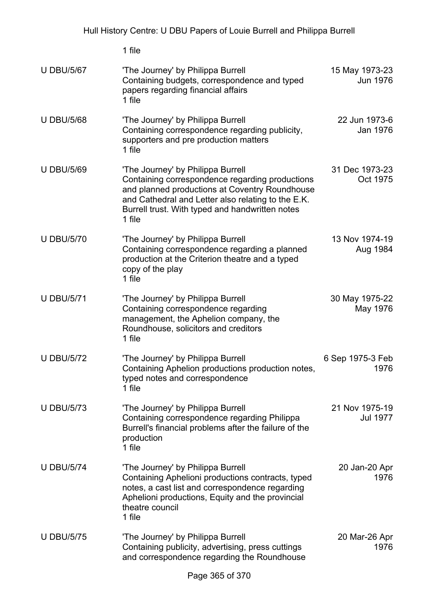|                   | 1 file                                                                                                                                                                                                                                                    |                                   |
|-------------------|-----------------------------------------------------------------------------------------------------------------------------------------------------------------------------------------------------------------------------------------------------------|-----------------------------------|
| <b>U DBU/5/67</b> | 'The Journey' by Philippa Burrell<br>Containing budgets, correspondence and typed<br>papers regarding financial affairs<br>1 file                                                                                                                         | 15 May 1973-23<br>Jun 1976        |
| <b>U DBU/5/68</b> | 'The Journey' by Philippa Burrell<br>Containing correspondence regarding publicity,<br>supporters and pre production matters<br>1 file                                                                                                                    | 22 Jun 1973-6<br>Jan 1976         |
| <b>U DBU/5/69</b> | 'The Journey' by Philippa Burrell<br>Containing correspondence regarding productions<br>and planned productions at Coventry Roundhouse<br>and Cathedral and Letter also relating to the E.K.<br>Burrell trust. With typed and handwritten notes<br>1 file | 31 Dec 1973-23<br>Oct 1975        |
| <b>U DBU/5/70</b> | 'The Journey' by Philippa Burrell<br>Containing correspondence regarding a planned<br>production at the Criterion theatre and a typed<br>copy of the play<br>1 file                                                                                       | 13 Nov 1974-19<br>Aug 1984        |
| <b>U DBU/5/71</b> | 'The Journey' by Philippa Burrell<br>Containing correspondence regarding<br>management, the Aphelion company, the<br>Roundhouse, solicitors and creditors<br>1 file                                                                                       | 30 May 1975-22<br>May 1976        |
| <b>U DBU/5/72</b> | 'The Journey' by Philippa Burrell<br>Containing Aphelion productions production notes,<br>typed notes and correspondence<br>1 file                                                                                                                        | 6 Sep 1975-3 Feb<br>1976          |
| <b>U DBU/5/73</b> | 'The Journey' by Philippa Burrell<br>Containing correspondence regarding Philippa<br>Burrell's financial problems after the failure of the<br>production<br>1 file                                                                                        | 21 Nov 1975-19<br><b>Jul 1977</b> |
| <b>U DBU/5/74</b> | 'The Journey' by Philippa Burrell<br>Containing Aphelioni productions contracts, typed<br>notes, a cast list and correspondence regarding<br>Aphelioni productions, Equity and the provincial<br>theatre council<br>1 file                                | 20 Jan-20 Apr<br>1976             |
| <b>U DBU/5/75</b> | 'The Journey' by Philippa Burrell<br>Containing publicity, advertising, press cuttings<br>and correspondence regarding the Roundhouse                                                                                                                     | 20 Mar-26 Apr<br>1976             |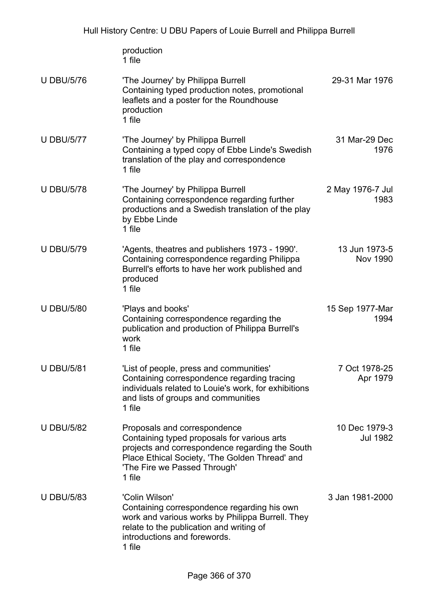|                   | production<br>1 file                                                                                                                                                                                                       |                                  |
|-------------------|----------------------------------------------------------------------------------------------------------------------------------------------------------------------------------------------------------------------------|----------------------------------|
| <b>U DBU/5/76</b> | 'The Journey' by Philippa Burrell<br>Containing typed production notes, promotional<br>leaflets and a poster for the Roundhouse<br>production<br>1 file                                                                    | 29-31 Mar 1976                   |
| <b>U DBU/5/77</b> | 'The Journey' by Philippa Burrell<br>Containing a typed copy of Ebbe Linde's Swedish<br>translation of the play and correspondence<br>1 file                                                                               | 31 Mar-29 Dec<br>1976            |
| <b>U DBU/5/78</b> | 'The Journey' by Philippa Burrell<br>Containing correspondence regarding further<br>productions and a Swedish translation of the play<br>by Ebbe Linde<br>1 file                                                           | 2 May 1976-7 Jul<br>1983         |
| <b>U DBU/5/79</b> | 'Agents, theatres and publishers 1973 - 1990'.<br>Containing correspondence regarding Philippa<br>Burrell's efforts to have her work published and<br>produced<br>1 file                                                   | 13 Jun 1973-5<br><b>Nov 1990</b> |
| <b>U DBU/5/80</b> | 'Plays and books'<br>Containing correspondence regarding the<br>publication and production of Philippa Burrell's<br>work<br>1 file                                                                                         | 15 Sep 1977-Mar<br>1994          |
| <b>U DBU/5/81</b> | 'List of people, press and communities'<br>Containing correspondence regarding tracing<br>individuals related to Louie's work, for exhibitions<br>and lists of groups and communities<br>1 file                            | 7 Oct 1978-25<br>Apr 1979        |
| <b>U DBU/5/82</b> | Proposals and correspondence<br>Containing typed proposals for various arts<br>projects and correspondence regarding the South<br>Place Ethical Society, 'The Golden Thread' and<br>'The Fire we Passed Through'<br>1 file | 10 Dec 1979-3<br>Jul 1982        |
| <b>U DBU/5/83</b> | 'Colin Wilson'<br>Containing correspondence regarding his own<br>work and various works by Philippa Burrell. They<br>relate to the publication and writing of<br>introductions and forewords.<br>1 file                    | 3 Jan 1981-2000                  |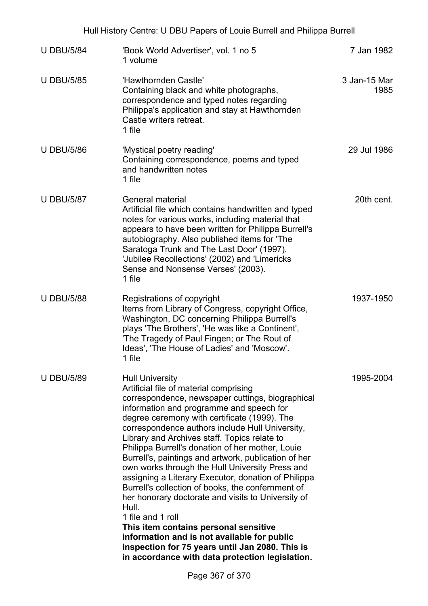| <b>U DBU/5/84</b> | 'Book World Advertiser', vol. 1 no 5<br>1 volume                                                                                                                                                                                                                                                                                                                                                                                                                                                                                                                                                                                                                                                                                                                                                                                                                                 | 7 Jan 1982           |
|-------------------|----------------------------------------------------------------------------------------------------------------------------------------------------------------------------------------------------------------------------------------------------------------------------------------------------------------------------------------------------------------------------------------------------------------------------------------------------------------------------------------------------------------------------------------------------------------------------------------------------------------------------------------------------------------------------------------------------------------------------------------------------------------------------------------------------------------------------------------------------------------------------------|----------------------|
| <b>U DBU/5/85</b> | 'Hawthornden Castle'<br>Containing black and white photographs,<br>correspondence and typed notes regarding<br>Philippa's application and stay at Hawthornden<br>Castle writers retreat.<br>1 file                                                                                                                                                                                                                                                                                                                                                                                                                                                                                                                                                                                                                                                                               | 3 Jan-15 Mar<br>1985 |
| <b>U DBU/5/86</b> | 'Mystical poetry reading'<br>Containing correspondence, poems and typed<br>and handwritten notes<br>1 file                                                                                                                                                                                                                                                                                                                                                                                                                                                                                                                                                                                                                                                                                                                                                                       | 29 Jul 1986          |
| <b>U DBU/5/87</b> | General material<br>Artificial file which contains handwritten and typed<br>notes for various works, including material that<br>appears to have been written for Philippa Burrell's<br>autobiography. Also published items for 'The<br>Saratoga Trunk and The Last Door' (1997),<br>'Jubilee Recollections' (2002) and 'Limericks<br>Sense and Nonsense Verses' (2003).<br>1 file                                                                                                                                                                                                                                                                                                                                                                                                                                                                                                | 20th cent.           |
| <b>U DBU/5/88</b> | Registrations of copyright<br>Items from Library of Congress, copyright Office,<br>Washington, DC concerning Philippa Burrell's<br>plays 'The Brothers', 'He was like a Continent',<br>'The Tragedy of Paul Fingen; or The Rout of<br>Ideas', 'The House of Ladies' and 'Moscow'.<br>1 file                                                                                                                                                                                                                                                                                                                                                                                                                                                                                                                                                                                      | 1937-1950            |
| <b>U DBU/5/89</b> | <b>Hull University</b><br>Artificial file of material comprising<br>correspondence, newspaper cuttings, biographical<br>information and programme and speech for<br>degree ceremony with certificate (1999). The<br>correspondence authors include Hull University,<br>Library and Archives staff. Topics relate to<br>Philippa Burrell's donation of her mother, Louie<br>Burrell's, paintings and artwork, publication of her<br>own works through the Hull University Press and<br>assigning a Literary Executor, donation of Philippa<br>Burrell's collection of books, the confernment of<br>her honorary doctorate and visits to University of<br>Hull.<br>1 file and 1 roll<br>This item contains personal sensitive<br>information and is not available for public<br>inspection for 75 years until Jan 2080. This is<br>in accordance with data protection legislation. | 1995-2004            |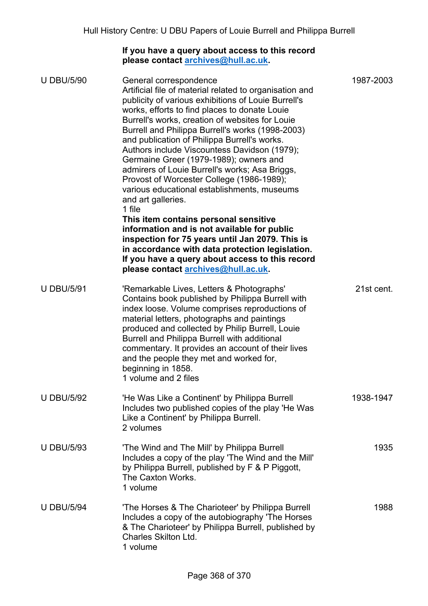## **If you have a query about access to this record please contact [archives@hull.ac.uk.](mailto:archives@hull.ac.uk)**

| <b>U DBU/5/90</b> | General correspondence<br>Artificial file of material related to organisation and<br>publicity of various exhibitions of Louie Burrell's<br>works, efforts to find places to donate Louie<br>Burrell's works, creation of websites for Louie<br>Burrell and Philippa Burrell's works (1998-2003)<br>and publication of Philippa Burrell's works.<br>Authors include Viscountess Davidson (1979);<br>Germaine Greer (1979-1989); owners and<br>admirers of Louie Burrell's works; Asa Briggs,<br>Provost of Worcester College (1986-1989);<br>various educational establishments, museums<br>and art galleries.<br>1 file<br>This item contains personal sensitive<br>information and is not available for public<br>inspection for 75 years until Jan 2079. This is<br>in accordance with data protection legislation.<br>If you have a query about access to this record<br>please contact archives@hull.ac.uk. | 1987-2003  |
|-------------------|------------------------------------------------------------------------------------------------------------------------------------------------------------------------------------------------------------------------------------------------------------------------------------------------------------------------------------------------------------------------------------------------------------------------------------------------------------------------------------------------------------------------------------------------------------------------------------------------------------------------------------------------------------------------------------------------------------------------------------------------------------------------------------------------------------------------------------------------------------------------------------------------------------------|------------|
| <b>U DBU/5/91</b> | 'Remarkable Lives, Letters & Photographs'<br>Contains book published by Philippa Burrell with<br>index loose. Volume comprises reproductions of<br>material letters, photographs and paintings<br>produced and collected by Philip Burrell, Louie<br>Burrell and Philippa Burrell with additional<br>commentary. It provides an account of their lives<br>and the people they met and worked for,<br>beginning in 1858.<br>1 volume and 2 files                                                                                                                                                                                                                                                                                                                                                                                                                                                                  | 21st cent. |
| <b>U DBU/5/92</b> | 'He Was Like a Continent' by Philippa Burrell<br>Includes two published copies of the play 'He Was<br>Like a Continent' by Philippa Burrell.<br>2 volumes                                                                                                                                                                                                                                                                                                                                                                                                                                                                                                                                                                                                                                                                                                                                                        | 1938-1947  |
| <b>U DBU/5/93</b> | 'The Wind and The Mill' by Philippa Burrell<br>Includes a copy of the play 'The Wind and the Mill'<br>by Philippa Burrell, published by F & P Piggott,<br>The Caxton Works.<br>1 volume                                                                                                                                                                                                                                                                                                                                                                                                                                                                                                                                                                                                                                                                                                                          | 1935       |
| <b>U DBU/5/94</b> | 'The Horses & The Charioteer' by Philippa Burrell<br>Includes a copy of the autobiography 'The Horses<br>& The Charioteer' by Philippa Burrell, published by<br><b>Charles Skilton Ltd.</b><br>1 volume                                                                                                                                                                                                                                                                                                                                                                                                                                                                                                                                                                                                                                                                                                          | 1988       |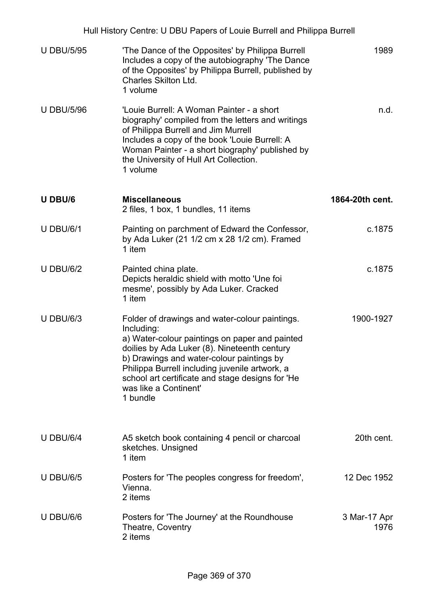| Hull History Centre: U DBU Papers of Louie Burrell and Philippa Burrell |                                                                                                                                                                                                                                                                                                                                                        |                      |  |  |
|-------------------------------------------------------------------------|--------------------------------------------------------------------------------------------------------------------------------------------------------------------------------------------------------------------------------------------------------------------------------------------------------------------------------------------------------|----------------------|--|--|
| <b>U DBU/5/95</b>                                                       | 'The Dance of the Opposites' by Philippa Burrell<br>Includes a copy of the autobiography 'The Dance<br>of the Opposites' by Philippa Burrell, published by<br>Charles Skilton Ltd.<br>1 volume                                                                                                                                                         | 1989                 |  |  |
| <b>U DBU/5/96</b>                                                       | 'Louie Burrell: A Woman Painter - a short<br>biography' compiled from the letters and writings<br>of Philippa Burrell and Jim Murrell<br>Includes a copy of the book 'Louie Burrell: A<br>Woman Painter - a short biography' published by<br>the University of Hull Art Collection.<br>1 volume                                                        | n.d.                 |  |  |
| U DBU/6                                                                 | <b>Miscellaneous</b><br>2 files, 1 box, 1 bundles, 11 items                                                                                                                                                                                                                                                                                            | 1864-20th cent.      |  |  |
| <b>U DBU/6/1</b>                                                        | Painting on parchment of Edward the Confessor,<br>by Ada Luker (21 1/2 cm x 28 1/2 cm). Framed<br>1 item                                                                                                                                                                                                                                               | c.1875               |  |  |
| <b>U DBU/6/2</b>                                                        | Painted china plate.<br>Depicts heraldic shield with motto 'Une foi<br>mesme', possibly by Ada Luker. Cracked<br>1 item                                                                                                                                                                                                                                | c.1875               |  |  |
| <b>U DBU/6/3</b>                                                        | Folder of drawings and water-colour paintings.<br>Including:<br>a) Water-colour paintings on paper and painted<br>doilies by Ada Luker (8). Nineteenth century<br>b) Drawings and water-colour paintings by<br>Philippa Burrell including juvenile artwork, a<br>school art certificate and stage designs for 'He<br>was like a Continent'<br>1 bundle | 1900-1927            |  |  |
| <b>U DBU/6/4</b>                                                        | A5 sketch book containing 4 pencil or charcoal<br>sketches. Unsigned<br>1 item                                                                                                                                                                                                                                                                         | 20th cent.           |  |  |
| <b>U DBU/6/5</b>                                                        | Posters for 'The peoples congress for freedom',<br>Vienna.<br>2 items                                                                                                                                                                                                                                                                                  | 12 Dec 1952          |  |  |
| <b>U DBU/6/6</b>                                                        | Posters for 'The Journey' at the Roundhouse<br>Theatre, Coventry<br>2 items                                                                                                                                                                                                                                                                            | 3 Mar-17 Apr<br>1976 |  |  |